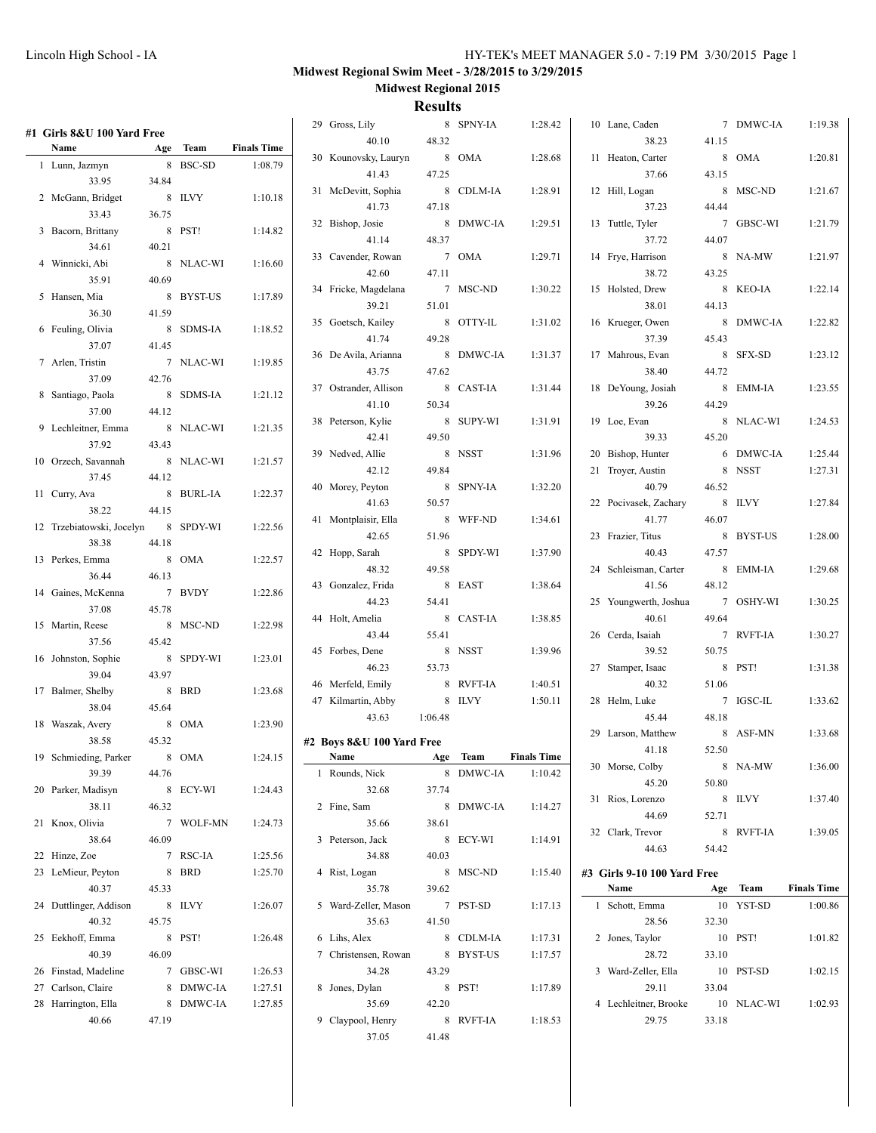| #1  Girls 8&U 100 Yard Free |       |           |                    | 29 Gross, Lily                |         | 8 SPNY-IA | 1:28.42 | 10 Lane, Caden              |       | 7 DMWC-IA  | 1:19.38            |
|-----------------------------|-------|-----------|--------------------|-------------------------------|---------|-----------|---------|-----------------------------|-------|------------|--------------------|
| Name                        |       | Age Team  | <b>Finals Time</b> | 40.10                         | 48.32   |           |         | 38.23                       | 41.15 |            |                    |
| 1 Lunn, Jazmyn              |       | 8 BSC-SD  | 1:08.79            | 30 Kounovsky, Lauryn          |         | 8 OMA     | 1:28.68 | 11 Heaton, Carter           |       | 8 OMA      | 1:20.81            |
| 33.95                       | 34.84 |           |                    | 41.43                         | 47.25   |           |         | 37.66                       | 43.15 |            |                    |
| 2 McGann, Bridget           |       | 8 ILVY    | 1:10.18            | 31 McDevitt, Sophia           |         | 8 CDLM-IA | 1:28.91 | 12 Hill, Logan              |       | 8 MSC-ND   | 1:21.67            |
| 33.43                       | 36.75 |           |                    | 41.73                         | 47.18   |           |         | 37.23                       | 44.44 |            |                    |
|                             |       |           |                    | 32 Bishop, Josie              |         | 8 DMWC-IA | 1:29.51 | 13 Tuttle, Tyler            |       | 7 GBSC-WI  | 1:21.79            |
| 3 Bacorn, Brittany          |       | 8 PST!    | 1:14.82            | 41.14                         | 48.37   |           |         | 37.72                       | 44.07 |            |                    |
| 34.61                       | 40.21 |           |                    | 33 Cavender, Rowan            |         | 7 OMA     | 1:29.71 | 14 Frye, Harrison           |       | 8 NA-MW    | 1:21.97            |
| 4 Winnicki, Abi             |       | 8 NLAC-WI | 1:16.60            | 42.60                         | 47.11   |           |         | 38.72                       | 43.25 |            |                    |
| 35.91                       | 40.69 |           |                    | 34 Fricke, Magdelana          |         | 7 MSC-ND  | 1:30.22 | 15 Holsted, Drew            |       | 8 KEO-IA   | 1:22.14            |
| 5 Hansen, Mia               |       | 8 BYST-US | 1:17.89            | 39.21                         | 51.01   |           |         | 38.01                       | 44.13 |            |                    |
| 36.30                       | 41.59 |           |                    | 35 Goetsch, Kailey            |         | 8 OTTY-IL | 1:31.02 | 16 Krueger, Owen            |       | 8 DMWC-IA  | 1:22.82            |
| 6 Feuling, Olivia           |       | 8 SDMS-IA | 1:18.52            | 41.74                         | 49.28   |           |         | 37.39                       | 45.43 |            |                    |
| 37.07                       | 41.45 |           |                    |                               |         | 8 DMWC-IA | 1:31.37 | 17 Mahrous, Evan            |       | 8 SFX-SD   | 1:23.12            |
| 7 Arlen, Tristin            |       | 7 NLAC-WI | 1:19.85            | 36 De Avila, Arianna<br>43.75 | 47.62   |           |         | 38.40                       | 44.72 |            |                    |
| 37.09                       | 42.76 |           |                    |                               |         |           |         |                             |       |            |                    |
| 8 Santiago, Paola           |       | 8 SDMS-IA | 1:21.12            | 37 Ostrander, Allison         |         | 8 CAST-IA | 1:31.44 | 18 DeYoung, Josiah          |       | 8 EMM-IA   | 1:23.55            |
| 37.00                       | 44.12 |           |                    | 41.10                         | 50.34   |           |         | 39.26                       | 44.29 |            |                    |
| 9 Lechleitner, Emma         |       | 8 NLAC-WI | 1:21.35            | 38 Peterson, Kylie            |         | 8 SUPY-WI | 1:31.91 | 19 Loe, Evan                |       | 8 NLAC-WI  | 1:24.53            |
| 37.92                       | 43.43 |           |                    | 42.41                         | 49.50   |           |         | 39.33                       | 45.20 |            |                    |
| 10 Orzech, Savannah         |       | 8 NLAC-WI | 1:21.57            | 39 Nedved, Allie              |         | 8 NSST    | 1:31.96 | 20 Bishop, Hunter           |       | 6 DMWC-IA  | 1:25.44            |
| 37.45                       | 44.12 |           |                    | 42.12                         | 49.84   |           |         | 21 Troyer, Austin           |       | 8 NSST     | 1:27.31            |
| 11 Curry, Ava               |       | 8 BURL-IA | 1:22.37            | 40 Morey, Peyton              |         | 8 SPNY-IA | 1:32.20 | 40.79                       | 46.52 |            |                    |
| 38.22                       | 44.15 |           |                    | 41.63                         | 50.57   |           |         | 22 Pocivasek, Zachary       |       | 8 ILVY     | 1:27.84            |
| 12 Trzebiatowski, Jocelyn   |       | 8 SPDY-WI | 1:22.56            | 41 Montplaisir, Ella          |         | 8 WFF-ND  | 1:34.61 | 41.77                       | 46.07 |            |                    |
| 38.38                       | 44.18 |           |                    | 42.65                         | 51.96   |           |         | 23 Frazier, Titus           |       | 8 BYST-US  | 1:28.00            |
| 13 Perkes, Emma             |       | 8 OMA     | 1:22.57            | 42 Hopp, Sarah                |         | 8 SPDY-WI | 1:37.90 | 40.43                       | 47.57 |            |                    |
| 36.44                       | 46.13 |           |                    | 48.32                         | 49.58   |           |         | 24 Schleisman, Carter       |       | 8 EMM-IA   | 1:29.68            |
| 14 Gaines, McKenna          |       | 7 BVDY    | 1:22.86            | 43 Gonzalez, Frida            |         | 8 EAST    | 1:38.64 | 41.56                       | 48.12 |            |                    |
| 37.08                       | 45.78 |           |                    | 44.23                         | 54.41   |           |         | 25 Youngwerth, Joshua       |       | 7 OSHY-WI  | 1:30.25            |
|                             |       |           |                    | 44 Holt, Amelia               |         | 8 CAST-IA | 1:38.85 | 40.61                       | 49.64 |            |                    |
| 15 Martin, Reese            |       | 8 MSC-ND  | 1:22.98            | 43.44                         | 55.41   |           |         | 26 Cerda, Isaiah            |       | 7 RVFT-IA  | 1:30.27            |
| 37.56                       | 45.42 |           |                    | 45 Forbes, Dene               |         | 8 NSST    | 1:39.96 | 39.52                       | 50.75 |            |                    |
| 16 Johnston, Sophie         |       | 8 SPDY-WI | 1:23.01            | 46.23                         | 53.73   |           |         | 27 Stamper, Isaac           |       | 8 PST!     | 1:31.38            |
| 39.04                       | 43.97 |           |                    | 46 Merfeld, Emily             |         | 8 RVFT-IA | 1:40.51 | 40.32                       | 51.06 |            |                    |
| 17 Balmer, Shelby           |       | 8 BRD     | 1:23.68            | 47 Kilmartin, Abby            |         | 8 ILVY    | 1:50.11 | 28 Helm, Luke               |       | 7 IGSC-IL  | 1:33.62            |
| 38.04                       | 45.64 |           |                    | 43.63                         | 1:06.48 |           |         | 45.44                       | 48.18 |            |                    |
| 18 Waszak, Avery            |       | 8 OMA     | 1:23.90            |                               |         |           |         | 29 Larson, Matthew          |       | 8 ASF-MN   | 1:33.68            |
| 38.58                       | 45.32 |           |                    | #2 Boys 8&U 100 Yard Free     |         |           |         | 41.18                       | 52.50 |            |                    |
| 19 Schmieding, Parker       |       | 8 OMA     | 1:24.15            | Name Age Team Finals Time     |         |           |         | 30 Morse, Colby             |       | 8 NA-MW    | 1:36.00            |
| 39.39                       | 44.76 |           |                    | 1 Rounds, Nick                |         | 8 DMWC-IA | 1:10.42 | 45.20                       | 50.80 |            |                    |
| 20 Parker, Madisyn          |       | 8 ECY-WI  | 1:24.43            | 32.68                         | 37.74   |           |         | 31 Rios, Lorenzo            |       | 8 ILVY     | 1:37.40            |
| 38.11                       | 46.32 |           |                    | 2 Fine, Sam                   |         | 8 DMWC-IA | 1:14.27 | 44.69                       | 52.71 |            |                    |
| 21 Knox, Olivia             |       | 7 WOLF-MN | 1:24.73            | 35.66                         | 38.61   |           |         | 32 Clark, Trevor            |       | 8 RVFT-IA  | 1:39.05            |
| 38.64                       | 46.09 |           |                    | 3 Peterson, Jack              |         | 8 ECY-WI  | 1:14.91 | 44.63                       | 54.42 |            |                    |
| 22 Hinze, Zoe               |       | 7 RSC-IA  | 1:25.56            | 34.88                         | 40.03   |           |         |                             |       |            |                    |
| 23 LeMieur, Peyton          |       | 8 BRD     | 1:25.70            | 4 Rist, Logan                 |         | 8 MSC-ND  | 1:15.40 | #3 Girls 9-10 100 Yard Free |       |            |                    |
| 40.37                       | 45.33 |           |                    | 35.78                         | 39.62   |           |         | Name                        |       | Age Team   | <b>Finals Time</b> |
| 24 Duttlinger, Addison      |       | 8 ILVY    | 1:26.07            | 5 Ward-Zeller, Mason          |         | 7 PST-SD  | 1:17.13 | 1 Schott, Emma              |       | 10 YST-SD  | 1:00.86            |
| 40.32                       | 45.75 |           |                    | 35.63                         | 41.50   |           |         | 28.56                       | 32.30 |            |                    |
| 25 Eekhoff, Emma            |       | 8 PST!    | 1:26.48            | 6 Lihs, Alex                  |         | 8 CDLM-IA | 1:17.31 | 2 Jones, Taylor             |       | 10 PST!    | 1:01.82            |
| 40.39                       | 46.09 |           |                    | 7 Christensen, Rowan          |         | 8 BYST-US | 1:17.57 | 28.72                       | 33.10 |            |                    |
| 26 Finstad, Madeline        |       | 7 GBSC-WI | 1:26.53            | 34.28                         | 43.29   |           |         | 3 Ward-Zeller, Ella         |       | 10 PST-SD  | 1:02.15            |
| 27 Carlson, Claire          |       | 8 DMWC-IA | 1:27.51            | 8 Jones, Dylan                |         | 8 PST!    | 1:17.89 | 29.11                       | 33.04 |            |                    |
| 28 Harrington, Ella         |       | 8 DMWC-IA | 1:27.85            | 35.69                         | 42.20   |           |         | 4 Lechleitner, Brooke       |       | 10 NLAC-WI | 1:02.93            |
| 40.66                       | 47.19 |           |                    | 9 Claypool, Henry             |         | 8 RVFT-IA | 1:18.53 | 29.75                       | 33.18 |            |                    |
|                             |       |           |                    | 37.05                         | 41.48   |           |         |                             |       |            |                    |
|                             |       |           |                    |                               |         |           |         |                             |       |            |                    |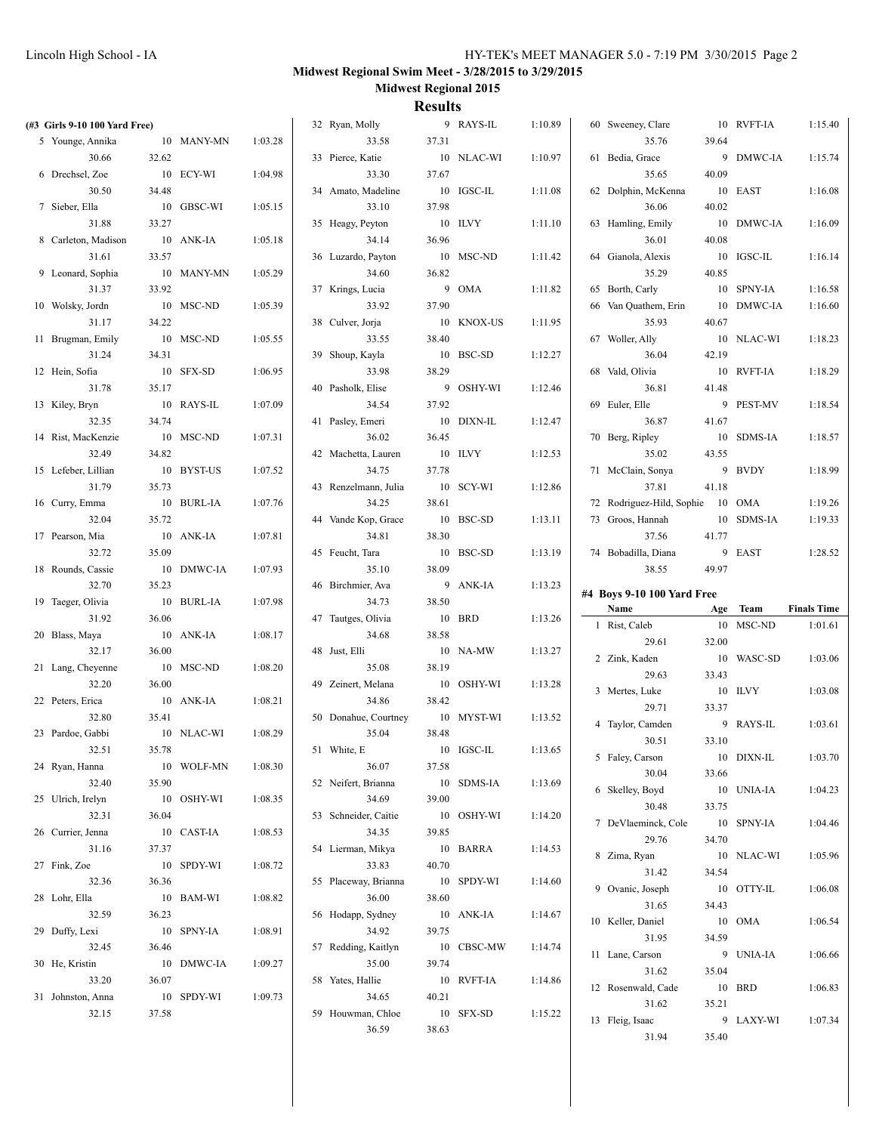| (#3 Girls 9-10 100 Yard Free) |       |            |         | 32 Ryan, Molly             |       | 9 RAYS-IL  | 1:10.89 | 60 Sweeney, Clare                |       | 10 RVFT-IA | 1:15.40            |
|-------------------------------|-------|------------|---------|----------------------------|-------|------------|---------|----------------------------------|-------|------------|--------------------|
| 5 Younge, Annika              |       | 10 MANY-MN | 1:03.28 | 33.58                      | 37.31 |            |         | 35.76                            | 39.64 |            |                    |
| 30.66                         | 32.62 |            |         | 33 Pierce, Katie           |       | 10 NLAC-WI | 1:10.97 | 61 Bedia, Grace                  |       | 9 DMWC-IA  | 1:15.74            |
| 6 Drechsel, Zoe               |       | 10 ECY-WI  | 1:04.98 | 33.30                      | 37.67 |            |         | 35.65                            | 40.09 |            |                    |
| 30.50                         | 34.48 |            |         | 34 Amato, Madeline         |       | 10 IGSC-IL | 1:11.08 | 62 Dolphin, McKenna              |       | 10 EAST    | 1:16.08            |
| 7 Sieber, Ella                |       | 10 GBSC-WI | 1:05.15 | 33.10                      | 37.98 |            |         | 36.06                            | 40.02 |            |                    |
| 31.88                         | 33.27 |            |         | 35 Heagy, Peyton           |       | 10 ILVY    | 1:11.10 | 63 Hamling, Emily                |       | 10 DMWC-IA | 1:16.09            |
| 8 Carleton, Madison           |       | 10 ANK-IA  | 1:05.18 | 34.14                      | 36.96 |            |         | 36.01                            | 40.08 |            |                    |
| 31.61                         | 33.57 |            |         | 36 Luzardo, Payton         |       | 10 MSC-ND  | 1:11.42 | 64 Gianola, Alexis               |       | 10 IGSC-IL | 1:16.14            |
| 9 Leonard, Sophia             |       | 10 MANY-MN | 1:05.29 | 34.60                      | 36.82 |            |         | 35.29                            | 40.85 |            |                    |
| 31.37                         | 33.92 |            |         | 37 Krings, Lucia           |       | 9 OMA      | 1:11.82 | 65 Borth, Carly                  |       | 10 SPNY-IA | 1:16.58            |
| 10 Wolsky, Jordn              |       | 10 MSC-ND  | 1:05.39 | 33.92                      | 37.90 |            |         | 66 Van Quathem, Erin             |       | 10 DMWC-IA | 1:16.60            |
| 31.17                         | 34.22 |            |         | 38 Culver, Jorja           |       | 10 KNOX-US | 1:11.95 | 35.93                            | 40.67 |            |                    |
| 11 Brugman, Emily             |       | 10 MSC-ND  | 1:05.55 | 33.55                      | 38.40 |            |         | 67 Woller, Ally                  |       | 10 NLAC-WI | 1:18.23            |
| 31.24                         | 34.31 |            |         | 39 Shoup, Kayla            |       | 10 BSC-SD  | 1:12.27 | 36.04                            | 42.19 |            |                    |
| 12 Hein, Sofia                |       | 10 SFX-SD  | 1:06.95 | 33.98                      | 38.29 |            |         | 68 Vald, Olivia                  |       | 10 RVFT-IA | 1:18.29            |
| 31.78                         | 35.17 |            |         | 40 Pasholk, Elise          |       | 9 OSHY-WI  | 1:12.46 | 36.81                            | 41.48 |            |                    |
| 13 Kiley, Bryn                |       | 10 RAYS-IL | 1:07.09 | 34.54                      | 37.92 |            |         | 69 Euler, Elle                   |       | 9 PEST-MV  | 1:18.54            |
| 32.35                         | 34.74 |            |         | 41 Pasley, Emeri           |       | 10 DIXN-IL | 1:12.47 | 36.87                            | 41.67 |            |                    |
| 14 Rist, MacKenzie            |       | 10 MSC-ND  | 1:07.31 | 36.02                      | 36.45 |            |         | 70 Berg, Ripley                  |       | 10 SDMS-IA | 1:18.57            |
| 32.49                         | 34.82 |            |         | 42 Machetta, Lauren        |       | 10 ILVY    | 1:12.53 | 35.02                            | 43.55 |            |                    |
| 15 Lefeber, Lillian           |       | 10 BYST-US | 1:07.52 | 34.75                      | 37.78 |            |         | 71 McClain, Sonya                |       | 9 BVDY     | 1:18.99            |
| 31.79                         | 35.73 |            |         | 43 Renzelmann, Julia       |       | 10 SCY-WI  | 1:12.86 | 37.81                            | 41.18 |            |                    |
| 16 Curry, Emma                |       | 10 BURL-IA | 1:07.76 | 34.25                      | 38.61 |            |         | 72 Rodriguez-Hild, Sophie 10 OMA |       |            | 1:19.26            |
| 32.04                         | 35.72 |            |         | 44 Vande Kop, Grace        |       | 10 BSC-SD  | 1:13.11 | 73 Groos, Hannah                 |       | 10 SDMS-IA | 1:19.33            |
| 17 Pearson, Mia               |       | 10 ANK-IA  | 1:07.81 | 34.81                      | 38.30 |            |         | 37.56                            | 41.77 |            |                    |
| 32.72                         | 35.09 |            |         | 45 Feucht, Tara            |       | 10 BSC-SD  | 1:13.19 | 74 Bobadilla, Diana              |       | 9 EAST     | 1:28.52            |
| 18 Rounds, Cassie             |       | 10 DMWC-IA | 1:07.93 | 35.10                      | 38.09 |            |         | 38.55                            | 49.97 |            |                    |
|                               |       |            |         |                            |       |            |         |                                  |       |            |                    |
| 32.70                         | 35.23 |            |         | 46 Birchmier, Ava          |       | 9 ANK-IA   | 1:13.23 | #4 Boys 9-10 100 Yard Free       |       |            |                    |
| 19 Taeger, Olivia             |       | 10 BURL-IA | 1:07.98 | 34.73                      | 38.50 |            |         | Name                             | Age   | Team       | <b>Finals Time</b> |
| 31.92                         | 36.06 |            |         | 47 Tautges, Olivia         |       | 10 BRD     | 1:13.26 | 1 Rist, Caleb                    |       | 10 MSC-ND  | 1:01.61            |
| 20 Blass, Maya                |       | 10 ANK-IA  | 1:08.17 | 34.68                      | 38.58 |            |         | 29.61                            | 32.00 |            |                    |
| 32.17                         | 36.00 |            |         | 48 Just, Elli              |       | 10 NA-MW   | 1:13.27 | 2 Zink, Kaden                    |       | 10 WASC-SD | 1:03.06            |
| 21 Lang, Cheyenne             |       | 10 MSC-ND  | 1:08.20 | 35.08                      | 38.19 |            |         | 29.63                            | 33.43 |            |                    |
| 32.20                         | 36.00 |            |         | 49 Zeinert, Melana         |       | 10 OSHY-WI | 1:13.28 | 3 Mertes, Luke                   |       | 10 ILVY    | 1:03.08            |
| 22 Peters, Erica              |       | 10 ANK-IA  | 1:08.21 | 34.86                      | 38.42 |            |         | 29.71                            | 33.37 |            |                    |
| 32.80                         | 35.41 |            |         | 50 Donahue, Courtney       |       | 10 MYST-WI | 1:13.52 | 4 Taylor, Camden                 |       | 9 RAYS-IL  | 1:03.61            |
| 23 Pardoe, Gabbi              |       | 10 NLAC-WI | 1:08.29 | 35.04                      | 38.48 |            |         | 30.51                            | 33.10 |            |                    |
| 32.51                         | 35.78 |            |         | 51 White, E                |       | 10 IGSC-IL | 1:13.65 | 5 Faley, Carson                  |       | 10 DIXN-IL | 1:03.70            |
| 24 Ryan, Hanna                |       | 10 WOLF-MN | 1:08.30 | 36.07                      | 37.58 |            |         | 30.04                            | 33.66 |            |                    |
| 32.40                         | 35.90 |            |         | 52 Neifert, Brianna        |       | 10 SDMS-IA | 1:13.69 | 6 Skelley, Boyd                  |       | 10 UNIA-IA | 1:04.23            |
| 25 Ulrich, Irelyn             |       | 10 OSHY-WI | 1:08.35 | 34.69                      | 39.00 |            |         | 30.48                            | 33.75 |            |                    |
| 32.31                         | 36.04 |            |         | 53 Schneider, Caitie       |       | 10 OSHY-WI | 1:14.20 | 7 DeVlaeminck, Cole              |       | 10 SPNY-IA | 1:04.46            |
| 26 Currier, Jenna             |       | 10 CAST-IA | 1:08.53 | 34.35                      | 39.85 |            |         | 29.76                            | 34.70 |            |                    |
| 31.16                         | 37.37 |            |         | 54 Lierman, Mikya          |       | 10 BARRA   | 1:14.53 | 8 Zima, Ryan                     |       | 10 NLAC-WI | 1:05.96            |
| 27 Fink, Zoe                  |       | 10 SPDY-WI | 1:08.72 | 33.83                      | 40.70 |            |         | 31.42                            | 34.54 |            |                    |
| 32.36                         | 36.36 |            |         | 55 Placeway, Brianna       |       | 10 SPDY-WI | 1:14.60 | 9 Ovanic, Joseph                 |       | 10 OTTY-IL | 1:06.08            |
| 28 Lohr, Ella                 |       | 10 BAM-WI  | 1:08.82 | 36.00                      | 38.60 |            |         | 31.65                            | 34.43 |            |                    |
| 32.59                         | 36.23 |            |         | 56 Hodapp, Sydney          |       | 10 ANK-IA  | 1:14.67 | 10 Keller, Daniel                |       | 10 OMA     | 1:06.54            |
| 29 Duffy, Lexi                |       | 10 SPNY-IA | 1:08.91 | 34.92                      | 39.75 |            |         | 31.95                            | 34.59 |            |                    |
| 32.45                         | 36.46 |            |         | 57 Redding, Kaitlyn        |       | 10 CBSC-MW | 1:14.74 | 11 Lane, Carson                  |       | 9 UNIA-IA  | 1:06.66            |
| 30 He, Kristin                |       | 10 DMWC-IA | 1:09.27 | 35.00                      | 39.74 |            |         | 31.62                            | 35.04 |            |                    |
| 33.20                         | 36.07 |            |         | 58 Yates, Hallie           |       | 10 RVFT-IA | 1:14.86 | 12 Rosenwald, Cade               |       | 10 BRD     | 1:06.83            |
| 31 Johnston, Anna             |       | 10 SPDY-WI | 1:09.73 | 34.65<br>59 Houwman, Chloe | 40.21 |            |         | 31.62                            | 35.21 |            |                    |
| 32.15                         | 37.58 |            |         | 36.59                      | 38.63 | 10 SFX-SD  | 1:15.22 | 13 Fleig, Isaac<br>31.94         | 35.40 | 9 LAXY-WI  | 1:07.34            |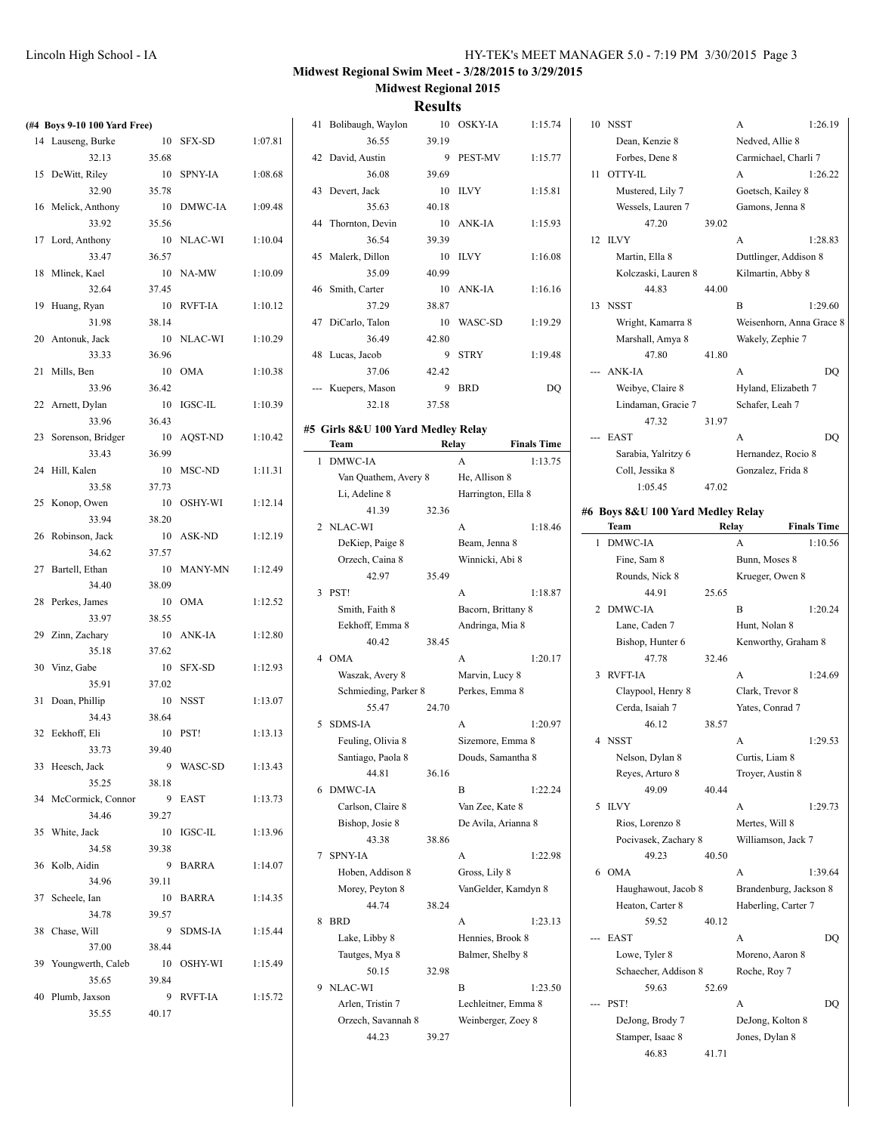| (#4 Boys 9-10 100 Yard Free) |       |            |         | 41 Bolibaugh, Waylon               |       | 10 OSKY-IA                | 1:15.74            | 10 NSST                           |       | A                        | 1:26.19            |
|------------------------------|-------|------------|---------|------------------------------------|-------|---------------------------|--------------------|-----------------------------------|-------|--------------------------|--------------------|
| 14 Lauseng, Burke            |       | 10 SFX-SD  | 1:07.81 | 36.55                              | 39.19 |                           |                    | Dean, Kenzie 8                    |       | Nedved, Allie 8          |                    |
| 32.13                        | 35.68 |            |         | 42 David, Austin                   |       | 9 PEST-MV                 | 1:15.77            | Forbes, Dene 8                    |       | Carmichael, Charli 7     |                    |
| 15 DeWitt, Riley             |       | 10 SPNY-IA | 1:08.68 | 36.08                              | 39.69 |                           |                    | 11 OTTY-IL                        |       | A                        | 1:26.22            |
| 32.90                        | 35.78 |            |         | 43 Devert, Jack                    |       | 10 ILVY                   | 1:15.81            | Mustered, Lily 7                  |       | Goetsch, Kailey 8        |                    |
| 16 Melick, Anthony           |       | 10 DMWC-IA | 1:09.48 | 35.63                              | 40.18 |                           |                    | Wessels, Lauren 7                 |       | Gamons, Jenna 8          |                    |
| 33.92                        | 35.56 |            |         | 44 Thornton, Devin                 |       | 10 ANK-IA                 | 1:15.93            | 47.20                             | 39.02 |                          |                    |
| 17 Lord, Anthony             |       | 10 NLAC-WI | 1:10.04 | 36.54                              | 39.39 |                           |                    | 12 ILVY                           |       | A                        | 1:28.83            |
| 33.47                        | 36.57 |            |         | 45 Malerk, Dillon                  |       | 10 ILVY                   | 1:16.08            | Martin, Ella 8                    |       | Duttlinger, Addison 8    |                    |
| 18 Mlinek, Kael              |       | 10 NA-MW   | 1:10.09 | 35.09                              | 40.99 |                           |                    | Kolczaski, Lauren 8               |       | Kilmartin, Abby 8        |                    |
| 32.64                        | 37.45 |            |         | 46 Smith, Carter                   |       | 10 ANK-IA                 | 1:16.16            | 44.83                             | 44.00 |                          |                    |
| 19 Huang, Ryan               |       | 10 RVFT-IA | 1:10.12 | 37.29                              | 38.87 |                           |                    | 13 NSST                           |       | B                        | 1:29.60            |
| 31.98                        | 38.14 |            |         | 47 DiCarlo, Talon                  |       | 10 WASC-SD                | 1:19.29            | Wright, Kamarra 8                 |       | Weisenhorn, Anna Grace 8 |                    |
| 20 Antonuk, Jack             |       | 10 NLAC-WI | 1:10.29 | 36.49                              | 42.80 |                           |                    | Marshall, Amya 8                  |       | Wakely, Zephie 7         |                    |
| 33.33                        | 36.96 |            |         | 48 Lucas, Jacob                    |       | 9 STRY                    | 1:19.48            | 47.80                             | 41.80 |                          |                    |
| 21 Mills, Ben                |       | 10 OMA     | 1:10.38 | 37.06                              | 42.42 |                           |                    | --- ANK-IA                        |       | A                        | DQ                 |
| 33.96                        | 36.42 |            |         | --- Kuepers, Mason                 |       | 9 BRD                     | DQ                 | Weibye, Claire 8                  |       | Hyland, Elizabeth 7      |                    |
|                              |       | 10 IGSC-IL | 1:10.39 | 32.18                              | 37.58 |                           |                    |                                   |       |                          |                    |
| 22 Arnett, Dylan<br>33.96    | 36.43 |            |         |                                    |       |                           |                    | Lindaman, Gracie 7<br>47.32       | 31.97 | Schafer, Leah 7          |                    |
|                              |       |            |         | #5 Girls 8&U 100 Yard Medley Relay |       |                           |                    |                                   |       |                          |                    |
| 23 Sorenson, Bridger         |       | 10 AQST-ND | 1:10.42 | Team                               | Relay |                           | <b>Finals Time</b> | --- EAST                          |       | A                        | DQ                 |
| 33.43                        | 36.99 |            |         | 1 DMWC-IA                          |       | A                         | 1:13.75            | Sarabia, Yalritzy 6               |       | Hernandez, Rocio 8       |                    |
| 24 Hill, Kalen               |       | 10 MSC-ND  | 1:11.31 | Van Quathem, Avery 8               |       | He, Allison 8             |                    | Coll, Jessika 8                   |       | Gonzalez, Frida 8        |                    |
| 33.58                        | 37.73 |            |         | Li, Adeline 8                      |       | Harrington, Ella 8        |                    | 1:05.45                           | 47.02 |                          |                    |
| 25 Konop, Owen               |       | 10 OSHY-WI | 1:12.14 | 41.39                              | 32.36 |                           |                    | #6 Boys 8&U 100 Yard Medley Relay |       |                          |                    |
| 33.94                        | 38.20 |            |         | 2 NLAC-WI                          |       | A                         | 1:18.46            | Team                              | Relay |                          | <b>Finals Time</b> |
| 26 Robinson, Jack            |       | 10 ASK-ND  | 1:12.19 | DeKiep, Paige 8                    |       | Beam, Jenna 8             |                    | 1 DMWC-IA                         |       | A                        | 1:10.56            |
| 34.62                        | 37.57 |            |         | Orzech, Caina 8                    |       | Winnicki, Abi 8           |                    | Fine, Sam 8                       |       | Bunn, Moses 8            |                    |
| 27 Bartell, Ethan            |       | 10 MANY-MN | 1:12.49 | 42.97                              | 35.49 |                           |                    | Rounds, Nick 8                    |       | Krueger, Owen 8          |                    |
| 34.40                        | 38.09 |            |         | 3 PST!                             |       | A                         | 1:18.87            | 44.91                             | 25.65 |                          |                    |
| 28 Perkes, James             |       | 10 OMA     | 1:12.52 | Smith, Faith 8                     |       | Bacorn, Brittany 8        |                    | 2 DMWC-IA                         |       | B                        | 1:20.24            |
| 33.97                        | 38.55 |            |         | Eekhoff, Emma 8                    |       | Andringa, Mia 8           |                    | Lane, Caden 7                     |       | Hunt, Nolan 8            |                    |
| 29 Zinn, Zachary             |       | 10 ANK-IA  | 1:12.80 | 40.42                              | 38.45 |                           |                    | Bishop, Hunter 6                  |       | Kenworthy, Graham 8      |                    |
| 35.18                        | 37.62 |            |         | 4 OMA                              |       | A                         | 1:20.17            | 47.78                             | 32.46 |                          |                    |
| 30 Vinz, Gabe                |       | 10 SFX-SD  | 1:12.93 | Waszak, Avery 8                    |       | Marvin, Lucy 8            |                    | 3 RVFT-IA                         |       | A                        | 1:24.69            |
| 35.91                        | 37.02 |            |         | Schmieding, Parker 8               |       | Perkes, Emma 8            |                    | Claypool, Henry 8                 |       | Clark, Trevor 8          |                    |
| 31 Doan, Phillip             |       | 10 NSST    | 1:13.07 | 55.47                              | 24.70 |                           |                    | Cerda, Isaiah 7                   |       | Yates, Conrad 7          |                    |
| 34.43                        | 38.64 |            |         | 5 SDMS-IA                          |       | A                         | 1:20.97            | 46.12                             | 38.57 |                          |                    |
| 32 Eekhoff, Eli              |       | 10 PST!    | 1:13.13 | Feuling, Olivia 8                  |       | Sizemore, Emma 8          |                    | 4 NSST                            |       | A                        | 1:29.53            |
| 33.73                        | 39.40 |            |         | Santiago, Paola 8                  |       | Douds, Samantha 8         |                    | Nelson, Dylan 8                   |       | Curtis, Liam 8           |                    |
| 33 Heesch, Jack              |       | 9 WASC-SD  | 1:13.43 | 44.81                              | 36.16 |                           |                    | Reves, Arturo 8                   |       | Troyer, Austin 8         |                    |
| 35.25                        | 38.18 |            |         | 6 DMWC-IA                          |       | B                         | 1:22.24            | 49.09                             | 40.44 |                          |                    |
| 34 McCormick, Connor         |       | 9 EAST     | 1:13.73 | Carlson, Claire 8                  |       | Van Zee, Kate 8           |                    | 5 ILVY                            |       | A                        | 1:29.73            |
| 34.46                        | 39.27 |            |         | Bishop, Josie 8                    |       | De Avila, Arianna 8       |                    | Rios, Lorenzo 8                   |       | Mertes, Will 8           |                    |
| 35 White, Jack               |       | 10 IGSC-IL | 1:13.96 | 43.38                              | 38.86 |                           |                    | Pocivasek, Zachary 8              |       | Williamson, Jack 7       |                    |
| 34.58                        | 39.38 |            |         | 7 SPNY-IA                          |       | A                         | 1:22.98            | 49.23                             | 40.50 |                          |                    |
| 36 Kolb, Aidin               |       | 9 BARRA    | 1:14.07 | Hoben, Addison 8                   |       | Gross, Lily 8             |                    | 6 OMA                             |       | A                        | 1:39.64            |
| 34.96                        | 39.11 |            |         | Morey, Peyton 8                    |       | VanGelder, Kamdyn 8       |                    | Haughawout, Jacob 8               |       | Brandenburg, Jackson 8   |                    |
|                              |       |            | 1:14.35 | 44.74                              | 38.24 |                           |                    | Heaton, Carter 8                  |       | Haberling, Carter 7      |                    |
| 37 Scheele, Ian              |       | 10 BARRA   |         |                                    |       |                           |                    |                                   |       |                          |                    |
| 34.78                        | 39.57 |            |         |                                    |       |                           |                    |                                   |       |                          |                    |
| 38 Chase, Will               |       | 9 SDMS-IA  | 1:15.44 | 8 BRD                              |       | $\boldsymbol{\mathsf{A}}$ | 1:23.13            | 59.52                             | 40.12 |                          |                    |
| 37.00                        | 38.44 |            |         | Lake, Libby 8                      |       | Hennies, Brook 8          |                    | --- EAST                          |       | A                        | DQ                 |
| 39 Youngwerth, Caleb         |       | 10 OSHY-WI | 1:15.49 | Tautges, Mya 8                     |       | Balmer, Shelby 8          |                    | Lowe, Tyler 8                     |       | Moreno, Aaron 8          |                    |
| 35.65                        | 39.84 |            |         | 50.15                              | 32.98 |                           |                    | Schaecher, Addison 8              |       | Roche, Roy 7             |                    |
| 40 Plumb, Jaxson             |       | 9 RVFT-IA  | 1:15.72 | 9 NLAC-WI                          |       | B                         | 1:23.50            | 59.63                             | 52.69 |                          |                    |
| 35.55                        | 40.17 |            |         | Arlen, Tristin 7                   |       | Lechleitner, Emma 8       |                    | --- PST!                          |       | A                        | DQ                 |
|                              |       |            |         | Orzech, Savannah 8                 |       | Weinberger, Zoey 8        |                    | DeJong, Brody 7                   |       | DeJong, Kolton 8         |                    |
|                              |       |            |         | 44.23                              | 39.27 |                           |                    | Stamper, Isaac 8<br>46.83         | 41.71 | Jones, Dylan 8           |                    |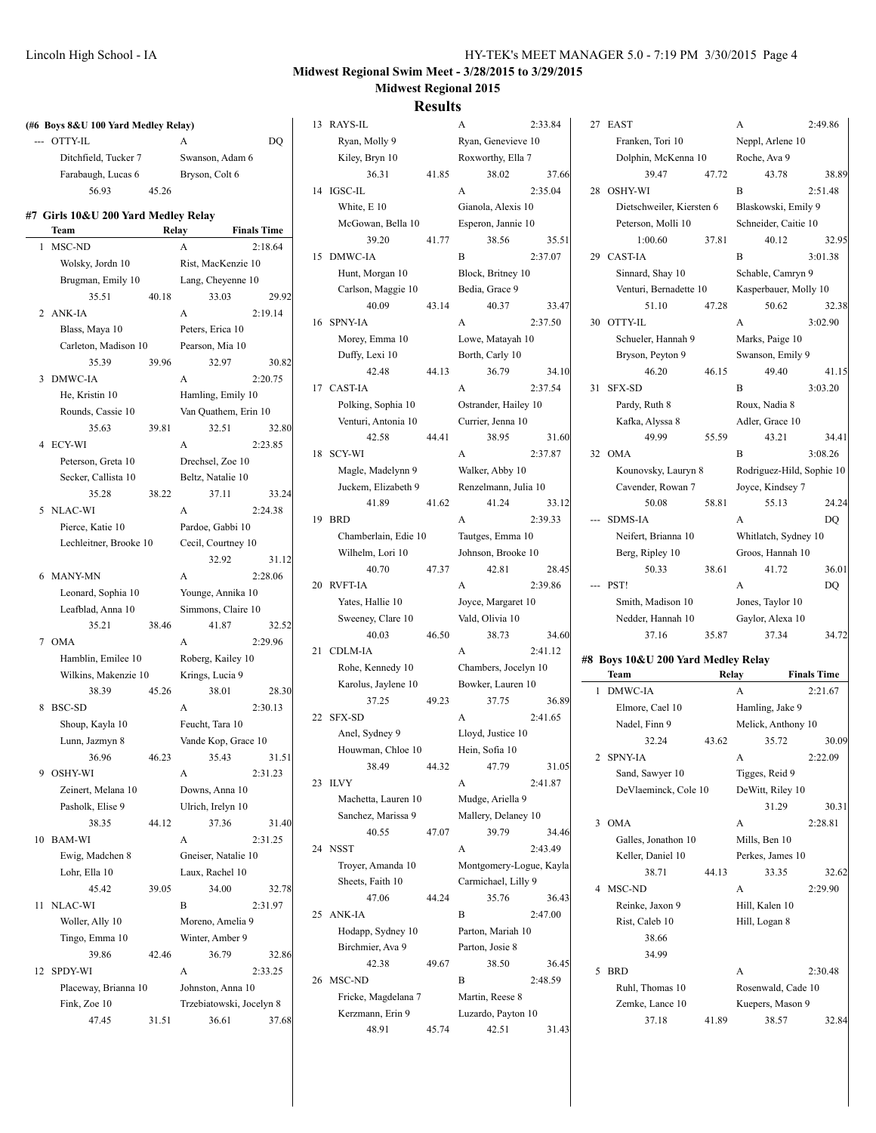| (#6 Boys 8&U 100 Yard Medley Relay) |       |                          |                    | 13 RAYS-IL                              |       | A                                     | 2:33.84 | 27 EAST                            |       | A                         | 2:49.86            |
|-------------------------------------|-------|--------------------------|--------------------|-----------------------------------------|-------|---------------------------------------|---------|------------------------------------|-------|---------------------------|--------------------|
| --- OTTY-IL                         |       | A                        | DO.                | Ryan, Molly 9                           |       | Ryan, Genevieve 10                    |         | Franken, Tori 10                   |       | Neppl, Arlene 10          |                    |
| Ditchfield, Tucker 7                |       | Swanson, Adam 6          |                    | Kiley, Bryn 10                          |       | Roxworthy, Ella 7                     |         | Dolphin, McKenna 10                |       | Roche, Ava 9              |                    |
| Farabaugh, Lucas 6                  |       | Bryson, Colt 6           |                    | 36.31                                   | 41.85 | 38.02                                 | 37.66   | 39.47                              | 47.72 | 43.78                     | 38.89              |
| 56.93                               | 45.26 |                          |                    | 14 IGSC-IL                              |       | A                                     | 2:35.04 | 28 OSHY-WI                         |       | B                         | 2:51.48            |
| #7 Girls 10&U 200 Yard Medley Relay |       |                          |                    | White, E 10                             |       | Gianola, Alexis 10                    |         | Dietschweiler, Kiersten 6          |       | Blaskowski, Emily 9       |                    |
| Team                                | Relay |                          | <b>Finals Time</b> | McGowan, Bella 10                       |       | Esperon, Jannie 10                    |         | Peterson, Molli 10                 |       | Schneider, Caitie 10      |                    |
| 1 MSC-ND                            |       | $\mathbf{A}$             | 2:18.64            | 39.20                                   | 41.77 | 38.56                                 | 35.51   | 1:00.60                            | 37.81 | 40.12                     | 32.95              |
| Wolsky, Jordn 10                    |       | Rist, MacKenzie 10       |                    | 15 DMWC-IA                              |       | B                                     | 2:37.07 | 29 CAST-IA                         |       | B                         | 3:01.38            |
| Brugman, Emily 10                   |       | Lang, Cheyenne 10        |                    | Hunt, Morgan 10                         |       | Block, Britney 10                     |         | Sinnard, Shay 10                   |       | Schable, Camryn 9         |                    |
| 35.51                               | 40.18 | 33.03                    | 29.92              | Carlson, Maggie 10                      |       | Bedia, Grace 9                        |         | Venturi, Bernadette 10             |       | Kasperbauer, Molly 10     |                    |
| 2 ANK-IA                            |       | A                        | 2:19.14            | 40.09                                   | 43.14 | 40.37                                 | 33.47   | 51.10                              | 47.28 | 50.62                     | 32.38              |
| Blass, Maya 10                      |       | Peters, Erica 10         |                    | 16 SPNY-IA                              |       | A                                     | 2:37.50 | 30 OTTY-IL                         |       | A                         | 3:02.90            |
| Carleton, Madison 10                |       | Pearson, Mia 10          |                    | Morey, Emma 10                          |       | Lowe, Matayah 10                      |         | Schueler, Hannah 9                 |       | Marks, Paige 10           |                    |
| 35.39                               | 39.96 | 32.97                    | 30.82              | Duffy, Lexi 10                          |       | Borth, Carly 10                       |         | Bryson, Peyton 9                   |       | Swanson, Emily 9          |                    |
| 3 DMWC-IA                           |       | A                        | 2:20.75            | 42.48                                   | 44.13 | 36.79                                 | 34.10   | 46.20                              | 46.15 | 49.40                     | 41.15              |
| He, Kristin 10                      |       | Hamling, Emily 10        |                    | 17 CAST-IA                              |       | A                                     | 2:37.54 | 31 SFX-SD                          |       | B                         | 3:03.20            |
| Rounds, Cassie 10                   |       | Van Quathem, Erin 10     |                    | Polking, Sophia 10                      |       | Ostrander, Hailey 10                  |         | Pardy, Ruth 8                      |       | Roux, Nadia 8             |                    |
| 35.63                               | 39.81 | 32.51                    | 32.80              | Venturi, Antonia 10                     |       | Currier, Jenna 10                     |         | Kafka, Alyssa 8                    |       | Adler, Grace 10           |                    |
| 4 ECY-WI                            |       | A                        | 2:23.85            | 42.58                                   | 44.41 | 38.95                                 | 31.60   | 49.99                              | 55.59 | 43.21                     | 34.41              |
| Peterson, Greta 10                  |       | Drechsel, Zoe 10         |                    | 18 SCY-WI                               |       | A                                     | 2:37.87 | 32 OMA                             |       | B                         | 3:08.26            |
| Secker, Callista 10                 |       | Beltz, Natalie 10        |                    | Magle, Madelynn 9                       |       | Walker, Abby 10                       |         | Kounovsky, Lauryn 8                |       | Rodriguez-Hild, Sophie 10 |                    |
| 35.28                               | 38.22 | 37.11                    | 33.24              | Juckem, Elizabeth 9                     |       | Renzelmann, Julia 10                  |         | Cavender, Rowan 7                  |       | Joyce, Kindsey 7          |                    |
| 5 NLAC-WI                           |       | A                        | 2:24.38            | 41.89                                   | 41.62 | 41.24                                 | 33.12   | 50.08                              | 58.81 | 55.13                     | 24.24              |
| Pierce, Katie 10                    |       | Pardoe, Gabbi 10         |                    | 19 BRD                                  |       | A                                     | 2:39.33 | --- SDMS-IA                        |       | A                         | DQ                 |
| Lechleitner, Brooke 10              |       | Cecil, Courtney 10       |                    | Chamberlain, Edie 10                    |       | Tautges, Emma 10                      |         | Neifert, Brianna 10                |       | Whitlatch, Sydney 10      |                    |
|                                     |       | 32.92                    | 31.12              | Wilhelm, Lori 10                        |       | Johnson, Brooke 10                    |         | Berg, Ripley 10                    |       | Groos, Hannah 10          |                    |
| 6 MANY-MN                           |       | A                        | 2:28.06            | 40.70                                   | 47.37 | 42.81                                 | 28.45   | 50.33                              | 38.61 | 41.72                     | 36.01              |
| Leonard, Sophia 10                  |       | Younge, Annika 10        |                    | 20 RVFT-IA                              |       | A                                     | 2:39.86 | --- PST!                           |       | A                         | DQ                 |
| Leafblad, Anna 10                   |       | Simmons, Claire 10       |                    | Yates, Hallie 10                        |       | Joyce, Margaret 10                    |         | Smith, Madison 10                  |       | Jones, Taylor 10          |                    |
| 35.21                               | 38.46 | 41.87                    | 32.52              | Sweeney, Clare 10                       |       | Vald, Olivia 10                       |         | Nedder, Hannah 10                  |       | Gaylor, Alexa 10          |                    |
| 7 OMA                               |       | A                        | 2:29.96            | 40.03                                   | 46.50 | 38.73                                 | 34.60   | 37.16                              | 35.87 | 37.34                     | 34.72              |
| Hamblin, Emilee 10                  |       | Roberg, Kailey 10        |                    | 21 CDLM-IA                              |       | A                                     | 2:41.12 | #8 Boys 10&U 200 Yard Medley Relay |       |                           |                    |
| Wilkins, Makenzie 10                |       | Krings, Lucia 9          |                    | Rohe, Kennedy 10                        |       | Chambers, Jocelyn 10                  |         | Team                               |       | Relay                     | <b>Finals Time</b> |
| 38.39                               | 45.26 | 38.01                    | 28.30              | Karolus, Jaylene 10                     |       | Bowker, Lauren 10                     |         | 1 DMWC-IA                          |       | A                         | 2:21.67            |
| 8 BSC-SD                            |       | A                        | 2:30.13            | 37.25                                   | 49.23 | 37.75                                 | 36.89   | Elmore, Cael 10                    |       | Hamling, Jake 9           |                    |
| Shoup, Kayla 10                     |       | Feucht, Tara 10          |                    | 22 SFX-SD                               |       | A                                     | 2:41.65 | Nadel, Finn 9                      |       | Melick, Anthony 10        |                    |
| Lunn, Jazmyn 8                      |       | Vande Kop, Grace 10      |                    | Anel, Sydney 9                          |       | Lloyd, Justice 10                     |         | 32.24                              | 43.62 | 35.72                     | 30.09              |
| 36.96                               | 46.23 | 35.43                    | 31.51              | Houwman, Chloe 10                       |       | Hein, Sofia 10                        |         | 2 SPNY-IA                          |       | A                         | 2:22.09            |
| 9 OSHY-WI                           |       | A                        | 2:31.23            | 38.49                                   | 44.32 | 47.79                                 | 31.05   | Sand, Sawyer 10                    |       | Tigges, Reid 9            |                    |
| Zeinert, Melana 10                  |       | Downs, Anna 10           |                    | 23 ILVY                                 |       | A                                     | 2:41.87 | DeVlaeminck, Cole 10               |       | DeWitt, Riley 10          |                    |
| Pasholk, Elise 9                    |       | Ulrich, Irelyn 10        |                    | Machetta, Lauren 10                     |       | Mudge, Ariella 9                      |         |                                    |       | 31.29                     | 30.31              |
| 38.35                               | 44.12 | 37.36                    | 31.40              | Sanchez, Marissa 9                      |       | Mallery, Delaney 10                   |         | 3 OMA                              |       | A                         | 2:28.81            |
| 10 BAM-WI                           |       | A                        | 2:31.25            | 40.55                                   | 47.07 | 39.79                                 | 34.46   | Galles, Jonathon 10                |       | Mills, Ben 10             |                    |
| Ewig, Madchen 8                     |       | Gneiser, Natalie 10      |                    | 24 NSST                                 |       | $\boldsymbol{\mathsf{A}}$             | 2:43.49 | Keller, Daniel 10                  |       | Perkes, James 10          |                    |
| Lohr, Ella 10                       |       | Laux, Rachel 10          |                    | Troyer, Amanda 10                       |       | Montgomery-Logue, Kayla               |         | 38.71                              | 44.13 | 33.35                     | 32.62              |
| 45.42                               | 39.05 | 34.00                    | 32.78              | Sheets, Faith 10                        |       | Carmichael, Lilly 9                   |         | 4 MSC-ND                           |       | A                         | 2:29.90            |
| 11 NLAC-WI                          |       | B                        | 2:31.97            | 47.06                                   | 44.24 | 35.76<br>$\, {\bf B}$                 | 36.43   | Reinke, Jaxon 9                    |       | Hill, Kalen 10            |                    |
| Woller, Ally 10                     |       | Moreno, Amelia 9         |                    | 25 ANK-IA<br>Hodapp, Sydney 10          |       |                                       | 2:47.00 | Rist, Caleb 10                     |       | Hill, Logan 8             |                    |
| Tingo, Emma 10                      |       | Winter, Amber 9          |                    |                                         |       | Parton, Mariah 10                     |         | 38.66                              |       |                           |                    |
| 39.86                               | 42.46 | 36.79                    | 32.86              | Birchmier, Ava 9                        |       | Parton, Josie 8                       |         | 34.99                              |       |                           |                    |
| 12 SPDY-WI                          |       | A                        | 2:33.25            | 42.38<br>26 MSC-ND                      | 49.67 | 38.50                                 | 36.45   | 5 BRD                              |       | A                         | 2:30.48            |
| Placeway, Brianna 10                |       | Johnston, Anna 10        |                    |                                         |       | B                                     | 2:48.59 | Ruhl, Thomas 10                    |       | Rosenwald, Cade 10        |                    |
| Fink, Zoe 10                        |       | Trzebiatowski, Jocelyn 8 |                    | Fricke, Magdelana 7<br>Kerzmann, Erin 9 |       | Martin, Reese 8<br>Luzardo, Payton 10 |         | Zemke, Lance 10                    |       | Kuepers, Mason 9          |                    |
| 47.45                               | 31.51 | 36.61                    | 37.68              | 48.91                                   | 45.74 | 42.51                                 | 31.43   | 37.18                              | 41.89 | 38.57                     | 32.84              |
|                                     |       |                          |                    |                                         |       |                                       |         |                                    |       |                           |                    |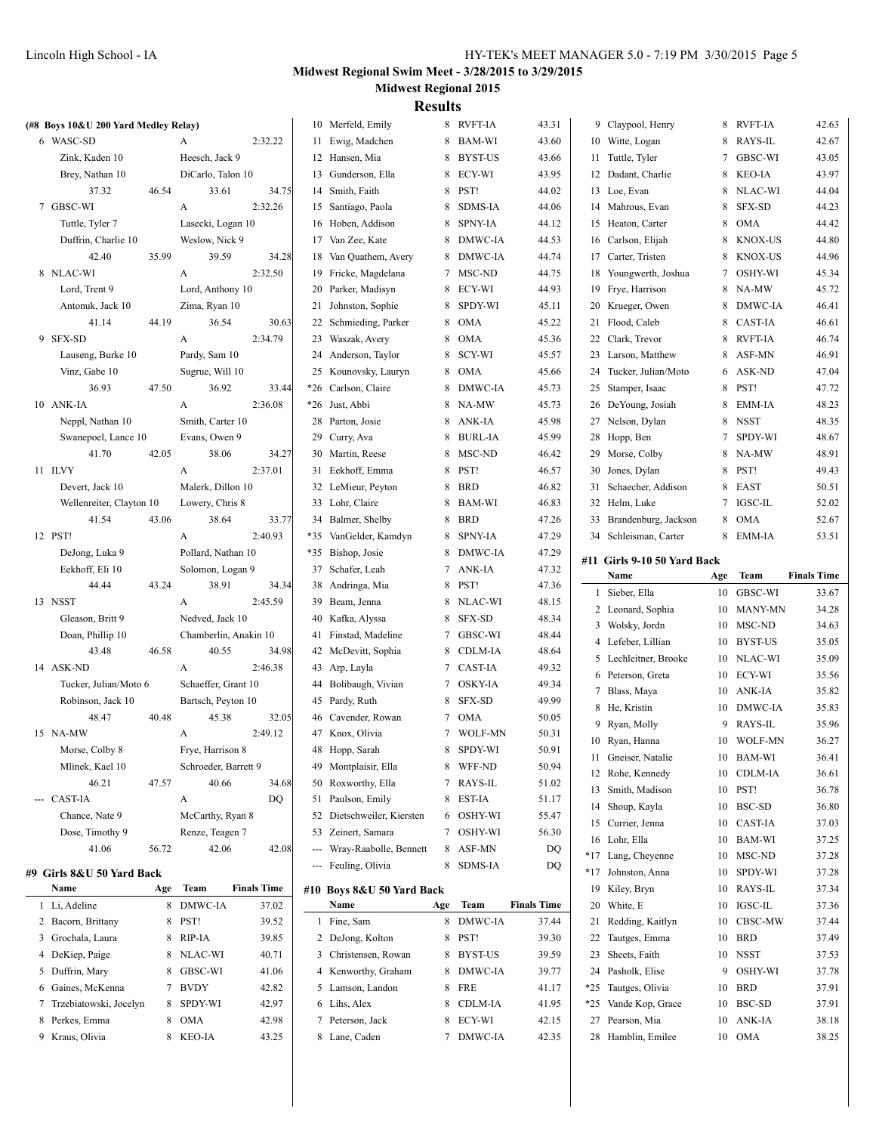| (#8 Boys 10&U 200 Yard Medley Relay) |       |                       |                    |     | 10 Merfeld, Emily          |     | 8 RVFT-IA  | 43.31              |          | 9 Claypool, Henry           |          | 8 RVFT-IA      | 42.63              |
|--------------------------------------|-------|-----------------------|--------------------|-----|----------------------------|-----|------------|--------------------|----------|-----------------------------|----------|----------------|--------------------|
| 6 WASC-SD                            |       | A                     | 2:32.22            |     | 11 Ewig, Madchen           |     | 8 BAM-WI   | 43.60              |          | 10 Witte, Logan             | 8        | RAYS-IL        | 42.67              |
| Zink, Kaden 10                       |       | Heesch, Jack 9        |                    |     | 12 Hansen, Mia             |     | 8 BYST-US  | 43.66              |          | 11 Tuttle, Tyler            |          | 7 GBSC-WI      | 43.05              |
| Brey, Nathan 10                      |       | DiCarlo, Talon 10     |                    |     | 13 Gunderson, Ella         |     | 8 ECY-WI   | 43.95              |          | 12 Dadant, Charlie          | 8        | KEO-IA         | 43.97              |
| 37.32                                | 46.54 | 33.61                 | 34.75              |     | 14 Smith, Faith            |     | 8 PST!     | 44.02              |          | 13 Loe, Evan                | 8        | NLAC-WI        | 44.04              |
| 7 GBSC-WI                            |       | A                     | 2:32.26            |     | 15 Santiago, Paola         |     | 8 SDMS-IA  | 44.06              | 14       | Mahrous, Evan               | 8        | SFX-SD         | 44.23              |
| Tuttle, Tyler 7                      |       | Lasecki, Logan 10     |                    |     | 16 Hoben, Addison          |     | 8 SPNY-IA  | 44.12              | 15       | Heaton, Carter              | 8        | <b>OMA</b>     | 44.42              |
| Duffrin, Charlie 10                  |       | Weslow, Nick 9        |                    |     | 17 Van Zee, Kate           |     | 8 DMWC-IA  | 44.53              | 16       | Carlson, Elijah             | 8        | <b>KNOX-US</b> | 44.80              |
| 42.40                                | 35.99 | 39.59                 | 34.28              | 18  | Van Quathem, Avery         |     | 8 DMWC-IA  | 44.74              | 17       | Carter, Tristen             | 8        | <b>KNOX-US</b> | 44.96              |
| 8 NLAC-WI                            |       | A                     | 2:32.50            |     | 19 Fricke, Magdelana       |     | 7 MSC-ND   | 44.75              | 18       | Youngwerth, Joshua          | 7        | OSHY-WI        | 45.34              |
| Lord, Trent 9                        |       | Lord, Anthony 10      |                    |     | 20 Parker, Madisyn         |     | 8 ECY-WI   | 44.93              | 19       | Frye, Harrison              | 8        | NA-MW          | 45.72              |
| Antonuk, Jack 10                     |       | Zima, Ryan 10         |                    |     | 21 Johnston, Sophie        |     | 8 SPDY-WI  | 45.11              | 20       | Krueger, Owen               | 8        | DMWC-IA        | 46.41              |
| 41.14                                | 44.19 | 36.54                 | 30.63              |     | 22 Schmieding, Parker      |     | 8 OMA      | 45.22              |          | 21 Flood, Caleb             | 8        | <b>CAST-IA</b> | 46.61              |
| 9 SFX-SD                             |       | A                     | 2:34.79            |     | 23 Waszak, Avery           |     | 8 OMA      | 45.36              |          | 22 Clark, Trevor            | 8        | <b>RVFT-IA</b> | 46.74              |
| Lauseng, Burke 10                    |       | Pardy, Sam 10         |                    |     | 24 Anderson, Taylor        |     | 8 SCY-WI   | 45.57              |          | 23 Larson, Matthew          | 8        | ASF-MN         | 46.91              |
| Vinz, Gabe 10                        |       | Sugrue, Will 10       |                    |     | 25 Kounovsky, Lauryn       |     | 8 OMA      | 45.66              | 24       | Tucker, Julian/Moto         | 6        | ASK-ND         | 47.04              |
| 36.93                                | 47.50 | 36.92                 | 33.44              |     | *26 Carlson, Claire        |     | 8 DMWC-IA  | 45.73              | 25       | Stamper, Isaac              | 8        | PST!           | 47.72              |
| 10 ANK-IA                            |       | A                     | 2:36.08            |     | *26 Just, Abbi             |     | 8 NA-MW    | 45.73              | 26       | DeYoung, Josiah             | 8        | EMM-IA         | 48.23              |
| Neppl, Nathan 10                     |       | Smith, Carter 10      |                    |     | 28 Parton, Josie           |     | 8 ANK-IA   | 45.98              | 27       | Nelson, Dylan               | 8        | <b>NSST</b>    | 48.35              |
| Swanepoel, Lance 10                  |       | Evans, Owen 9         |                    |     | 29 Curry, Ava              |     | 8 BURL-IA  | 45.99              | 28       | Hopp, Ben                   | 7        | SPDY-WI        | 48.67              |
| 41.70                                | 42.05 | 38.06                 | 34.27              |     | 30 Martin, Reese           |     | 8 MSC-ND   | 46.42              | 29       | Morse, Colby                | 8        | NA-MW          | 48.91              |
| 11 ILVY                              |       | A                     | 2:37.01            |     | 31 Eekhoff, Emma           | 8   | PST!       | 46.57              | 30       | Jones, Dylan                | 8        | PST!           | 49.43              |
| Devert, Jack 10                      |       | Malerk, Dillon 10     |                    |     | 32 LeMieur, Peyton         | 8   | <b>BRD</b> | 46.82              | 31       | Schaecher, Addison          | 8        | EAST           | 50.51              |
| Wellenreiter, Clayton 10             |       | Lowery, Chris 8       |                    |     | 33 Lohr, Claire            |     | 8 BAM-WI   | 46.83              |          | 32 Helm, Luke               | 7        | <b>IGSC-IL</b> | 52.02              |
| 41.54                                | 43.06 | 38.64                 | 33.77              |     | 34 Balmer, Shelby          |     | 8 BRD      | 47.26              |          | 33 Brandenburg, Jackson     | 8        | <b>OMA</b>     | 52.67              |
| 12 PST!                              |       | A                     | 2:40.93            |     | *35 VanGelder, Kamdyn      |     | 8 SPNY-IA  | 47.29              |          | 34 Schleisman, Carter       |          | 8 EMM-IA       | 53.51              |
| DeJong, Luka 9                       |       | Pollard, Nathan 10    |                    |     | *35 Bishop, Josie          |     | 8 DMWC-IA  | 47.29              |          | #11 Girls 9-10 50 Yard Back |          |                |                    |
| Eekhoff, Eli 10                      |       | Solomon, Logan 9      |                    |     | 37 Schafer, Leah           |     | 7 ANK-IA   | 47.32              |          | Name                        | Age      | Team           | <b>Finals Time</b> |
| 44.44                                | 43.24 | 38.91                 | 34.34              |     | 38 Andringa, Mia           |     | 8 PST!     | 47.36              |          |                             |          |                |                    |
|                                      |       |                       |                    |     |                            |     |            |                    |          |                             |          |                |                    |
| 13 NSST                              |       | A                     | 2:45.59            |     | 39 Beam, Jenna             |     | 8 NLAC-WI  | 48.15              |          | 1 Sieber, Ella              | 10       | GBSC-WI        | 33.67              |
| Gleason, Britt 9                     |       | Nedved, Jack 10       |                    |     | 40 Kafka, Alyssa           |     | 8 SFX-SD   | 48.34              |          | 2 Leonard, Sophia           | 10       | MANY-MN        | 34.28              |
| Doan, Phillip 10                     |       | Chamberlin, Anakin 10 |                    |     | 41 Finstad, Madeline       |     | 7 GBSC-WI  | 48.44              |          | 3 Wolsky, Jordn             | 10       | MSC-ND         | 34.63              |
| 43.48                                | 46.58 | 40.55                 | 34.98              |     | 42 McDevitt, Sophia        |     | 8 CDLM-IA  | 48.64              |          | 4 Lefeber, Lillian          | 10       | <b>BYST-US</b> | 35.05              |
| 14 ASK-ND                            |       | A                     | 2:46.38            |     | 43 Arp, Layla              |     | 7 CAST-IA  | 49.32              |          | 5 Lechleitner, Brooke       | 10       | NLAC-WI        | 35.09              |
| Tucker, Julian/Moto 6                |       | Schaeffer, Grant 10   |                    |     | 44 Bolibaugh, Vivian       |     | 7 OSKY-IA  | 49.34              |          | 6 Peterson, Greta           | 10       | ECY-WI         | 35.56              |
| Robinson, Jack 10                    |       | Bartsch, Peyton 10    |                    |     | 45 Pardy, Ruth             |     | 8 SFX-SD   | 49.99              |          | 7 Blass, Maya               |          | 10 ANK-IA      | 35.82              |
| 48.47                                | 40.48 | 45.38                 | 32.05              |     | 46 Cavender, Rowan         |     | 7 OMA      | 50.05              |          | 8 He, Kristin               |          | 10 DMWC-IA     | 35.83              |
| 15 NA-MW                             |       | A                     | 2:49.12            |     | 47 Knox, Olivia            |     | 7 WOLF-MN  | 50.31              |          | 9 Ryan, Molly               | 9        | RAYS-IL        | 35.96              |
| Morse, Colby 8                       |       | Frye, Harrison 8      |                    |     | 48 Hopp, Sarah             | 8   | SPDY-WI    | 50.91              |          | 10 Ryan, Hanna              |          | 10 WOLF-MN     | 36.27              |
| Mlinek, Kael 10                      |       | Schroeder, Barrett 9  |                    |     | 49 Montplaisir, Ella       |     | 8 WFF-ND   | 50.94              | 11       | Gneiser, Natalie            |          | 10 BAM-WI      | 36.41              |
| 46.21                                | 47.57 | 40.66                 | 34.68              |     | 50 Roxworthy, Ella         |     | 7 RAYS-IL  | 51.02              |          | 12 Rohe, Kennedy            | 10       | CDLM-IA        | 36.61              |
| --- CAST-IA                          |       | A                     | DQ                 |     | 51 Paulson, Emily          |     | 8 EST-IA   | 51.17              |          | 13 Smith, Madison           | 10       | PST!           | 36.78              |
| Chance, Nate 9                       |       | McCarthy, Ryan 8      |                    |     | 52 Dietschweiler, Kiersten |     | 6 OSHY-WI  | 55.47              |          | 14 Shoup, Kayla             | 10       | BSC-SD         | 36.80              |
| Dose, Timothy 9                      |       | Renze, Teagen 7       |                    |     | 53 Zeinert, Samara         |     | 7 OSHY-WI  | 56.30              | 15       | Currier, Jenna              | 10       | CAST-IA        | 37.03              |
| 41.06                                | 56.72 | 42.06                 | 42.08              | --- | Wray-Raabolle, Bennett     |     | 8 ASF-MN   | DQ                 | 16       | Lohr, Ella                  | 10       | BAM-WI         | 37.25              |
|                                      |       |                       |                    |     | --- Feuling, Olivia        |     | 8 SDMS-IA  | DQ                 |          | *17 Lang, Cheyenne          |          | 10 MSC-ND      | 37.28              |
| #9  Girls 8&U 50 Yard Back           |       |                       |                    |     |                            |     |            |                    |          | *17 Johnston, Anna          | 10       | SPDY-WI        | 37.28              |
| Name                                 | Age   | Team                  | <b>Finals Time</b> |     | #10 Boys 8&U 50 Yard Back  |     |            |                    | 19       | Kiley, Bryn                 |          | 10 RAYS-IL     | 37.34              |
| 1 Li, Adeline                        |       | 8 DMWC-IA             | 37.02              |     | Name                       | Age | Team       | <b>Finals Time</b> | 20       | White, E                    |          | 10 IGSC-IL     | 37.36              |
| 2 Bacorn, Brittany                   |       | 8 PST!                | 39.52              |     | 1 Fine, Sam                |     | 8 DMWC-IA  | 37.44              | 21       | Redding, Kaitlyn            | 10       | CBSC-MW        | 37.44              |
| 3 Grochala, Laura                    |       | 8 RIP-IA              | 39.85              |     | 2 DeJong, Kolton           |     | 8 PST!     | 39.30              | 22       | Tautges, Emma               | 10       | <b>BRD</b>     | 37.49              |
| 4 DeKiep, Paige                      |       | 8 NLAC-WI             | 40.71              |     | 3 Christensen, Rowan       |     | 8 BYST-US  | 39.59              | 23       | Sheets, Faith               |          | 10 NSST        | 37.53              |
| 5 Duffrin, Mary                      |       | 8 GBSC-WI             | 41.06              |     | 4 Kenworthy, Graham        |     | 8 DMWC-IA  | 39.77              | 24       | Pasholk, Elise              | 9        | OSHY-WI        | 37.78              |
| 6 Gaines, McKenna                    |       | 7 BVDY                | 42.82              |     | 5 Lamson, Landon           |     | 8 FRE      | 41.17              | $*25$    | Tautges, Olivia             | 10       | <b>BRD</b>     | 37.91              |
| 7 Trzebiatowski, Jocelyn             |       | 8 SPDY-WI             | 42.97              |     | 6 Lihs, Alex               |     | 8 CDLM-IA  | 41.95              | $*25$    | Vande Kop, Grace            | 10       | BSC-SD         | 37.91              |
| 8 Perkes, Emma                       |       | 8 OMA                 | 42.98              |     | 7 Peterson, Jack           |     | 8 ECY-WI   | 42.15              | 27<br>28 | Pearson, Mia                | 10<br>10 | ANK-IA         | 38.18              |
| 9 Kraus, Olivia                      |       | 8 KEO-IA              | 43.25              |     | 8 Lane, Caden              |     | 7 DMWC-IA  | 42.35              |          | Hamblin, Emilee             |          | OMA            | 38.25              |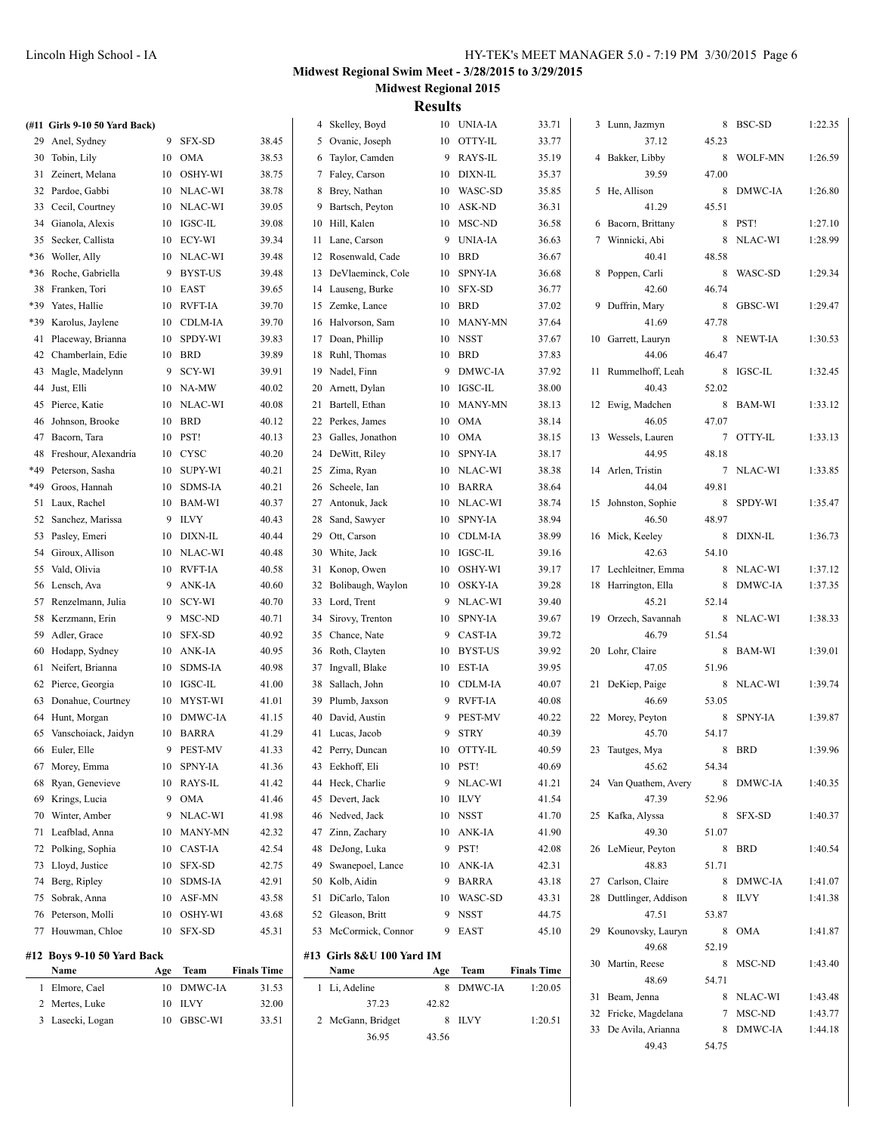|     | (#11 Girls 9-10 50 Yard Back)      |     |                       |                    | 4 Skelley, Boyd                   |       | 10 UNIA-IA | 33.71              | 3 Lunn, Jazmyn         |       | 8 BSC-SD  | 1:22.35 |
|-----|------------------------------------|-----|-----------------------|--------------------|-----------------------------------|-------|------------|--------------------|------------------------|-------|-----------|---------|
|     | 29 Anel, Sydney                    |     | 9 SFX-SD              | 38.45              | 5 Ovanic, Joseph                  |       | 10 OTTY-IL | 33.77              | 37.12                  | 45.23 |           |         |
|     | 30 Tobin, Lily                     |     | 10 OMA                | 38.53              | 6 Taylor, Camden                  |       | 9 RAYS-IL  | 35.19              | 4 Bakker, Libby        |       | 8 WOLF-MN | 1:26.59 |
|     | 31 Zeinert, Melana                 |     | 10 OSHY-WI            | 38.75              | 7 Faley, Carson                   |       | 10 DIXN-IL | 35.37              | 39.59                  | 47.00 |           |         |
|     | 32 Pardoe, Gabbi                   |     | 10 NLAC-WI            | 38.78              | 8 Brey, Nathan                    |       | 10 WASC-SD | 35.85              | 5 He, Allison          |       | 8 DMWC-IA | 1:26.80 |
|     | 33 Cecil, Courtney                 |     | 10 NLAC-WI            | 39.05              | 9 Bartsch, Peyton                 |       | 10 ASK-ND  | 36.31              | 41.29                  | 45.51 |           |         |
|     | 34 Gianola, Alexis                 |     | 10 IGSC-IL            | 39.08              | 10 Hill, Kalen                    |       | 10 MSC-ND  | 36.58              | 6 Bacorn, Brittany     |       | 8 PST!    | 1:27.10 |
|     | 35 Secker, Callista                |     | 10 ECY-WI             | 39.34              | 11 Lane, Carson                   |       | 9 UNIA-IA  | 36.63              | 7 Winnicki, Abi        |       | 8 NLAC-WI | 1:28.99 |
| *36 | Woller, Ally                       |     | 10 NLAC-WI            | 39.48              | 12 Rosenwald, Cade                | 10    | <b>BRD</b> | 36.67              | 40.41                  | 48.58 |           |         |
|     | *36 Roche, Gabriella               |     | 9 BYST-US             | 39.48              | 13 DeVlaeminck, Cole              |       | 10 SPNY-IA | 36.68              | 8 Poppen, Carli        |       | 8 WASC-SD | 1:29.34 |
|     | 38 Franken, Tori                   |     | 10 EAST               | 39.65              | 14 Lauseng, Burke                 |       | 10 SFX-SD  | 36.77              | 42.60                  | 46.74 |           |         |
|     | *39 Yates, Hallie                  |     | 10 RVFT-IA            | 39.70              | 15 Zemke, Lance                   |       | 10 BRD     | 37.02              | 9 Duffrin, Mary        |       | 8 GBSC-WI | 1:29.47 |
|     | *39 Karolus, Jaylene               |     | 10 CDLM-IA            | 39.70              | 16 Halvorson, Sam                 |       | 10 MANY-MN | 37.64              | 41.69                  | 47.78 |           |         |
|     | 41 Placeway, Brianna               |     | 10 SPDY-WI            | 39.83              | 17 Doan, Phillip                  |       | 10 NSST    | 37.67              | 10 Garrett, Lauryn     |       | 8 NEWT-IA | 1:30.53 |
|     | 42 Chamberlain, Edie               |     | 10 BRD                | 39.89              | 18 Ruhl, Thomas                   |       | 10 BRD     | 37.83              | 44.06                  | 46.47 |           |         |
|     | 43 Magle, Madelynn                 |     | 9 SCY-WI              | 39.91              | 19 Nadel, Finn                    |       | 9 DMWC-IA  | 37.92              | 11 Rummelhoff, Leah    |       | 8 IGSC-IL | 1:32.45 |
|     | 44 Just, Elli                      |     | 10 NA-MW              | 40.02              | 20 Arnett, Dylan                  |       | 10 IGSC-IL | 38.00              | 40.43                  | 52.02 |           |         |
|     | 45 Pierce, Katie                   |     | 10 NLAC-WI            | 40.08              | 21 Bartell, Ethan                 |       | 10 MANY-MN | 38.13              | 12 Ewig, Madchen       |       | 8 BAM-WI  | 1:33.12 |
|     | 46 Johnson, Brooke                 |     | 10 BRD                | 40.12              | 22 Perkes, James                  |       | 10 OMA     | 38.14              | 46.05                  | 47.07 |           |         |
| 47  | Bacorn, Tara                       |     | 10 PST!               | 40.13              | 23 Galles, Jonathon               |       | 10 OMA     | 38.15              | 13 Wessels, Lauren     |       | 7 OTTY-IL | 1:33.13 |
| 48  | Freshour, Alexandria               |     | 10 CYSC               | 40.20              | 24 DeWitt, Riley                  |       | 10 SPNY-IA | 38.17              | 44.95                  | 48.18 |           |         |
| *49 | Peterson, Sasha                    |     | 10 SUPY-WI            | 40.21              | 25 Zima, Ryan                     |       | 10 NLAC-WI | 38.38              | 14 Arlen, Tristin      |       | 7 NLAC-WI | 1:33.85 |
|     | *49 Groos, Hannah                  |     | 10 SDMS-IA            | 40.21              | 26 Scheele, Ian                   |       | 10 BARRA   | 38.64              | 44.04                  | 49.81 |           |         |
|     | 51 Laux, Rachel                    |     | 10 BAM-WI             | 40.37              | 27 Antonuk, Jack                  |       | 10 NLAC-WI | 38.74              | 15 Johnston, Sophie    |       | 8 SPDY-WI | 1:35.47 |
|     | 52 Sanchez, Marissa                |     | 9 ILVY                | 40.43              | 28 Sand, Sawyer                   |       | 10 SPNY-IA | 38.94              | 46.50                  | 48.97 |           |         |
|     | 53 Pasley, Emeri                   |     | 10 DIXN-IL            | 40.44              | 29 Ott, Carson                    |       | 10 CDLM-IA | 38.99              | 16 Mick, Keeley        |       | 8 DIXN-IL | 1:36.73 |
|     | 54 Giroux, Allison                 |     | 10 NLAC-WI            | 40.48              | 30 White, Jack                    |       | 10 IGSC-IL | 39.16              | 42.63                  | 54.10 |           |         |
|     | 55 Vald, Olivia                    |     | 10 RVFT-IA            | 40.58              | 31 Konop, Owen                    |       | 10 OSHY-WI | 39.17              | 17 Lechleitner, Emma   |       | 8 NLAC-WI | 1:37.12 |
|     | 56 Lensch, Ava                     |     | 9 ANK-IA              | 40.60              | 32 Bolibaugh, Waylon              |       | 10 OSKY-IA | 39.28              | 18 Harrington, Ella    |       | 8 DMWC-IA | 1:37.35 |
|     | 57 Renzelmann, Julia               |     | 10 SCY-WI             | 40.70              | 33 Lord, Trent                    |       | 9 NLAC-WI  | 39.40              | 45.21                  | 52.14 |           |         |
|     | 58 Kerzmann, Erin                  |     | 9 MSC-ND              | 40.71              | 34 Sirovy, Trenton                |       | 10 SPNY-IA | 39.67              | 19 Orzech, Savannah    |       | 8 NLAC-WI | 1:38.33 |
|     | 59 Adler, Grace                    |     | 10 SFX-SD             | 40.92              | 35 Chance, Nate                   |       | 9 CAST-IA  | 39.72              | 46.79                  | 51.54 |           |         |
|     | 60 Hodapp, Sydney                  |     | 10 ANK-IA             | 40.95              | 36 Roth, Clayten                  |       | 10 BYST-US | 39.92              | 20 Lohr, Claire        |       | 8 BAM-WI  | 1:39.01 |
|     | 61 Neifert, Brianna                |     | 10 SDMS-IA            | 40.98              | 37 Ingvall, Blake                 |       | 10 EST-IA  | 39.95              | 47.05                  | 51.96 |           |         |
|     | 62 Pierce, Georgia                 |     | 10 IGSC-IL            | 41.00              | 38 Sallach, John                  |       | 10 CDLM-IA | 40.07              | 21 DeKiep, Paige       |       | 8 NLAC-WI | 1:39.74 |
|     | 63 Donahue, Courtney               |     | 10 MYST-WI            | 41.01              | 39 Plumb, Jaxson                  |       | 9 RVFT-IA  | 40.08              | 46.69                  | 53.05 |           |         |
|     | 64 Hunt, Morgan                    |     | 10 DMWC-IA            | 41.15              | 40 David, Austin                  |       | 9 PEST-MV  | 40.22              | 22 Morey, Peyton       |       | 8 SPNY-IA | 1:39.87 |
|     | 65 Vanschoiack, Jaidyn             |     | 10 BARRA              | 41.29              | 41 Lucas, Jacob                   |       | 9 STRY     | 40.39              | 45.70                  | 54.17 |           |         |
|     | 66 Euler, Elle                     |     | 9 PEST-MV             | 41.33              | 42 Perry, Duncan                  |       | 10 OTTY-IL | 40.59              | 23 Tautges, Mya        |       | 8 BRD     | 1:39.96 |
|     | 67 Morey, Emma                     |     | 10 SPNY-IA            | 41.36              | 43 Eekhoff, Eli                   |       | 10 PST!    | 40.69              | 45.62                  | 54.34 |           |         |
| 68  | Ryan, Genevieve                    |     | 10 RAYS-IL            | 41.42              | 44 Heck, Charlie                  |       | 9 NLAC-WI  | 41.21              | 24 Van Quathem, Avery  |       | 8 DMWC-IA | 1:40.35 |
| 69  | Krings, Lucia                      |     | 9 OMA                 | 41.46              | 45 Devert, Jack                   |       | 10 ILVY    | 41.54              | 47.39                  | 52.96 |           |         |
| 70  | Winter, Amber                      |     | 9 NLAC-WI             | 41.98              | 46 Nedved, Jack                   |       | 10 NSST    | 41.70              | 25 Kafka, Alyssa       |       | 8 SFX-SD  | 1:40.37 |
| 71  | Leafblad, Anna                     |     | 10 MANY-MN            | 42.32              | 47 Zinn, Zachary                  |       | 10 ANK-IA  | 41.90              | 49.30                  | 51.07 |           |         |
| 72  | Polking, Sophia                    |     | 10 CAST-IA            | 42.54              | 48 DeJong, Luka                   |       | 9 PST!     | 42.08              | 26 LeMieur, Peyton     |       | 8 BRD     | 1:40.54 |
|     | 73 Lloyd, Justice                  |     | 10 SFX-SD             | 42.75              | 49 Swanepoel, Lance               |       | 10 ANK-IA  | 42.31              | 48.83                  | 51.71 |           |         |
|     | 74 Berg, Ripley                    |     | 10 SDMS-IA            | 42.91              | 50 Kolb, Aidin                    |       | 9 BARRA    | 43.18              | 27 Carlson, Claire     |       | 8 DMWC-IA | 1:41.07 |
|     | 75 Sobrak, Anna                    |     | $10$ $\,$ ASF-MN $\,$ | 43.58              | 51 DiCarlo, Talon                 |       | 10 WASC-SD | 43.31              | 28 Duttlinger, Addison |       | 8 ILVY    | 1:41.38 |
|     | 76 Peterson, Molli                 |     | 10 OSHY-WI            | 43.68              | 52 Gleason, Britt                 |       | 9 NSST     | 44.75              | 47.51                  | 53.87 |           |         |
|     | 77 Houwman, Chloe                  |     | 10 SFX-SD             | 45.31              | 53 McCormick, Connor              |       | 9 EAST     | 45.10              | 29 Kounovsky, Lauryn   |       | 8 OMA     | 1:41.87 |
|     |                                    |     |                       |                    |                                   |       |            |                    | 49.68                  | 52.19 |           |         |
|     | #12 Boys 9-10 50 Yard Back<br>Name |     | Team                  | <b>Finals Time</b> | #13 Girls 8&U 100 Yard IM<br>Name |       | Team       | <b>Finals Time</b> | 30 Martin, Reese       |       | 8 MSC-ND  | 1:43.40 |
|     | 1 Elmore, Cael                     | Age | 10 DMWC-IA            | 31.53              | 1 Li, Adeline                     | Age   | 8 DMWC-IA  | 1:20.05            | 48.69                  | 54.71 |           |         |
|     | 2 Mertes, Luke                     |     | 10 ILVY               | 32.00              | 37.23                             | 42.82 |            |                    | 31 Beam, Jenna         |       | 8 NLAC-WI | 1:43.48 |
|     |                                    |     |                       |                    |                                   |       |            |                    | 32 Fricke, Magdelana   |       | 7 MSC-ND  | 1:43.77 |
|     | 3 Lasecki, Logan                   |     | 10 GBSC-WI            | 33.51              | 2 McGann, Bridget                 |       | 8 ILVY     | 1:20.51            | 33 De Avila, Arianna   |       | 8 DMWC-IA | 1:44.18 |
|     |                                    |     |                       |                    | 36.95                             | 43.56 |            |                    | 49.43                  | 54.75 |           |         |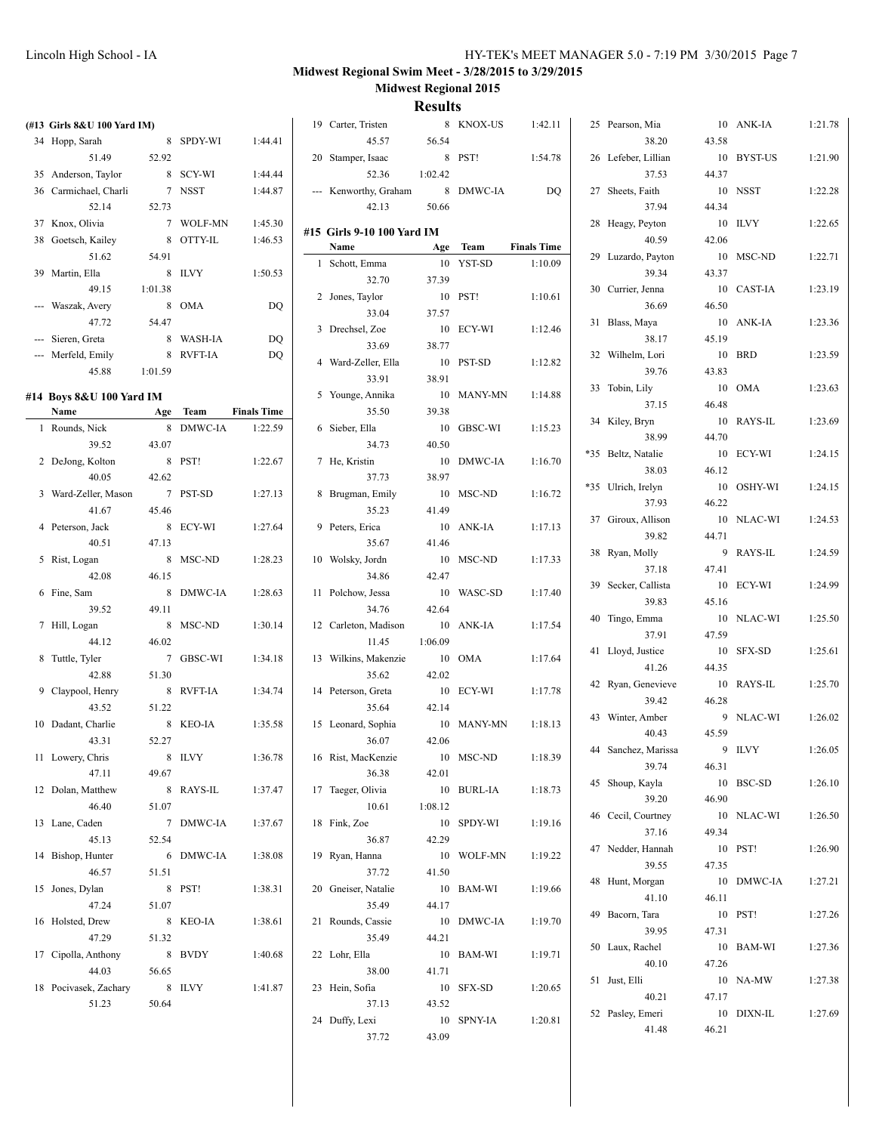| (#13 Girls 8&U 100 Yard IM) |         |           |                    | 19 Carter, Tristen         |         | 8 KNOX-US  | 1:42.11            | 25 Pearson, Mia     |         | 10 ANK-IA  | 1:21.78 |
|-----------------------------|---------|-----------|--------------------|----------------------------|---------|------------|--------------------|---------------------|---------|------------|---------|
| 34 Hopp, Sarah              |         | 8 SPDY-WI | 1:44.41            | 45.57                      | 56.54   |            |                    | 38.20               | 43.58   |            |         |
| 51.49                       | 52.92   |           |                    | 20 Stamper, Isaac          |         | 8 PST!     | 1:54.78            | 26 Lefeber, Lillian |         | 10 BYST-US | 1:21.90 |
| 35 Anderson, Taylor         |         | 8 SCY-WI  | 1:44.44            | 52.36                      | 1:02.42 |            |                    | 37.53               | 44.37   |            |         |
| 36 Carmichael, Charli       |         | 7 NSST    | 1:44.87            | --- Kenworthy, Graham      |         | 8 DMWC-IA  | DQ                 | 27 Sheets, Faith    |         | 10 NSST    | 1:22.28 |
| 52.14                       | 52.73   |           |                    | 42.13                      | 50.66   |            |                    | 37.94               | 44.34   |            |         |
| 37 Knox, Olivia             |         | 7 WOLF-MN | 1:45.30            |                            |         |            |                    | 28 Heagy, Peyton    |         | 10 ILVY    | 1:22.65 |
| 38 Goetsch, Kailey          |         | 8 OTTY-IL | 1:46.53            | #15 Girls 9-10 100 Yard IM |         |            |                    | 40.59               | 42.06   |            |         |
| 51.62                       | 54.91   |           |                    | Name                       |         | Age Team   | <b>Finals Time</b> | 29 Luzardo, Payton  |         | 10 MSC-ND  | 1:22.71 |
| 39 Martin, Ella             |         | 8 ILVY    | 1:50.53            | 1 Schott, Emma             |         | 10 YST-SD  | 1:10.09            | 39.34               | 43.37   |            |         |
| 49.15                       | 1:01.38 |           |                    | 32.70                      | 37.39   |            |                    | 30 Currier, Jenna   |         | 10 CAST-IA | 1:23.19 |
| --- Waszak, Avery           |         | 8 OMA     | DQ                 | 2 Jones, Taylor            |         | 10 PST!    | 1:10.61            | 36.69               | 46.50   |            |         |
| 47.72                       | 54.47   |           |                    | 33.04                      | 37.57   |            |                    | 31 Blass, Maya      |         | 10 ANK-IA  | 1:23.36 |
| --- Sieren, Greta           |         | 8 WASH-IA | DQ                 | 3 Drechsel, Zoe            |         | 10 ECY-WI  | 1:12.46            | 38.17               | 45.19   |            |         |
| --- Merfeld, Emily          |         | 8 RVFT-IA | DQ                 | 33.69                      | 38.77   |            |                    | 32 Wilhelm, Lori    |         | 10 BRD     | 1:23.59 |
| 45.88                       | 1:01.59 |           |                    | 4 Ward-Zeller, Ella        |         | 10 PST-SD  | 1:12.82            | 39.76               | 43.83   |            |         |
|                             |         |           |                    | 33.91                      | 38.91   |            |                    |                     |         |            |         |
| #14 Boys 8&U 100 Yard IM    |         |           |                    | 5 Younge, Annika           |         | 10 MANY-MN | 1:14.88            | 33 Tobin, Lily      |         | 10 OMA     | 1:23.63 |
| Name<br><b>Age Team</b>     |         |           | <b>Finals Time</b> | 35.50                      | 39.38   |            |                    | 37.15               | 46.48   |            |         |
| 1 Rounds, Nick              |         | 8 DMWC-IA | 1:22.59            | 6 Sieber, Ella             |         | 10 GBSC-WI | 1:15.23            | 34 Kiley, Bryn      |         | 10 RAYS-IL | 1:23.69 |
| 39.52                       | 43.07   |           |                    | 34.73                      | 40.50   |            |                    | 38.99               | 44.70   |            |         |
| 2 DeJong, Kolton            |         | 8 PST!    | 1:22.67            | 7 He, Kristin              |         | 10 DMWC-IA | 1:16.70            | *35 Beltz, Natalie  |         | 10 ECY-WI  | 1:24.15 |
| 40.05                       | 42.62   |           |                    | 37.73                      | 38.97   |            |                    | 38.03               | 46.12   |            |         |
| 3 Ward-Zeller, Mason        |         | 7 PST-SD  | 1:27.13            | 8 Brugman, Emily           |         | 10 MSC-ND  | 1:16.72            | *35 Ulrich, Irelyn  |         | 10 OSHY-WI | 1:24.15 |
| 41.67                       | 45.46   |           |                    | 35.23                      | 41.49   |            |                    | 37.93               | 46.22   |            |         |
| 4 Peterson, Jack            |         | 8 ECY-WI  | 1:27.64            | 9 Peters, Erica            |         | 10 ANK-IA  | 1:17.13            | 37 Giroux, Allison  |         | 10 NLAC-WI | 1:24.53 |
| 40.51                       | 47.13   |           |                    | 35.67                      | 41.46   |            |                    | 39.82               | 44.71   |            |         |
| 5 Rist, Logan               |         | 8 MSC-ND  | 1:28.23            | 10 Wolsky, Jordn           |         | 10 MSC-ND  | 1:17.33            | 38 Ryan, Molly      |         | 9 RAYS-IL  | 1:24.59 |
| 42.08                       | 46.15   |           |                    | 34.86                      | 42.47   |            |                    | 37.18               | 47.41   |            |         |
| 6 Fine, Sam                 |         | 8 DMWC-IA | 1:28.63            | 11 Polchow, Jessa          |         | 10 WASC-SD | 1:17.40            | 39 Secker, Callista |         | 10 ECY-WI  | 1:24.99 |
| 39.52                       | 49.11   |           |                    | 34.76                      | 42.64   |            |                    | 39.83               | 45.16   |            |         |
| 7 Hill, Logan               |         | 8 MSC-ND  | 1:30.14            | 12 Carleton, Madison       |         | 10 ANK-IA  | 1:17.54            | 40 Tingo, Emma      |         | 10 NLAC-WI | 1:25.50 |
| 44.12                       | 46.02   |           |                    | 11.45                      | 1:06.09 |            |                    | 37.91               | 47.59   |            |         |
| 8 Tuttle, Tyler             |         | 7 GBSC-WI | 1:34.18            | 13 Wilkins, Makenzie       |         | 10 OMA     | 1:17.64            | 41 Lloyd, Justice   |         | 10 SFX-SD  | 1:25.61 |
| 42.88                       | 51.30   |           |                    | 35.62                      | 42.02   |            |                    | 41.26               | 44.35   |            |         |
| 9 Claypool, Henry           |         | 8 RVFT-IA | 1:34.74            | 14 Peterson, Greta         |         | 10 ECY-WI  | 1:17.78            | 42 Ryan, Genevieve  |         | 10 RAYS-IL | 1:25.70 |
| 43.52                       | 51.22   |           |                    | 35.64                      | 42.14   |            |                    | 39.42               | 46.28   |            |         |
| 10 Dadant, Charlie          |         | 8 KEO-IA  | 1:35.58            | 15 Leonard, Sophia         |         | 10 MANY-MN | 1:18.13            | 43 Winter, Amber    |         | 9 NLAC-WI  | 1:26.02 |
| 43.31                       | 52.27   |           |                    | 36.07                      | 42.06   |            |                    | 40.43               | 45.59   |            |         |
| 11 Lowery, Chris            |         | 8 ILVY    | 1:36.78            | 16 Rist, MacKenzie         |         | 10 MSC-ND  | 1:18.39            | 44 Sanchez, Marissa |         | 9 ILVY     | 1:26.05 |
| 47.11                       | 49.67   |           |                    | 36.38                      | 42.01   |            |                    | 39.74               | 46.31   |            |         |
| 12 Dolan, Matthew           |         | 8 RAYS-IL | 1:37.47            | 17 Taeger, Olivia          |         | 10 BURL-IA | 1:18.73            | 45 Shoup, Kayla     |         | 10 BSC-SD  | 1:26.10 |
| 46.40                       | 51.07   |           |                    | 10.61                      | 1:08.12 |            |                    | 39.20               | 46.90   |            |         |
|                             |         |           |                    |                            |         |            |                    | 46 Cecil, Courtney  |         | 10 NLAC-WI | 1:26.50 |
| 13 Lane, Caden<br>45.13     |         | 7 DMWC-IA | 1:37.67            | 18 Fink, Zoe               |         | 10 SPDY-WI | 1:19.16            | 37.16               | 49.34   |            |         |
|                             | 52.54   |           |                    | 36.87                      | 42.29   |            |                    | 47 Nedder, Hannah   | 10 PST! |            | 1:26.90 |
| 14 Bishop, Hunter           |         | 6 DMWC-IA | 1:38.08            | 19 Ryan, Hanna             |         | 10 WOLF-MN | 1:19.22            | 39.55               | 47.35   |            |         |
| 46.57                       | 51.51   |           |                    | 37.72                      | 41.50   |            |                    | 48 Hunt, Morgan     |         | 10 DMWC-IA | 1:27.21 |
| 15 Jones, Dylan             |         | 8 PST!    | 1:38.31            | 20 Gneiser, Natalie        |         | 10 BAM-WI  | 1:19.66            | 41.10               | 46.11   |            |         |
| 47.24                       | 51.07   |           |                    | 35.49                      | 44.17   |            |                    | 49 Bacorn, Tara     | 10 PST! |            | 1:27.26 |
| 16 Holsted, Drew            |         | 8 KEO-IA  | 1:38.61            | 21 Rounds, Cassie          |         | 10 DMWC-IA | 1:19.70            | 39.95               | 47.31   |            |         |
| 47.29                       | 51.32   |           |                    | 35.49                      | 44.21   |            |                    | 50 Laux, Rachel     |         | 10 BAM-WI  | 1:27.36 |
| 17 Cipolla, Anthony         |         | 8 BVDY    | 1:40.68            | 22 Lohr, Ella              |         | 10 BAM-WI  | 1:19.71            | 40.10               | 47.26   |            |         |
| 44.03                       | 56.65   |           |                    | 38.00                      | 41.71   |            |                    | 51 Just, Elli       |         | 10 NA-MW   | 1:27.38 |
| 18 Pocivasek, Zachary       | 8 ILVY  |           | 1:41.87            | 23 Hein, Sofia             |         | 10 SFX-SD  | 1:20.65            | 40.21               | 47.17   |            |         |
| 51.23                       | 50.64   |           |                    | 37.13                      | 43.52   |            |                    | 52 Pasley, Emeri    |         | 10 DIXN-IL | 1:27.69 |
|                             |         |           |                    | 24 Duffy, Lexi             |         | 10 SPNY-IA | 1:20.81            | 41.48               | 46.21   |            |         |
|                             |         |           |                    | 37.72                      | 43.09   |            |                    |                     |         |            |         |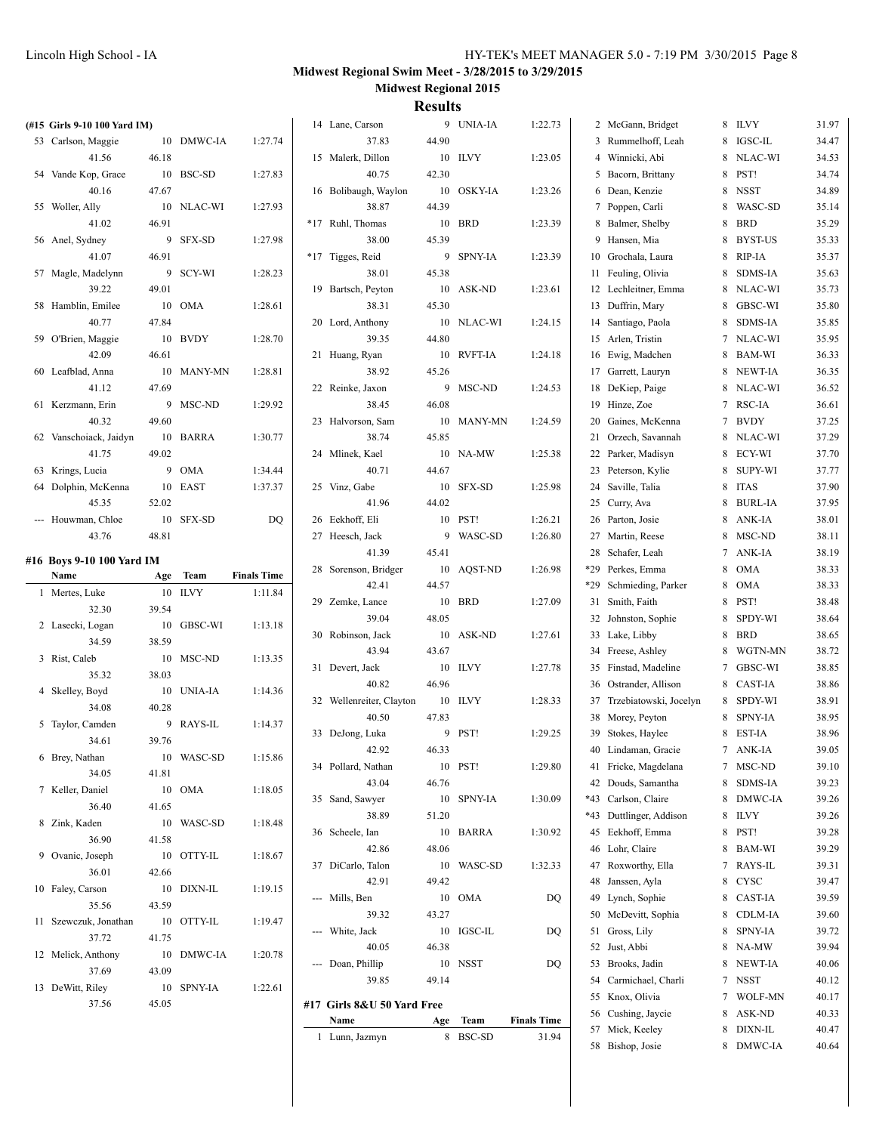| (#15 Girls 9-10 100 Yard IM) |       |            |                    | 14 Lane, Carson            |       | 9 UNIA-IA        | 1:22.73                     | 2 McGann, Bridget         | 8 ILVY    | 31.97 |
|------------------------------|-------|------------|--------------------|----------------------------|-------|------------------|-----------------------------|---------------------------|-----------|-------|
| 53 Carlson, Maggie           |       | 10 DMWC-IA | 1:27.74            | 37.83                      | 44.90 |                  |                             | 3 Rummelhoff, Leah        | 8 IGSC-IL | 34.47 |
| 41.56                        | 46.18 |            |                    | 15 Malerk, Dillon          |       | 10 ILVY          | 1:23.05                     | 4 Winnicki, Abi           | 8 NLAC-WI | 34.53 |
| 54 Vande Kop, Grace          |       | 10 BSC-SD  | 1:27.83            | 40.75                      | 42.30 |                  |                             | 5 Bacorn, Brittany        | 8 PST!    | 34.74 |
| 40.16                        | 47.67 |            |                    | 16 Bolibaugh, Waylon       |       | 10 OSKY-IA       | 1:23.26                     | 6 Dean, Kenzie            | 8 NSST    | 34.89 |
| 55 Woller, Ally              |       | 10 NLAC-WI | 1:27.93            | 38.87                      | 44.39 |                  |                             | 7 Poppen, Carli           | 8 WASC-SD | 35.14 |
| 41.02                        | 46.91 |            |                    | *17 Ruhl, Thomas           |       | 10 BRD           | 1:23.39                     | 8 Balmer, Shelby          | 8 BRD     | 35.29 |
| 56 Anel, Sydney              |       | 9 SFX-SD   | 1:27.98            | 38.00                      | 45.39 |                  |                             | 9 Hansen, Mia             | 8 BYST-US | 35.33 |
| 41.07                        | 46.91 |            |                    | *17 Tigges, Reid           |       | 9 SPNY-IA        | 1:23.39                     | 10 Grochala, Laura        | 8 RIP-IA  | 35.37 |
| 57 Magle, Madelynn           |       | 9 SCY-WI   | 1:28.23            | 38.01                      | 45.38 |                  |                             | 11 Feuling, Olivia        | 8 SDMS-IA | 35.63 |
| 39.22                        | 49.01 |            |                    | 19 Bartsch, Peyton         |       | 10 ASK-ND        | 1:23.61                     | 12 Lechleitner, Emma      | 8 NLAC-WI | 35.73 |
|                              |       | 10 OMA     |                    |                            |       |                  |                             |                           |           | 35.80 |
| 58 Hamblin, Emilee           |       |            | 1:28.61            | 38.31                      | 45.30 |                  |                             | 13 Duffrin, Mary          | 8 GBSC-WI |       |
| 40.77                        | 47.84 |            |                    | 20 Lord, Anthony           |       | 10 NLAC-WI       | 1:24.15                     | 14 Santiago, Paola        | 8 SDMS-IA | 35.85 |
| 59 O'Brien, Maggie           |       | 10 BVDY    | 1:28.70            | 39.35                      | 44.80 |                  |                             | 15 Arlen, Tristin         | 7 NLAC-WI | 35.95 |
| 42.09                        | 46.61 |            |                    | 21 Huang, Ryan             |       | 10 RVFT-IA       | 1:24.18                     | 16 Ewig, Madchen          | 8 BAM-WI  | 36.33 |
| 60 Leafblad, Anna            |       | 10 MANY-MN | 1:28.81            | 38.92                      | 45.26 |                  |                             | 17 Garrett, Lauryn        | 8 NEWT-IA | 36.35 |
| 41.12                        | 47.69 |            |                    | 22 Reinke, Jaxon           |       | 9 MSC-ND         | 1:24.53                     | 18 DeKiep, Paige          | 8 NLAC-WI | 36.52 |
| 61 Kerzmann, Erin            |       | 9 MSC-ND   | 1:29.92            | 38.45                      | 46.08 |                  |                             | 19 Hinze, Zoe             | 7 RSC-IA  | 36.61 |
| 40.32                        | 49.60 |            |                    | 23 Halvorson, Sam          |       | 10 MANY-MN       | 1:24.59                     | 20 Gaines, McKenna        | 7 BVDY    | 37.25 |
| 62 Vanschoiack, Jaidyn       |       | 10 BARRA   | 1:30.77            | 38.74                      | 45.85 |                  |                             | 21 Orzech, Savannah       | 8 NLAC-WI | 37.29 |
| 41.75                        | 49.02 |            |                    | 24 Mlinek, Kael            |       | 10 NA-MW         | 1:25.38                     | 22 Parker, Madisyn        | 8 ECY-WI  | 37.70 |
| 63 Krings, Lucia             |       | 9 OMA      | 1:34.44            | 40.71                      | 44.67 |                  |                             | 23 Peterson, Kylie        | 8 SUPY-WI | 37.77 |
| 64 Dolphin, McKenna          |       | 10 EAST    | 1:37.37            | 25 Vinz, Gabe              |       | 10 SFX-SD        | 1:25.98                     | 24 Saville, Talia         | 8 ITAS    | 37.90 |
| 45.35                        | 52.02 |            |                    | 41.96                      | 44.02 |                  |                             | 25 Curry, Ava             | 8 BURL-IA | 37.95 |
| --- Houwman, Chloe           |       | 10 SFX-SD  | DQ                 | 26 Eekhoff, Eli            |       | 10 PST!          | 1:26.21                     | 26 Parton, Josie          | 8 ANK-IA  | 38.01 |
| 43.76                        | 48.81 |            |                    | 27 Heesch, Jack            |       | 9 WASC-SD        | 1:26.80                     | 27 Martin, Reese          | 8 MSC-ND  | 38.11 |
| #16 Boys 9-10 100 Yard IM    |       |            |                    | 41.39                      | 45.41 |                  |                             | 28 Schafer, Leah          | 7 ANK-IA  | 38.19 |
|                              |       |            | <b>Finals Time</b> | 28 Sorenson, Bridger       |       | 10 AQST-ND       | 1:26.98                     | *29 Perkes, Emma          | 8 OMA     | 38.33 |
|                              |       |            |                    |                            |       |                  |                             |                           |           |       |
| Name                         | Age   | Team       |                    | 42.41                      | 44.57 |                  |                             | *29 Schmieding, Parker    | 8 OMA     | 38.33 |
| 1 Mertes, Luke               |       | 10 ILVY    | 1:11.84            | 29 Zemke, Lance            |       | 10 BRD           | 1:27.09                     | 31 Smith, Faith           | 8 PST!    | 38.48 |
| 32.30                        | 39.54 |            |                    | 39.04                      | 48.05 |                  |                             | 32 Johnston, Sophie       | 8 SPDY-WI | 38.64 |
| 2 Lasecki, Logan             |       | 10 GBSC-WI | 1:13.18            | 30 Robinson, Jack          |       | 10 ASK-ND        | 1:27.61                     | 33 Lake, Libby            | 8 BRD     | 38.65 |
| 34.59                        | 38.59 |            |                    | 43.94                      | 43.67 |                  |                             | 34 Freese, Ashley         | 8 WGTN-MN | 38.72 |
| 3 Rist, Caleb                |       | 10 MSC-ND  | 1:13.35            | 31 Devert, Jack            |       | 10 ILVY          | 1:27.78                     | 35 Finstad, Madeline      | 7 GBSC-WI | 38.85 |
| 35.32                        | 38.03 |            |                    | 40.82                      | 46.96 |                  |                             | 36 Ostrander, Allison     | 8 CAST-IA | 38.86 |
| 4 Skelley, Boyd              |       | 10 UNIA-IA | 1:14.36            | 32 Wellenreiter, Clayton   |       | 10 ILVY          | 1:28.33                     | 37 Trzebiatowski, Jocelyn | 8 SPDY-WI | 38.91 |
| 34.08                        | 40.28 |            |                    | 40.50                      | 47.83 |                  |                             | 38 Morey, Peyton          | 8 SPNY-IA | 38.95 |
| 5 Taylor, Camden             |       | 9 RAYS-IL  | 1:14.37            | 33 DeJong, Luka            |       | 9 PST!           | 1:29.25                     | 39 Stokes, Haylee         | 8 EST-IA  | 38.96 |
| 34.61                        | 39.76 |            |                    | 42.92                      | 46.33 |                  |                             | 40 Lindaman, Gracie       | 7 ANK-IA  | 39.05 |
| 6 Brey, Nathan               |       | 10 WASC-SD | 1:15.86            | 34 Pollard, Nathan         |       | 10 PST!          | 1:29.80                     | 41 Fricke, Magdelana      | 7 MSC-ND  | 39.10 |
| 34.05                        | 41.81 |            |                    | 43.04                      | 46.76 |                  |                             | 42 Douds, Samantha        | 8 SDMS-IA | 39.23 |
| 7 Keller, Daniel             |       | 10 OMA     | 1:18.05            | 35 Sand, Sawyer            |       | 10 SPNY-IA       | 1:30.09                     | *43 Carlson, Claire       | 8 DMWC-IA | 39.26 |
| 36.40                        | 41.65 |            |                    | 38.89                      | 51.20 |                  |                             | *43 Duttlinger, Addison   | 8 ILVY    | 39.26 |
| 8 Zink, Kaden                |       | 10 WASC-SD | 1:18.48            | 36 Scheele, Ian            |       | 10 BARRA         | 1:30.92                     | 45 Eekhoff, Emma          | 8 PST!    | 39.28 |
| 36.90                        | 41.58 |            |                    | 42.86                      | 48.06 |                  |                             | 46 Lohr, Claire           | 8 BAM-WI  | 39.29 |
| 9 Ovanic, Joseph             |       | 10 OTTY-IL | 1:18.67            | 37 DiCarlo, Talon          |       | 10 WASC-SD       | 1:32.33                     | 47 Roxworthy, Ella        | 7 RAYS-IL | 39.31 |
| 36.01                        | 42.66 |            |                    | 42.91                      | 49.42 |                  |                             | 48 Janssen, Ayla          | 8 CYSC    | 39.47 |
| 10 Faley, Carson             |       | 10 DIXN-IL | 1:19.15            | --- Mills, Ben             |       | 10 OMA           | DQ                          | 49 Lynch, Sophie          | 8 CAST-IA | 39.59 |
| 35.56                        | 43.59 |            |                    | 39.32                      | 43.27 |                  |                             | 50 McDevitt, Sophia       | 8 CDLM-IA | 39.60 |
| 11 Szewczuk, Jonathan        |       | 10 OTTY-IL | 1:19.47            | --- White, Jack            |       | 10 IGSC-IL       | DQ                          | 51 Gross, Lily            | 8 SPNY-IA | 39.72 |
| 37.72                        | 41.75 |            |                    | 40.05                      | 46.38 |                  |                             | 52 Just, Abbi             | 8 NA-MW   | 39.94 |
| 12 Melick, Anthony           |       | 10 DMWC-IA | 1:20.78            | --- Doan, Phillip          |       | 10 NSST          | DQ                          | 53 Brooks, Jadin          | 8 NEWT-IA | 40.06 |
| 37.69                        | 43.09 |            |                    | 39.85                      | 49.14 |                  |                             | 54 Carmichael, Charli     | 7 NSST    | 40.12 |
| 13 DeWitt, Riley             |       | 10 SPNY-IA | 1:22.61            |                            |       |                  |                             | 55 Knox, Olivia           | 7 WOLF-MN | 40.17 |
| 37.56                        | 45.05 |            |                    | #17 Girls 8&U 50 Yard Free |       |                  |                             | 56 Cushing, Jaycie        | 8 ASK-ND  | 40.33 |
|                              |       |            |                    | Name<br>1 Lunn, Jazmyn     | Age   | Team<br>8 BSC-SD | <b>Finals Time</b><br>31.94 | 57 Mick, Keeley           | 8 DIXN-IL | 40.47 |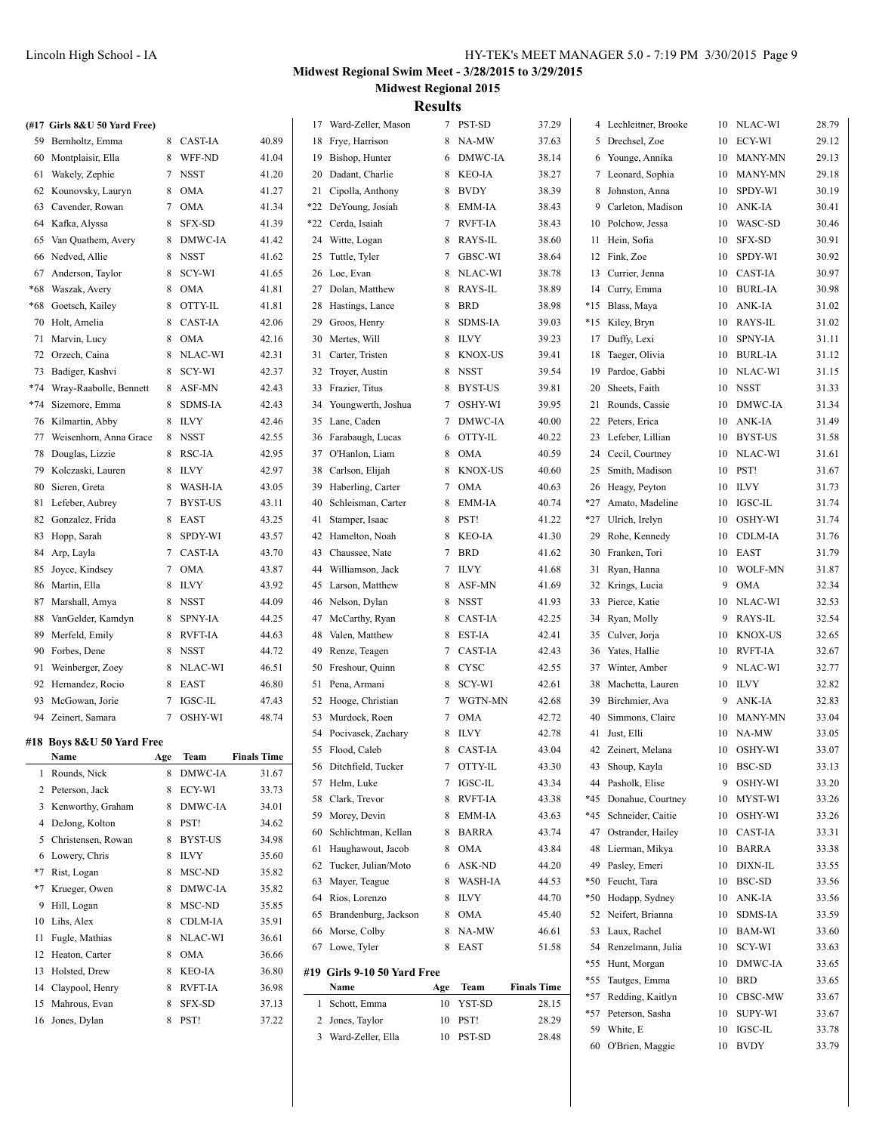|     | (#17 Girls 8&U 50 Yard Free) |     |             |                    |    | 17 Ward-Zeller, Mason                 |     | 7 PST-SD       | 37.29              |    | 4 Lechleitner, Brooke |          | 10 NLAC-WI     | 28.79 |
|-----|------------------------------|-----|-------------|--------------------|----|---------------------------------------|-----|----------------|--------------------|----|-----------------------|----------|----------------|-------|
|     | 59 Bernholtz, Emma           |     | 8 CAST-IA   | 40.89              |    | 18 Frye, Harrison                     |     | 8 NA-MW        | 37.63              |    | 5 Drechsel, Zoe       | 10       | ECY-WI         | 29.12 |
|     | 60 Montplaisir, Ella         |     | 8 WFF-ND    | 41.04              |    | 19 Bishop, Hunter                     | 6   | DMWC-IA        | 38.14              |    | 6 Younge, Annika      | 10       | <b>MANY-MN</b> | 29.13 |
|     | 61 Wakely, Zephie            |     | 7 NSST      | 41.20              |    | 20 Dadant, Charlie                    | 8   | KEO-IA         | 38.27              |    | 7 Leonard, Sophia     | 10       | <b>MANY-MN</b> | 29.18 |
|     | 62 Kounovsky, Lauryn         |     | 8 OMA       | 41.27              |    | 21 Cipolla, Anthony                   | 8   | <b>BVDY</b>    | 38.39              |    | 8 Johnston, Anna      | 10       | SPDY-WI        | 30.19 |
|     | 63 Cavender, Rowan           |     | 7 OMA       | 41.34              |    | *22 DeYoung, Josiah                   | 8   | <b>EMM-IA</b>  | 38.43              |    | 9 Carleton, Madison   | 10       | ANK-IA         | 30.41 |
|     | 64 Kafka, Alyssa             |     | 8 SFX-SD    | 41.39              |    | *22 Cerda, Isaiah                     | 7   | <b>RVFT-IA</b> | 38.43              |    | 10 Polchow, Jessa     | 10       | WASC-SD        | 30.46 |
| 65  | Van Quathem, Avery           |     | 8 DMWC-IA   | 41.42              |    | 24 Witte, Logan                       | 8   | <b>RAYS-IL</b> | 38.60              |    | 11 Hein, Sofia        | 10       | <b>SFX-SD</b>  | 30.91 |
|     | 66 Nedved, Allie             |     | 8 NSST      | 41.62              |    | 25 Tuttle, Tyler                      | 7   | <b>GBSC-WI</b> | 38.64              |    | 12 Fink, Zoe          | 10       | SPDY-WI        | 30.92 |
|     | Anderson, Taylor             | 8   | SCY-WI      | 41.65              |    | 26 Loe, Evan                          | 8   | NLAC-WI        | 38.78              |    | 13 Currier, Jenna     | 10       | <b>CAST-IA</b> | 30.97 |
| 67  | Waszak, Avery                |     | 8 OMA       | 41.81              |    | 27 Dolan, Matthew                     | 8   | RAYS-IL        | 38.89              |    | 14 Curry, Emma        | 10       | <b>BURL-IA</b> | 30.98 |
| *68 |                              |     | 8 OTTY-IL   |                    |    |                                       | 8   | <b>BRD</b>     |                    |    | *15 Blass, Maya       |          | ANK-IA         | 31.02 |
| *68 | Goetsch, Kailey              |     | 8 CAST-IA   | 41.81<br>42.06     |    | 28 Hastings, Lance<br>29 Groos, Henry | 8   | <b>SDMS-IA</b> | 38.98<br>39.03     |    |                       | 10<br>10 | RAYS-IL        | 31.02 |
|     | 70 Holt, Amelia              |     |             |                    |    |                                       |     |                |                    |    | *15 Kiley, Bryn       |          |                |       |
|     | 71 Marvin, Lucy              |     | 8 OMA       | 42.16              |    | 30 Mertes, Will                       |     | 8 ILVY         | 39.23              |    | 17 Duffy, Lexi        | 10       | <b>SPNY-IA</b> | 31.11 |
|     | 72 Orzech, Caina             |     | 8 NLAC-WI   | 42.31              |    | 31 Carter, Tristen                    | 8   | <b>KNOX-US</b> | 39.41              |    | 18 Taeger, Olivia     | 10       | <b>BURL-IA</b> | 31.12 |
|     | 73 Badiger, Kashvi           |     | 8 SCY-WI    | 42.37              |    | 32 Troyer, Austin                     | 8   | <b>NSST</b>    | 39.54              |    | 19 Pardoe, Gabbi      | 10       | NLAC-WI        | 31.15 |
|     | *74 Wray-Raabolle, Bennett   |     | 8 ASF-MN    | 42.43              |    | 33 Frazier, Titus                     | 8   | BYST-US        | 39.81              |    | 20 Sheets, Faith      | 10       | <b>NSST</b>    | 31.33 |
|     | *74 Sizemore, Emma           |     | 8 SDMS-IA   | 42.43              |    | 34 Youngwerth, Joshua                 | 7   | OSHY-WI        | 39.95              |    | 21 Rounds, Cassie     | 10       | <b>DMWC-IA</b> | 31.34 |
|     | 76 Kilmartin, Abby           |     | 8 ILVY      | 42.46              |    | 35 Lane, Caden                        | 7   | DMWC-IA        | 40.00              |    | 22 Peters, Erica      | 10       | ANK-IA         | 31.49 |
| 77  | Weisenhorn, Anna Grace       |     | 8 NSST      | 42.55              |    | 36 Farabaugh, Lucas                   | 6   | OTTY-IL        | 40.22              |    | 23 Lefeber, Lillian   | 10       | <b>BYST-US</b> | 31.58 |
|     | 78 Douglas, Lizzie           |     | 8 RSC-IA    | 42.95              |    | 37 O'Hanlon, Liam                     | 8   | <b>OMA</b>     | 40.59              |    | 24 Cecil, Courtney    | 10       | NLAC-WI        | 31.61 |
|     | 79 Kolczaski, Lauren         |     | 8 ILVY      | 42.97              |    | 38 Carlson, Elijah                    | 8   | <b>KNOX-US</b> | 40.60              |    | 25 Smith, Madison     | 10       | PST!           | 31.67 |
| 80  | Sieren, Greta                |     | 8 WASH-IA   | 43.05              |    | 39 Haberling, Carter                  |     | 7 OMA          | 40.63              |    | 26 Heagy, Peyton      | 10       | <b>ILVY</b>    | 31.73 |
|     | 81 Lefeber, Aubrey           |     | 7 BYST-US   | 43.11              | 40 | Schleisman, Carter                    | 8   | <b>EMM-IA</b>  | 40.74              |    | *27 Amato, Madeline   | 10       | IGSC-IL        | 31.74 |
|     | 82 Gonzalez, Frida           |     | 8 EAST      | 43.25              |    | 41 Stamper, Isaac                     | 8   | PST!           | 41.22              |    | *27 Ulrich, Irelyn    | 10       | OSHY-WI        | 31.74 |
|     | 83 Hopp, Sarah               |     | 8 SPDY-WI   | 43.57              |    | 42 Hamelton, Noah                     |     | 8 KEO-IA       | 41.30              |    | 29 Rohe, Kennedy      | 10       | <b>CDLM-IA</b> | 31.76 |
|     | 84 Arp, Layla                |     | 7 CAST-IA   | 43.70              |    | 43 Chaussee, Nate                     |     | 7 BRD          | 41.62              |    | 30 Franken, Tori      | 10       | EAST           | 31.79 |
|     | 85 Joyce, Kindsey            |     | 7 OMA       | 43.87              | 44 | Williamson, Jack                      |     | 7 ILVY         | 41.68              |    | 31 Ryan, Hanna        | 10       | <b>WOLF-MN</b> | 31.87 |
|     | 86 Martin, Ella              |     | 8 ILVY      | 43.92              |    | 45 Larson, Matthew                    | 8   | ASF-MN         | 41.69              |    | 32 Krings, Lucia      | 9        | <b>OMA</b>     | 32.34 |
|     | 87 Marshall, Amya            |     | 8 NSST      | 44.09              |    | 46 Nelson, Dylan                      | 8   | <b>NSST</b>    | 41.93              |    | 33 Pierce, Katie      | 10       | NLAC-WI        | 32.53 |
| 88  | VanGelder, Kamdyn            |     | 8 SPNY-IA   | 44.25              |    | 47 McCarthy, Ryan                     | 8   | <b>CAST-IA</b> | 42.25              |    | 34 Ryan, Molly        | 9        | RAYS-IL        | 32.54 |
|     | 89 Merfeld, Emily            |     | 8 RVFT-IA   | 44.63              | 48 | Valen, Matthew                        | 8   | <b>EST-IA</b>  | 42.41              |    | 35 Culver, Jorja      | 10       | <b>KNOX-US</b> | 32.65 |
|     | 90 Forbes, Dene              |     | 8 NSST      | 44.72              | 49 | Renze, Teagen                         | 7   | <b>CAST-IA</b> | 42.43              |    | 36 Yates, Hallie      | 10       | <b>RVFT-IA</b> | 32.67 |
|     | 91 Weinberger, Zoey          |     | 8 NLAC-WI   | 46.51              | 50 | Freshour, Quinn                       | 8   | <b>CYSC</b>    | 42.55              |    | 37 Winter, Amber      | 9        | NLAC-WI        | 32.77 |
|     | 92 Hernandez, Rocio          |     | 8 EAST      | 46.80              |    | 51 Pena, Armani                       | 8   | SCY-WI         | 42.61              |    | 38 Machetta, Lauren   | 10       | <b>ILVY</b>    | 32.82 |
|     | 93 McGowan, Jorie            |     | 7 IGSC-IL   | 47.43              |    | 52 Hooge, Christian                   | 7   | WGTN-MN        | 42.68              |    | 39 Birchmier, Ava     | 9        | ANK-IA         | 32.83 |
|     | 94 Zeinert, Samara           |     | 7 OSHY-WI   | 48.74              |    | 53 Murdock, Roen                      |     | 7 OMA          | 42.72              | 40 | Simmons, Claire       | 10       | <b>MANY-MN</b> | 33.04 |
|     | #18 Boys 8&U 50 Yard Free    |     |             |                    |    | 54 Pocivasek, Zachary                 |     | 8 ILVY         | 42.78              |    | 41 Just, Elli         | 10       | NA-MW          | 33.05 |
|     | Name                         | Age | <b>Team</b> | <b>Finals Time</b> |    | 55 Flood, Caleb                       |     | 8 CAST-IA      | 43.04              |    | 42 Zeinert, Melana    | 10       | OSHY-WI        | 33.07 |
|     | 1 Rounds, Nick               |     | 8 DMWC-IA   | 31.67              |    | 56 Ditchfield, Tucker                 |     | 7 OTTY-IL      | 43.30              |    | 43 Shoup, Kayla       | 10       | BSC-SD         | 33.13 |
|     | 2 Peterson, Jack             |     | 8 ECY-WI    | 33.73              |    | 57 Helm, Luke                         |     | 7 IGSC-IL      | 43.34              |    | 44 Pasholk, Elise     | 9        | OSHY-WI        | 33.20 |
|     | 3 Kenworthy, Graham          |     | 8 DMWC-IA   | 34.01              |    | 58 Clark, Trevor                      | 8   | <b>RVFT-IA</b> | 43.38              |    | *45 Donahue, Courtney | 10       | MYST-WI        | 33.26 |
|     | 4 DeJong, Kolton             |     | 8 PST!      | 34.62              |    | 59 Morey, Devin                       | 8   | <b>EMM-IA</b>  | 43.63              |    | *45 Schneider, Caitie | 10       | OSHY-WI        | 33.26 |
|     | 5 Christensen, Rowan         |     | 8 BYST-US   | 34.98              | 60 | Schlichtman, Kellan                   | 8   | <b>BARRA</b>   | 43.74              |    | 47 Ostrander, Hailey  | 10       | <b>CAST-IA</b> | 33.31 |
|     | 6 Lowery, Chris              |     | 8 ILVY      | 35.60              |    | 61 Haughawout, Jacob                  | 8   | <b>OMA</b>     | 43.84              |    | 48 Lierman, Mikya     | 10       | <b>BARRA</b>   | 33.38 |
|     | *7 Rist, Logan               |     | 8 MSC-ND    | 35.82              |    | 62 Tucker, Julian/Moto                | 6   | <b>ASK-ND</b>  | 44.20              |    | 49 Pasley, Emeri      | 10       | DIXN-IL        | 33.55 |
|     | *7 Krueger, Owen             |     | 8 DMWC-IA   | 35.82              |    | 63 Mayer, Teague                      | 8   | <b>WASH-IA</b> | 44.53              |    | *50 Feucht, Tara      | 10       | BSC-SD         | 33.56 |
|     | 9 Hill, Logan                |     | 8 MSC-ND    | 35.85              |    | 64 Rios, Lorenzo                      | 8   | <b>ILVY</b>    | 44.70              |    | *50 Hodapp, Sydney    | 10       | ANK-IA         | 33.56 |
|     | 10 Lihs, Alex                |     | 8 CDLM-IA   | 35.91              |    | 65 Brandenburg, Jackson               |     | 8 OMA          | 45.40              |    | 52 Neifert, Brianna   | 10       | SDMS-IA        | 33.59 |
|     | 11 Fugle, Mathias            |     | 8 NLAC-WI   | 36.61              |    | 66 Morse, Colby                       |     | 8 NA-MW        | 46.61              |    | 53 Laux, Rachel       | 10       | BAM-WI         | 33.60 |
|     | 12 Heaton, Carter            |     | 8 OMA       | 36.66              |    | 67 Lowe, Tyler                        |     | 8 EAST         | 51.58              |    | 54 Renzelmann, Julia  | 10       | SCY-WI         | 33.63 |
|     | 13 Holsted, Drew             |     | 8 KEO-IA    | 36.80              |    | #19 Girls 9-10 50 Yard Free           |     |                |                    |    | *55 Hunt, Morgan      | 10       | DMWC-IA        | 33.65 |
|     | 14 Claypool, Henry           |     | 8 RVFT-IA   | 36.98              |    | Name                                  | Age | Team           | <b>Finals Time</b> |    | *55 Tautges, Emma     | 10       | BRD            | 33.65 |
|     | 15 Mahrous, Evan             |     | 8 SFX-SD    | 37.13              |    | 1 Schott, Emma                        | 10  | YST-SD         | 28.15              |    | *57 Redding, Kaitlyn  | 10       | CBSC-MW        | 33.67 |
|     | 16 Jones, Dylan              |     | 8 PST!      | 37.22              |    | 2 Jones, Taylor                       | 10  | PST!           | 28.29              |    | *57 Peterson, Sasha   | 10       | <b>SUPY-WI</b> | 33.67 |
|     |                              |     |             |                    |    | 3 Ward-Zeller, Ella                   | 10  | PST-SD         | 28.48              |    | 59 White, E           | 10       | IGSC-IL        | 33.78 |
|     |                              |     |             |                    |    |                                       |     |                |                    |    | 60 O'Brien, Maggie    |          | 10 BVDY        | 33.79 |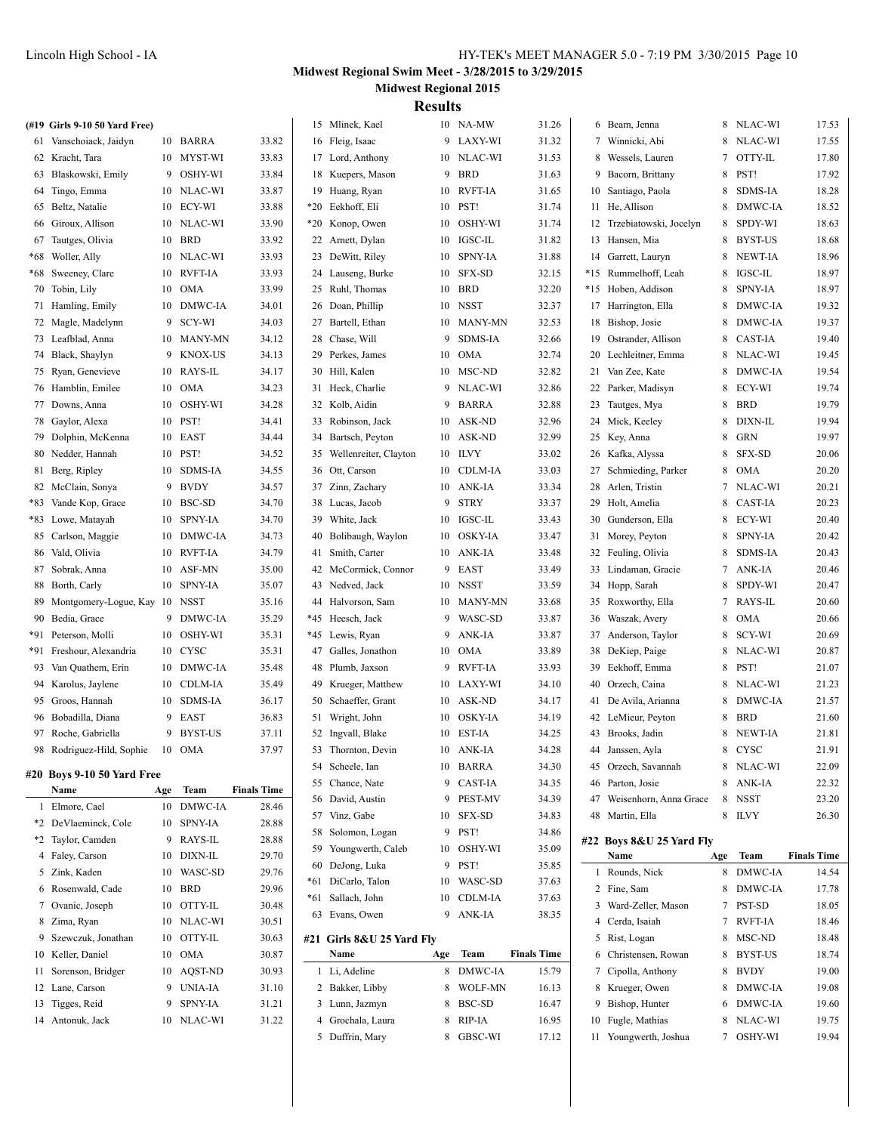|     | (#19 Girls 9-10 50 Yard Free)           |     |                |                    |    | 15 Mlinek, Kael           |     | 10 NA-MW       | 31.26              |    | 6 Beam, Jenna             |     | 8 NLAC-WI | 17.53              |
|-----|-----------------------------------------|-----|----------------|--------------------|----|---------------------------|-----|----------------|--------------------|----|---------------------------|-----|-----------|--------------------|
|     | 61 Vanschoiack, Jaidyn                  |     | 10 BARRA       | 33.82              |    | 16 Fleig, Isaac           |     | 9 LAXY-WI      | 31.32              |    | 7 Winnicki, Abi           |     | 8 NLAC-WI | 17.55              |
|     | 62 Kracht, Tara                         |     | 10 MYST-WI     | 33.83              |    | 17 Lord, Anthony          |     | 10 NLAC-WI     | 31.53              |    | 8 Wessels, Lauren         |     | 7 OTTY-IL | 17.80              |
|     | 63 Blaskowski, Emily                    |     | 9 OSHY-WI      | 33.84              |    | 18 Kuepers, Mason         | 9   | <b>BRD</b>     | 31.63              |    | 9 Bacorn, Brittany        |     | 8 PST!    | 17.92              |
|     | 64 Tingo, Emma                          |     | 10 NLAC-WI     | 33.87              |    | 19 Huang, Ryan            | 10  | <b>RVFT-IA</b> | 31.65              |    | 10 Santiago, Paola        |     | 8 SDMS-IA | 18.28              |
|     | 65 Beltz, Natalie                       |     | 10 ECY-WI      | 33.88              |    | *20 Eekhoff, Eli          | 10  | PST!           | 31.74              |    | 11 He, Allison            |     | 8 DMWC-IA | 18.52              |
|     | 66 Giroux, Allison                      |     | 10 NLAC-WI     | 33.90              |    | *20 Konop, Owen           | 10  | <b>OSHY-WI</b> | 31.74              |    | 12 Trzebiatowski, Jocelyn |     | 8 SPDY-WI | 18.63              |
| 67  | Tautges, Olivia                         |     | 10 BRD         | 33.92              |    | 22 Arnett, Dylan          | 10  | <b>IGSC-IL</b> | 31.82              |    | 13 Hansen, Mia            |     | 8 BYST-US | 18.68              |
| *68 | Woller, Ally                            | 10  | NLAC-WI        | 33.93              |    | 23 DeWitt, Riley          | 10  | <b>SPNY-IA</b> | 31.88              |    | 14 Garrett, Lauryn        |     | 8 NEWT-IA | 18.96              |
| *68 | Sweeney, Clare                          |     | 10 RVFT-IA     | 33.93              |    | 24 Lauseng, Burke         | 10  | SFX-SD         | 32.15              |    | *15 Rummelhoff, Leah      |     | 8 IGSC-IL | 18.97              |
|     | 70 Tobin, Lily                          |     | 10 OMA         | 33.99              |    | 25 Ruhl, Thomas           | 10  | <b>BRD</b>     | 32.20              |    | *15 Hoben, Addison        |     | 8 SPNY-IA | 18.97              |
|     |                                         |     | 10 DMWC-IA     | 34.01              |    | 26 Doan, Phillip          |     | 10 NSST        | 32.37              |    | 17 Harrington, Ella       |     | 8 DMWC-IA | 19.32              |
|     | 71 Hamling, Emily                       |     | 9 SCY-WI       | 34.03              |    | 27 Bartell, Ethan         | 10  | <b>MANY-MN</b> | 32.53              |    | 18 Bishop, Josie          |     | 8 DMWC-IA | 19.37              |
|     | 72 Magle, Madelynn<br>73 Leafblad, Anna |     | 10 MANY-MN     | 34.12              |    | 28 Chase, Will            | 9   | <b>SDMS-IA</b> | 32.66              |    | 19 Ostrander, Allison     |     | 8 CAST-IA | 19.40              |
|     |                                         |     |                |                    |    |                           |     |                |                    |    |                           |     |           |                    |
|     | 74 Black, Shaylyn                       |     | 9 KNOX-US      | 34.13              | 29 | Perkes, James             |     | 10 OMA         | 32.74              |    | 20 Lechleitner, Emma      |     | 8 NLAC-WI | 19.45              |
|     | 75 Ryan, Genevieve                      |     | 10 RAYS-IL     | 34.17              |    | 30 Hill, Kalen            | 10  | MSC-ND         | 32.82              |    | 21 Van Zee, Kate          |     | 8 DMWC-IA | 19.54              |
|     | 76 Hamblin, Emilee                      |     | 10 OMA         | 34.23              |    | 31 Heck, Charlie          | 9   | NLAC-WI        | 32.86              |    | 22 Parker, Madisyn        |     | 8 ECY-WI  | 19.74              |
|     | 77 Downs, Anna                          | 10  | <b>OSHY-WI</b> | 34.28              |    | 32 Kolb, Aidin            | 9   | <b>BARRA</b>   | 32.88              |    | 23 Tautges, Mya           |     | 8 BRD     | 19.79              |
|     | 78 Gaylor, Alexa                        | 10  | PST!           | 34.41              |    | 33 Robinson, Jack         | 10  | ASK-ND         | 32.96              |    | 24 Mick, Keeley           |     | 8 DIXN-IL | 19.94              |
|     | 79 Dolphin, McKenna                     |     | 10 EAST        | 34.44              |    | 34 Bartsch, Peyton        | 10  | ASK-ND         | 32.99              |    | 25 Key, Anna              |     | 8 GRN     | 19.97              |
|     | 80 Nedder, Hannah                       |     | 10 PST!        | 34.52              | 35 | Wellenreiter, Clayton     | 10  | <b>ILVY</b>    | 33.02              |    | 26 Kafka, Alyssa          |     | 8 SFX-SD  | 20.06              |
|     | 81 Berg, Ripley                         |     | 10 SDMS-IA     | 34.55              |    | 36 Ott, Carson            | 10  | <b>CDLM-IA</b> | 33.03              |    | 27 Schmieding, Parker     |     | 8 OMA     | 20.20              |
|     | 82 McClain, Sonya                       |     | 9 BVDY         | 34.57              |    | 37 Zinn, Zachary          |     | 10 ANK-IA      | 33.34              |    | 28 Arlen, Tristin         |     | 7 NLAC-WI | 20.21              |
|     | *83 Vande Kop, Grace                    |     | 10 BSC-SD      | 34.70              |    | 38 Lucas, Jacob           | 9   | <b>STRY</b>    | 33.37              |    | 29 Holt, Amelia           |     | 8 CAST-IA | 20.23              |
|     | *83 Lowe, Matayah                       |     | 10 SPNY-IA     | 34.70              |    | 39 White, Jack            |     | 10 IGSC-IL     | 33.43              |    | 30 Gunderson, Ella        |     | 8 ECY-WI  | 20.40              |
|     | 85 Carlson, Maggie                      |     | 10 DMWC-IA     | 34.73              |    | 40 Bolibaugh, Waylon      |     | 10 OSKY-IA     | 33.47              |    | 31 Morey, Peyton          |     | 8 SPNY-IA | 20.42              |
|     | 86 Vald, Olivia                         |     | 10 RVFT-IA     | 34.79              |    | 41 Smith, Carter          |     | 10 ANK-IA      | 33.48              |    | 32 Feuling, Olivia        |     | 8 SDMS-IA | 20.43              |
|     | 87 Sobrak, Anna                         |     | 10 ASF-MN      | 35.00              |    | 42 McCormick, Connor      |     | 9 EAST         | 33.49              |    | 33 Lindaman, Gracie       |     | 7 ANK-IA  | 20.46              |
|     | 88 Borth, Carly                         |     | 10 SPNY-IA     | 35.07              |    | 43 Nedved, Jack           |     | 10 NSST        | 33.59              |    | 34 Hopp, Sarah            |     | 8 SPDY-WI | 20.47              |
| 89  | Montgomery-Logue, Kay 10 NSST           |     |                | 35.16              |    | 44 Halvorson, Sam         | 10  | MANY-MN        | 33.68              |    | 35 Roxworthy, Ella        |     | 7 RAYS-IL | 20.60              |
| 90  | Bedia, Grace                            |     | 9 DMWC-IA      | 35.29              |    | *45 Heesch, Jack          | 9   | WASC-SD        | 33.87              |    | 36 Waszak, Avery          | 8   | OMA       | 20.66              |
|     | *91 Peterson, Molli                     |     | 10 OSHY-WI     | 35.31              |    | *45 Lewis, Ryan           | 9   | ANK-IA         | 33.87              |    | 37 Anderson, Taylor       | 8   | SCY-WI    | 20.69              |
|     | *91 Freshour, Alexandria                |     | 10 CYSC        | 35.31              | 47 | Galles, Jonathon          | 10  | <b>OMA</b>     | 33.89              |    | 38 DeKiep, Paige          |     | 8 NLAC-WI | 20.87              |
| 93  | Van Quathem, Erin                       |     | 10 DMWC-IA     | 35.48              | 48 | Plumb, Jaxson             | 9   | <b>RVFT-IA</b> | 33.93              | 39 | Eekhoff, Emma             |     | 8 PST!    | 21.07              |
|     | 94 Karolus, Jaylene                     |     | 10 CDLM-IA     | 35.49              | 49 | Krueger, Matthew          |     | 10 LAXY-WI     | 34.10              |    | 40 Orzech, Caina          |     | 8 NLAC-WI | 21.23              |
|     | 95 Groos, Hannah                        |     | 10 SDMS-IA     | 36.17              |    | 50 Schaeffer, Grant       |     | 10 ASK-ND      | 34.17              |    | 41 De Avila, Arianna      |     | 8 DMWC-IA | 21.57              |
|     | 96 Bobadilla, Diana                     |     | 9 EAST         | 36.83              |    | 51 Wright, John           |     | 10 OSKY-IA     | 34.19              |    | 42 LeMieur, Peyton        |     | 8 BRD     | 21.60              |
|     | 97 Roche, Gabriella                     |     | 9 BYST-US      | 37.11              |    | 52 Ingvall, Blake         |     | 10 EST-IA      | 34.25              |    | 43 Brooks, Jadin          |     | 8 NEWT-IA | 21.81              |
|     | 98 Rodriguez-Hild, Sophie               |     | 10 OMA         | 37.97              |    | 53 Thornton, Devin        |     | 10 ANK-IA      | 34.28              |    | 44 Janssen, Ayla          |     | 8 CYSC    | 21.91              |
|     | #20 Boys 9-10 50 Yard Free              |     |                |                    |    | 54 Scheele, Ian           |     | 10 BARRA       | 34.30              |    | 45 Orzech, Savannah       |     | 8 NLAC-WI | 22.09              |
|     | Name                                    | Age | Team           | <b>Finals Time</b> |    | 55 Chance, Nate           | 9   | CAST-IA        | 34.35              |    | 46 Parton, Josie          |     | 8 ANK-IA  | 22.32              |
|     | 1 Elmore, Cael                          |     | 10 DMWC-IA     | 28.46              |    | 56 David, Austin          | 9   | <b>PEST-MV</b> | 34.39              |    | 47 Weisenhorn, Anna Grace |     | 8 NSST    | 23.20              |
|     | *2 DeVlaeminck, Cole                    |     | 10 SPNY-IA     | 28.88              |    | 57 Vinz, Gabe             |     | 10 SFX-SD      | 34.83              |    | 48 Martin, Ella           |     | 8 ILVY    | 26.30              |
|     | *2 Taylor, Camden                       |     | 9 RAYS-IL      | 28.88              |    | 58 Solomon, Logan         | 9   | PST!           | 34.86              |    | #22 Boys 8&U 25 Yard Fly  |     |           |                    |
|     | 4 Faley, Carson                         |     | 10 DIXN-IL     | 29.70              |    | 59 Youngwerth, Caleb      | 10  | OSHY-WI        | 35.09              |    | Name                      | Age | Team      | <b>Finals Time</b> |
|     | 5 Zink, Kaden                           |     | 10 WASC-SD     |                    |    | 60 DeJong, Luka           |     | 9 PST!         | 35.85              |    | 1 Rounds, Nick            |     | 8 DMWC-IA |                    |
|     | 6 Rosenwald, Cade                       |     | 10 BRD         | 29.76              |    | *61 DiCarlo, Talon        |     | 10 WASC-SD     | 37.63              |    |                           |     |           | 14.54              |
|     |                                         |     |                | 29.96              |    | *61 Sallach, John         |     | 10 CDLM-IA     | 37.63              |    | 2 Fine, Sam               |     | 8 DMWC-IA | 17.78              |
|     | 7 Ovanic, Joseph                        |     | 10 OTTY-IL     | 30.48              |    | 63 Evans, Owen            |     | 9 ANK-IA       | 38.35              |    | 3 Ward-Zeller, Mason      |     | 7 PST-SD  | 18.05              |
|     | 8 Zima, Ryan                            |     | 10 NLAC-WI     | 30.51              |    |                           |     |                |                    |    | 4 Cerda, Isaiah           |     | 7 RVFT-IA | 18.46              |
|     | 9 Szewczuk, Jonathan                    |     | 10 OTTY-IL     | 30.63              |    | #21 Girls 8&U 25 Yard Fly |     |                |                    |    | 5 Rist, Logan             |     | 8 MSC-ND  | 18.48              |
|     | 10 Keller, Daniel                       |     | 10 OMA         | 30.87              |    | Name                      | Age | Team           | <b>Finals Time</b> |    | 6 Christensen, Rowan      |     | 8 BYST-US | 18.74              |
|     | 11 Sorenson, Bridger                    |     | 10 AQST-ND     | 30.93              |    | 1 Li, Adeline             |     | 8 DMWC-IA      | 15.79              |    | 7 Cipolla, Anthony        |     | 8 BVDY    | 19.00              |
|     | 12 Lane, Carson                         |     | 9 UNIA-IA      | 31.10              |    | 2 Bakker, Libby           | 8   | WOLF-MN        | 16.13              |    | 8 Krueger, Owen           |     | 8 DMWC-IA | 19.08              |
|     | 13 Tigges, Reid                         | 9   | <b>SPNY-IA</b> | 31.21              |    | 3 Lunn, Jazmyn            | 8   | BSC-SD         | 16.47              |    | 9 Bishop, Hunter          |     | 6 DMWC-IA | 19.60              |
|     | 14 Antonuk, Jack                        |     | 10 NLAC-WI     | 31.22              |    | 4 Grochala, Laura         |     | 8 RIP-IA       | 16.95              |    | 10 Fugle, Mathias         |     | 8 NLAC-WI | 19.75              |
|     |                                         |     |                |                    |    | 5 Duffrin, Mary           |     | 8 GBSC-WI      | 17.12              |    | 11 Youngwerth, Joshua     |     | 7 OSHY-WI | 19.94              |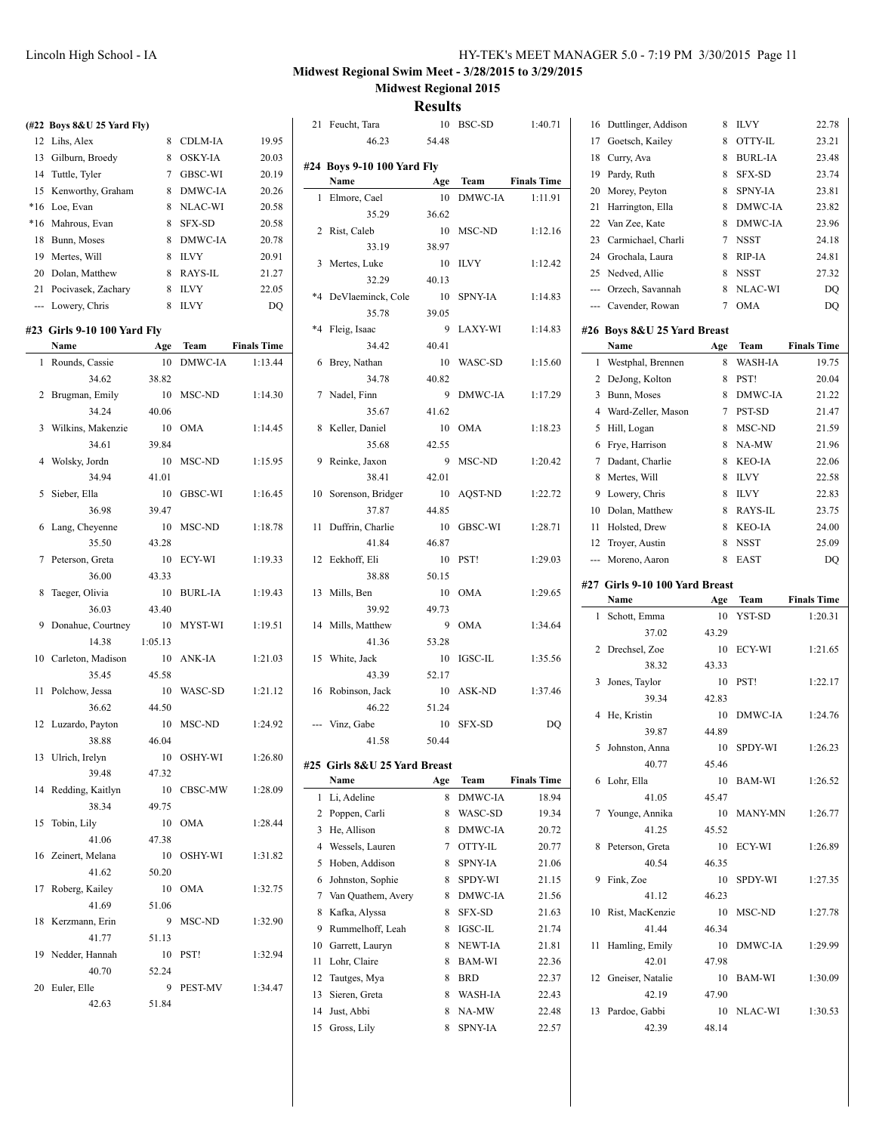|       | (#22 Boys 8&U 25 Yard Fly)   |         |                         |                    |
|-------|------------------------------|---------|-------------------------|--------------------|
|       | 12 Lihs, Alex                | 8       | CDLM-IA                 | 19.95              |
|       | 13 Gilburn, Broedy           | 8       | <b>OSKY-IA</b>          | 20.03              |
|       | 14 Tuttle, Tyler             |         | 7 GBSC-WI               | 20.19              |
| 15    | Kenworthy, Graham            | 8       | DMWC-IA                 | 20.26              |
| $*16$ | Loe, Evan                    | 8       | NLAC-WI                 | 20.58              |
| $*16$ | Mahrous, Evan                | 8       | <b>SFX-SD</b>           | 20.58              |
| 18    | Bunn, Moses                  | 8       | DMWC-IA                 | 20.78              |
| 19    | Mertes, Will                 | 8       | <b>ILVY</b>             | 20.91              |
| 20    | Dolan, Matthew               | 8       | <b>RAYS-IL</b>          | 21.27              |
|       | 21 Pocivasek, Zachary        | 8       | <b>ILVY</b>             | 22.05              |
|       | --- Lowery, Chris            | 8       | <b>ILVY</b>             | DQ                 |
|       | #23  Girls 9-10 100 Yard Fly |         |                         |                    |
|       | Name                         | Age     | Team                    | <b>Finals Time</b> |
| 1     | Rounds, Cassie               | 10      | <b>DMWC-IA</b>          | 1:13.44            |
|       | 34.62                        | 38.82   |                         |                    |
| 2     | Brugman, Emily               | 10      | MSC-ND                  | 1:14.30            |
|       | 34.24                        | 40.06   |                         |                    |
| 3     | Wilkins, Makenzie            | 10      | OMA                     | 1:14.45            |
|       | 34.61                        | 39.84   |                         |                    |
| 4     | Wolsky, Jordn                | 10      | MSC-ND                  | 1:15.95            |
|       | 34.94                        | 41.01   |                         |                    |
| 5     | Sieber, Ella                 | 10      | GBSC-WI                 | 1:16.45            |
|       | 36.98                        | 39.47   |                         |                    |
| 6     | Lang, Cheyenne               | 10      | MSC-ND                  | 1:18.78            |
|       | 35.50                        | 43.28   |                         |                    |
| 7     | Peterson, Greta              | 10      | ECY-WI                  | 1:19.33            |
|       | 36.00                        | 43.33   |                         |                    |
| 8     | Taeger, Olivia               | 10      | <b>BURL-IA</b>          | 1:19.43            |
|       | 36.03                        | 43.40   |                         |                    |
| 9     | Donahue, Courtney            | 10      | MYST-WI                 | 1:19.51            |
|       | 14.38                        | 1:05.13 |                         |                    |
| 10    | Carleton, Madison            | 10      | ANK-IA                  | 1:21.03            |
|       | 35.45                        | 45.58   |                         |                    |
| 11    | Polchow, Jessa               | 10      | WASC-SD                 | 1:21.12            |
|       | 36.62                        | 44.50   |                         |                    |
| 12    | Luzardo, Payton              | 10      | MSC-ND                  | 1:24.92            |
|       | 38.88                        | 46.04   |                         |                    |
|       | 13 Ulrich, Irelyn            | 10      | OSHY-WI                 | 1:26.80            |
|       | 39.48                        | 47.32   |                         |                    |
| 14    | Redding, Kaitlyn             | 10      | CBSC-MW                 | 1:28.09            |
|       | 38.34                        | 49.75   |                         |                    |
| 15    | Tobin, Lily                  | 10      | <b>OMA</b>              | 1:28.44            |
|       | 41.06                        | 47.38   |                         |                    |
|       | 16 Zeinert, Melana           | 10      | OSHY-WI                 | 1:31.82            |
|       | 41.62                        | 50.20   |                         |                    |
|       | 17 Roberg, Kailey            | 10      | <b>OMA</b>              | 1:32.75            |
|       | 41.69                        | 51.06   |                         |                    |
| 18    | Kerzmann, Erin               | 9       | $\operatorname{MSC-ND}$ | 1:32.90            |
|       | 41.77                        | 51.13   |                         |                    |
|       | 19 Nedder, Hannah            | 10      | PST!                    | 1:32.94            |
|       | 40.70                        | 52.24   |                         |                    |
|       | 20 Euler, Elle               | 9       | PEST-MV                 | 1:34.47            |
|       | 42.63                        | 51.84   |                         |                    |
|       |                              |         |                         |                    |

|         | 21 Feucht, Tara              |       | 10 BSC-SD      | 1:40.71            |
|---------|------------------------------|-------|----------------|--------------------|
|         | 46.23                        | 54.48 |                |                    |
|         | #24 Boys 9-10 100 Yard Fly   |       |                |                    |
|         | Name                         | Age   | Team           | <b>Finals Time</b> |
|         |                              |       |                |                    |
| 1       | Elmore, Cael                 | 10    | DMWC-IA        | 1:11.91            |
|         | 35.29                        | 36.62 |                |                    |
| 2       | Rist, Caleb                  | 10    | MSC-ND         | 1:12.16            |
|         | 33.19                        | 38.97 |                |                    |
| 3       | Mertes, Luke                 | 10    | <b>ILVY</b>    | 1:12.42            |
|         | 32.29                        | 40.13 |                |                    |
| $*4$    | DeVlaeminck, Cole            | 10    | <b>SPNY-IA</b> | 1:14.83            |
|         | 35.78                        | 39.05 |                |                    |
| $*_{4}$ | Fleig, Isaac                 | 9     | <b>LAXY-WI</b> | 1:14.83            |
|         | 34.42                        | 40.41 |                |                    |
| 6       | Brey, Nathan                 | 10    | WASC-SD        | 1:15.60            |
|         | 34.78                        | 40.82 |                |                    |
| 7       | Nadel. Finn                  | 9     | DMWC-IA        | 1:17.29            |
|         | 35.67                        | 41.62 |                |                    |
| 8       | Keller, Daniel               | 10    | <b>OMA</b>     | 1:18.23            |
|         | 35.68                        | 42.55 |                |                    |
| 9       | Reinke, Jaxon                | 9     | MSC-ND         | 1:20.42            |
|         | 38.41                        | 42.01 |                |                    |
| 10      | Sorenson, Bridger            | 10    | AQST-ND        | 1:22.72            |
|         | 37.87                        | 44.85 |                |                    |
| 11      | Duffrin, Charlie             | 10    | GBSC-WI        | 1:28.71            |
|         | 41.84                        |       |                |                    |
|         |                              | 46.87 |                |                    |
| 12      | Eekhoff, Eli                 | 10    | PST!           | 1:29.03            |
|         | 38.88                        | 50.15 |                |                    |
| 13      | Mills, Ben                   | 10    | <b>OMA</b>     | 1:29.65            |
|         | 39.92                        | 49.73 |                |                    |
| 14      | Mills, Matthew               | 9     | <b>OMA</b>     | 1:34.64            |
|         | 41.36                        | 53.28 |                |                    |
| 15      | White, Jack                  | 10    | <b>IGSC-IL</b> | 1:35.56            |
|         | 43.39                        | 52.17 |                |                    |
| 16      | Robinson, Jack               | 10    | ASK-ND         | 1:37.46            |
|         | 46.22                        | 51.24 |                |                    |
|         | Vinz, Gabe                   | 10    | <b>SFX-SD</b>  | DQ                 |
|         | 41.58                        | 50.44 |                |                    |
|         |                              |       |                |                    |
|         | #25 Girls 8&U 25 Yard Breast |       |                |                    |
|         | Name                         | Age   | Team           | <b>Finals Time</b> |
| 1       | Li, Adeline                  | 8     | DMWC-IA        | 18.94              |
| 2       | Poppen, Carli                | 8     | WASC-SD        | 19.34              |
| 3       | He, Allison                  | 8     | DMWC-IA        | 20.72              |
| 4       | Wessels, Lauren              | 7     | OTTY-IL        | 20.77              |
| 5       | Hoben, Addison               | 8     | <b>SPNY-IA</b> | 21.06              |
| 6       | Johnston, Sophie             | 8     | SPDY-WI        | 21.15              |
| 7       | Van Quathem, Avery           | 8     | DMWC-IA        | 21.56              |
| 8       | Kafka, Alyssa                | 8     | SFX-SD         | 21.63              |
| 9       | Rummelhoff, Leah             | 8     | IGSC-IL        | 21.74              |
| 10      | Garrett, Lauryn              | 8     | <b>NEWT-IA</b> | 21.81              |
| 11      | Lohr, Claire                 | 8     | BAM-WI         | 22.36              |
| 12      | Tautges, Mya                 | 8     | BRD            | 22.37              |
| 13      | Sieren, Greta                | 8     | <b>WASH-IA</b> | 22.43              |
| 14      | Just, Abbi                   | 8     | NA-MW          | 22.48              |
| 15      | Gross, Lily                  | 8     | <b>SPNY-IA</b> | 22.57              |
|         |                              |       |                |                    |
|         |                              |       |                |                    |

| 16  | Duttlinger, Addison            | 8     | <b>ILVY</b>    | 22.78              |
|-----|--------------------------------|-------|----------------|--------------------|
| 17  | Goetsch, Kailey                | 8     | OTTY-IL        | 23.21              |
| 18  | Curry, Ava                     | 8     | <b>BURL-IA</b> | 23.48              |
| 19  | Pardy, Ruth                    | 8     | <b>SFX-SD</b>  | 23.74              |
| 20  | Morey, Peyton                  | 8     | <b>SPNY-IA</b> | 23.81              |
| 21  | Harrington, Ella               | 8     | DMWC-IA        | 23.82              |
| 22  | Van Zee, Kate                  | 8     | DMWC-IA        | 23.96              |
| 23  | Carmichael, Charli             | 7     | <b>NSST</b>    | 24.18              |
| 24  | Grochala, Laura                | 8     | RIP-IA         | 24.81              |
| 25  | Nedved, Allie                  | 8     | <b>NSST</b>    | 27.32              |
|     | --- Orzech, Savannah           | 8     | NLAC-WI        | DO                 |
|     | --- Cavender, Rowan            | 7     | <b>OMA</b>     | DQ                 |
|     |                                |       |                |                    |
|     | #26 Boys 8&U 25 Yard Breast    |       |                |                    |
|     | Name                           | Age   | Team           | <b>Finals Time</b> |
| 1   | Westphal, Brennen              | 8     | WASH-IA        | 19.75              |
| 2   | DeJong, Kolton                 | 8     | PST!           | 20.04              |
| 3   | Bunn, Moses                    | 8     | DMWC-IA        | 21.22              |
| 4   | Ward-Zeller, Mason             | 7     | PST-SD         | 21.47              |
| 5   | Hill, Logan                    | 8     | MSC-ND         | 21.59              |
| 6   | Frye, Harrison                 | 8     | NA-MW          | 21.96              |
| 7   | Dadant, Charlie                | 8     | <b>KEO-IA</b>  | 22.06              |
| 8   | Mertes. Will                   | 8     | <b>ILVY</b>    | 22.58              |
| 9   | Lowery, Chris                  | 8     | <b>ILVY</b>    | 22.83              |
| 10  | Dolan, Matthew                 | 8     | RAYS-IL        | 23.75              |
| 11  | Holsted, Drew                  | 8     | <b>KEO-IA</b>  | 24.00              |
| 12  | Troyer, Austin                 | 8     | <b>NSST</b>    | 25.09              |
| --- | Moreno, Aaron                  | 8     | EAST           | DQ                 |
|     |                                |       |                |                    |
|     |                                |       |                |                    |
|     | #27 Girls 9-10 100 Yard Breast |       |                |                    |
|     | Name                           | Age   | Team           | <b>Finals Time</b> |
| 1   | Schott, Emma                   | 10    | YST-SD         | 1:20.31            |
|     | 37.02                          | 43.29 |                |                    |
| 2   | Drechsel, Zoe                  | 10    | ECY-WI         | 1:21.65            |
|     | 38.32                          | 43.33 |                |                    |
| 3   | Jones, Taylor                  | 10    | PST!           | 1:22.17            |
|     | 39.34                          | 42.83 |                |                    |
| 4   | He, Kristin                    | 10    | DMWC-IA        | 1:24.76            |
|     | 39.87                          | 44.89 |                |                    |
| 5   | Johnston, Anna                 | 10    | <b>SPDY-WI</b> | 1:26.23            |
|     |                                |       |                |                    |
| 6   | 40.77                          | 45.46 |                |                    |
|     | Lohr, Ella                     | 10    | BAM-WI         | 1:26.52            |
|     | 41.05                          | 45.47 |                |                    |
| 7   | Younge, Annika                 | 10    | <b>MANY-MN</b> | 1:26.77            |
|     | 41.25                          | 45.52 |                |                    |
| 8   | Peterson, Greta                | 10    | ECY-WI         | 1:26.89            |
|     | 40.54                          | 46.35 |                |                    |
|     | 9 Fink, Zoe                    | 10    | SPDY-WI        | 1:27.35            |
|     | 41.12                          | 46.23 |                |                    |
|     | 10 Rist, MacKenzie             | 10    | MSC-ND         | 1:27.78            |
|     | 41.44                          | 46.34 |                |                    |
| 11  | Hamling, Emily                 | 10    | DMWC-IA        | 1:29.99            |
|     | 42.01                          | 47.98 |                |                    |
|     | 12 Gneiser, Natalie            | 10    | BAM-WI         | 1:30.09            |
|     | 42.19                          | 47.90 |                |                    |
| 13  | Pardoe, Gabbi                  | 10    | NLAC-WI        | 1:30.53            |
|     | 42.39                          | 48.14 |                |                    |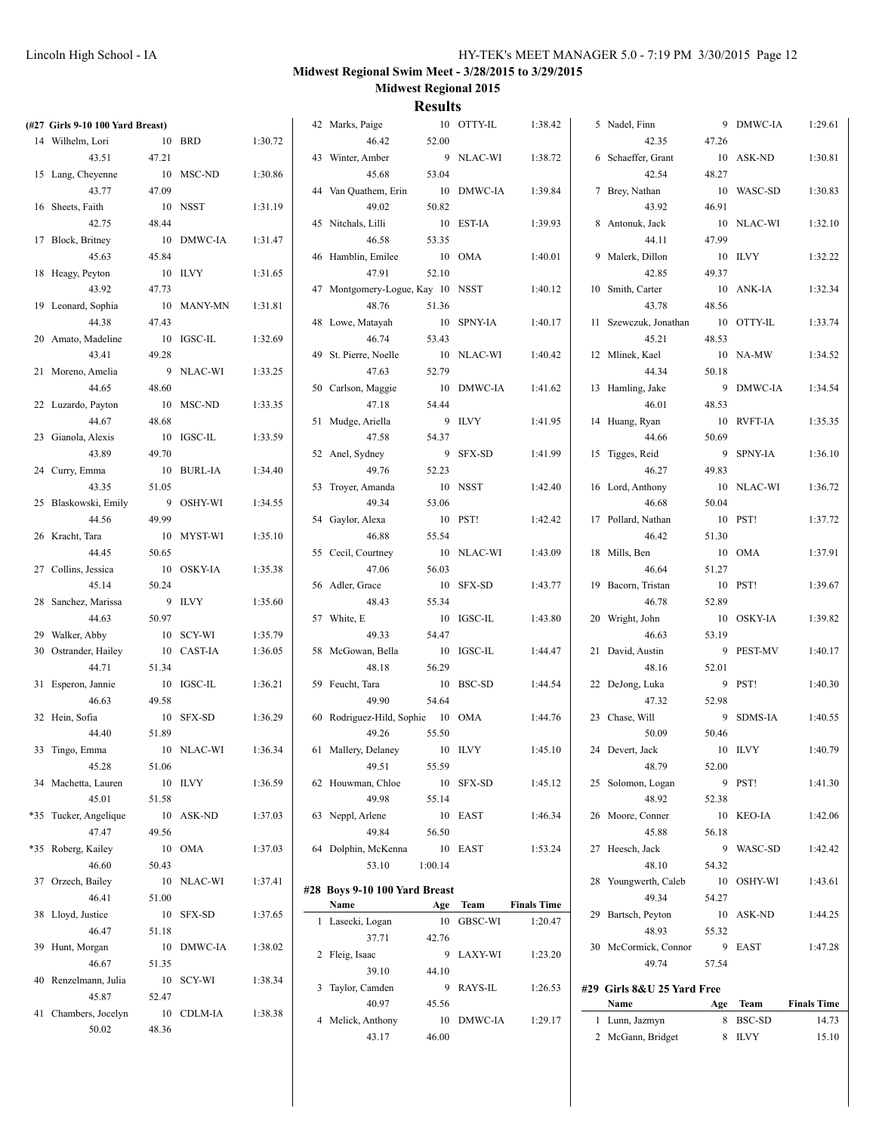| (#27 Girls 9-10 100 Yard Breast) |         |            |         | 42 Marks, Paige                  |         | 10 OTTY-IL | 1:38.42            | 5 Nadel, Finn              |        | 9 DMWC-IA  | 1:29.61            |
|----------------------------------|---------|------------|---------|----------------------------------|---------|------------|--------------------|----------------------------|--------|------------|--------------------|
| 14 Wilhelm, Lori                 |         | 10 BRD     | 1:30.72 | 46.42                            | 52.00   |            |                    | 42.35                      | 47.26  |            |                    |
| 43.51                            | 47.21   |            |         | 43 Winter, Amber                 |         | 9 NLAC-WI  | 1:38.72            | 6 Schaeffer, Grant         |        | 10 ASK-ND  | 1:30.81            |
| 15 Lang, Cheyenne                |         | 10 MSC-ND  | 1:30.86 | 45.68                            | 53.04   |            |                    | 42.54                      | 48.27  |            |                    |
| 43.77                            | 47.09   |            |         | 44 Van Quathem, Erin             |         | 10 DMWC-IA | 1:39.84            | 7 Brey, Nathan             |        | 10 WASC-SD | 1:30.83            |
| 16 Sheets, Faith                 |         | 10 NSST    | 1:31.19 | 49.02                            | 50.82   |            |                    | 43.92                      | 46.91  |            |                    |
| 42.75                            | 48.44   |            |         | 45 Nitchals, Lilli               |         | 10 EST-IA  | 1:39.93            | 8 Antonuk, Jack            |        | 10 NLAC-WI | 1:32.10            |
| 17 Block, Britney                |         | 10 DMWC-IA | 1:31.47 | 46.58                            | 53.35   |            |                    | 44.11                      | 47.99  |            |                    |
| 45.63                            | 45.84   |            |         | 46 Hamblin, Emilee               | 10 OMA  |            | 1:40.01            | 9 Malerk, Dillon           |        | 10 ILVY    | 1:32.22            |
| 18 Heagy, Peyton                 | 10 ILVY |            | 1:31.65 | 47.91                            | 52.10   |            |                    | 42.85                      | 49.37  |            |                    |
| 43.92                            | 47.73   |            |         | 47 Montgomery-Logue, Kay 10 NSST |         |            | 1:40.12            | 10 Smith, Carter           |        | 10 ANK-IA  | 1:32.34            |
| 19 Leonard, Sophia               |         | 10 MANY-MN | 1:31.81 | 48.76                            | 51.36   |            |                    | 43.78                      | 48.56  |            |                    |
| 44.38                            | 47.43   |            |         | 48 Lowe, Matayah                 |         | 10 SPNY-IA | 1:40.17            | 11 Szewczuk, Jonathan      |        | 10 OTTY-IL | 1:33.74            |
|                                  |         | 10 IGSC-IL | 1:32.69 | 46.74                            | 53.43   |            |                    | 45.21                      | 48.53  |            |                    |
| 20 Amato, Madeline               |         |            |         |                                  |         |            |                    |                            |        |            |                    |
| 43.41                            | 49.28   |            |         | 49 St. Pierre, Noelle            |         | 10 NLAC-WI | 1:40.42            | 12 Mlinek, Kael            |        | 10 NA-MW   | 1:34.52            |
| 21 Moreno, Amelia                |         | 9 NLAC-WI  | 1:33.25 | 47.63                            | 52.79   |            |                    | 44.34                      | 50.18  |            |                    |
| 44.65                            | 48.60   |            |         | 50 Carlson, Maggie               |         | 10 DMWC-IA | 1:41.62            | 13 Hamling, Jake           |        | 9 DMWC-IA  | 1:34.54            |
| 22 Luzardo, Payton               |         | 10 MSC-ND  | 1:33.35 | 47.18                            | 54.44   |            |                    | 46.01                      | 48.53  |            |                    |
| 44.67                            | 48.68   |            |         | 51 Mudge, Ariella                |         | 9 ILVY     | 1:41.95            | 14 Huang, Ryan             |        | 10 RVFT-IA | 1:35.35            |
| 23 Gianola, Alexis               |         | 10 IGSC-IL | 1:33.59 | 47.58                            | 54.37   |            |                    | 44.66                      | 50.69  |            |                    |
| 43.89                            | 49.70   |            |         | 52 Anel, Sydney                  |         | 9 SFX-SD   | 1:41.99            | 15 Tigges, Reid            |        | 9 SPNY-IA  | 1:36.10            |
| 24 Curry, Emma                   |         | 10 BURL-IA | 1:34.40 | 49.76                            | 52.23   |            |                    | 46.27                      | 49.83  |            |                    |
| 43.35                            | 51.05   |            |         | 53 Troyer, Amanda                |         | 10 NSST    | 1:42.40            | 16 Lord, Anthony           |        | 10 NLAC-WI | 1:36.72            |
| 25 Blaskowski, Emily             |         | 9 OSHY-WI  | 1:34.55 | 49.34                            | 53.06   |            |                    | 46.68                      | 50.04  |            |                    |
| 44.56                            | 49.99   |            |         | 54 Gaylor, Alexa                 |         | 10 PST!    | 1:42.42            | 17 Pollard, Nathan         |        | 10 PST!    | 1:37.72            |
| 26 Kracht, Tara                  |         | 10 MYST-WI | 1:35.10 | 46.88                            | 55.54   |            |                    | 46.42                      | 51.30  |            |                    |
| 44.45                            | 50.65   |            |         | 55 Cecil, Courtney               |         | 10 NLAC-WI | 1:43.09            | 18 Mills, Ben              |        | 10 OMA     | 1:37.91            |
| 27 Collins, Jessica              |         | 10 OSKY-IA | 1:35.38 | 47.06                            | 56.03   |            |                    | 46.64                      | 51.27  |            |                    |
| 45.14                            | 50.24   |            |         | 56 Adler, Grace                  |         | 10 SFX-SD  | 1:43.77            | 19 Bacorn, Tristan         |        | 10 PST!    | 1:39.67            |
| 28 Sanchez, Marissa              |         | 9 ILVY     | 1:35.60 | 48.43                            | 55.34   |            |                    | 46.78                      | 52.89  |            |                    |
| 44.63                            | 50.97   |            |         | 57 White, E                      |         | 10 IGSC-IL | 1:43.80            | 20 Wright, John            |        | 10 OSKY-IA | 1:39.82            |
| 29 Walker, Abby                  |         | 10 SCY-WI  | 1:35.79 | 49.33                            | 54.47   |            |                    | 46.63                      | 53.19  |            |                    |
| 30 Ostrander, Hailey             |         | 10 CAST-IA | 1:36.05 | 58 McGowan, Bella                |         | 10 IGSC-IL | 1:44.47            | 21 David, Austin           |        | 9 PEST-MV  | 1:40.17            |
| 44.71                            | 51.34   |            |         | 48.18                            | 56.29   |            |                    | 48.16                      | 52.01  |            |                    |
| 31 Esperon, Jannie               |         | 10 IGSC-IL | 1:36.21 | 59 Feucht, Tara                  |         | 10 BSC-SD  | 1:44.54            | 22 DeJong, Luka            |        | 9 PST!     | 1:40.30            |
| 46.63                            | 49.58   |            |         | 49.90                            | 54.64   |            |                    | 47.32                      | 52.98  |            |                    |
| 32 Hein, Sofia                   |         | 10 SFX-SD  | 1:36.29 | 60 Rodriguez-Hild, Sophie 10 OMA |         |            | 1:44.76            | 23 Chase, Will             |        | 9 SDMS-IA  | 1:40.55            |
| 44.40                            | 51.89   |            |         | 49.26                            | 55.50   |            |                    | 50.09                      | 50.46  |            |                    |
|                                  |         |            | 1:36.34 |                                  | 10 ILVY |            | 1:45.10            | 24 Devert, Jack            |        | 10 ILVY    | 1:40.79            |
| 33 Tingo, Emma                   |         | 10 NLAC-WI |         | 61 Mallery, Delaney<br>49.51     |         |            |                    |                            |        |            |                    |
| 45.28                            | 51.06   |            |         |                                  | 55.59   |            |                    | 48.79                      | 52.00  |            |                    |
| 34 Machetta, Lauren              |         | $10$ ILVY  | 1:36.59 | 62 Houwman, Chloe                |         | 10 SFX-SD  | 1:45.12            | 25 Solomon, Logan          | 9 PST! |            | 1:41.30            |
| 45.01                            | 51.58   |            |         | 49.98                            | 55.14   |            |                    | 48.92                      | 52.38  |            |                    |
| *35 Tucker, Angelique            |         | 10 ASK-ND  | 1:37.03 | 63 Neppl, Arlene                 | 10 EAST |            | 1:46.34            | 26 Moore, Conner           |        | 10 KEO-IA  | 1:42.06            |
| 47.47                            | 49.56   |            |         | 49.84                            | 56.50   |            |                    | 45.88                      | 56.18  |            |                    |
| *35 Roberg, Kailey               |         | 10 OMA     | 1:37.03 | 64 Dolphin, McKenna              | 10 EAST |            | 1:53.24            | 27 Heesch, Jack            |        | 9 WASC-SD  | 1:42.42            |
| 46.60                            | 50.43   |            |         | 53.10                            | 1:00.14 |            |                    | 48.10                      | 54.32  |            |                    |
| 37 Orzech, Bailey                |         | 10 NLAC-WI | 1:37.41 | #28 Boys 9-10 100 Yard Breast    |         |            |                    | 28 Youngwerth, Caleb       |        | 10 OSHY-WI | 1:43.61            |
| 46.41                            | 51.00   |            |         | Name                             |         | Age Team   | <b>Finals Time</b> | 49.34                      | 54.27  |            |                    |
| 38 Lloyd, Justice                |         | 10 SFX-SD  | 1:37.65 | 1 Lasecki, Logan                 |         | 10 GBSC-WI | 1:20.47            | 29 Bartsch, Peyton         |        | 10 ASK-ND  | 1:44.25            |
| 46.47                            | 51.18   |            |         | 37.71                            | 42.76   |            |                    | 48.93                      | 55.32  |            |                    |
| 39 Hunt, Morgan                  |         | 10 DMWC-IA | 1:38.02 |                                  |         |            |                    | 30 McCormick, Connor       |        | 9 EAST     | 1:47.28            |
| 46.67                            | 51.35   |            |         | 2 Fleig, Isaac                   |         | 9 LAXY-WI  | 1:23.20            | 49.74                      | 57.54  |            |                    |
| 40 Renzelmann, Julia             |         | 10 SCY-WI  | 1:38.34 | 39.10                            | 44.10   |            |                    |                            |        |            |                    |
| 45.87                            | 52.47   |            |         | 3 Taylor, Camden                 |         | 9 RAYS-IL  | 1:26.53            | #29 Girls 8&U 25 Yard Free |        |            |                    |
| 41 Chambers, Jocelyn             |         | 10 CDLM-IA | 1:38.38 | 40.97                            | 45.56   |            |                    | Name                       |        | Age Team   | <b>Finals Time</b> |
| 50.02                            | 48.36   |            |         | 4 Melick, Anthony                |         | 10 DMWC-IA | 1:29.17            | 1 Lunn, Jazmyn             |        | 8 BSC-SD   | 14.73              |
|                                  |         |            |         | 43.17                            | 46.00   |            |                    | 2 McGann, Bridget          |        | 8 ILVY     | 15.10              |
|                                  |         |            |         |                                  |         |            |                    |                            |        |            |                    |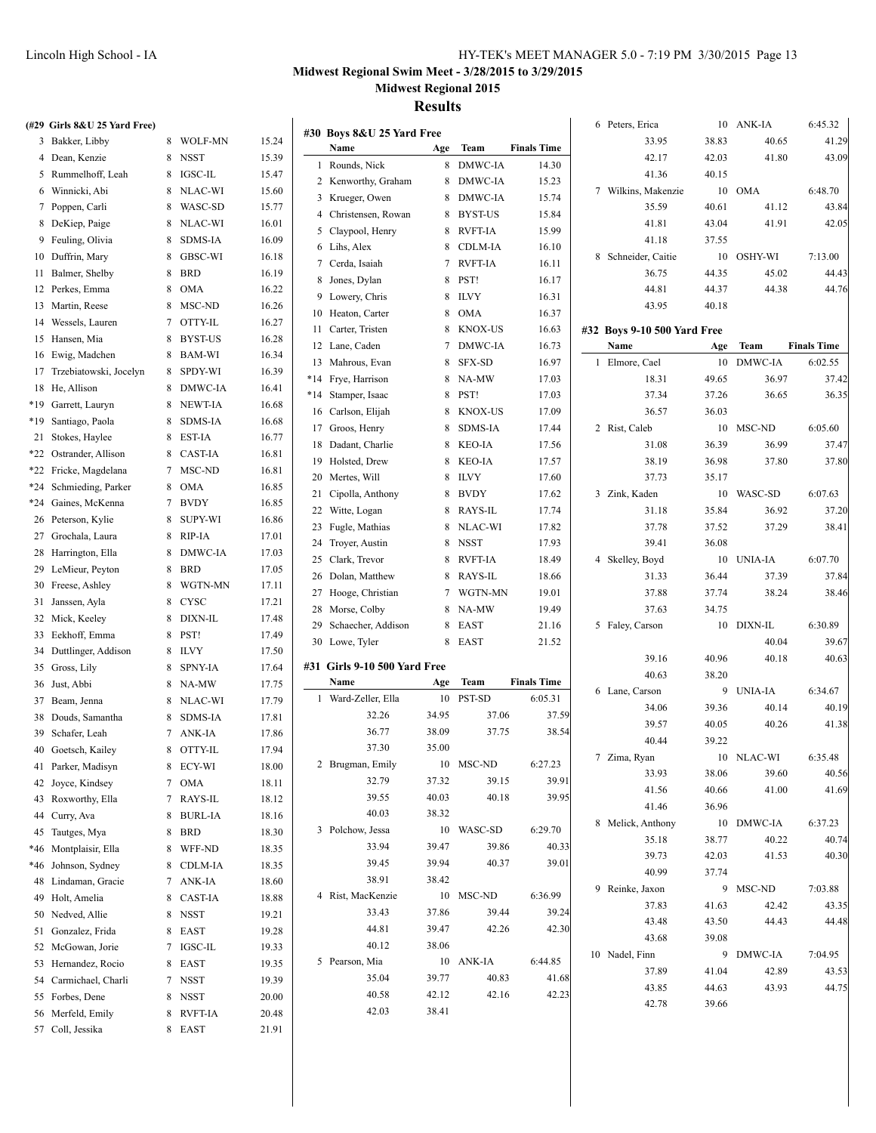# **Midwest Regional Swim Meet - 3/28/2015 to 3/29/2015**

**Midwest Regional 2015**

| (#29 Girls 8&U 25 Yard Free)             |           |       |                                   |       |            |                    | 6 Peters, Erica             |       | 10 ANK-IA      | 6:45.32            |
|------------------------------------------|-----------|-------|-----------------------------------|-------|------------|--------------------|-----------------------------|-------|----------------|--------------------|
| 3 Bakker, Libby                          | 8 WOLF-MN | 15.24 | #30 Boys 8&U 25 Yard Free<br>Name | Age   | Team       | <b>Finals Time</b> | 33.95                       | 38.83 | 40.65          | 41.29              |
| 4 Dean, Kenzie                           | 8 NSST    | 15.39 |                                   |       | 8 DMWC-IA  |                    | 42.17                       | 42.03 | 41.80          | 43.09              |
| 5 Rummelhoff, Leah                       | 8 IGSC-IL | 15.47 | 1 Rounds, Nick                    |       |            | 14.30              | 41.36                       | 40.15 |                |                    |
| 6 Winnicki, Abi                          | 8 NLAC-WI | 15.60 | 2 Kenworthy, Graham               |       | 8 DMWC-IA  | 15.23              | 7 Wilkins, Makenzie         |       | 10 OMA         | 6:48.70            |
| 7 Poppen, Carli                          | 8 WASC-SD | 15.77 | 3 Krueger, Owen                   |       | 8 DMWC-IA  | 15.74              | 35.59                       | 40.61 | 41.12          | 43.84              |
| 8 DeKiep, Paige                          | 8 NLAC-WI | 16.01 | 4 Christensen, Rowan              |       | 8 BYST-US  | 15.84              | 41.81                       | 43.04 | 41.91          | 42.05              |
| 9 Feuling, Olivia                        | 8 SDMS-IA | 16.09 | 5 Claypool, Henry                 |       | 8 RVFT-IA  | 15.99              | 41.18                       | 37.55 |                |                    |
| 10 Duffrin, Mary                         | 8 GBSC-WI | 16.18 | 6 Lihs, Alex                      |       | 8 CDLM-IA  | 16.10              | 8 Schneider, Caitie         | 10    | OSHY-WI        | 7:13.00            |
| 11 Balmer, Shelby                        | 8 BRD     | 16.19 | 7 Cerda, Isaiah                   |       | 7 RVFT-IA  | 16.11              | 36.75                       | 44.35 | 45.02          | 44.43              |
| 12 Perkes, Emma                          | 8 OMA     | 16.22 | 8 Jones, Dylan                    |       | 8 PST!     | 16.17              | 44.81                       | 44.37 | 44.38          | 44.76              |
| 13 Martin, Reese                         | 8 MSC-ND  | 16.26 | 9 Lowery, Chris                   |       | 8 ILVY     | 16.31              | 43.95                       | 40.18 |                |                    |
| 14 Wessels, Lauren                       | 7 OTTY-IL | 16.27 | 10 Heaton, Carter                 |       | 8 OMA      | 16.37              |                             |       |                |                    |
| 15 Hansen, Mia                           | 8 BYST-US | 16.28 | 11 Carter, Tristen                |       | 8 KNOX-US  | 16.63              | #32 Boys 9-10 500 Yard Free |       |                |                    |
|                                          |           |       | 12 Lane, Caden                    |       | 7 DMWC-IA  | 16.73              | Name                        | Age   | <b>Team</b>    | <b>Finals Time</b> |
| 16 Ewig, Madchen                         | 8 BAM-WI  | 16.34 | 13 Mahrous, Evan                  |       | 8 SFX-SD   | 16.97              | 1 Elmore, Cael              |       | 10 DMWC-IA     | 6:02.55            |
| 17 Trzebiatowski, Jocelyn                | 8 SPDY-WI | 16.39 | *14 Frye, Harrison                |       | 8 NA-MW    | 17.03              | 18.31                       | 49.65 | 36.97          | 37.42              |
| 18 He, Allison                           | 8 DMWC-IA | 16.41 | *14 Stamper, Isaac                |       | 8 PST!     | 17.03              | 37.34                       | 37.26 | 36.65          | 36.35              |
| *19 Garrett, Lauryn                      | 8 NEWT-IA | 16.68 | 16 Carlson, Elijah                |       | 8 KNOX-US  | 17.09              | 36.57                       | 36.03 |                |                    |
| *19 Santiago, Paola                      | 8 SDMS-IA | 16.68 | 17 Groos, Henry                   |       | 8 SDMS-IA  | 17.44              | 2 Rist, Caleb               | 10    | MSC-ND         | 6:05.60            |
| 21 Stokes, Haylee                        | 8 EST-IA  | 16.77 | 18 Dadant, Charlie                |       | 8 KEO-IA   | 17.56              | 31.08                       | 36.39 | 36.99          | 37.47              |
| *22 Ostrander, Allison                   | 8 CAST-IA | 16.81 | 19 Holsted, Drew                  |       | 8 KEO-IA   | 17.57              | 38.19                       | 36.98 | 37.80          | 37.80              |
| *22 Fricke, Magdelana                    | 7 MSC-ND  | 16.81 | 20 Mertes, Will                   |       | 8 ILVY     | 17.60              | 37.73                       | 35.17 |                |                    |
| *24 Schmieding, Parker                   | 8 OMA     | 16.85 | 21 Cipolla, Anthony               |       | 8 BVDY     | 17.62              | 3 Zink, Kaden               | 10    | WASC-SD        | 6:07.63            |
| *24 Gaines, McKenna                      | 7 BVDY    | 16.85 | 22 Witte, Logan                   |       | 8 RAYS-IL  | 17.74              | 31.18                       | 35.84 | 36.92          | 37.20              |
| 26 Peterson, Kylie                       | 8 SUPY-WI | 16.86 | 23 Fugle, Mathias                 |       | 8 NLAC-WI  | 17.82              | 37.78                       | 37.52 | 37.29          | 38.41              |
| 27 Grochala, Laura                       | 8 RIP-IA  | 17.01 | 24 Troyer, Austin                 |       | 8 NSST     | 17.93              | 39.41                       | 36.08 |                |                    |
| 28 Harrington, Ella                      | 8 DMWC-IA | 17.03 | 25 Clark, Trevor                  |       | 8 RVFT-IA  | 18.49              |                             |       | 10 UNIA-IA     | 6:07.70            |
| 29 LeMieur, Peyton                       | 8 BRD     | 17.05 |                                   |       |            |                    | 4 Skelley, Boyd             |       |                |                    |
| 30 Freese, Ashley                        | 8 WGTN-MN | 17.11 | 26 Dolan, Matthew                 |       | 8 RAYS-IL  | 18.66              | 31.33                       | 36.44 | 37.39          | 37.84              |
| 31 Janssen, Ayla                         | 8 CYSC    | 17.21 | 27 Hooge, Christian               |       | 7 WGTN-MN  | 19.01              | 37.88                       | 37.74 | 38.24          | 38.46              |
| 32 Mick, Keeley                          | 8 DIXN-IL | 17.48 | 28 Morse, Colby                   |       | 8 NA-MW    | 19.49              | 37.63                       | 34.75 |                |                    |
| 33 Eekhoff, Emma                         | 8 PST!    | 17.49 | 29 Schaecher, Addison             |       | 8 EAST     | 21.16              | 5 Faley, Carson             |       | 10 DIXN-IL     | 6:30.89            |
| 34 Duttlinger, Addison                   | 8 ILVY    | 17.50 | 30 Lowe, Tyler                    |       | 8 EAST     | 21.52              |                             |       | 40.04          | 39.67              |
| 35 Gross, Lily                           | 8 SPNY-IA | 17.64 | #31 Girls 9-10 500 Yard Free      |       |            |                    | 39.16                       | 40.96 | 40.18          | 40.63              |
| 36 Just, Abbi                            | 8 NA-MW   | 17.75 | Name                              | Age   | Team       | <b>Finals Time</b> | 40.63                       | 38.20 |                |                    |
| 37 Beam, Jenna                           | 8 NLAC-WI | 17.79 | 1 Ward-Zeller, Ella               |       | 10 PST-SD  | 6:05.31            | 6 Lane, Carson              | 9     | <b>UNIA-IA</b> | 6:34.67            |
| 38 Douds, Samantha                       | 8 SDMS-IA | 17.81 | 32.26                             | 34.95 | 37.06      | 37.59              | 34.06                       | 39.36 | 40.14          | 40.19              |
| 39 Schafer, Leah                         | 7 ANK-IA  | 17.86 | 36.77                             | 38.09 | 37.75      | 38.54              | 39.57                       | 40.05 | 40.26          | 41.38              |
|                                          | 8 OTTY-IL | 17.94 | 37.30                             | 35.00 |            |                    | 40.44                       | 39.22 |                |                    |
| 40 Goetsch, Kailey<br>41 Parker, Madisyn | 8 ECY-WI  | 18.00 | 2 Brugman, Emily                  |       | 10 MSC-ND  | 6:27.23            | 7 Zima, Ryan                |       | 10 NLAC-WI     | 6:35.48            |
|                                          | 7 OMA     | 18.11 | 32.79                             | 37.32 | 39.15      | 39.91              | 33.93                       | 38.06 | 39.60          | 40.56              |
| 42 Joyce, Kindsey                        |           |       | 39.55                             | 40.03 | 40.18      | 39.95              | 41.56                       | 40.66 | 41.00          | 41.69              |
| 43 Roxworthy, Ella                       | 7 RAYS-IL | 18.12 | 40.03                             | 38.32 |            |                    | 41.46                       | 36.96 |                |                    |
| 44 Curry, Ava                            | 8 BURL-IA | 18.16 | 3 Polchow, Jessa                  |       | 10 WASC-SD | 6:29.70            | 8 Melick, Anthony           |       | 10 DMWC-IA     | 6:37.23            |
| 45 Tautges, Mya                          | 8 BRD     | 18.30 |                                   |       |            |                    | 35.18                       | 38.77 | 40.22          | 40.74              |
| *46 Montplaisir, Ella                    | 8 WFF-ND  | 18.35 | 33.94                             | 39.47 | 39.86      | 40.33              | 39.73                       | 42.03 | 41.53          | 40.30              |
| *46 Johnson, Sydney                      | 8 CDLM-IA | 18.35 | 39.45                             | 39.94 | 40.37      | 39.01              | 40.99                       | 37.74 |                |                    |
| 48 Lindaman, Gracie                      | 7 ANK-IA  | 18.60 | 38.91                             | 38.42 |            |                    | 9 Reinke, Jaxon             | 9     | MSC-ND         | 7:03.88            |
| 49 Holt, Amelia                          | 8 CAST-IA | 18.88 | 4 Rist, MacKenzie                 |       | 10 MSC-ND  | 6:36.99            | 37.83                       | 41.63 | 42.42          | 43.35              |
| 50 Nedved, Allie                         | 8 NSST    | 19.21 | 33.43                             | 37.86 | 39.44      | 39.24              | 43.48                       | 43.50 | 44.43          | 44.48              |
| 51 Gonzalez, Frida                       | 8 EAST    | 19.28 | 44.81                             | 39.47 | 42.26      | 42.30              | 43.68                       | 39.08 |                |                    |
| 52 McGowan, Jorie                        | 7 IGSC-IL | 19.33 | 40.12                             | 38.06 |            |                    | 10 Nadel, Finn              |       | 9 DMWC-IA      | 7:04.95            |
| 53 Hernandez, Rocio                      | 8 EAST    | 19.35 | 5 Pearson, Mia                    |       | 10 ANK-IA  | 6:44.85            | 37.89                       | 41.04 | 42.89          | 43.53              |
| 54 Carmichael, Charli                    | 7 NSST    | 19.39 | 35.04                             | 39.77 | 40.83      | 41.68              | 43.85                       | 44.63 | 43.93          | 44.75              |
| 55 Forbes, Dene                          | 8 NSST    | 20.00 | 40.58                             | 42.12 | 42.16      | 42.23              |                             | 39.66 |                |                    |
| 56 Merfeld, Emily                        | 8 RVFT-IA | 20.48 | 42.03                             | 38.41 |            |                    | 42.78                       |       |                |                    |
| 57 Coll, Jessika                         | 8 EAST    | 21.91 |                                   |       |            |                    |                             |       |                |                    |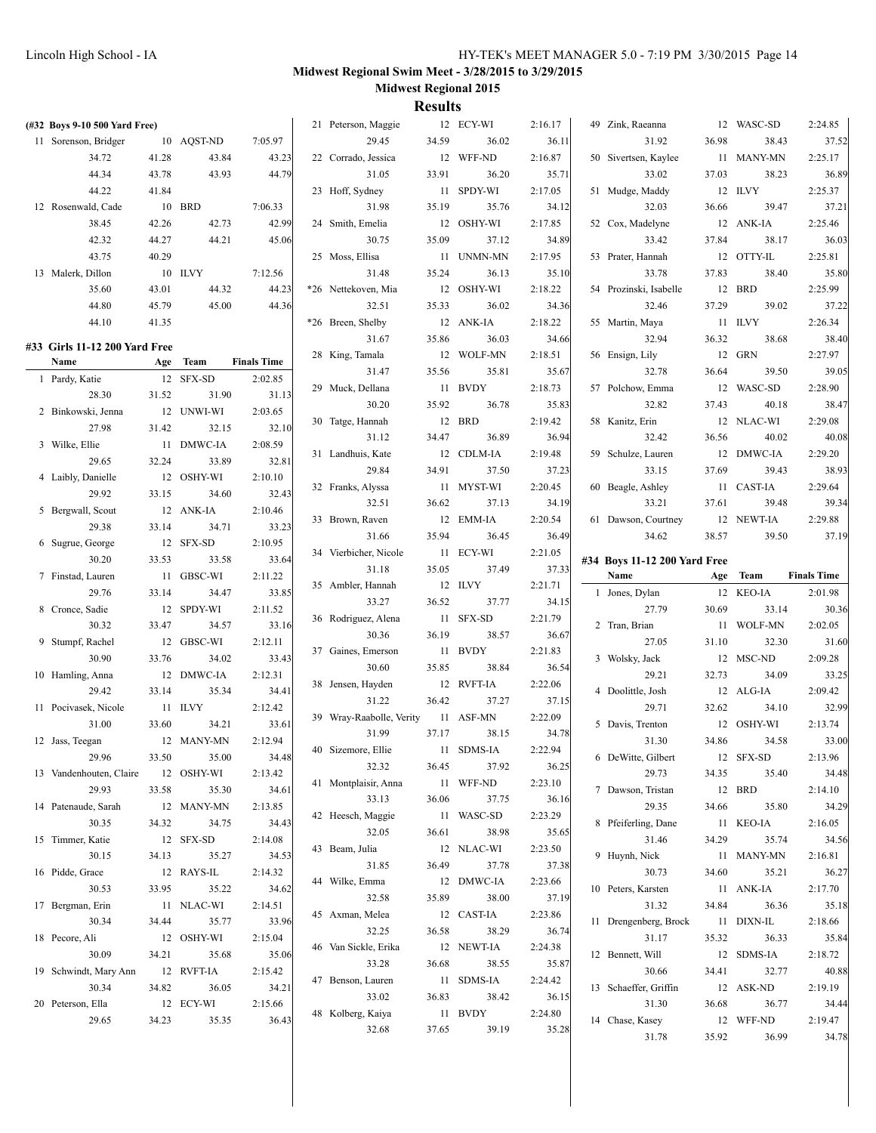| (#32 Boys 9-10 500 Yard Free) |       |                     |                    | 21 Peterson, Maggie      |       | 12 ECY-WI  | 2:16.17 | 49 Zink, Raeanna             |       | 12 WASC-SD         | 2:24.85            |
|-------------------------------|-------|---------------------|--------------------|--------------------------|-------|------------|---------|------------------------------|-------|--------------------|--------------------|
| 11 Sorenson, Bridger          |       | 10 AQST-ND          | 7:05.97            | 29.45                    | 34.59 | 36.02      | 36.11   | 31.92                        | 36.98 | 38.43              | 37.52              |
| 34.72                         | 41.28 | 43.84               | 43.23              | 22 Corrado, Jessica      |       | 12 WFF-ND  | 2:16.87 | 50 Sivertsen, Kaylee         |       | 11 MANY-MN         | 2:25.17            |
| 44.34                         | 43.78 | 43.93               | 44.79              | 31.05                    | 33.91 | 36.20      | 35.71   | 33.02                        | 37.03 | 38.23              | 36.89              |
| 44.22                         | 41.84 |                     |                    | 23 Hoff, Sydney          |       | 11 SPDY-WI | 2:17.05 | 51 Mudge, Maddy              |       | 12 ILVY            | 2:25.37            |
| 12 Rosenwald, Cade            |       | 10 BRD              | 7:06.33            | 31.98                    | 35.19 | 35.76      | 34.12   | 32.03                        | 36.66 | 39.47              | 37.21              |
| 38.45                         | 42.26 | 42.73               | 42.99              | 24 Smith, Emelia         |       | 12 OSHY-WI | 2:17.85 | 52 Cox, Madelyne             |       | 12 ANK-IA          | 2:25.46            |
| 42.32                         | 44.27 | 44.21               | 45.06              | 30.75                    | 35.09 | 37.12      | 34.89   | 33.42                        | 37.84 | 38.17              | 36.03              |
| 43.75                         | 40.29 |                     |                    | 25 Moss, Ellisa          |       | 11 UNMN-MN | 2:17.95 | 53 Prater, Hannah            |       | 12 OTTY-IL         | 2:25.81            |
| 13 Malerk, Dillon             |       | 10 ILVY             | 7:12.56            | 31.48                    | 35.24 | 36.13      | 35.10   | 33.78                        | 37.83 | 38.40              | 35.80              |
| 35.60                         | 43.01 | 44.32               | 44.23              | *26 Nettekoven, Mia      |       | 12 OSHY-WI | 2:18.22 | 54 Prozinski, Isabelle       |       | 12 BRD             | 2:25.99            |
| 44.80                         | 45.79 | 45.00               | 44.36              | 32.51                    | 35.33 | 36.02      | 34.36   | 32.46                        | 37.29 | 39.02              | 37.22              |
| 44.10                         | 41.35 |                     |                    | *26 Breen, Shelby        |       | 12 ANK-IA  | 2:18.22 | 55 Martin, Maya              |       | 11 ILVY            | 2:26.34            |
|                               |       |                     |                    | 31.67                    | 35.86 | 36.03      | 34.66   | 32.94                        | 36.32 | 38.68              | 38.40              |
| #33 Girls 11-12 200 Yard Free |       |                     |                    | 28 King, Tamala          |       | 12 WOLF-MN | 2:18.51 | 56 Ensign, Lily              |       | 12 GRN             | 2:27.97            |
| Name                          |       | Age Team            | <b>Finals Time</b> | 31.47                    | 35.56 | 35.81      | 35.67   | 32.78                        | 36.64 | 39.50              | 39.05              |
| 1 Pardy, Katie                |       | 12 SFX-SD           | 2:02.85            |                          |       | 11 BVDY    |         |                              |       |                    | 2:28.90            |
| 28.30                         | 31.52 | 31.90               | 31.13              | 29 Muck, Dellana         |       |            | 2:18.73 | 57 Polchow, Emma             |       | 12 WASC-SD         |                    |
| 2 Binkowski, Jenna            |       | 12 UNWI-WI          | 2:03.65            | 30.20                    | 35.92 | 36.78      | 35.83   | 32.82                        | 37.43 | 40.18              | 38.47              |
| 27.98                         | 31.42 | 32.15               | 32.10              | 30 Tatge, Hannah         |       | 12 BRD     | 2:19.42 | 58 Kanitz, Erin              |       | 12 NLAC-WI         | 2:29.08            |
| 3 Wilke, Ellie                |       | 11 DMWC-IA          | 2:08.59            | 31.12                    | 34.47 | 36.89      | 36.94   | 32.42                        | 36.56 | 40.02              | 40.08              |
| 29.65                         | 32.24 | 33.89               | 32.81              | 31 Landhuis, Kate        |       | 12 CDLM-IA | 2:19.48 | 59 Schulze, Lauren           |       | 12 DMWC-IA         | 2:29.20            |
| 4 Laibly, Danielle            |       | 12 OSHY-WI          | 2:10.10            | 29.84                    | 34.91 | 37.50      | 37.23   | 33.15                        | 37.69 | 39.43              | 38.93              |
| 29.92                         | 33.15 | 34.60               | 32.43              | 32 Franks, Alyssa        |       | 11 MYST-WI | 2:20.45 | 60 Beagle, Ashley            |       | 11 CAST-IA         | 2:29.64            |
| 5 Bergwall, Scout             |       | 12 ANK-IA           | 2:10.46            | 32.51                    | 36.62 | 37.13      | 34.19   | 33.21                        | 37.61 | 39.48              | 39.34              |
| 29.38                         | 33.14 | 34.71               | 33.23              | 33 Brown, Raven          |       | 12 EMM-IA  | 2:20.54 | 61 Dawson, Courtney          |       | 12 NEWT-IA         | 2:29.88            |
| 6 Sugrue, George              |       | 12 SFX-SD           | 2:10.95            | 31.66                    | 35.94 | 36.45      | 36.49   | 34.62                        | 38.57 | 39.50              | 37.19              |
| 30.20                         | 33.53 | 33.58               | 33.64              | 34 Vierbicher, Nicole    |       | 11 ECY-WI  | 2:21.05 | #34 Boys 11-12 200 Yard Free |       |                    |                    |
|                               |       |                     |                    | 31.18                    | 35.05 | 37.49      | 37.33   |                              |       |                    |                    |
|                               |       |                     |                    |                          |       |            |         | Name                         |       | Team               |                    |
| 7 Finstad, Lauren<br>29.76    |       | 11 GBSC-WI<br>34.47 | 2:11.22            | 35 Ambler, Hannah        |       | 12 ILVY    | 2:21.71 |                              | Age   |                    | <b>Finals Time</b> |
|                               | 33.14 |                     | 33.85              | 33.27                    | 36.52 | 37.77      | 34.15   | 1 Jones, Dylan<br>27.79      |       | 12 KEO-IA          | 2:01.98            |
| 8 Cronce, Sadie               |       | 12 SPDY-WI          | 2:11.52            | 36 Rodriguez, Alena      |       | 11 SFX-SD  | 2:21.79 |                              | 30.69 | 33.14              | 30.36              |
| 30.32                         | 33.47 | 34.57               | 33.16              | 30.36                    | 36.19 | 38.57      | 36.67   | 2 Tran, Brian<br>27.05       | 31.10 | 11 WOLF-MN         | 2:02.05            |
| 9 Stumpf, Rachel              |       | 12 GBSC-WI          | 2:12.11            | 37 Gaines, Emerson       |       | 11 BVDY    | 2:21.83 |                              |       | 32.30              | 31.60              |
| 30.90                         | 33.76 | 34.02               | 33.43              | 30.60                    | 35.85 | 38.84      | 36.54   | 3 Wolsky, Jack               |       | 12 MSC-ND          | 2:09.28            |
| 10 Hamling, Anna              |       | 12 DMWC-IA          | 2:12.31            | 38 Jensen, Hayden        |       | 12 RVFT-IA | 2:22.06 | 29.21                        | 32.73 | 34.09              | 33.25              |
| 29.42                         | 33.14 | 35.34               | 34.41              | 31.22                    | 36.42 | 37.27      | 37.15   | 4 Doolittle, Josh            |       | 12 ALG-IA          | 2:09.42            |
| 11 Pocivasek, Nicole          |       | 11 ILVY             | 2:12.42            | 39 Wray-Raabolle, Verity |       | 11 ASF-MN  | 2:22.09 | 29.71                        | 32.62 | 34.10              | 32.99              |
| 31.00                         | 33.60 | 34.21               | 33.61              | 31.99                    | 37.17 | 38.15      | 34.78   | 5 Davis, Trenton             |       | 12 OSHY-WI         | 2:13.74            |
| 12 Jass, Teegan               |       | 12 MANY-MN          | 2:12.94            | 40 Sizemore, Ellie       |       | 11 SDMS-IA | 2:22.94 | 31.30                        | 34.86 | 34.58              | 33.00              |
| 29.96                         | 33.50 | 35.00               | 34.48              | 32.32                    | 36.45 | 37.92      | 36.25   | 6 DeWitte, Gilbert           |       | 12 SFX-SD          | 2:13.96            |
| 13 Vandenhouten, Claire       |       | 12 OSHY-WI          | 2:13.42            | 41 Montplaisir, Anna     |       | 11 WFF-ND  | 2:23.10 | 29.73                        | 34.35 | 35.40              | 34.48              |
| 29.93                         | 33.58 | 35.30               | 34.61              | 33.13                    | 36.06 | 37.75      | 36.16   | 7 Dawson, Tristan            |       | 12 BRD             | 2:14.10            |
| 14 Patenaude, Sarah           |       | 12 MANY-MN          | 2:13.85            | 42 Heesch, Maggie        |       | 11 WASC-SD | 2:23.29 | 29.35                        | 34.66 | 35.80              | 34.29              |
| 30.35                         | 34.32 | 34.75               | 34.43              | 32.05                    | 36.61 | 38.98      | 35.65   | 8 Pfeiferling, Dane          |       | 11 KEO-IA          | 2:16.05            |
| 15 Timmer, Katie              |       | 12 SFX-SD           | 2:14.08            | 43 Beam, Julia           |       | 12 NLAC-WI | 2:23.50 | 31.46                        | 34.29 | 35.74              | 34.56              |
| 30.15                         | 34.13 | 35.27               | 34.53              | 31.85                    | 36.49 | 37.78      | 37.38   | 9 Huynh, Nick                |       | 11 MANY-MN         | 2:16.81            |
| 16 Pidde, Grace               |       | 12 RAYS-IL          | 2:14.32            | 44 Wilke, Emma           |       | 12 DMWC-IA | 2:23.66 | 30.73                        | 34.60 | 35.21              | 36.27              |
| 30.53                         | 33.95 | 35.22               | 34.62              | 32.58                    | 35.89 | 38.00      | 37.19   | 10 Peters, Karsten           |       | 11 ANK-IA          | 2:17.70            |
| 17 Bergman, Erin              |       | 11 NLAC-WI          | 2:14.51            | 45 Axman, Melea          |       | 12 CAST-IA | 2:23.86 | 31.32                        | 34.84 | 36.36              | 35.18              |
| 30.34                         | 34.44 | 35.77               | 33.96              | 32.25                    | 36.58 | 38.29      | 36.74   | 11 Drengenberg, Brock        |       | 11 DIXN-IL         | 2:18.66            |
| 18 Pecore, Ali                |       | 12 OSHY-WI          | 2:15.04            | 46 Van Sickle, Erika     |       | 12 NEWT-IA | 2:24.38 | 31.17                        | 35.32 | 36.33              | 35.84              |
| 30.09                         | 34.21 | 35.68               | 35.06              | 33.28                    | 36.68 | 38.55      | 35.87   | 12 Bennett, Will             |       | 12 SDMS-IA         | 2:18.72            |
| 19 Schwindt, Mary Ann         |       | 12 RVFT-IA          | 2:15.42            | 47 Benson, Lauren        |       | 11 SDMS-IA | 2:24.42 | 30.66                        | 34.41 | 32.77              | 40.88              |
| 30.34                         | 34.82 | 36.05               | 34.21              | 33.02                    | 36.83 | 38.42      | 36.15   | 13 Schaeffer, Griffin        |       | 12 ASK-ND          | 2:19.19            |
| 20 Peterson, Ella             |       | 12 ECY-WI           | 2:15.66            | 48 Kolberg, Kaiya        |       | 11 BVDY    | 2:24.80 | 31.30                        | 36.68 | 36.77              | 34.44              |
| 29.65                         | 34.23 | 35.35               | 36.43              | 32.68                    | 37.65 | 39.19      | 35.28   | 14 Chase, Kasey<br>31.78     | 35.92 | 12 WFF-ND<br>36.99 | 2:19.47<br>34.78   |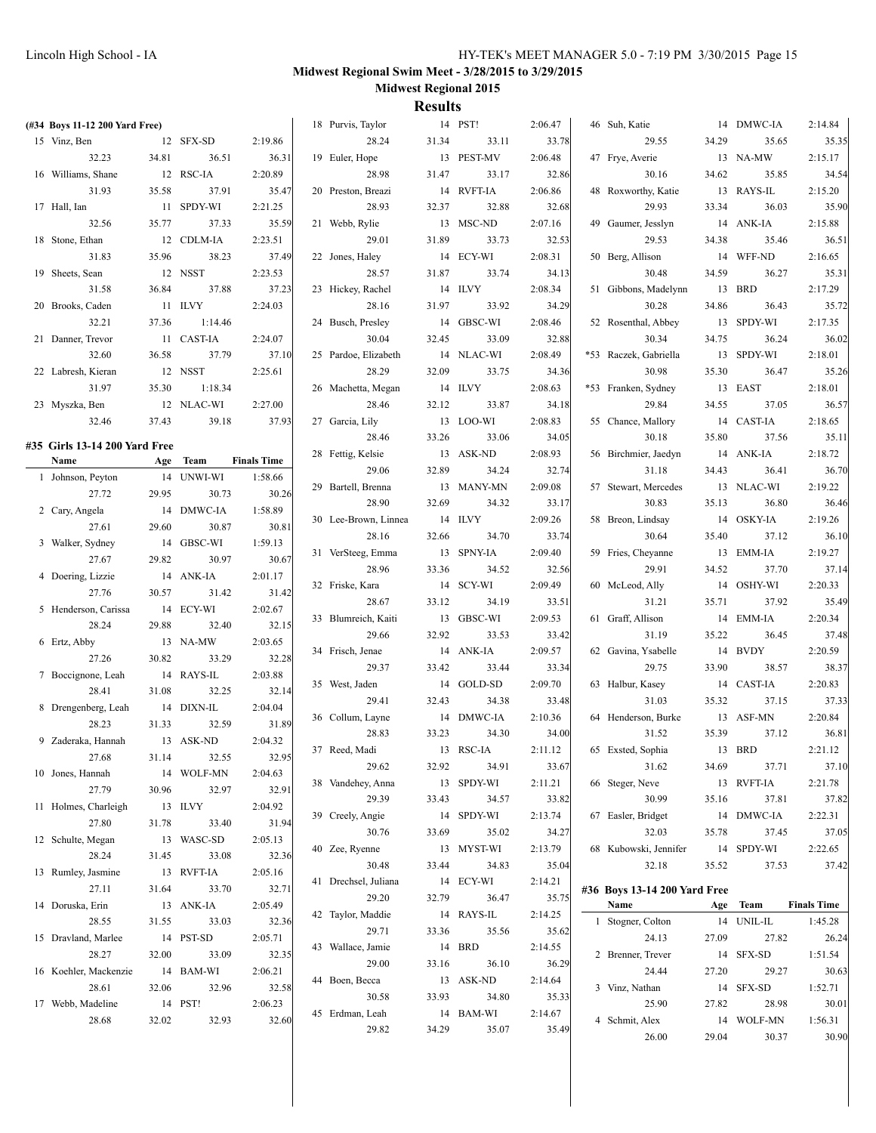| (#34 Boys 11-12 200 Yard Free) |         |            |                    | 18 Purvis, Taylor    |        | 14 PST!          | 2:06.47 | 46 Suh, Katie                |       | 14 DMWC-IA | 2:14.84            |
|--------------------------------|---------|------------|--------------------|----------------------|--------|------------------|---------|------------------------------|-------|------------|--------------------|
| 15 Vinz, Ben                   |         | 12 SFX-SD  | 2:19.86            | 28.24                | 31.34  | 33.11            | 33.78   | 29.55                        | 34.29 | 35.65      | 35.35              |
| 32.23                          | 34.81   | 36.51      | 36.31              | 19 Euler, Hope       |        | 13 PEST-MV       | 2:06.48 | 47 Frye, Averie              |       | 13 NA-MW   | 2:15.17            |
| 16 Williams, Shane             |         | 12 RSC-IA  | 2:20.89            | 28.98                | 31.47  | 33.17            | 32.86   | 30.16                        | 34.62 | 35.85      | 34.54              |
| 31.93                          | 35.58   | 37.91      | 35.47              | 20 Preston, Breazi   |        | 14 RVFT-IA       | 2:06.86 | 48 Roxworthy, Katie          |       | 13 RAYS-IL | 2:15.20            |
| 17 Hall, Ian                   |         | 11 SPDY-WI | 2:21.25            | 28.93                | 32.37  | 32.88            | 32.68   | 29.93                        | 33.34 | 36.03      | 35.90              |
| 32.56                          | 35.77   | 37.33      | 35.59              | 21 Webb, Rylie       |        | 13 MSC-ND        | 2:07.16 | 49 Gaumer, Jesslyn           |       | 14 ANK-IA  | 2:15.88            |
| 18 Stone, Ethan                |         | 12 CDLM-IA | 2:23.51            | 29.01                | 31.89  | 33.73            | 32.53   | 29.53                        | 34.38 | 35.46      | 36.51              |
| 31.83                          | 35.96   | 38.23      | 37.49              | 22 Jones, Haley      |        | 14 ECY-WI        | 2:08.31 | 50 Berg, Allison             |       | 14 WFF-ND  | 2:16.65            |
| 19 Sheets, Sean                |         | 12 NSST    | 2:23.53            | 28.57                | 31.87  | 33.74            | 34.13   | 30.48                        | 34.59 | 36.27      | 35.31              |
| 31.58                          | 36.84   | 37.88      | 37.23              | 23 Hickey, Rachel    |        | 14 ILVY          | 2:08.34 | 51 Gibbons, Madelynn         |       | 13 BRD     | 2:17.29            |
| 20 Brooks, Caden               |         | 11 ILVY    | 2:24.03            | 28.16                | 31.97  | 33.92            | 34.29   | 30.28                        | 34.86 | 36.43      | 35.72              |
| 32.21                          | 37.36   | 1:14.46    |                    | 24 Busch, Presley    |        | 14 GBSC-WI       | 2:08.46 | 52 Rosenthal, Abbey          |       | 13 SPDY-WI | 2:17.35            |
| 21 Danner, Trevor              |         | 11 CAST-IA | 2:24.07            | 30.04                | 32.45  | 33.09            | 32.88   | 30.34                        | 34.75 | 36.24      | 36.02              |
| 32.60                          | 36.58   | 37.79      | 37.10              | 25 Pardoe, Elizabeth |        | 14 NLAC-WI       | 2:08.49 | *53 Raczek, Gabriella        |       | 13 SPDY-WI | 2:18.01            |
| 22 Labresh, Kieran             |         | 12 NSST    | 2:25.61            | 28.29                | 32.09  | 33.75            | 34.36   | 30.98                        | 35.30 | 36.47      | 35.26              |
| 31.97                          | 35.30   | 1:18.34    |                    | 26 Machetta, Megan   |        | 14 ILVY          | 2:08.63 | *53 Franken, Sydney          |       | 13 EAST    | 2:18.01            |
| 23 Myszka, Ben                 |         | 12 NLAC-WI | 2:27.00            | 28.46                | 32.12  | 33.87            | 34.18   | 29.84                        | 34.55 | 37.05      | 36.57              |
| 32.46                          | 37.43   | 39.18      | 37.93              | 27 Garcia, Lily      |        | 13 LOO-WI        | 2:08.83 | 55 Chance, Mallory           |       | 14 CAST-IA | 2:18.65            |
|                                |         |            |                    | 28.46                | 33.26  | 33.06            | 34.05   | 30.18                        | 35.80 | 37.56      | 35.11              |
| #35 Girls 13-14 200 Yard Free  |         |            |                    | 28 Fettig, Kelsie    |        | 13 ASK-ND        | 2:08.93 | 56 Birchmier, Jaedyn         |       | 14 ANK-IA  | 2:18.72            |
| Name                           |         | Age Team   | <b>Finals Time</b> | 29.06                | 32.89  | 34.24            | 32.74   | 31.18                        | 34.43 | 36.41      | 36.70              |
| 1 Johnson, Peyton              |         | 14 UNWI-WI | 1:58.66            |                      |        |                  | 2:09.08 |                              |       |            |                    |
| 27.72                          | 29.95   | 30.73      | 30.26              | 29 Bartell, Brenna   |        | 13 MANY-MN       |         | 57 Stewart, Mercedes         |       | 13 NLAC-WI | 2:19.22            |
| 2 Cary, Angela                 |         | 14 DMWC-IA | 1:58.89            | 28.90                | 32.69  | 34.32<br>14 ILVY | 33.17   | 30.83                        | 35.13 | 36.80      | 36.46              |
| 27.61                          | 29.60   | 30.87      | 30.81              | 30 Lee-Brown, Linnea |        |                  | 2:09.26 | 58 Breon, Lindsay            |       | 14 OSKY-IA | 2:19.26            |
| 3 Walker, Sydney               |         | 14 GBSC-WI | 1:59.13            | 28.16                | 32.66  | 34.70            | 33.74   | 30.64                        | 35.40 | 37.12      | 36.10              |
| 27.67                          | 29.82   | 30.97      | 30.67              | 31 VerSteeg, Emma    |        | 13 SPNY-IA       | 2:09.40 | 59 Fries, Cheyanne           |       | 13 EMM-IA  | 2:19.27            |
| 4 Doering, Lizzie              |         | 14 ANK-IA  | 2:01.17            | 28.96                | 33.36  | 34.52            | 32.56   | 29.91                        | 34.52 | 37.70      | 37.14              |
| 27.76                          | 30.57   | 31.42      | 31.42              | 32 Friske, Kara      |        | 14 SCY-WI        | 2:09.49 | 60 McLeod, Ally              |       | 14 OSHY-WI | 2:20.33            |
| 5 Henderson, Carissa           |         | 14 ECY-WI  | 2:02.67            | 28.67                | 33.12  | 34.19            | 33.51   | 31.21                        | 35.71 | 37.92      | 35.49              |
| 28.24                          | 29.88   | 32.40      | 32.15              | 33 Blumreich, Kaiti  |        | 13 GBSC-WI       | 2:09.53 | 61 Graff, Allison            |       | 14 EMM-IA  | 2:20.34            |
| 6 Ertz, Abby                   |         | 13 NA-MW   | 2:03.65            | 29.66                | 32.92  | 33.53            | 33.42   | 31.19                        | 35.22 | 36.45      | 37.48              |
| 27.26                          | 30.82   | 33.29      | 32.28              | 34 Frisch, Jenae     |        | 14 ANK-IA        | 2:09.57 | 62 Gavina, Ysabelle          |       | 14 BVDY    | 2:20.59            |
| 7 Boccignone, Leah             |         | 14 RAYS-IL | 2:03.88            | 29.37                | 33.42  | 33.44            | 33.34   | 29.75                        | 33.90 | 38.57      | 38.37              |
| 28.41                          | 31.08   | 32.25      | 32.14              | 35 West, Jaden       |        | 14 GOLD-SD       | 2:09.70 | 63 Halbur, Kasey             |       | 14 CAST-IA | 2:20.83            |
| 8 Drengenberg, Leah            |         | 14 DIXN-IL | 2:04.04            | 29.41                | 32.43  | 34.38            | 33.48   | 31.03                        | 35.32 | 37.15      | 37.33              |
| 28.23                          | 31.33   | 32.59      | 31.89              | 36 Collum, Layne     |        | 14 DMWC-IA       | 2:10.36 | 64 Henderson, Burke          |       | 13 ASF-MN  | 2:20.84            |
| 9 Zaderaka, Hannah             |         | 13 ASK-ND  | 2:04.32            | 28.83                | 33.23  | 34.30            | 34.00   | 31.52                        | 35.39 | 37.12      | 36.81              |
| 27.68                          | 31.14   | 32.55      | 32.95              | 37 Reed, Madi        |        | 13 RSC-IA        | 2:11.12 | 65 Exsted, Sophia            |       | 13 BRD     | 2:21.12            |
| 10 Jones, Hannah               |         | 14 WOLF-MN | 2:04.63            | 29.62                | 32.92  | 34.91            | 33.67   | 31.62                        | 34.69 | 37.71      | 37.10              |
| 27.79                          | 30.96   | 32.97      | 32.91              | 38 Vandehey, Anna    |        | 13 SPDY-WI       | 2:11.21 | 66 Steger, Neve              |       | 13 RVFT-IA | 2:21.78            |
| 11 Holmes, Charleigh           |         | 13 ILVY    | 2:04.92            | 29.39                | 33.43  | 34.57            | 33.82   | 30.99                        | 35.16 | 37.81      | 37.82              |
| 27.80                          | 31.78   | 33.40      | 31.94              | 39 Creely, Angie     |        | 14 SPDY-WI       | 2:13.74 | 67 Easler, Bridget           |       | 14 DMWC-IA | 2:22.31            |
| 12 Schulte, Megan              |         | 13 WASC-SD | 2:05.13            | 30.76                | 33.69  | 35.02            | 34.27   | 32.03                        | 35.78 | 37.45      | 37.05              |
| 28.24                          | 31.45   | 33.08      | 32.36              | 40 Zee, Ryenne       |        | 13 MYST-WI       | 2:13.79 | 68 Kubowski, Jennifer        |       | 14 SPDY-WI | 2:22.65            |
| 13 Rumley, Jasmine             |         | 13 RVFT-IA | 2:05.16            | 30.48                | 33.44  | 34.83            | 35.04   | 32.18                        | 35.52 | 37.53      | 37.42              |
| 27.11                          | 31.64   | 33.70      | 32.71              | 41 Drechsel, Juliana |        | 14 ECY-WI        | 2:14.21 | #36 Boys 13-14 200 Yard Free |       |            |                    |
| 14 Doruska, Erin               |         | 13 ANK-IA  | 2:05.49            | 29.20                | 32.79  | 36.47            | 35.75   | Name                         |       | Age Team   | <b>Finals Time</b> |
| 28.55                          | 31.55   | 33.03      | 32.36              | 42 Taylor, Maddie    |        | 14 RAYS-IL       | 2:14.25 | 1 Stogner, Colton            |       | 14 UNIL-IL | 1:45.28            |
| 15 Dravland, Marlee            |         | 14 PST-SD  | 2:05.71            | 29.71                | 33.36  | 35.56            | 35.62   | 24.13                        | 27.09 | 27.82      | 26.24              |
| 28.27                          | 32.00   | 33.09      | 32.35              | 43 Wallace, Jamie    | 14 BRD |                  | 2:14.55 | 2 Brenner, Trever            |       | 14 SFX-SD  | 1:51.54            |
| 16 Koehler, Mackenzie          |         | 14 BAM-WI  | 2:06.21            | 29.00                | 33.16  | 36.10            | 36.29   | 24.44                        | 27.20 | 29.27      | 30.63              |
| 28.61                          | 32.06   | 32.96      | 32.58              | 44 Boen, Becca       |        | 13 ASK-ND        | 2:14.64 | 3 Vinz, Nathan               |       | 14 SFX-SD  | 1:52.71            |
| 17 Webb, Madeline              | 14 PST! |            | 2:06.23            | 30.58                | 33.93  | 34.80            | 35.33   | 25.90                        | 27.82 | 28.98      | 30.01              |
| 28.68                          | 32.02   | 32.93      | 32.60              | 45 Erdman, Leah      |        | 14 BAM-WI        | 2:14.67 | 4 Schmit, Alex               |       | 14 WOLF-MN | 1:56.31            |
|                                |         |            |                    | 29.82                | 34.29  | 35.07            | 35.49   | 26.00                        | 29.04 | 30.37      | 30.90              |
|                                |         |            |                    |                      |        |                  |         |                              |       |            |                    |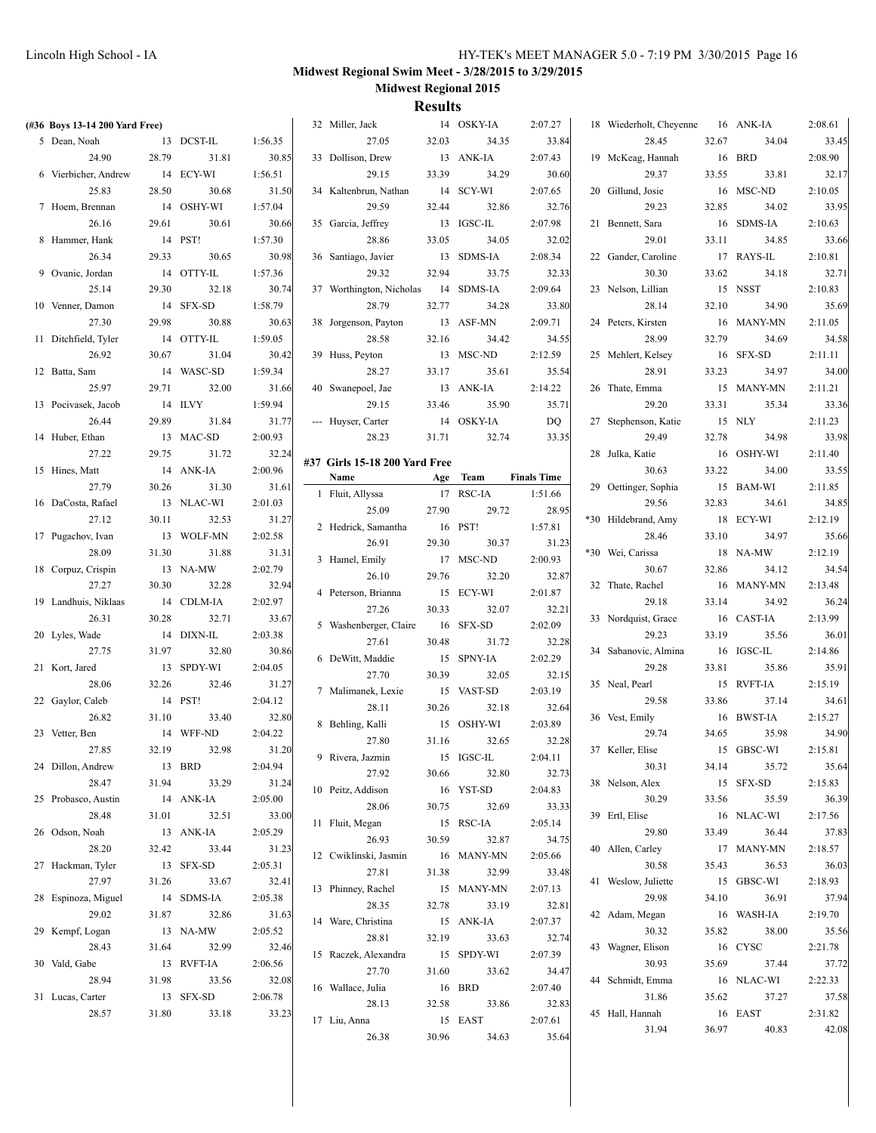| (#36 Boys 13-14 200 Yard Free) |        |                    |                  | 32 Miller, Jack               |                 | 14 OSKY-IA | 2:07.27            | 18 Wiederholt, Cheyenne  |       | 16 ANK-IA           | 2:08.61          |
|--------------------------------|--------|--------------------|------------------|-------------------------------|-----------------|------------|--------------------|--------------------------|-------|---------------------|------------------|
| 5 Dean, Noah                   |        | 13 DCST-IL         | 1:56.35          | 27.05                         | 32.03           | 34.35      | 33.84              | 28.45                    | 32.67 | 34.04               | 33.45            |
| 24.90                          | 28.79  | 31.81              | 30.85            | 33 Dollison, Drew             |                 | 13 ANK-IA  | 2:07.43            | 19 McKeag, Hannah        |       | 16 BRD              | 2:08.90          |
| 6 Vierbicher, Andrew           |        | 14 ECY-WI          | 1:56.51          | 29.15                         | 33.39           | 34.29      | 30.60              | 29.37                    | 33.55 | 33.81               | 32.17            |
| 25.83                          | 28.50  | 30.68              | 31.50            | 34 Kaltenbrun, Nathan         |                 | 14 SCY-WI  | 2:07.65            | 20 Gillund, Josie        |       | 16 MSC-ND           | 2:10.05          |
| 7 Hoem, Brennan                |        | 14 OSHY-WI         | 1:57.04          | 29.59                         | 32.44           | 32.86      | 32.76              | 29.23                    | 32.85 | 34.02               | 33.95            |
| 26.16                          | 29.61  | 30.61              | 30.66            | 35 Garcia, Jeffrey            |                 | 13 IGSC-IL | 2:07.98            | 21 Bennett, Sara         |       | 16 SDMS-IA          | 2:10.63          |
| 8 Hammer, Hank                 |        | 14 PST!            | 1:57.30          | 28.86                         | 33.05           | 34.05      | 32.02              | 29.01                    | 33.11 | 34.85               | 33.66            |
| 26.34                          | 29.33  | 30.65              | 30.98            | 36 Santiago, Javier           |                 | 13 SDMS-IA | 2:08.34            | 22 Gander, Caroline      |       | 17 RAYS-IL          | 2:10.81          |
| 9 Ovanic, Jordan               |        | 14 OTTY-IL         | 1:57.36          | 29.32                         | 32.94           | 33.75      | 32.33              | 30.30                    | 33.62 | 34.18               | 32.71            |
| 25.14                          | 29.30  | 32.18              | 30.74            | 37 Worthington, Nicholas      |                 | 14 SDMS-IA | 2:09.64            | 23 Nelson, Lillian       |       | 15 NSST             | 2:10.83          |
| 10 Venner, Damon               |        | 14 SFX-SD          | 1:58.79          | 28.79                         | 32.77           | 34.28      | 33.80              | 28.14                    | 32.10 | 34.90               | 35.69            |
| 27.30                          | 29.98  | 30.88              | 30.63            | 38 Jorgenson, Payton          |                 | 13 ASF-MN  | 2:09.71            | 24 Peters, Kirsten       |       | 16 MANY-MN          | 2:11.05          |
| 11 Ditchfield, Tyler           |        | 14 OTTY-IL         | 1:59.05          | 28.58                         | 32.16           | 34.42      | 34.55              | 28.99                    | 32.79 | 34.69               | 34.58            |
| 26.92                          | 30.67  | 31.04              | 30.42            | 39 Huss, Peyton               |                 | 13 MSC-ND  | 2:12.59            | 25 Mehlert, Kelsey       |       | 16 SFX-SD           | 2:11.11          |
| 12 Batta, Sam                  |        | 14 WASC-SD         | 1:59.34          | 28.27                         | 33.17           | 35.61      | 35.54              | 28.91                    | 33.23 | 34.97               | 34.00            |
| 25.97                          | 29.71  | 32.00              | 31.66            | 40 Swanepoel, Jae             |                 | 13 ANK-IA  | 2:14.22            | 26 Thate, Emma           |       | 15 MANY-MN          | 2:11.21          |
| 13 Pocivasek, Jacob            |        | 14 ILVY            | 1:59.94          | 29.15                         | 33.46           | 35.90      | 35.71              | 29.20                    | 33.31 | 35.34               | 33.36            |
| 26.44                          | 29.89  | 31.84              | 31.77            | --- Huyser, Carter            |                 | 14 OSKY-IA | DO                 | 27 Stephenson, Katie     |       | 15 NLY              | 2:11.23          |
| 14 Huber, Ethan                |        | 13 MAC-SD          | 2:00.93          |                               | 31.71           | 32.74      | 33.35              | 29.49                    | 32.78 | 34.98               | 33.98            |
| 27.22                          |        |                    |                  | 28.23                         |                 |            |                    |                          |       |                     |                  |
|                                | 29.75  | 31.72<br>14 ANK-IA | 32.24<br>2:00.96 | #37 Girls 15-18 200 Yard Free |                 |            |                    | 28 Julka, Katie<br>30.63 | 33.22 | 16 OSHY-WI<br>34.00 | 2:11.40<br>33.55 |
| 15 Hines, Matt                 |        |                    |                  | Name                          |                 | Age Team   | <b>Finals Time</b> |                          |       |                     |                  |
| 27.79                          | 30.26  | 31.30              | 31.61            | 1 Fluit, Allyssa              |                 | 17 RSC-IA  | 1:51.66            | 29 Oettinger, Sophia     |       | 15 BAM-WI           | 2:11.85          |
| 16 DaCosta, Rafael             |        | 13 NLAC-WI         | 2:01.03          | 25.09                         | 27.90           | 29.72      | 28.95              | 29.56                    | 32.83 | 34.61               | 34.85            |
| 27.12                          | 30.11  | 32.53              | 31.27            | 2 Hedrick, Samantha           |                 | 16 PST!    | 1:57.81            | *30 Hildebrand, Amy      |       | 18 ECY-WI           | 2:12.19          |
| 17 Pugachov, Ivan              |        | 13 WOLF-MN         | 2:02.58          | 26.91                         | 29.30           | 30.37      | 31.23              | 28.46                    | 33.10 | 34.97               | 35.66            |
| 28.09                          | 31.30  | 31.88              | 31.31            | 3 Hamel, Emily                |                 | 17 MSC-ND  | 2:00.93            | *30 Wei, Carissa         |       | 18 NA-MW            | 2:12.19          |
| 18 Corpuz, Crispin             |        | 13 NA-MW           | 2:02.79          | 26.10                         | 29.76           | 32.20      | 32.87              | 30.67                    | 32.86 | 34.12               | 34.54            |
| 27.27                          | 30.30  | 32.28              | 32.94            | 4 Peterson, Brianna           |                 | 15 ECY-WI  | 2:01.87            | 32 Thate, Rachel         |       | 16 MANY-MN          | 2:13.48          |
| 19 Landhuis, Niklaas           |        | 14 CDLM-IA         | 2:02.97          | 27.26                         | 30.33           | 32.07      | 32.21              | 29.18                    | 33.14 | 34.92               | 36.24            |
| 26.31                          | 30.28  | 32.71              | 33.67            | 5 Washenberger, Claire        |                 | 16 SFX-SD  | 2:02.09            | 33 Nordquist, Grace      |       | 16 CAST-IA          | 2:13.99          |
| 20 Lyles, Wade                 |        | 14 DIXN-IL         | 2:03.38          | 27.61                         | 30.48           | 31.72      | 32.28              | 29.23                    | 33.19 | 35.56               | 36.01            |
| 27.75                          | 31.97  | 32.80              | 30.86            | 6 DeWitt, Maddie              |                 | 15 SPNY-IA | 2:02.29            | 34 Sabanovic, Almina     |       | 16 IGSC-IL          | 2:14.86          |
| 21 Kort, Jared                 |        | 13 SPDY-WI         | 2:04.05          | 27.70                         | 30.39           | 32.05      | 32.15              | 29.28                    | 33.81 | 35.86               | 35.91            |
| 28.06                          | 32.26  | 32.46              | 31.27            | 7 Malimanek, Lexie            |                 | 15 VAST-SD | 2:03.19            | 35 Neal, Pearl           |       | 15 RVFT-IA          | 2:15.19          |
| 22 Gaylor, Caleb               |        | 14 PST!            | 2:04.12          | 28.11                         | 30.26           | 32.18      | 32.64              | 29.58                    | 33.86 | 37.14               | 34.61            |
| 26.82                          | 31.10  | 33.40              | 32.80            | 8 Behling, Kalli              |                 | 15 OSHY-WI | 2:03.89            | 36 Vest, Emily           |       | 16 BWST-IA          | 2:15.27          |
| 23 Vetter, Ben                 |        | 14 WFF-ND          | 2:04.22          | 27.80                         | 31.16           | 32.65      | 32.28              | 29.74                    | 34.65 | 35.98               | 34.90            |
| 27.85                          | 32.19  | 32.98              | 31.20            | 9 Rivera, Jazmin              |                 | 15 IGSC-IL | 2:04.11            | 37 Keller, Elise         |       | 15 GBSC-WI          | 2:15.81          |
| 24 Dillon, Andrew              | 13 BRD |                    | 2:04.94          | 27.92                         | 30.66           | 32.80      | 32.73              | 30.31                    | 34.14 | 35.72               | 35.64            |
| 28.47                          | 31.94  | 33.29              | 31.24            | 10 Peitz, Addison             |                 | 16 YST-SD  | 2:04.83            | 38 Nelson, Alex          |       | 15 SFX-SD           | 2:15.83          |
| 25 Probasco, Austin            |        | 14 ANK-IA          | 2:05.00          | 28.06                         | 30.75           | 32.69      | 33.33              | 30.29                    | 33.56 | 35.59               | 36.39            |
| 28.48                          | 31.01  | 32.51              | 33.00            | 11 Fluit, Megan               |                 | 15 RSC-IA  | 2:05.14            | 39 Ertl, Elise           |       | 16 NLAC-WI          | 2:17.56          |
| 26 Odson, Noah                 |        | 13 ANK-IA          | 2:05.29          | 26.93                         | 30.59           | 32.87      | 34.75              | 29.80                    | 33.49 | 36.44               | 37.83            |
| 28.20                          | 32.42  | 33.44              | 31.23            | 12 Cwiklinski, Jasmin         |                 | 16 MANY-MN | 2:05.66            | 40 Allen, Carley         |       | 17 MANY-MN          | 2:18.57          |
| 27 Hackman, Tyler              |        | 13 SFX-SD          | 2:05.31          | 27.81                         | 31.38           | 32.99      | 33.48              | 30.58                    | 35.43 | 36.53               | 36.03            |
| 27.97                          | 31.26  | 33.67              | 32.41            | 13 Phinney, Rachel            |                 | 15 MANY-MN | 2:07.13            | 41 Weslow, Juliette      |       | 15 GBSC-WI          | 2:18.93          |
| 28 Espinoza, Miguel            |        | 14 SDMS-IA         | 2:05.38          | 28.35                         | 32.78           | 33.19      | 32.81              | 29.98                    | 34.10 | 36.91               | 37.94            |
| 29.02                          | 31.87  | 32.86              | 31.63            | 14 Ware, Christina            |                 | 15 ANK-IA  | 2:07.37            | 42 Adam, Megan           |       | 16 WASH-IA          | 2:19.70          |
| 29 Kempf, Logan                |        | 13 NA-MW           | 2:05.52          | 28.81                         | 32.19           | 33.63      | 32.74              | 30.32                    | 35.82 | 38.00               | 35.56            |
| 28.43                          | 31.64  | 32.99              | 32.46            | 15 Raczek, Alexandra          |                 | 15 SPDY-WI | 2:07.39            | 43 Wagner, Elison        |       | 16 CYSC             | 2:21.78          |
| 30 Vald, Gabe                  |        | 13 RVFT-IA         | 2:06.56          | 27.70                         |                 | 33.62      | 34.47              | 30.93                    | 35.69 | 37.44               | 37.72            |
| 28.94                          | 31.98  | 33.56              | 32.08            |                               | 31.60<br>16 BRD |            |                    | 44 Schmidt, Emma         |       | 16 NLAC-WI          | 2:22.33          |
| 31 Lucas, Carter               |        | 13 SFX-SD          | 2:06.78          | 16 Wallace, Julia             |                 |            | 2:07.40            | 31.86                    | 35.62 | 37.27               | 37.58            |
| 28.57                          | 31.80  | 33.18              | 33.23            | 28.13                         | 32.58           | 33.86      | 32.83              | 45 Hall, Hannah          |       | 16 EAST             | 2:31.82          |
|                                |        |                    |                  | 17 Liu, Anna                  |                 | 15 EAST    | 2:07.61            | 31.94                    | 36.97 | 40.83               | 42.08            |
|                                |        |                    |                  | 26.38                         | 30.96           | 34.63      | 35.64              |                          |       |                     |                  |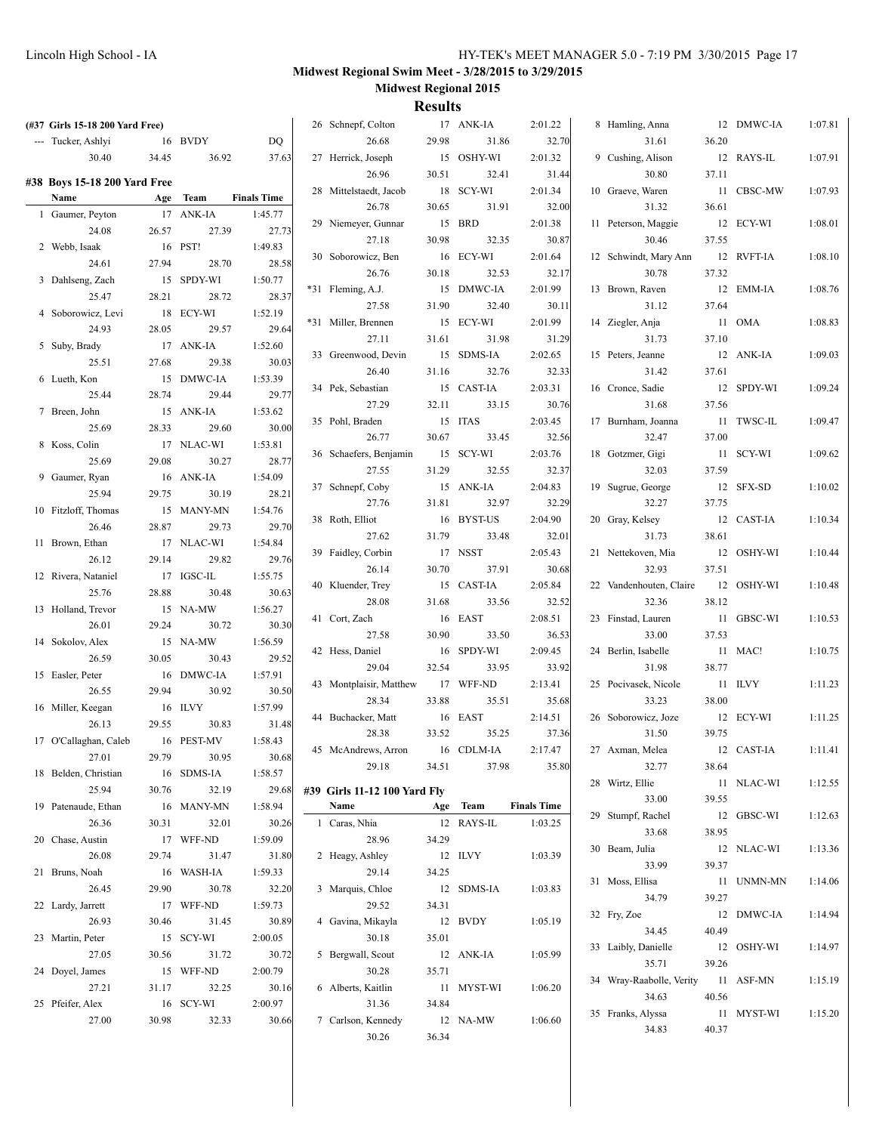| (#37 Girls 15-18 200 Yard Free)      |       |            |                    | 26 Schnepf, Colton           |         | 17 ANK-IA  | 2:01.22            | 8 Hamling, Anna          |       | 12 DMWC-IA | 1:07.81 |
|--------------------------------------|-------|------------|--------------------|------------------------------|---------|------------|--------------------|--------------------------|-------|------------|---------|
| --- Tucker, Ashlyi                   |       | 16 BVDY    | DQ                 | 26.68                        | 29.98   | 31.86      | 32.70              | 31.61                    | 36.20 |            |         |
| 30.40                                | 34.45 | 36.92      | 37.63              | 27 Herrick, Joseph           |         | 15 OSHY-WI | 2:01.32            | 9 Cushing, Alison        |       | 12 RAYS-IL | 1:07.91 |
|                                      |       |            |                    | 26.96                        | 30.51   | 32.41      | 31.44              | 30.80                    | 37.11 |            |         |
| #38 Boys 15-18 200 Yard Free<br>Name |       | Age Team   | <b>Finals Time</b> | 28 Mittelstaedt, Jacob       |         | 18 SCY-WI  | 2:01.34            | 10 Graeve, Waren         |       | 11 CBSC-MW | 1:07.93 |
| 1 Gaumer, Peyton                     |       | 17 ANK-IA  | 1:45.77            | 26.78                        | 30.65   | 31.91      | 32.00              | 31.32                    | 36.61 |            |         |
|                                      |       | 27.39      |                    | 29 Niemeyer, Gunnar          |         | 15 BRD     | 2:01.38            | 11 Peterson, Maggie      |       | 12 ECY-WI  | 1:08.01 |
| 24.08                                | 26.57 | 16 PST!    | 27.73              | 27.18                        | 30.98   | 32.35      | 30.87              | 30.46                    | 37.55 |            |         |
| 2 Webb, Isaak                        |       |            | 1:49.83            | 30 Soborowicz, Ben           |         | 16 ECY-WI  | 2:01.64            | 12 Schwindt, Mary Ann    |       | 12 RVFT-IA | 1:08.10 |
| 24.61                                | 27.94 | 28.70      | 28.58              | 26.76                        | 30.18   | 32.53      | 32.17              | 30.78                    | 37.32 |            |         |
| 3 Dahlseng, Zach                     |       | 15 SPDY-WI | 1:50.77            | *31 Fleming, A.J.            |         | 15 DMWC-IA | 2:01.99            | 13 Brown, Raven          |       | 12 EMM-IA  | 1:08.76 |
| 25.47                                | 28.21 | 28.72      | 28.37              | 27.58                        | 31.90   | 32.40      | 30.11              | 31.12                    | 37.64 |            |         |
| 4 Soborowicz, Levi                   |       | 18 ECY-WI  | 1:52.19            | *31 Miller, Brennen          |         | 15 ECY-WI  | 2:01.99            | 14 Ziegler, Anja         |       | 11 OMA     | 1:08.83 |
| 24.93                                | 28.05 | 29.57      | 29.64              | 27.11                        | 31.61   | 31.98      | 31.29              | 31.73                    | 37.10 |            |         |
| 5 Suby, Brady                        |       | 17 ANK-IA  | 1:52.60            | 33 Greenwood, Devin          |         | 15 SDMS-IA | 2:02.65            | 15 Peters, Jeanne        |       | 12 ANK-IA  | 1:09.03 |
| 25.51                                | 27.68 | 29.38      | 30.03              | 26.40                        | 31.16   | 32.76      | 32.33              | 31.42                    | 37.61 |            |         |
| 6 Lueth, Kon                         |       | 15 DMWC-IA | 1:53.39            | 34 Pek, Sebastian            |         | 15 CAST-IA | 2:03.31            | 16 Cronce, Sadie         |       | 12 SPDY-WI | 1:09.24 |
| 25.44                                | 28.74 | 29.44      | 29.77              | 27.29                        | 32.11   | 33.15      | 30.76              | 31.68                    | 37.56 |            |         |
| 7 Breen, John                        |       | 15 ANK-IA  | 1:53.62            | 35 Pohl, Braden              |         | 15 ITAS    | 2:03.45            | 17 Burnham, Joanna       |       | 11 TWSC-IL | 1:09.47 |
| 25.69                                | 28.33 | 29.60      | 30.00              | 26.77                        | 30.67   | 33.45      | 32.56              | 32.47                    | 37.00 |            |         |
| 8 Koss, Colin                        |       | 17 NLAC-WI | 1:53.81            | 36 Schaefers, Benjamin       |         | 15 SCY-WI  | 2:03.76            | 18 Gotzmer, Gigi         |       | 11 SCY-WI  | 1:09.62 |
| 25.69                                | 29.08 | 30.27      | 28.77              | 27.55                        | 31.29   | 32.55      | 32.37              | 32.03                    | 37.59 |            |         |
| 9 Gaumer, Ryan                       |       | 16 ANK-IA  | 1:54.09            | 37 Schnepf, Coby             |         | 15 ANK-IA  | 2:04.83            | 19 Sugrue, George        |       | 12 SFX-SD  | 1:10.02 |
| 25.94                                | 29.75 | 30.19      | 28.21              | 27.76                        | 31.81   | 32.97      | 32.29              | 32.27                    | 37.75 |            |         |
| 10 Fitzloff, Thomas                  |       | 15 MANY-MN | 1:54.76            | 38 Roth, Elliot              |         | 16 BYST-US | 2:04.90            | 20 Gray, Kelsey          |       | 12 CAST-IA | 1:10.34 |
| 26.46                                | 28.87 | 29.73      | 29.70              | 27.62                        | 31.79   | 33.48      | 32.01              | 31.73                    | 38.61 |            |         |
| 11 Brown, Ethan                      |       | 17 NLAC-WI | 1:54.84            | 39 Faidley, Corbin           |         | 17 NSST    | 2:05.43            | 21 Nettekoven, Mia       |       | 12 OSHY-WI | 1:10.44 |
| 26.12                                | 29.14 | 29.82      | 29.76              | 26.14                        | 30.70   | 37.91      | 30.68              | 32.93                    | 37.51 |            |         |
| 12 Rivera, Nataniel                  |       | 17 IGSC-IL | 1:55.75            | 40 Kluender, Trey            |         | 15 CAST-IA | 2:05.84            | 22 Vandenhouten, Claire  |       | 12 OSHY-WI | 1:10.48 |
| 25.76                                | 28.88 | 30.48      | 30.63              | 28.08                        | 31.68   | 33.56      | 32.52              | 32.36                    | 38.12 |            |         |
| 13 Holland, Trevor                   |       | 15 NA-MW   | 1:56.27            | 41 Cort, Zach                |         | 16 EAST    | 2:08.51            | 23 Finstad, Lauren       |       | 11 GBSC-WI | 1:10.53 |
| 26.01                                | 29.24 | 30.72      | 30.30              | 27.58                        | 30.90   | 33.50      | 36.53              | 33.00                    | 37.53 |            |         |
| 14 Sokolov, Alex                     |       | 15 NA-MW   | 1:56.59            | 42 Hess, Daniel              |         | 16 SPDY-WI | 2:09.45            | 24 Berlin, Isabelle      |       | 11 MAC!    | 1:10.75 |
| 26.59                                | 30.05 | 30.43      | 29.52              | 29.04                        | 32.54   | 33.95      | 33.92              | 31.98                    | 38.77 |            |         |
| 15 Easler, Peter                     |       | 16 DMWC-IA | 1:57.91            | 43 Montplaisir, Matthew      |         | 17 WFF-ND  | 2:13.41            | 25 Pocivasek, Nicole     |       | 11 ILVY    | 1:11.23 |
| 26.55                                | 29.94 | 30.92      | 30.50              | 28.34                        | 33.88   | 35.51      | 35.68              | 33.23                    | 38.00 |            |         |
| 16 Miller, Keegan                    |       | 16 ILVY    | 1:57.99            | 44 Buchacker, Matt           |         | 16 EAST    | 2:14.51            | 26 Soborowicz, Joze      |       | 12 ECY-WI  | 1:11.25 |
| 26.13                                | 29.55 | 30.83      | 31.48              | 28.38                        | 33.52   | 35.25      | 37.36              | 31.50                    | 39.75 |            |         |
| 17 O'Callaghan, Caleb                |       | 16 PEST-MV | 1:58.43            | 45 McAndrews, Arron          |         | 16 CDLM-IA | 2:17.47            | 27 Axman, Melea          |       | 12 CAST-IA | 1:11.41 |
| 27.01                                | 29.79 | 30.95      | 30.68              | 29.18                        | 34.51   | 37.98      | 35.80              | 32.77                    | 38.64 |            |         |
| 18 Belden, Christian                 |       | 16 SDMS-IA | 1:58.57            |                              |         |            |                    | 28 Wirtz, Ellie          |       | 11 NLAC-WI | 1:12.55 |
| 25.94                                | 30.76 | 32.19      | 29.68              | #39 Girls 11-12 100 Yard Fly |         |            |                    | 33.00                    | 39.55 |            |         |
| 19 Patenaude, Ethan                  |       | 16 MANY-MN | 1:58.94            | Name                         |         | Age Team   | <b>Finals Time</b> | 29 Stumpf, Rachel        |       | 12 GBSC-WI | 1:12.63 |
| 26.36                                | 30.31 | 32.01      | 30.26              | 1 Caras, Nhia                |         | 12 RAYS-IL | 1:03.25            | 33.68                    | 38.95 |            |         |
| 20 Chase, Austin                     |       | 17 WFF-ND  | 1:59.09            | 28.96                        | 34.29   |            |                    | 30 Beam, Julia           |       | 12 NLAC-WI | 1:13.36 |
| 26.08                                | 29.74 | 31.47      | 31.80              | 2 Heagy, Ashley              | 12 ILVY |            | 1:03.39            | 33.99                    | 39.37 |            |         |
| 21 Bruns, Noah                       |       | 16 WASH-IA | 1:59.33            | 29.14                        | 34.25   |            |                    | 31 Moss, Ellisa          |       | 11 UNMN-MN | 1:14.06 |
| 26.45                                | 29.90 | 30.78      | 32.20              | 3 Marquis, Chloe             |         | 12 SDMS-IA | 1:03.83            | 34.79                    | 39.27 |            |         |
| 22 Lardy, Jarrett                    |       | 17 WFF-ND  | 1:59.73            | 29.52                        | 34.31   |            |                    | 32 Fry, Zoe              |       | 12 DMWC-IA | 1:14.94 |
| 26.93                                | 30.46 | 31.45      | 30.89              | 4 Gavina, Mikayla            |         | 12 BVDY    | 1:05.19            | 34.45                    | 40.49 |            |         |
| 23 Martin, Peter                     |       | 15 SCY-WI  | 2:00.05            | 30.18                        | 35.01   |            |                    | 33 Laibly, Danielle      |       | 12 OSHY-WI | 1:14.97 |
| 27.05                                | 30.56 | 31.72      | 30.72              | 5 Bergwall, Scout            |         | 12 ANK-IA  | 1:05.99            | 35.71                    | 39.26 |            |         |
| 24 Doyel, James                      |       | 15 WFF-ND  | 2:00.79            | 30.28                        | 35.71   |            |                    | 34 Wray-Raabolle, Verity |       | 11 ASF-MN  | 1:15.19 |
| 27.21                                | 31.17 | 32.25      | 30.16              | 6 Alberts, Kaitlin           |         | 11 MYST-WI | 1:06.20            | 34.63                    | 40.56 |            |         |
| 25 Pfeifer, Alex                     |       | 16 SCY-WI  | 2:00.97            | 31.36                        | 34.84   |            |                    | 35 Franks, Alyssa        |       | 11 MYST-WI | 1:15.20 |
| 27.00                                | 30.98 | 32.33      | 30.66              | 7 Carlson, Kennedy           |         | 12 NA-MW   | 1:06.60            | 34.83                    | 40.37 |            |         |
|                                      |       |            |                    | 30.26                        | 36.34   |            |                    |                          |       |            |         |
|                                      |       |            |                    |                              |         |            |                    |                          |       |            |         |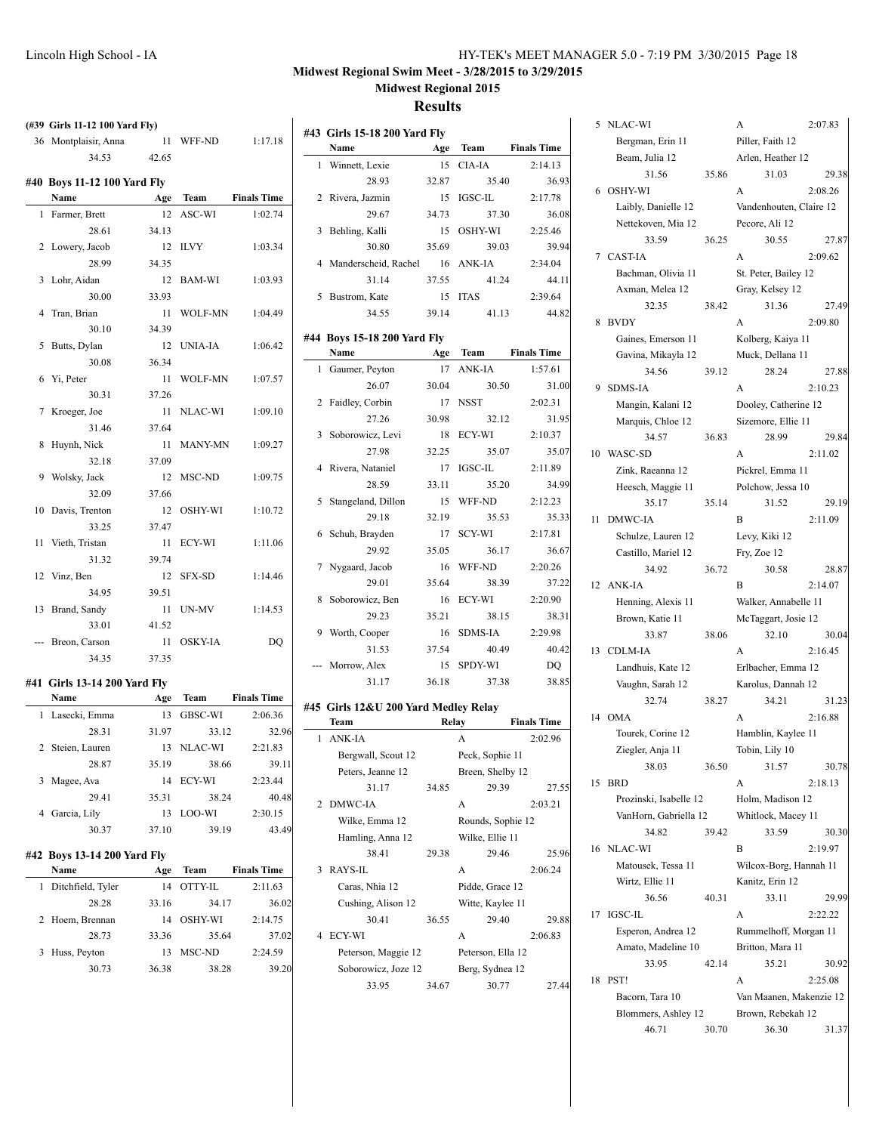| HY-TEK's MEET MANAGER 5.0 - 7:19 PM 3/30/2015 Page 18 |  |  |  |
|-------------------------------------------------------|--|--|--|
|-------------------------------------------------------|--|--|--|

#### **Results**

 $\mathbf{I}$ 

 $\overline{a}$ 

|              | (#39 Girls 11-12 100 Yard Fly)      |             |                |                    |
|--------------|-------------------------------------|-------------|----------------|--------------------|
|              | 36 Montplaisir, Anna                | 11          | WFF-ND         | 1:17.18            |
|              | 34.53                               | 42.65       |                |                    |
|              |                                     |             |                |                    |
|              | #40 Boys 11-12 100 Yard Fly<br>Name | Age         | Team           | <b>Finals Time</b> |
| 1            | Farmer, Brett                       | 12          | ASC-WI         | 1:02.74            |
|              | 28.61                               | 34.13       |                |                    |
| 2            | Lowery, Jacob                       | 12          | <b>ILVY</b>    | 1:03.34            |
|              | 28.99                               | 34.35       |                |                    |
|              |                                     | 12          | BAM-WI         |                    |
| 3            | Lohr, Aidan<br>30.00                | 33.93       |                | 1:03.93            |
| 4            | Tran, Brian                         | 11          | WOLF-MN        | 1:04.49            |
|              | 30.10                               | 34.39       |                |                    |
| 5            | Butts, Dylan                        | 12          | <b>UNIA-IA</b> | 1:06.42            |
|              |                                     | 36.34       |                |                    |
|              | 30.08                               | 11          | <b>WOLF-MN</b> |                    |
| 6            | Yi, Peter<br>30.31                  | 37.26       |                | 1:07.57            |
|              | Kroeger, Joe                        | 11          | NLAC-WI        | 1:09.10            |
| 7            |                                     |             |                |                    |
|              | 31.46                               | 37.64       |                |                    |
| 8            | Huynh, Nick                         | 11<br>37.09 | MANY-MN        | 1:09.27            |
|              | 32.18                               |             |                |                    |
| 9            | Wolsky, Jack<br>32.09               | 12<br>37.66 | MSC-ND         | 1:09.75            |
|              |                                     |             |                |                    |
| 10           | Davis, Trenton                      | 12          | OSHY-WI        | 1:10.72            |
|              | 33.25                               | 37.47       |                |                    |
| 11           | Vieth, Tristan                      | 11          | ECY-WI         | 1:11.06            |
|              | 31.32                               | 39.74       |                |                    |
| 12           | Vinz, Ben                           | 12          | SFX-SD         | 1:14.46            |
|              | 34.95                               | 39.51       |                |                    |
| 13           | Brand, Sandy                        | 11          | UN-MV          | 1:14.53            |
|              | 33.01                               | 41.52       |                |                    |
| ---          | Breon, Carson                       | 11          | <b>OSKY-IA</b> | DQ                 |
|              | 34.35                               | 37.35       |                |                    |
|              | #41 Girls 13-14 200 Yard Fly        |             |                |                    |
|              | Name                                | Age         | Team           | <b>Finals Time</b> |
| 1            | Lasecki, Emma                       | 13          | GBSC-WI        | 2:06.36            |
|              | 28.31                               | 31.97       | 33.12          | 32.96              |
| $\mathbf{2}$ | Steien, Lauren                      |             | 13 NLAC-WI     | 2:21.83            |
|              | 28.87                               | 35.19       | 38.66          | 39.11              |
| 3            | Magee, Ava                          | 14          | ECY-WI         | 2:23.44            |
|              | 29.41                               | 35.31       | 38.24          | 40.48              |
| 4            | Garcia, Lily                        | 13          | LOO-WI         | 2:30.15            |
|              | 30.37                               | 37.10       | 39.19          | 43.49              |
|              | #42 Boys 13-14 200 Yard Fly         |             |                |                    |
|              | Name                                | Age         | <b>Team</b>    | <b>Finals Time</b> |
| 1            | Ditchfield, Tyler                   | 14          | OTTY-IL        | 2:11.63            |
|              | 28.28                               | 33.16       | 34.17          | 36.02              |
| 2            | Hoem, Brennan                       | 14          | OSHY-WI        | 2:14.75            |
|              | 28.73                               | 33.36       |                | 37.02              |
|              |                                     |             | 35.64          |                    |
| 3            | Huss, Peyton                        | 13          | MSC-ND         | 2:24.59            |
|              | 30.73                               | 36.38       | 38.28          | 39.20              |
|              |                                     |             |                |                    |

|    | #43 Girls 15-18 200 Yard Fly |       |                |                    |
|----|------------------------------|-------|----------------|--------------------|
|    | Name                         | Age   | <b>Team</b>    | <b>Finals Time</b> |
| 1. | Winnett, Lexie               |       | 15 CIA-IA      | 2:14.13            |
|    | 28.93                        | 32.87 | 35.40          | 36.93              |
|    | 2 Rivera, Jazmin             | 15    | IGSC-IL        | 2:17.78            |
|    | 29.67                        | 34.73 | 37.30          | 36.08              |
| 3  | Behling, Kalli               | 15    | <b>OSHY-WI</b> | 2:25.46            |
|    | 30.80                        | 35.69 | 39.03          | 39.94              |
|    | 4 Manderscheid, Rachel       |       | 16 ANK-IA      | 2:34.04            |
|    | 31.14                        | 37.55 | 41.24          | 44.11              |
| 5  | Bustrom, Kate                | 15    | <b>ITAS</b>    | 2:39.64            |
|    | 34.55                        | 39.14 | 41.13          | 44.82              |

# **#44 Boys 15-18 200 Yard Fly Name Age Team Finals Time** 1 Gaumer, Peyton 17 ANK-IA 1:57.61

| 26.07                | 30.04 | 30.50       | 31.00   |
|----------------------|-------|-------------|---------|
| 2 Faidley, Corbin    |       | 17 NSST     | 2:02.31 |
| 27.26                | 30.98 | 32.12       | 31.95   |
| 3 Soborowicz, Levi   |       | 18 ECY-WI   | 2:10.37 |
| 27.98                | 32.25 | 35.07       | 35.07   |
| 4 Rivera, Nataniel   |       | 17 IGSC-IL  | 2:11.89 |
| 28.59                | 33.11 | 35.20       | 34.99   |
| 5 Stangeland, Dillon |       | 15 WFF-ND   | 2:12.23 |
| 29.18                | 32.19 | 35.53       | 35.33   |
| 6 Schuh, Brayden     |       | 17 SCY-WI   | 2:17.81 |
| 29.92                | 35.05 | 36.17       | 36.67   |
| 7 Nygaard, Jacob     |       | 16 WFF-ND   | 2:20.26 |
| 29.01                | 35.64 | 38.39       | 37.22   |
| 8 Soborowicz, Ben    |       | 16 ECY-WI   | 2:20.90 |
| 29.23                | 35.21 | 38.15       | 38.31   |
| 9 Worth, Cooper      |       | 16 SDMS-IA  | 2:29.98 |
| 31.53                |       | 37.54 40.49 | 40.42   |
| --- Morrow, Alex     |       | 15 SPDY-WI  | DQ      |
| 31.17                | 36.18 | 37.38       | 38.85   |

#### **#45 Girls 12&U 200 Yard Medley Relay**

 $\overline{a}$ 

|                | Team                | Relay |                   | <b>Finals Time</b> |
|----------------|---------------------|-------|-------------------|--------------------|
|                | 1 ANK-JA            |       | A                 | 2:02.96            |
|                | Bergwall, Scout 12  |       | Peck, Sophie 11   |                    |
|                | Peters, Jeanne 12   |       | Breen, Shelby 12  |                    |
|                | 31.17               | 34.85 | 29.39             | 27.55              |
| $\mathfrak{D}$ | DMWC-IA             |       | A                 | 2:03.21            |
|                | Wilke, Emma 12      |       | Rounds, Sophie 12 |                    |
|                | Hamling, Anna 12    |       | Wilke, Ellie 11   |                    |
|                | 38.41               | 29.38 | 29.46             | 25.96              |
| 3              | RAYS-IL             |       | A                 | 2:06.24            |
|                | Caras, Nhia 12      |       | Pidde, Grace 12   |                    |
|                | Cushing, Alison 12  |       | Witte, Kaylee 11  |                    |
|                | 30.41               | 36.55 | 29.40             | 29.88              |
| 4              | ECY-WI              |       | A                 | 2:06.83            |
|                | Peterson, Maggie 12 |       | Peterson, Ella 12 |                    |
|                | Soborowicz, Joze 12 |       | Berg, Sydnea 12   |                    |
|                | 33.95               | 34.67 | 30.77             | 27.44              |
|                |                     |       |                   |                    |

|    | Bergman, Erin 11             |       | Piller, Faith 12           |         |
|----|------------------------------|-------|----------------------------|---------|
|    | Beam, Julia 12               |       | Arlen, Heather 12          |         |
|    | 31.56                        | 35.86 | 31.03                      | 29.38   |
| 6  | OSHY-WI                      |       | A                          | 2:08.26 |
|    | Laibly, Danielle 12          |       | Vandenhouten, Claire 12    |         |
|    | Nettekoven, Mia 12           |       | Pecore, Ali 12             |         |
|    | 33.59                        | 36.25 | 30.55                      | 27.87   |
| 7  | <b>CAST-IA</b>               |       | A                          | 2:09.62 |
|    | Bachman, Olivia 11           |       | St. Peter, Bailey 12       |         |
|    | Axman, Melea 12              |       | Gray, Kelsey 12            |         |
|    | 32.35                        | 38.42 | 31.36                      | 27.49   |
| 8  | <b>BVDY</b>                  |       | А                          | 2:09.80 |
|    | Gaines, Emerson 11           |       | Kolberg, Kaiya 11          |         |
|    | Gavina, Mikayla 12           |       | Muck, Dellana 11           |         |
|    | 34.56                        | 39.12 | 28.24                      | 27.88   |
| 9  | <b>SDMS-IA</b>               |       | A                          | 2:10.23 |
|    | Mangin, Kalani 12            |       | Dooley, Catherine 12       |         |
|    | Marquis, Chloe 12            |       | Sizemore, Ellie 11         |         |
|    | 34.57                        | 36.83 | 28.99                      | 29.84   |
| 10 | WASC-SD                      |       | A                          | 2:11.02 |
|    | Zink, Raeanna 12             |       | Pickrel, Emma 11           |         |
|    | Heesch, Maggie 11            |       | Polchow, Jessa 10          |         |
|    | 35.17                        | 35.14 | 31.52                      | 29.19   |
| 11 | DMWC-IA                      |       | B                          | 2:11.09 |
|    | Schulze, Lauren 12           |       | Levy, Kiki 12              |         |
|    | Castillo, Mariel 12          |       | Fry, Zoe 12                |         |
|    | 34.92                        | 36.72 | 30.58                      | 28.87   |
|    |                              |       |                            |         |
|    |                              |       |                            |         |
| 12 | ANK-IA                       |       | B                          | 2:14.07 |
|    | Henning, Alexis 11           |       | Walker, Annabelle 11       |         |
|    | Brown, Katie 11              |       | McTaggart, Josie 12        |         |
|    | 33.87                        | 38.06 | 32.10                      | 30.04   |
| 13 | <b>CDLM-IA</b>               |       | А                          | 2:16.45 |
|    | Landhuis, Kate 12            |       | Erlbacher, Emma 12         |         |
|    | Vaughn, Sarah 12             |       | Karolus, Dannah 12         |         |
|    | 32.74                        | 38.27 | 34.21                      | 31.23   |
| 14 | OMA                          |       | A                          | 2:16.88 |
|    | Tourek, Corine 12            |       | Hamblin, Kaylee 11         |         |
|    | Ziegler, Anja 11             |       | Tobin, Lily 10             |         |
|    | 38.03                        | 36.50 | 31.57                      | 30.78   |
| 15 | <b>BRD</b>                   |       | А                          | 2:18.13 |
|    | Prozinski, Isabelle 12       |       | Holm, Madison 12           |         |
|    | VanHorn, Gabriella 12        |       | Whitlock, Macey 11         |         |
|    | 34.82                        | 39.42 | 33.59                      | 30.30   |
| 16 | NLAC-WI                      |       | B                          | 2:19.97 |
|    | Matousek, Tessa 11           |       | Wilcox-Borg, Hannah 11     |         |
|    | Wirtz, Ellie 11              |       | Kanitz, Erin 12            |         |
|    | 36.56                        | 40.31 | 33.11                      | 29.99   |
| 17 | <b>IGSC-IL</b>               |       | A                          | 2:22.22 |
|    | Esperon, Andrea 12           |       | Rummelhoff, Morgan 11      |         |
|    | Amato, Madeline 10           |       | Britton, Mara 11           |         |
|    | 33.95                        | 42.14 | 35.21                      | 30.92   |
| 18 | PST!                         |       | A                          | 2:25.08 |
|    | Bacorn, Tara 10              |       | Van Maanen, Makenzie 12    |         |
|    | Blommers, Ashley 12<br>46.71 | 30.70 | Brown, Rebekah 12<br>36.30 | 31.37   |

5 NLAC-WI A 2:07.83

30.04

29.99

30.92

31.37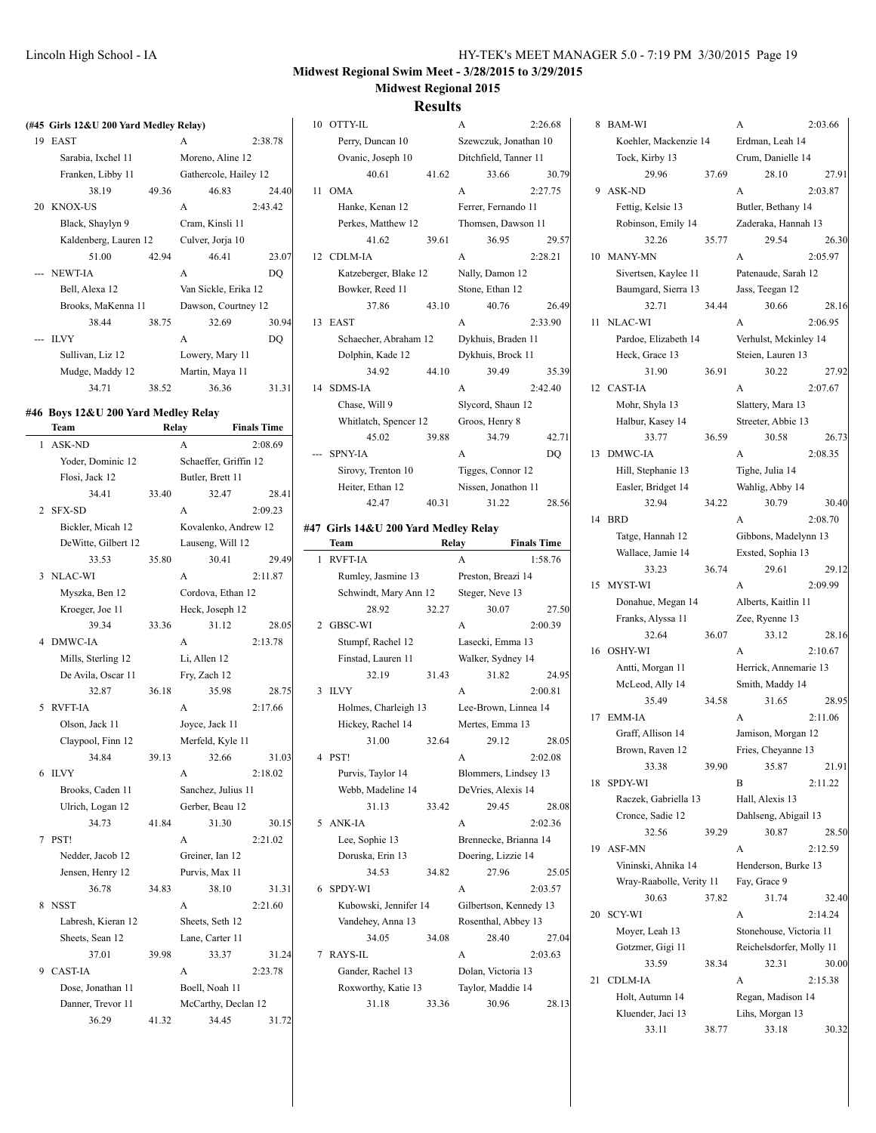#### **Results**

# **(#45 Girls 12&U 200 Yard Medley Relay)** 19 EAST A 2:38.78

| Sarabia, Ixchel 11 |                       |       | Moreno, Aline 12      |         |  |  |
|--------------------|-----------------------|-------|-----------------------|---------|--|--|
|                    | Franken, Libby 11     |       | Gathercole, Hailey 12 |         |  |  |
|                    | 38.19                 | 49.36 | 46.83                 | 24.40   |  |  |
| 20                 | <b>KNOX-US</b>        |       | A                     | 2:43.42 |  |  |
|                    | Black, Shaylyn 9      |       | Cram, Kinsli 11       |         |  |  |
|                    | Kaldenberg, Lauren 12 |       | Culver, Jorja 10      |         |  |  |
|                    | 51.00                 | 42.94 | 46.41                 | 23.07   |  |  |
|                    | --- NEWT-IA           |       | A                     | DO      |  |  |
|                    | Bell, Alexa 12        |       | Van Sickle, Erika 12  |         |  |  |
|                    | Brooks, MaKenna 11    |       | Dawson, Courtney 12   |         |  |  |
|                    | 38.44                 | 38.75 | 32.69                 | 30.94   |  |  |
|                    | --- ILVY              |       | A                     | DO      |  |  |
|                    | Sullivan, Liz 12      |       | Lowery, Mary 11       |         |  |  |
|                    | Mudge, Maddy 12       |       | Martin, Maya 11       |         |  |  |
|                    | 34.71                 | 38.52 | 36.36                 | 31.31   |  |  |
|                    |                       |       |                       |         |  |  |

#### **#46 Boys 12&U 200 Yard Medley Relay**

|                | Team                | Relay |                       | <b>Finals Time</b> |  |  |
|----------------|---------------------|-------|-----------------------|--------------------|--|--|
| $\mathbf{1}$   | <b>ASK-ND</b>       |       | A                     | 2:08.69            |  |  |
|                | Yoder, Dominic 12   |       | Schaeffer, Griffin 12 |                    |  |  |
|                | Flosi, Jack 12      |       | Butler, Brett 11      |                    |  |  |
|                | 34.41               | 33.40 | 32.47                 | 28.41              |  |  |
| $\overline{c}$ | <b>SFX-SD</b>       |       | A                     | 2:09.23            |  |  |
|                | Bickler, Micah 12   |       | Kovalenko, Andrew 12  |                    |  |  |
|                | DeWitte, Gilbert 12 |       | Lauseng, Will 12      |                    |  |  |
|                | 33.53               | 35.80 | 30.41                 | 29.49              |  |  |
| 3              | NLAC-WI             |       | A                     | 2:11.87            |  |  |
|                | Myszka, Ben 12      |       | Cordova, Ethan 12     |                    |  |  |
|                | Kroeger, Joe 11     |       | Heck, Joseph 12       |                    |  |  |
|                | 39.34               | 33.36 | 31.12                 | 28.05              |  |  |
| 4              | <b>DMWC-IA</b>      |       | A                     | 2:13.78            |  |  |
|                | Mills, Sterling 12  |       | Li, Allen 12          |                    |  |  |
|                | De Avila, Oscar 11  |       | Fry, Zach 12          |                    |  |  |
|                | 32.87               | 36.18 | 35.98                 | 28.75              |  |  |
| 5              | <b>RVFT-IA</b>      |       | A                     | 2:17.66            |  |  |
|                | Olson, Jack 11      |       | Joyce, Jack 11        |                    |  |  |
|                | Claypool, Finn 12   |       | Merfeld, Kyle 11      |                    |  |  |
|                | 34.84               | 39.13 | 32.66                 | 31.03              |  |  |
| 6              | <b>ILVY</b>         |       | A                     | 2:18.02            |  |  |
|                | Brooks, Caden 11    |       | Sanchez, Julius 11    |                    |  |  |
|                | Ulrich, Logan 12    |       | Gerber, Beau 12       |                    |  |  |
|                | 34.73               | 41.84 | 31.30                 | 30.15              |  |  |
| 7              | PST!                |       | A                     | 2:21.02            |  |  |
|                | Nedder, Jacob 12    |       | Greiner, Ian 12       |                    |  |  |
|                | Jensen, Henry 12    |       | Purvis, Max 11        |                    |  |  |
|                | 36.78               | 34.83 | 38.10                 | 31.31              |  |  |
| 8              | <b>NSST</b>         |       | A                     | 2:21.60            |  |  |
|                | Labresh, Kieran 12  |       | Sheets, Seth 12       |                    |  |  |
|                | Sheets, Sean 12     |       | Lane, Carter 11       |                    |  |  |
|                | 37.01               | 39.98 | 33.37                 | 31.24              |  |  |
| 9              | <b>CAST-IA</b>      |       | A                     | 2:23.78            |  |  |
|                | Dose, Jonathan 11   |       | Boell, Noah 11        |                    |  |  |
|                | Danner, Trevor 11   |       | McCarthy, Declan 12   |                    |  |  |
|                | 36.29               | 41.32 | 34.45                 | 31.72              |  |  |

| 10 | OTTY-IL               |                       | A                     | 2:26.68 |
|----|-----------------------|-----------------------|-----------------------|---------|
|    | Perry, Duncan 10      | Szewczuk, Jonathan 10 |                       |         |
|    | Ovanic, Joseph 10     |                       | Ditchfield, Tanner 11 |         |
|    | 40.61                 | 41.62                 | 33.66                 | 30.79   |
| 11 | <b>OMA</b>            |                       | A                     | 2:27.75 |
|    | Hanke, Kenan 12       |                       | Ferrer, Fernando 11   |         |
|    | Perkes, Matthew 12    |                       | Thomsen, Dawson 11    |         |
|    | 41.62                 | 39.61                 | 36.95                 | 29.57   |
| 12 | <b>CDLM-IA</b>        |                       | A                     | 2:28.21 |
|    | Katzeberger, Blake 12 |                       | Nally, Damon 12       |         |
|    | Bowker, Reed 11       |                       | Stone, Ethan 12       |         |
|    | 37.86                 | 43.10                 | 40.76                 | 26.49   |
|    |                       |                       |                       |         |
| 13 | EAST                  |                       | $\mathbf{A}$          | 2:33.90 |
|    | Schaecher, Abraham 12 |                       | Dykhuis, Braden 11    |         |
|    | Dolphin, Kade 12      |                       | Dykhuis, Brock 11     |         |
|    | 34.92                 | 44.10                 | 39.49                 | 35.39   |
| 14 | <b>SDMS-IA</b>        |                       | A                     | 2:42.40 |
|    | Chase, Will 9         |                       | Slycord, Shaun 12     |         |
|    | Whitlatch, Spencer 12 |                       | Groos, Henry 8        |         |
|    | 45.02                 | 39.88                 | 34.79                 | 42.71   |
|    | <b>SPNY-IA</b>        |                       | A                     | DO      |
|    | Sirovy, Trenton 10    |                       | Tigges, Connor 12     |         |
|    | Heiter, Ethan 12      |                       | Nissen, Jonathon 11   |         |

#### **#47 Girls 14&U 200 Yard Medley Relay**

 $\sim$ 

|   | Team                  | Relay |                    |                        | <b>Finals Time</b> |  |
|---|-----------------------|-------|--------------------|------------------------|--------------------|--|
| 1 | <b>RVFT-IA</b>        |       | A                  |                        | 1:58.76            |  |
|   | Rumley, Jasmine 13    |       | Preston, Breazi 14 |                        |                    |  |
|   | Schwindt, Mary Ann 12 |       | Steger, Neve 13    |                        |                    |  |
|   | 28.92                 | 32.27 |                    | 30.07                  | 27.50              |  |
| 2 | <b>GBSC-WI</b>        |       | A                  |                        | 2:00.39            |  |
|   | Stumpf, Rachel 12     |       | Lasecki, Emma 13   |                        |                    |  |
|   | Finstad, Lauren 11    |       | Walker, Sydney 14  |                        |                    |  |
|   | 32.19                 | 31.43 |                    | 31.82                  | 24.95              |  |
| 3 | <b>ILVY</b>           |       | A                  |                        | 2:00.81            |  |
|   | Holmes, Charleigh 13  |       |                    | Lee-Brown, Linnea 14   |                    |  |
|   | Hickey, Rachel 14     |       | Mertes, Emma 13    |                        |                    |  |
|   | 31.00                 | 32.64 |                    | 29.12                  | 28.05              |  |
| 4 | PST!                  |       | A                  |                        | 2:02.08            |  |
|   | Purvis, Taylor 14     |       |                    | Blommers, Lindsey 13   |                    |  |
|   | Webb, Madeline 14     |       | DeVries, Alexis 14 |                        |                    |  |
|   | 31.13                 | 33.42 |                    | 29.45                  | 28.08              |  |
| 5 | ANK-JA                |       | A                  |                        | 2:02.36            |  |
|   | Lee, Sophie 13        |       |                    | Brennecke, Brianna 14  |                    |  |
|   | Doruska, Erin 13      |       | Doering, Lizzie 14 |                        |                    |  |
|   | 34.53                 | 34.82 |                    | 27.96                  | 25.05              |  |
| 6 | <b>SPDY-WI</b>        |       | A                  |                        | 2:03.57            |  |
|   | Kubowski, Jennifer 14 |       |                    | Gilbertson, Kennedy 13 |                    |  |
|   | Vandehey, Anna 13     |       |                    | Rosenthal, Abbey 13    |                    |  |
|   | 34.05                 | 34.08 |                    | 28.40                  | 27.04              |  |
| 7 | <b>RAYS-IL</b>        |       | A                  |                        | 2:03.63            |  |
|   | Gander, Rachel 13     |       | Dolan, Victoria 13 |                        |                    |  |
|   | Roxworthy, Katie 13   |       | Taylor, Maddie 14  |                        |                    |  |
|   | 31.18                 | 33.36 |                    | 30.96                  | 28.13              |  |
|   |                       |       |                    |                        |                    |  |

# 8 BAM-WI A 2:03.66 Koehler, Mackenzie 14 Erdman, Leah 14 Tock, Kirby 13 Crum, Danielle 14 9 ASK-ND A 2:03.87 Fettig, Kelsie 13 Butler, Bethany 14 Robinson, Emily 14 Zaderaka, Hannah 13 10 MANY-MN A 2:05.97 Sivertsen, Kaylee 11 Patenaude, Sarah 12 Baumgard, Sierra 13 Jass, Teegan 12 11 NLAC-WI A 2:06.95 Pardoe, Elizabeth 14 Verhulst, Mckinley 14 Heck, Grace 13 Steien, Lauren 13 12 CAST-IA A 2:07.67 Mohr, Shyla 13 Slattery, Mara 13 Halbur, Kasey 14 Streeter, Abbie 13 13 DMWC-IA A 2:08.35 Hill, Stephanie 13 Tighe, Julia 14 Easler, Bridget 14 Wahlig, Abby 14 14 BRD A 2:08.70 Tatge, Hannah 12 Gibbons, Madelynn 13 Wallace, Jamie 14 Exsted, Sophia 13 15 MYST-WI A 2:09.99 Donahue, Megan 14 Alberts, Kaitlin 11 Franks, Alyssa 11 Zee, Ryenne 13 16 OSHY-WI A 2:10.67 Antti, Morgan 11 Herrick, Annemarie 13 McLeod, Ally 14 Smith, Maddy 14 17 EMM-IA A 2:11.06 Graff, Allison 14 Jamison, Morgan 12 Brown, Raven 12 Fries, Cheyanne 13 18 SPDY-WI B 2:11.22 Raczek, Gabriella 13 Hall, Alexis 13 Cronce, Sadie 12 Dahlseng, Abigail 13 19 ASF-MN A 2:12.59 Vininski, Ahnika 14 Henderson, Burke 13 Wray-Raabolle, Verity 11 Fay, Grace 9 20 SCY-WI A 2:14.24 Moyer, Leah 13 Stonehouse, Victoria 11 Gotzmer, Gigi 11 Reichelsdorfer, Molly 11 21 CDLM-IA A 2:15.38 Holt, Autumn 14 Regan, Madison 14

29.96 37.69 28.10 27.91 32.26 35.77 29.54 26.30 32.71 34.44 30.66 28.16 31.90 36.91 30.22 27.92 33.77 36.59 30.58 26.73 32.94 34.22 30.79 30.40 33.23 36.74 29.61 29.12 32.64 36.07 33.12 28.16 35.49 34.58 31.65 28.95 33.38 39.90 35.87 21.91 32.56 39.29 30.87 28.50 30.63 37.82 31.74 32.40 33.59 38.34 32.31 30.00 Kluender, Jaci 13 Lihs, Morgan 13 33.11 38.77 33.18 30.32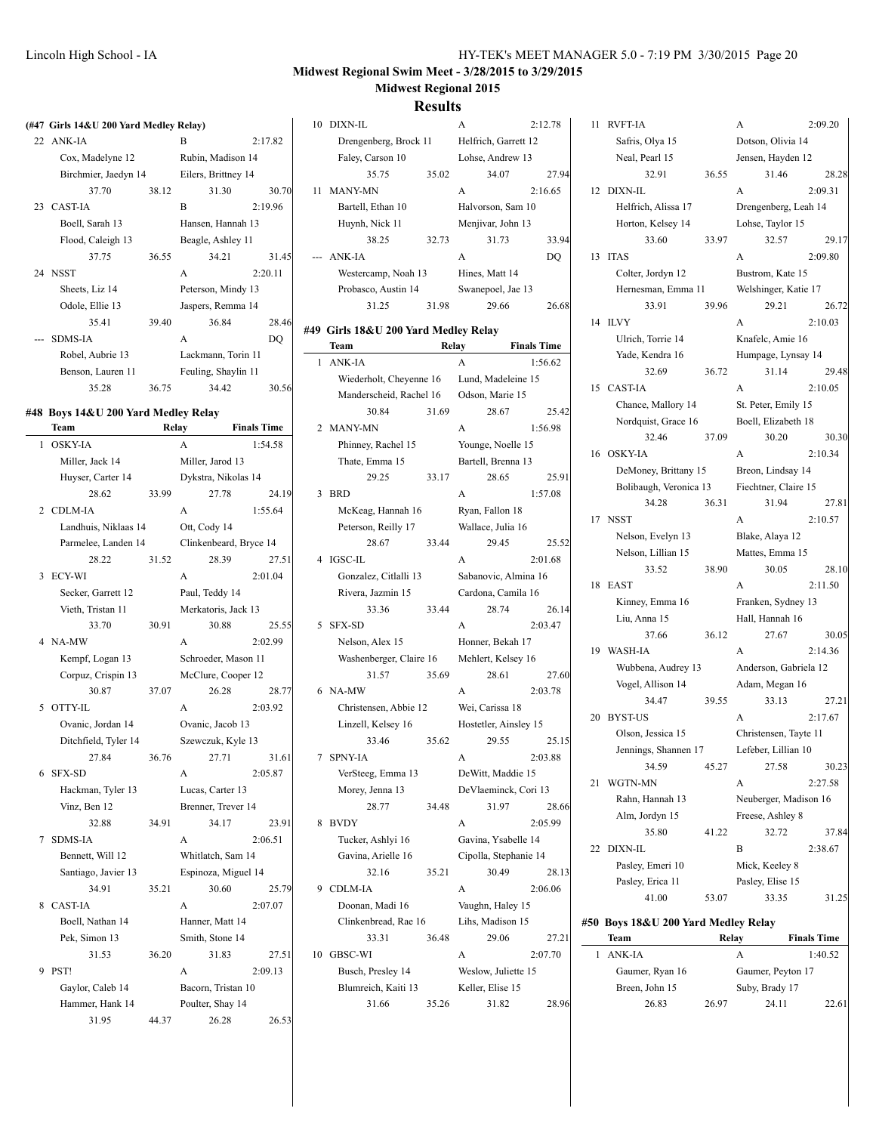| (#47 Girls 14&U 200 Yard Medley Relay) |       |                     |         |  |  |
|----------------------------------------|-------|---------------------|---------|--|--|
| 22 ANK-IA                              |       | B                   | 2:17.82 |  |  |
| Cox, Madelyne 12                       |       | Rubin, Madison 14   |         |  |  |
| Birchmier, Jaedyn 14                   |       | Eilers, Brittney 14 |         |  |  |
| 37.70                                  | 38.12 | 31.30               | 30.70   |  |  |
| 23 CAST-IA                             |       | R                   | 2:19.96 |  |  |
| Boell, Sarah 13                        |       | Hansen, Hannah 13   |         |  |  |
| Flood, Caleigh 13                      |       | Beagle, Ashley 11   |         |  |  |
| 37.75                                  | 36.55 | 34.21               | 31.45   |  |  |
| 24 NSST                                |       | $\overline{A}$      | 2:20.11 |  |  |
| Sheets, Liz 14                         |       | Peterson, Mindy 13  |         |  |  |
| Odole, Ellie 13                        |       | Jaspers, Remma 14   |         |  |  |
| 35.41                                  | 39.40 | 36.84               | 28.46   |  |  |
| <b>SDMS-IA</b>                         |       | A                   | DO      |  |  |
| Robel, Aubrie 13                       |       | Lackmann, Torin 11  |         |  |  |
| Benson, Lauren 11                      |       | Feuling, Shaylin 11 |         |  |  |
| 35.28                                  | 36.75 | 34.42               | 30.56   |  |  |
|                                        |       |                     |         |  |  |

#### **#48 Boys 14&U 200 Yard Medley Relay**

|                | Team                 | Relay |                        | <b>Finals Time</b> |  |  |
|----------------|----------------------|-------|------------------------|--------------------|--|--|
| 1              | <b>OSKY-IA</b>       |       | A                      | 1:54.58            |  |  |
|                | Miller, Jack 14      |       | Miller, Jarod 13       |                    |  |  |
|                | Huyser, Carter 14    |       | Dykstra, Nikolas 14    |                    |  |  |
|                | 28.62                | 33.99 | 27.78                  | 24.19              |  |  |
| $\overline{c}$ | <b>CDLM-IA</b>       |       | A                      | 1:55.64            |  |  |
|                | Landhuis, Niklaas 14 |       | Ott, Cody 14           |                    |  |  |
|                | Parmelee, Landen 14  |       | Clinkenbeard, Bryce 14 |                    |  |  |
|                | 28.22                | 31.52 | 28.39                  | 27.51              |  |  |
| 3              | ECY-WI               |       | A                      | 2:01.04            |  |  |
|                | Secker, Garrett 12   |       | Paul, Teddy 14         |                    |  |  |
|                | Vieth, Tristan 11    |       | Merkatoris, Jack 13    |                    |  |  |
|                | 33.70                | 30.91 | 30.88                  | 25.55              |  |  |
| 4              | NA-MW                |       | A                      | 2:02.99            |  |  |
|                | Kempf, Logan 13      |       | Schroeder, Mason 11    |                    |  |  |
|                | Corpuz, Crispin 13   |       | McClure, Cooper 12     |                    |  |  |
|                | 30.87                | 37.07 | 26.28                  | 28.77              |  |  |
| 5              | OTTY-IL              |       | A                      | 2:03.92            |  |  |
|                | Ovanic, Jordan 14    |       | Ovanic, Jacob 13       |                    |  |  |
|                | Ditchfield, Tyler 14 |       | Szewczuk, Kyle 13      |                    |  |  |
|                | 27.84                | 36.76 | 27.71                  | 31.61              |  |  |
| 6              | <b>SFX-SD</b>        |       | A                      | 2:05.87            |  |  |
|                | Hackman, Tyler 13    |       | Lucas, Carter 13       |                    |  |  |
|                | Vinz, Ben 12         |       | Brenner, Trever 14     |                    |  |  |
|                | 32.88                | 34.91 | 34.17                  | 23.91              |  |  |
| 7              | <b>SDMS-IA</b>       |       | A                      | 2:06.51            |  |  |
|                | Bennett, Will 12     |       | Whitlatch, Sam 14      |                    |  |  |
|                | Santiago, Javier 13  |       | Espinoza, Miguel 14    |                    |  |  |
|                | 34.91                | 35.21 | 30.60                  | 25.79              |  |  |
| 8              | <b>CAST-IA</b>       |       | A                      | 2:07.07            |  |  |
|                | Boell, Nathan 14     |       | Hanner, Matt 14        |                    |  |  |
|                | Pek, Simon 13        |       | Smith, Stone 14        |                    |  |  |
|                | 31.53                | 36.20 | 31.83                  | 27.51              |  |  |
| 9              | PST!                 |       | A                      | 2:09.13            |  |  |
|                | Gaylor, Caleb 14     |       | Bacorn, Tristan 10     |                    |  |  |
|                | Hammer, Hank 14      |       | Poulter, Shay 14       |                    |  |  |
|                | 31.95                | 44.37 | 26.28                  | 26.53              |  |  |

|                 |                                      | <b>Results</b> |                      |                    |
|-----------------|--------------------------------------|----------------|----------------------|--------------------|
| 10              | DIXN-IL                              |                | A                    | 2:12.78            |
|                 | Drengenberg, Brock 11                |                | Helfrich, Garrett 12 |                    |
|                 | Faley, Carson 10                     |                | Lohse, Andrew 13     |                    |
|                 | 35.75                                | 35.02          | 34.07                | 27.94              |
| $\overline{11}$ | <b>MANY-MN</b>                       |                | A                    | 2:16.65            |
|                 | Bartell, Ethan 10                    |                | Halvorson, Sam 10    |                    |
|                 | Huynh, Nick 11                       |                | Menjivar, John 13    |                    |
|                 | 38.25                                | 32.73          | 31.73                | 33.94              |
|                 | ANK-IA                               |                | A                    | <b>DO</b>          |
|                 | Westercamp, Noah 13                  |                | Hines, Matt 14       |                    |
|                 | Probasco, Austin 14                  |                | Swanepoel, Jae 13    |                    |
|                 | 31.25                                | 31.98          | 29.66                | 26.68              |
|                 | #49 Girls 18&U 200 Yard Medley Relay |                |                      |                    |
|                 | Team                                 | Relay          |                      | <b>Finals Time</b> |
| 1               | ANK-JA                               |                | A                    | 1:56.62            |
|                 | Wiederholt, Cheyenne 16              |                | Lund, Madeleine 15   |                    |
|                 | Manderscheid, Rachel 16              |                | Odson, Marie 15      |                    |
|                 | 30.84                                | 31.69          | 28.67                | 25.42              |
| 2               | <b>MANY-MN</b>                       |                | A                    | 1:56.98            |
|                 | Phinney, Rachel 15                   |                | Younge, Noelle 15    |                    |
|                 | Thate, Emma 15                       |                | Bartell, Brenna 13   |                    |
|                 | 29.25                                | 33.17          | 28.65                | 25.91              |
| 3               | <b>BRD</b>                           |                | A                    | 1:57.08            |
|                 | McKeag, Hannah 16                    |                | Ryan, Fallon 18      |                    |
|                 | Peterson, Reilly 17                  |                | Wallace, Julia 16    |                    |
|                 | 28.67                                | 33.44          | 29.45                | 25.52              |
| 4               | <b>IGSC-IL</b>                       |                | A                    | 2:01.68            |
|                 | Gonzalez, Citlalli 13                |                | Sabanovic, Almina 16 |                    |
|                 | Rivera, Jazmin 15                    |                | Cardona, Camila 16   |                    |
|                 | 33.36                                | 33.44          | 28.74                | 26.14              |
|                 |                                      |                |                      |                    |

Nelson, Alex 15 Honner, Bekah 17 Washenberger, Claire 16 Mehlert, Kelsey 16 31.57 35.69 28.61 27.60 6 NA-MW A 2:03.78 Christensen, Abbie 12 Wei, Carissa 18 Linzell, Kelsey 16 Hostetler, Ainsley 15 33.46 35.62 29.55 25.15 7 SPNY-IA A 2:03.88 VerSteeg, Emma 13 DeWitt, Maddie 15 Morey, Jenna 13 DeVlaeminck, Cori 13 28.77 34.48 31.97 28.66 8 BVDY A 2:05.99 Tucker, Ashlyi 16 Gavina, Ysabelle 14 Gavina, Arielle 16 Cipolla, Stephanie 14 32.16 35.21 30.49 28.13 9 CDLM-IA <br>A 2:06.06 Doonan, Madi 16 Vaughn, Haley 15 Clinkenbread, Rae 16 Lihs, Madison 15 33.31 36.48 29.06 27.21 10 GBSC-WI A 2:07.70 Busch, Presley 14 Weslow, Juliette 15

Blumreich, Kaiti 13 Keller, Elise 15

31.66 35.26 31.82 28.96

11 RVFT-IA A 2:09.20 Safris, Olya 15 Dotson, Olivia 14 Neal, Pearl 15 Jensen, Hayden 12 32.91 36.55 31.46 28.28 12 DIXN-IL A 2:09.31 Helfrich, Alissa 17 Drengenberg, Leah 14 Horton, Kelsey 14 Lohse, Taylor 15 33.60 33.97 32.57 29.17 13 ITAS A 2:09.80 Colter, Jordyn 12 Bustrom, Kate 15 Hernesman, Emma 11 Welshinger, Katie 17 33.91 39.96 29.21 26.72 14 ILVY A 2:10.03 Ulrich, Torrie 14 Knafelc, Amie 16 Yade, Kendra 16 Humpage, Lynsay 14 32.69 36.72 31.14 29.48 15 CAST-IA A 2:10.05 Chance, Mallory 14 St. Peter, Emily 15 Nordquist, Grace 16 Boell, Elizabeth 18 32.46 37.09 30.20 30.30 16 OSKY-IA A 2:10.34 DeMoney, Brittany 15 Breon, Lindsay 14 Bolibaugh, Veronica 13 Fiechtner, Claire 15 34.28 36.31 31.94 27.81 17 NSST A 2:10.57 Nelson, Evelyn 13 Blake, Alaya 12 Nelson, Lillian 15 Mattes, Emma 15 33.52 38.90 30.05 28.10 18 EAST A 2:11.50 Kinney, Emma 16 Franken, Sydney 13 Liu, Anna 15 Hall, Hannah 16 37.66 36.12 27.67 30.05 19 WASH-IA A 2:14.36 Wubbena, Audrey 13 Anderson, Gabriela 12 Vogel, Allison 14 Adam, Megan 16 34.47 39.55 33.13 27.21 20 BYST-US A 2:17.67 Olson, Jessica 15 Christensen, Tayte 11 Jennings, Shannen 17 Lefeber, Lillian 10 34.59 45.27 27.58 30.23 21 WGTN-MN A 2:27.58 Rahn, Hannah 13 Neuberger, Madison 16 Alm, Jordyn 15 Freese, Ashley 8 35.80 41.22 32.72 37.84 22 DIXN-IL B 2:38.67 Pasley, Emeri 10 Mick, Keeley 8 Pasley, Erica 11 Pasley, Elise 15 41.00 53.07 33.35 31.25 **#50 Boys 18&U 200 Yard Medley Relay Team Relay Finals Time**

| 1 ANK-JA        |                   |                | 1:40.52 |
|-----------------|-------------------|----------------|---------|
| Gaumer, Ryan 16 | Gaumer, Peyton 17 |                |         |
| Breen, John 15  |                   | Suby, Brady 17 |         |
| 26.83           | 26.97             | 24.11          | 22.61   |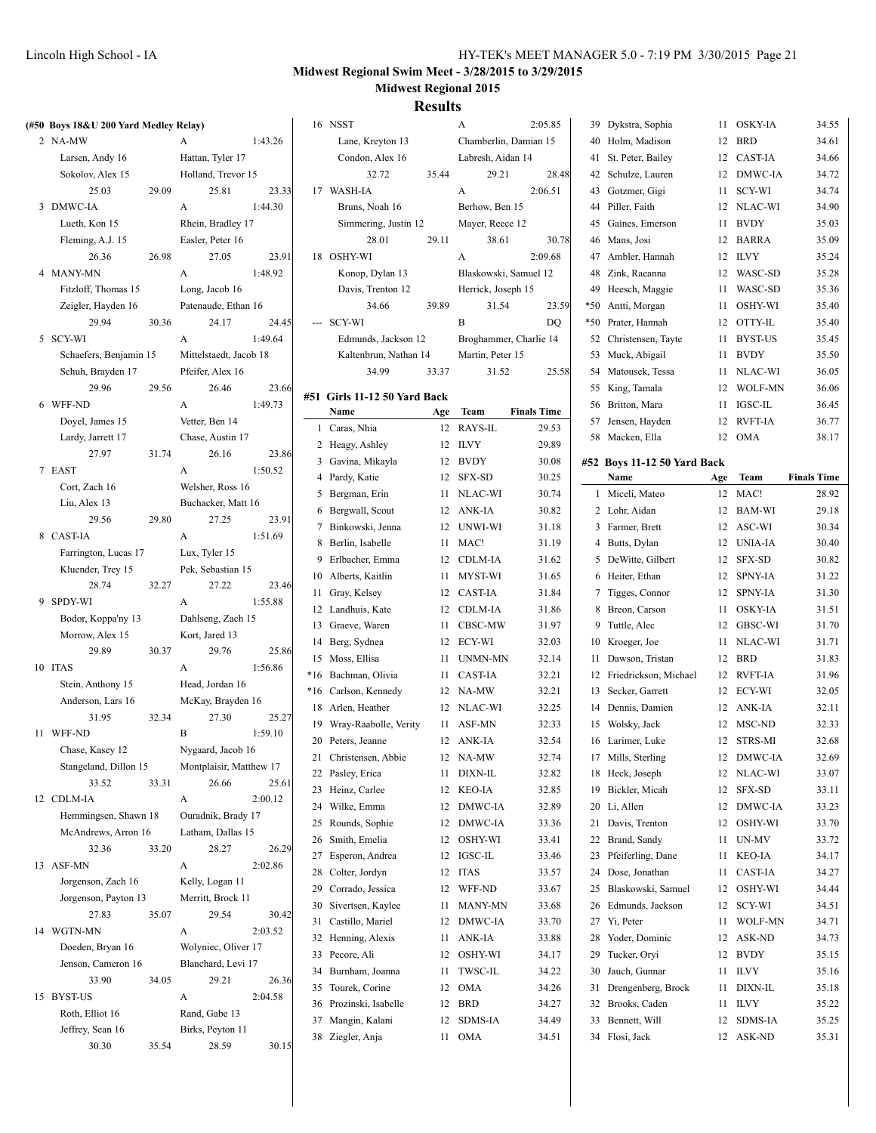### **Results**

| (#50 Boys 18&U 200 Yard Medley Relay) |       |                         |         |    | 16 NSST                      |       | A                     | 2:05.85                | 39 Dykstra, Sophia          |     | 11 OSKY-IA | 34.55              |
|---------------------------------------|-------|-------------------------|---------|----|------------------------------|-------|-----------------------|------------------------|-----------------------------|-----|------------|--------------------|
| 2 NA-MW                               |       | A                       | 1:43.26 |    | Lane, Kreyton 13             |       | Chamberlin, Damian 15 |                        | 40 Holm, Madison            |     | 12 BRD     | 34.61              |
| Larsen, Andy 16                       |       | Hattan, Tyler 17        |         |    | Condon, Alex 16              |       | Labresh, Aidan 14     |                        | 41 St. Peter, Bailey        |     | 12 CAST-IA | 34.66              |
| Sokolov, Alex 15                      |       | Holland, Trevor 15      |         |    | 32.72                        | 35.44 | 29.21                 | 28.48                  | 42 Schulze, Lauren          |     | 12 DMWC-IA | 34.72              |
| 25.03                                 | 29.09 | 25.81                   | 23.33   |    | 17 WASH-IA                   |       | A                     | 2:06.51                | 43 Gotzmer, Gigi            |     | 11 SCY-WI  | 34.74              |
| 3 DMWC-IA                             |       | A                       | 1:44.30 |    | Bruns, Noah 16               |       | Berhow, Ben 15        |                        | 44 Piller, Faith            |     | 12 NLAC-WI | 34.90              |
| Lueth, Kon 15                         |       | Rhein, Bradley 17       |         |    | Simmering, Justin 12         |       | Mayer, Reece 12       |                        | 45 Gaines, Emerson          |     | 11 BVDY    | 35.03              |
| Fleming, A.J. 15                      |       | Easler, Peter 16        |         |    | 28.01                        | 29.11 | 38.61                 | 30.78                  | 46 Mans, Josi               |     | 12 BARRA   | 35.09              |
| 26.36                                 | 26.98 | 27.05                   | 23.91   |    | 18 OSHY-WI                   |       | A                     | 2:09.68                | 47 Ambler, Hannah           |     | 12 ILVY    | 35.24              |
| 4 MANY-MN                             |       | A                       | 1:48.92 |    | Konop, Dylan 13              |       | Blaskowski, Samuel 12 |                        | 48 Zink, Raeanna            |     | 12 WASC-SD | 35.28              |
| Fitzloff, Thomas 15                   |       | Long, Jacob 16          |         |    | Davis, Trenton 12            |       | Herrick, Joseph 15    |                        | 49 Heesch, Maggie           |     | 11 WASC-SD | 35.36              |
| Zeigler, Hayden 16                    |       | Patenaude, Ethan 16     |         |    | 34.66                        | 39.89 | 31.54                 | 23.59                  | *50 Antti, Morgan           |     | 11 OSHY-WI | 35.40              |
| 29.94                                 | 30.36 | 24.17                   | 24.45   |    | --- SCY-WI                   |       | B                     | DQ                     | *50 Prater, Hannah          |     | 12 OTTY-IL | 35.40              |
| 5 SCY-WI                              |       | A                       | 1:49.64 |    | Edmunds, Jackson 12          |       |                       | Broghammer, Charlie 14 | 52 Christensen, Tayte       |     | 11 BYST-US | 35.45              |
|                                       |       |                         |         |    |                              |       |                       |                        |                             |     | 11 BVDY    | 35.50              |
| Schaefers, Benjamin 15                |       | Mittelstaedt, Jacob 18  |         |    | Kaltenbrun, Nathan 14        |       | Martin, Peter 15      |                        | 53 Muck, Abigail            |     |            |                    |
| Schuh, Brayden 17                     |       | Pfeifer, Alex 16        |         |    | 34.99                        | 33.37 | 31.52                 | 25.58                  | 54 Matousek, Tessa          |     | 11 NLAC-WI | 36.05              |
| 29.96                                 | 29.56 | 26.46                   | 23.66   |    | #51 Girls 11-12 50 Yard Back |       |                       |                        | 55 King, Tamala             |     | 12 WOLF-MN | 36.06              |
| 6 WFF-ND                              |       | A                       | 1:49.73 |    | Name                         | Age   | Team                  | <b>Finals Time</b>     | 56 Britton, Mara            |     | 11 IGSC-IL | 36.45              |
| Doyel, James 15                       |       | Vetter, Ben 14          |         |    | 1 Caras, Nhia                |       | 12 RAYS-IL            | 29.53                  | 57 Jensen, Hayden           |     | 12 RVFT-IA | 36.77              |
| Lardy, Jarrett 17                     |       | Chase, Austin 17        |         |    | 2 Heagy, Ashley              |       | 12 ILVY               | 29.89                  | 58 Macken, Ella             |     | 12 OMA     | 38.17              |
| 27.97                                 | 31.74 | 26.16                   | 23.86   |    | 3 Gavina, Mikayla            |       | 12 BVDY               | 30.08                  | #52 Boys 11-12 50 Yard Back |     |            |                    |
| 7 EAST                                |       | A                       | 1:50.52 |    | 4 Pardy, Katie               |       | 12 SFX-SD             | 30.25                  | Name                        | Age | Team       | <b>Finals Time</b> |
| Cort, Zach 16                         |       | Welsher, Ross 16        |         |    | 5 Bergman, Erin              |       | 11 NLAC-WI            | 30.74                  | 1 Miceli, Mateo             |     | 12 MAC!    | 28.92              |
| Liu, Alex 13                          |       | Buchacker, Matt 16      |         |    | 6 Bergwall, Scout            |       | 12 ANK-IA             | 30.82                  | 2 Lohr, Aidan               |     | 12 BAM-WI  | 29.18              |
| 29.56                                 | 29.80 | 27.25                   | 23.91   |    | 7 Binkowski, Jenna           |       | 12 UNWI-WI            | 31.18                  | 3 Farmer, Brett             |     | 12 ASC-WI  | 30.34              |
| 8 CAST-IA                             |       | A                       | 1:51.69 |    | 8 Berlin, Isabelle           |       | 11 MAC!               | 31.19                  | 4 Butts, Dylan              |     | 12 UNIA-IA | 30.40              |
| Farrington, Lucas 17                  |       | Lux, Tyler 15           |         |    | 9 Erlbacher, Emma            |       | 12 CDLM-IA            | 31.62                  | 5 DeWitte, Gilbert          |     | 12 SFX-SD  | 30.82              |
| Kluender, Trey 15                     |       | Pek, Sebastian 15       |         |    | 10 Alberts, Kaitlin          |       | 11 MYST-WI            | 31.65                  | 6 Heiter, Ethan             |     | 12 SPNY-IA | 31.22              |
| 28.74                                 | 32.27 | 27.22                   | 23.46   |    | 11 Gray, Kelsey              |       | 12 CAST-IA            | 31.84                  | 7 Tigges, Connor            |     | 12 SPNY-IA | 31.30              |
| 9 SPDY-WI                             |       | A                       | 1:55.88 |    | 12 Landhuis, Kate            |       | 12 CDLM-IA            | 31.86                  | 8 Breon, Carson             |     | 11 OSKY-IA | 31.51              |
| Bodor, Koppa'ny 13                    |       | Dahlseng, Zach 15       |         |    | 13 Graeve, Waren             |       | 11 CBSC-MW            | 31.97                  | 9 Tuttle, Alec              |     | 12 GBSC-WI | 31.70              |
| Morrow, Alex 15                       |       | Kort, Jared 13          |         |    | 14 Berg, Sydnea              |       | 12 ECY-WI             | 32.03                  | 10 Kroeger, Joe             |     | 11 NLAC-WI | 31.71              |
| 29.89                                 | 30.37 | 29.76                   | 25.86   |    | 15 Moss, Ellisa              |       | 11 UNMN-MN            | 32.14                  | 11 Dawson, Tristan          |     | 12 BRD     | 31.83              |
| 10 ITAS                               |       | A                       | 1:56.86 |    | *16 Bachman, Olivia          |       | 11 CAST-IA            | 32.21                  | 12 Friedrickson, Michael    |     | 12 RVFT-IA | 31.96              |
| Stein, Anthony 15                     |       | Head, Jordan 16         |         |    |                              |       | 12 NA-MW              | 32.21                  | 13 Secker, Garrett          |     | 12 ECY-WI  | 32.05              |
| Anderson, Lars 16                     |       | McKay, Brayden 16       |         |    | *16 Carlson, Kennedy         |       |                       |                        |                             |     |            |                    |
| 31.95                                 | 32.34 | 27.30                   | 25.27   |    | 18 Arlen, Heather            |       | 12 NLAC-WI            | 32.25                  | 14 Dennis, Damien           |     | 12 ANK-IA  | 32.11              |
| 11 WFF-ND                             |       | B                       | 1:59.10 |    | 19 Wray-Raabolle, Verity     |       | 11 ASF-MN             | 32.33                  | 15 Wolsky, Jack             |     | 12 MSC-ND  | 32.33              |
| Chase, Kasey 12                       |       | Nygaard, Jacob 16       |         |    | 20 Peters, Jeanne            |       | 12 ANK-IA             | 32.54                  | 16 Larimer, Luke            |     | 12 STRS-MI | 32.68              |
| Stangeland, Dillon 15                 |       | Montplaisir, Matthew 17 |         |    | 21 Christensen, Abbie        |       | 12 NA-MW              | 32.74                  | 17 Mills, Sterling          |     | 12 DMWC-IA | 32.69              |
| 33.52                                 | 33.31 | 26.66                   | 25.61   |    | 22 Pasley, Erica             |       | 11 DIXN-IL            | 32.82                  | 18 Heck, Joseph             |     | 12 NLAC-WI | 33.07              |
| 12 CDLM-IA                            |       | $\mathbf{A}$            | 2:00.12 |    | 23 Heinz, Carlee             |       | 12 KEO-IA             | 32.85                  | 19 Bickler, Micah           |     | 12 SFX-SD  | 33.11              |
| Hemmingsen, Shawn 18                  |       | Ouradnik, Brady 17      |         |    | 24 Wilke, Emma               |       | 12 DMWC-IA            | 32.89                  | 20 Li, Allen                |     | 12 DMWC-IA | 33.23              |
| McAndrews, Arron 16                   |       | Latham, Dallas 15       |         |    | 25 Rounds, Sophie            |       | 12 DMWC-IA            | 33.36                  | 21 Davis, Trenton           |     | 12 OSHY-WI | 33.70              |
| 32.36                                 | 33.20 | 28.27                   | 26.29   |    | 26 Smith, Emelia             |       | 12 OSHY-WI            | 33.41                  | 22 Brand, Sandy             |     | 11 UN-MV   | 33.72              |
| 13 ASF-MN                             |       | A                       | 2:02.86 |    | 27 Esperon, Andrea           |       | 12 IGSC-IL            | 33.46                  | 23 Pfeiferling, Dane        |     | 11 KEO-IA  | 34.17              |
| Jorgenson, Zach 16                    |       | Kelly, Logan 11         |         |    | 28 Colter, Jordyn            |       | 12 ITAS               | 33.57                  | 24 Dose, Jonathan           |     | 11 CAST-IA | 34.27              |
| Jorgenson, Payton 13                  |       | Merritt, Brock 11       |         |    | 29 Corrado, Jessica          |       | 12 WFF-ND             | 33.67                  | 25 Blaskowski, Samuel       |     | 12 OSHY-WI | 34.44              |
| 27.83                                 | 35.07 | 29.54                   | 30.42   | 30 | Sivertsen, Kaylee            |       | 11 MANY-MN            | 33.68                  | 26 Edmunds, Jackson         |     | 12 SCY-WI  | 34.51              |
| 14 WGTN-MN                            |       | A                       | 2:03.52 |    | 31 Castillo, Mariel          |       | 12 DMWC-IA            | 33.70                  | 27 Yi, Peter                |     | 11 WOLF-MN | 34.71              |
| Doeden, Bryan 16                      |       | Wolyniec, Oliver 17     |         |    | 32 Henning, Alexis           |       | 11 ANK-IA             | 33.88                  | 28 Yoder, Dominic           |     | 12 ASK-ND  | 34.73              |
| Jenson, Cameron 16                    |       | Blanchard, Levi 17      |         |    | 33 Pecore, Ali               |       | 12 OSHY-WI            | 34.17                  | 29 Tucker, Oryi             |     | 12 BVDY    | 35.15              |
|                                       |       |                         |         |    | 34 Burnham, Joanna           |       | 11 TWSC-IL            | 34.22                  | 30 Jauch, Gunnar            |     | 11 ILVY    | 35.16              |
| 33.90<br>15 BYST-US                   | 34.05 | 29.21                   | 26.36   |    | 35 Tourek, Corine            |       | 12 OMA                | 34.26                  | 31 Drengenberg, Brock       |     | 11 DIXN-IL | 35.18              |
|                                       |       | A                       | 2:04.58 |    | 36 Prozinski, Isabelle       |       | 12 BRD                | 34.27                  | 32 Brooks, Caden            |     | 11 ILVY    | 35.22              |
| Roth, Elliot 16                       |       | Rand, Gabe 13           |         |    | 37 Mangin, Kalani            |       | 12 SDMS-IA            | 34.49                  | 33 Bennett, Will            |     | 12 SDMS-IA | 35.25              |
| Jeffrey, Sean 16                      |       | Birks, Peyton 11        |         |    | 38 Ziegler, Anja             |       | 11 OMA                | 34.51                  | 34 Flosi, Jack              |     | 12 ASK-ND  | 35.31              |
| 30.30                                 | 35.54 | 28.59                   | 30.15   |    |                              |       |                       |                        |                             |     |            |                    |

|    | Lane, Kreyton 13      |                   | Chamberlin, Damian 15  |         |  |
|----|-----------------------|-------------------|------------------------|---------|--|
|    | Condon, Alex 16       | Labresh, Aidan 14 |                        |         |  |
|    | 32.72                 | 35.44             | 29.21                  | 28.48   |  |
| 17 | WASH-IA               |                   | A                      | 2:06.51 |  |
|    | Bruns, Noah 16        |                   | Berhow, Ben 15         |         |  |
|    | Simmering, Justin 12  |                   | Mayer, Reece 12        |         |  |
|    | 28.01                 | 29.11             | 38.61                  | 30.78   |  |
| 18 | <b>OSHY-WI</b>        |                   | A                      | 2:09.68 |  |
|    | Konop, Dylan 13       |                   | Blaskowski, Samuel 12  |         |  |
|    | Davis, Trenton 12     |                   | Herrick, Joseph 15     |         |  |
|    | 34.66                 | 39.89             | 31.54                  | 23.59   |  |
|    | <b>SCY-WI</b>         |                   | B                      | DO      |  |
|    | Edmunds, Jackson 12   |                   | Broghammer, Charlie 14 |         |  |
|    | Kaltenbrun, Nathan 14 |                   | Martin, Peter 15       |         |  |
|    | 34.99                 | 33.37             | 31.52                  | 25.58   |  |

#### **#51 Girls 11-12 50 Yard Back**

|                | Name                  | Age | Team           | <b>Finals Time</b> |
|----------------|-----------------------|-----|----------------|--------------------|
| $\mathbf{1}$   | Caras, Nhia           | 12  | RAYS-IL        | 29.53              |
| 2              | Heagy, Ashley         | 12  | <b>ILVY</b>    | 29.89              |
| 3              | Gavina, Mikayla       | 12  | <b>BVDY</b>    | 30.08              |
| $\overline{4}$ | Pardy, Katie          | 12  | <b>SFX-SD</b>  | 30.25              |
| 5              | Bergman, Erin         | 11  | NLAC-WI        | 30.74              |
| 6              | Bergwall, Scout       | 12  | ANK-IA         | 30.82              |
| $\overline{7}$ | Binkowski, Jenna      | 12  | UNWI-WI        | 31.18              |
| 8              | Berlin, Isabelle      | 11  | MAC!           | 31.19              |
| 9              | Erlbacher, Emma       | 12  | <b>CDLM-IA</b> | 31.62              |
| 10             | Alberts, Kaitlin      | 11  | MYST-WI        | 31.65              |
| 11             | Gray, Kelsey          | 12  | <b>CAST-IA</b> | 31.84              |
| 12             | Landhuis, Kate        | 12  | <b>CDLM-IA</b> | 31.86              |
| 13             | Graeve, Waren         | 11  | CBSC-MW        | 31.97              |
| 14             | Berg, Sydnea          | 12  | ECY-WI         | 32.03              |
| 15             | Moss, Ellisa          | 11  | <b>UNMN-MN</b> | 32.14              |
| $*16$          | Bachman, Olivia       | 11  | <b>CAST-IA</b> | 32.21              |
| *16            | Carlson, Kennedy      | 12  | NA-MW          | 32.21              |
| 18             | Arlen, Heather        | 12  | NLAC-WI        | 32.25              |
| 19             | Wray-Raabolle, Verity | 11  | ASF-MN         | 32.33              |
| 20             | Peters, Jeanne        | 12  | ANK-IA         | 32.54              |
| 21             | Christensen, Abbie    | 12  | NA-MW          | 32.74              |
| 22             | Pasley, Erica         | 11  | DIXN-IL        | 32.82              |
| 23             | Heinz, Carlee         | 12  | <b>KEO-IA</b>  | 32.85              |
| 24             | Wilke, Emma           | 12  | DMWC-IA        | 32.89              |
| 25             | Rounds, Sophie        | 12  | DMWC-IA        | 33.36              |
| 26             | Smith, Emelia         | 12  | OSHY-WI        | 33.41              |
| 27             | Esperon, Andrea       | 12  | <b>IGSC-IL</b> | 33.46              |
| 28             | Colter, Jordyn        | 12  | <b>ITAS</b>    | 33.57              |
| 29             | Corrado, Jessica      | 12  | WFF-ND         | 33.67              |
| 30             | Sivertsen, Kaylee     | 11  | <b>MANY-MN</b> | 33.68              |
| 31             | Castillo, Mariel      | 12  | DMWC-IA        | 33.70              |
| 32             | Henning, Alexis       | 11  | ANK-IA         | 33.88              |
| 33             | Pecore, Ali           | 12  | OSHY-WI        | 34.17              |
| 34             | Burnham, Joanna       | 11  | <b>TWSC-IL</b> | 34.22              |
| 35             | Tourek, Corine        | 12  | <b>OMA</b>     | 34.26              |
| 36             | Prozinski, Isabelle   | 12  | <b>BRD</b>     | 34.27              |
| 37             | Mangin, Kalani        | 12  | <b>SDMS-IA</b> | 34.49              |
| 38             | Ziegler, Anja         | 11  | <b>OMA</b>     | 34.51              |
|                |                       |     |                |                    |

| 40    | Holm, Madison               | 12  | <b>BRD</b>     | 34.61              |
|-------|-----------------------------|-----|----------------|--------------------|
| 41    | St. Peter, Bailey           | 12  | CAST-IA        | 34.66              |
| 42    | Schulze, Lauren             | 12  | DMWC-IA        | 34.72              |
| 43    | Gotzmer, Gigi               | 11  | SCY-WI         | 34.74              |
| 44    | Piller, Faith               | 12  | NLAC-WI        | 34.90              |
| 45    | Gaines, Emerson             | 11  | <b>BVDY</b>    | 35.03              |
| 46    | Mans, Josi                  | 12  | <b>BARRA</b>   | 35.09              |
| 47    | Ambler, Hannah              | 12  | <b>ILVY</b>    | 35.24              |
| 48    | Zink, Raeanna               | 12  | WASC-SD        | 35.28              |
| 49    | Heesch, Maggie              | 11  | WASC-SD        | 35.36              |
| $*50$ | Antti, Morgan               | 11  | OSHY-WI        | 35.40              |
| $*50$ | Prater, Hannah              | 12  | OTTY-IL        | 35.40              |
| 52    | Christensen, Tayte          | 11  | BYST-US        | 35.45              |
| 53    |                             | 11  | <b>BVDY</b>    |                    |
|       | Muck, Abigail               |     |                | 35.50              |
| 54    | Matousek, Tessa             | 11  | NLAC-WI        | 36.05              |
| 55    | King, Tamala                | 12  | <b>WOLF-MN</b> | 36.06              |
| 56    | Britton, Mara               | 11  | IGSC-IL        | 36.45              |
| 57    | Jensen, Hayden              | 12  | <b>RVFT-IA</b> | 36.77              |
|       | 58 Macken, Ella             | 12  | <b>OMA</b>     | 38.17              |
|       | #52 Boys 11-12 50 Yard Back |     |                |                    |
|       | Name                        | Age | Team           | <b>Finals Time</b> |
| 1     | Miceli, Mateo               | 12  | MAC!           | 28.92              |
| 2     | Lohr, Aidan                 | 12  | BAM-WI         | 29.18              |
| 3     | Farmer, Brett               | 12  | ASC-WI         | 30.34              |
| 4     | Butts, Dylan                | 12  | UNIA-IA        | 30.40              |
| 5     | DeWitte, Gilbert            | 12  | <b>SFX-SD</b>  | 30.82              |
| 6     | Heiter, Ethan               | 12  | <b>SPNY-IA</b> | 31.22              |
| 7     | Tigges, Connor              | 12  | <b>SPNY-IA</b> | 31.30              |
| 8     | Breon, Carson               | 11  | OSKY-IA        | 31.51              |
| 9     | Tuttle, Alec                | 12  | GBSC-WI        | 31.70              |
| 10    |                             | 11  | NLAC-WI        | 31.71              |
|       | Kroeger, Joe                |     |                |                    |
| 11    | Dawson, Tristan             | 12  | BRD            | 31.83              |
| 12    | Friedrickson, Michael       | 12  | <b>RVFT-IA</b> | 31.96              |
| 13    | Secker, Garrett             | 12  | ECY-WI         | 32.05              |
| 14    | Dennis, Damien              | 12  | ANK-IA         | 32.11              |
| 15    | Wolsky, Jack                | 12  | MSC-ND         | 32.33              |
| 16    | Larimer, Luke               | 12  | <b>STRS-MI</b> | 32.68              |
| 17    | Mills, Sterling             | 12  | <b>DMWC-IA</b> | 32.69              |
|       | 18 Heck, Joseph             |     | 12 NLAC-WI     | 33.07              |
| 19    | Bickler, Micah              | 12  | <b>SFX-SD</b>  | 33.11              |
| 20    | Li, Allen                   | 12  | DMWC-IA        | 33.23              |
| 21    | Davis, Trenton              | 12  | OSHY-WI        | 33.70              |
| 22    | Brand, Sandy                | 11  | UN-MV          | 33.72              |
| 23    | Pfeiferling, Dane           | 11  | KEO-IA         | 34.17              |
| 24    | Dose, Jonathan              | 11  | CAST-IA        | 34.27              |
| 25    | Blaskowski, Samuel          | 12  | OSHY-WI        | 34.44              |
| 26    | Edmunds, Jackson            | 12  | SCY-WI         | 34.51              |
| 27    | Yi, Peter                   | 11  | WOLF-MN        | 34.71              |
| 28    | Yoder, Dominic              | 12  | ASK-ND         | 34.73              |
| 29    | Tucker, Oryi                | 12  | <b>BVDY</b>    | 35.15              |
| 30    | Jauch, Gunnar               | 11  | <b>ILVY</b>    | 35.16              |
| 31    | Drengenberg, Brock          | 11  | DIXN-IL        | 35.18              |
| 32    | Brooks, Caden               | 11  | ILVY           | 35.22              |
| 33    | Bennett, Will               | 12  | SDMS-IA        | 35.25              |
| 34    | Flosi, Jack                 | 12  | ASK-ND         | 35.31              |
|       |                             |     |                |                    |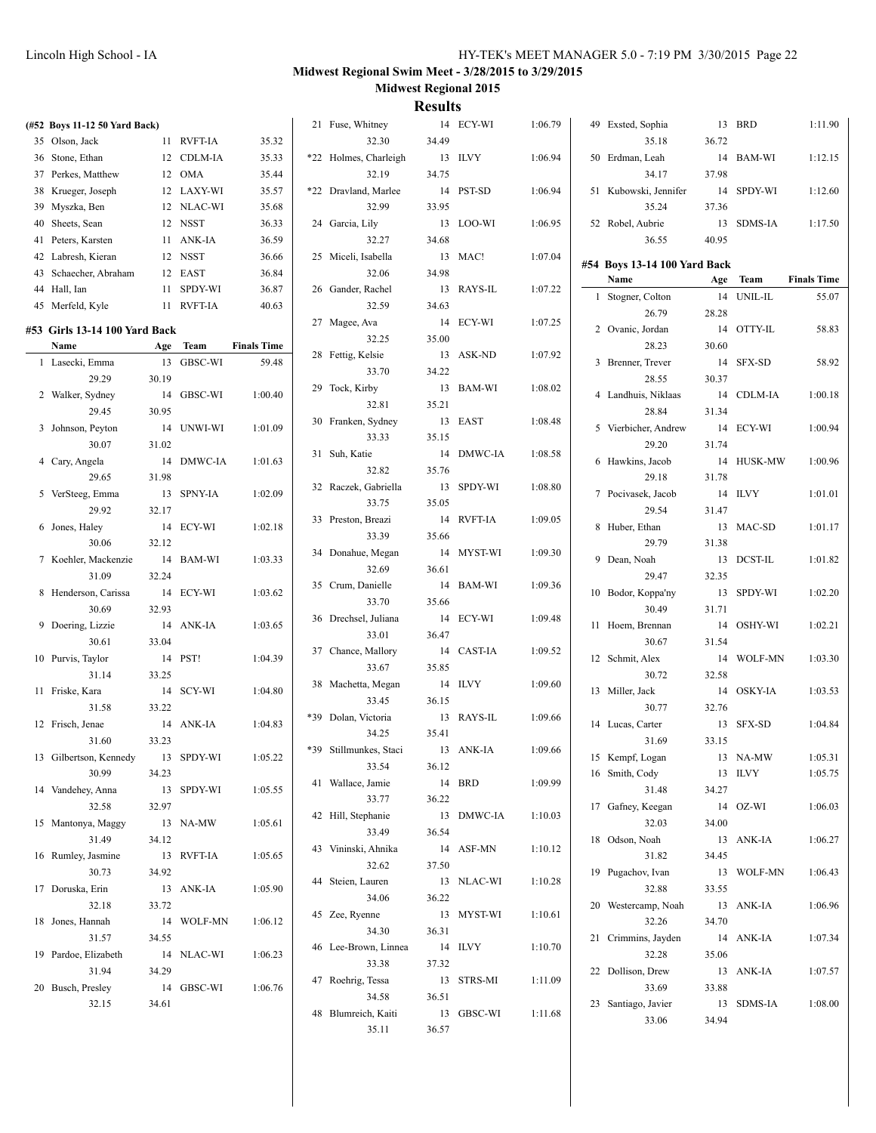| (#52 Boys 11-12 50 Yard Back)     |       |            |                    | 21 Fuse, Whitney       |        | 14 ECY-WI  | 1:06.79 | 49 Exsted, Sophia            |       | 13 BRD     | 1:11.90            |
|-----------------------------------|-------|------------|--------------------|------------------------|--------|------------|---------|------------------------------|-------|------------|--------------------|
| 35 Olson, Jack                    |       | 11 RVFT-IA | 35.32              | 32.30                  | 34.49  |            |         | 35.18                        | 36.72 |            |                    |
| 36 Stone, Ethan                   |       | 12 CDLM-IA | 35.33              | *22 Holmes, Charleigh  |        | 13 ILVY    | 1:06.94 | 50 Erdman, Leah              |       | 14 BAM-WI  | 1:12.15            |
| 37 Perkes, Matthew                |       | 12 OMA     | 35.44              | 32.19                  | 34.75  |            |         | 34.17                        | 37.98 |            |                    |
| 38 Krueger, Joseph                |       | 12 LAXY-WI | 35.57              | *22 Dravland, Marlee   |        | 14 PST-SD  | 1:06.94 | 51 Kubowski, Jennifer        |       | 14 SPDY-WI | 1:12.60            |
| 39 Myszka, Ben                    |       | 12 NLAC-WI | 35.68              | 32.99                  | 33.95  |            |         | 35.24                        | 37.36 |            |                    |
| 40 Sheets, Sean                   |       | 12 NSST    | 36.33              | 24 Garcia, Lily        |        | 13 LOO-WI  | 1:06.95 | 52 Robel, Aubrie             |       | 13 SDMS-IA | 1:17.50            |
| 41 Peters, Karsten                |       | 11 ANK-IA  | 36.59              | 32.27                  | 34.68  |            |         | 36.55                        | 40.95 |            |                    |
| 42 Labresh, Kieran                |       | 12 NSST    | 36.66              | 25 Miceli, Isabella    |        | 13 MAC!    | 1:07.04 | #54 Boys 13-14 100 Yard Back |       |            |                    |
| 43 Schaecher, Abraham             |       | 12 EAST    | 36.84              | 32.06                  | 34.98  |            |         | Name                         |       | Age Team   | <b>Finals Time</b> |
| 44 Hall, Ian                      |       | 11 SPDY-WI | 36.87              | 26 Gander, Rachel      |        | 13 RAYS-IL | 1:07.22 | 1 Stogner, Colton            |       | 14 UNIL-IL | 55.07              |
| 45 Merfeld, Kyle                  |       | 11 RVFT-IA | 40.63              | 32.59                  | 34.63  |            |         | 26.79                        | 28.28 |            |                    |
| #53 Girls 13-14 100 Yard Back     |       |            |                    | 27 Magee, Ava          |        | 14 ECY-WI  | 1:07.25 | 2 Ovanic, Jordan             |       | 14 OTTY-IL | 58.83              |
| Name                              |       | Age Team   | <b>Finals Time</b> | 32.25                  | 35.00  |            |         | 28.23                        | 30.60 |            |                    |
| 1 Lasecki, Emma                   |       | 13 GBSC-WI | 59.48              | 28 Fettig, Kelsie      |        | 13 ASK-ND  | 1:07.92 | 3 Brenner, Trever            |       | 14 SFX-SD  | 58.92              |
| 29.29                             | 30.19 |            |                    | 33.70                  | 34.22  |            |         | 28.55                        | 30.37 |            |                    |
| 2 Walker, Sydney                  |       | 14 GBSC-WI | 1:00.40            | 29 Tock, Kirby         |        | 13 BAM-WI  | 1:08.02 | 4 Landhuis, Niklaas          |       | 14 CDLM-IA | 1:00.18            |
| 29.45                             | 30.95 |            |                    | 32.81                  | 35.21  |            |         | 28.84                        | 31.34 |            |                    |
| 3 Johnson, Peyton                 |       | 14 UNWI-WI | 1:01.09            | 30 Franken, Sydney     |        | 13 EAST    | 1:08.48 | 5 Vierbicher, Andrew         |       | 14 ECY-WI  | 1:00.94            |
| 30.07                             | 31.02 |            |                    | 33.33                  | 35.15  |            |         | 29.20                        | 31.74 |            |                    |
| 4 Cary, Angela                    |       | 14 DMWC-IA | 1:01.63            | 31 Suh, Katie          |        | 14 DMWC-IA | 1:08.58 | 6 Hawkins, Jacob             |       | 14 HUSK-MW | 1:00.96            |
| 29.65                             | 31.98 |            |                    | 32.82                  | 35.76  |            |         | 29.18                        | 31.78 |            |                    |
| 5 VerSteeg, Emma                  |       | 13 SPNY-IA | 1:02.09            | 32 Raczek, Gabriella   |        | 13 SPDY-WI | 1:08.80 | 7 Pocivasek, Jacob           |       | 14 ILVY    | 1:01.01            |
| 29.92                             | 32.17 |            |                    | 33.75                  | 35.05  |            |         | 29.54                        | 31.47 |            |                    |
| 6 Jones, Haley                    |       | 14 ECY-WI  | 1:02.18            | 33 Preston, Breazi     |        | 14 RVFT-IA | 1:09.05 | 8 Huber, Ethan               |       | 13 MAC-SD  | 1:01.17            |
| 30.06                             | 32.12 |            |                    | 33.39                  | 35.66  |            |         | 29.79                        | 31.38 |            |                    |
| 7 Koehler, Mackenzie              |       | 14 BAM-WI  | 1:03.33            | 34 Donahue, Megan      |        | 14 MYST-WI | 1:09.30 | 9 Dean, Noah                 |       | 13 DCST-IL | 1:01.82            |
| 31.09                             | 32.24 |            |                    | 32.69                  | 36.61  |            |         | 29.47                        | 32.35 |            |                    |
| 8 Henderson, Carissa              |       | 14 ECY-WI  | 1:03.62            | 35 Crum, Danielle      |        | 14 BAM-WI  | 1:09.36 | 10 Bodor, Koppa'ny           |       | 13 SPDY-WI | 1:02.20            |
| 30.69                             | 32.93 |            |                    | 33.70                  | 35.66  |            |         | 30.49                        | 31.71 |            |                    |
| 9 Doering, Lizzie                 |       | 14 ANK-IA  | 1:03.65            | 36 Drechsel, Juliana   |        | 14 ECY-WI  | 1:09.48 | 11 Hoem, Brennan             |       | 14 OSHY-WI | 1:02.21            |
| 30.61                             | 33.04 |            |                    | 33.01                  | 36.47  |            |         | 30.67                        | 31.54 |            |                    |
| 10 Purvis, Taylor                 |       | 14 PST!    | 1:04.39            | 37 Chance, Mallory     |        | 14 CAST-IA | 1:09.52 | 12 Schmit, Alex              |       | 14 WOLF-MN | 1:03.30            |
| 31.14                             | 33.25 |            |                    | 33.67                  | 35.85  |            |         | 30.72                        | 32.58 |            |                    |
| 11 Friske, Kara                   |       | 14 SCY-WI  | 1:04.80            | 38 Machetta, Megan     |        | 14 ILVY    | 1:09.60 | 13 Miller, Jack              |       | 14 OSKY-IA | 1:03.53            |
| 31.58                             | 33.22 |            |                    | 33.45                  | 36.15  |            |         | 30.77                        | 32.76 |            |                    |
| 12 Frisch, Jenae                  |       | 14 ANK-IA  | 1:04.83            | *39 Dolan, Victoria    |        | 13 RAYS-IL | 1:09.66 | 14 Lucas, Carter             |       | 13 SFX-SD  | 1:04.84            |
| 31.60                             | 33.23 |            |                    | 34.25                  | 35.41  |            |         | 31.69                        | 33.15 |            |                    |
| 13 Gilbertson, Kennedy 13 SPDY-WI |       |            | 1:05.22            | *39 Stillmunkes, Staci |        | 13 ANK-IA  | 1:09.66 | 15 Kempf, Logan              |       | 13 NA-MW   | 1:05.31            |
| 30.99                             | 34.23 |            |                    | 33.54                  | 36.12  |            |         | 16 Smith, Cody               |       | 13 ILVY    | 1:05.75            |
| 14 Vandehey, Anna                 |       | 13 SPDY-WI | 1:05.55            | 41 Wallace, Jamie      | 14 BRD |            | 1:09.99 | 31.48                        | 34.27 |            |                    |
| 32.58                             | 32.97 |            |                    | 33.77                  | 36.22  |            |         | 17 Gafney, Keegan            |       | 14 OZ-WI   | 1:06.03            |
| 15 Mantonya, Maggy                |       | 13 NA-MW   | 1:05.61            | 42 Hill, Stephanie     |        | 13 DMWC-IA | 1:10.03 | 32.03                        | 34.00 |            |                    |
| 31.49                             | 34.12 |            |                    | 33.49                  | 36.54  |            |         | 18 Odson, Noah               |       | 13 ANK-IA  | 1:06.27            |
| 16 Rumley, Jasmine                |       | 13 RVFT-IA | 1:05.65            | 43 Vininski, Ahnika    |        | 14 ASF-MN  | 1:10.12 | 31.82                        | 34.45 |            |                    |
| 30.73                             | 34.92 |            |                    | 32.62                  | 37.50  |            |         | 19 Pugachov, Ivan            |       | 13 WOLF-MN | 1:06.43            |
| 17 Doruska, Erin                  |       | 13 ANK-IA  | 1:05.90            | 44 Steien, Lauren      |        | 13 NLAC-WI | 1:10.28 | 32.88                        | 33.55 |            |                    |
| 32.18                             | 33.72 |            |                    | 34.06                  | 36.22  |            |         | 20 Westercamp, Noah          |       | 13 ANK-IA  | 1:06.96            |
| 18 Jones, Hannah                  |       | 14 WOLF-MN | 1:06.12            | 45 Zee, Ryenne         |        | 13 MYST-WI | 1:10.61 | 32.26                        | 34.70 |            |                    |
| 31.57                             | 34.55 |            |                    | 34.30                  | 36.31  |            |         | 21 Crimmins, Jayden          |       | 14 ANK-IA  | 1:07.34            |
| 19 Pardoe, Elizabeth              |       | 14 NLAC-WI | 1:06.23            | 46 Lee-Brown, Linnea   |        | 14 ILVY    | 1:10.70 | 32.28                        | 35.06 |            |                    |
| 31.94                             | 34.29 |            |                    | 33.38                  | 37.32  |            |         | 22 Dollison, Drew            |       | 13 ANK-IA  | 1:07.57            |
| 20 Busch, Presley                 |       | 14 GBSC-WI | 1:06.76            | 47 Roehrig, Tessa      |        | 13 STRS-MI | 1:11.09 | 33.69                        | 33.88 |            |                    |
| 32.15                             | 34.61 |            |                    | 34.58                  | 36.51  |            |         | 23 Santiago, Javier          |       | 13 SDMS-IA | 1:08.00            |
|                                   |       |            |                    | 48 Blumreich, Kaiti    |        | 13 GBSC-WI | 1:11.68 | 33.06                        | 34.94 |            |                    |
|                                   |       |            |                    | 35.11                  | 36.57  |            |         |                              |       |            |                    |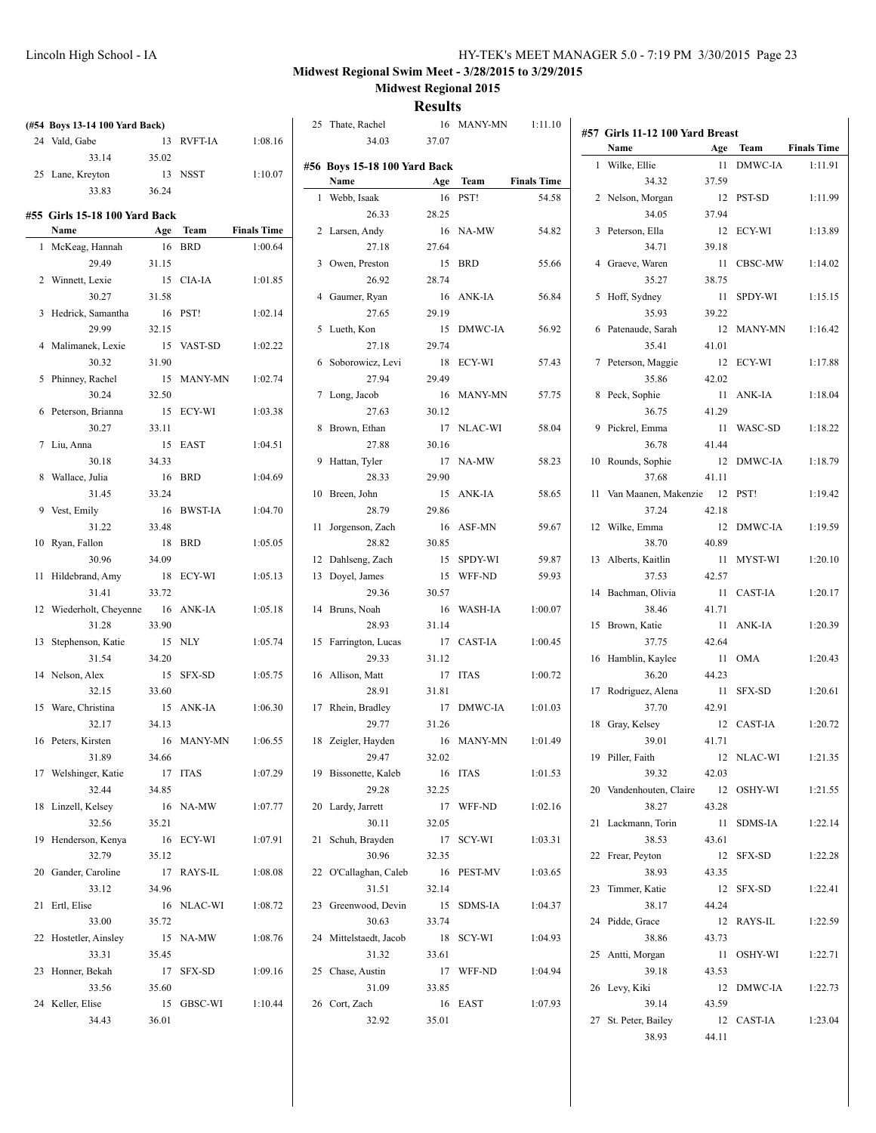|                                |       |            |                    |                                      | <b>IZCSUILS</b> |            |                    |                                 |       |            |                    |
|--------------------------------|-------|------------|--------------------|--------------------------------------|-----------------|------------|--------------------|---------------------------------|-------|------------|--------------------|
| (#54 Boys 13-14 100 Yard Back) |       |            |                    | 25 Thate, Rachel                     |                 | 16 MANY-MN | 1:11.10            | #57 Girls 11-12 100 Yard Breast |       |            |                    |
| 24 Vald, Gabe                  |       | 13 RVFT-IA | 1:08.16            | 34.03                                | 37.07           |            |                    | Name                            |       | Age Team   | <b>Finals Time</b> |
| 33.14                          | 35.02 |            |                    |                                      |                 |            |                    | 1 Wilke, Ellie                  |       | 11 DMWC-IA | 1:11.91            |
| 25 Lane, Kreyton               |       | 13 NSST    | 1:10.07            | #56 Boys 15-18 100 Yard Back<br>Name |                 |            | <b>Finals Time</b> |                                 |       |            |                    |
| 33.83                          | 36.24 |            |                    |                                      |                 | Age Team   |                    | 34.32                           | 37.59 |            |                    |
|                                |       |            |                    | 1 Webb, Isaak                        |                 | 16 PST!    | 54.58              | 2 Nelson, Morgan                |       | 12 PST-SD  | 1:11.99            |
| #55 Girls 15-18 100 Yard Back  |       |            |                    | 26.33                                | 28.25           |            |                    | 34.05                           | 37.94 |            |                    |
| Name                           |       | Age Team   | <b>Finals Time</b> | 2 Larsen, Andy                       |                 | 16 NA-MW   | 54.82              | 3 Peterson, Ella                |       | 12 ECY-WI  | 1:13.89            |
| 1 McKeag, Hannah               |       | 16 BRD     | 1:00.64            | 27.18                                | 27.64           |            |                    | 34.71                           | 39.18 |            |                    |
| 29.49                          | 31.15 |            |                    | 3 Owen, Preston                      |                 | 15 BRD     | 55.66              | 4 Graeve, Waren                 |       | 11 CBSC-MW | 1:14.02            |
| 2 Winnett, Lexie               |       | 15 CIA-IA  | 1:01.85            | 26.92                                | 28.74           |            |                    | 35.27                           | 38.75 |            |                    |
| 30.27                          | 31.58 |            |                    | 4 Gaumer, Ryan                       |                 | 16 ANK-IA  | 56.84              | 5 Hoff, Sydney                  |       | 11 SPDY-WI | 1:15.15            |
| 3 Hedrick, Samantha            |       | 16 PST!    | 1:02.14            | 27.65                                | 29.19           |            |                    | 35.93                           | 39.22 |            |                    |
| 29.99                          | 32.15 |            |                    | 5 Lueth, Kon                         |                 | 15 DMWC-IA | 56.92              | 6 Patenaude, Sarah              |       | 12 MANY-MN | 1:16.42            |
| 4 Malimanek, Lexie             |       | 15 VAST-SD | 1:02.22            | 27.18                                | 29.74           |            |                    | 35.41                           | 41.01 |            |                    |
| 30.32                          | 31.90 |            |                    | 6 Soborowicz, Levi                   |                 | 18 ECY-WI  | 57.43              | 7 Peterson, Maggie              |       | 12 ECY-WI  | 1:17.88            |
| 5 Phinney, Rachel              |       | 15 MANY-MN | 1:02.74            | 27.94                                | 29.49           |            |                    | 35.86                           | 42.02 |            |                    |
| 30.24                          | 32.50 |            |                    | 7 Long, Jacob                        |                 | 16 MANY-MN | 57.75              | 8 Peck, Sophie                  |       | 11 ANK-IA  | 1:18.04            |
| 6 Peterson, Brianna            |       | 15 ECY-WI  | 1:03.38            | 27.63                                | 30.12           |            |                    | 36.75                           | 41.29 |            |                    |
| 30.27                          | 33.11 |            |                    | 8 Brown, Ethan                       |                 | 17 NLAC-WI | 58.04              | 9 Pickrel, Emma                 |       | 11 WASC-SD | 1:18.22            |
| 7 Liu, Anna                    |       | 15 EAST    | 1:04.51            | 27.88                                | 30.16           |            |                    | 36.78                           | 41.44 |            |                    |
| 30.18                          | 34.33 |            |                    | 9 Hattan, Tyler                      |                 | 17 NA-MW   | 58.23              | 10 Rounds, Sophie               |       | 12 DMWC-IA | 1:18.79            |
| 8 Wallace, Julia               |       | 16 BRD     | 1:04.69            | 28.33                                | 29.90           |            |                    | 37.68                           | 41.11 |            |                    |
| 31.45                          | 33.24 |            |                    | 10 Breen, John                       |                 | 15 ANK-IA  | 58.65              | 11 Van Maanen, Makenzie 12 PST! |       |            | 1:19.42            |
| 9 Vest, Emily                  |       | 16 BWST-IA | 1:04.70            | 28.79                                | 29.86           |            |                    | 37.24                           | 42.18 |            |                    |
| 31.22                          | 33.48 |            |                    | 11 Jorgenson, Zach                   |                 | 16 ASF-MN  | 59.67              | 12 Wilke, Emma                  |       | 12 DMWC-IA | 1:19.59            |
| 10 Ryan, Fallon                |       | 18 BRD     | 1:05.05            | 28.82                                | 30.85           |            |                    | 38.70                           | 40.89 |            |                    |
|                                |       |            |                    |                                      |                 |            |                    |                                 |       |            |                    |
| 30.96                          | 34.09 |            |                    | 12 Dahlseng, Zach                    |                 | 15 SPDY-WI | 59.87              | 13 Alberts, Kaitlin             |       | 11 MYST-WI | 1:20.10            |
| 11 Hildebrand, Amy             |       | 18 ECY-WI  | 1:05.13            | 13 Doyel, James                      |                 | 15 WFF-ND  | 59.93              | 37.53                           | 42.57 |            |                    |
| 31.41                          | 33.72 |            |                    | 29.36                                | 30.57           |            |                    | 14 Bachman, Olivia              |       | 11 CAST-IA | 1:20.17            |
| 12 Wiederholt, Cheyenne        |       | 16 ANK-IA  | 1:05.18            | 14 Bruns, Noah                       |                 | 16 WASH-IA | 1:00.07            | 38.46                           | 41.71 |            |                    |
| 31.28                          | 33.90 |            |                    | 28.93                                | 31.14           |            |                    | 15 Brown, Katie                 |       | 11 ANK-IA  | 1:20.39            |
| 13 Stephenson, Katie           |       | 15 NLY     | 1:05.74            | 15 Farrington, Lucas                 |                 | 17 CAST-IA | 1:00.45            | 37.75                           | 42.64 |            |                    |
| 31.54                          | 34.20 |            |                    | 29.33                                | 31.12           |            |                    | 16 Hamblin, Kaylee              |       | 11 OMA     | 1:20.43            |
| 14 Nelson, Alex                |       | 15 SFX-SD  | 1:05.75            | 16 Allison, Matt                     |                 | 17 ITAS    | 1:00.72            | 36.20                           | 44.23 |            |                    |
| 32.15                          | 33.60 |            |                    | 28.91                                | 31.81           |            |                    | 17 Rodriguez, Alena             |       | 11 SFX-SD  | 1:20.61            |
| 15 Ware, Christina             |       | 15 ANK-IA  | 1:06.30            | 17 Rhein, Bradley                    |                 | 17 DMWC-IA | 1:01.03            | 37.70                           | 42.91 |            |                    |
| 32.17                          | 34.13 |            |                    | 29.77                                | 31.26           |            |                    | 18 Gray, Kelsey                 |       | 12 CAST-IA | 1:20.72            |
| 16 Peters, Kirsten             |       | 16 MANY-MN | 1:06.55            | 18 Zeigler, Hayden                   |                 | 16 MANY-MN | 1:01.49            | 39.01                           | 41.71 |            |                    |
| 31.89                          | 34.66 |            |                    | 29.47                                | 32.02           |            |                    | 19 Piller, Faith                |       | 12 NLAC-WI | 1:21.35            |
| 17 Welshinger, Katie           |       | 17 ITAS    | 1:07.29            | 19 Bissonette, Kaleb                 |                 | 16 ITAS    | 1:01.53            | 39.32                           | 42.03 |            |                    |
| 32.44                          | 34.85 |            |                    | 29.28                                | 32.25           |            |                    | 20 Vandenhouten, Claire         |       | 12 OSHY-WI | 1:21.55            |
| 18 Linzell, Kelsey             |       | 16 NA-MW   | 1:07.77            | 20 Lardy, Jarrett                    |                 | 17 WFF-ND  | 1:02.16            | 38.27                           | 43.28 |            |                    |
| 32.56                          | 35.21 |            |                    | 30.11                                | 32.05           |            |                    | 21 Lackmann, Torin              |       | 11 SDMS-IA | 1:22.14            |
| 19 Henderson, Kenya            |       | 16 ECY-WI  | 1:07.91            | 21 Schuh, Brayden                    |                 | 17 SCY-WI  | 1:03.31            | 38.53                           | 43.61 |            |                    |
| 32.79                          | 35.12 |            |                    | 30.96                                | 32.35           |            |                    | 22 Frear, Peyton                |       | 12 SFX-SD  | 1:22.28            |
| 20 Gander, Caroline            |       | 17 RAYS-IL | 1:08.08            | 22 O'Callaghan, Caleb                |                 | 16 PEST-MV | 1:03.65            | 38.93                           | 43.35 |            |                    |
| 33.12                          | 34.96 |            |                    | 31.51                                | 32.14           |            |                    | 23 Timmer, Katie                |       | 12 SFX-SD  | 1:22.41            |
| 21 Ertl, Elise                 |       | 16 NLAC-WI | 1:08.72            | 23 Greenwood, Devin                  |                 | 15 SDMS-IA | 1:04.37            | 38.17                           | 44.24 |            |                    |
|                                |       |            |                    |                                      |                 |            |                    |                                 |       |            |                    |
| 33.00                          | 35.72 |            |                    | 30.63                                | 33.74           |            |                    | 24 Pidde, Grace                 |       | 12 RAYS-IL | 1:22.59            |
| 22 Hostetler, Ainsley          |       | 15 NA-MW   | 1:08.76            | 24 Mittelstaedt, Jacob               |                 | 18 SCY-WI  | 1:04.93            | 38.86                           | 43.73 |            |                    |
| 33.31                          | 35.45 |            |                    | 31.32                                | 33.61           |            |                    | 25 Antti, Morgan                |       | 11 OSHY-WI | 1:22.71            |
| 23 Honner, Bekah               |       | 17 SFX-SD  | 1:09.16            | 25 Chase, Austin                     |                 | 17 WFF-ND  | 1:04.94            | 39.18                           | 43.53 |            |                    |
| 33.56                          | 35.60 |            |                    | 31.09                                | 33.85           |            |                    | 26 Levy, Kiki                   |       | 12 DMWC-IA | 1:22.73            |
| 24 Keller, Elise               |       | 15 GBSC-WI | 1:10.44            | 26 Cort, Zach                        |                 | 16 EAST    | 1:07.93            | 39.14                           | 43.59 |            |                    |
| 34.43                          | 36.01 |            |                    | 32.92                                | 35.01           |            |                    | 27 St. Peter, Bailey            |       | 12 CAST-IA | 1:23.04            |
|                                |       |            |                    |                                      |                 |            |                    | 38.93                           | 44.11 |            |                    |
|                                |       |            |                    |                                      |                 |            |                    |                                 |       |            |                    |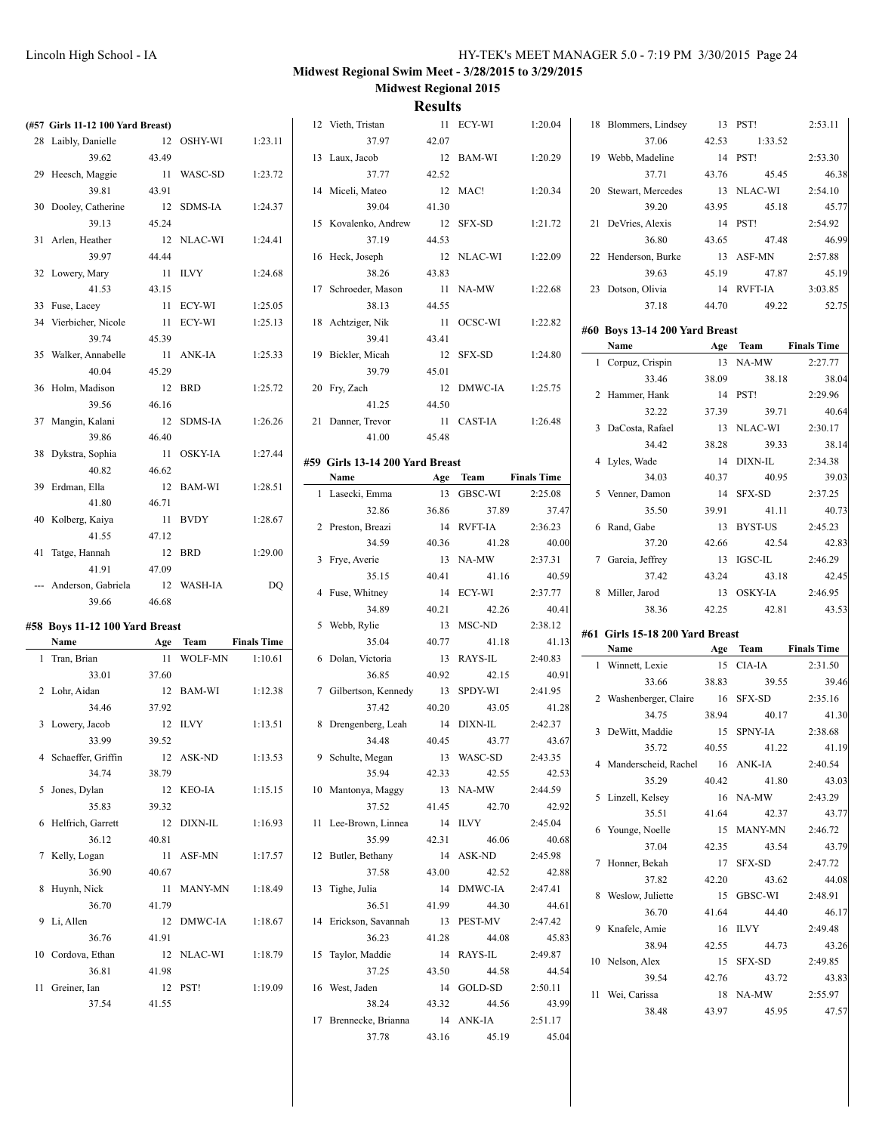| (#57 Girls 11-12 100 Yard Breast) |         |            |                    | 12 Vieth, Tristan               |       | 11 ECY-WI  | 1:20.04            | 18 Blommers, Lindsey            |       | 13 PST!    | 2:53.11            |
|-----------------------------------|---------|------------|--------------------|---------------------------------|-------|------------|--------------------|---------------------------------|-------|------------|--------------------|
| 28 Laibly, Danielle               |         | 12 OSHY-WI | 1:23.11            | 37.97                           | 42.07 |            |                    | 37.06                           | 42.53 | 1:33.52    |                    |
| 39.62                             | 43.49   |            |                    | 13 Laux, Jacob                  |       | 12 BAM-WI  | 1:20.29            | 19 Webb, Madeline               |       | 14 PST!    | 2:53.30            |
| 29 Heesch, Maggie                 |         | 11 WASC-SD | 1:23.72            | 37.77                           | 42.52 |            |                    | 37.71                           | 43.76 | 45.45      | 46.38              |
| 39.81                             | 43.91   |            |                    | 14 Miceli, Mateo                |       | 12 MAC!    | 1:20.34            | 20 Stewart, Mercedes            |       | 13 NLAC-WI | 2:54.10            |
| 30 Dooley, Catherine              |         | 12 SDMS-IA | 1:24.37            | 39.04                           | 41.30 |            |                    | 39.20                           | 43.95 | 45.18      | 45.77              |
| 39.13                             | 45.24   |            |                    | 15 Kovalenko, Andrew            |       | 12 SFX-SD  | 1:21.72            | 21 DeVries, Alexis              |       | 14 PST!    | 2:54.92            |
| 31 Arlen, Heather                 |         | 12 NLAC-WI | 1:24.41            | 37.19                           | 44.53 |            |                    | 36.80                           | 43.65 | 47.48      | 46.99              |
|                                   |         |            |                    |                                 |       |            |                    |                                 |       |            |                    |
| 39.97                             | 44.44   |            |                    | 16 Heck, Joseph                 |       | 12 NLAC-WI | 1:22.09            | 22 Henderson, Burke             |       | 13 ASF-MN  | 2:57.88            |
| 32 Lowery, Mary                   |         | 11 ILVY    | 1:24.68            | 38.26                           | 43.83 |            |                    | 39.63                           | 45.19 | 47.87      | 45.19              |
| 41.53                             | 43.15   |            |                    | 17 Schroeder, Mason             |       | 11 NA-MW   | 1:22.68            | 23 Dotson, Olivia               |       | 14 RVFT-IA | 3:03.85            |
| 33 Fuse, Lacey                    |         | 11 ECY-WI  | 1:25.05            | 38.13                           | 44.55 |            |                    | 37.18                           | 44.70 | 49.22      | 52.75              |
| 34 Vierbicher, Nicole             |         | 11 ECY-WI  | 1:25.13            | 18 Achtziger, Nik               |       | 11 OCSC-WI | 1:22.82            | #60 Boys 13-14 200 Yard Breast  |       |            |                    |
| 39.74                             | 45.39   |            |                    | 39.41                           | 43.41 |            |                    | Name                            |       | Age Team   | <b>Finals Time</b> |
| 35 Walker, Annabelle              |         | 11 ANK-IA  | 1:25.33            | 19 Bickler, Micah               |       | 12 SFX-SD  | 1:24.80            | 1 Corpuz, Crispin               |       | 13 NA-MW   | 2:27.77            |
| 40.04                             | 45.29   |            |                    | 39.79                           | 45.01 |            |                    | 33.46                           | 38.09 | 38.18      | 38.04              |
| 36 Holm, Madison                  |         | 12 BRD     | 1:25.72            | 20 Fry, Zach                    |       | 12 DMWC-IA | 1:25.75            | 2 Hammer, Hank                  |       | 14 PST!    | 2:29.96            |
| 39.56                             | 46.16   |            |                    | 41.25                           | 44.50 |            |                    |                                 |       |            |                    |
| 37 Mangin, Kalani                 |         | 12 SDMS-IA | 1:26.26            | 21 Danner, Trevor               |       | 11 CAST-IA | 1:26.48            | 32.22                           | 37.39 | 39.71      | 40.64              |
| 39.86                             | 46.40   |            |                    | 41.00                           | 45.48 |            |                    | 3 DaCosta, Rafael               |       | 13 NLAC-WI | 2:30.17            |
| 38 Dykstra, Sophia                |         | 11 OSKY-IA | 1:27.44            |                                 |       |            |                    | 34.42                           | 38.28 | 39.33      | 38.14              |
| 40.82                             | 46.62   |            |                    | #59 Girls 13-14 200 Yard Breast |       |            |                    | 4 Lyles, Wade                   |       | 14 DIXN-IL | 2:34.38            |
| 39 Erdman, Ella                   |         | 12 BAM-WI  | 1:28.51            | Name                            |       | Age Team   | <b>Finals Time</b> | 34.03                           | 40.37 | 40.95      | 39.03              |
| 41.80                             | 46.71   |            |                    | 1 Lasecki, Emma                 |       | 13 GBSC-WI | 2:25.08            | 5 Venner, Damon                 |       | 14 SFX-SD  | 2:37.25            |
|                                   |         |            | 1:28.67            | 32.86                           | 36.86 | 37.89      | 37.47              | 35.50                           | 39.91 | 41.11      | 40.73              |
| 40 Kolberg, Kaiya                 |         | 11 BVDY    |                    | 2 Preston, Breazi               |       | 14 RVFT-IA | 2:36.23            | 6 Rand, Gabe                    |       | 13 BYST-US | 2:45.23            |
| 41.55                             | 47.12   |            |                    | 34.59                           | 40.36 | 41.28      | 40.00              | 37.20                           | 42.66 | 42.54      | 42.83              |
| 41 Tatge, Hannah                  |         | 12 BRD     | 1:29.00            | 3 Frye, Averie                  |       | 13 NA-MW   | 2:37.31            | 7 Garcia, Jeffrey               |       | 13 IGSC-IL | 2:46.29            |
| 41.91                             | 47.09   |            |                    | 35.15                           | 40.41 | 41.16      | 40.59              | 37.42                           | 43.24 | 43.18      | 42.45              |
|                                   |         |            |                    |                                 |       |            |                    |                                 |       |            |                    |
| --- Anderson, Gabriela            |         | 12 WASH-IA | DQ                 |                                 |       |            |                    |                                 |       |            |                    |
| 39.66                             | 46.68   |            |                    | 4 Fuse, Whitney                 |       | 14 ECY-WI  | 2:37.77            | 8 Miller, Jarod                 |       | 13 OSKY-IA | 2:46.95            |
|                                   |         |            |                    | 34.89                           | 40.21 | 42.26      | 40.41              | 38.36                           | 42.25 | 42.81      | 43.53              |
| #58 Boys 11-12 100 Yard Breast    |         |            |                    | 5 Webb, Rylie                   |       | 13 MSC-ND  | 2:38.12            | #61 Girls 15-18 200 Yard Breast |       |            |                    |
| Name                              |         | Age Team   | <b>Finals Time</b> | 35.04                           | 40.77 | 41.18      | 41.13              | Name                            |       | Age Team   | <b>Finals Time</b> |
| 1 Tran, Brian                     |         | 11 WOLF-MN | 1:10.61            | 6 Dolan, Victoria               |       | 13 RAYS-IL | 2:40.83            | 1 Winnett, Lexie                |       | 15 CIA-IA  | 2:31.50            |
| 33.01                             | 37.60   |            |                    | 36.85                           | 40.92 | 42.15      | 40.91              | 33.66                           | 38.83 | 39.55      | 39.46              |
| 2 Lohr, Aidan                     |         | 12 BAM-WI  | 1:12.38            | 7 Gilbertson, Kennedy           |       | 13 SPDY-WI | 2:41.95            | 2 Washenberger, Claire          |       | 16 SFX-SD  | 2:35.16            |
| 34.46                             | 37.92   |            |                    | 37.42                           | 40.20 | 43.05      | 41.28              | 34.75                           | 38.94 | 40.17      | 41.30              |
| 3 Lowery, Jacob                   |         | 12 ILVY    | 1:13.51            | 8 Drengenberg, Leah             |       | 14 DIXN-IL | 2:42.37            | 3 DeWitt, Maddie                |       | 15 SPNY-IA | 2:38.68            |
| 33.99                             | 39.52   |            |                    | 34.48                           | 40.45 | 43.77      | 43.67              | 35.72                           | 40.55 | 41.22      | 41.19              |
| 4 Schaeffer, Griffin              |         | 12 ASK-ND  | 1:13.53            | 9 Schulte, Megan                |       | 13 WASC-SD | 2:43.35            |                                 |       |            |                    |
| 34.74                             | 38.79   |            |                    | 35.94                           | 42.33 | 42.55      | 42.53              | 4 Manderscheid, Rachel          |       | 16 ANK-IA  | 2:40.54            |
| 5 Jones, Dylan                    |         | 12 KEO-IA  | 1:15.15            | 10 Mantonya, Maggy              |       | 13 NA-MW   | 2:44.59            | 35.29                           | 40.42 | 41.80      | 43.03              |
| 35.83                             | 39.32   |            |                    | 37.52                           | 41.45 | 42.70      | 42.92              | 5 Linzell, Kelsey               |       | 16 NA-MW   | 2:43.29            |
| 6 Helfrich, Garrett               |         | 12 DIXN-IL | 1:16.93            | 11 Lee-Brown, Linnea            |       | 14 ILVY    | 2:45.04            | 35.51                           | 41.64 | 42.37      | 43.77              |
| 36.12                             | 40.81   |            |                    | 35.99                           | 42.31 | 46.06      | 40.68              | 6 Younge, Noelle                |       | 15 MANY-MN | 2:46.72            |
| 7 Kelly, Logan                    |         | 11 ASF-MN  | 1:17.57            | 12 Butler, Bethany              |       | 14 ASK-ND  | 2:45.98            | 37.04                           | 42.35 | 43.54      | 43.79              |
| 36.90                             | 40.67   |            |                    | 37.58                           | 43.00 | 42.52      | 42.88              | 7 Honner, Bekah                 |       | 17 SFX-SD  | 2:47.72            |
|                                   |         |            |                    |                                 |       |            |                    | 37.82                           | 42.20 | 43.62      | 44.08              |
| 8 Huynh, Nick                     |         | 11 MANY-MN | 1:18.49            | 13 Tighe, Julia                 |       | 14 DMWC-IA | 2:47.41            | 8 Weslow, Juliette              |       | 15 GBSC-WI | 2:48.91            |
| 36.70                             | 41.79   |            |                    | 36.51                           | 41.99 | 44.30      | 44.61              | 36.70                           | 41.64 | 44.40      | 46.17              |
| 9 Li, Allen                       |         | 12 DMWC-IA | 1:18.67            | 14 Erickson, Savannah           |       | 13 PEST-MV | 2:47.42            | 9 Knafelc, Amie                 |       | 16 ILVY    | 2:49.48            |
| 36.76                             | 41.91   |            |                    | 36.23                           | 41.28 | 44.08      | 45.83              | 38.94                           | 42.55 | 44.73      | 43.26              |
| 10 Cordova, Ethan                 |         | 12 NLAC-WI | 1:18.79            | 15 Taylor, Maddie               |       | 14 RAYS-IL | 2:49.87            | 10 Nelson, Alex                 |       | 15 SFX-SD  | 2:49.85            |
| 36.81                             | 41.98   |            |                    | 37.25                           | 43.50 | 44.58      | 44.54              | 39.54                           | 42.76 | 43.72      | 43.83              |
| 11 Greiner, Ian                   | 12 PST! |            | 1:19.09            | 16 West, Jaden                  |       | 14 GOLD-SD | 2:50.11            |                                 |       |            |                    |
| 37.54                             | 41.55   |            |                    | 38.24                           | 43.32 | 44.56      | 43.99              | 11 Wei, Carissa                 |       | 18 NA-MW   | 2:55.97            |
|                                   |         |            |                    | 17 Brennecke, Brianna           |       | 14 ANK-IA  | 2:51.17            | 38.48                           | 43.97 | 45.95      | 47.57              |
|                                   |         |            |                    | 37.78                           | 43.16 | 45.19      | 45.04              |                                 |       |            |                    |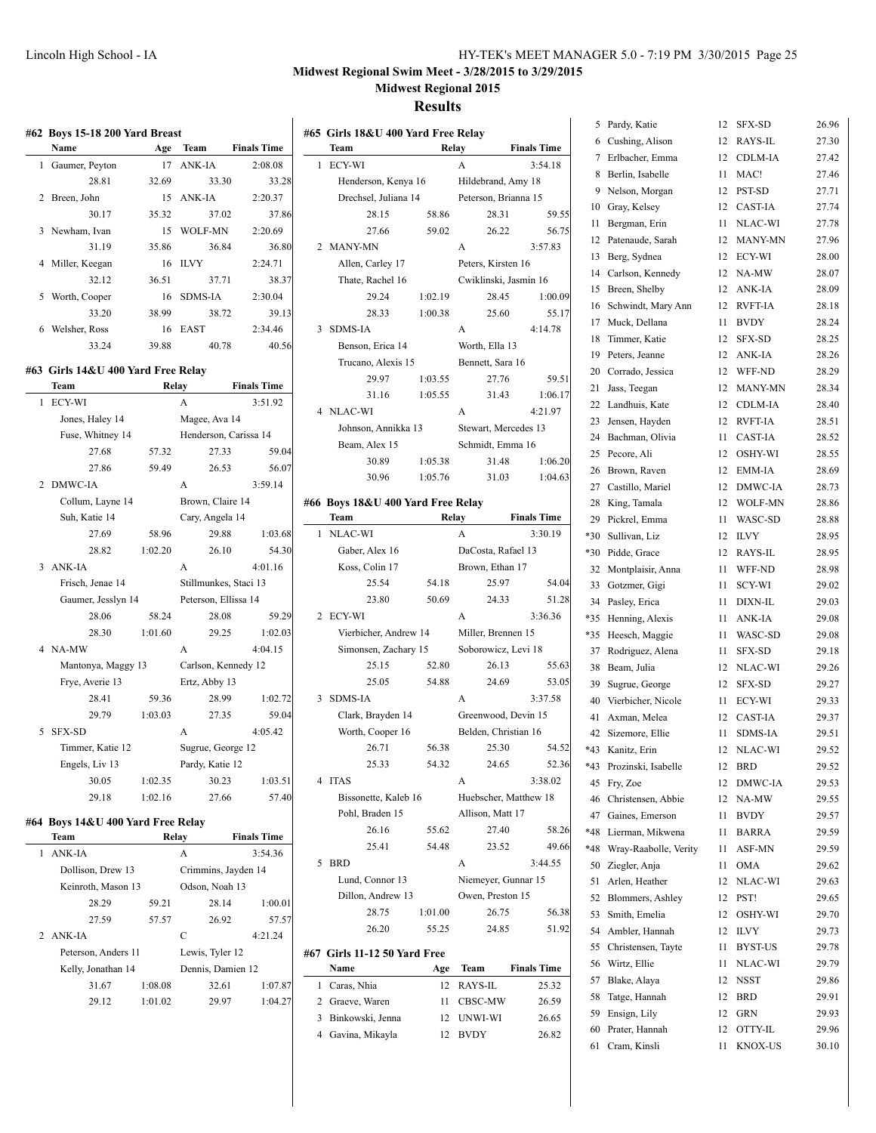# **Results**

|                | #62 Boys 15-18 200 Yard Breast     |         |                       |                    |
|----------------|------------------------------------|---------|-----------------------|--------------------|
|                | Name                               | Age     | Team                  | <b>Finals Time</b> |
| 1              | Gaumer, Peyton                     | 17      | <b>ANK-IA</b>         | 2:08.08            |
|                | 28.81                              | 32.69   | 33.30                 | 33.28              |
| $\overline{2}$ | Breen, John                        | 15      | ANK-IA                | 2:20.37            |
|                | 30.17                              | 35.32   | 37.02                 | 37.86              |
| 3              | Newham, Ivan                       | 15      | <b>WOLF-MN</b>        | 2:20.69            |
|                | 31.19                              | 35.86   | 36.84                 | 36.80              |
| 4              | Miller, Keegan                     | 16      | <b>ILVY</b>           | 2:24.71            |
|                | 32.12                              | 36.51   | 37.71                 | 38.37              |
| 5              | Worth, Cooper                      | 16      | <b>SDMS-IA</b>        | 2:30.04            |
|                | 33.20                              | 38.99   | 38.72                 | 39.13              |
| 6              | Welsher, Ross                      | 16      | EAST                  | 2:34.46            |
|                | 33.24                              | 39.88   | 40.78                 | 40.56              |
|                | #63 Girls 14&U 400 Yard Free Relay |         |                       |                    |
|                | Team                               |         | Relay                 | <b>Finals Time</b> |
| 1              | ECY-WI                             |         | A                     | 3:51.92            |
|                | Jones, Haley 14                    |         | Magee, Ava 14         |                    |
|                | Fuse, Whitney 14                   |         | Henderson, Carissa 14 |                    |
|                | 27.68                              | 57.32   | 27.33                 | 59.04              |
|                | 27.86                              | 59.49   | 26.53                 | 56.07              |
| 2              | DMWC-IA                            |         | A                     | 3:59.14            |
|                | Collum, Layne 14                   |         | Brown, Claire 14      |                    |
|                | Suh, Katie 14                      |         | Cary, Angela 14       |                    |
|                | 27.69                              | 58.96   | 29.88                 | 1:03.68            |
|                | 28.82                              | 1:02.20 | 26.10                 | 54.30              |
| 3              | ANK-IA                             |         | A                     | 4:01.16            |
|                | Frisch, Jenae 14                   |         | Stillmunkes, Staci 13 |                    |
|                | Gaumer, Jesslyn 14                 |         | Peterson, Ellissa 14  |                    |
|                | 28.06                              | 58.24   | 28.08                 | 59.29              |
|                | 28.30                              | 1:01.60 | 29.25                 | 1:02.03            |
| 4              | NA-MW                              |         | A                     | 4:04.15            |
|                | Mantonya, Maggy 13                 |         | Carlson, Kennedy 12   |                    |
|                | Frye, Averie 13                    |         | Ertz, Abby 13         |                    |
|                | 28.41                              | 59.36   | 28.99                 | 1:02.72            |
|                | 29.79                              | 1:03.03 | 27.35                 | 59.04              |
| 5              | SFX-SD                             |         | A                     | 4:05.42            |
|                | Timmer, Katie 12                   |         | Sugrue, George 12     |                    |
|                | Engels, Liv 13                     |         | Pardy, Katie 12       |                    |
|                | 30.05                              | 1:02.35 | 30.23                 | 1:03.51            |
|                | 29.18                              | 1:02.16 | 27.66                 | 57.40              |
|                | #64 Boys 14&U 400 Yard Free Relay  |         |                       |                    |
|                | Team                               |         | Relay                 | <b>Finals Time</b> |
| 1              | ANK-IA                             |         | А                     | 3:54.36            |
|                | Dollison, Drew 13                  |         | Crimmins, Jayden 14   |                    |
|                | Keinroth, Mason 13                 |         | Odson, Noah 13        |                    |
|                | 28.29                              | 59.21   | 28.14                 | 1:00.01            |
|                | 27.59                              | 57.57   | 26.92                 | 57.57              |
| 2              | ANK-IA                             |         | C                     | 4:21.24            |
|                | Peterson, Anders 11                |         | Lewis, Tyler 12       |                    |
|                | Kelly, Jonathan 14                 |         | Dennis, Damien 12     |                    |

 $\overline{a}$ 

31.67 1:08.08 32.61 1:07.87 29.12 1:01.02 29.97 1:04.27

|   | #65 Girls 18&U 400 Yard Free Relay<br>Team |         | Relay                 | <b>Finals Time</b> |
|---|--------------------------------------------|---------|-----------------------|--------------------|
| 1 | ECY-WI                                     |         | A                     | 3:54.18            |
|   | Henderson, Kenya 16                        |         | Hildebrand, Amy 18    |                    |
|   | Drechsel, Juliana 14                       |         | Peterson, Brianna 15  |                    |
|   | 28.15                                      | 58.86   | 28.31                 | 59.55              |
|   | 27.66                                      | 59.02   | 26.22                 | 56.75              |
| 2 | MANY-MN                                    |         | A                     | 3:57.83            |
|   | Allen, Carley 17                           |         | Peters, Kirsten 16    |                    |
|   | Thate, Rachel 16                           |         | Cwiklinski, Jasmin 16 |                    |
|   | 29.24                                      | 1:02.19 | 28.45                 | 1:00.09            |
|   | 28.33                                      | 1:00.38 | 25.60                 | 55.17              |
| 3 | <b>SDMS-IA</b>                             |         | A                     | 4:14.78            |
|   | Benson, Erica 14                           |         | Worth, Ella 13        |                    |
|   | Trucano, Alexis 15                         |         | Bennett, Sara 16      |                    |
|   | 29.97                                      | 1:03.55 | 27.76                 | 59.51              |
|   |                                            | 1:05.55 | 31.43                 | 1:06.17            |
|   | 31.16                                      |         |                       |                    |
| 4 | NLAC-WI                                    |         | A                     | 4:21.97            |
|   | Johnson, Annikka 13                        |         | Stewart, Mercedes 13  |                    |
|   | Beam, Alex 15                              |         | Schmidt, Emma 16      |                    |
|   | 30.89                                      | 1:05.38 | 31.48                 | 1:06.20            |
|   | 30.96                                      | 1:05.76 | 31.03                 | 1:04.63            |
|   | #66 Boys 18&U 400 Yard Free Relay          |         |                       |                    |
|   | Team                                       |         | Relay                 | <b>Finals Time</b> |
| 1 | NLAC-WI                                    |         | A                     | 3:30.19            |
|   | Gaber, Alex 16                             |         | DaCosta, Rafael 13    |                    |
|   | Koss, Colin 17                             |         | Brown, Ethan 17       |                    |
|   | 25.54                                      | 54.18   | 25.97                 | 54.04              |
|   | 23.80                                      | 50.69   | 24.33                 | 51.28              |
| 2 | ECY-WI                                     |         | A                     | 3:36.36            |
|   | Vierbicher, Andrew 14                      |         | Miller, Brennen 15    |                    |
|   | Simonsen, Zachary 15                       |         | Soborowicz, Levi 18   |                    |
|   | 25.15                                      | 52.80   | 26.13                 | 55.63              |
|   | 25.05                                      | 54.88   | 24.69                 | 53.05              |
| 3 | <b>SDMS-IA</b>                             |         | A                     | 3:37.58            |
|   | Clark, Brayden 14                          |         | Greenwood, Devin 15   |                    |
|   |                                            |         |                       |                    |
|   | Worth, Cooper 16                           |         | Belden, Christian 16  |                    |
|   | 26.71                                      | 56.38   | 25.30                 | 54.52              |
|   | 25.33                                      | 54.32   | 24.65                 | 52.36              |
| 4 | <b>ITAS</b>                                |         | A                     | 3:38.02            |
|   | Bissonette, Kaleb 16                       |         | Huebscher, Matthew 18 |                    |
|   | Pohl, Braden 15                            |         | Allison, Matt 17      |                    |
|   | 26.16                                      | 55.62   | 27.40                 | 58.26              |
|   | 25.41                                      | 54.48   | 23.52                 | 49.66              |
| 5 | <b>BRD</b>                                 |         | A                     | 3:44.55            |
|   | Lund, Connor 13                            |         | Niemeyer, Gunnar 15   |                    |
|   | Dillon, Andrew 13                          |         | Owen, Preston 15      |                    |
|   | 28.75                                      | 1:01.00 | 26.75                 | 56.38              |
|   | 26.20                                      | 55.25   | 24.85                 | 51.92              |
|   | #67 Girls 11-12 50 Yard Free               |         |                       |                    |
|   | Name                                       | Age     | Team                  | <b>Finals Time</b> |
| 1 | Caras, Nhia                                | 12      | RAYS-IL               | 25.32              |
|   |                                            | 11      |                       |                    |
|   | 2 Graeve, Waren                            |         | CBSC-MW               | 26.59              |
| 3 | Binkowski, Jenna                           | 12      | UNWI-WI               | 26.65              |
|   | 4 Gavina, Mikayla                          | 12      | <b>BVDY</b>           | 26.82              |
|   |                                            |         |                       |                    |

| 5      | Pardy, Katie                        | 12       | SFX-SD                    | 26.96          |
|--------|-------------------------------------|----------|---------------------------|----------------|
| 6<br>7 | Cushing, Alison                     | 12       | RAYS-IL<br><b>CDLM-IA</b> | 27.30          |
| 8      | Erlbacher, Emma<br>Berlin, Isabelle | 12<br>11 | MAC!                      | 27.42<br>27.46 |
| 9      | Nelson, Morgan                      | 12       | PST-SD                    | 27.71          |
| 10     | Gray, Kelsey                        | 12       | <b>CAST-IA</b>            | 27.74          |
| 11     | Bergman, Erin                       | 11       | NLAC-WI                   | 27.78          |
| 12     | Patenaude, Sarah                    | 12       | <b>MANY-MN</b>            | 27.96          |
| 13     | Berg, Sydnea                        | 12       | ECY-WI                    | 28.00          |
| 14     | Carlson, Kennedy                    | 12       | NA-MW                     | 28.07          |
| 15     | Breen, Shelby                       | 12       | ANK-IA                    | 28.09          |
| 16     | Schwindt, Mary Ann                  | 12       | <b>RVFT-IA</b>            | 28.18          |
| 17     | Muck, Dellana                       | 11       | <b>BVDY</b>               | 28.24          |
| 18     | Timmer, Katie                       | 12       | SFX-SD                    | 28.25          |
| 19     | Peters, Jeanne                      | 12       | ANK-IA                    | 28.26          |
| 20     | Corrado, Jessica                    | 12       | WFF-ND                    | 28.29          |
| 21     | Jass, Teegan                        | 12       | <b>MANY-MN</b>            | 28.34          |
| 22     | Landhuis, Kate                      | 12       | CDLM-IA                   | 28.40          |
| 23     | Jensen, Hayden                      | 12       | <b>RVFT-IA</b>            | 28.51          |
| 24     | Bachman, Olivia                     | 11       | CAST-IA                   | 28.52          |
| 25     | Pecore, Ali                         | 12       | OSHY-WI                   | 28.55          |
| 26     | Brown, Raven                        | 12       | EMM-IA                    | 28.69          |
| 27     | Castillo, Mariel                    | 12       | DMWC-IA                   | 28.73          |
| 28     | King, Tamala                        | 12       | WOLF-MN                   | 28.86          |
| 29     | Pickrel, Emma                       | 11       | WASC-SD                   | 28.88          |
| *30    | Sullivan, Liz                       | 12       | <b>ILVY</b>               | 28.95          |
| *30    | Pidde, Grace                        | 12       | RAYS-IL                   | 28.95          |
| 32     | Montplaisir, Anna                   | 11       | WFF-ND                    | 28.98          |
| 33     | Gotzmer, Gigi                       | 11       | SCY-WI                    | 29.02          |
| 34     | Pasley, Erica                       | 11       | DIXN-IL                   | 29.03          |
| *35    | Henning, Alexis                     | 11       | ANK-IA                    | 29.08          |
| *35    | Heesch, Maggie                      | 11       | WASC-SD                   | 29.08          |
| 37     | Rodriguez, Alena                    | 11       | <b>SFX-SD</b>             | 29.18          |
| 38     | Beam, Julia                         | 12       | NLAC-WI                   | 29.26          |
| 39     | Sugrue, George                      | 12       | <b>SFX-SD</b>             | 29.27          |
| 40     | Vierbicher, Nicole                  | 11       | ECY-WI                    | 29.33          |
| 41     | Axman, Melea                        | 12       | <b>CAST-IA</b>            | 29.37          |
| 42     | Sizemore, Ellie                     | 11       | <b>SDMS-IA</b>            | 29.51          |
|        | *43 Kanitz, Erin                    | 12       | NLAC-WI                   | 29.52          |
| $*43$  | Prozinski, Isabelle                 | 12       | BRD                       | 29.52          |
| 45     | Fry, Zoe                            | 12       | DMWC-IA                   | 29.53          |
| 46     | Christensen, Abbie                  | 12       | NA-MW                     | 29.55          |
| 47     | Gaines, Emerson                     | 11       | <b>BVDY</b>               | 29.57          |
| *48    | Lierman, Mikwena                    | 11       | <b>BARRA</b>              | 29.59          |
| *48    | Wray-Raabolle, Verity               | 11       | ASF-MN                    | 29.59          |
| 50     | Ziegler, Anja                       | 11       | <b>OMA</b>                | 29.62          |
| 51     | Arlen, Heather                      | 12       | NLAC-WI                   | 29.63          |
| 52     | Blommers, Ashley                    | 12       | PST!                      | 29.65          |
| 53     | Smith, Emelia                       | 12       | OSHY-WI                   | 29.70          |
| 54     | Ambler, Hannah                      | 12       | <b>ILVY</b>               | 29.73          |
| 55     | Christensen, Tayte                  | 11       | BYST-US                   | 29.78          |
| 56     | Wirtz, Ellie                        | 11       | NLAC-WI                   | 29.79          |
| 57     | Blake, Alaya                        | 12       | <b>NSST</b>               | 29.86          |
| 58     | Tatge, Hannah                       | 12       | <b>BRD</b>                | 29.91          |
| 59     | Ensign, Lily                        | 12       | GRN                       | 29.93          |
| 60     | Prater, Hannah                      | 12       | OTTY-IL                   | 29.96          |
| 61     | Cram, Kinsli                        | 11       | KNOX-US                   | 30.10          |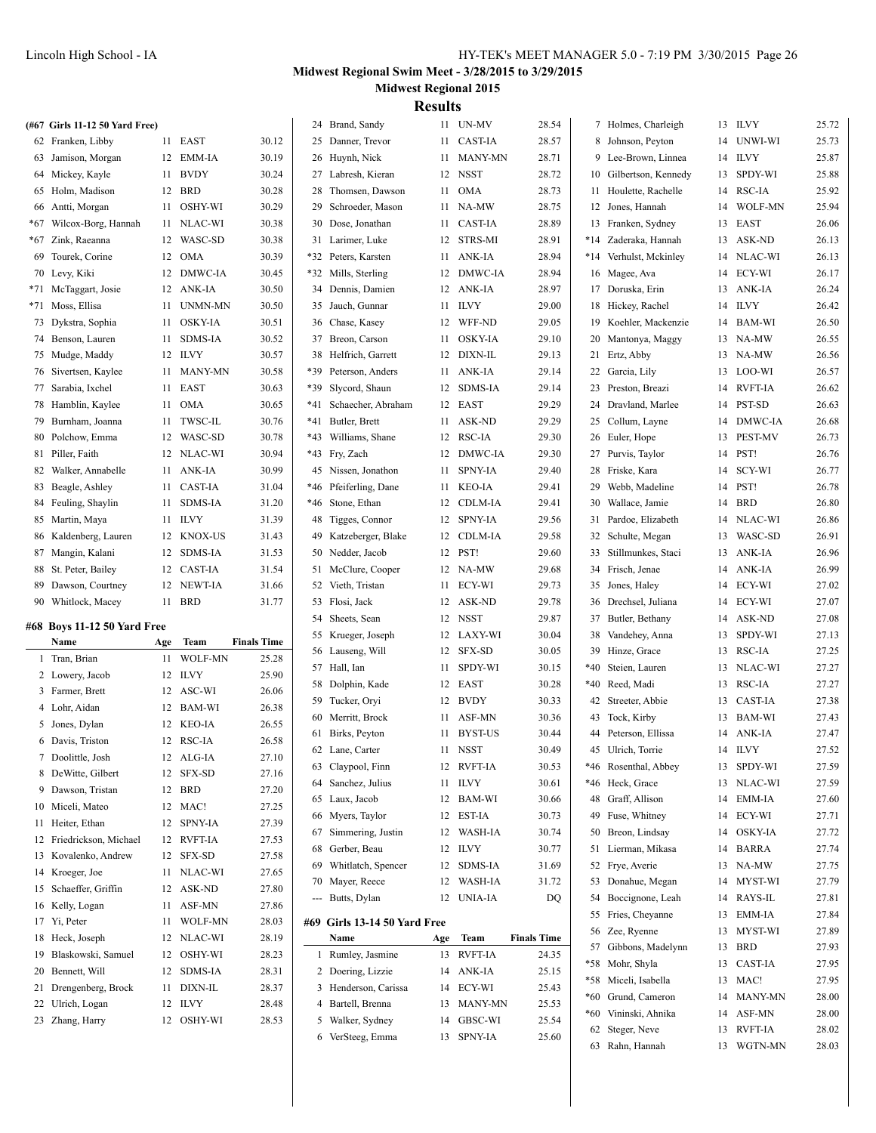|     | (#67 Girls 11-12 50 Yard Free) |     |            |                    |       | 24 Brand, Sandy                         |     | 11 UN-MV              | 28.54              |       | 7 Holmes, Charleigh                        |    | 13 ILVY        | 25.72          |
|-----|--------------------------------|-----|------------|--------------------|-------|-----------------------------------------|-----|-----------------------|--------------------|-------|--------------------------------------------|----|----------------|----------------|
|     | 62 Franken, Libby              |     | 11 EAST    | 30.12              |       | 25 Danner, Trevor                       |     | 11 CAST-IA            | 28.57              |       | 8 Johnson, Peyton                          | 14 | UNWI-WI        | 25.73          |
|     | 63 Jamison, Morgan             |     | 12 EMM-IA  | 30.19              |       | 26 Huynh, Nick                          |     | 11 MANY-MN            | 28.71              |       | 9 Lee-Brown, Linnea                        | 14 | ILVY           | 25.87          |
|     | 64 Mickey, Kayle               |     | 11 BVDY    | 30.24              |       | 27 Labresh, Kieran                      |     | 12 NSST               | 28.72              |       | 10 Gilbertson, Kennedy                     | 13 | SPDY-WI        | 25.88          |
|     | 65 Holm, Madison               |     | 12 BRD     | 30.28              | 28    | Thomsen, Dawson                         |     | 11 OMA                | 28.73              |       | 11 Houlette, Rachelle                      | 14 | RSC-IA         | 25.92          |
|     | 66 Antti, Morgan               |     | 11 OSHY-WI | 30.29              | 29    | Schroeder, Mason                        |     | 11 NA-MW              | 28.75              |       | 12 Jones, Hannah                           | 14 | <b>WOLF-MN</b> | 25.94          |
| *67 | Wilcox-Borg, Hannah            |     | 11 NLAC-WI | 30.38              | 30    | Dose, Jonathan                          |     | 11 CAST-IA            | 28.89              |       | 13 Franken, Sydney                         | 13 | EAST           | 26.06          |
|     | *67 Zink, Raeanna              |     | 12 WASC-SD | 30.38              |       | 31 Larimer, Luke                        |     | 12 STRS-MI            | 28.91              | $*14$ | Zaderaka, Hannah                           | 13 | <b>ASK-ND</b>  | 26.13          |
| 69  | Tourek. Corine                 |     | 12 OMA     | 30.39              | $*32$ | Peters, Karsten                         |     | 11 ANK-IA             | 28.94              | $*14$ | Verhulst, Mckinley                         | 14 | NLAC-WI        | 26.13          |
|     | 70 Levy, Kiki                  |     | 12 DMWC-IA | 30.45              |       | *32 Mills, Sterling                     |     | 12 DMWC-IA            | 28.94              |       | 16 Magee, Ava                              | 14 | ECY-WI         | 26.17          |
|     | *71 McTaggart, Josie           |     | 12 ANK-IA  | 30.50              |       | 34 Dennis, Damien                       |     | 12 ANK-IA             | 28.97              |       | 17 Doruska, Erin                           |    | 13 ANK-IA      | 26.24          |
|     | *71 Moss, Ellisa               |     | 11 UNMN-MN | 30.50              |       | 35 Jauch, Gunnar                        |     | 11 ILVY               | 29.00              |       | 18 Hickey, Rachel                          |    | 14 ILVY        | 26.42          |
| 73  | Dykstra, Sophia                |     | 11 OSKY-IA | 30.51              |       | 36 Chase, Kasey                         |     | 12 WFF-ND             | 29.05              |       | 19 Koehler, Mackenzie                      | 14 | BAM-WI         | 26.50          |
| 74  | Benson, Lauren                 |     | 11 SDMS-IA | 30.52              |       | 37 Breon, Carson                        |     | 11 OSKY-IA            | 29.10              | 20    | Mantonya, Maggy                            |    | 13 NA-MW       | 26.55          |
|     | 75 Mudge, Maddy                |     | 12 ILVY    | 30.57              | 38    | Helfrich, Garrett                       |     | 12 DIXN-IL            | 29.13              |       | 21 Ertz, Abby                              |    | 13 NA-MW       | 26.56          |
|     | 76 Sivertsen, Kaylee           |     | 11 MANY-MN | 30.58              | *39   | Peterson, Anders                        |     | 11 ANK-IA             | 29.14              |       | 22 Garcia, Lily                            | 13 | LOO-WI         | 26.57          |
|     | 77 Sarabia, Ixchel             |     | 11 EAST    | 30.63              | *39   | Slycord, Shaun                          |     | 12 SDMS-IA            | 29.14              |       | 23 Preston, Breazi                         | 14 | <b>RVFT-IA</b> | 26.62          |
|     | 78 Hamblin, Kaylee             |     | 11 OMA     | 30.65              | *41   | Schaecher, Abraham                      |     | 12 EAST               | 29.29              | 24    | Dravland, Marlee                           | 14 | <b>PST-SD</b>  | 26.63          |
| 79  | Burnham, Joanna                |     | 11 TWSC-IL | 30.76              | *41   | Butler, Brett                           |     | 11 ASK-ND             | 29.29              | 25    | Collum, Layne                              | 14 | DMWC-IA        | 26.68          |
| 80  | Polchow, Emma                  |     | 12 WASC-SD | 30.78              | $*43$ | Williams, Shane                         |     | 12 RSC-IA             | 29.30              |       | 26 Euler, Hope                             | 13 | PEST-MV        | 26.73          |
| 81  | Piller, Faith                  |     | 12 NLAC-WI | 30.94              |       | *43 Fry, Zach                           |     | 12 DMWC-IA            | 29.30              |       | 27 Purvis, Taylor                          | 14 | PST!           | 26.76          |
|     | 82 Walker, Annabelle           |     | 11 ANK-IA  | 30.99              |       | 45 Nissen, Jonathon                     |     | 11 SPNY-IA            | 29.40              |       | 28 Friske, Kara                            | 14 | SCY-WI         | 26.77          |
|     | 83 Beagle, Ashley              |     | 11 CAST-IA | 31.04              | *46   | Pfeiferling, Dane                       |     | 11 KEO-IA             | 29.41              |       | 29 Webb, Madeline                          | 14 | PST!           | 26.78          |
|     | 84 Feuling, Shaylin            |     | 11 SDMS-IA | 31.20              | *46   | Stone, Ethan                            |     | 12 CDLM-IA            | 29.41              |       | 30 Wallace, Jamie                          |    | 14 BRD         | 26.80          |
|     | 85 Martin, Maya                |     | 11 ILVY    | 31.39              | 48    | Tigges, Connor                          |     | 12 SPNY-IA            | 29.56              |       | 31 Pardoe, Elizabeth                       |    | 14 NLAC-WI     | 26.86          |
|     | 86 Kaldenberg, Lauren          |     | 12 KNOX-US | 31.43              | 49    | Katzeberger, Blake                      |     | 12 CDLM-IA            | 29.58              |       | 32 Schulte, Megan                          |    | 13 WASC-SD     | 26.91          |
|     | 87 Mangin, Kalani              |     | 12 SDMS-IA | 31.53              |       | 50 Nedder, Jacob                        |     | 12 PST!               | 29.60              | 33    | Stillmunkes, Staci                         |    | 13 ANK-IA      | 26.96          |
|     | 88 St. Peter, Bailey           |     | 12 CAST-IA | 31.54              |       | 51 McClure, Cooper                      |     | 12 NA-MW              | 29.68              |       | 34 Frisch, Jenae                           | 14 | ANK-IA         | 26.99          |
|     |                                |     |            |                    |       |                                         |     |                       | 29.73              | 35    | Jones, Haley                               | 14 | ECY-WI         | 27.02          |
| 89  |                                |     | 12 NEWT-IA | 31.66              |       | 52 Vieth, Tristan                       |     | 11 ECY-WI             |                    |       |                                            |    |                |                |
| 90  | Dawson, Courtney               |     | 11 BRD     |                    |       |                                         |     |                       |                    |       |                                            | 14 | ECY-WI         |                |
|     | Whitlock, Macey                |     |            | 31.77              |       | 53 Flosi, Jack<br>54 Sheets, Sean       |     | 12 ASK-ND<br>12 NSST  | 29.78<br>29.87     |       | 36 Drechsel, Juliana<br>37 Butler, Bethany | 14 | ASK-ND         | 27.07<br>27.08 |
|     | #68 Boys 11-12 50 Yard Free    |     |            |                    |       | 55 Krueger, Joseph                      |     | 12 LAXY-WI            | 30.04              | 38    | Vandehey, Anna                             | 13 | SPDY-WI        | 27.13          |
|     | Name                           | Age | Team       | <b>Finals Time</b> |       | 56 Lauseng, Will                        |     | 12 SFX-SD             | 30.05              | 39    | Hinze, Grace                               | 13 | <b>RSC-IA</b>  | 27.25          |
|     | 1 Tran, Brian                  |     | 11 WOLF-MN | 25.28              |       | 57 Hall, Ian                            |     | 11 SPDY-WI            | 30.15              | *40   | Steien, Lauren                             |    | 13 NLAC-WI     | 27.27          |
|     | 2 Lowery, Jacob                |     | 12 ILVY    | 25.90              |       | 58 Dolphin, Kade                        |     | 12 EAST               | 30.28              |       | *40 Reed, Madi                             |    | 13 RSC-IA      | 27.27          |
|     | 3 Farmer, Brett                |     | 12 ASC-WI  | 26.06              |       | 59 Tucker, Oryi                         |     | 12 BVDY               | 30.33              |       | 42 Streeter, Abbie                         | 13 | <b>CAST-IA</b> | 27.38          |
|     | 4 Lohr, Aidan                  |     | 12 BAM-WI  | 26.38              |       | 60 Merritt, Brock                       |     | 11 ASF-MN             | 30.36              |       | 43 Tock, Kirby                             | 13 | BAM-WI         | 27.43          |
|     | 5 Jones, Dylan                 |     | 12 KEO-IA  | 26.55              |       | 61 Birks, Peyton                        |     | 11 BYST-US            | 30.44              |       | 44 Peterson, Ellissa                       | 14 | ANK-IA         | 27.47          |
|     | 6 Davis, Triston               |     | 12 RSC-IA  | 26.58              |       | 62 Lane, Carter                         |     | 11 NSST               | 30.49              |       | 45 Ulrich, Torrie                          |    | 14 ILVY        | 27.52          |
|     | 7 Doolittle, Josh              |     | 12 ALG-IA  | 27.10              |       |                                         |     | 12 RVFT-IA            | 30.53              | *46   | Rosenthal, Abbey                           |    | 13 SPDY-WI     | 27.59          |
|     | 8 DeWitte, Gilbert             |     | 12 SFX-SD  | 27.16              |       | 63 Claypool, Finn<br>64 Sanchez, Julius |     | 11 ILVY               | 30.61              |       | *46 Heck, Grace                            | 13 | NLAC-WI        | 27.59          |
|     | 9 Dawson, Tristan              |     | 12 BRD     | 27.20              |       | 65 Laux, Jacob                          |     | 12 BAM-WI             | 30.66              | 48    | Graff, Allison                             | 14 | EMM-IA         | 27.60          |
|     | 10 Miceli, Mateo               |     | 12 MAC!    | 27.25              |       | 66 Myers, Taylor                        |     | 12 EST-IA             | 30.73              | 49    | Fuse, Whitney                              | 14 | ECY-WI         | 27.71          |
|     | 11 Heiter, Ethan               |     | 12 SPNY-IA | 27.39              |       | 67 Simmering, Justin                    |     | 12 WASH-IA            | 30.74              | 50    | Breon, Lindsay                             | 14 | <b>OSKY-IA</b> | 27.72          |
|     | 12 Friedrickson, Michael       |     | 12 RVFT-IA | 27.53              |       | 68 Gerber, Beau                         |     |                       | 30.77              |       | 51 Lierman, Mikasa                         | 14 | <b>BARRA</b>   | 27.74          |
|     | 13 Kovalenko, Andrew           |     | 12 SFX-SD  | 27.58              |       | 69 Whitlatch, Spencer                   |     | 12 ILVY<br>12 SDMS-IA | 31.69              |       | 52 Frye, Averie                            |    | 13 NA-MW       | 27.75          |
|     | 14 Kroeger, Joe                |     | 11 NLAC-WI | 27.65              |       |                                         |     | 12 WASH-IA            | 31.72              |       | 53 Donahue, Megan                          |    | 14 MYST-WI     | 27.79          |
|     | 15 Schaeffer, Griffin          |     | 12 ASK-ND  | 27.80              |       | 70 Mayer, Reece<br>--- Butts, Dylan     |     | 12 UNIA-IA            | DQ                 |       | 54 Boccignone, Leah                        |    | 14 RAYS-IL     | 27.81          |
|     | 16 Kelly, Logan                |     | 11 ASF-MN  | 27.86              |       |                                         |     |                       |                    |       | 55 Fries, Cheyanne                         | 13 | EMM-IA         | 27.84          |
|     | 17 Yi, Peter                   |     | 11 WOLF-MN | 28.03              |       | #69 Girls 13-14 50 Yard Free            |     |                       |                    |       | 56 Zee, Ryenne                             |    | 13 MYST-WI     | 27.89          |
|     | 18 Heck, Joseph                |     | 12 NLAC-WI | 28.19              |       | Name                                    | Age | Team                  | <b>Finals Time</b> |       | 57 Gibbons, Madelynn                       |    | 13 BRD         | 27.93          |
| 19  | Blaskowski, Samuel             |     | 12 OSHY-WI | 28.23              |       | 1 Rumley, Jasmine                       |     | 13 RVFT-IA            | 24.35              |       | *58 Mohr, Shyla                            |    | 13 CAST-IA     | 27.95          |
| 20  | Bennett, Will                  |     | 12 SDMS-IA | 28.31              |       | 2 Doering, Lizzie                       |     | 14 ANK-IA             | 25.15              |       | *58 Miceli, Isabella                       |    | 13 MAC!        | 27.95          |
| 21  | Drengenberg, Brock             |     | 11 DIXN-IL | 28.37              |       | 3 Henderson, Carissa                    |     | 14 ECY-WI             | 25.43              | $*60$ | Grund, Cameron                             | 14 | MANY-MN        | 28.00          |
| 22  | Ulrich, Logan                  |     | 12 ILVY    | 28.48              |       | 4 Bartell, Brenna                       |     | 13 MANY-MN            | 25.53              | $*60$ | Vininski, Ahnika                           | 14 | ASF-MN         | 28.00          |
|     | 23 Zhang, Harry                |     | 12 OSHY-WI | 28.53              |       | 5 Walker, Sydney                        | 14  | GBSC-WI               | 25.54              |       | 62 Steger, Neve                            | 13 | <b>RVFT-IA</b> | 28.02          |
|     |                                |     |            |                    |       | 6 VerSteeg, Emma                        |     | 13 SPNY-IA            | 25.60              |       | 63 Rahn, Hannah                            |    | 13 WGTN-MN     | 28.03          |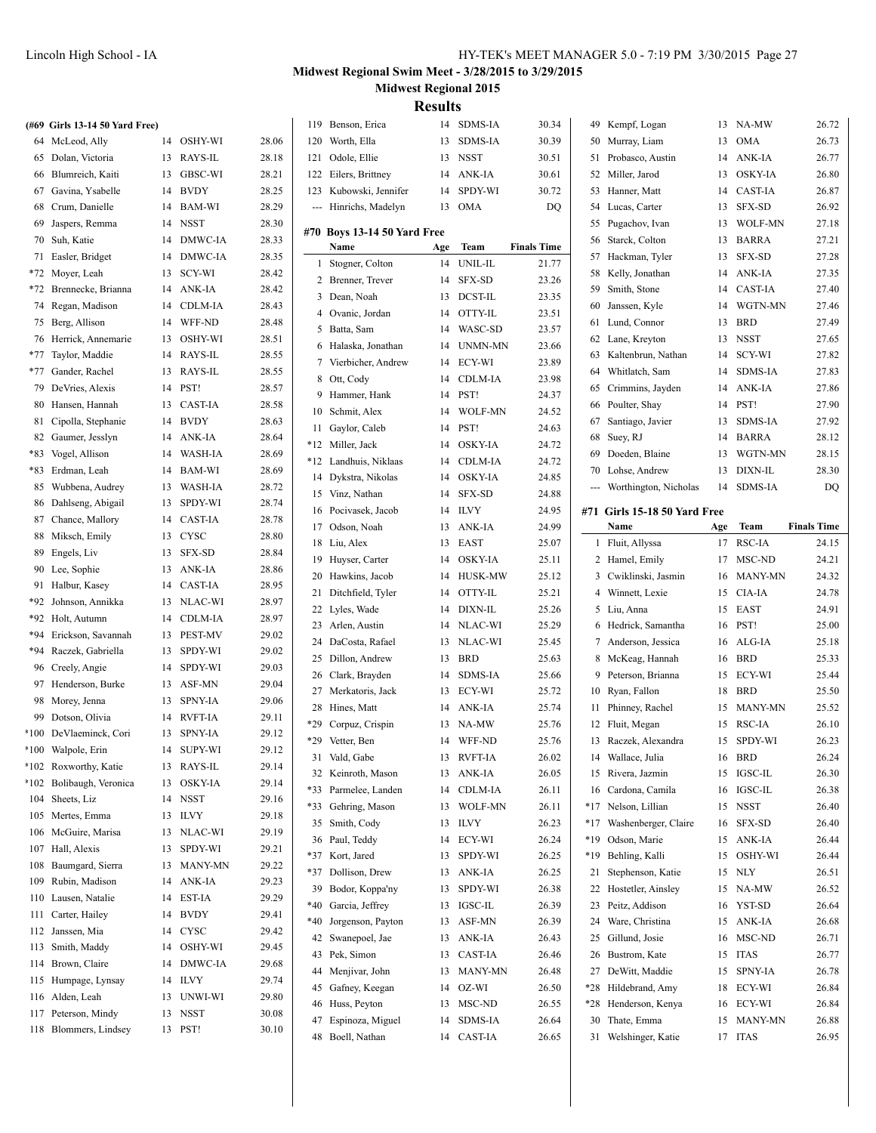|        | (#69 Girls 13-14 50 Yard Free) |    |                |       |
|--------|--------------------------------|----|----------------|-------|
| 64     | McLeod, Ally                   | 14 | OSHY-WI        | 28.06 |
| 65     | Dolan, Victoria                | 13 | RAYS-IL        | 28.18 |
| 66     | Blumreich, Kaiti               | 13 | GBSC-WI        | 28.21 |
| 67     | Gavina, Ysabelle               | 14 | <b>BVDY</b>    | 28.25 |
| 68     | Crum, Danielle                 | 14 | <b>BAM-WI</b>  | 28.29 |
| 69     | Jaspers, Remma                 | 14 | <b>NSST</b>    | 28.30 |
| 70     | Suh, Katie                     | 14 | DMWC-IA        | 28.33 |
| 71     | Easler, Bridget                | 14 | DMWC-IA        | 28.35 |
| $*72$  | Moyer, Leah                    | 13 | SCY-WI         | 28.42 |
| $*72$  | Brennecke, Brianna             | 14 | ANK-IA         | 28.42 |
| 74     | Regan, Madison                 | 14 | <b>CDLM-IA</b> | 28.43 |
| 75     | Berg, Allison                  | 14 | WFF-ND         | 28.48 |
| 76     | Herrick, Annemarie             | 13 | OSHY-WI        | 28.51 |
| $*77$  | Taylor, Maddie                 | 14 | RAYS-IL        | 28.55 |
| $*77$  | Gander, Rachel                 | 13 | RAYS-IL        | 28.55 |
| 79     | DeVries, Alexis                | 14 | PST!           | 28.57 |
| 80     | Hansen, Hannah                 | 13 | <b>CAST-IA</b> | 28.58 |
| 81     | Cipolla, Stephanie             | 14 | <b>BVDY</b>    | 28.63 |
| 82     | Gaumer, Jesslyn                | 14 | ANK-IA         | 28.64 |
| *83    | Vogel, Allison                 | 14 | <b>WASH-IA</b> | 28.69 |
| *83    | Erdman, Leah                   | 14 | <b>BAM-WI</b>  | 28.69 |
| 85     | Wubbena, Audrey                | 13 | <b>WASH-IA</b> | 28.72 |
| 86     | Dahlseng, Abigail              | 13 | SPDY-WI        | 28.74 |
| 87     | Chance, Mallory                | 14 | <b>CAST-IA</b> | 28.78 |
| 88     | Miksch, Emily                  | 13 | <b>CYSC</b>    | 28.80 |
| 89     | Engels, Liv                    | 13 | <b>SFX-SD</b>  | 28.84 |
| 90     | Lee, Sophie                    | 13 | ANK-IA         | 28.86 |
| 91     | Halbur, Kasey                  | 14 | <b>CAST-IA</b> | 28.95 |
| *92    | Johnson, Annikka               | 13 | NLAC-WI        | 28.97 |
| *92    | Holt, Autumn                   | 14 | CDLM-IA        | 28.97 |
| *94    | Erickson, Savannah             | 13 | <b>PEST-MV</b> | 29.02 |
| $*94$  | Raczek, Gabriella              | 13 | SPDY-WI        | 29.02 |
| 96     | Creely, Angie                  | 14 | SPDY-WI        | 29.03 |
| 97     | Henderson, Burke               | 13 | ASF-MN         | 29.04 |
| 98     | Morey, Jenna                   | 13 | <b>SPNY-IA</b> | 29.06 |
| 99     | Dotson, Olivia                 | 14 | <b>RVFT-IA</b> | 29.11 |
| $*100$ | DeVlaeminck, Cori              | 13 | SPNY-IA        | 29.12 |
| *100   | Walpole, Erin                  | 14 | <b>SUPY-WI</b> | 29.12 |
| $*102$ | Roxworthy, Katie               | 13 | RAYS-IL        | 29.14 |
| *102   | Bolibaugh, Veronica            | 13 | <b>OSKY-IA</b> | 29.14 |
| 104    | Sheets, Liz                    | 14 | NSST           | 29.16 |
| 105    | Mertes, Emma                   | 13 | <b>ILVY</b>    | 29.18 |
| 106    | McGuire, Marisa                | 13 | NLAC-WI        | 29.19 |
| 107    | Hall, Alexis                   | 13 | SPDY-WI        | 29.21 |
| 108    | Baumgard, Sierra               | 13 | MANY-MN        | 29.22 |
| 109    | Rubin, Madison                 | 14 | ANK-IA         | 29.23 |
| 110    | Lausen, Natalie                | 14 | EST-IA         | 29.29 |
| 111    | Carter, Hailey                 | 14 | <b>BVDY</b>    | 29.41 |
| 112    | Janssen, Mia                   | 14 | <b>CYSC</b>    | 29.42 |
| 113    | Smith, Maddy                   | 14 | OSHY-WI        | 29.45 |
| 114    | Brown, Claire                  | 14 | DMWC-IA        | 29.68 |
|        |                                |    |                |       |

 Humpage, Lynsay 14 ILVY 29.74 116 Alden, Leah 13 UNWI-WI 29.80 Peterson, Mindy 13 NSST 30.08 118 Blommers, Lindsey 13 PST! 30.10

## **Midwest Regional Swim Meet - 3/28/2015 to 3/29/2015 Midwest Regional 2015**

**Results**

 $\overline{\phantom{0}}$ 

| 119          | Benson, Erica                | 14  | <b>SDMS-IA</b> | 30.34              |     | 49 Kempf, Logan              | 13  | NA-MW          | 26.72              |
|--------------|------------------------------|-----|----------------|--------------------|-----|------------------------------|-----|----------------|--------------------|
| 120          | Worth, Ella                  | 13  | <b>SDMS-IA</b> | 30.39              | 50  | Murray, Liam                 | 13  | <b>OMA</b>     | 26.73              |
| 121          | Odole, Ellie                 | 13  | <b>NSST</b>    | 30.51              | 51  | Probasco, Austin             | 14  | ANK-IA         | 26.77              |
| 122          | Eilers, Brittney             | 14  | ANK-IA         | 30.61              | 52  | Miller, Jarod                | 13  | <b>OSKY-IA</b> | 26.80              |
| 123          | Kubowski, Jennifer           | 14  | <b>SPDY-WI</b> | 30.72              | 53  | Hanner, Matt                 | 14  | <b>CAST-IA</b> | 26.87              |
|              | Hinrichs, Madelyn            | 13  | <b>OMA</b>     | DQ                 |     | 54 Lucas, Carter             | 13  | SFX-SD         | 26.92              |
|              |                              |     |                |                    |     |                              | 13  | <b>WOLF-MN</b> | 27.18              |
|              | #70  Boys 13-14 50 Yard Free |     |                |                    | 55  | Pugachov, Ivan               |     |                |                    |
|              | Name                         | Age | Team           | <b>Finals Time</b> | 56  | Starck, Colton               | 13  | <b>BARRA</b>   | 27.21              |
| $\mathbf{1}$ | Stogner, Colton              | 14  | UNIL-IL        | 21.77              | 57  | Hackman, Tyler               | 13  | <b>SFX-SD</b>  | 27.28              |
| $\mathbf{2}$ | Brenner, Trever              | 14  | <b>SFX-SD</b>  | 23.26              | 58  | Kelly, Jonathan              | 14  | ANK-IA         | 27.35              |
| 3            | Dean, Noah                   | 13  | <b>DCST-IL</b> | 23.35              | 59  | Smith, Stone                 | 14  | <b>CAST-IA</b> | 27.40              |
| 4            | Ovanic, Jordan               | 14  | OTTY-IL        | 23.51              | 60  | Janssen, Kyle                | 14  | WGTN-MN        | 27.46              |
| 5            | Batta, Sam                   | 14  | WASC-SD        | 23.57              | 61  | Lund, Connor                 | 13  | <b>BRD</b>     | 27.49              |
| 6            | Halaska, Jonathan            | 14  | UNMN-MN        | 23.66              | 62  | Lane, Kreyton                | 13  | <b>NSST</b>    | 27.65              |
| 7            | Vierbicher, Andrew           | 14  | ECY-WI         | 23.89              | 63  | Kaltenbrun, Nathan           | 14  | <b>SCY-WI</b>  | 27.82              |
| 8            | Ott, Cody                    | 14  | CDLM-IA        | 23.98              | 64  | Whitlatch, Sam               | 14  | <b>SDMS-IA</b> | 27.83              |
| 9            | Hammer, Hank                 | 14  | PST!           | 24.37              | 65  | Crimmins, Jayden             | 14  | ANK-IA         | 27.86              |
| 10           | Schmit, Alex                 | 14  | <b>WOLF-MN</b> | 24.52              |     | 66 Poulter, Shay             | 14  | PST!           | 27.90              |
| 11           | Gaylor, Caleb                | 14  | PST!           | 24.63              | 67  | Santiago, Javier             | 13  | <b>SDMS-IA</b> | 27.92              |
| *12          | Miller, Jack                 | 14  | <b>OSKY-IA</b> | 24.72              | 68  | Suey, RJ                     | 14  | <b>BARRA</b>   | 28.12              |
| *12          | Landhuis, Niklaas            | 14  | <b>CDLM-IA</b> | 24.72              | 69  | Doeden, Blaine               | 13  | WGTN-MN        | 28.15              |
| 14           | Dykstra, Nikolas             | 14  | <b>OSKY-IA</b> | 24.85              | 70  | Lohse, Andrew                | 13  | DIXN-IL        | 28.30              |
| 15           | Vinz, Nathan                 | 14  | <b>SFX-SD</b>  | 24.88              | --- | Worthington, Nicholas        | 14  | <b>SDMS-IA</b> | DQ                 |
| 16           | Pocivasek, Jacob             | 14  | <b>ILVY</b>    | 24.95              |     | #71 Girls 15-18 50 Yard Free |     |                |                    |
| 17           | Odson, Noah                  | 13  | ANK-IA         | 24.99              |     | Name                         | Age | Team           | <b>Finals Time</b> |
| 18           | Liu, Alex                    | 13  | <b>EAST</b>    | 25.07              |     | 1 Fluit, Allyssa             | 17  | RSC-IA         | 24.15              |
| 19           | Huyser, Carter               | 14  | <b>OSKY-IA</b> | 25.11              |     | 2 Hamel, Emily               | 17  | MSC-ND         | 24.21              |
| 20           | Hawkins, Jacob               | 14  | <b>HUSK-MW</b> | 25.12              | 3   | Cwiklinski, Jasmin           | 16  | <b>MANY-MN</b> | 24.32              |
|              |                              |     |                |                    |     |                              |     |                |                    |
|              |                              |     |                |                    |     |                              |     |                |                    |
| 21           | Ditchfield, Tyler            | 14  | OTTY-IL        | 25.21              | 4   | Winnett, Lexie               | 15  | CIA-IA         | 24.78              |
| 22           | Lyles, Wade                  | 14  | DIXN-IL        | 25.26              | 5   | Liu, Anna                    | 15  | <b>EAST</b>    | 24.91              |
| 23           | Arlen, Austin                | 14  | NLAC-WI        | 25.29              | 6   | Hedrick, Samantha            | 16  | PST!           | 25.00              |
| 24           | DaCosta, Rafael              | 13  | NLAC-WI        | 25.45              | 7   | Anderson, Jessica            | 16  | ALG-IA         | 25.18              |
| 25           | Dillon, Andrew               | 13  | <b>BRD</b>     | 25.63              | 8   | McKeag, Hannah               | 16  | <b>BRD</b>     | 25.33              |
| 26           | Clark, Brayden               | 14  | <b>SDMS-IA</b> | 25.66              | 9   | Peterson, Brianna            | 15  | ECY-WI         | 25.44              |
| 27           | Merkatoris, Jack             | 13  | ECY-WI         | 25.72              | 10  | Ryan, Fallon                 | 18  | <b>BRD</b>     | 25.50              |
| 28           | Hines, Matt                  | 14  | ANK-IA         | 25.74              | 11  | Phinney, Rachel              | 15  | <b>MANY-MN</b> | 25.52              |
| *29          | Corpuz, Crispin              | 13  | NA-MW          | 25.76              | 12  | Fluit, Megan                 | 15  | RSC-IA         | 26.10              |
| *29          | Vetter, Ben                  | 14  | WFF-ND         | 25.76              |     | 13 Raczek, Alexandra         | 15  | SPDY-WI        | 26.23              |
| 31           | Vald, Gabe                   | 13  | <b>RVFT-IA</b> | 26.02              | 14  | Wallace, Julia               | 16  | <b>BRD</b>     | 26.24              |
|              | 32 Keinroth, Mason           | 13  | ANK-IA         | 26.05              |     | 15 Rivera, Jazmin            | 15  | IGSC-IL        | 26.30              |
| *33          | Parmelee, Landen             | 14  | CDLM-IA        | 26.11              |     | 16 Cardona, Camila           | 16  | IGSC-IL        | 26.38              |
| $*33$        | Gehring, Mason               | 13  | WOLF-MN        | 26.11              |     | *17 Nelson, Lillian          | 15  | <b>NSST</b>    | 26.40              |
| 35           | Smith, Cody                  | 13  | <b>ILVY</b>    | 26.23              | *17 | Washenberger, Claire         | 16  | SFX-SD         | 26.40              |
| 36           | Paul, Teddy                  | 14  | ECY-WI         | 26.24              | *19 | Odson, Marie                 | 15  | ANK-IA         | 26.44              |
| *37          | Kort, Jared                  | 13  | SPDY-WI        | 26.25              | *19 | Behling, Kalli               | 15  | OSHY-WI        | 26.44              |
| *37          | Dollison, Drew               | 13  | ANK-IA         | 26.25              | 21  | Stephenson, Katie            | 15  | <b>NLY</b>     | 26.51              |
| 39           | Bodor, Koppa'ny              | 13  | SPDY-WI        | 26.38              | 22  | Hostetler, Ainsley           | 15  | NA-MW          | 26.52              |
| $*40$        | Garcia, Jeffrey              | 13  | IGSC-IL        | 26.39              | 23  | Peitz, Addison               | 16  | YST-SD         | 26.64              |
| *40          | Jorgenson, Payton            | 13  | ASF-MN         | 26.39              | 24  | Ware, Christina              | 15  | ANK-IA         | 26.68              |
| 42           | Swanepoel, Jae               | 13  | ANK-IA         | 26.43              | 25  | Gillund, Josie               | 16  | MSC-ND         | 26.71              |
| 43           | Pek, Simon                   | 13  | CAST-IA        | 26.46              | 26  | Bustrom, Kate                | 15  | <b>ITAS</b>    | 26.77              |
| 44           | Menjivar, John               | 13  | MANY-MN        | 26.48              | 27  | DeWitt, Maddie               | 15  | <b>SPNY-IA</b> | 26.78              |
| 45           | Gafney, Keegan               | 14  | OZ-WI          | 26.50              | *28 | Hildebrand, Amy              | 18  | ECY-WI         | 26.84              |
| 46           | Huss, Peyton                 | 13  | MSC-ND         | 26.55              | *28 | Henderson, Kenya             | 16  | ECY-WI         | 26.84              |
| 47           | Espinoza, Miguel             | 14  | SDMS-IA        | 26.64              | 30  | Thate, Emma                  | 15  | MANY-MN        | 26.88              |
| 48           | Boell, Nathan                | 14  | CAST-IA        | 26.65              | 31  | Welshinger, Katie            | 17  | ITAS           | 26.95              |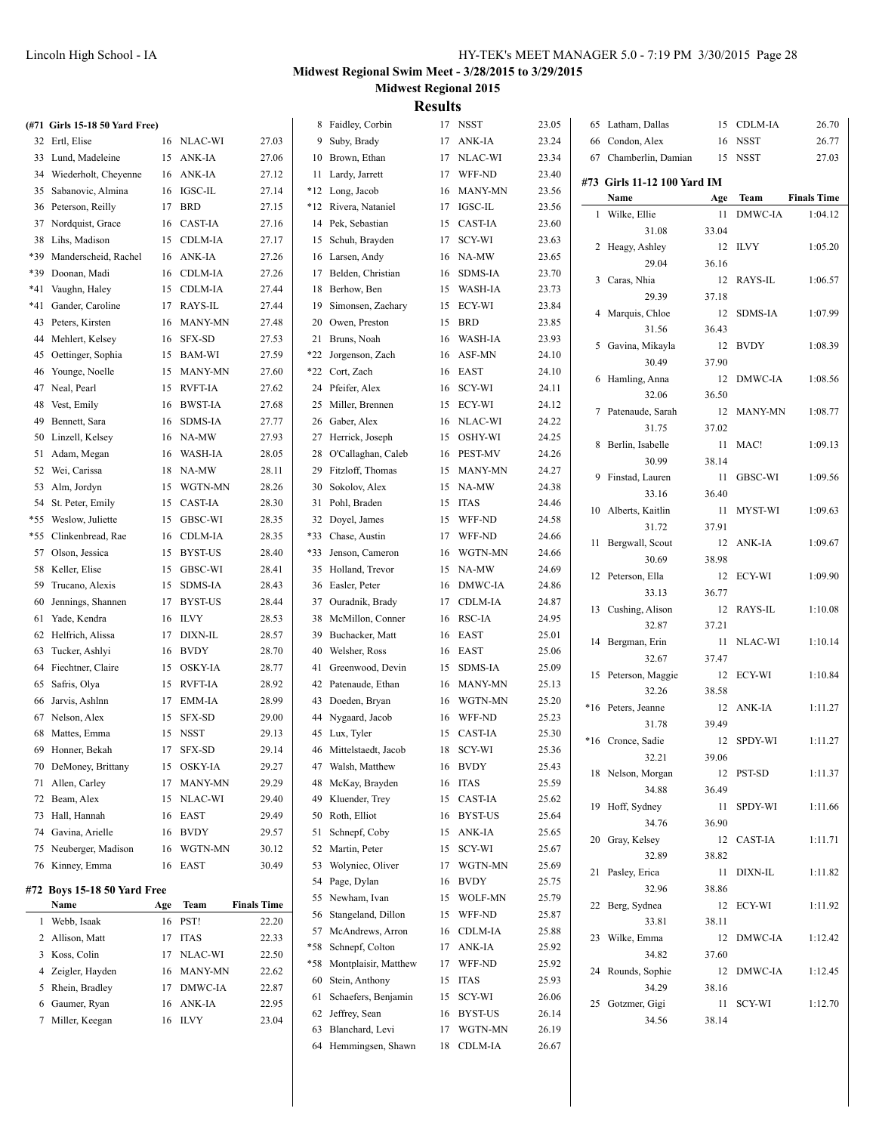|     | (#71 Girls 15-18 50 Yard Free) |     |            |                    |    | 8 Faidley, Corbin        |    | 17 NSST        | 23.05 | 65 Latham, Dallas           |       | 15 CDLM-IA  | 26.70              |
|-----|--------------------------------|-----|------------|--------------------|----|--------------------------|----|----------------|-------|-----------------------------|-------|-------------|--------------------|
|     | 32 Ertl, Elise                 |     | 16 NLAC-WI | 27.03              |    | 9 Suby, Brady            |    | 17 ANK-IA      | 23.24 | 66 Condon, Alex             | 16    | <b>NSST</b> | 26.77              |
|     | 33 Lund, Madeleine             |     | 15 ANK-IA  | 27.06              |    | 10 Brown, Ethan          |    | 17 NLAC-WI     | 23.34 | 67 Chamberlin, Damian       |       | 15 NSST     | 27.03              |
|     | 34 Wiederholt, Cheyenne        |     | 16 ANK-IA  | 27.12              |    | 11 Lardy, Jarrett        |    | 17 WFF-ND      | 23.40 | #73 Girls 11-12 100 Yard IM |       |             |                    |
|     | 35 Sabanovic, Almina           |     | 16 IGSC-IL | 27.14              |    | *12 Long, Jacob          |    | 16 MANY-MN     | 23.56 | Name                        | Age   | Team        | <b>Finals Time</b> |
|     | 36 Peterson, Reilly            |     | 17 BRD     | 27.15              |    | *12 Rivera, Nataniel     |    | 17 IGSC-IL     | 23.56 | 1 Wilke, Ellie              | 11    | DMWC-IA     | 1:04.12            |
|     | 37 Nordquist, Grace            |     | 16 CAST-IA | 27.16              |    | 14 Pek, Sebastian        |    | 15 CAST-IA     | 23.60 | 31.08                       | 33.04 |             |                    |
|     | 38 Lihs, Madison               |     | 15 CDLM-IA | 27.17              |    | 15 Schuh, Brayden        |    | 17 SCY-WI      | 23.63 | 2 Heagy, Ashley             |       | 12 ILVY     | 1:05.20            |
| *39 | Manderscheid, Rachel           |     | 16 ANK-IA  | 27.26              |    | 16 Larsen, Andy          |    | 16 NA-MW       | 23.65 | 29.04                       | 36.16 |             |                    |
|     | *39 Doonan, Madi               |     | 16 CDLM-IA | 27.26              |    | 17 Belden, Christian     |    | 16 SDMS-IA     | 23.70 | 3 Caras, Nhia               |       | 12 RAYS-IL  | 1:06.57            |
| *41 | Vaughn, Haley                  |     | 15 CDLM-IA | 27.44              |    | 18 Berhow, Ben           |    | 15 WASH-IA     | 23.73 | 29.39                       | 37.18 |             |                    |
|     | *41 Gander, Caroline           |     | 17 RAYS-IL | 27.44              |    | 19 Simonsen, Zachary     |    | 15 ECY-WI      | 23.84 | 4 Marquis, Chloe            |       | 12 SDMS-IA  | 1:07.99            |
|     | 43 Peters, Kirsten             |     | 16 MANY-MN | 27.48              |    | 20 Owen, Preston         |    | 15 BRD         | 23.85 | 31.56                       | 36.43 |             |                    |
|     | 44 Mehlert, Kelsey             |     | 16 SFX-SD  | 27.53              |    | 21 Bruns, Noah           | 16 | <b>WASH-IA</b> | 23.93 | 5 Gavina, Mikayla           |       | 12 BVDY     | 1:08.39            |
|     | 45 Oettinger, Sophia           |     | 15 BAM-WI  | 27.59              |    | *22 Jorgenson, Zach      | 16 | ASF-MN         | 24.10 | 30.49                       | 37.90 |             |                    |
|     | 46 Younge, Noelle              |     | 15 MANY-MN | 27.60              |    | *22 Cort, Zach           |    | 16 EAST        | 24.10 | 6 Hamling, Anna             |       | 12 DMWC-IA  | 1:08.56            |
|     | 47 Neal, Pearl                 |     | 15 RVFT-IA | 27.62              |    | 24 Pfeifer, Alex         |    | 16 SCY-WI      | 24.11 | 32.06                       | 36.50 |             |                    |
|     | 48 Vest, Emily                 |     | 16 BWST-IA | 27.68              |    | 25 Miller, Brennen       |    | 15 ECY-WI      | 24.12 | 7 Patenaude, Sarah          |       | 12 MANY-MN  | 1:08.77            |
|     | 49 Bennett, Sara               |     | 16 SDMS-IA | 27.77              |    | 26 Gaber, Alex           |    | 16 NLAC-WI     | 24.22 | 31.75                       | 37.02 |             |                    |
|     | 50 Linzell, Kelsey             |     | 16 NA-MW   | 27.93              |    | 27 Herrick, Joseph       |    | 15 OSHY-WI     | 24.25 | 8 Berlin, Isabelle          |       | 11 MAC!     | 1:09.13            |
|     | 51 Adam, Megan                 | 16  | WASH-IA    | 28.05              |    | 28 O'Callaghan, Caleb    |    | 16 PEST-MV     | 24.26 | 30.99                       | 38.14 |             |                    |
|     | 52 Wei, Carissa                |     | 18 NA-MW   | 28.11              |    | 29 Fitzloff, Thomas      |    | 15 MANY-MN     | 24.27 | 9 Finstad, Lauren           |       | 11 GBSC-WI  | 1:09.56            |
|     | 53 Alm, Jordyn                 | 15  | WGTN-MN    | 28.26              |    | 30 Sokolov, Alex         |    | 15 NA-MW       | 24.38 | 33.16                       | 36.40 |             |                    |
|     | 54 St. Peter, Emily            |     | 15 CAST-IA | 28.30              |    | 31 Pohl, Braden          |    | 15 ITAS        | 24.46 | 10 Alberts, Kaitlin         |       | 11 MYST-WI  | 1:09.63            |
|     | *55 Weslow, Juliette           |     | 15 GBSC-WI | 28.35              |    | 32 Doyel, James          | 15 | WFF-ND         | 24.58 | 31.72                       | 37.91 |             |                    |
|     | *55 Clinkenbread, Rae          |     | 16 CDLM-IA | 28.35              |    | *33 Chase, Austin        | 17 | WFF-ND         | 24.66 | 11 Bergwall, Scout          |       | 12 ANK-IA   | 1:09.67            |
|     | 57 Olson, Jessica              |     | 15 BYST-US | 28.40              |    | *33 Jenson, Cameron      |    | 16 WGTN-MN     | 24.66 | 30.69                       | 38.98 |             |                    |
|     | 58 Keller, Elise               |     | 15 GBSC-WI | 28.41              |    | 35 Holland, Trevor       |    | 15 NA-MW       | 24.69 | 12 Peterson, Ella           |       | 12 ECY-WI   | 1:09.90            |
|     | 59 Trucano, Alexis             |     | 15 SDMS-IA | 28.43              |    | 36 Easler, Peter         |    | 16 DMWC-IA     | 24.86 | 33.13                       | 36.77 |             |                    |
| 60  | Jennings, Shannen              |     | 17 BYST-US | 28.44              |    | 37 Ouradnik, Brady       |    | 17 CDLM-IA     | 24.87 | 13 Cushing, Alison          |       | 12 RAYS-IL  | 1:10.08            |
|     | 61 Yade, Kendra                |     | 16 ILVY    | 28.53              |    | 38 McMillon, Conner      |    | 16 RSC-IA      | 24.95 | 32.87                       | 37.21 |             |                    |
|     | 62 Helfrich, Alissa            |     | 17 DIXN-IL | 28.57              |    | 39 Buchacker, Matt       |    | 16 EAST        | 25.01 |                             |       | 11 NLAC-WI  |                    |
|     | 63 Tucker, Ashlyi              |     | 16 BVDY    | 28.70              | 40 | Welsher, Ross            |    | 16 EAST        | 25.06 | 14 Bergman, Erin<br>32.67   |       |             | 1:10.14            |
|     | 64 Fiechtner, Claire           |     | 15 OSKY-IA | 28.77              |    | 41 Greenwood, Devin      |    | 15 SDMS-IA     | 25.09 |                             | 37.47 |             |                    |
|     | 65 Safris, Olya                |     | 15 RVFT-IA | 28.92              |    | 42 Patenaude, Ethan      |    | 16 MANY-MN     | 25.13 | 15 Peterson, Maggie         |       | 12 ECY-WI   | 1:10.84            |
|     | 66 Jarvis, Ashlnn              |     | 17 EMM-IA  | 28.99              |    | 43 Doeden, Bryan         |    | 16 WGTN-MN     | 25.20 | 32.26                       | 38.58 |             |                    |
|     | 67 Nelson, Alex                |     | 15 SFX-SD  | 29.00              |    | 44 Nygaard, Jacob        |    | 16 WFF-ND      | 25.23 | *16 Peters, Jeanne          |       | 12 ANK-IA   | 1:11.27            |
|     | 68 Mattes, Emma                |     | 15 NSST    | 29.13              |    | 45 Lux, Tyler            |    | 15 CAST-IA     | 25.30 | 31.78                       | 39.49 |             |                    |
|     | 69 Honner, Bekah               |     | 17 SFX-SD  | 29.14              |    | 46 Mittelstaedt, Jacob   |    | 18 SCY-WI      | 25.36 | *16 Cronce, Sadie           |       | 12 SPDY-WI  | 1:11.27            |
|     | 70 DeMoney, Brittany           |     | 15 OSKY-IA | 29.27              |    | 47 Walsh, Matthew        |    | 16 BVDY        | 25.43 | 32.21                       | 39.06 |             |                    |
|     | 71 Allen, Carley               |     | 17 MANY-MN | 29.29              |    | 48 McKay, Brayden        |    | 16 ITAS        | 25.59 | 18 Nelson, Morgan           |       | 12 PST-SD   | 1:11.37            |
|     | 72 Beam, Alex                  |     | 15 NLAC-WI | 29.40              |    | 49 Kluender, Trey        |    | 15 CAST-IA     | 25.62 | 34.88                       | 36.49 |             |                    |
|     | 73 Hall, Hannah                |     | 16 EAST    | 29.49              |    | 50 Roth, Elliot          |    | 16 BYST-US     | 25.64 | 19 Hoff, Sydney             |       | 11 SPDY-WI  | 1:11.66            |
|     | 74 Gavina, Arielle             |     | 16 BVDY    | 29.57              |    | 51 Schnepf, Coby         |    | 15 ANK-IA      | 25.65 | 34.76                       | 36.90 |             |                    |
|     | 75 Neuberger, Madison          |     | 16 WGTN-MN | 30.12              |    | 52 Martin, Peter         |    | 15 SCY-WI      | 25.67 | 20 Gray, Kelsey             |       | 12 CAST-IA  | 1:11.71            |
|     | 76 Kinney, Emma                |     | 16 EAST    | 30.49              |    | 53 Wolyniec, Oliver      |    | 17 WGTN-MN     | 25.69 | 32.89                       | 38.82 |             |                    |
|     |                                |     |            |                    |    | 54 Page, Dylan           |    | 16 BVDY        | 25.75 | 21 Pasley, Erica            |       | 11 DIXN-IL  | 1:11.82            |
|     | #72 Boys 15-18 50 Yard Free    |     |            |                    |    | 55 Newham, Ivan          |    | 15 WOLF-MN     | 25.79 | 32.96                       | 38.86 |             |                    |
|     | Name                           | Age | Team       | <b>Finals Time</b> |    | 56 Stangeland, Dillon    |    | 15 WFF-ND      | 25.87 | 22 Berg, Sydnea             |       | 12 ECY-WI   | 1:11.92            |
|     | 1 Webb, Isaak                  |     | 16 PST!    | 22.20              |    | 57 McAndrews, Arron      |    | 16 CDLM-IA     | 25.88 | 33.81                       | 38.11 |             |                    |
|     | 2 Allison, Matt                |     | 17 ITAS    | 22.33              |    | *58 Schnepf, Colton      |    | 17 ANK-IA      | 25.92 | 23 Wilke, Emma              |       | 12 DMWC-IA  | 1:12.42            |
|     | 3 Koss, Colin                  |     | 17 NLAC-WI | 22.50              |    | *58 Montplaisir, Matthew |    | 17 WFF-ND      | 25.92 | 34.82                       | 37.60 |             |                    |
|     | 4 Zeigler, Hayden              |     | 16 MANY-MN | 22.62              |    | 60 Stein, Anthony        |    | 15 ITAS        | 25.93 | 24 Rounds, Sophie           |       | 12 DMWC-IA  | 1:12.45            |
|     | 5 Rhein, Bradley               |     | 17 DMWC-IA | 22.87              |    | 61 Schaefers, Benjamin   |    | 15 SCY-WI      | 26.06 | 34.29                       | 38.16 |             |                    |
|     | 6 Gaumer, Ryan                 |     | 16 ANK-IA  | 22.95              |    | 62 Jeffrey, Sean         |    | 16 BYST-US     | 26.14 | 25 Gotzmer, Gigi            |       | 11 SCY-WI   | 1:12.70            |
|     | 7 Miller, Keegan               |     | 16 ILVY    | 23.04              |    | 63 Blanchard, Levi       |    | 17 WGTN-MN     | 26.19 | 34.56                       | 38.14 |             |                    |
|     |                                |     |            |                    |    | 64 Hemmingsen, Shawn     |    | 18 CDLM-IA     | 26.67 |                             |       |             |                    |
|     |                                |     |            |                    |    |                          |    |                |       |                             |       |             |                    |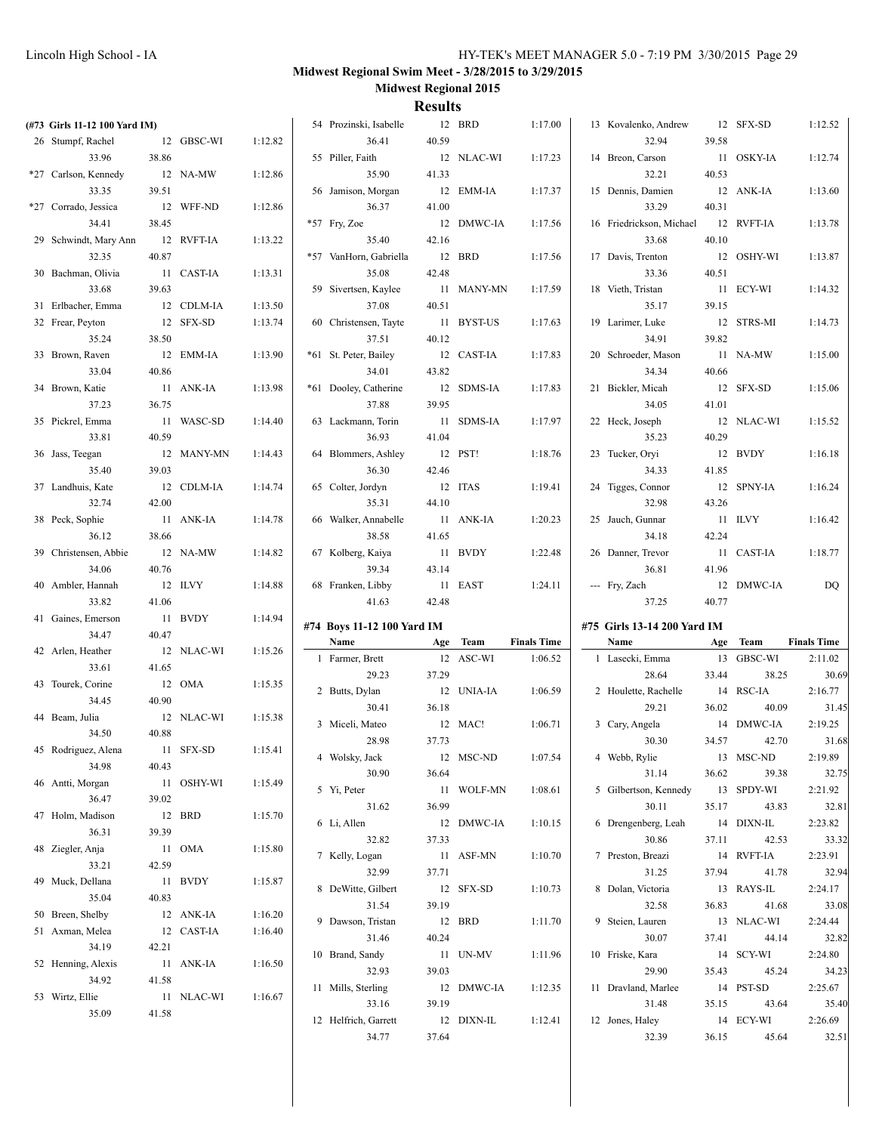| (#73 Girls 11-12 100 Yard IM) |        |            |         | 54 Prozinski, Isabelle     |        | 12 BRD     | 1:17.00            | 13 Kovalenko, Andrew        |       | 12 SFX-SD  | 1:12.52                   |
|-------------------------------|--------|------------|---------|----------------------------|--------|------------|--------------------|-----------------------------|-------|------------|---------------------------|
| 26 Stumpf, Rachel             |        | 12 GBSC-WI | 1:12.82 | 36.41                      | 40.59  |            |                    | 32.94                       | 39.58 |            |                           |
| 33.96                         | 38.86  |            |         | 55 Piller, Faith           |        | 12 NLAC-WI | 1:17.23            | 14 Breon, Carson            |       | 11 OSKY-IA | 1:12.74                   |
| *27 Carlson, Kennedy          |        | 12 NA-MW   | 1:12.86 | 35.90                      | 41.33  |            |                    | 32.21                       | 40.53 |            |                           |
| 33.35                         | 39.51  |            |         | 56 Jamison, Morgan         |        | 12 EMM-IA  | 1:17.37            | 15 Dennis, Damien           |       | 12 ANK-IA  | 1:13.60                   |
| *27 Corrado, Jessica          |        | 12 WFF-ND  | 1:12.86 | 36.37                      | 41.00  |            |                    | 33.29                       | 40.31 |            |                           |
| 34.41                         | 38.45  |            |         | $*57$ Fry, Zoe             |        | 12 DMWC-IA | 1:17.56            | 16 Friedrickson, Michael    |       | 12 RVFT-IA | 1:13.78                   |
|                               |        |            |         |                            |        |            |                    |                             |       |            |                           |
| 29 Schwindt, Mary Ann         |        | 12 RVFT-IA | 1:13.22 | 35.40                      | 42.16  |            |                    | 33.68                       | 40.10 |            |                           |
| 32.35                         | 40.87  |            |         | *57 VanHorn, Gabriella     |        | 12 BRD     | 1:17.56            | 17 Davis, Trenton           |       | 12 OSHY-WI | 1:13.87                   |
| 30 Bachman, Olivia            |        | 11 CAST-IA | 1:13.31 | 35.08                      | 42.48  |            |                    | 33.36                       | 40.51 |            |                           |
| 33.68                         | 39.63  |            |         | 59 Sivertsen, Kaylee       |        | 11 MANY-MN | 1:17.59            | 18 Vieth, Tristan           |       | 11 ECY-WI  | 1:14.32                   |
| 31 Erlbacher, Emma            |        | 12 CDLM-IA | 1:13.50 | 37.08                      | 40.51  |            |                    | 35.17                       | 39.15 |            |                           |
| 32 Frear, Peyton              |        | 12 SFX-SD  | 1:13.74 | 60 Christensen, Tayte      |        | 11 BYST-US | 1:17.63            | 19 Larimer, Luke            |       | 12 STRS-MI | 1:14.73                   |
| 35.24                         | 38.50  |            |         | 37.51                      | 40.12  |            |                    | 34.91                       | 39.82 |            |                           |
| 33 Brown, Raven               |        | 12 EMM-IA  | 1:13.90 | *61 St. Peter, Bailey      |        | 12 CAST-IA | 1:17.83            | 20 Schroeder, Mason         |       | 11 NA-MW   | 1:15.00                   |
| 33.04                         | 40.86  |            |         | 34.01                      | 43.82  |            |                    | 34.34                       | 40.66 |            |                           |
| 34 Brown, Katie               |        | 11 ANK-IA  | 1:13.98 | *61 Dooley, Catherine      |        | 12 SDMS-IA | 1:17.83            | 21 Bickler, Micah           |       | 12 SFX-SD  | 1:15.06                   |
| 37.23                         | 36.75  |            |         | 37.88                      | 39.95  |            |                    | 34.05                       | 41.01 |            |                           |
| 35 Pickrel, Emma              |        |            | 1:14.40 |                            |        |            |                    | 22 Heck, Joseph             |       | 12 NLAC-WI |                           |
|                               |        | 11 WASC-SD |         | 63 Lackmann, Torin         |        | 11 SDMS-IA | 1:17.97            |                             |       |            | 1:15.52                   |
| 33.81                         | 40.59  |            |         | 36.93                      | 41.04  |            |                    | 35.23                       | 40.29 |            |                           |
| 36 Jass, Teegan               |        | 12 MANY-MN | 1:14.43 | 64 Blommers, Ashley        |        | 12 PST!    | 1:18.76            | 23 Tucker, Oryi             |       | 12 BVDY    | 1:16.18                   |
| 35.40                         | 39.03  |            |         | 36.30                      | 42.46  |            |                    | 34.33                       | 41.85 |            |                           |
| 37 Landhuis, Kate             |        | 12 CDLM-IA | 1:14.74 | 65 Colter, Jordyn          |        | 12 ITAS    | 1:19.41            | 24 Tigges, Connor           |       | 12 SPNY-IA | 1:16.24                   |
| 32.74                         | 42.00  |            |         | 35.31                      | 44.10  |            |                    | 32.98                       | 43.26 |            |                           |
| 38 Peck, Sophie               |        | 11 ANK-IA  | 1:14.78 | 66 Walker, Annabelle       |        | 11 ANK-IA  | 1:20.23            | 25 Jauch, Gunnar            |       | 11 ILVY    | 1:16.42                   |
| 36.12                         | 38.66  |            |         | 38.58                      | 41.65  |            |                    | 34.18                       | 42.24 |            |                           |
| 39 Christensen, Abbie         |        | 12 NA-MW   | 1:14.82 | 67 Kolberg, Kaiya          |        | 11 BVDY    | 1:22.48            | 26 Danner, Trevor           |       | 11 CAST-IA | 1:18.77                   |
| 34.06                         | 40.76  |            |         | 39.34                      | 43.14  |            |                    | 36.81                       | 41.96 |            |                           |
|                               |        | 12 ILVY    | 1:14.88 | 68 Franken, Libby          |        | 11 EAST    | 1:24.11            | --- Fry, Zach               |       | 12 DMWC-IA |                           |
|                               |        |            |         |                            |        |            |                    |                             |       |            |                           |
| 40 Ambler, Hannah             |        |            |         |                            |        |            |                    |                             |       |            | DQ                        |
| 33.82                         | 41.06  |            |         | 41.63                      | 42.48  |            |                    | 37.25                       | 40.77 |            |                           |
| 41 Gaines, Emerson            |        | 11 BVDY    | 1:14.94 | #74 Boys 11-12 100 Yard IM |        |            |                    | #75 Girls 13-14 200 Yard IM |       |            |                           |
| 34.47                         | 40.47  |            |         | Name                       |        | Age Team   | <b>Finals Time</b> | Name                        | Age   | Team       | <b>Finals Time</b>        |
| 42 Arlen, Heather             |        | 12 NLAC-WI | 1:15.26 | 1 Farmer, Brett            |        | 12 ASC-WI  | 1:06.52            | 1 Lasecki, Emma             |       | 13 GBSC-WI | 2:11.02                   |
| 33.61                         | 41.65  |            |         | 29.23                      | 37.29  |            |                    | 28.64                       | 33.44 | 38.25      |                           |
| 43 Tourek, Corine             |        | 12 OMA     | 1:15.35 |                            |        |            |                    |                             |       |            |                           |
| 34.45                         | 40.90  |            |         | 2 Butts, Dylan             |        | 12 UNIA-IA | 1:06.59            | 2 Houlette, Rachelle        |       | 14 RSC-IA  | 2:16.77                   |
| 44 Beam, Julia                |        | 12 NLAC-WI | 1:15.38 | 30.41                      | 36.18  |            |                    | 29.21                       | 36.02 | 40.09      |                           |
| 34.50                         | 40.88  |            |         | 3 Miceli, Mateo            |        | 12 MAC!    | 1:06.71            | 3 Cary, Angela              |       | 14 DMWC-IA | 2:19.25                   |
| 45 Rodriguez, Alena           |        | 11 SFX-SD  | 1:15.41 | 28.98                      | 37.73  |            |                    | 30.30                       | 34.57 | 42.70      | 30.69<br>31.45<br>31.68   |
|                               |        |            |         | 4 Wolsky, Jack             |        | 12 MSC-ND  | 1:07.54            | 4 Webb, Rylie               |       | 13 MSC-ND  | 2:19.89                   |
| 34.98                         | 40.43  |            |         | 30.90                      | 36.64  |            |                    | 31.14                       | 36.62 | 39.38      |                           |
| 46 Antti, Morgan              |        | 11 OSHY-WI | 1:15.49 | 5 Yi, Peter                |        | 11 WOLF-MN | 1:08.61            | 5 Gilbertson, Kennedy       |       | 13 SPDY-WI | 2:21.92                   |
| 36.47                         | 39.02  |            |         | 31.62                      | 36.99  |            |                    | 30.11                       | 35.17 | 43.83      | 32.75<br>32.81            |
| 47 Holm, Madison              | 12 BRD |            | 1:15.70 | 6 Li, Allen                |        | 12 DMWC-IA | 1:10.15            | 6 Drengenberg, Leah         |       | 14 DIXN-IL | 2:23.82                   |
| 36.31                         | 39.39  |            |         | 32.82                      | 37.33  |            |                    | 30.86                       | 37.11 | 42.53      |                           |
| 48 Ziegler, Anja              |        | 11 OMA     | 1:15.80 | 7 Kelly, Logan             |        | 11 ASF-MN  | 1:10.70            | 7 Preston, Breazi           |       | 14 RVFT-IA |                           |
| 33.21                         | 42.59  |            |         | 32.99                      | 37.71  |            |                    | 31.25                       |       | 41.78      |                           |
| 49 Muck, Dellana              |        | 11 BVDY    | 1:15.87 |                            |        |            | 1:10.73            |                             | 37.94 |            | 33.32<br>2:23.91<br>32.94 |
| 35.04                         | 40.83  |            |         | 8 DeWitte, Gilbert         |        | 12 SFX-SD  |                    | 8 Dolan, Victoria           |       | 13 RAYS-IL | 2:24.17                   |
| 50 Breen, Shelby              |        | 12 ANK-IA  | 1:16.20 | 31.54                      | 39.19  |            |                    | 32.58                       | 36.83 | 41.68      | 33.08                     |
| 51 Axman, Melea               |        | 12 CAST-IA | 1:16.40 | 9 Dawson, Tristan          | 12 BRD |            | 1:11.70            | 9 Steien, Lauren            |       | 13 NLAC-WI | 2:24.44                   |
| 34.19                         | 42.21  |            |         | 31.46                      | 40.24  |            |                    | 30.07                       | 37.41 | 44.14      | 32.82                     |
| 52 Henning, Alexis            |        | 11 ANK-IA  | 1:16.50 | 10 Brand, Sandy            |        | 11 UN-MV   | 1:11.96            | 10 Friske, Kara             |       | 14 SCY-WI  | 2:24.80                   |
|                               |        |            |         | 32.93                      | 39.03  |            |                    | 29.90                       | 35.43 | 45.24      | 34.23                     |
| 34.92                         | 41.58  |            |         | 11 Mills, Sterling         |        | 12 DMWC-IA | 1:12.35            | 11 Dravland, Marlee         |       | 14 PST-SD  | 2:25.67                   |
| 53 Wirtz, Ellie               |        | 11 NLAC-WI | 1:16.67 | 33.16                      | 39.19  |            |                    | 31.48                       | 35.15 | 43.64      | 35.40                     |
| 35.09                         | 41.58  |            |         | 12 Helfrich, Garrett       |        | 12 DIXN-IL | 1:12.41            | 12 Jones, Haley             |       | 14 ECY-WI  | 2:26.69                   |
|                               |        |            |         | 34.77                      | 37.64  |            |                    | 32.39                       | 36.15 | 45.64      | 32.51                     |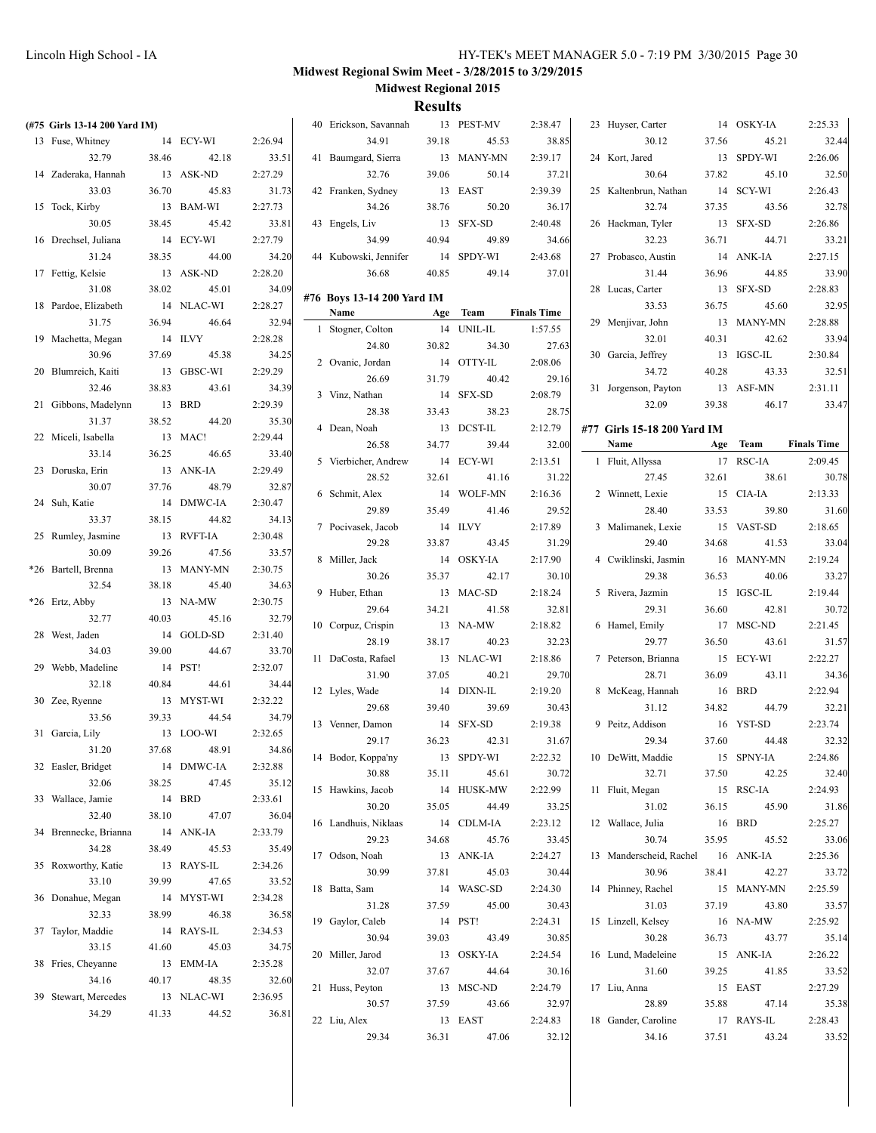| (#75 Girls 13-14 200 Yard IM) |       |                     |                  | 40 Erickson, Savannah      |       | 13 PEST-MV | 2:38.47            | 23 Huyser, Carter           |       | 14 OSKY-IA  | 2:25.33            |
|-------------------------------|-------|---------------------|------------------|----------------------------|-------|------------|--------------------|-----------------------------|-------|-------------|--------------------|
| 13 Fuse, Whitney              |       | 14 ECY-WI           | 2:26.94          | 34.91                      | 39.18 | 45.53      | 38.85              | 30.12                       | 37.56 | 45.21       | 32.44              |
| 32.79                         | 38.46 | 42.18               | 33.51            | 41 Baumgard, Sierra        |       | 13 MANY-MN | 2:39.17            | 24 Kort, Jared              |       | 13 SPDY-WI  | 2:26.06            |
| 14 Zaderaka, Hannah           |       | 13 ASK-ND           | 2:27.29          | 32.76                      | 39.06 | 50.14      | 37.21              | 30.64                       | 37.82 | 45.10       | 32.50              |
| 33.03                         | 36.70 | 45.83               | 31.73            | 42 Franken, Sydney         |       | 13 EAST    | 2:39.39            | 25 Kaltenbrun, Nathan       |       | 14 SCY-WI   | 2:26.43            |
| 15 Tock, Kirby                |       | 13 BAM-WI           | 2:27.73          | 34.26                      | 38.76 | 50.20      | 36.17              | 32.74                       | 37.35 | 43.56       | 32.78              |
| 30.05                         | 38.45 | 45.42               | 33.81            | 43 Engels, Liv             |       | 13 SFX-SD  | 2:40.48            | 26 Hackman, Tyler           |       | 13 SFX-SD   | 2:26.86            |
| 16 Drechsel, Juliana          |       | 14 ECY-WI           | 2:27.79          | 34.99                      | 40.94 | 49.89      | 34.66              | 32.23                       | 36.71 | 44.71       | 33.21              |
| 31.24                         | 38.35 | 44.00               | 34.20            | 44 Kubowski, Jennifer      |       | 14 SPDY-WI | 2:43.68            | 27 Probasco, Austin         |       | 14 ANK-IA   | 2:27.15            |
| 17 Fettig, Kelsie             |       | 13 ASK-ND           | 2:28.20          | 36.68                      | 40.85 | 49.14      | 37.01              | 31.44                       | 36.96 | 44.85       | 33.90              |
| 31.08                         | 38.02 | 45.01               | 34.09            |                            |       |            |                    | 28 Lucas, Carter            |       | 13 SFX-SD   | 2:28.83            |
| 18 Pardoe, Elizabeth          |       | 14 NLAC-WI          | 2:28.27          | #76 Boys 13-14 200 Yard IM |       |            |                    | 33.53                       | 36.75 | 45.60       | 32.95              |
| 31.75                         | 36.94 | 46.64               | 32.94            | Name                       |       | Age Team   | <b>Finals Time</b> | 29 Menjivar, John           |       | 13 MANY-MN  | 2:28.88            |
| 19 Machetta, Megan            |       | 14 ILVY             | 2:28.28          | 1 Stogner, Colton          |       | 14 UNIL-IL | 1:57.55            | 32.01                       | 40.31 | 42.62       | 33.94              |
| 30.96                         | 37.69 | 45.38               | 34.25            | 24.80                      | 30.82 | 34.30      | 27.63              | 30 Garcia, Jeffrey          |       | 13 IGSC-IL  | 2:30.84            |
| 20 Blumreich, Kaiti           |       | 13 GBSC-WI          | 2:29.29          | 2 Ovanic, Jordan           |       | 14 OTTY-IL | 2:08.06            | 34.72                       | 40.28 | 43.33       | 32.51              |
| 32.46                         | 38.83 | 43.61               | 34.39            | 26.69                      | 31.79 | 40.42      | 29.16              | 31 Jorgenson, Payton        |       | 13 ASF-MN   | 2:31.11            |
| 21 Gibbons, Madelynn          |       | 13 BRD              | 2:29.39          | 3 Vinz, Nathan             |       | 14 SFX-SD  | 2:08.79            | 32.09                       | 39.38 | 46.17       | 33.47              |
| 31.37                         | 38.52 | 44.20               | 35.30            | 28.38                      | 33.43 | 38.23      | 28.75              |                             |       |             |                    |
| 22 Miceli, Isabella           |       | 13 MAC!             | 2:29.44          | 4 Dean, Noah               |       | 13 DCST-IL | 2:12.79            | #77 Girls 15-18 200 Yard IM |       |             |                    |
| 33.14                         | 36.25 | 46.65               | 33.40            | 26.58                      | 34.77 | 39.44      | 32.00              | Name                        | Age   | <b>Team</b> | <b>Finals Time</b> |
| 23 Doruska, Erin              |       | 13 ANK-IA           | 2:29.49          | 5 Vierbicher, Andrew       |       | 14 ECY-WI  | 2:13.51            | 1 Fluit, Allyssa            |       | 17 RSC-IA   | 2:09.45            |
| 30.07                         | 37.76 | 48.79               | 32.87            | 28.52                      | 32.61 | 41.16      | 31.22              | 27.45                       | 32.61 | 38.61       | 30.78              |
| 24 Suh, Katie                 |       | 14 DMWC-IA          | 2:30.47          | 6 Schmit, Alex             |       | 14 WOLF-MN | 2:16.36            | 2 Winnett, Lexie            |       | 15 CIA-IA   | 2:13.33            |
| 33.37                         | 38.15 | 44.82               | 34.13            | 29.89                      | 35.49 | 41.46      | 29.52              | 28.40                       | 33.53 | 39.80       | 31.60              |
|                               |       | 13 RVFT-IA          | 2:30.48          | 7 Pocivasek, Jacob         |       | 14 ILVY    | 2:17.89            | 3 Malimanek, Lexie          |       | 15 VAST-SD  | 2:18.65            |
| 25 Rumley, Jasmine            |       |                     |                  | 29.28                      | 33.87 | 43.45      | 31.29              | 29.40                       | 34.68 | 41.53       | 33.04              |
| 30.09                         | 39.26 | 47.56<br>13 MANY-MN | 33.57            | 8 Miller, Jack             |       | 14 OSKY-IA | 2:17.90            | 4 Cwiklinski, Jasmin        |       | 16 MANY-MN  | 2:19.24            |
| *26 Bartell, Brenna           | 38.18 |                     | 2:30.75          | 30.26                      | 35.37 | 42.17      | 30.10              | 29.38                       | 36.53 | 40.06       | 33.27              |
| 32.54                         |       | 45.40               | 34.63            | 9 Huber, Ethan             |       | 13 MAC-SD  | 2:18.24            | 5 Rivera, Jazmin            |       | 15 IGSC-IL  | 2:19.44            |
| *26 Ertz, Abby<br>32.77       | 40.03 | 13 NA-MW<br>45.16   | 2:30.75<br>32.79 | 29.64                      | 34.21 | 41.58      | 32.81              | 29.31                       | 36.60 | 42.81       | 30.72              |
|                               |       | 14 GOLD-SD          |                  | 10 Corpuz, Crispin         |       | 13 NA-MW   | 2:18.82            | 6 Hamel, Emily              |       | 17 MSC-ND   | 2:21.45            |
| 28 West, Jaden                |       |                     | 2:31.40          | 28.19                      | 38.17 | 40.23      | 32.23              | 29.77                       | 36.50 | 43.61       | 31.57              |
| 34.03                         | 39.00 | 44.67<br>14 PST!    | 33.70            | 11 DaCosta, Rafael         |       | 13 NLAC-WI | 2:18.86            | 7 Peterson, Brianna         |       | 15 ECY-WI   | 2:22.27            |
| 29 Webb, Madeline             |       |                     | 2:32.07          | 31.90                      | 37.05 | 40.21      | 29.70              | 28.71                       | 36.09 | 43.11       | 34.36              |
| 32.18                         | 40.84 | 44.61               | 34.44            | 12 Lyles, Wade             |       | 14 DIXN-IL | 2:19.20            | 8 McKeag, Hannah            |       | 16 BRD      | 2:22.94            |
| 30 Zee, Ryenne                |       | 13 MYST-WI          | 2:32.22          | 29.68                      | 39.40 | 39.69      | 30.43              | 31.12                       | 34.82 | 44.79       | 32.21              |
| 33.56                         | 39.33 | 44.54               | 34.79            | 13 Venner, Damon           |       | 14 SFX-SD  | 2:19.38            | 9 Peitz, Addison            |       | 16 YST-SD   | 2:23.74            |
| 31 Garcia, Lily               |       | 13 LOO-WI           | 2:32.65          | 29.17                      | 36.23 | 42.31      | 31.67              | 29.34                       | 37.60 | 44.48       | 32.32              |
| 31.20                         | 37.68 | 48.91               | 34.86            | 14 Bodor, Koppa'ny         |       | 13 SPDY-WI | 2:22.32            | 10 DeWitt, Maddie           |       | 15 SPNY-IA  | 2:24.86            |
| 32 Easler, Bridget            |       | 14 DMWC-IA          | 2:32.88          | 30.88                      | 35.11 | 45.61      | 30.72              | 32.71                       | 37.50 | 42.25       | 32.40              |
| 32.06                         | 38.25 | 47.45               | 35.12            | 15 Hawkins, Jacob          |       | 14 HUSK-MW | 2:22.99            | 11 Fluit, Megan             |       | 15 RSC-IA   | 2:24.93            |
| 33 Wallace, Jamie             |       | 14 BRD              | 2:33.61          | 30.20                      | 35.05 | 44.49      | 33.25              | 31.02                       | 36.15 | 45.90       | 31.86              |
| 32.40                         | 38.10 | 47.07               | 36.04            | 16 Landhuis, Niklaas       |       | 14 CDLM-IA | 2:23.12            | 12 Wallace, Julia           |       | 16 BRD      | 2:25.27            |
| 34 Brennecke, Brianna         |       | 14 ANK-IA           | 2:33.79          | 29.23                      | 34.68 | 45.76      | 33.45              | 30.74                       | 35.95 | 45.52       | 33.06              |
| 34.28                         | 38.49 | 45.53               | 35.49            | 17 Odson, Noah             |       | 13 ANK-IA  | 2:24.27            | 13 Manderscheid, Rachel     |       | 16 ANK-IA   | 2:25.36            |
| 35 Roxworthy, Katie           |       | 13 RAYS-IL          | 2:34.26          | 30.99                      | 37.81 | 45.03      | 30.44              | 30.96                       | 38.41 | 42.27       | 33.72              |
| 33.10                         | 39.99 | 47.65               | 33.52            | 18 Batta, Sam              |       | 14 WASC-SD | 2:24.30            | 14 Phinney, Rachel          |       | 15 MANY-MN  | 2:25.59            |
| 36 Donahue, Megan             |       | 14 MYST-WI          | 2:34.28          | 31.28                      | 37.59 | 45.00      | 30.43              | 31.03                       | 37.19 | 43.80       | 33.57              |
| 32.33                         | 38.99 | 46.38               | 36.58            | 19 Gaylor, Caleb           |       | 14 PST!    | 2:24.31            | 15 Linzell, Kelsey          |       | 16 NA-MW    | 2:25.92            |
| 37 Taylor, Maddie             |       | 14 RAYS-IL          | 2:34.53          | 30.94                      | 39.03 | 43.49      | 30.85              | 30.28                       | 36.73 | 43.77       | 35.14              |
| 33.15                         | 41.60 | 45.03               | 34.75            | 20 Miller, Jarod           |       | 13 OSKY-IA | 2:24.54            | 16 Lund, Madeleine          |       | 15 ANK-IA   | 2:26.22            |
| 38 Fries, Cheyanne            |       | 13 EMM-IA           | 2:35.28          | 32.07                      | 37.67 | 44.64      | 30.16              | 31.60                       | 39.25 | 41.85       | 33.52              |
| 34.16                         | 40.17 | 48.35               | 32.60            | 21 Huss, Peyton            |       | 13 MSC-ND  | 2:24.79            | 17 Liu, Anna                |       | 15 EAST     | 2:27.29            |
| 39 Stewart, Mercedes          |       | 13 NLAC-WI          | 2:36.95          | 30.57                      | 37.59 | 43.66      | 32.97              | 28.89                       | 35.88 | 47.14       | 35.38              |
| 34.29                         | 41.33 | 44.52               | 36.81            | 22 Liu, Alex               |       | 13 EAST    | 2:24.83            | 18 Gander, Caroline         |       | 17 RAYS-IL  | 2:28.43            |
|                               |       |                     |                  | 29.34                      | 36.31 | 47.06      | 32.12              | 34.16                       | 37.51 | 43.24       | 33.52              |
|                               |       |                     |                  |                            |       |            |                    |                             |       |             |                    |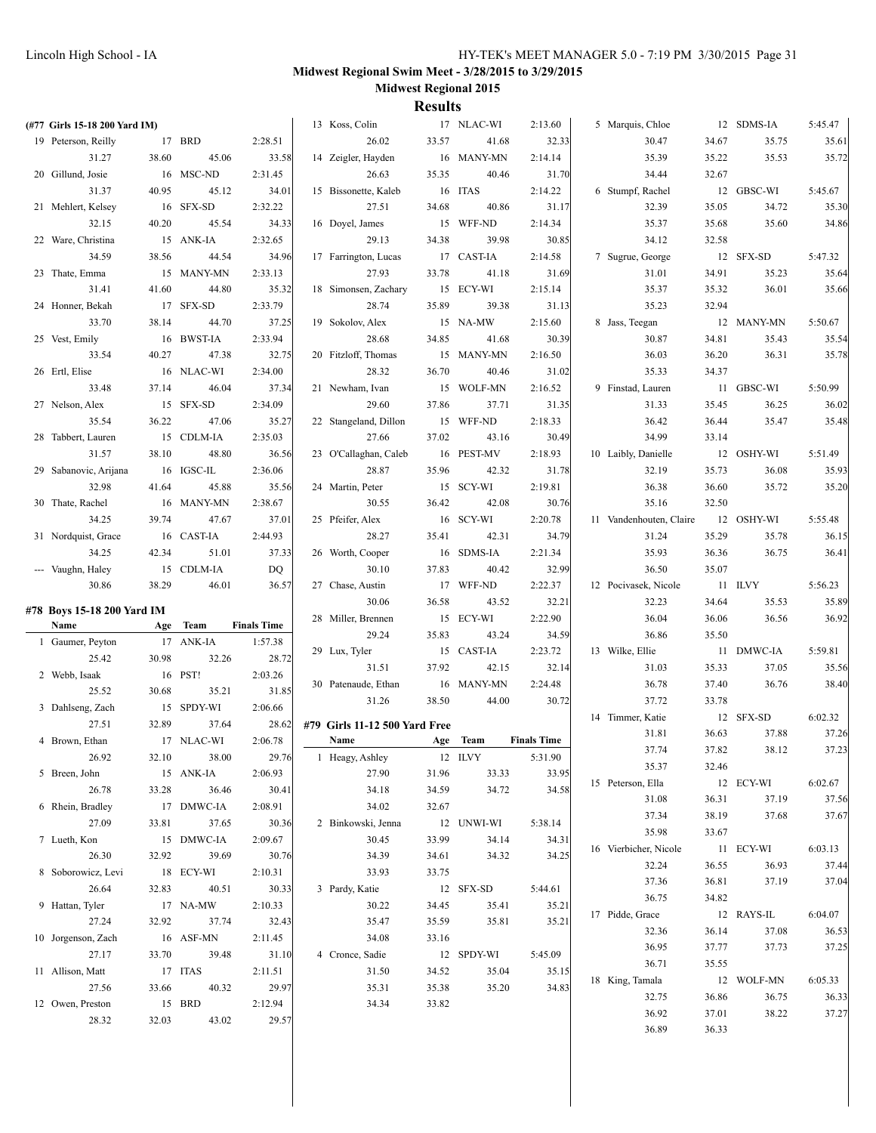| (#77 Girls 15-18 200 Yard IM) |       |                     |                    | 13 Koss, Colin                        |       | 17 NLAC-WI         | 2:13.60            | 5 Marquis, Chloe        |                | 12 SDMS-IA | 5:45.47 |
|-------------------------------|-------|---------------------|--------------------|---------------------------------------|-------|--------------------|--------------------|-------------------------|----------------|------------|---------|
| 19 Peterson, Reilly           |       | 17 BRD              | 2:28.51            | 26.02                                 | 33.57 | 41.68              | 32.33              | 30.47                   | 34.67          | 35.75      | 35.61   |
| 31.27                         | 38.60 | 45.06               | 33.58              | 14 Zeigler, Hayden                    |       | 16 MANY-MN         | 2:14.14            | 35.39                   | 35.22          | 35.53      | 35.72   |
| 20 Gillund, Josie             |       | 16 MSC-ND           | 2:31.45            | 26.63                                 | 35.35 | 40.46              | 31.70              | 34.44                   | 32.67          |            |         |
| 31.37                         | 40.95 | 45.12               | 34.01              | 15 Bissonette, Kaleb                  |       | 16 ITAS            | 2:14.22            | 6 Stumpf, Rachel        |                | 12 GBSC-WI | 5:45.67 |
| 21 Mehlert, Kelsey            |       | 16 SFX-SD           | 2:32.22            | 27.51                                 | 34.68 | 40.86              | 31.17              | 32.39                   | 35.05          | 34.72      | 35.30   |
| 32.15                         | 40.20 | 45.54               | 34.33              | 16 Doyel, James                       |       | 15 WFF-ND          | 2:14.34            | 35.37                   | 35.68          | 35.60      | 34.86   |
| 22 Ware, Christina            |       | 15 ANK-IA           | 2:32.65            | 29.13                                 | 34.38 | 39.98              | 30.85              | 34.12                   | 32.58          |            |         |
| 34.59                         | 38.56 | 44.54               | 34.96              | 17 Farrington, Lucas                  |       | 17 CAST-IA         | 2:14.58            | 7 Sugrue, George        |                | 12 SFX-SD  | 5:47.32 |
| 23 Thate, Emma                |       | 15 MANY-MN          | 2:33.13            | 27.93                                 | 33.78 | 41.18              | 31.69              | 31.01                   | 34.91          | 35.23      | 35.64   |
| 31.41                         | 41.60 | 44.80               | 35.32              | 18 Simonsen, Zachary                  |       | 15 ECY-WI          | 2:15.14            | 35.37                   | 35.32          | 36.01      | 35.66   |
| 24 Honner, Bekah              |       | 17 SFX-SD           | 2:33.79            | 28.74                                 | 35.89 | 39.38              | 31.13              | 35.23                   | 32.94          |            |         |
| 33.70                         | 38.14 | 44.70               | 37.25              | 19 Sokolov, Alex                      |       | 15 NA-MW           | 2:15.60            | 8 Jass, Teegan          |                | 12 MANY-MN | 5:50.67 |
| 25 Vest, Emily                |       | 16 BWST-IA          | 2:33.94            | 28.68                                 | 34.85 | 41.68              | 30.39              | 30.87                   | 34.81          | 35.43      | 35.54   |
| 33.54                         | 40.27 | 47.38               | 32.75              | 20 Fitzloff, Thomas                   |       | 15 MANY-MN         | 2:16.50            | 36.03                   | 36.20          | 36.31      | 35.78   |
| 26 Ertl, Elise                |       | 16 NLAC-WI          | 2:34.00            | 28.32                                 | 36.70 | 40.46              | 31.02              | 35.33                   | 34.37          |            |         |
| 33.48                         | 37.14 | 46.04               | 37.34              | 21 Newham, Ivan                       |       | 15 WOLF-MN         | 2:16.52            | 9 Finstad, Lauren       |                | 11 GBSC-WI | 5:50.99 |
| 27 Nelson, Alex               |       | 15 SFX-SD           | 2:34.09            | 29.60                                 | 37.86 | 37.71              | 31.35              | 31.33                   | 35.45          | 36.25      | 36.02   |
| 35.54                         | 36.22 | 47.06               | 35.27              | 22 Stangeland, Dillon                 |       | 15 WFF-ND          | 2:18.33            | 36.42                   | 36.44          | 35.47      | 35.48   |
| 28 Tabbert, Lauren            |       | 15 CDLM-IA          | 2:35.03            | 27.66                                 | 37.02 | 43.16              | 30.49              | 34.99                   | 33.14          |            |         |
| 31.57                         | 38.10 | 48.80               | 36.56              | 23 O'Callaghan, Caleb                 |       | 16 PEST-MV         | 2:18.93            | 10 Laibly, Danielle     |                | 12 OSHY-WI | 5:51.49 |
| 29 Sabanovic, Arijana         |       | 16 IGSC-IL          | 2:36.06            | 28.87                                 | 35.96 | 42.32              | 31.78              | 32.19                   | 35.73          | 36.08      | 35.93   |
| 32.98                         | 41.64 | 45.88               | 35.56              | 24 Martin, Peter                      |       | 15 SCY-WI          | 2:19.81            | 36.38                   | 36.60          | 35.72      | 35.20   |
|                               |       |                     | 2:38.67            |                                       | 36.42 |                    |                    | 35.16                   |                |            |         |
| 30 Thate, Rachel<br>34.25     | 39.74 | 16 MANY-MN<br>47.67 |                    | 30.55                                 |       | 42.08<br>16 SCY-WI | 30.76<br>2:20.78   |                         | 32.50          | 12 OSHY-WI | 5:55.48 |
|                               |       |                     | 37.01              | 25 Pfeifer, Alex                      |       |                    |                    | 11 Vandenhouten, Claire |                |            |         |
| 31 Nordquist, Grace           |       | 16 CAST-IA          | 2:44.93            | 28.27                                 | 35.41 | 42.31              | 34.79              | 31.24                   | 35.29          | 35.78      | 36.15   |
| 34.25                         | 42.34 | 51.01               | 37.33              | 26 Worth, Cooper                      |       | 16 SDMS-IA         | 2:21.34            | 35.93                   | 36.36          | 36.75      | 36.41   |
| --- Vaughn, Haley             |       | 15 CDLM-IA          | DQ                 | 30.10                                 | 37.83 | 40.42              | 32.99              | 36.50                   | 35.07          |            |         |
| 30.86                         | 38.29 | 46.01               | 36.57              | 27 Chase, Austin                      |       | 17 WFF-ND          | 2:22.37            | 12 Pocivasek, Nicole    |                | 11 ILVY    | 5:56.23 |
| #78 Boys 15-18 200 Yard IM    |       |                     |                    | 30.06                                 | 36.58 | 43.52              | 32.21              | 32.23                   | 34.64          | 35.53      | 35.89   |
|                               |       |                     |                    |                                       |       |                    |                    |                         |                |            |         |
| Name                          |       | Age Team            | <b>Finals Time</b> | 28 Miller, Brennen                    |       | 15 ECY-WI          | 2:22.90            | 36.04                   | 36.06          | 36.56      | 36.92   |
| 1 Gaumer, Peyton              |       | 17 ANK-IA           | 1:57.38            | 29.24                                 | 35.83 | 43.24              | 34.59              | 36.86                   | 35.50          |            |         |
| 25.42                         | 30.98 | 32.26               | 28.72              | 29 Lux, Tyler                         |       | 15 CAST-IA         | 2:23.72            | 13 Wilke, Ellie         |                | 11 DMWC-IA | 5:59.81 |
| 2 Webb, Isaak                 |       | 16 PST!             | 2:03.26            | 31.51                                 | 37.92 | 42.15              | 32.14              | 31.03                   | 35.33          | 37.05      | 35.56   |
| 25.52                         | 30.68 | 35.21               | 31.85              | 30 Patenaude, Ethan                   |       | 16 MANY-MN         | 2:24.48            | 36.78                   | 37.40          | 36.76      | 38.40   |
|                               |       | 15 SPDY-WI          | 2:06.66            | 31.26                                 | 38.50 | 44.00              | 30.72              | 37.72                   | 33.78          |            |         |
| 3 Dahlseng, Zach              |       |                     |                    |                                       |       |                    |                    | 14 Timmer, Katie        |                | 12 SFX-SD  | 6:02.32 |
| 27.51                         | 32.89 | 37.64<br>17 NLAC-WI | 28.62<br>2:06.78   | #79 Girls 11-12 500 Yard Free<br>Name |       |                    | <b>Finals Time</b> | 31.81                   | 36.63          | 37.88      | 37.26   |
| 4 Brown, Ethan                |       |                     |                    |                                       |       | Age Team           |                    | 37.74                   | 37.82          | 38.12      | 37.23   |
| 26.92                         | 32.10 | 38.00               | 29.76              | 1 Heagy, Ashley                       |       | 12 ILVY            | 5:31.90            | 35.37                   | 32.46          |            |         |
| 5 Breen, John                 |       | 15 ANK-IA           | 2:06.93            | 27.90                                 | 31.96 | 33.33              | 33.95              | 15 Peterson, Ella       |                | 12 ECY-WI  | 6:02.67 |
| 26.78                         | 33.28 | 36.46               | 30.41              | 34.18                                 | 34.59 | 34.72              | 34.58              | 31.08                   | 36.31          | 37.19      | 37.56   |
| 6 Rhein, Bradley              |       | 17 DMWC-IA          | 2:08.91            | 34.02                                 | 32.67 |                    |                    | 37.34                   | 38.19          | 37.68      | 37.67   |
| 27.09                         | 33.81 | 37.65               | 30.36              | 2 Binkowski, Jenna                    |       | 12 UNWI-WI         | 5:38.14            | 35.98                   | 33.67          |            |         |
| 7 Lueth, Kon                  |       | 15 DMWC-IA          | 2:09.67            | 30.45                                 | 33.99 | 34.14              | 34.31              | 16 Vierbicher, Nicole   |                | 11 ECY-WI  | 6:03.13 |
| 26.30                         | 32.92 | 39.69               | 30.76              | 34.39                                 | 34.61 | 34.32              | 34.25              | 32.24                   | 36.55          | 36.93      | 37.44   |
| 8 Soborowicz, Levi            |       | 18 ECY-WI           | 2:10.31            | 33.93                                 | 33.75 |                    |                    | 37.36                   | 36.81          | 37.19      | 37.04   |
| 26.64                         | 32.83 | 40.51               | 30.33              | 3 Pardy, Katie                        |       | 12 SFX-SD          | 5:44.61            | 36.75                   | 34.82          |            |         |
| 9 Hattan, Tyler               |       | 17 NA-MW            | 2:10.33            | 30.22                                 | 34.45 | 35.41              | 35.21              | 17 Pidde, Grace         |                | 12 RAYS-IL | 6:04.07 |
| 27.24                         | 32.92 | 37.74               | 32.43              | 35.47                                 | 35.59 | 35.81              | 35.21              | 32.36                   |                | 37.08      |         |
| 10 Jorgenson, Zach            |       | 16 ASF-MN           | 2:11.45            | 34.08                                 | 33.16 |                    |                    | 36.95                   | 36.14<br>37.77 | 37.73      | 36.53   |
| 27.17                         | 33.70 | 39.48               | 31.10              | 4 Cronce, Sadie                       |       | 12 SPDY-WI         | 5:45.09            | 36.71                   |                |            | 37.25   |
| 11 Allison, Matt              |       | 17 ITAS             | 2:11.51            | 31.50                                 | 34.52 | 35.04              | 35.15              |                         | 35.55          |            |         |
| 27.56                         | 33.66 | 40.32               | 29.97              | 35.31                                 | 35.38 | 35.20              | 34.83              | 18 King, Tamala         |                | 12 WOLF-MN | 6:05.33 |
| 12 Owen, Preston              |       | 15 BRD              | 2:12.94            | 34.34                                 | 33.82 |                    |                    | 32.75                   | 36.86          | 36.75      | 36.33   |
| 28.32                         | 32.03 | 43.02               | 29.57              |                                       |       |                    |                    | 36.92<br>36.89          | 37.01<br>36.33 | 38.22      | 37.27   |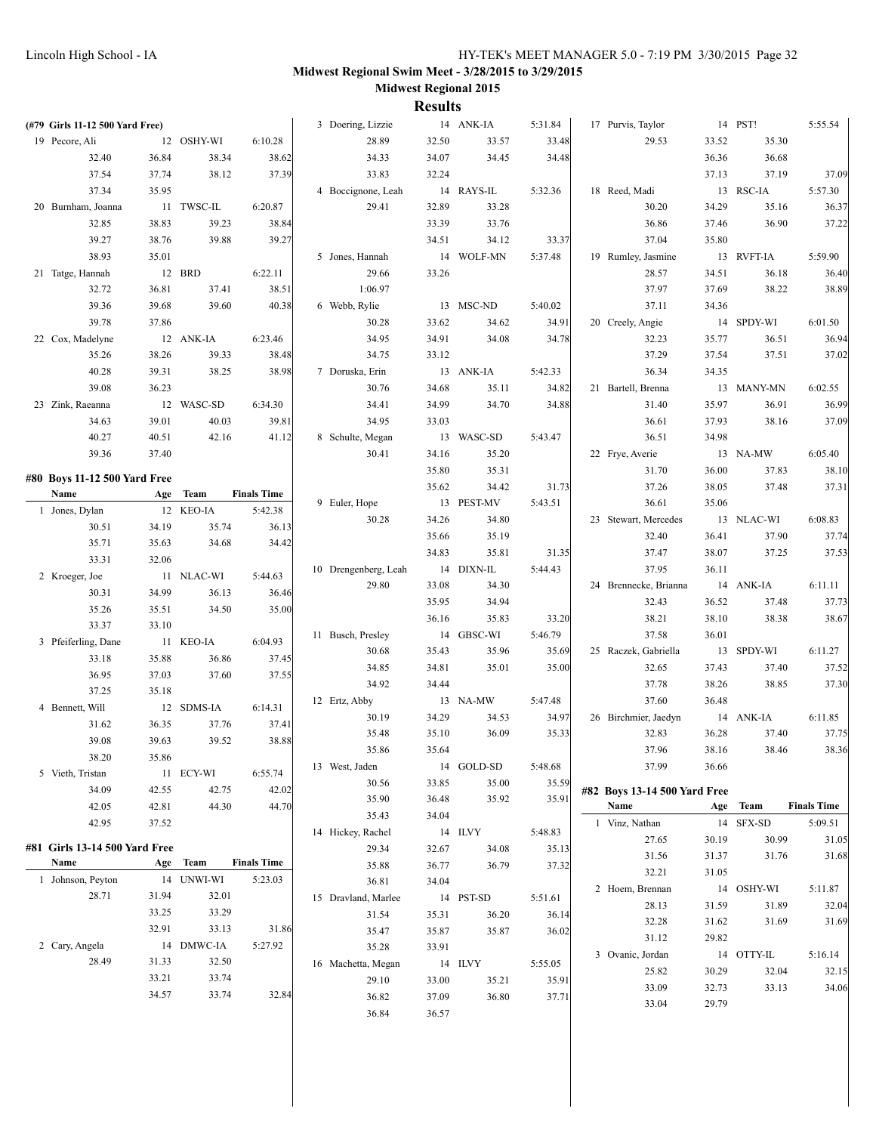| (#79 Girls 11-12 500 Yard Free) |       |            |                    | 3 Doering, Lizzie      |       | 14 ANK-IA         | 5:31.84          | 17 Purvis, Taylor            |       | 14 PST!    | 5:55.54            |
|---------------------------------|-------|------------|--------------------|------------------------|-------|-------------------|------------------|------------------------------|-------|------------|--------------------|
| 19 Pecore, Ali                  |       | 12 OSHY-WI | 6:10.28            | 28.89                  | 32.50 | 33.57             | 33.48            | 29.53                        | 33.52 | 35.30      |                    |
| 32.40                           | 36.84 | 38.34      | 38.62              | 34.33                  | 34.07 | 34.45             | 34.48            |                              | 36.36 | 36.68      |                    |
| 37.54                           | 37.74 | 38.12      | 37.39              | 33.83                  | 32.24 |                   |                  |                              | 37.13 | 37.19      | 37.09              |
| 37.34                           | 35.95 |            |                    | 4 Boccignone, Leah     |       | 14 RAYS-IL        | 5:32.36          | 18 Reed, Madi                |       | 13 RSC-IA  | 5:57.30            |
| 20 Burnham, Joanna              |       | 11 TWSC-IL | 6:20.87            | 29.41                  | 32.89 | 33.28             |                  | 30.20                        | 34.29 | 35.16      | 36.37              |
| 32.85                           | 38.83 | 39.23      | 38.84              |                        | 33.39 | 33.76             |                  | 36.86                        | 37.46 | 36.90      | 37.22              |
| 39.27                           | 38.76 | 39.88      | 39.27              |                        | 34.51 | 34.12             | 33.37            | 37.04                        | 35.80 |            |                    |
| 38.93                           | 35.01 |            |                    | 5 Jones, Hannah        |       | 14 WOLF-MN        | 5:37.48          | 19 Rumley, Jasmine           |       | 13 RVFT-IA | 5:59.90            |
| 21 Tatge, Hannah                |       | 12 BRD     | 6:22.11            | 29.66                  | 33.26 |                   |                  | 28.57                        | 34.51 | 36.18      | 36.40              |
| 32.72                           | 36.81 | 37.41      | 38.51              | 1:06.97                |       |                   |                  | 37.97                        | 37.69 | 38.22      | 38.89              |
| 39.36                           | 39.68 | 39.60      | 40.38              | 6 Webb, Rylie          |       | 13 MSC-ND         | 5:40.02          | 37.11                        | 34.36 |            |                    |
| 39.78                           | 37.86 |            |                    | 30.28                  | 33.62 | 34.62             | 34.91            | 20 Creely, Angie             |       | 14 SPDY-WI | 6:01.50            |
| 22 Cox, Madelyne                |       | 12 ANK-IA  | 6:23.46            | 34.95                  | 34.91 | 34.08             | 34.78            | 32.23                        | 35.77 | 36.51      | 36.94              |
| 35.26                           | 38.26 | 39.33      | 38.48              | 34.75                  | 33.12 |                   |                  | 37.29                        | 37.54 | 37.51      | 37.02              |
| 40.28                           | 39.31 | 38.25      | 38.98              | 7 Doruska, Erin        |       | 13 ANK-IA         | 5:42.33          | 36.34                        | 34.35 |            |                    |
| 39.08                           | 36.23 |            |                    | 30.76                  | 34.68 | 35.11             | 34.82            | 21 Bartell, Brenna           |       | 13 MANY-MN | 6:02.55            |
| 23 Zink, Raeanna                |       | 12 WASC-SD | 6:34.30            | 34.41                  | 34.99 | 34.70             | 34.88            | 31.40                        | 35.97 | 36.91      | 36.99              |
| 34.63                           | 39.01 | 40.03      | 39.81              | 34.95                  | 33.03 |                   |                  | 36.61                        | 37.93 | 38.16      | 37.09              |
| 40.27                           | 40.51 | 42.16      | 41.12              | 8 Schulte, Megan       |       | 13 WASC-SD        | 5:43.47          | 36.51                        | 34.98 |            |                    |
| 39.36                           | 37.40 |            |                    | 30.41                  | 34.16 | 35.20             |                  | 22 Frye, Averie              |       | 13 NA-MW   | 6:05.40            |
| #80 Boys 11-12 500 Yard Free    |       |            |                    |                        | 35.80 | 35.31             |                  | 31.70                        | 36.00 | 37.83      | 38.10              |
| Name                            |       | Age Team   | <b>Finals Time</b> |                        | 35.62 | 34.42             | 31.73            | 37.26                        | 38.05 | 37.48      | 37.31              |
| 1 Jones, Dylan                  |       | 12 KEO-IA  | 5:42.38            | 9 Euler, Hope          |       | 13 PEST-MV        | 5:43.51          | 36.61                        | 35.06 |            |                    |
| 30.51                           | 34.19 | 35.74      | 36.13              | 30.28                  | 34.26 | 34.80             |                  | 23 Stewart, Mercedes         |       | 13 NLAC-WI | 6:08.83            |
| 35.71                           | 35.63 | 34.68      | 34.42              |                        | 35.66 | 35.19             |                  | 32.40                        | 36.41 | 37.90      | 37.74              |
| 33.31                           | 32.06 |            |                    |                        | 34.83 | 35.81             | 31.35            | 37.47                        | 38.07 | 37.25      | 37.53              |
| 2 Kroeger, Joe                  |       | 11 NLAC-WI | 5:44.63            | 10 Drengenberg, Leah   |       | 14 DIXN-IL        | 5:44.43          | 37.95                        | 36.11 |            |                    |
| 30.31                           | 34.99 | 36.13      | 36.46              | 29.80                  | 33.08 | 34.30             |                  | 24 Brennecke, Brianna        |       | 14 ANK-IA  | 6:11.11            |
| 35.26                           | 35.51 | 34.50      | 35.00              |                        | 35.95 | 34.94             |                  | 32.43                        | 36.52 | 37.48      | 37.73              |
| 33.37                           | 33.10 |            |                    |                        | 36.16 | 35.83             | 33.20            | 38.21                        | 38.10 | 38.38      | 38.67              |
| 3 Pfeiferling, Dane             |       | 11 KEO-IA  | 6:04.93            | 11 Busch, Presley      |       | 14 GBSC-WI        | 5:46.79          | 37.58                        | 36.01 |            |                    |
| 33.18                           | 35.88 | 36.86      | 37.45              | 30.68                  | 35.43 | 35.96             | 35.69            | 25 Raczek, Gabriella         |       | 13 SPDY-WI | 6:11.27            |
| 36.95                           | 37.03 | 37.60      | 37.55              | 34.85                  | 34.81 | 35.01             | 35.00            | 32.65                        | 37.43 | 37.40      | 37.52              |
| 37.25                           | 35.18 |            |                    | 34.92                  | 34.44 |                   |                  | 37.78<br>37.60               | 38.26 | 38.85      | 37.30              |
| 4 Bennett, Will                 |       | 12 SDMS-IA | 6:14.31            | 12 Ertz, Abby<br>30.19 | 34.29 | 13 NA-MW<br>34.53 | 5:47.48<br>34.97 | 26 Birchmier, Jaedyn         | 36.48 | 14 ANK-IA  | 6:11.85            |
| 31.62                           | 36.35 | 37.76      | 37.41              | 35.48                  | 35.10 | 36.09             | 35.33            | 32.83                        | 36.28 | 37.40      | 37.75              |
| 39.08                           | 39.63 | 39.52      | 38.88              | 35.86                  | 35.64 |                   |                  | 37.96                        | 38.16 | 38.46      | 38.36              |
| 38.20                           | 35.86 |            |                    | 13 West, Jaden         |       | 14 GOLD-SD        | 5:48.68          | 37.99                        | 36.66 |            |                    |
| 5 Vieth, Tristan                |       | 11 ECY-WI  | 6:55.74            | 30.56                  | 33.85 | 35.00             | 35.59            |                              |       |            |                    |
| 34.09                           | 42.55 | 42.75      | 42.02              | 35.90                  | 36.48 | 35.92             | 35.91            | #82 Boys 13-14 500 Yard Free |       |            |                    |
| 42.05                           | 42.81 | 44.30      | 44.70              | 35.43                  | 34.04 |                   |                  | Name                         | Age   | Team       | <b>Finals Time</b> |
| 42.95                           | 37.52 |            |                    | 14 Hickey, Rachel      |       | 14 ILVY           | 5:48.83          | 1 Vinz, Nathan               |       | 14 SFX-SD  | 5:09.51            |
| #81 Girls 13-14 500 Yard Free   |       |            |                    | 29.34                  | 32.67 | 34.08             | 35.13            | 27.65                        | 30.19 | 30.99      | 31.05              |
| Name                            | Age   | Team       | <b>Finals Time</b> | 35.88                  | 36.77 | 36.79             | 37.32            | 31.56                        | 31.37 | 31.76      | 31.68              |
| 1 Johnson, Peyton               |       | 14 UNWI-WI | 5:23.03            | 36.81                  | 34.04 |                   |                  | 32.21                        | 31.05 |            |                    |
| 28.71                           | 31.94 | 32.01      |                    | 15 Dravland, Marlee    |       | 14 PST-SD         | 5:51.61          | 2 Hoem, Brennan              |       | 14 OSHY-WI | 5:11.87            |
|                                 | 33.25 | 33.29      |                    | 31.54                  | 35.31 | 36.20             | 36.14            | 28.13                        | 31.59 | 31.89      | 32.04              |
|                                 | 32.91 | 33.13      | 31.86              | 35.47                  | 35.87 | 35.87             | 36.02            | 32.28                        | 31.62 | 31.69      | 31.69              |
| 2 Cary, Angela                  |       | 14 DMWC-IA | 5:27.92            | 35.28                  | 33.91 |                   |                  | 31.12                        | 29.82 |            |                    |
| 28.49                           | 31.33 | 32.50      |                    | 16 Machetta, Megan     |       | 14 ILVY           | 5:55.05          | 3 Ovanic, Jordan             |       | 14 OTTY-IL | 5:16.14            |
|                                 | 33.21 | 33.74      |                    | 29.10                  | 33.00 | 35.21             | 35.91            | 25.82                        | 30.29 | 32.04      | 32.15              |
|                                 | 34.57 | 33.74      | 32.84              | 36.82                  | 37.09 | 36.80             | 37.71            | 33.09                        | 32.73 | 33.13      | 34.06              |
|                                 |       |            |                    |                        |       |                   |                  | 33.04                        |       |            |                    |
|                                 |       |            |                    | 36.84                  | 36.57 |                   |                  |                              | 29.79 |            |                    |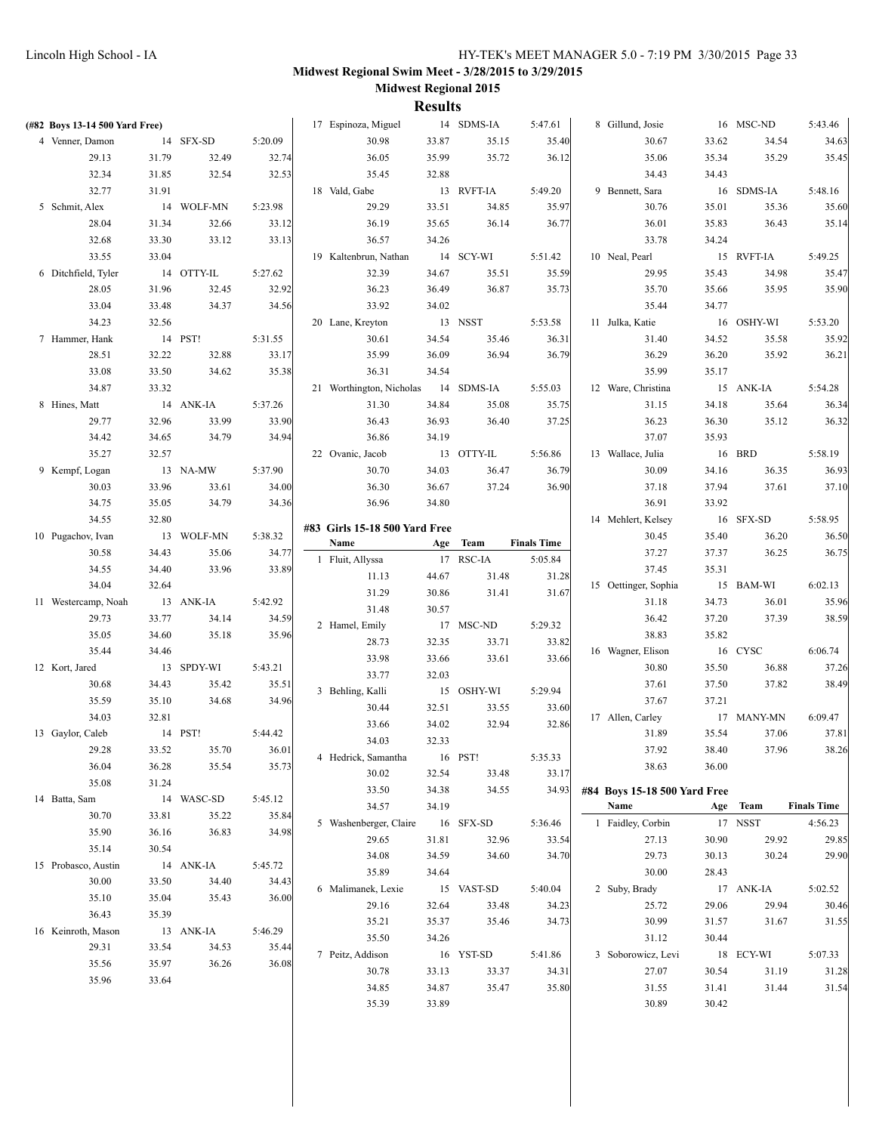| (#82 Boys 13-14 500 Yard Free) |       |            |         | 17 Espinoza, Miguel           |         | 14 SDMS-IA | 5:47.61            | 8 Gillund, Josie             |       | 16 MSC-ND  | 5:43.46            |
|--------------------------------|-------|------------|---------|-------------------------------|---------|------------|--------------------|------------------------------|-------|------------|--------------------|
| 4 Venner, Damon                |       | 14 SFX-SD  | 5:20.09 | 30.98                         | 33.87   | 35.15      | 35.40              | 30.67                        | 33.62 | 34.54      | 34.63              |
| 29.13                          | 31.79 | 32.49      | 32.74   | 36.05                         | 35.99   | 35.72      | 36.12              | 35.06                        | 35.34 | 35.29      | 35.45              |
| 32.34                          | 31.85 | 32.54      | 32.53   | 35.45                         | 32.88   |            |                    | 34.43                        | 34.43 |            |                    |
| 32.77                          | 31.91 |            |         | 18 Vald, Gabe                 |         | 13 RVFT-IA | 5:49.20            | 9 Bennett, Sara              |       | 16 SDMS-IA | 5:48.16            |
| 5 Schmit, Alex                 |       | 14 WOLF-MN | 5:23.98 | 29.29                         | 33.51   | 34.85      | 35.97              | 30.76                        | 35.01 | 35.36      | 35.60              |
| 28.04                          | 31.34 | 32.66      | 33.12   | 36.19                         | 35.65   | 36.14      | 36.77              | 36.01                        | 35.83 | 36.43      | 35.14              |
| 32.68                          | 33.30 | 33.12      | 33.13   | 36.57                         | 34.26   |            |                    | 33.78                        | 34.24 |            |                    |
| 33.55                          | 33.04 |            |         | 19 Kaltenbrun, Nathan         |         | 14 SCY-WI  | 5:51.42            | 10 Neal, Pearl               |       | 15 RVFT-IA | 5:49.25            |
| 6 Ditchfield, Tyler            |       | 14 OTTY-IL | 5:27.62 | 32.39                         | 34.67   | 35.51      | 35.59              | 29.95                        | 35.43 | 34.98      | 35.47              |
| 28.05                          | 31.96 | 32.45      | 32.92   | 36.23                         | 36.49   | 36.87      | 35.73              | 35.70                        | 35.66 | 35.95      | 35.90              |
| 33.04                          | 33.48 | 34.37      | 34.56   | 33.92                         | 34.02   |            |                    | 35.44                        | 34.77 |            |                    |
| 34.23                          | 32.56 |            |         | 20 Lane, Kreyton              |         | 13 NSST    | 5:53.58            | 11 Julka, Katie              |       | 16 OSHY-WI | 5:53.20            |
| 7 Hammer, Hank                 |       | 14 PST!    | 5:31.55 | 30.61                         | 34.54   | 35.46      | 36.31              | 31.40                        | 34.52 | 35.58      | 35.92              |
| 28.51                          | 32.22 | 32.88      | 33.17   | 35.99                         | 36.09   | 36.94      | 36.79              | 36.29                        | 36.20 | 35.92      | 36.21              |
| 33.08                          | 33.50 | 34.62      | 35.38   | 36.31                         | 34.54   |            |                    | 35.99                        | 35.17 |            |                    |
| 34.87                          | 33.32 |            |         | 21 Worthington, Nicholas      |         | 14 SDMS-IA | 5:55.03            | 12 Ware, Christina           |       | 15 ANK-IA  | 5:54.28            |
| 8 Hines, Matt                  |       | 14 ANK-IA  | 5:37.26 | 31.30                         | 34.84   | 35.08      | 35.75              | 31.15                        | 34.18 | 35.64      | 36.34              |
| 29.77                          | 32.96 | 33.99      | 33.90   | 36.43                         | 36.93   | 36.40      | 37.25              | 36.23                        | 36.30 | 35.12      | 36.32              |
| 34.42                          | 34.65 | 34.79      | 34.94   | 36.86                         | 34.19   |            |                    | 37.07                        | 35.93 |            |                    |
|                                |       |            |         | 22 Ovanic, Jacob              |         |            |                    | 13 Wallace, Julia            |       |            |                    |
| 35.27                          | 32.57 |            |         |                               |         | 13 OTTY-IL | 5:56.86            |                              |       | 16 BRD     | 5:58.19            |
| 9 Kempf, Logan                 |       | 13 NA-MW   | 5:37.90 | 30.70                         | 34.03   | 36.47      | 36.79              | 30.09                        | 34.16 | 36.35      | 36.93              |
| 30.03                          | 33.96 | 33.61      | 34.00   | 36.30                         | 36.67   | 37.24      | 36.90              | 37.18                        | 37.94 | 37.61      | 37.10              |
| 34.75                          | 35.05 | 34.79      | 34.36   | 36.96                         | 34.80   |            |                    | 36.91                        | 33.92 |            |                    |
| 34.55                          | 32.80 |            |         | #83 Girls 15-18 500 Yard Free |         |            |                    | 14 Mehlert, Kelsey           |       | 16 SFX-SD  | 5:58.95            |
| 10 Pugachov, Ivan              |       | 13 WOLF-MN | 5:38.32 | Name                          |         | Age Team   | <b>Finals Time</b> | 30.45                        | 35.40 | 36.20      | 36.50              |
| 30.58                          | 34.43 | 35.06      | 34.77   | 1 Fluit, Allyssa              |         | 17 RSC-IA  | 5:05.84            | 37.27                        | 37.37 | 36.25      | 36.75              |
| 34.55                          | 34.40 | 33.96      | 33.89   | 11.13                         | 44.67   | 31.48      | 31.28              | 37.45                        | 35.31 |            |                    |
| 34.04                          | 32.64 |            |         | 31.29                         | 30.86   | 31.41      | 31.67              | 15 Oettinger, Sophia         |       | 15 BAM-WI  | 6:02.13            |
| 11 Westercamp, Noah            |       | 13 ANK-IA  | 5:42.92 | 31.48                         | 30.57   |            |                    | 31.18                        | 34.73 | 36.01      | 35.96              |
| 29.73                          | 33.77 | 34.14      | 34.59   | 2 Hamel, Emily                |         | 17 MSC-ND  | 5:29.32            | 36.42                        | 37.20 | 37.39      | 38.59              |
| 35.05                          | 34.60 | 35.18      | 35.96   | 28.73                         | 32.35   | 33.71      | 33.82              | 38.83                        | 35.82 |            |                    |
| 35.44                          | 34.46 |            |         | 33.98                         | 33.66   | 33.61      | 33.66              | 16 Wagner, Elison            |       | 16 CYSC    | 6:06.74            |
| 12 Kort, Jared                 |       | 13 SPDY-WI | 5:43.21 | 33.77                         | 32.03   |            |                    | 30.80                        | 35.50 | 36.88      | 37.26              |
| 30.68                          | 34.43 | 35.42      | 35.51   | 3 Behling, Kalli              |         | 15 OSHY-WI | 5:29.94            | 37.61                        | 37.50 | 37.82      | 38.49              |
| 35.59                          | 35.10 | 34.68      | 34.96   | 30.44                         | 32.51   | 33.55      | 33.60              | 37.67                        | 37.21 |            |                    |
| 34.03                          | 32.81 |            |         | 33.66                         | 34.02   | 32.94      | 32.86              | 17 Allen, Carley             |       | 17 MANY-MN | 6:09.47            |
| 13 Gaylor, Caleb               |       | 14 PST!    | 5:44.42 | 34.03                         | 32.33   |            |                    | 31.89                        | 35.54 | 37.06      | 37.81              |
| 29.28                          | 33.52 | 35.70      | 36.01   | 4 Hedrick, Samantha           | 16 PST! |            | 5:35.33            | 37.92                        | 38.40 | 37.96      | 38.26              |
| 36.04                          | 36.28 | 35.54      | 35.73   | 30.02                         | 32.54   | 33.48      | 33.17              | 38.63                        | 36.00 |            |                    |
| 35.08                          | 31.24 |            |         | 33.50                         | 34.38   | 34.55      | 34.93              | #84 Boys 15-18 500 Yard Free |       |            |                    |
| 14 Batta, Sam                  |       | 14 WASC-SD | 5:45.12 | 34.57                         | 34.19   |            |                    | Name                         | Age   | Team       | <b>Finals Time</b> |
| 30.70                          | 33.81 | 35.22      | 35.84   |                               |         |            |                    |                              |       |            |                    |
| 35.90                          | 36.16 | 36.83      | 34.98   | 5 Washenberger, Claire        |         | 16 SFX-SD  | 5:36.46            | 1 Faidley, Corbin            |       | 17 NSST    | 4:56.23            |
| 35.14                          | 30.54 |            |         | 29.65                         | 31.81   | 32.96      | 33.54              | 27.13                        | 30.90 | 29.92      | 29.85              |
| 15 Probasco, Austin            |       | 14 ANK-IA  | 5:45.72 | 34.08                         | 34.59   | 34.60      | 34.70              | 29.73                        | 30.13 | 30.24      | 29.90              |
| 30.00                          | 33.50 | 34.40      | 34.43   | 35.89                         | 34.64   |            |                    | 30.00                        | 28.43 |            |                    |
| 35.10                          | 35.04 | 35.43      | 36.00   | 6 Malimanek, Lexie            |         | 15 VAST-SD | 5:40.04            | 2 Suby, Brady                |       | 17 ANK-IA  | 5:02.52            |
| 36.43                          | 35.39 |            |         | 29.16                         | 32.64   | 33.48      | 34.23              | 25.72                        | 29.06 | 29.94      | 30.46              |
| 16 Keinroth, Mason             |       | 13 ANK-IA  | 5:46.29 | 35.21                         | 35.37   | 35.46      | 34.73              | 30.99                        | 31.57 | 31.67      | 31.55              |
| 29.31                          | 33.54 | 34.53      | 35.44   | 35.50                         | 34.26   |            |                    | 31.12                        | 30.44 |            |                    |
| 35.56                          | 35.97 | 36.26      | 36.08   | 7 Peitz, Addison              |         | 16 YST-SD  | 5:41.86            | 3 Soborowicz, Levi           |       | 18 ECY-WI  | 5:07.33            |
| 35.96                          | 33.64 |            |         | 30.78                         | 33.13   | 33.37      | 34.31              | 27.07                        | 30.54 | 31.19      | 31.28              |
|                                |       |            |         | 34.85                         | 34.87   | 35.47      | 35.80              | 31.55                        | 31.41 | 31.44      | 31.54              |
|                                |       |            |         | 35.39                         | 33.89   |            |                    | 30.89                        | 30.42 |            |                    |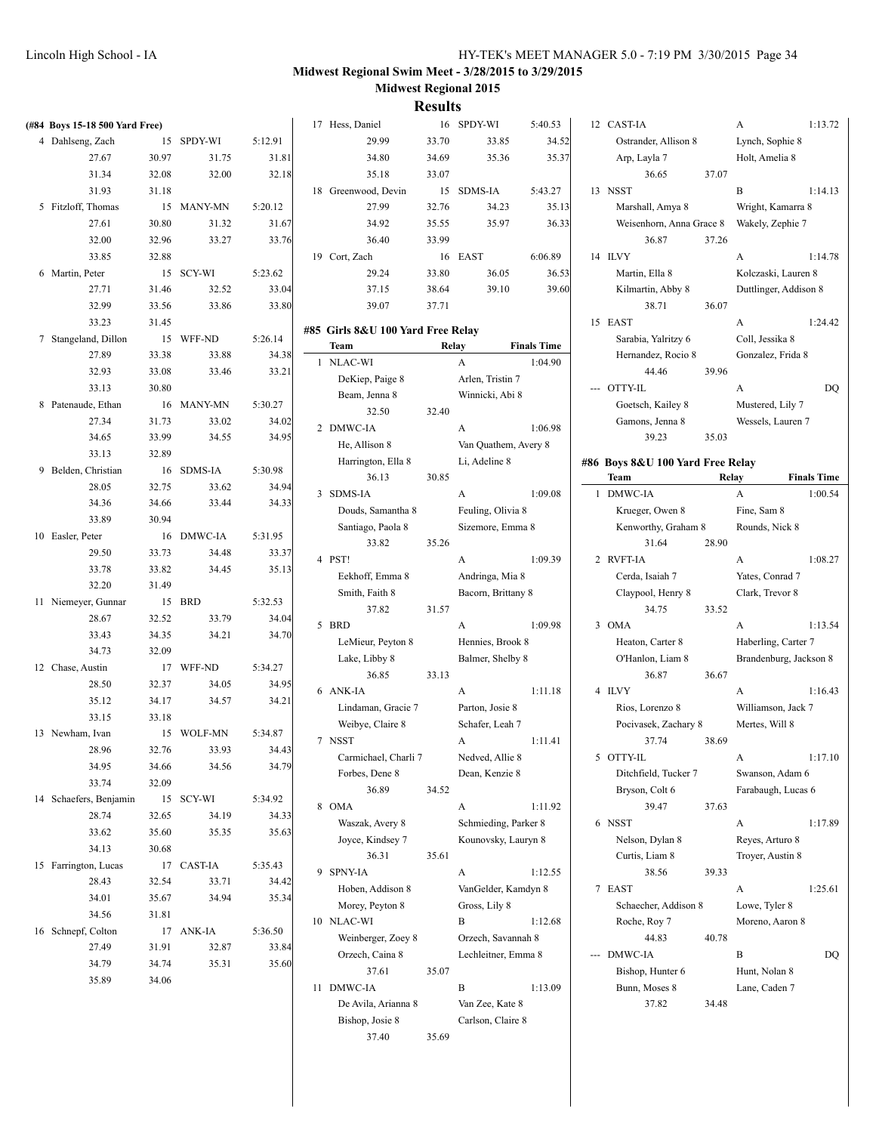**Results**

| (#84 Boys 15-18 500 Yard Free) |       |            |         | 17 Hess, Daniel                     |       | 16 SPDY-WI                           | 5:40.53            |     | 12 CAST-IA                           |       | A                      | 1:13.72            |
|--------------------------------|-------|------------|---------|-------------------------------------|-------|--------------------------------------|--------------------|-----|--------------------------------------|-------|------------------------|--------------------|
| 4 Dahlseng, Zach               |       | 15 SPDY-WI | 5:12.91 | 29.99                               | 33.70 | 33.85                                | 34.52              |     | Ostrander, Allison 8                 |       | Lynch, Sophie 8        |                    |
| 27.67                          | 30.97 | 31.75      | 31.81   | 34.80                               | 34.69 | 35.36                                | 35.37              |     | Arp, Layla 7                         |       | Holt, Amelia 8         |                    |
| 31.34                          | 32.08 | 32.00      | 32.18   | 35.18                               | 33.07 |                                      |                    |     | 36.65                                | 37.07 |                        |                    |
| 31.93                          | 31.18 |            |         | 18 Greenwood, Devin                 |       | 15 SDMS-IA                           | 5:43.27            |     | 13 NSST                              |       | B                      | 1:14.13            |
| 5 Fitzloff, Thomas             |       | 15 MANY-MN | 5:20.12 | 27.99                               | 32.76 | 34.23                                | 35.13              |     | Marshall, Amya 8                     |       | Wright, Kamarra 8      |                    |
| 27.61                          | 30.80 | 31.32      | 31.67   | 34.92                               | 35.55 | 35.97                                | 36.33              |     | Weisenhorn, Anna Grace 8             |       | Wakely, Zephie 7       |                    |
| 32.00                          | 32.96 | 33.27      | 33.76   | 36.40                               | 33.99 |                                      |                    |     | 36.87                                | 37.26 |                        |                    |
| 33.85                          | 32.88 |            |         | 19 Cort, Zach                       |       | 16 EAST                              | 6:06.89            |     | 14 ILVY                              |       | A                      | 1:14.78            |
| 6 Martin, Peter                |       | 15 SCY-WI  | 5:23.62 | 29.24                               | 33.80 | 36.05                                | 36.53              |     | Martin, Ella 8                       |       | Kolczaski, Lauren 8    |                    |
| 27.71                          | 31.46 | 32.52      | 33.04   | 37.15                               | 38.64 | 39.10                                | 39.60              |     | Kilmartin, Abby 8                    |       | Duttlinger, Addison 8  |                    |
| 32.99                          | 33.56 | 33.86      | 33.80   | 39.07                               | 37.71 |                                      |                    |     | 38.71                                | 36.07 |                        |                    |
| 33.23                          | 31.45 |            |         |                                     |       |                                      |                    |     | 15 EAST                              |       | A                      | 1:24.42            |
| 7 Stangeland, Dillon           |       | 15 WFF-ND  | 5:26.14 | #85 Girls 8&U 100 Yard Free Relay   |       |                                      |                    |     | Sarabia, Yalritzy 6                  |       | Coll, Jessika 8        |                    |
| 27.89                          | 33.38 | 33.88      | 34.38   | Team                                |       | Relay                                | <b>Finals Time</b> |     | Hernandez, Rocio 8                   |       | Gonzalez, Frida 8      |                    |
| 32.93                          | 33.08 | 33.46      | 33.21   | 1 NLAC-WI                           |       | A                                    | 1:04.90            |     | 44.46                                | 39.96 |                        |                    |
| 33.13                          | 30.80 |            |         | DeKiep, Paige 8                     |       | Arlen, Tristin 7                     |                    |     | --- OTTY-IL                          |       | A                      | DQ                 |
| 8 Patenaude, Ethan             |       | 16 MANY-MN | 5:30.27 | Beam, Jenna 8                       |       | Winnicki, Abi 8                      |                    |     |                                      |       | Mustered, Lily 7       |                    |
| 27.34                          | 31.73 | 33.02      | 34.02   | 32.50                               | 32.40 |                                      |                    |     | Goetsch, Kailey 8<br>Gamons, Jenna 8 |       |                        |                    |
|                                |       |            |         | 2 DMWC-IA                           |       | A                                    | 1:06.98            |     |                                      |       | Wessels, Lauren 7      |                    |
| 34.65                          | 33.99 | 34.55      | 34.95   | He, Allison 8                       |       | Van Quathem, Avery 8                 |                    |     | 39.23                                | 35.03 |                        |                    |
| 33.13                          | 32.89 |            |         | Harrington, Ella 8                  |       | Li, Adeline 8                        |                    |     | #86 Boys 8&U 100 Yard Free Relay     |       |                        |                    |
| 9 Belden, Christian            |       | 16 SDMS-IA | 5:30.98 | 36.13                               | 30.85 |                                      |                    |     | Team                                 | Relay |                        | <b>Finals Time</b> |
| 28.05                          | 32.75 | 33.62      | 34.94   | 3 SDMS-IA                           |       | A                                    | 1:09.08            |     | 1 DMWC-IA                            |       | $\mathbf{A}$           | 1:00.54            |
| 34.36                          | 34.66 | 33.44      | 34.33   | Douds, Samantha 8                   |       | Feuling, Olivia 8                    |                    |     | Krueger, Owen 8                      |       | Fine, Sam 8            |                    |
| 33.89                          | 30.94 |            |         | Santiago, Paola 8                   |       | Sizemore, Emma 8                     |                    |     | Kenworthy, Graham 8                  |       | Rounds, Nick 8         |                    |
| 10 Easler, Peter               |       | 16 DMWC-IA | 5:31.95 | 33.82                               | 35.26 |                                      |                    |     | 31.64                                | 28.90 |                        |                    |
| 29.50                          | 33.73 | 34.48      | 33.37   | 4 PST!                              |       | A                                    | 1:09.39            |     | 2 RVFT-IA                            |       | A                      | 1:08.27            |
| 33.78                          | 33.82 | 34.45      | 35.13   | Eekhoff, Emma 8                     |       | Andringa, Mia 8                      |                    |     | Cerda, Isaiah 7                      |       | Yates, Conrad 7        |                    |
| 32.20                          | 31.49 |            |         | Smith, Faith 8                      |       | Bacorn, Brittany 8                   |                    |     | Claypool, Henry 8                    |       | Clark, Trevor 8        |                    |
| 11 Niemeyer, Gunnar            |       | 15 BRD     | 5:32.53 | 37.82                               | 31.57 |                                      |                    |     | 34.75                                | 33.52 |                        |                    |
| 28.67                          | 32.52 | 33.79      | 34.04   | 5 BRD                               |       | A                                    | 1:09.98            |     | 3 OMA                                |       | A                      | 1:13.54            |
| 33.43                          | 34.35 | 34.21      | 34.70   | LeMieur, Peyton 8                   |       | Hennies, Brook 8                     |                    |     | Heaton, Carter 8                     |       | Haberling, Carter 7    |                    |
| 34.73                          | 32.09 |            |         | Lake, Libby 8                       |       | Balmer, Shelby 8                     |                    |     | O'Hanlon, Liam 8                     |       | Brandenburg, Jackson 8 |                    |
| 12 Chase, Austin               |       | 17 WFF-ND  | 5:34.27 | 36.85                               | 33.13 |                                      |                    |     | 36.87                                | 36.67 |                        |                    |
| 28.50                          | 32.37 | 34.05      | 34.95   | 6 ANK-IA                            |       | A                                    | 1:11.18            |     | 4 ILVY                               |       | A                      | 1:16.43            |
| 35.12                          | 34.17 | 34.57      | 34.21   | Lindaman, Gracie 7                  |       | Parton, Josie 8                      |                    |     | Rios, Lorenzo 8                      |       | Williamson, Jack 7     |                    |
| 33.15                          | 33.18 |            |         | Weibye, Claire 8                    |       | Schafer, Leah 7                      |                    |     | Pocivasek, Zachary 8                 |       | Mertes, Will 8         |                    |
| 13 Newham, Ivan                |       | 15 WOLF-MN | 5:34.87 | 7 NSST                              |       | A                                    | 1:11.41            |     | 37.74                                | 38.69 |                        |                    |
| 28.96                          | 32.76 | 33.93      | 34.43   | Carmichael, Charli 7                |       | Nedved, Allie 8                      |                    |     | 5 OTTY-IL                            |       | $\mathbf{A}$           | 1:17.10            |
| 34.95                          | 34.66 | 34.56      | 34.79   | Forbes, Dene 8                      |       | Dean, Kenzie 8                       |                    |     | Ditchfield, Tucker 7                 |       | Swanson, Adam 6        |                    |
| 33.74                          | 32.09 |            |         | 36.89                               | 34.52 |                                      |                    |     | Bryson, Colt 6                       |       | Farabaugh, Lucas 6     |                    |
| 14 Schaefers, Benjamin         |       | 15 SCY-WI  | 5:34.92 | 8 OMA                               |       | A                                    | 1:11.92            |     | 39.47                                | 37.63 |                        |                    |
| 28.74                          | 32.65 | 34.19      | 34.33   | Waszak, Avery 8                     |       | Schmieding, Parker 8                 |                    |     | 6 NSST                               |       | A                      | 1:17.89            |
| 33.62                          | 35.60 | 35.35      | 35.63   | Joyce, Kindsey 7                    |       | Kounovsky, Lauryn 8                  |                    |     | Nelson, Dylan 8                      |       | Reyes, Arturo 8        |                    |
| 34.13                          | 30.68 |            |         | 36.31                               | 35.61 |                                      |                    |     | Curtis, Liam 8                       |       | Troyer, Austin 8       |                    |
| 15 Farrington, Lucas           |       | 17 CAST-IA | 5:35.43 | 9 SPNY-IA                           |       | A                                    | 1:12.55            |     | 38.56                                | 39.33 |                        |                    |
| 28.43                          | 32.54 | 33.71      | 34.42   |                                     |       |                                      |                    |     | 7 EAST                               |       |                        | 1:25.61            |
| 34.01                          | 35.67 | 34.94      | 35.34   | Hoben, Addison 8<br>Morey, Peyton 8 |       | VanGelder, Kamdyn 8<br>Gross, Lily 8 |                    |     | Schaecher, Addison 8                 |       | A<br>Lowe, Tyler 8     |                    |
| 34.56                          | 31.81 |            |         |                                     |       |                                      |                    |     |                                      |       |                        |                    |
| 16 Schnepf, Colton             |       | 17 ANK-IA  | 5:36.50 | 10 NLAC-WI                          |       | B                                    | 1:12.68            |     | Roche, Roy 7                         |       | Moreno, Aaron 8        |                    |
| 27.49                          | 31.91 | 32.87      | 33.84   | Weinberger, Zoey 8                  |       | Orzech, Savannah 8                   |                    |     | 44.83                                | 40.78 |                        |                    |
| 34.79                          | 34.74 | 35.31      | 35.60   | Orzech, Caina 8                     |       | Lechleitner, Emma 8                  |                    | --- | DMWC-IA                              |       | B                      | DQ                 |
| 35.89                          | 34.06 |            |         | 37.61                               | 35.07 |                                      |                    |     | Bishop, Hunter 6                     |       | Hunt, Nolan 8          |                    |
|                                |       |            |         | 11 DMWC-IA                          |       | B                                    | 1:13.09            |     | Bunn, Moses 8                        |       | Lane, Caden 7          |                    |
|                                |       |            |         | De Avila, Arianna 8                 |       | Van Zee, Kate 8                      |                    |     | 37.82                                | 34.48 |                        |                    |
|                                |       |            |         | Bishop, Josie 8                     |       | Carlson, Claire 8                    |                    |     |                                      |       |                        |                    |

37.40 35.69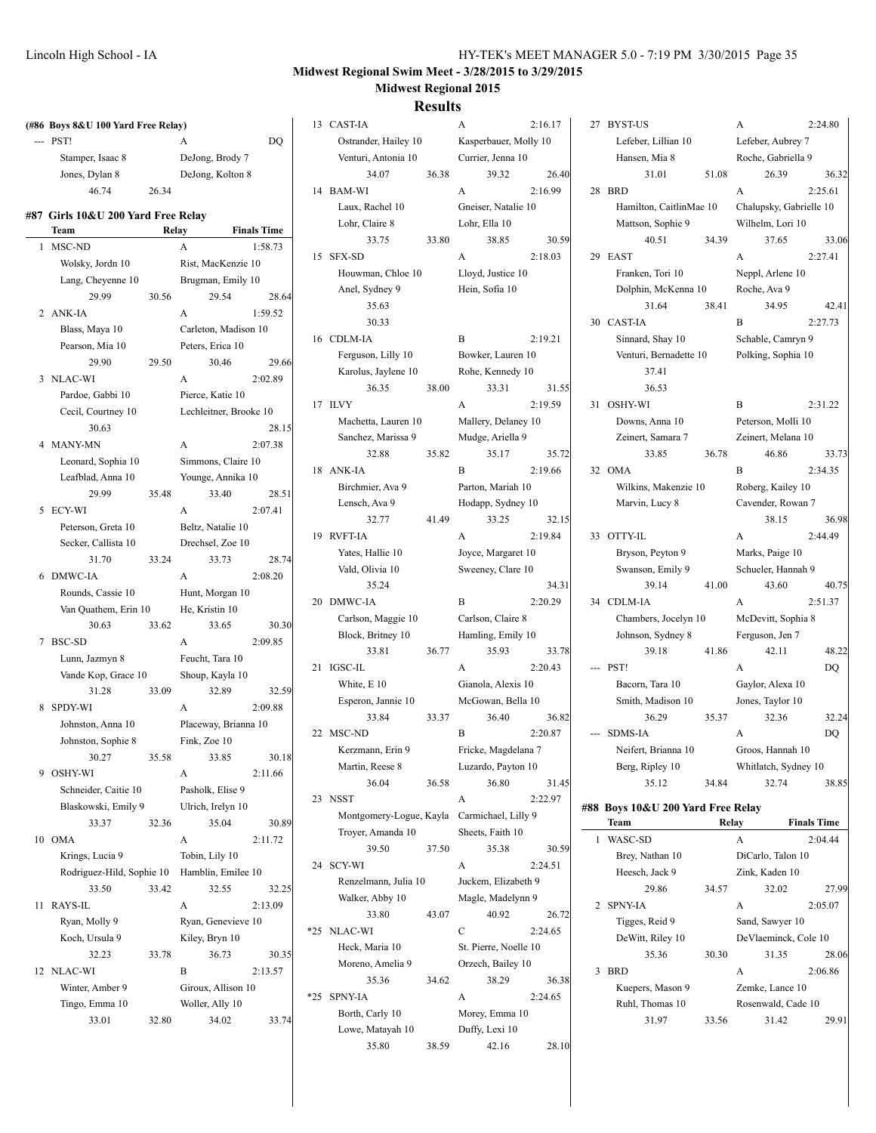36.32  $2:25.61$ 

33.06  $2:27.41$ 

42.41 2:27.73

33.73  $2:34.35$ 

38.15 36.98 2:44.49

40.75  $2:51.37$ 

48.22

32.24

38.85

27.99  $2:05.07$ 

28.06  $2:06.86$ 

29.91

## **Midwest Regional Swim Meet - 3/28/2015 to 3/29/2015 Midwest Regional 2015**

#### **Results**

| (#86 Boys 8&U 100 Yard Free Relay) |       |                        |                    | 13 CAST-IA                                  |       | A                                          | 2:16.17 | 27 BYST-US                                   |       | A                                           | 2:24.80            |
|------------------------------------|-------|------------------------|--------------------|---------------------------------------------|-------|--------------------------------------------|---------|----------------------------------------------|-------|---------------------------------------------|--------------------|
| $--$ PST!                          |       | A                      | DO.                | Ostrander, Hailey 10                        |       | Kasperbauer, Molly 10                      |         | Lefeber, Lillian 10                          |       | Lefeber, Aubrey 7                           |                    |
| Stamper, Isaac 8                   |       | DeJong, Brody 7        |                    | Venturi, Antonia 10                         |       | Currier, Jenna 10                          |         | Hansen, Mia 8                                |       | Roche, Gabriella 9                          |                    |
| Jones, Dylan 8                     |       | DeJong, Kolton 8       |                    | 34.07                                       | 36.38 | 39.32                                      | 26.40   | 31.01                                        | 51.08 | 26.39                                       | 36.3               |
| 46.74                              | 26.34 |                        |                    | 14 BAM-WI                                   |       | A                                          | 2:16.99 | 28 BRD                                       |       | A                                           | 2:25.61            |
| #87 Girls 10&U 200 Yard Free Relay |       |                        |                    | Laux, Rachel 10<br>Lohr, Claire 8           |       | Gneiser, Natalie 10<br>Lohr, Ella 10       |         | Hamilton, CaitlinMae 10<br>Mattson, Sophie 9 |       | Chalupsky, Gabrielle 10<br>Wilhelm, Lori 10 |                    |
| Team                               |       | Relay                  | <b>Finals Time</b> | 33.75                                       | 33.80 | 38.85                                      | 30.59   | 40.51                                        | 34.39 | 37.65                                       | 33.0               |
| 1 MSC-ND                           |       | $\mathbf{A}$           | 1:58.73            | 15 SFX-SD                                   |       | A                                          | 2:18.03 | 29 EAST                                      |       | $\mathbf{A}$                                | 2:27.41            |
| Wolsky, Jordn 10                   |       | Rist, MacKenzie 10     |                    | Houwman, Chloe 10                           |       | Lloyd, Justice 10                          |         | Franken, Tori 10                             |       | Neppl, Arlene 10                            |                    |
| Lang, Cheyenne 10                  |       | Brugman, Emily 10      |                    | Anel, Sydney 9                              |       | Hein, Sofia 10                             |         | Dolphin, McKenna 10                          |       | Roche, Ava 9                                |                    |
| 29.99                              | 30.56 | 29.54                  | 28.64              | 35.63                                       |       |                                            |         | 31.64                                        | 38.41 | 34.95                                       | 42.4               |
| 2 ANK-IA                           |       | A                      | 1:59.52            | 30.33                                       |       |                                            |         | 30 CAST-IA                                   |       | B                                           | 2:27.73            |
| Blass, Maya 10                     |       | Carleton, Madison 10   |                    | 16 CDLM-IA                                  |       | B                                          | 2:19.21 | Sinnard, Shay 10                             |       | Schable, Camryn 9                           |                    |
| Pearson, Mia 10                    |       | Peters, Erica 10       |                    | Ferguson, Lilly 10                          |       | Bowker, Lauren 10                          |         | Venturi, Bernadette 10                       |       | Polking, Sophia 10                          |                    |
| 29.90                              | 29.50 | 30.46                  | 29.66              | Karolus, Jaylene 10                         |       | Rohe, Kennedy 10                           |         | 37.41                                        |       |                                             |                    |
| 3 NLAC-WI                          |       | A                      | 2:02.89            | 36.35                                       | 38.00 | 33.31                                      | 31.55   | 36.53                                        |       |                                             |                    |
| Pardoe, Gabbi 10                   |       | Pierce, Katie 10       |                    | 17 ILVY                                     |       | $\mathbf{A}$                               | 2:19.59 | 31 OSHY-WI                                   |       | B                                           | 2:31.22            |
| Cecil, Courtney 10                 |       | Lechleitner, Brooke 10 |                    | Machetta, Lauren 10                         |       | Mallery, Delaney 10                        |         | Downs, Anna 10                               |       | Peterson, Molli 10                          |                    |
| 30.63                              |       |                        | 28.15              | Sanchez, Marissa 9                          |       | Mudge, Ariella 9                           |         | Zeinert, Samara 7                            |       | Zeinert, Melana 10                          |                    |
| 4 MANY-MN                          |       | A                      | 2:07.38            | 32.88                                       | 35.82 | 35.17                                      | 35.72   | 33.85                                        | 36.78 | 46.86                                       | 33.7               |
| Leonard, Sophia 10                 |       | Simmons, Claire 10     |                    | 18 ANK-IA                                   |       | B                                          | 2:19.66 | 32 OMA                                       |       | $\mathbf B$                                 | 2:34.35            |
| Leafblad, Anna 10                  |       | Younge, Annika 10      |                    | Birchmier, Ava 9                            |       | Parton, Mariah 10                          |         | Wilkins, Makenzie 10                         |       | Roberg, Kailey 10                           |                    |
| 29.99                              | 35.48 | 33.40                  | 28.51              | Lensch, Ava 9                               |       | Hodapp, Sydney 10                          |         | Marvin, Lucy 8                               |       | Cavender, Rowan 7                           |                    |
| 5 ECY-WI                           |       | A                      | 2:07.41            | 32.77                                       | 41.49 | 33.25                                      | 32.15   |                                              |       | 38.15                                       | 36.9               |
| Peterson, Greta 10                 |       | Beltz, Natalie 10      |                    | 19 RVFT-IA                                  |       | A                                          | 2:19.84 | 33 OTTY-IL                                   |       | A                                           | 2:44.49            |
| Secker, Callista 10                |       | Drechsel, Zoe 10       |                    | Yates, Hallie 10                            |       | Joyce, Margaret 10                         |         | Bryson, Peyton 9                             |       | Marks, Paige 10                             |                    |
| 31.70                              | 33.24 | 33.73                  | 28.74              | Vald, Olivia 10                             |       | Sweeney, Clare 10                          |         | Swanson, Emily 9                             |       | Schueler, Hannah 9                          |                    |
| 6 DMWC-IA                          |       | A                      | 2:08.20            | 35.24                                       |       |                                            | 34.31   | 39.14                                        | 41.00 | 43.60                                       | 40.7               |
| Rounds, Cassie 10                  |       | Hunt, Morgan 10        |                    | 20 DMWC-IA                                  |       | B                                          | 2:20.29 | 34 CDLM-IA                                   |       | A                                           | 2:51.37            |
| Van Quathem, Erin 10               |       | He, Kristin 10         |                    | Carlson, Maggie 10                          |       | Carlson, Claire 8                          |         | Chambers, Jocelyn 10                         |       | McDevitt, Sophia 8                          |                    |
| 30.63                              | 33.62 | 33.65                  | 30.30              | Block, Britney 10                           |       | Hamling, Emily 10                          |         | Johnson, Sydney 8                            |       | Ferguson, Jen 7                             |                    |
| 7 BSC-SD                           |       | A                      | 2:09.85            | 33.81                                       | 36.77 | 35.93                                      | 33.78   | 39.18                                        | 41.86 | 42.11                                       | 48.2               |
| Lunn, Jazmyn 8                     |       | Feucht, Tara 10        |                    | 21 IGSC-IL                                  |       | A                                          | 2:20.43 | --- PST!                                     |       | A                                           | DQ                 |
| Vande Kop, Grace 10                |       | Shoup, Kayla 10        |                    | White, E 10                                 |       | Gianola, Alexis 10                         |         | Bacorn, Tara 10                              |       | Gaylor, Alexa 10                            |                    |
| 31.28                              | 33.09 | 32.89                  | 32.59              | Esperon, Jannie 10                          |       | McGowan, Bella 10                          |         | Smith, Madison 10                            |       | Jones, Taylor 10                            |                    |
| 8 SPDY-WI                          |       | A                      | 2:09.88            | 33.84                                       | 33.37 | 36.40                                      | 36.82   | 36.29                                        | 35.37 | 32.36                                       | 32.2               |
| Johnston, Anna 10                  |       | Placeway, Brianna 10   |                    | 22 MSC-ND                                   |       | B                                          | 2:20.87 | --- SDMS-IA                                  |       | A                                           | <b>DQ</b>          |
| Johnston, Sophie 8                 |       | Fink, Zoe 10           |                    | Kerzmann, Erin 9                            |       | Fricke, Magdelana 7                        |         | Neifert, Brianna 10                          |       | Groos, Hannah 10                            |                    |
| 30.27                              | 35.58 | 33.85                  | 30.18              | Martin, Reese 8                             |       | Luzardo, Payton 10                         |         | Berg, Ripley 10                              |       | Whitlatch, Sydney 10                        |                    |
| 9 OSHY-WI                          |       | A                      | 2:11.66            | 36.04                                       | 36.58 | 36.80                                      | 31.45   | 35.12                                        | 34.84 | 32.74                                       | 38.8               |
| Schneider, Caitie 10               |       | Pasholk, Elise 9       |                    | 23 NSST                                     |       | A                                          | 2:22.97 |                                              |       |                                             |                    |
| Blaskowski, Emily 9                |       | Ulrich, Irelyn 10      |                    | Montgomery-Logue, Kayla Carmichael, Lilly 9 |       |                                            |         | #88 Boys 10&U 200 Yard Free Relay            |       |                                             |                    |
| 33.37                              | 32.36 | 35.04                  | 30.89              | Troyer, Amanda 10                           |       | Sheets, Faith 10                           |         | Team                                         |       | Relay                                       | <b>Finals Time</b> |
| 10 OMA                             |       | A                      | 2:11.72            | 39.50                                       | 37.50 | 35.38                                      | 30.59   | 1 WASC-SD                                    |       | A                                           | 2:04.44            |
| Krings, Lucia 9                    |       | Tobin, Lily 10         |                    | 24 SCY-WI                                   |       | A                                          | 2:24.51 | Brey, Nathan 10                              |       | DiCarlo, Talon 10                           |                    |
| Rodriguez-Hild, Sophie 10          |       | Hamblin, Emilee 10     |                    | Renzelmann, Julia 10                        |       | Juckem, Elizabeth 9                        |         | Heesch, Jack 9                               |       | Zink, Kaden 10                              |                    |
| 33.50                              | 33.42 | 32.55                  | 32.25              | Walker, Abby 10                             |       | Magle, Madelynn 9                          |         | 29.86                                        | 34.57 | 32.02                                       | 27.9               |
| 11 RAYS-IL                         |       | A                      | 2:13.09            | 33.80                                       | 43.07 | 40.92                                      | 26.72   | 2 SPNY-IA                                    |       | A                                           | 2:05.07            |
| Ryan, Molly 9                      |       | Ryan, Genevieve 10     |                    | *25 NLAC-WI                                 |       | С                                          | 2:24.65 | Tigges, Reid 9                               |       | Sand, Sawyer 10                             |                    |
| Koch, Ursula 9                     |       | Kiley, Bryn 10         |                    |                                             |       |                                            |         | DeWitt, Riley 10                             |       | DeVlaeminck, Cole 10                        |                    |
| 32.23                              | 33.78 | 36.73                  | 30.35              | Heck, Maria 10                              |       | St. Pierre, Noelle 10<br>Orzech, Bailey 10 |         | 35.36                                        | 30.30 | 31.35                                       | 28.0               |
| 12 NLAC-WI                         |       | B                      | 2:13.57            | Moreno, Amelia 9                            |       |                                            |         | 3 BRD                                        |       | A                                           | 2:06.86            |
| Winter, Amber 9                    |       | Giroux, Allison 10     |                    | 35.36<br>*25 SPNY-IA                        | 34.62 | 38.29                                      | 36.38   | Kuepers, Mason 9                             |       | Zemke, Lance 10                             |                    |
| Tingo, Emma 10                     |       | Woller, Ally 10        |                    |                                             |       | A                                          | 2:24.65 | Ruhl, Thomas 10                              |       | Rosenwald, Cade 10                          |                    |
| 33.01                              | 32.80 | 34.02                  | 33.74              | Borth, Carly 10                             |       | Morey, Emma 10                             |         | 31.97                                        | 33.56 | 31.42                                       | 29.9               |
|                                    |       |                        |                    | Lowe, Matayah 10                            |       | Duffy, Lexi 10                             |         |                                              |       |                                             |                    |

35.80 38.59 42.16 28.10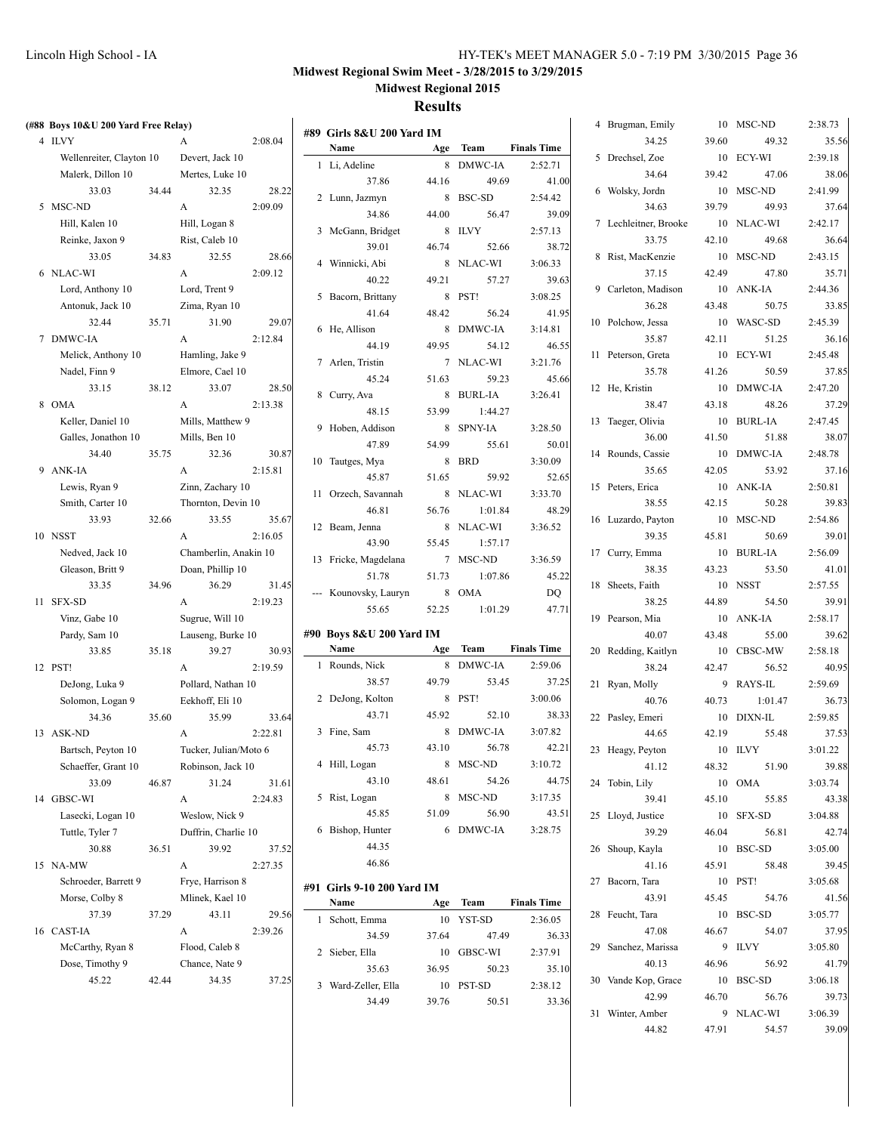### **Results**

| (#88 Boys 10&U 200 Yard Free Relay) |       |                       |         |                                   |       |            |                    | 4 Brugman, Emily      |       | 10 MSC-ND  | 2:38.73 |
|-------------------------------------|-------|-----------------------|---------|-----------------------------------|-------|------------|--------------------|-----------------------|-------|------------|---------|
| 4 ILVY                              |       | A                     | 2:08.04 | #89 Girls 8&U 200 Yard IM<br>Name |       | Team       | <b>Finals Time</b> | 34.25                 | 39.60 | 49.32      | 35.56   |
| Wellenreiter, Clayton 10            |       | Devert, Jack 10       |         |                                   | Age   | 8 DMWC-IA  |                    | 5 Drechsel, Zoe       |       | 10 ECY-WI  | 2:39.18 |
| Malerk, Dillon 10                   |       | Mertes, Luke 10       |         | 1 Li, Adeline                     |       |            | 2:52.71            | 34.64                 | 39.42 | 47.06      | 38.06   |
| 33.03                               | 34.44 | 32.35                 | 28.22   | 37.86                             | 44.16 | 49.69      | 41.00              | 6 Wolsky, Jordn       |       | 10 MSC-ND  | 2:41.99 |
| 5 MSC-ND                            |       | A                     | 2:09.09 | 2 Lunn, Jazmyn                    |       | 8 BSC-SD   | 2:54.42            | 34.63                 | 39.79 | 49.93      | 37.64   |
| Hill, Kalen 10                      |       | Hill, Logan 8         |         | 34.86                             | 44.00 | 56.47      | 39.09              | 7 Lechleitner, Brooke |       | 10 NLAC-WI | 2:42.17 |
| Reinke, Jaxon 9                     |       | Rist, Caleb 10        |         | 3 McGann, Bridget                 |       | 8 ILVY     | 2:57.13            | 33.75                 | 42.10 | 49.68      | 36.64   |
| 33.05                               | 34.83 | 32.55                 | 28.66   | 39.01                             | 46.74 | 52.66      | 38.72              | 8 Rist, MacKenzie     |       | 10 MSC-ND  | 2:43.15 |
| 6 NLAC-WI                           |       | A                     | 2:09.12 | 4 Winnicki, Abi                   |       | 8 NLAC-WI  | 3:06.33            | 37.15                 | 42.49 | 47.80      | 35.71   |
| Lord, Anthony 10                    |       | Lord, Trent 9         |         | 40.22                             | 49.21 | 57.27      | 39.63              | 9 Carleton, Madison   |       | 10 ANK-IA  | 2:44.36 |
| Antonuk, Jack 10                    |       | Zima, Ryan 10         |         | 5 Bacorn, Brittany                |       | 8 PST!     | 3:08.25            | 36.28                 | 43.48 | 50.75      | 33.85   |
| 32.44                               | 35.71 | 31.90                 | 29.07   | 41.64                             | 48.42 | 56.24      | 41.95              | 10 Polchow, Jessa     | 10    | WASC-SD    | 2:45.39 |
| 7 DMWC-IA                           |       | A                     | 2:12.84 | 6 He, Allison                     |       | 8 DMWC-IA  | 3:14.81            | 35.87                 | 42.11 | 51.25      | 36.16   |
| Melick, Anthony 10                  |       | Hamling, Jake 9       |         | 44.19                             | 49.95 | 54.12      | 46.55              | 11 Peterson, Greta    |       | 10 ECY-WI  | 2:45.48 |
| Nadel, Finn 9                       |       | Elmore, Cael 10       |         | 7 Arlen, Tristin                  |       | 7 NLAC-WI  | 3:21.76            | 35.78                 | 41.26 | 50.59      | 37.85   |
| 33.15                               | 38.12 | 33.07                 | 28.50   | 45.24                             | 51.63 | 59.23      | 45.66              | 12 He, Kristin        |       | 10 DMWC-IA | 2:47.20 |
| 8 OMA                               |       | A                     | 2:13.38 | 8 Curry, Ava                      |       | 8 BURL-IA  | 3:26.41            | 38.47                 | 43.18 | 48.26      | 37.29   |
| Keller, Daniel 10                   |       | Mills, Matthew 9      |         | 48.15                             | 53.99 | 1:44.27    |                    | 13 Taeger, Olivia     |       | 10 BURL-IA | 2:47.45 |
|                                     |       |                       |         | 9 Hoben, Addison                  |       | 8 SPNY-IA  | 3:28.50            | 36.00                 | 41.50 |            | 38.07   |
| Galles, Jonathon 10                 |       | Mills, Ben 10         |         | 47.89                             | 54.99 | 55.61      | 50.01              |                       |       | 51.88      |         |
| 34.40                               | 35.75 | 32.36                 | 30.87   | 10 Tautges, Mya                   |       | 8 BRD      | 3:30.09            | 14 Rounds, Cassie     |       | 10 DMWC-IA | 2:48.78 |
| 9 ANK-IA                            |       | A                     | 2:15.81 | 45.87                             | 51.65 | 59.92      | 52.65              | 35.65                 | 42.05 | 53.92      | 37.16   |
| Lewis, Ryan 9                       |       | Zinn, Zachary 10      |         | 11 Orzech, Savannah               |       | 8 NLAC-WI  | 3:33.70            | 15 Peters, Erica      |       | 10 ANK-IA  | 2:50.81 |
| Smith, Carter 10                    |       | Thornton, Devin 10    |         | 46.81                             | 56.76 | 1:01.84    | 48.29              | 38.55                 | 42.15 | 50.28      | 39.83   |
| 33.93                               | 32.66 | 33.55                 | 35.67   | 12 Beam, Jenna                    |       | 8 NLAC-WI  | 3:36.52            | 16 Luzardo, Payton    |       | 10 MSC-ND  | 2:54.86 |
| 10 NSST                             |       | A                     | 2:16.05 | 43.90                             | 55.45 | 1:57.17    |                    | 39.35                 | 45.81 | 50.69      | 39.01   |
| Nedved, Jack 10                     |       | Chamberlin, Anakin 10 |         | 13 Fricke, Magdelana              |       | 7 MSC-ND   | 3:36.59            | 17 Curry, Emma        |       | 10 BURL-IA | 2:56.09 |
| Gleason, Britt 9                    |       | Doan, Phillip 10      |         | 51.78                             | 51.73 | 1:07.86    | 45.22              | 38.35                 | 43.23 | 53.50      | 41.01   |
| 33.35                               | 34.96 | 36.29                 | 31.45   | --- Kounovsky, Lauryn             |       | 8 OMA      | DQ                 | 18 Sheets, Faith      |       | 10 NSST    | 2:57.55 |
| 11 SFX-SD                           |       | A                     | 2:19.23 | 55.65                             | 52.25 | 1:01.29    | 47.71              | 38.25                 | 44.89 | 54.50      | 39.91   |
| Vinz, Gabe 10                       |       | Sugrue, Will 10       |         |                                   |       |            |                    | 19 Pearson, Mia       |       | 10 ANK-IA  | 2:58.17 |
| Pardy, Sam 10                       |       | Lauseng, Burke 10     |         | #90 Boys 8&U 200 Yard IM          |       |            |                    | 40.07                 | 43.48 | 55.00      | 39.62   |
| 33.85                               | 35.18 | 39.27                 | 30.93   | Name                              |       | Age Team   | <b>Finals Time</b> | 20 Redding, Kaitlyn   |       | 10 CBSC-MW | 2:58.18 |
| 12 PST!                             |       | A                     | 2:19.59 | 1 Rounds, Nick                    |       | 8 DMWC-IA  | 2:59.06            | 38.24                 | 42.47 | 56.52      | 40.95   |
| DeJong, Luka 9                      |       | Pollard, Nathan 10    |         | 38.57                             | 49.79 | 53.45      | 37.25              | 21 Ryan, Molly        |       | 9 RAYS-IL  | 2:59.69 |
| Solomon, Logan 9                    |       | Eekhoff, Eli 10       |         | 2 DeJong, Kolton                  |       | 8 PST!     | 3:00.06            | 40.76                 | 40.73 | 1:01.47    | 36.73   |
| 34.36                               | 35.60 | 35.99                 | 33.64   | 43.71                             | 45.92 | 52.10      | 38.33              | 22 Pasley, Emeri      |       | 10 DIXN-IL | 2:59.85 |
| 13 ASK-ND                           |       | $\mathbf{A}$          | 2:22.81 | 3 Fine, Sam                       |       | 8 DMWC-IA  | 3:07.82            | 44.65                 | 42.19 | 55.48      | 37.53   |
| Bartsch, Peyton 10                  |       | Tucker, Julian/Moto 6 |         | 45.73                             | 43.10 | 56.78      | 42.21              | 23 Heagy, Peyton      |       | 10 ILVY    | 3:01.22 |
| Schaeffer, Grant 10                 |       | Robinson, Jack 10     |         | 4 Hill, Logan                     |       | 8 MSC-ND   | 3:10.72            | 41.12                 | 48.32 | 51.90      | 39.88   |
| 33.09                               | 46.87 | 31.24                 | 31.61   | 43.10                             | 48.61 | 54.26      | 44.75              | 24 Tobin, Lily        |       | 10 OMA     | 3:03.74 |
| 14 GBSC-WI                          |       | A                     | 2:24.83 | 5 Rist, Logan                     |       | 8 MSC-ND   | 3:17.35            | 39.41                 | 45.10 | 55.85      | 43.38   |
| Lasecki, Logan 10                   |       | Weslow, Nick 9        |         | 45.85                             | 51.09 | 56.90      | 43.51              | 25 Lloyd, Justice     |       | 10 SFX-SD  | 3:04.88 |
| Tuttle, Tyler 7                     |       | Duffrin, Charlie 10   |         | 6 Bishop, Hunter                  |       | 6 DMWC-IA  | 3:28.75            | 39.29                 | 46.04 | 56.81      | 42.74   |
| 30.88                               | 36.51 | 39.92                 | 37.52   | 44.35                             |       |            |                    | 26 Shoup, Kayla       |       | 10 BSC-SD  | 3:05.00 |
| 15 NA-MW                            |       | A                     | 2:27.35 | 46.86                             |       |            |                    | 41.16                 | 45.91 | 58.48      | 39.45   |
| Schroeder, Barrett 9                |       | Frye, Harrison 8      |         |                                   |       |            |                    | 27 Bacorn, Tara       |       | 10 PST!    | 3:05.68 |
| Morse, Colby 8                      |       | Mlinek, Kael 10       |         | #91 Girls 9-10 200 Yard IM        |       |            | <b>Finals Time</b> | 43.91                 | 45.45 | 54.76      | 41.56   |
| 37.39                               | 37.29 | 43.11                 | 29.56   | Name                              |       | Age Team   |                    | 28 Feucht, Tara       |       | 10 BSC-SD  | 3:05.77 |
| 16 CAST-IA                          |       | A                     | 2:39.26 | 1 Schott, Emma                    |       | 10 YST-SD  | 2:36.05            | 47.08                 | 46.67 | 54.07      | 37.95   |
| McCarthy, Ryan 8                    |       | Flood, Caleb 8        |         | 34.59                             | 37.64 | 47.49      | 36.33              | 29 Sanchez, Marissa   |       | 9 ILVY     | 3:05.80 |
| Dose, Timothy 9                     |       | Chance, Nate 9        |         | 2 Sieber, Ella                    |       | 10 GBSC-WI | 2:37.91            | 40.13                 | 46.96 | 56.92      | 41.79   |
| 45.22                               | 42.44 | 34.35                 | 37.25   | 35.63                             | 36.95 | 50.23      | 35.10              | 30 Vande Kop, Grace   |       | 10 BSC-SD  | 3:06.18 |
|                                     |       |                       |         | 3 Ward-Zeller, Ella               |       | 10 PST-SD  | 2:38.12            | 42.99                 | 46.70 | 56.76      | 39.73   |
|                                     |       |                       |         | 34.49                             | 39.76 | 50.51      | 33.36              |                       |       |            |         |

31 Winter, Amber 9 NLAC-WI 3:06.39

44.82 47.91 54.57 39.09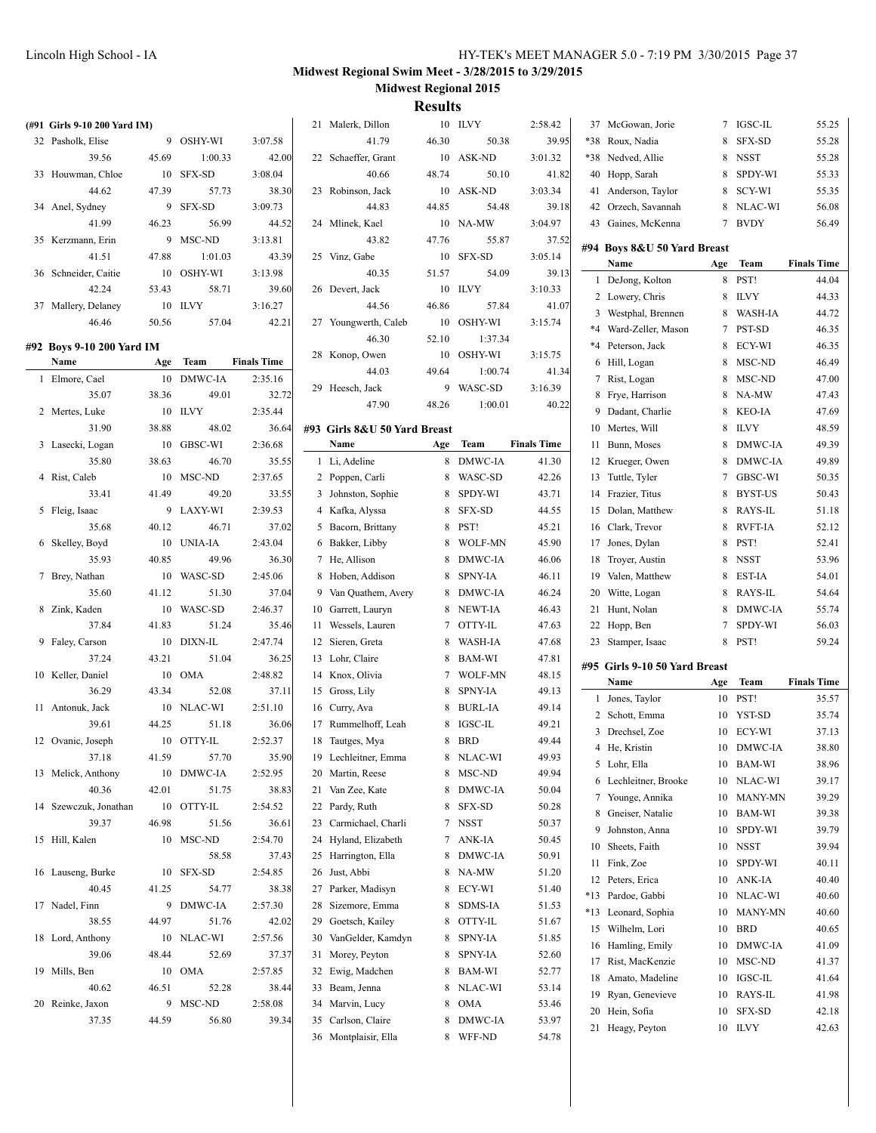| (#91 Girls 9-10 200 Yard IM) |       |            |                    | 21 Malerk, Dillon            |       | 10 ILVY    | 2:58.42            | 37 McGowan, Jorie             |     | 7 IGSC-IL      | 55.25              |
|------------------------------|-------|------------|--------------------|------------------------------|-------|------------|--------------------|-------------------------------|-----|----------------|--------------------|
| 32 Pasholk, Elise            |       | 9 OSHY-WI  | 3:07.58            | 41.79                        | 46.30 | 50.38      | 39.95              | *38 Roux, Nadia               | 8   | SFX-SD         | 55.28              |
| 39.56                        | 45.69 | 1:00.33    | 42.00              | 22 Schaeffer, Grant          |       | 10 ASK-ND  | 3:01.32            | *38 Nedved, Allie             | 8   | NSST           | 55.28              |
| 33 Houwman, Chloe            |       | 10 SFX-SD  | 3:08.04            | 40.66                        | 48.74 | 50.10      | 41.82              | 40 Hopp, Sarah                | 8   | SPDY-WI        | 55.33              |
| 44.62                        | 47.39 | 57.73      | 38.30              | 23 Robinson, Jack            |       | 10 ASK-ND  | 3:03.34            | 41 Anderson, Taylor           | 8   | SCY-WI         | 55.35              |
| 34 Anel, Sydney              | 9     | SFX-SD     | 3:09.73            | 44.83                        | 44.85 | 54.48      | 39.18              | 42 Orzech, Savannah           | 8   | NLAC-WI        | 56.08              |
| 41.99                        | 46.23 | 56.99      | 44.52              | 24 Mlinek, Kael              |       | 10 NA-MW   | 3:04.97            | 43 Gaines, McKenna            |     | 7 BVDY         | 56.49              |
| 35 Kerzmann, Erin            |       | 9 MSC-ND   | 3:13.81            | 43.82                        | 47.76 | 55.87      | 37.52              |                               |     |                |                    |
| 41.51                        | 47.88 | 1:01.03    | 43.39              | 25 Vinz, Gabe                |       | 10 SFX-SD  | 3:05.14            | #94 Boys 8&U 50 Yard Breast   |     |                |                    |
| 36 Schneider, Caitie         |       | 10 OSHY-WI | 3:13.98            | 40.35                        | 51.57 | 54.09      | 39.13              | Name                          | Age | Team           | <b>Finals Time</b> |
| 42.24                        | 53.43 | 58.71      | 39.60              | 26 Devert, Jack              |       | 10 ILVY    | 3:10.33            | 1 DeJong, Kolton              |     | 8 PST!         | 44.04              |
| 37 Mallery, Delaney          |       | 10 ILVY    | 3:16.27            | 44.56                        | 46.86 | 57.84      | 41.07              | 2 Lowery, Chris               |     | 8 ILVY         | 44.33              |
| 46.46                        | 50.56 | 57.04      | 42.21              | 27 Youngwerth, Caleb         |       | 10 OSHY-WI | 3:15.74            | 3 Westphal, Brennen           | 8   | WASH-IA        | 44.72              |
|                              |       |            |                    | 46.30                        | 52.10 | 1:37.34    |                    | *4 Ward-Zeller, Mason         |     | 7 PST-SD       | 46.35              |
| #92 Boys 9-10 200 Yard IM    |       |            |                    | 28 Konop, Owen               |       | 10 OSHY-WI | 3:15.75            | *4 Peterson, Jack             | 8   | ECY-WI         | 46.35              |
| Name                         | Age   | Team       | <b>Finals Time</b> | 44.03                        | 49.64 | 1:00.74    | 41.34              | 6 Hill, Logan                 | 8   | MSC-ND         | 46.49              |
| 1 Elmore, Cael               |       | 10 DMWC-IA | 2:35.16            | 29 Heesch, Jack              |       | 9 WASC-SD  | 3:16.39            | 7 Rist, Logan                 | 8   | MSC-ND         | 47.00              |
| 35.07                        | 38.36 | 49.01      | 32.72              | 47.90                        | 48.26 | 1:00.01    | 40.22              | 8 Frye, Harrison              | 8   | NA-MW          | 47.43              |
| 2 Mertes, Luke               |       | 10 ILVY    | 2:35.44            |                              |       |            |                    | 9 Dadant, Charlie             |     | 8 KEO-IA       | 47.69              |
| 31.90                        | 38.88 | 48.02      | 36.64              | #93 Girls 8&U 50 Yard Breast |       |            |                    | 10 Mertes, Will               |     | 8 ILVY         | 48.59              |
| 3 Lasecki, Logan             |       | 10 GBSC-WI | 2:36.68            | Name                         | Age   | Team       | <b>Finals Time</b> | 11 Bunn, Moses                | 8   | DMWC-IA        | 49.39              |
| 35.80                        | 38.63 | 46.70      | 35.55              | 1 Li, Adeline                |       | 8 DMWC-IA  | 41.30              | 12 Krueger, Owen              | 8   | DMWC-IA        | 49.89              |
| 4 Rist, Caleb                |       | 10 MSC-ND  | 2:37.65            | 2 Poppen, Carli              |       | 8 WASC-SD  | 42.26              | 13 Tuttle, Tyler              |     | 7 GBSC-WI      | 50.35              |
| 33.41                        | 41.49 | 49.20      | 33.55              | 3 Johnston, Sophie           |       | 8 SPDY-WI  | 43.71              | 14 Frazier, Titus             | 8   | BYST-US        | 50.43              |
| 5 Fleig, Isaac               |       | 9 LAXY-WI  | 2:39.53            | 4 Kafka, Alyssa              |       | 8 SFX-SD   | 44.55              | 15 Dolan, Matthew             | 8   | RAYS-IL        | 51.18              |
| 35.68                        | 40.12 | 46.71      | 37.02              | 5 Bacorn, Brittany           |       | 8 PST!     | 45.21              | 16 Clark, Trevor              | 8   | <b>RVFT-IA</b> | 52.12              |
| 6 Skelley, Boyd              |       | 10 UNIA-IA | 2:43.04            | 6 Bakker, Libby              |       | 8 WOLF-MN  | 45.90              | 17 Jones, Dylan               | 8   | PST!           | 52.41              |
| 35.93                        | 40.85 | 49.96      | 36.30              | 7 He, Allison                |       | 8 DMWC-IA  | 46.06              | 18 Troyer, Austin             | 8   | NSST           | 53.96              |
| 7 Brey, Nathan               |       | 10 WASC-SD | 2:45.06            | 8 Hoben, Addison             |       | 8 SPNY-IA  | 46.11              | 19 Valen, Matthew             | 8   | EST-IA         | 54.01              |
| 35.60                        | 41.12 | 51.30      | 37.04              | 9 Van Quathem, Avery         |       | 8 DMWC-IA  | 46.24              | 20 Witte, Logan               | 8   | RAYS-IL        | 54.64              |
| 8 Zink, Kaden                |       | 10 WASC-SD | 2:46.37            | 10 Garrett, Lauryn           |       | 8 NEWT-IA  | 46.43              | 21 Hunt, Nolan                | 8   | DMWC-IA        | 55.74              |
| 37.84                        | 41.83 | 51.24      | 35.46              | 11 Wessels, Lauren           |       | 7 OTTY-IL  | 47.63              | 22 Hopp, Ben                  |     | 7 SPDY-WI      | 56.03              |
| 9 Faley, Carson              |       | 10 DIXN-IL | 2:47.74            | 12 Sieren, Greta             |       | 8 WASH-IA  | 47.68              | 23 Stamper, Isaac             |     | 8 PST!         | 59.24              |
| 37.24                        | 43.21 | 51.04      | 36.25              | 13 Lohr, Claire              |       | 8 BAM-WI   | 47.81              |                               |     |                |                    |
| 10 Keller, Daniel            | 10    | OMA        | 2:48.82            | 14 Knox, Olivia              |       | 7 WOLF-MN  | 48.15              | #95 Girls 9-10 50 Yard Breast |     |                |                    |
| 36.29                        |       |            |                    |                              |       |            |                    | Name                          | Age | Team           | <b>Finals Time</b> |
|                              |       |            |                    |                              |       |            |                    |                               |     |                | 35.57              |
|                              | 43.34 | 52.08      | 37.11              | 15 Gross, Lily               | 8     | SPNY-IA    | 49.13              | 1 Jones, Taylor               |     | 10 PST!        |                    |
| 11 Antonuk, Jack             |       | 10 NLAC-WI | 2:51.10            | 16 Curry, Ava                |       | 8 BURL-IA  | 49.14              | 2 Schott, Emma                | 10  | YST-SD         | 35.74              |
| 39.61                        | 44.25 | 51.18      | 36.06              | 17 Rummelhoff, Leah          |       | 8 IGSC-IL  | 49.21              | 3 Drechsel, Zoe               | 10  | ECY-WI         | 37.13              |
| 12 Ovanic, Joseph            |       | 10 OTTY-IL | 2:52.37            | 18 Tautges, Mya              |       | 8 BRD      | 49.44              | 4 He, Kristin                 |     | 10 DMWC-IA     | 38.80              |
| 37.18                        | 41.59 | 57.70      | 35.90              | 19 Lechleitner, Emma         |       | 8 NLAC-WI  | 49.93              | 5 Lohr, Ella                  |     | 10 BAM-WI      | 38.96              |
| 13 Melick, Anthony           |       | 10 DMWC-IA | 2:52.95            | 20 Martin, Reese             |       | 8 MSC-ND   | 49.94              | 6 Lechleitner, Brooke         |     | 10 NLAC-WI     | 39.17              |
| 40.36                        | 42.01 | 51.75      | 38.83              | 21 Van Zee, Kate             |       | 8 DMWC-IA  | 50.04              | 7 Younge, Annika              |     | 10 MANY-MN     | 39.29              |
| 14 Szewczuk, Jonathan        |       | 10 OTTY-IL | 2:54.52            | 22 Pardy, Ruth               |       | 8 SFX-SD   | 50.28              | 8 Gneiser, Natalie            | 10  | BAM-WI         | 39.38              |
| 39.37                        | 46.98 | 51.56      | 36.61              | 23 Carmichael, Charli        |       | 7 NSST     | 50.37              | 9 Johnston, Anna              | 10  | SPDY-WI        | 39.79              |
| 15 Hill, Kalen               |       | 10 MSC-ND  | 2:54.70            | 24 Hyland, Elizabeth         |       | 7 ANK-IA   | 50.45              | 10 Sheets, Faith              | 10  | NSST           | 39.94              |
|                              |       | 58.58      | 37.43              | 25 Harrington, Ella          |       | 8 DMWC-IA  | 50.91              | 11 Fink, Zoe                  | 10  | SPDY-WI        | 40.11              |
| 16 Lauseng, Burke            |       | 10 SFX-SD  | 2:54.85            | 26 Just, Abbi                |       | 8 NA-MW    | 51.20              | 12 Peters, Erica              | 10  | ANK-IA         | 40.40              |
| 40.45                        | 41.25 | 54.77      | 38.38              | 27 Parker, Madisyn           |       | 8 ECY-WI   | 51.40              | *13 Pardoe, Gabbi             | 10  | NLAC-WI        | 40.60              |
| 17 Nadel, Finn               |       | 9 DMWC-IA  | 2:57.30            | 28 Sizemore, Emma            | 8     | SDMS-IA    | 51.53              | *13 Leonard, Sophia           | 10  | MANY-MN        | 40.60              |
| 38.55                        | 44.97 | 51.76      | 42.02              | 29 Goetsch, Kailey           | 8     | OTTY-IL    | 51.67              | 15 Wilhelm, Lori              | 10  | <b>BRD</b>     | 40.65              |
| 18 Lord, Anthony             |       | 10 NLAC-WI | 2:57.56            | 30 VanGelder, Kamdyn         | 8     | SPNY-IA    | 51.85              | 16 Hamling, Emily             | 10  | DMWC-IA        | 41.09              |
| 39.06                        | 48.44 | 52.69      | 37.37              | 31 Morey, Peyton             | 8     | SPNY-IA    | 52.60              | 17 Rist, MacKenzie            | 10  | MSC-ND         | 41.37              |
| 19 Mills, Ben                |       | 10 OMA     | 2:57.85            | 32 Ewig, Madchen             | 8     | BAM-WI     | 52.77              | 18 Amato, Madeline            |     | 10 IGSC-IL     | 41.64              |
| 40.62                        | 46.51 | 52.28      | 38.44              | 33 Beam, Jenna               |       | 8 NLAC-WI  | 53.14              | 19 Ryan, Genevieve            |     | 10 RAYS-IL     | 41.98              |
| 20 Reinke, Jaxon             |       | 9 MSC-ND   | 2:58.08            | 34 Marvin, Lucy              |       | 8 OMA      | 53.46              | 20 Hein, Sofia                | 10  | SFX-SD         | 42.18              |
| 37.35                        | 44.59 | 56.80      | 39.34              | 35 Carlson, Claire           |       | 8 DMWC-IA  | 53.97              |                               |     | 10 ILVY        | 42.63              |
|                              |       |            |                    | 36 Montplaisir, Ella         |       | 8 WFF-ND   | 54.78              | 21 Heagy, Peyton              |     |                |                    |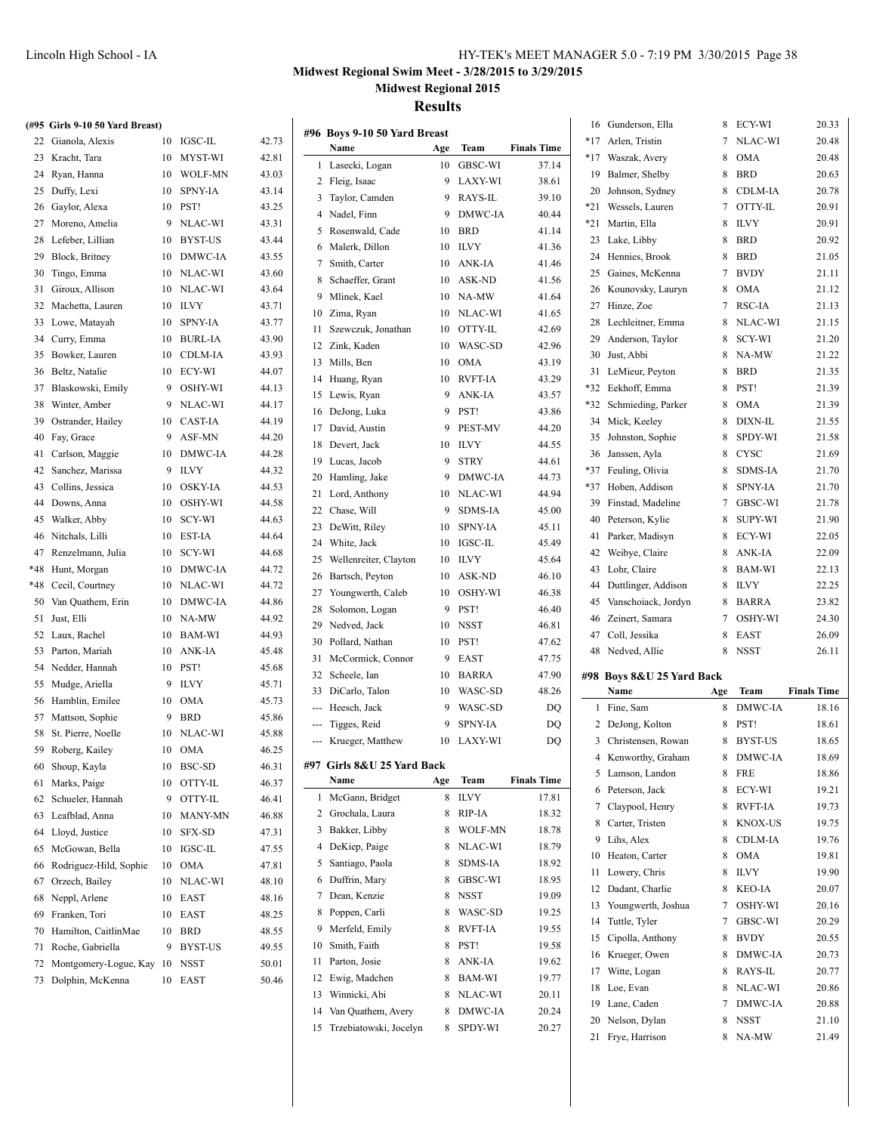### **Midwest Regional Swim Meet - 3/28/2015 to 3/29/2015**

**Midwest Regional 2015**

**Results**

|     | #96 Boys 9-10 50 Yard Breast                    |        |                    |                    |     | 16 Gunderson, Ella                 | 8   | ECY-WI                 | 20.33                                                                                                                                                                                                  |
|-----|-------------------------------------------------|--------|--------------------|--------------------|-----|------------------------------------|-----|------------------------|--------------------------------------------------------------------------------------------------------------------------------------------------------------------------------------------------------|
|     | Name                                            | Age    | Team               | <b>Finals Time</b> |     | *17 Arlen, Tristin                 | 7   | NLAC-WI                | 20.48                                                                                                                                                                                                  |
|     | 1 Lasecki, Logan                                | 10     | <b>GBSC-WI</b>     | 37.14              | *17 | Waszak, Avery                      | 8   | <b>OMA</b>             | 20.48                                                                                                                                                                                                  |
|     | 2 Fleig, Isaac                                  | 9      | <b>LAXY-WI</b>     | 38.61              | 19  | Balmer, Shelby                     | 8   | <b>BRD</b>             | 20.63                                                                                                                                                                                                  |
| 3   | Taylor, Camden                                  | 9      | RAYS-IL            | 39.10              | 20  | Johnson, Sydney                    | 8   | CDLM-IA                | 20.78                                                                                                                                                                                                  |
| 4   | Nadel, Finn                                     | 9      | DMWC-IA            | 40.44              |     | *21 Wessels, Lauren                | 7   | OTTY-IL                | 20.91                                                                                                                                                                                                  |
|     |                                                 |        | <b>BRD</b>         |                    | *21 | Martin, Ella                       | 8   | <b>ILVY</b>            | 20.91                                                                                                                                                                                                  |
| 5   | Rosenwald, Cade                                 | 10     |                    | 41.14              |     | 23 Lake, Libby                     | 8   | <b>BRD</b>             | 20.92                                                                                                                                                                                                  |
| 6   | Malerk, Dillon                                  | 10     | <b>ILVY</b>        | 41.36              |     | 24 Hennies, Brook                  | 8   | <b>BRD</b>             | 21.05                                                                                                                                                                                                  |
| 7   | Smith, Carter                                   | 10     | ANK-IA             | 41.46              | 25  | Gaines, McKenna                    | 7   | <b>BVDY</b>            | 21.11                                                                                                                                                                                                  |
| 8   | Schaeffer, Grant                                | 10     | <b>ASK-ND</b>      | 41.56              |     | 26 Kounovsky, Lauryn               | 8   | <b>OMA</b>             | 21.12                                                                                                                                                                                                  |
| 9   | Mlinek, Kael                                    | 10     | NA-MW              | 41.64              | 27  | Hinze, Zoe                         | 7   | RSC-IA                 | 21.13                                                                                                                                                                                                  |
| 10  | Zima, Ryan                                      | 10     | NLAC-WI            | 41.65              | 28  | Lechleitner, Emma                  | 8   | NLAC-WI                | 21.15                                                                                                                                                                                                  |
| 11  | Szewczuk, Jonathan                              | 10     | OTTY-IL            | 42.69              | 29  | Anderson, Taylor                   | 8   | SCY-WI                 | 21.20                                                                                                                                                                                                  |
| 12  | Zink, Kaden                                     | 10     | WASC-SD            | 42.96              | 30  |                                    | 8   |                        | 21.22                                                                                                                                                                                                  |
| 13  | Mills, Ben                                      | 10     | <b>OMA</b>         | 43.19              |     | Just, Abbi                         |     | NA-MW                  |                                                                                                                                                                                                        |
| 14  | Huang, Ryan                                     | 10     | <b>RVFT-IA</b>     | 43.29              |     | 31 LeMieur, Peyton                 | 8   | <b>BRD</b>             | 21.35                                                                                                                                                                                                  |
| 15  | Lewis, Ryan                                     | 9      | ANK-IA             | 43.57              |     | *32 Eekhoff, Emma                  | 8   | PST!                   | 21.39                                                                                                                                                                                                  |
| 16  | DeJong, Luka                                    | 9      | PST!               | 43.86              | *32 | Schmieding, Parker                 | 8   | <b>OMA</b>             | 21.39                                                                                                                                                                                                  |
| 17  | David, Austin                                   | 9      | <b>PEST-MV</b>     | 44.20              | 34  | Mick, Keeley                       | 8   | DIXN-IL                | 21.55                                                                                                                                                                                                  |
| 18  | Devert, Jack                                    | 10     | <b>ILVY</b>        | 44.55              |     | 35 Johnston, Sophie                | 8   | SPDY-WI                | 21.58                                                                                                                                                                                                  |
| 19  | Lucas, Jacob                                    | 9      | <b>STRY</b>        | 44.61              |     | 36 Janssen, Ayla                   | 8   | <b>CYSC</b>            | 21.69                                                                                                                                                                                                  |
| 20  | Hamling, Jake                                   | 9      | DMWC-IA            | 44.73              |     | *37 Feuling, Olivia                | 8   | <b>SDMS-IA</b>         | 21.70                                                                                                                                                                                                  |
| 21  | Lord, Anthony                                   | 10     | NLAC-WI            | 44.94              |     | *37 Hoben, Addison                 | 8   | <b>SPNY-IA</b>         | 21.70                                                                                                                                                                                                  |
| 22  | Chase, Will                                     | 9      | <b>SDMS-IA</b>     | 45.00              | 39  | Finstad, Madeline                  | 7   | GBSC-WI                | 21.78                                                                                                                                                                                                  |
|     | DeWitt, Riley                                   | 10     | <b>SPNY-IA</b>     |                    |     | 40 Peterson, Kylie                 | 8   | <b>SUPY-WI</b>         | 21.90                                                                                                                                                                                                  |
| 23  |                                                 |        |                    | 45.11              | 41  | Parker, Madisyn                    | 8   | ECY-WI                 | 22.05                                                                                                                                                                                                  |
| 24  | White, Jack                                     | 10     | IGSC-IL            | 45.49              | 42  | Weibye, Claire                     | 8   | ANK-IA                 | 22.09                                                                                                                                                                                                  |
| 25  | Wellenreiter, Clayton                           | 10     | <b>ILVY</b>        | 45.64              |     | 43 Lohr, Claire                    | 8   | <b>BAM-WI</b>          | 22.13                                                                                                                                                                                                  |
| 26  | Bartsch, Peyton                                 | 10     | ASK-ND             | 46.10              | 44  | Duttlinger, Addison                | 8   | <b>ILVY</b>            | 22.25                                                                                                                                                                                                  |
| 27  | Youngwerth, Caleb                               | 10     | OSHY-WI            | 46.38              | 45  | Vanschoiack, Jordyn                | 8   | <b>BARRA</b>           | 23.82                                                                                                                                                                                                  |
| 28  | Solomon, Logan                                  | 9      | PST!               | 46.40              | 46  | Zeinert, Samara                    | 7   | OSHY-WI                | 24.30                                                                                                                                                                                                  |
| 29  | Nedved, Jack                                    | 10     | <b>NSST</b>        | 46.81              | 47  | Coll, Jessika                      | 8   | EAST                   | 26.09                                                                                                                                                                                                  |
|     |                                                 |        |                    |                    |     |                                    |     |                        |                                                                                                                                                                                                        |
| 30  | Pollard, Nathan                                 | 10     | PST!               | 47.62              |     |                                    |     |                        |                                                                                                                                                                                                        |
| 31  | McCormick, Connor                               | 9      | <b>EAST</b>        | 47.75              |     | 48 Nedved, Allie                   | 8   | <b>NSST</b>            | 26.11                                                                                                                                                                                                  |
| 32  | Scheele, Ian                                    | 10     | <b>BARRA</b>       | 47.90              |     | #98 Boys 8&U 25 Yard Back          |     |                        |                                                                                                                                                                                                        |
| 33  | DiCarlo, Talon                                  | 10     | WASC-SD            | 48.26              |     | Name                               | Age | Team                   |                                                                                                                                                                                                        |
|     | Heesch, Jack                                    | 9      | WASC-SD            | DQ                 |     | 1 Fine, Sam                        | 8   | DMWC-IA                |                                                                                                                                                                                                        |
|     | Tigges, Reid                                    | 9      | <b>SPNY-IA</b>     | DQ                 |     | 2 DeJong, Kolton                   | 8   | PST!                   |                                                                                                                                                                                                        |
| --- | Krueger, Matthew                                | 10     | <b>LAXY-WI</b>     | DQ                 |     | 3 Christensen, Rowan               | 8   | <b>BYST-US</b>         |                                                                                                                                                                                                        |
|     |                                                 |        |                    |                    |     | 4 Kenworthy, Graham                | 8   | DMWC-IA                |                                                                                                                                                                                                        |
|     | #97 Girls 8&U 25 Yard Back                      |        |                    |                    |     |                                    |     | 8 FRE                  |                                                                                                                                                                                                        |
|     | Name                                            | Age    | Team               | <b>Finals Time</b> |     | 5 Lamson, Landon                   |     |                        |                                                                                                                                                                                                        |
|     | 1 McGann, Bridget                               | 8      | <b>ILVY</b>        | 17.81              |     | 6 Peterson, Jack                   | 8   | ECY-WI                 |                                                                                                                                                                                                        |
| 2   | Grochala, Laura                                 | 8      | RIP-IA             | 18.32              |     | 7 Claypool, Henry                  | 8   | <b>RVFT-IA</b>         |                                                                                                                                                                                                        |
| 3   | Bakker, Libby                                   | 8      | WOLF-MN            | 18.78              | 8   | Carter, Tristen                    | 8   | KNOX-US                |                                                                                                                                                                                                        |
| 4   | DeKiep, Paige                                   | 8      | NLAC-WI            | 18.79              |     | 9 Lihs, Alex                       | 8   | CDLM-IA                |                                                                                                                                                                                                        |
| 5   | Santiago, Paola                                 | 8      | SDMS-IA            | 18.92              |     | 10 Heaton, Carter                  | 8   | <b>OMA</b>             |                                                                                                                                                                                                        |
| 6   | Duffrin, Mary                                   | 8      | GBSC-WI            | 18.95              | 11  | Lowery, Chris                      | 8   | <b>ILVY</b>            |                                                                                                                                                                                                        |
| 7   | Dean, Kenzie                                    | 8      | NSST               | 19.09              | 12  | Dadant, Charlie                    | 8   | KEO-IA                 |                                                                                                                                                                                                        |
| 8   | Poppen, Carli                                   | 8      | WASC-SD            | 19.25              | 13  | Youngwerth, Joshua                 | 7   | OSHY-WI                |                                                                                                                                                                                                        |
| 9   |                                                 | 8      |                    |                    | 14  | Tuttle, Tyler                      | 7   | GBSC-WI                |                                                                                                                                                                                                        |
|     | Merfeld, Emily                                  |        | RVFT-IA            | 19.55              | 15  | Cipolla, Anthony                   | 8   | <b>BVDY</b>            |                                                                                                                                                                                                        |
| 10  | Smith, Faith                                    | 8      | PST!               | 19.58              |     | 16 Krueger, Owen                   | 8   | DMWC-IA                |                                                                                                                                                                                                        |
| 11  | Parton, Josie                                   | 8      | ANK-IA             | 19.62              |     | 17 Witte, Logan                    | 8   | RAYS-IL                |                                                                                                                                                                                                        |
| 12  | Ewig, Madchen                                   | 8      | BAM-WI             | 19.77              |     | 18 Loe, Evan                       | 8   | NLAC-WI                |                                                                                                                                                                                                        |
| 13  | Winnicki, Abi                                   | 8      | NLAC-WI            | 20.11              |     |                                    | 7   |                        |                                                                                                                                                                                                        |
| 14  | Van Quathem, Avery<br>15 Trzebiatowski, Jocelyn | 8<br>8 | DMWC-IA<br>SPDY-WI | 20.24<br>20.27     |     | 19 Lane, Caden<br>20 Nelson, Dylan | 8   | DMWC-IA<br><b>NSST</b> | <b>Finals Time</b><br>18.16<br>18.61<br>18.65<br>18.69<br>18.86<br>19.21<br>19.73<br>19.75<br>19.76<br>19.81<br>19.90<br>20.07<br>20.16<br>20.29<br>20.55<br>20.73<br>20.77<br>20.86<br>20.88<br>21.10 |

# **(#95 Girls 9-10 50 Yard Breast)**

| 22  | Gianola, Alexis        | 10 | <b>IGSC-IL</b> | 42.73 |
|-----|------------------------|----|----------------|-------|
| 23  | Kracht, Tara           | 10 | MYST-WI        | 42.81 |
| 24  | Ryan, Hanna            | 10 | <b>WOLF-MN</b> | 43.03 |
| 25  | Duffy, Lexi            | 10 | <b>SPNY-IA</b> | 43.14 |
| 26  | Gaylor, Alexa          | 10 | PST!           | 43.25 |
| 27  | Moreno, Amelia         | 9  | NLAC-WI        | 43.31 |
| 28  | Lefeber, Lillian       | 10 | <b>BYST-US</b> | 43.44 |
| 29  | Block, Britney         | 10 | DMWC-IA        | 43.55 |
| 30  | Tingo, Emma            | 10 | NLAC-WI        | 43.60 |
| 31  | Giroux, Allison        | 10 | NLAC-WI        | 43.64 |
| 32  | Machetta, Lauren       | 10 | <b>ILVY</b>    | 43.71 |
| 33  | Lowe, Matayah          | 10 | <b>SPNY-IA</b> | 43.77 |
| 34  | Curry, Emma            | 10 | <b>BURL-IA</b> | 43.90 |
| 35  | Bowker, Lauren         | 10 | CDLM-IA        | 43.93 |
| 36  | Beltz, Natalie         | 10 | ECY-WI         | 44.07 |
| 37  | Blaskowski, Emily      | 9  | OSHY-WI        | 44.13 |
| 38  | Winter, Amber          | 9  | NLAC-WI        | 44.17 |
| 39  | Ostrander, Hailey      | 10 | CAST-IA        | 44.19 |
| 40  | Fay, Grace             | 9  | ASF-MN         | 44.20 |
| 41  | Carlson, Maggie        | 10 | DMWC-IA        | 44.28 |
| 42  | Sanchez, Marissa       | 9  | <b>ILVY</b>    | 44.32 |
| 43  | Collins, Jessica       | 10 | OSKY-IA        | 44.53 |
| 44  | Downs, Anna            | 10 | OSHY-WI        | 44.58 |
| 45  | Walker, Abby           | 10 | SCY-WI         | 44.63 |
| 46  | Nitchals, Lilli        | 10 | EST-IA         | 44.64 |
| 47  | Renzelmann, Julia      | 10 | SCY-WI         | 44.68 |
| *48 | Hunt, Morgan           | 10 | DMWC-IA        | 44.72 |
| *48 | Cecil, Courtney        | 10 | NLAC-WI        | 44.72 |
| 50  | Van Quathem, Erin      | 10 | DMWC-IA        | 44.86 |
| 51  | Just, Elli             | 10 | NA-MW          | 44.92 |
| 52  | Laux, Rachel           | 10 | <b>BAM-WI</b>  | 44.93 |
| 53  | Parton, Mariah         | 10 | ANK-IA         | 45.48 |
| 54  | Nedder, Hannah         | 10 | PST!           | 45.68 |
| 55  | Mudge, Ariella         | 9  | <b>ILVY</b>    | 45.71 |
| 56  | Hamblin, Emilee        | 10 | <b>OMA</b>     | 45.73 |
| 57  | Mattson, Sophie        | 9  | BRD            | 45.86 |
| 58  | St. Pierre, Noelle     | 10 | NLAC-WI        | 45.88 |
| 59  | Roberg, Kailey         | 10 | <b>OMA</b>     | 46.25 |
| 60  | Shoup, Kayla           | 10 | BSC-SD         | 46.31 |
| 61  | Marks, Paige           | 10 | OTTY-IL        | 46.37 |
| 62  | Schueler, Hannah       | 9  | OTTY-IL        | 46.41 |
| 63  | Leafblad, Anna         | 10 | MANY-MN        | 46.88 |
| 64  | Lloyd, Justice         | 10 | <b>SFX-SD</b>  | 47.31 |
| 65  | McGowan, Bella         | 10 | <b>IGSC-IL</b> | 47.55 |
| 66  | Rodriguez-Hild, Sophie | 10 | <b>OMA</b>     | 47.81 |
| 67  | Orzech, Bailey         | 10 | NLAC-WI        | 48.10 |
| 68  | Neppl, Arlene          | 10 | EAST           | 48.16 |
| 69  | Franken, Tori          | 10 | <b>EAST</b>    | 48.25 |
| 70  | Hamilton, CaitlinMae   | 10 | <b>BRD</b>     | 48.55 |
| 71  | Roche, Gabriella       | 9  | <b>BYST-US</b> | 49.55 |
| 72  | Montgomery-Logue, Kay  | 10 | NSST           | 50.01 |
| 73  | Dolphin, McKenna       | 10 | EAST           | 50.46 |
|     |                        |    |                |       |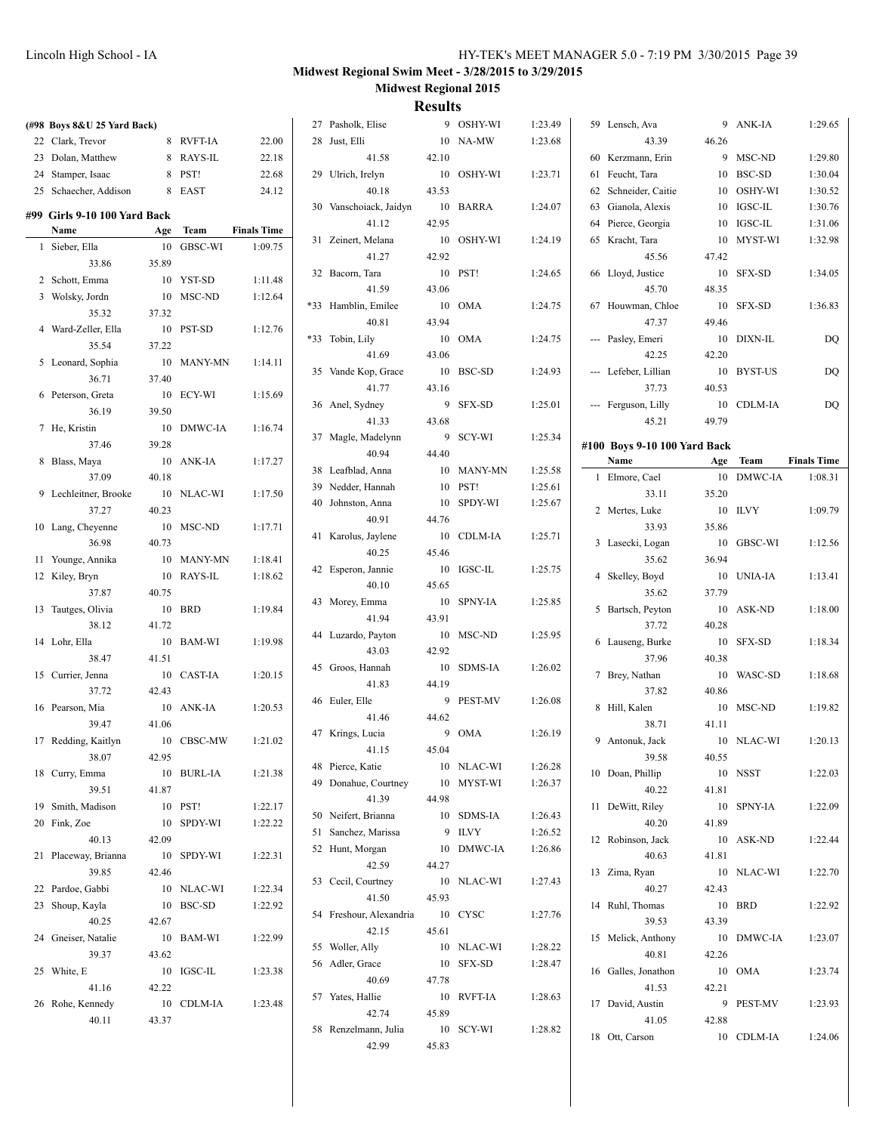| (#98 Boys 8&U 25 Yard Back)    |       |            |                    | 27 Pasholk, Elise             |       | 9 OSHY-WI  | 1:23.49 | 59 Lensch, Ava               |       | 9 ANK-IA               | 1:29.65            |
|--------------------------------|-------|------------|--------------------|-------------------------------|-------|------------|---------|------------------------------|-------|------------------------|--------------------|
| 22 Clark, Trevor               |       | 8 RVFT-IA  | 22.00              | 28 Just, Elli                 |       | 10 NA-MW   | 1:23.68 | 43.39                        | 46.26 |                        |                    |
| 23 Dolan, Matthew              |       | 8 RAYS-IL  | 22.18              | 41.58                         | 42.10 |            |         | 60 Kerzmann, Erin            |       | 9 MSC-ND               | 1:29.80            |
| 24 Stamper, Isaac              |       | 8 PST!     | 22.68              | 29 Ulrich, Irelyn             |       | 10 OSHY-WI | 1:23.71 | 61 Feucht, Tara              |       | 10 BSC-SD              | 1:30.04            |
| 25 Schaecher, Addison          |       | 8 EAST     | 24.12              | 40.18                         | 43.53 |            |         | 62 Schneider, Caitie         |       | 10 OSHY-WI             | 1:30.52            |
|                                |       |            |                    | 30 Vanschoiack, Jaidyn        |       | 10 BARRA   | 1:24.07 | 63 Gianola, Alexis           |       | 10 IGSC-IL             | 1:30.76            |
| #99  Girls 9-10 100 Yard Back  |       |            |                    | 41.12                         | 42.95 |            |         | 64 Pierce, Georgia           |       | 10 IGSC-IL             | 1:31.06            |
| Name                           |       | Age Team   | <b>Finals Time</b> | 31 Zeinert, Melana            |       | 10 OSHY-WI | 1:24.19 | 65 Kracht, Tara              |       | 10 MYST-WI             | 1:32.98            |
| 1 Sieber, Ella                 |       | 10 GBSC-WI | 1:09.75            | 41.27                         | 42.92 |            |         | 45.56                        | 47.42 |                        |                    |
| 33.86                          | 35.89 |            |                    | 32 Bacorn, Tara               |       | 10 PST!    | 1:24.65 | 66 Lloyd, Justice            |       | 10 SFX-SD              | 1:34.05            |
| 2 Schott, Emma                 |       | 10 YST-SD  | 1:11.48            | 41.59                         | 43.06 |            |         | 45.70                        | 48.35 |                        |                    |
| 3 Wolsky, Jordn                |       | 10 MSC-ND  | 1:12.64            | *33 Hamblin, Emilee           |       | 10 OMA     | 1:24.75 | 67 Houwman, Chloe            |       | 10 SFX-SD              | 1:36.83            |
| 35.32                          | 37.32 |            |                    | 40.81                         | 43.94 |            |         | 47.37                        | 49.46 |                        |                    |
| 4 Ward-Zeller, Ella            |       | 10 PST-SD  | 1:12.76            | *33 Tobin, Lily               |       | 10 OMA     | 1:24.75 | --- Pasley, Emeri            |       | 10 DIXN-IL             | DQ                 |
| 35.54                          | 37.22 |            |                    | 41.69                         | 43.06 |            |         | 42.25                        | 42.20 |                        |                    |
| 5 Leonard, Sophia              |       | 10 MANY-MN | 1:14.11            | 35 Vande Kop, Grace           |       | 10 BSC-SD  | 1:24.93 | --- Lefeber, Lillian         |       | 10 BYST-US             | DQ                 |
| 36.71                          | 37.40 |            |                    | 41.77                         | 43.16 |            |         | 37.73                        | 40.53 |                        |                    |
| 6 Peterson, Greta              |       | 10 ECY-WI  | 1:15.69            | 36 Anel, Sydney               |       | 9 SFX-SD   | 1:25.01 | --- Ferguson, Lilly          |       | 10 CDLM-IA             | DQ                 |
| 36.19                          | 39.50 |            |                    | 41.33                         | 43.68 |            |         | 45.21                        | 49.79 |                        |                    |
| 7 He, Kristin                  |       | 10 DMWC-IA | 1:16.74            | 37 Magle, Madelynn            |       | 9 SCY-WI   | 1:25.34 |                              |       |                        |                    |
| 37.46                          | 39.28 |            |                    | 40.94                         | 44.40 |            |         | #100 Boys 9-10 100 Yard Back |       |                        | <b>Finals Time</b> |
| 8 Blass, Maya                  |       | 10 ANK-IA  | 1:17.27            | 38 Leafblad, Anna             |       | 10 MANY-MN | 1:25.58 | Name                         |       | Age Team<br>10 DMWC-IA |                    |
| 37.09<br>9 Lechleitner, Brooke | 40.18 | 10 NLAC-WI | 1:17.50            | 39 Nedder, Hannah             |       | 10 PST!    | 1:25.61 | 1 Elmore, Cael<br>33.11      | 35.20 |                        | 1:08.31            |
| 37.27                          |       |            |                    | 40 Johnston, Anna             |       | 10 SPDY-WI | 1:25.67 |                              |       |                        |                    |
|                                | 40.23 | 10 MSC-ND  | 1:17.71            | 40.91                         | 44.76 |            |         | 2 Mertes, Luke<br>33.93      | 35.86 | 10 ILVY                | 1:09.79            |
| 10 Lang, Cheyenne<br>36.98     | 40.73 |            |                    | 41 Karolus, Jaylene           |       | 10 CDLM-IA | 1:25.71 | 3 Lasecki, Logan             |       | 10 GBSC-WI             | 1:12.56            |
| 11 Younge, Annika              |       | 10 MANY-MN | 1:18.41            | 40.25                         | 45.46 |            |         | 35.62                        | 36.94 |                        |                    |
| 12 Kiley, Bryn                 |       | 10 RAYS-IL | 1:18.62            | 42 Esperon, Jannie            |       | 10 IGSC-IL | 1:25.75 | 4 Skelley, Boyd              |       | 10 UNIA-IA             | 1:13.41            |
| 37.87                          | 40.75 |            |                    | 40.10                         | 45.65 |            |         | 35.62                        | 37.79 |                        |                    |
| 13 Tautges, Olivia             |       | 10 BRD     | 1:19.84            | 43 Morey, Emma                |       | 10 SPNY-IA | 1:25.85 | 5 Bartsch, Peyton            |       | 10 ASK-ND              | 1:18.00            |
| 38.12                          | 41.72 |            |                    | 41.94                         | 43.91 |            |         | 37.72                        | 40.28 |                        |                    |
| 14 Lohr, Ella                  |       | 10 BAM-WI  | 1:19.98            | 44 Luzardo, Payton            |       | 10 MSC-ND  | 1:25.95 | 6 Lauseng, Burke             |       | 10 SFX-SD              | 1:18.34            |
| 38.47                          | 41.51 |            |                    | 43.03                         | 42.92 |            |         | 37.96                        | 40.38 |                        |                    |
| 15 Currier, Jenna              |       | 10 CAST-IA | 1:20.15            | 45 Groos, Hannah              |       | 10 SDMS-IA | 1:26.02 | 7 Brey, Nathan               |       | 10 WASC-SD             | 1:18.68            |
| 37.72                          | 42.43 |            |                    | 41.83                         | 44.19 |            |         | 37.82                        | 40.86 |                        |                    |
| 16 Pearson, Mia                |       | 10 ANK-IA  | 1:20.53            | 46 Euler, Elle                |       | 9 PEST-MV  | 1:26.08 | 8 Hill, Kalen                |       | 10 MSC-ND              | 1:19.82            |
| 39.47                          | 41.06 |            |                    | 41.46                         | 44.62 |            |         | 38.71                        | 41.11 |                        |                    |
| 17 Redding, Kaitlyn            |       | 10 CBSC-MW | 1:21.02            | 47 Krings, Lucia              |       | 9 OMA      | 1:26.19 | 9 Antonuk, Jack              |       | 10 NLAC-WI             | 1:20.13            |
| 38.07                          | 42.95 |            |                    | 41.15                         | 45.04 |            |         | 39.58                        | 40.55 |                        |                    |
| 18 Curry, Emma                 |       | 10 BURL-IA | 1:21.38            | 48 Pierce, Katie              |       | 10 NLAC-WI | 1:26.28 | 10 Doan, Phillip             |       | 10 NSST                | 1:22.03            |
| 39.51                          | 41.87 |            |                    | 49 Donahue, Courtney          |       | 10 MYST-WI | 1:26.37 | 40.22                        | 41.81 |                        |                    |
| 19 Smith, Madison              |       | 10 PST!    | 1:22.17            | 41.39                         | 44.98 |            |         | 11 DeWitt, Riley             |       | 10 SPNY-IA             | 1:22.09            |
| 20 Fink, Zoe                   |       | 10 SPDY-WI | 1:22.22            | 50 Neifert, Brianna           |       | 10 SDMS-IA | 1:26.43 | 40.20                        | 41.89 |                        |                    |
| 40.13                          | 42.09 |            |                    | 51 Sanchez, Marissa           |       | 9 ILVY     | 1:26.52 | 12 Robinson, Jack            |       | 10 ASK-ND              | 1:22.44            |
| 21 Placeway, Brianna           |       | 10 SPDY-WI | 1:22.31            | 52 Hunt, Morgan               |       | 10 DMWC-IA | 1:26.86 | 40.63                        | 41.81 |                        |                    |
| 39.85                          | 42.46 |            |                    | 42.59                         | 44.27 |            |         | 13 Zima, Ryan                |       | 10 NLAC-WI             | 1:22.70            |
| 22 Pardoe, Gabbi               |       | 10 NLAC-WI | 1:22.34            | 53 Cecil, Courtney            |       | 10 NLAC-WI | 1:27.43 | 40.27                        | 42.43 |                        |                    |
| 23 Shoup, Kayla                |       | 10 BSC-SD  | 1:22.92            | 41.50                         | 45.93 |            |         | 14 Ruhl, Thomas              |       | 10 BRD                 | 1:22.92            |
| 40.25                          | 42.67 |            |                    | 54 Freshour, Alexandria       |       | 10 CYSC    | 1:27.76 | 39.53                        | 43.39 |                        |                    |
| 24 Gneiser, Natalie            |       | 10 BAM-WI  | 1:22.99            | 42.15                         | 45.61 |            |         | 15 Melick, Anthony           |       | 10 DMWC-IA             | 1:23.07            |
| 39.37                          | 43.62 |            |                    | 55 Woller, Ally               |       | 10 NLAC-WI | 1:28.22 | 40.81                        | 42.26 |                        |                    |
|                                |       | 10 IGSC-IL | 1:23.38            | 56 Adler, Grace               |       | 10 SFX-SD  | 1:28.47 | 16 Galles, Jonathon          |       | 10 OMA                 | 1:23.74            |
| 25 White, E                    |       |            |                    | 40.69                         | 47.78 |            |         |                              |       |                        |                    |
| 41.16                          | 42.22 |            |                    |                               |       |            |         | 41.53                        | 42.21 |                        |                    |
| 26 Rohe, Kennedy               |       | 10 CDLM-IA | 1:23.48            | 57 Yates, Hallie              |       | 10 RVFT-IA | 1:28.63 | 17 David, Austin             |       | 9 PEST-MV              | 1:23.93            |
| 40.11                          | 43.37 |            |                    | 42.74                         | 45.89 |            |         | 41.05                        | 42.88 |                        |                    |
|                                |       |            |                    | 58 Renzelmann, Julia<br>42.99 | 45.83 | 10 SCY-WI  | 1:28.82 | 18 Ott, Carson               |       | 10 CDLM-IA             | 1:24.06            |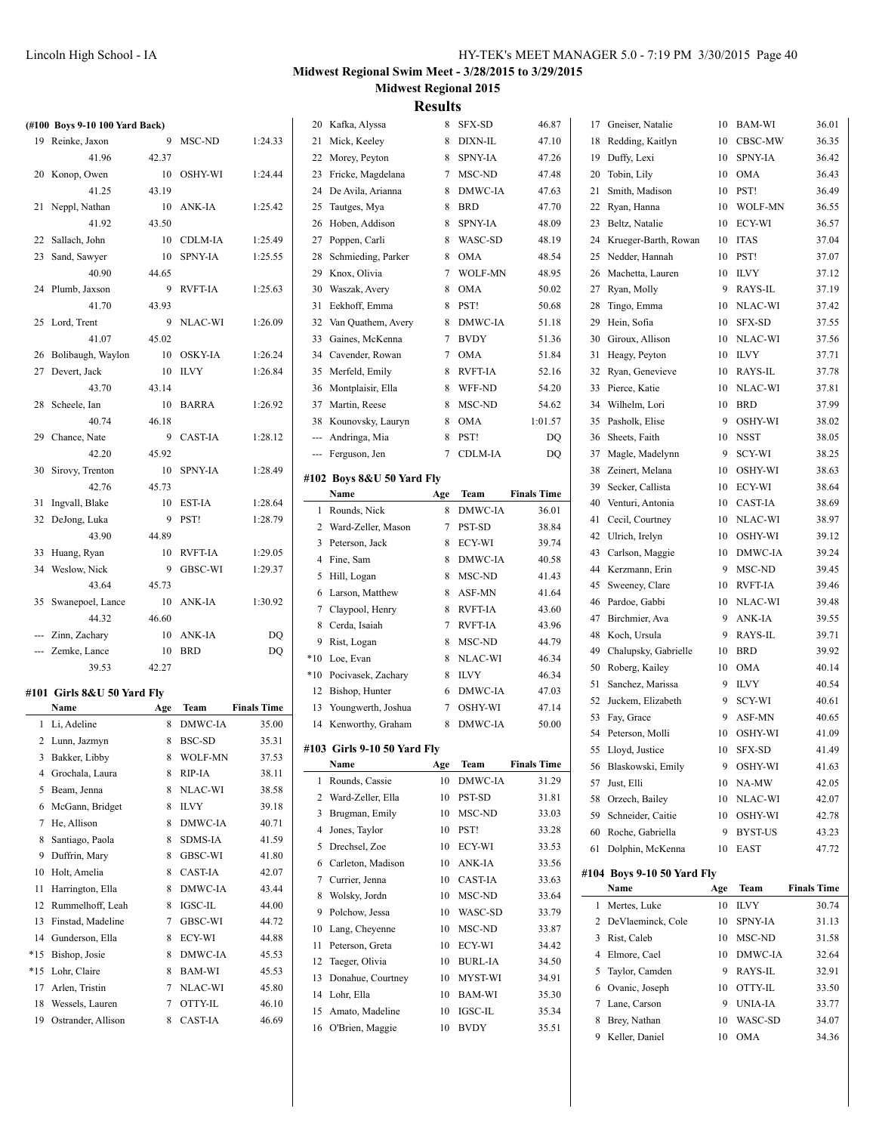| HY-TEK's MEET MANAGER 5.0 - 7:19 PM 3/30/2015 Page 40 |  |  |  |  |
|-------------------------------------------------------|--|--|--|--|
|-------------------------------------------------------|--|--|--|--|

#### **Midwest Regional Swim Meet - 3/28/2015 to 3/29/2015 Midwest Regional 2015**

|    | (#100 Boys 9-10 100 Yard Back) |       |                |                    |    | 20 Kafka, Alyssa            |     | 8 SFX-SD       | 46.87              | 17 | Gneiser, Natalie           |     | 10 BAM-WI        | 36.01              |
|----|--------------------------------|-------|----------------|--------------------|----|-----------------------------|-----|----------------|--------------------|----|----------------------------|-----|------------------|--------------------|
|    | 19 Reinke, Jaxon               |       | 9 MSC-ND       | 1:24.33            |    | 21 Mick, Keeley             |     | 8 DIXN-IL      | 47.10              | 18 | Redding, Kaitlyn           |     | 10 CBSC-MW       | 36.35              |
|    | 41.96                          | 42.37 |                |                    |    | 22 Morey, Peyton            | 8   | SPNY-IA        | 47.26              | 19 | Duffy, Lexi                | 10  | <b>SPNY-IA</b>   | 36.42              |
|    | 20 Konop, Owen                 |       | 10 OSHY-WI     | 1:24.44            |    | 23 Fricke, Magdelana        |     | 7 MSC-ND       | 47.48              | 20 | Tobin, Lily                |     | 10 OMA           | 36.43              |
|    | 41.25                          | 43.19 |                |                    |    | 24 De Avila, Arianna        |     | 8 DMWC-IA      | 47.63              | 21 | Smith, Madison             |     | 10 PST!          | 36.49              |
|    | 21 Neppl, Nathan               |       | 10 ANK-IA      | 1:25.42            |    | 25 Tautges, Mya             |     | 8 BRD          | 47.70              |    | 22 Ryan, Hanna             |     | 10 WOLF-MN       | 36.55              |
|    | 41.92                          | 43.50 |                |                    |    | 26 Hoben, Addison           |     | 8 SPNY-IA      | 48.09              | 23 | Beltz, Natalie             |     | 10 ECY-WI        | 36.57              |
|    | 22 Sallach, John               |       | 10 CDLM-IA     | 1:25.49            |    | 27 Poppen, Carli            |     | 8 WASC-SD      | 48.19              | 24 | Krueger-Barth, Rowan       |     | 10 ITAS          | 37.04              |
|    |                                |       |                |                    |    |                             |     | 8 OMA          | 48.54              |    |                            |     | 10 PST!          | 37.07              |
|    | 23 Sand, Sawyer                |       | 10 SPNY-IA     | 1:25.55            |    | 28 Schmieding, Parker       |     |                |                    | 25 | Nedder, Hannah             |     |                  |                    |
|    | 40.90                          | 44.65 |                |                    |    | 29 Knox, Olivia             | 7   | <b>WOLF-MN</b> | 48.95              | 26 | Machetta, Lauren           |     | 10 ILVY          | 37.12              |
|    | 24 Plumb, Jaxson               |       | 9 RVFT-IA      | 1:25.63            |    | 30 Waszak, Avery            | 8   | OMA            | 50.02              | 27 | Ryan, Molly                |     | 9 RAYS-IL        | 37.19              |
|    | 41.70                          | 43.93 |                |                    |    | 31 Eekhoff, Emma            | 8   | PST!           | 50.68              | 28 | Tingo, Emma                |     | 10 NLAC-WI       | 37.42              |
|    | 25 Lord, Trent                 |       | 9 NLAC-WI      | 1:26.09            | 32 | Van Quathem, Avery          |     | 8 DMWC-IA      | 51.18              | 29 | Hein, Sofia                | 10  | <b>SFX-SD</b>    | 37.55              |
|    | 41.07                          | 45.02 |                |                    |    | 33 Gaines, McKenna          |     | 7 BVDY         | 51.36              | 30 | Giroux, Allison            |     | 10 NLAC-WI       | 37.56              |
|    | 26 Bolibaugh, Waylon           |       | 10 OSKY-IA     | 1:26.24            |    | 34 Cavender, Rowan          |     | 7 OMA          | 51.84              |    | 31 Heagy, Peyton           |     | 10 ILVY          | 37.71              |
|    | 27 Devert, Jack                |       | 10 ILVY        | 1:26.84            |    | 35 Merfeld, Emily           |     | 8 RVFT-IA      | 52.16              |    | 32 Ryan, Genevieve         |     | 10 RAYS-IL       | 37.78              |
|    | 43.70                          | 43.14 |                |                    |    | 36 Montplaisir, Ella        |     | 8 WFF-ND       | 54.20              |    | 33 Pierce, Katie           |     | 10 NLAC-WI       | 37.81              |
|    | 28 Scheele, Ian                |       | 10 BARRA       | 1:26.92            |    | 37 Martin, Reese            |     | 8 MSC-ND       | 54.62              | 34 | Wilhelm, Lori              |     | 10 BRD           | 37.99              |
|    | 40.74                          | 46.18 |                |                    |    | 38 Kounovsky, Lauryn        |     | 8 OMA          | 1:01.57            | 35 | Pasholk, Elise             | 9   | OSHY-WI          | 38.02              |
|    | 29 Chance, Nate                |       | 9 CAST-IA      | 1:28.12            |    | --- Andringa, Mia           |     | 8 PST!         | DQ                 | 36 | Sheets, Faith              |     | 10 NSST          | 38.05              |
|    | 42.20                          | 45.92 |                |                    |    |                             |     |                | DO                 |    | 37 Magle, Madelynn         |     | SCY-WI           | 38.25              |
|    |                                |       |                |                    |    | --- Ferguson, Jen           |     | 7 CDLM-IA      |                    |    |                            | 9   |                  |                    |
|    | 30 Sirovy, Trenton             |       | 10 SPNY-IA     | 1:28.49            |    | #102 Boys 8&U 50 Yard Fly   |     |                |                    | 38 | Zeinert, Melana            | 10  | OSHY-WI          | 38.63              |
|    | 42.76                          | 45.73 |                |                    |    | Name                        | Age | Team           | <b>Finals Time</b> | 39 | Secker, Callista           |     | 10 ECY-WI        | 38.64              |
|    | 31 Ingvall, Blake              |       | 10 EST-IA      | 1:28.64            |    | 1 Rounds, Nick              |     | 8 DMWC-IA      | 36.01              | 40 | Venturi, Antonia           |     | 10 CAST-IA       | 38.69              |
|    | 32 DeJong, Luka                | 9     | PST!           | 1:28.79            |    | 2 Ward-Zeller, Mason        |     | 7 PST-SD       | 38.84              | 41 | Cecil, Courtney            |     | 10 NLAC-WI       | 38.97              |
|    | 43.90                          | 44.89 |                |                    |    | 3 Peterson, Jack            |     | 8 ECY-WI       | 39.74              | 42 | Ulrich, Irelyn             |     | 10 OSHY-WI       | 39.12              |
|    | 33 Huang, Ryan                 |       | 10 RVFT-IA     | 1:29.05            |    | 4 Fine, Sam                 |     | 8 DMWC-IA      | 40.58              | 43 | Carlson, Maggie            | 10  | <b>DMWC-IA</b>   | 39.24              |
|    | 34 Weslow, Nick                |       | 9 GBSC-WI      | 1:29.37            |    |                             |     |                |                    | 44 | Kerzmann, Erin             |     | 9 MSC-ND         | 39.45              |
|    | 43.64                          | 45.73 |                |                    |    | 5 Hill, Logan               |     | 8 MSC-ND       | 41.43              |    | 45 Sweeney, Clare          |     | 10 RVFT-IA       | 39.46              |
|    | 35 Swanepoel, Lance            |       | 10 ANK-IA      | 1:30.92            |    | 6 Larson, Matthew           |     | 8 ASF-MN       | 41.64              |    | 46 Pardoe, Gabbi           |     | 10 NLAC-WI       | 39.48              |
|    | 44.32                          | 46.60 |                |                    |    | 7 Claypool, Henry           |     | 8 RVFT-IA      | 43.60              |    | 47 Birchmier, Ava          |     | 9 ANK-IA         | 39.55              |
|    | --- Zinn, Zachary              |       | 10 ANK-IA      | DQ                 |    | 8 Cerda, Isaiah             |     | 7 RVFT-IA      | 43.96              | 48 | Koch, Ursula               | 9   | RAYS-IL          | 39.71              |
|    | --- Zemke, Lance               | 10    | <b>BRD</b>     | DO                 |    | 9 Rist, Logan               |     | 8 MSC-ND       | 44.79              | 49 | Chalupsky, Gabrielle       | 10  | <b>BRD</b>       | 39.92              |
|    | 39.53                          | 42.27 |                |                    |    | *10 Loe, Evan               |     | 8 NLAC-WI      | 46.34              |    |                            |     | 10 OMA           | 40.14              |
|    |                                |       |                |                    |    | *10 Pocivasek, Zachary      |     | 8 ILVY         | 46.34              | 50 | Roberg, Kailey             |     |                  |                    |
|    | #101 Girls 8&U 50 Yard Flv     |       |                |                    |    | 12 Bishop, Hunter           |     | 6 DMWC-IA      | 47.03              |    | 51 Sanchez, Marissa        |     | 9 ILVY           | 40.54              |
|    | Name                           | Age   | Team           | <b>Finals Time</b> |    | 13 Youngwerth, Joshua       |     | 7 OSHY-WI      | 47.14              | 52 | Juckem, Elizabeth          | 9   | SCY-WI           | 40.61              |
|    | 1 Li, Adeline                  | 8     | <b>DMWC-IA</b> | 35.00              |    | 14 Kenworthy, Graham        |     | 8 DMWC-IA      | 50.00              |    | 53 Fay, Grace              | 9   | ASF-MN           | 40.65              |
|    | 2 Lunn, Jazmyn                 |       | 8 BSC-SD       | 35.31              |    |                             |     |                |                    |    | 54 Peterson, Molli         |     | 10 OSHY-WI       | 41.09              |
|    | 3 Bakker, Libby                |       | 8 WOLF-MN      | 37.53              |    | #103 Girls 9-10 50 Yard Fly |     |                |                    |    | 55 Lloyd, Justice          |     | $10$ $\,$ SFX-SD | 41.49              |
| 4  | Grochala, Laura                |       | 8 RIP-IA       | 38.11              |    | Name                        | Age | Team           | <b>Finals Time</b> |    | 56 Blaskowski, Emily       |     | 9 OSHY-WI        | 41.63              |
|    | 5 Beam, Jenna                  |       | 8 NLAC-WI      | 38.58              |    | 1 Rounds, Cassie            |     | 10 DMWC-IA     | 31.29              |    | 57 Just, Elli              |     | 10 NA-MW         | 42.05              |
|    |                                |       |                |                    |    | 2 Ward-Zeller, Ella         |     | 10 PST-SD      | 31.81              |    | 58 Orzech, Bailey          |     | 10 NLAC-WI       | 42.07              |
|    | 6 McGann, Bridget              |       | 8 ILVY         | 39.18              |    | 3 Brugman, Emily            |     | 10 MSC-ND      | 33.03              | 59 | Schneider, Caitie          |     | 10 OSHY-WI       | 42.78              |
|    | 7 He, Allison                  |       | 8 DMWC-IA      | 40.71              |    | 4 Jones, Taylor             |     | 10 PST!        | 33.28              | 60 | Roche, Gabriella           |     | 9 BYST-US        | 43.23              |
| 8  | Santiago, Paola                |       | 8 SDMS-IA      | 41.59              |    | 5 Drechsel, Zoe             |     | 10 ECY-WI      | 33.53              |    | 61 Dolphin, McKenna        |     | 10 EAST          | 47.72              |
| 9. | Duffrin, Mary                  |       | 8 GBSC-WI      | 41.80              |    | 6 Carleton, Madison         | 10  | ANK-IA         | 33.56              |    |                            |     |                  |                    |
|    | 10 Holt, Amelia                |       | 8 CAST-IA      | 42.07              |    | 7 Currier, Jenna            | 10  | CAST-IA        | 33.63              |    | #104 Boys 9-10 50 Yard Fly |     |                  |                    |
|    | 11 Harrington, Ella            |       | 8 DMWC-IA      | 43.44              |    | 8 Wolsky, Jordn             | 10  | MSC-ND         | 33.64              |    | Name                       | Age | Team             | <b>Finals Time</b> |
| 12 | Rummelhoff, Leah               |       | 8 IGSC-IL      | 44.00              |    |                             |     |                |                    |    | 1 Mertes, Luke             |     | 10 ILVY          | 30.74              |
|    | 13 Finstad, Madeline           |       | 7 GBSC-WI      | 44.72              |    | 9 Polchow, Jessa            | 10  | WASC-SD        | 33.79              |    | 2 DeVlaeminck, Cole        |     | 10 SPNY-IA       | 31.13              |
|    | 14 Gunderson, Ella             |       | 8 ECY-WI       | 44.88              |    | 10 Lang, Cheyenne           |     | 10 MSC-ND      | 33.87              |    | 3 Rist, Caleb              |     | 10 MSC-ND        | 31.58              |
|    | *15 Bishop, Josie              |       | 8 DMWC-IA      | 45.53              |    | 11 Peterson, Greta          |     | 10 ECY-WI      | 34.42              |    | 4 Elmore, Cael             |     | 10 DMWC-IA       | 32.64              |
|    | *15 Lohr, Claire               |       | 8 BAM-WI       | 45.53              |    | 12 Taeger, Olivia           |     | 10 BURL-IA     | 34.50              |    | 5 Taylor, Camden           |     | 9 RAYS-IL        | 32.91              |
|    | 17 Arlen, Tristin              |       | 7 NLAC-WI      | 45.80              |    | 13 Donahue, Courtney        |     | 10 MYST-WI     | 34.91              |    | 6 Ovanic, Joseph           |     | 10 OTTY-IL       | 33.50              |
|    |                                |       |                |                    |    | 14 Lohr, Ella               |     | 10 BAM-WI      | 35.30              |    |                            |     |                  |                    |
|    | 18 Wessels, Lauren             |       | 7 OTTY-IL      | 46.10              |    | 15 Amato, Madeline          |     | 10 IGSC-IL     | 35.34              |    | 7 Lane, Carson             |     | 9 UNIA-IA        | 33.77              |
|    | 19 Ostrander, Allison          |       | 8 CAST-IA      | 46.69              |    | 16 O'Brien, Maggie          |     | 10 BVDY        | 35.51              | 8  | Brey, Nathan               | 10  | WASC-SD          | 34.07              |
|    |                                |       |                |                    |    |                             |     |                |                    |    | 9 Keller, Daniel           |     | 10 OMA           | 34.36              |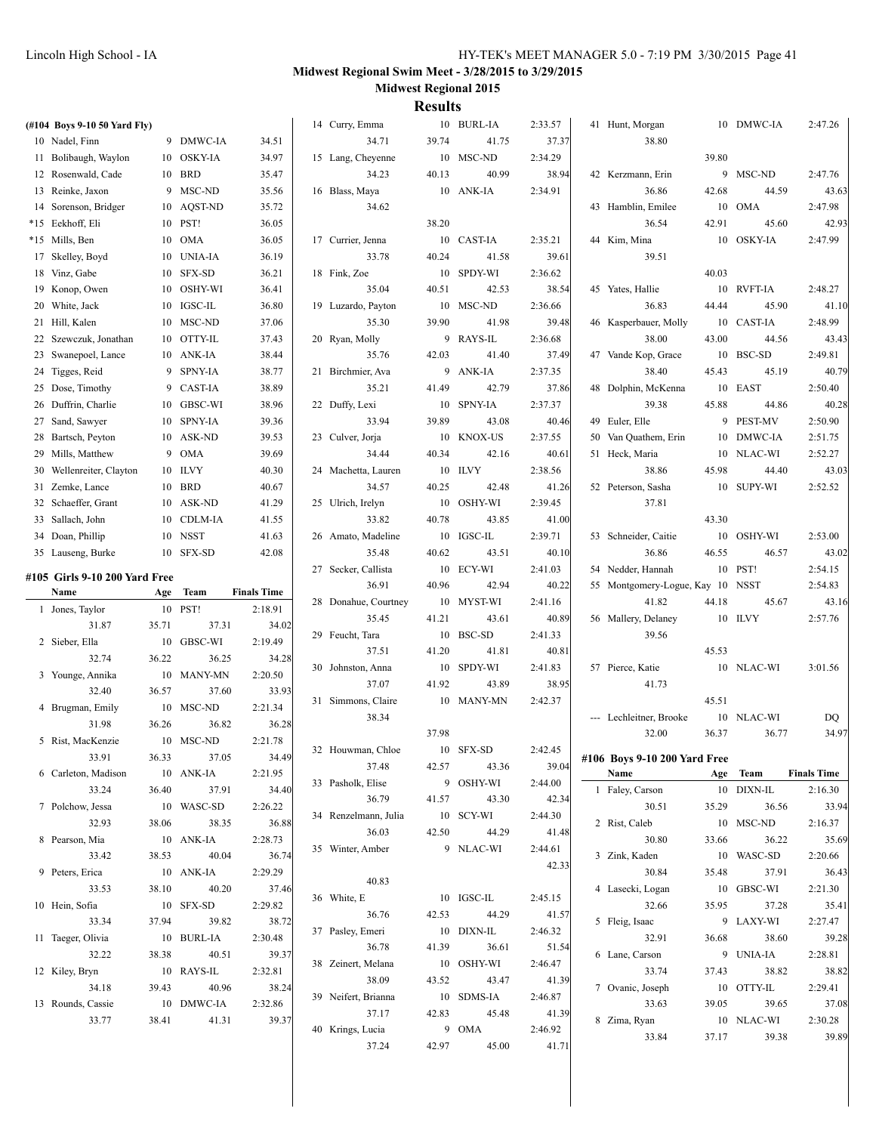| (#104 Boys 9-10 50 Yard Fly)  |       |                     |                    | 14 Curry, Emma          |       | 10 BURL-IA | 2:33.57          | 41 Hunt, Morgan                      |       | 10 DMWC-IA          | 2:47.26            |
|-------------------------------|-------|---------------------|--------------------|-------------------------|-------|------------|------------------|--------------------------------------|-------|---------------------|--------------------|
| 10 Nadel, Finn                |       | 9 DMWC-IA           | 34.51              | 34.71                   | 39.74 | 41.75      | 37.37            | 38.80                                |       |                     |                    |
| 11 Bolibaugh, Waylon          |       | 10 OSKY-IA          | 34.97              | 15 Lang, Cheyenne       |       | 10 MSC-ND  | 2:34.29          |                                      | 39.80 |                     |                    |
| 12 Rosenwald, Cade            |       | 10 BRD              | 35.47              | 34.23                   | 40.13 | 40.99      | 38.94            | 42 Kerzmann, Erin                    |       | 9 MSC-ND            | 2:47.76            |
| 13 Reinke, Jaxon              |       | 9 MSC-ND            | 35.56              | 16 Blass, Maya          |       | 10 ANK-IA  | 2:34.91          | 36.86                                | 42.68 | 44.59               | 43.63              |
| 14 Sorenson, Bridger          |       | 10 AQST-ND          | 35.72              | 34.62                   |       |            |                  | 43 Hamblin, Emilee                   |       | 10 OMA              | 2:47.98            |
| *15 Eekhoff, Eli              |       | 10 PST!             | 36.05              |                         | 38.20 |            |                  | 36.54                                | 42.91 | 45.60               | 42.93              |
| *15 Mills, Ben                |       | 10 OMA              | 36.05              | 17 Currier, Jenna       |       | 10 CAST-IA | 2:35.21          | 44 Kim, Mina                         |       | 10 OSKY-IA          | 2:47.99            |
| 17 Skelley, Boyd              | 10    | UNIA-IA             | 36.19              | 33.78                   | 40.24 | 41.58      | 39.61            | 39.51                                |       |                     |                    |
| 18 Vinz, Gabe                 |       | 10 SFX-SD           | 36.21              | 18 Fink, Zoe            |       | 10 SPDY-WI | 2:36.62          |                                      | 40.03 |                     |                    |
| 19 Konop, Owen                |       | 10 OSHY-WI          | 36.41              | 35.04                   | 40.51 | 42.53      | 38.54            | 45 Yates, Hallie                     |       | 10 RVFT-IA          | 2:48.27            |
| 20 White, Jack                |       | 10 IGSC-IL          | 36.80              | 19 Luzardo, Payton      |       | 10 MSC-ND  | 2:36.66          | 36.83                                | 44.44 | 45.90               | 41.10              |
| 21 Hill, Kalen                |       | 10 MSC-ND           | 37.06              | 35.30                   | 39.90 | 41.98      | 39.48            | 46 Kasperbauer, Molly                |       | 10 CAST-IA          | 2:48.99            |
| 22 Szewczuk, Jonathan         |       | 10 OTTY-IL          | 37.43              | 20 Ryan, Molly          |       | 9 RAYS-IL  | 2:36.68          | 38.00                                | 43.00 | 44.56               | 43.43              |
| 23 Swanepoel, Lance           |       | 10 ANK-IA           | 38.44              | 35.76                   | 42.03 | 41.40      | 37.49            | 47 Vande Kop, Grace                  |       | 10 BSC-SD           | 2:49.81            |
| 24 Tigges, Reid               |       | 9 SPNY-IA           | 38.77              | 21 Birchmier, Ava       |       | 9 ANK-IA   | 2:37.35          | 38.40                                | 45.43 | 45.19               | 40.79              |
| 25 Dose, Timothy              |       | 9 CAST-IA           | 38.89              | 35.21                   | 41.49 | 42.79      | 37.86            | 48 Dolphin, McKenna                  |       | 10 EAST             | 2:50.40            |
| 26 Duffrin, Charlie           |       | 10 GBSC-WI          | 38.96              |                         |       | 10 SPNY-IA | 2:37.37          | 39.38                                | 45.88 |                     | 40.28              |
|                               |       | 10 SPNY-IA          | 39.36              | 22 Duffy, Lexi<br>33.94 | 39.89 |            |                  | 49 Euler, Elle                       |       | 44.86<br>9 PEST-MV  | 2:50.90            |
| 27 Sand, Sawyer               |       |                     |                    |                         |       | 43.08      | 40.46<br>2:37.55 |                                      |       |                     |                    |
| 28 Bartsch, Peyton            |       | 10 ASK-ND           | 39.53              | 23 Culver, Jorja        |       | 10 KNOX-US |                  | 50 Van Quathem, Erin                 |       | 10 DMWC-IA          | 2:51.75            |
| 29 Mills, Matthew             | 9     | <b>OMA</b>          | 39.69              | 34.44                   | 40.34 | 42.16      | 40.61            | 51 Heck, Maria                       |       | 10 NLAC-WI          | 2:52.27            |
| 30 Wellenreiter, Clayton      |       | 10 ILVY             | 40.30              | 24 Machetta, Lauren     |       | 10 ILVY    | 2:38.56          | 38.86                                | 45.98 | 44.40               | 43.03              |
| 31 Zemke, Lance               |       | 10 BRD              | 40.67              | 34.57                   | 40.25 | 42.48      | 41.26            | 52 Peterson, Sasha                   |       | 10 SUPY-WI          | 2:52.52            |
| 32 Schaeffer, Grant           |       | 10 ASK-ND           | 41.29              | 25 Ulrich, Irelyn       |       | 10 OSHY-WI | 2:39.45          | 37.81                                |       |                     |                    |
| 33 Sallach, John              |       | 10 CDLM-IA          | 41.55              | 33.82                   | 40.78 | 43.85      | 41.00            |                                      | 43.30 |                     |                    |
| 34 Doan, Phillip              |       | 10 NSST             | 41.63              | 26 Amato, Madeline      |       | 10 IGSC-IL | 2:39.71          | 53 Schneider, Caitie                 |       | 10 OSHY-WI          | 2:53.00            |
| 35 Lauseng, Burke             |       | 10 SFX-SD           | 42.08              | 35.48                   | 40.62 | 43.51      | 40.10            | 36.86                                | 46.55 | 46.57               | 43.02              |
|                               |       |                     |                    | 27 Secker, Callista     |       | 10 ECY-WI  | 2:41.03          | 54 Nedder, Hannah                    |       | 10 PST!             | 2:54.15            |
| #105 Girls 9-10 200 Yard Free |       |                     |                    |                         |       |            |                  |                                      |       |                     |                    |
| Name                          |       | Age Team            | <b>Finals Time</b> | 36.91                   | 40.96 | 42.94      | 40.22            | 55 Montgomery-Logue, Kay 10          |       | NSST                | 2:54.83            |
| 1 Jones, Taylor               |       | 10 PST!             | 2:18.91            | 28 Donahue, Courtney    |       | 10 MYST-WI | 2:41.16          | 41.82                                | 44.18 | 45.67               | 43.16              |
| 31.87                         | 35.71 | 37.31               | 34.02              | 35.45                   | 41.21 | 43.61      | 40.89            | 56 Mallery, Delaney                  |       | 10 ILVY             | 2:57.76            |
| 2 Sieber, Ella                |       | 10 GBSC-WI          | 2:19.49            | 29 Feucht, Tara         |       | 10 BSC-SD  | 2:41.33          | 39.56                                |       |                     |                    |
| 32.74                         | 36.22 | 36.25               | 34.28              | 37.51                   | 41.20 | 41.81      | 40.81            |                                      | 45.53 |                     |                    |
| 3 Younge, Annika              |       | 10 MANY-MN          | 2:20.50            | 30 Johnston, Anna       |       | 10 SPDY-WI | 2:41.83          | 57 Pierce, Katie                     |       | 10 NLAC-WI          | 3:01.56            |
| 32.40                         | 36.57 | 37.60               | 33.93              | 37.07                   | 41.92 | 43.89      | 38.95            | 41.73                                |       |                     |                    |
| 4 Brugman, Emily              |       | 10 MSC-ND           | 2:21.34            | 31 Simmons, Claire      |       | 10 MANY-MN | 2:42.37          |                                      | 45.51 |                     |                    |
| 31.98                         | 36.26 | 36.82               | 36.28              | 38.34                   |       |            |                  | --- Lechleitner, Brooke              |       | 10 NLAC-WI          | DQ                 |
| 5 Rist, MacKenzie             |       | 10 MSC-ND           | 2:21.78            |                         | 37.98 |            |                  | 32.00                                | 36.37 | 36.77               | 34.97              |
| 33.91                         |       |                     |                    | 32 Houwman, Chloe       |       | 10 SFX-SD  | 2:42.45          |                                      |       |                     |                    |
| 6 Carleton, Madison           | 36.33 | 37.05<br>10 ANK-IA  | 34.49<br>2:21.95   | 37.48                   | 42.57 | 43.36      | 39.04            | #106 Boys 9-10 200 Yard Free<br>Name |       | Age Team            | <b>Finals Time</b> |
| 33.24                         | 36.40 | 37.91               | 34.40              | 33 Pasholk, Elise       |       | 9 OSHY-WI  | 2:44.00          | 1 Faley, Carson                      |       | 10 DIXN-IL          | 2:16.30            |
|                               |       |                     | 2:26.22            | 36.79                   | 41.57 | 43.30      | 42.34            | 30.51                                | 35.29 |                     |                    |
| 7 Polchow, Jessa<br>32.93     | 38.06 | 10 WASC-SD<br>38.35 |                    | 34 Renzelmann, Julia    |       | 10 SCY-WI  | 2:44.30          | 2 Rist, Caleb                        |       | 36.56<br>10 MSC-ND  | 33.94              |
| 8 Pearson, Mia                |       |                     | 36.88<br>2:28.73   | 36.03                   | 42.50 | 44.29      | 41.48            | 30.80                                | 33.66 | 36.22               | 2:16.37<br>35.69   |
|                               |       | 10 ANK-IA           |                    | 35 Winter, Amber        |       | 9 NLAC-WI  | 2:44.61          |                                      |       |                     |                    |
| 33.42                         | 38.53 | 40.04               | 36.74              |                         |       |            | 42.33            | 3 Zink, Kaden                        |       | 10 WASC-SD          | 2:20.66            |
| 9 Peters, Erica<br>33.53      |       | 10 ANK-IA<br>40.20  | 2:29.29            | 40.83                   |       |            |                  | 30.84<br>4 Lasecki, Logan            | 35.48 | 37.91               | 36.43              |
|                               | 38.10 |                     | 37.46              | 36 White, E             |       | 10 IGSC-IL | 2:45.15          |                                      |       | 10 GBSC-WI          | 2:21.30            |
| 10 Hein, Sofia                |       | 10 SFX-SD           | 2:29.82            | 36.76                   | 42.53 | 44.29      | 41.57            | 32.66                                | 35.95 | 37.28               | 35.41              |
| 33.34                         | 37.94 | 39.82               | 38.72              | 37 Pasley, Emeri        |       | 10 DIXN-IL | 2:46.32          | 5 Fleig, Isaac                       |       | 9 LAXY-WI           | 2:27.47            |
| 11 Taeger, Olivia             |       | 10 BURL-IA          | 2:30.48            | 36.78                   | 41.39 | 36.61      | 51.54            | 32.91                                | 36.68 | 38.60               | 39.28              |
| 32.22                         | 38.38 | 40.51               | 39.37              | 38 Zeinert, Melana      |       | 10 OSHY-WI | 2:46.47          | 6 Lane, Carson                       |       | 9 UNIA-IA           | 2:28.81            |
| 12 Kiley, Bryn                |       | 10 RAYS-IL          | 2:32.81            | 38.09                   | 43.52 | 43.47      | 41.39            | 33.74                                | 37.43 | 38.82               | 38.82              |
| 34.18                         | 39.43 | 40.96               | 38.24              | 39 Neifert, Brianna     |       | 10 SDMS-IA | 2:46.87          | 7 Ovanic, Joseph                     |       | 10 OTTY-IL          | 2:29.41            |
| 13 Rounds, Cassie             |       | 10 DMWC-IA          | 2:32.86            | 37.17                   | 42.83 | 45.48      | 41.39            | 33.63                                | 39.05 | 39.65               | 37.08              |
| 33.77                         | 38.41 | 41.31               | 39.37              | 40 Krings, Lucia        |       | 9 OMA      | 2:46.92          | 8 Zima, Ryan<br>33.84                | 37.17 | 10 NLAC-WI<br>39.38 | 2:30.28<br>39.89   |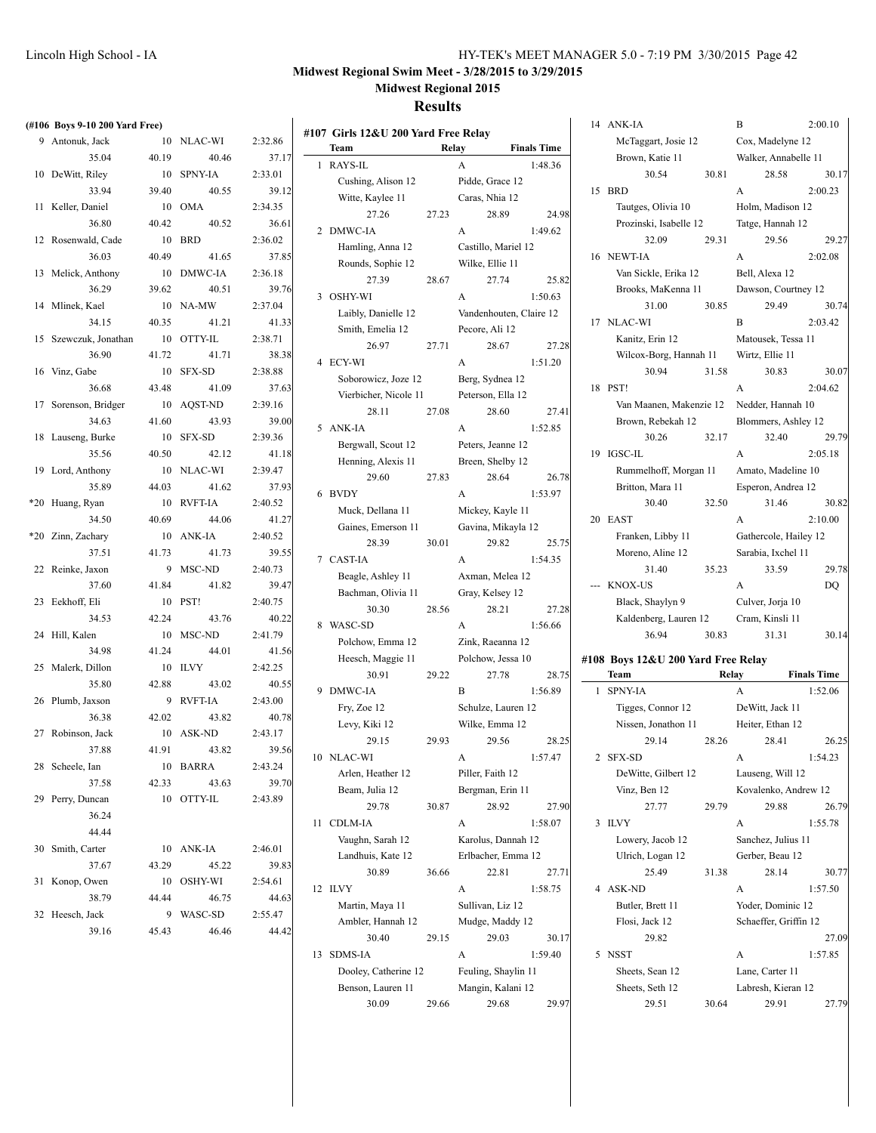#### **Results**

|       | (#106 Boys 9-10 200 Yard Free) |       |                 |         |
|-------|--------------------------------|-------|-----------------|---------|
|       | 9 Antonuk, Jack                | 10    | NLAC-WI         | 2:32.86 |
|       | 35.04                          | 40.19 | 40.46           | 37.17   |
|       | 10 DeWitt, Riley               | 10    | <b>SPNY-IA</b>  | 2:33.01 |
|       | 33.94                          | 39.40 | 40.55           | 39.12   |
|       | 11 Keller, Daniel              | 10    | <b>OMA</b>      | 2:34.35 |
|       | 36.80                          | 40.42 | 40.52           | 36.61   |
|       | 12 Rosenwald, Cade             | 10    | <b>BRD</b>      | 2:36.02 |
|       | 36.03                          | 40.49 | 41.65           | 37.85   |
|       | 13 Melick, Anthony             | 10    | DMWC-IA         | 2:36.18 |
|       | 36.29                          | 39.62 | 40.51           | 39.76   |
|       | 14 Mlinek, Kael                | 10    | NA-MW           | 2:37.04 |
|       | 34.15                          | 40.35 | 41.21           | 41.33   |
|       | 15 Szewczuk, Jonathan          | 10    | OTTY-IL         | 2:38.71 |
|       | 36.90                          | 41.72 | 41.71           | 38.38   |
|       | 16 Vinz, Gabe                  | 10    | SFX-SD          | 2:38.88 |
|       | 36.68                          | 43.48 | 41.09           | 37.63   |
| 17    |                                | 10    | <b>AQST-ND</b>  | 2:39.16 |
|       | Sorenson, Bridger<br>34.63     | 41.60 | 43.93           | 39.00   |
|       |                                | 10    |                 | 2:39.36 |
| 18    | Lauseng, Burke<br>35.56        |       | SFX-SD<br>42.12 | 41.18   |
| 19    | Lord, Anthony                  | 40.50 | NLAC-WI         | 2:39.47 |
|       |                                | 10    |                 | 37.93   |
|       | 35.89                          | 44.03 | 41.62           |         |
| $*20$ | Huang, Ryan                    | 10    | <b>RVFT-IA</b>  | 2:40.52 |
|       | 34.50                          | 40.69 | 44.06           | 41.27   |
|       | *20 Zinn, Zachary              | 10    | ANK-IA          | 2:40.52 |
|       | 37.51                          | 41.73 | 41.73           | 39.55   |
|       | 22 Reinke, Jaxon               | 9     | MSC-ND          | 2:40.73 |
|       | 37.60                          | 41.84 | 41.82           | 39.47   |
|       | 23 Eekhoff, Eli                | 10    | PST!            | 2:40.75 |
|       | 34.53                          | 42.24 | 43.76           | 40.22   |
|       | 24 Hill, Kalen                 | 10    | MSC-ND          | 2:41.79 |
|       | 34.98                          | 41.24 | 44.01           | 41.56   |
|       | 25 Malerk, Dillon              | 10    | <b>ILVY</b>     | 2:42.25 |
|       | 35.80                          | 42.88 | 43.02           | 40.55   |
| 26    | Plumb, Jaxson                  | 9     | <b>RVFT-IA</b>  | 2:43.00 |
|       | 36.38                          | 42.02 | 43.82           | 40.78   |
| 27    | Robinson, Jack                 | 10    | ASK-ND          | 2:43.17 |
|       | 37.88                          | 41.91 | 43.82           | 39.56   |
| 28    | Scheele, Ian                   | 10    | <b>BARRA</b>    | 2:43.24 |
|       | 37.58                          | 42.33 | 43.63           | 39.70   |
| 29    | Perry, Duncan                  | 10    | OTTY-IL         | 2:43.89 |
|       | 36.24                          |       |                 |         |
|       | 44.44                          |       |                 |         |
| 30    | Smith, Carter                  | 10    | ANK-IA          | 2:46.01 |
|       | 37.67                          | 43.29 | 45.22           | 39.83   |
| 31    | Konop, Owen                    | 10    | OSHY-WI         | 2:54.61 |
|       | 38.79                          | 44.44 | 46.75           | 44.63   |
| 32    | Heesch, Jack                   | 9     | WASC-SD         | 2:55.47 |
|       | 39.16                          | 45.43 | 46.46           | 44.42   |
|       |                                |       |                 |         |

|                | #107 Girls 12&U 200 Yard Free Relay<br>Team | Relay |                         | <b>Finals Time</b> |
|----------------|---------------------------------------------|-------|-------------------------|--------------------|
| 1              | RAYS-IL                                     |       | A                       | 1:48.36            |
|                | Cushing, Alison 12                          |       | Pidde, Grace 12         |                    |
|                | Witte, Kaylee 11                            |       | Caras, Nhia 12          |                    |
|                | 27.26                                       | 27.23 | 28.89                   | 24.98              |
| 2              | DMWC-IA                                     |       | A                       | 1:49.62            |
|                | Hamling, Anna 12                            |       | Castillo, Mariel 12     |                    |
|                | Rounds, Sophie 12                           |       | Wilke, Ellie 11         |                    |
|                | 27.39                                       | 28.67 | 27.74                   | 25.82              |
| 3              | <b>OSHY-WI</b>                              |       | A                       | 1:50.63            |
|                | Laibly, Danielle 12                         |       | Vandenhouten, Claire 12 |                    |
|                | Smith, Emelia 12                            |       | Pecore, Ali 12          |                    |
|                | 26.97                                       | 27.71 | 28.67                   | 27.28              |
| $\overline{4}$ | ECY-WI                                      |       | A                       | 1:51.20            |
|                |                                             |       |                         |                    |
|                | Soborowicz, Joze 12                         |       | Berg, Sydnea 12         |                    |
|                | Vierbicher, Nicole 11                       |       | Peterson, Ella 12       |                    |
|                | 28.11                                       | 27.08 | 28.60                   | 27.41              |
| 5              | ANK-IA                                      |       | A                       | 1:52.85            |
|                | Bergwall, Scout 12                          |       | Peters, Jeanne 12       |                    |
|                | Henning, Alexis 11                          |       | Breen, Shelby 12        |                    |
|                | 29.60                                       | 27.83 | 28.64                   | 26.78              |
| 6              | <b>BVDY</b>                                 |       | A                       | 1:53.97            |
|                | Muck, Dellana 11                            |       | Mickey, Kayle 11        |                    |
|                | Gaines, Emerson 11                          |       | Gavina, Mikayla 12      |                    |
|                | 28.39                                       | 30.01 | 29.82                   | 25.75              |
|                | 7 CAST-IA                                   |       | A                       | 1:54.35            |
|                | Beagle, Ashley 11                           |       | Axman, Melea 12         |                    |
|                | Bachman, Olivia 11                          |       | Gray, Kelsey 12         |                    |
|                | 30.30                                       | 28.56 | 28.21                   | 27.28              |
| 8              | WASC-SD                                     |       | A                       | 1:56.66            |
|                | Polchow, Emma 12                            |       | Zink, Raeanna 12        |                    |
|                | Heesch, Maggie 11                           |       | Polchow, Jessa 10       |                    |
|                | 30.91                                       | 29.22 | 27.78                   | 28.75              |
| 9              | DMWC-IA                                     |       | В                       | 1:56.89            |
|                | Fry, Zoe 12                                 |       | Schulze, Lauren 12      |                    |
|                | Levy, Kiki 12                               |       | Wilke, Emma 12          |                    |
|                | 29.15                                       | 29.93 | 29.56                   | 28.25              |
|                | 10 NLAC-WI                                  |       | А                       | 1:57.47            |
|                | Arlen, Heather 12                           |       | Piller, Faith 12        |                    |
|                | Beam, Julia 12                              |       | Bergman, Erin 11        |                    |
|                | 29.78                                       | 30.87 | 28.92                   | 27.90              |
| 11             | CDLM-IA                                     |       | A                       | 1:58.07            |
|                | Vaughn, Sarah 12                            |       | Karolus, Dannah 12      |                    |
|                | Landhuis, Kate 12                           |       | Erlbacher, Emma 12      |                    |
|                | 30.89                                       | 36.66 | 22.81                   | 27.71              |
| 12             | <b>ILVY</b>                                 |       | A                       | 1:58.75            |
|                |                                             |       |                         |                    |
|                | Martin, Maya 11                             |       | Sullivan, Liz 12        |                    |
|                | Ambler, Hannah 12                           |       | Mudge, Maddy 12         |                    |
|                | 30.40                                       | 29.15 | 29.03                   | 30.17              |
| 13             | <b>SDMS-IA</b>                              |       | A                       | 1:59.40            |
|                | Dooley, Catherine 12                        |       | Feuling, Shaylin 11     |                    |
|                | Benson, Lauren 11                           |       | Mangin, Kalani 12       |                    |
|                | 30.09                                       | 29.66 | 29.68                   | 29.97              |
|                |                                             |       |                         |                    |

|                | 14 ANK-IA                                 |       | B                     | 2:00.10            |
|----------------|-------------------------------------------|-------|-----------------------|--------------------|
|                | McTaggart, Josie 12                       |       | Cox, Madelyne 12      |                    |
|                | Brown, Katie 11                           |       | Walker, Annabelle 11  |                    |
|                | 30.54                                     | 30.81 | 28.58                 | 30.                |
|                | 15 BRD                                    |       | $\mathsf{A}$          | 2:00.23            |
|                | Tautges, Olivia 10                        |       | Holm, Madison 12      |                    |
|                | Prozinski, Isabelle 12                    |       | Tatge, Hannah 12      |                    |
|                | 32.09                                     | 29.31 | 29.56                 | 29.2               |
|                | 16 NEWT-IA                                |       | A                     | 2:02.08            |
|                | Van Sickle, Erika 12                      |       | Bell, Alexa 12        |                    |
|                | Brooks, MaKenna 11                        |       | Dawson, Courtney 12   |                    |
|                | 31.00                                     | 30.85 | 29.49                 | 30.7               |
|                | 17 NLAC-WI                                |       | B                     | 2:03.42            |
|                | Kanitz, Erin 12                           |       | Matousek, Tessa 11    |                    |
|                | Wilcox-Borg, Hannah 11                    |       | Wirtz, Ellie 11       |                    |
|                | 30.94                                     | 31.58 | 30.83                 | 30.0               |
|                | 18 PST!                                   |       | A                     | 2:04.62            |
|                | Van Maanen, Makenzie 12 Nedder, Hannah 10 |       |                       |                    |
|                | Brown, Rebekah 12                         |       | Blommers, Ashley 12   |                    |
|                | 30.26                                     | 32.17 | 32.40                 | 29.7               |
|                | 19 IGSC-IL                                |       | A                     | 2:05.18            |
|                | Rummelhoff, Morgan 11 Amato, Madeline 10  |       |                       |                    |
|                | Britton, Mara 11                          |       | Esperon, Andrea 12    |                    |
|                | 30.40                                     | 32.50 | 31.46                 | 30.3               |
|                | 20 EAST                                   |       | A                     | 2:10.00            |
|                | Franken, Libby 11                         |       | Gathercole, Hailey 12 |                    |
|                | Moreno, Aline 12                          |       | Sarabia, Ixchel 11    |                    |
|                | 31.40                                     | 35.23 | 33.59                 | 29.                |
|                | --- KNOX-US                               |       | A                     | DQ                 |
|                | Black, Shaylyn 9                          |       | Culver, Jorja 10      |                    |
|                | Kaldenberg, Lauren 12                     |       | Cram, Kinsli 11       |                    |
|                | 36.94                                     | 30.83 | 31.31                 | 30.                |
|                | #108 Boys 12&U 200 Yard Free Relay        |       |                       |                    |
|                | Team                                      |       | Relay                 | <b>Finals Time</b> |
| 1              | SPNY-IA                                   |       | A                     | 1:52.06            |
|                | Tigges, Connor 12                         |       | DeWitt, Jack 11       |                    |
|                | Nissen, Jonathon 11                       |       | Heiter, Ethan 12      |                    |
|                | 29.14                                     | 28.26 | 28.41                 | 26.2               |
| $\overline{2}$ | SFX-SD                                    |       | A                     | 1:54.23            |
|                | DeWitte, Gilbert 12                       |       | Lauseng, Will 12      |                    |

Vinz, Ben 12 Kovalenko, Andrew 12 27.77 29.79 29.88 26.79

3 ILVY A 1:55.78 Lowery, Jacob 12 Sanchez, Julius 11 Ulrich, Logan 12 Gerber, Beau 12

4 ASK-ND A 1:57.50 Butler, Brett 11 Yoder, Dominic 12 Flosi, Jack 12 Schaeffer, Griffin 12

5 NSST A 1:57.85 Sheets, Sean 12 Lane, Carter 11 Sheets, Seth 12 Labresh, Kieran 12

25.49 31.38 28.14 30.77

29.82 27.09

29.51 30.64 29.91 27.79

30.17

29.27

30.74

30.07

29.79

30.82

29.78

30.14

26.25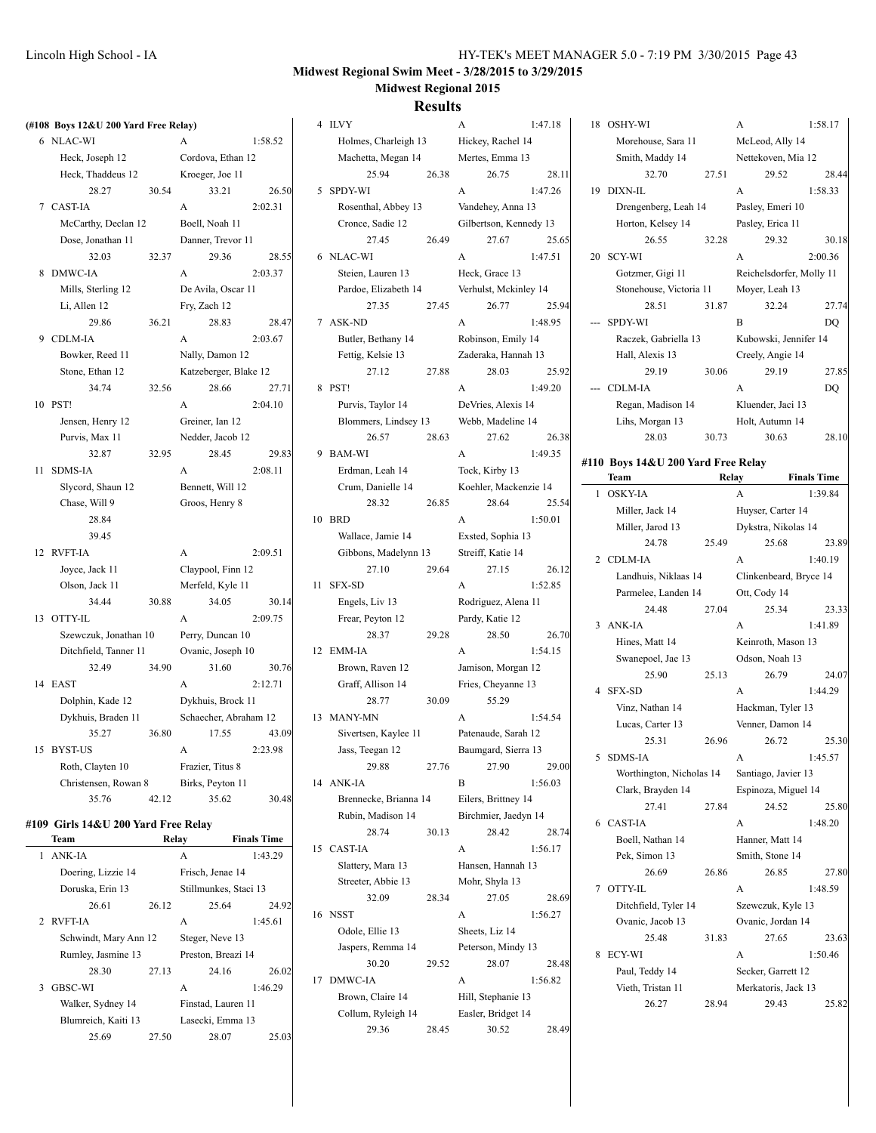# **Midwest Regional Swim Meet - 3/28/2015 to 3/29/2015 Midwest Regional 2015**

| (#108 Boys 12&U 200 Yard Free Relay) |       |                       |                    | 4 ILVY                |       | A                      | 1:47.18 | 18 OSHY-WI                         |       | A                        | 1:58.17            |
|--------------------------------------|-------|-----------------------|--------------------|-----------------------|-------|------------------------|---------|------------------------------------|-------|--------------------------|--------------------|
| 6 NLAC-WI                            |       | $\mathbf{A}$          | 1:58.52            | Holmes, Charleigh 13  |       | Hickey, Rachel 14      |         | Morehouse, Sara 11                 |       | McLeod, Ally 14          |                    |
| Heck, Joseph 12                      |       | Cordova, Ethan 12     |                    | Machetta, Megan 14    |       | Mertes, Emma 13        |         | Smith, Maddy 14                    |       | Nettekoven, Mia 12       |                    |
| Heck, Thaddeus 12                    |       | Kroeger, Joe 11       |                    | 25.94                 | 26.38 | 26.75                  | 28.11   | 32.70                              | 27.51 | 29.52                    | 28.44              |
| 28.27                                | 30.54 | 33.21                 | 26.50              | 5 SPDY-WI             |       | A                      | 1:47.26 | 19 DIXN-IL                         |       | $\mathbf{A}$             | 1:58.33            |
| 7 CAST-IA                            |       | $\mathbf{A}$          | 2:02.31            | Rosenthal, Abbey 13   |       | Vandehey, Anna 13      |         | Drengenberg, Leah 14               |       | Pasley, Emeri 10         |                    |
| McCarthy, Declan 12                  |       | Boell, Noah 11        |                    | Cronce, Sadie 12      |       | Gilbertson, Kennedy 13 |         | Horton, Kelsey 14                  |       | Pasley, Erica 11         |                    |
| Dose, Jonathan 11                    |       | Danner, Trevor 11     |                    | 27.45                 | 26.49 | 27.67                  | 25.65   | 26.55                              | 32.28 | 29.32                    | 30.18              |
| 32.03                                | 32.37 | 29.36                 | 28.55              | 6 NLAC-WI             |       | A                      | 1:47.51 | 20 SCY-WI                          |       | $\mathbf{A}$             | 2:00.36            |
| 8 DMWC-IA                            |       | A                     | 2:03.37            | Steien, Lauren 13     |       | Heck, Grace 13         |         | Gotzmer, Gigi 11                   |       | Reichelsdorfer, Molly 11 |                    |
| Mills, Sterling 12                   |       | De Avila, Oscar 11    |                    | Pardoe, Elizabeth 14  |       | Verhulst, Mckinley 14  |         | Stonehouse, Victoria 11            |       | Moyer, Leah 13           |                    |
| Li, Allen 12                         |       | Fry, Zach 12          |                    | 27.35                 | 27.45 | 26.77                  | 25.94   | 28.51                              | 31.87 | 32.24                    | 27.74              |
| 29.86                                | 36.21 | 28.83                 | 28.47              | 7 ASK-ND              |       | A                      | 1:48.95 | --- SPDY-WI                        |       | B                        | DQ                 |
| 9 CDLM-IA                            |       | $\mathbf{A}$          | 2:03.67            | Butler, Bethany 14    |       | Robinson, Emily 14     |         | Raczek, Gabriella 13               |       | Kubowski, Jennifer 14    |                    |
| Bowker, Reed 11                      |       | Nally, Damon 12       |                    | Fettig, Kelsie 13     |       | Zaderaka, Hannah 13    |         | Hall, Alexis 13                    |       | Creely, Angie 14         |                    |
| Stone, Ethan 12                      |       | Katzeberger, Blake 12 |                    | 27.12                 | 27.88 | 28.03                  | 25.92   | 29.19                              | 30.06 | 29.19                    | 27.85              |
| 34.74                                | 32.56 | 28.66                 | 27.71              | 8 PST!                |       | $\mathbf{A}$           | 1:49.20 | --- CDLM-IA                        |       | A                        | DQ                 |
| 10 PST!                              |       | A                     | 2:04.10            | Purvis, Taylor 14     |       | DeVries, Alexis 14     |         | Regan, Madison 14                  |       | Kluender, Jaci 13        |                    |
| Jensen, Henry 12                     |       | Greiner, Ian 12       |                    | Blommers, Lindsey 13  |       | Webb, Madeline 14      |         | Lihs, Morgan 13                    |       | Holt, Autumn 14          |                    |
| Purvis, Max 11                       |       | Nedder, Jacob 12      |                    | 26.57                 | 28.63 | 27.62                  | 26.38   | 28.03                              | 30.73 | 30.63                    | 28.10              |
| 32.87                                | 32.95 | 28.45                 | 29.83              | 9 BAM-WI              |       | A                      | 1:49.35 |                                    |       |                          |                    |
| 11 SDMS-IA                           |       | A                     | 2:08.11            | Erdman, Leah 14       |       | Tock, Kirby 13         |         | #110 Boys 14&U 200 Yard Free Relay |       |                          |                    |
| Slycord, Shaun 12                    |       | Bennett, Will 12      |                    | Crum, Danielle 14     |       | Koehler, Mackenzie 14  |         | Team                               |       | <b>Relay</b>             | <b>Finals Time</b> |
| Chase, Will 9                        |       | Groos, Henry 8        |                    | 28.32                 | 26.85 | 28.64                  | 25.54   | 1 OSKY-IA                          |       | $\mathbf{A}$             | 1:39.84            |
| 28.84                                |       |                       |                    | 10 BRD                |       | A                      | 1:50.01 | Miller, Jack 14                    |       | Huyser, Carter 14        |                    |
| 39.45                                |       |                       |                    | Wallace, Jamie 14     |       | Exsted, Sophia 13      |         | Miller, Jarod 13                   |       | Dykstra, Nikolas 14      |                    |
| 12 RVFT-IA                           |       | $\mathbf{A}$          | 2:09.51            | Gibbons, Madelynn 13  |       | Streiff, Katie 14      |         | 24.78                              | 25.49 | 25.68                    | 23.89              |
| Joyce, Jack 11                       |       | Claypool, Finn 12     |                    | 27.10                 | 29.64 | 27.15                  | 26.12   | 2 CDLM-IA                          |       | $\mathbf{A}$             | 1:40.19            |
| Olson, Jack 11                       |       | Merfeld, Kyle 11      |                    | 11 SFX-SD             |       | $\mathbf{A}$           | 1:52.85 | Landhuis, Niklaas 14               |       | Clinkenbeard, Bryce 14   |                    |
| 34.44                                | 30.88 | 34.05                 | 30.14              | Engels, Liv 13        |       | Rodriguez, Alena 11    |         | Parmelee, Landen 14                |       | Ott, Cody 14             |                    |
| 13 OTTY-IL                           |       | $\mathbf{A}$          | 2:09.75            | Frear, Peyton 12      |       | Pardy, Katie 12        |         | 24.48                              | 27.04 | 25.34                    | 23.33              |
| Szewczuk, Jonathan 10                |       | Perry, Duncan 10      |                    | 28.37                 | 29.28 | 28.50                  | 26.70   | 3 ANK-IA                           |       | A                        | 1:41.89            |
| Ditchfield, Tanner 11                |       | Ovanic, Joseph 10     |                    | 12 EMM-IA             |       | $\mathbf{A}$           | 1:54.15 | Hines, Matt 14                     |       | Keinroth, Mason 13       |                    |
| 32.49                                | 34.90 | 31.60                 | 30.76              | Brown, Raven 12       |       | Jamison, Morgan 12     |         | Swanepoel, Jae 13                  |       | Odson, Noah 13           |                    |
| 14 EAST                              |       | $\mathbf{A}$          | 2:12.71            | Graff, Allison 14     |       | Fries, Cheyanne 13     |         | 25.90                              | 25.13 | 26.79                    | 24.07              |
| Dolphin, Kade 12                     |       | Dykhuis, Brock 11     |                    | 28.77                 | 30.09 | 55.29                  |         | 4 SFX-SD                           |       | A                        | 1:44.29            |
| Dykhuis, Braden 11                   |       | Schaecher, Abraham 12 |                    | 13 MANY-MN            |       | A                      | 1:54.54 | Vinz, Nathan 14                    |       | Hackman, Tyler 13        |                    |
| 35.27                                | 36.80 | 17.55                 | 43.09              | Sivertsen, Kaylee 11  |       | Patenaude, Sarah 12    |         | Lucas, Carter 13                   |       | Venner, Damon 14         |                    |
| 15 BYST-US                           |       | A                     | 2:23.98            | Jass, Teegan 12       |       | Baumgard, Sierra 13    |         | 25.31                              | 26.96 | 26.72                    | 25.30              |
| Roth, Clayten 10                     |       | Frazier, Titus 8      |                    | 29.88                 | 27.76 | 27.90                  | 29.00   | 5 SDMS-IA                          |       | A<br>Santiago, Javier 13 | 1:45.57            |
| Christensen, Rowan 8                 |       | Birks, Peyton 11      |                    | 14 ANK-IA             |       | $\, {\bf B}$           | 1:56.03 | Worthington, Nicholas 14           |       |                          |                    |
| 35.76                                | 42.12 | 35.62                 | 30.48              | Brennecke, Brianna 14 |       | Eilers, Brittney 14    |         | Clark, Brayden 14                  |       | Espinoza, Miguel 14      |                    |
|                                      |       |                       |                    | Rubin, Madison 14     |       | Birchmier, Jaedyn 14   |         | 27.41                              | 27.84 | 24.52                    | 25.80              |
| #109 Girls 14&U 200 Yard Free Relay  |       |                       |                    | 28.74                 | 30.13 | 28.42                  | 28.74   | 6 CAST-IA                          |       | A                        | 1:48.20            |
| Team                                 |       | Relay                 | <b>Finals Time</b> | 15 CAST-IA            |       | $\mathbf{A}$           | 1:56.17 | Boell, Nathan 14                   |       | Hanner, Matt 14          |                    |
| 1 ANK-IA                             |       | $\mathbf{A}$          | 1:43.29            | Slattery, Mara 13     |       | Hansen, Hannah 13      |         | Pek, Simon 13                      |       | Smith, Stone 14          |                    |
| Doering, Lizzie 14                   |       | Frisch, Jenae 14      |                    | Streeter, Abbie 13    |       | Mohr, Shyla 13         |         | 26.69                              | 26.86 | 26.85                    | 27.80              |
| Doruska, Erin 13                     |       | Stillmunkes, Staci 13 |                    | 32.09                 | 28.34 | 27.05                  | 28.69   | 7 OTTY-IL                          |       | A                        | 1:48.59            |
| 26.61                                | 26.12 | 25.64                 | 24.92              | 16 NSST               |       | A                      | 1:56.27 | Ditchfield, Tyler 14               |       | Szewczuk, Kyle 13        |                    |
| 2 RVFT-IA                            |       | A                     | 1:45.61            | Odole, Ellie 13       |       | Sheets, Liz 14         |         | Ovanic, Jacob 13                   |       | Ovanic, Jordan 14        |                    |
| Schwindt, Mary Ann 12                |       | Steger, Neve 13       |                    | Jaspers, Remma 14     |       | Peterson, Mindy 13     |         | 25.48                              | 31.83 | 27.65                    | 23.63              |
| Rumley, Jasmine 13                   |       | Preston, Breazi 14    |                    | 30.20                 | 29.52 | 28.07                  | 28.48   | 8 ECY-WI                           |       | A                        | 1:50.46            |
| 28.30                                | 27.13 | 24.16                 | 26.02              | 17 DMWC-IA            |       | A                      | 1:56.82 | Paul, Teddy 14                     |       | Secker, Garrett 12       |                    |
| 3 GBSC-WI                            |       | $\mathbf{A}$          | 1:46.29            | Brown, Claire 14      |       | Hill, Stephanie 13     |         | Vieth, Tristan 11                  |       | Merkatoris, Jack 13      |                    |
| Walker, Sydney 14                    |       | Finstad, Lauren 11    |                    | Collum, Ryleigh 14    |       | Easler, Bridget 14     |         | 26.27                              | 28.94 | 29.43                    | 25.82              |
| Blumreich, Kaiti 13                  |       | Lasecki, Emma 13      |                    | 29.36                 | 28.45 | 30.52                  | 28.49   |                                    |       |                          |                    |
| 25.69                                | 27.50 | 28.07                 | 25.03              |                       |       |                        |         |                                    |       |                          |                    |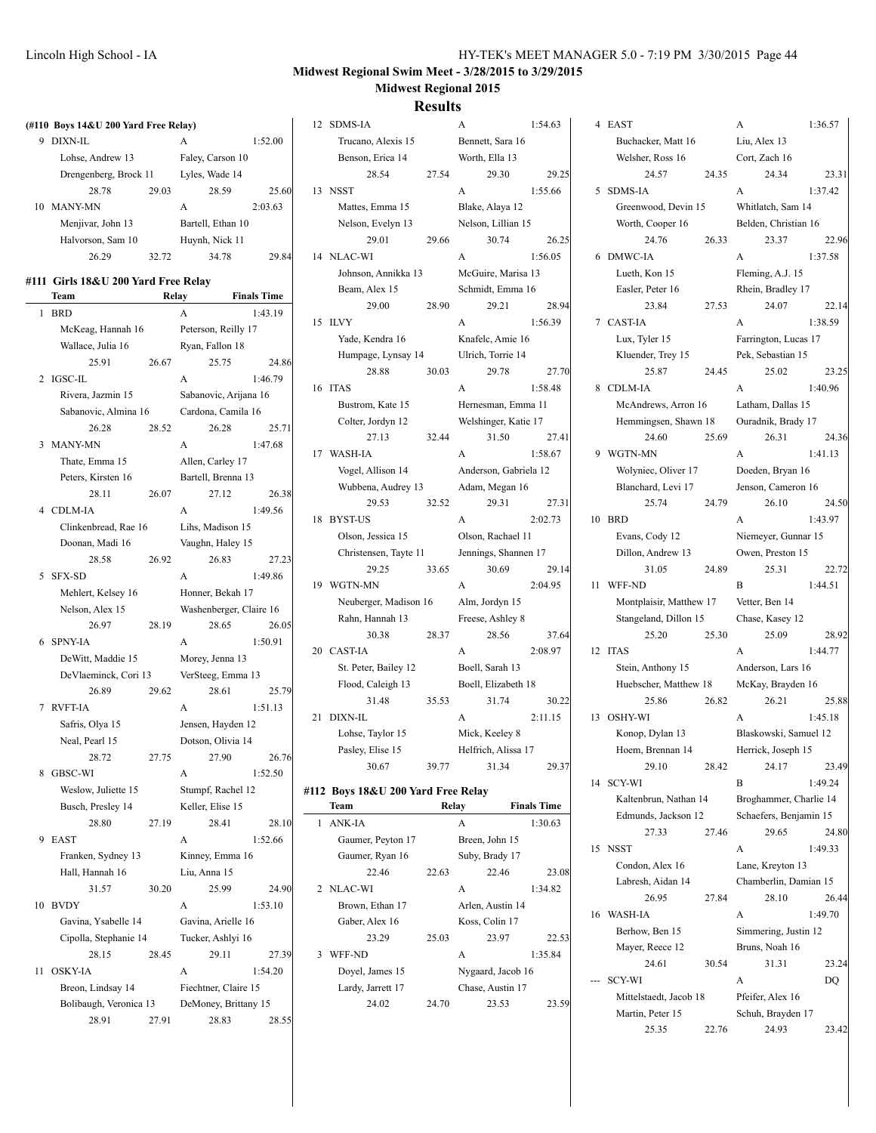$1:36.57$ 

23.31  $1:37.42$ 

22.96 1:37.58

22.14 1:38.59

23.25 1:40.96

24.36  $1:41.13$ 

 $24.50$  $1:43.97$ 

22.72  $1:44.51$ 

28.92  $1:44.77$ 

25.88  $1:45.18$ 

23.49 1:49.24

24.80  $1:49.33$ 

26.44 1:49.70

23.24

23.42

# **Midwest Regional Swim Meet - 3/28/2015 to 3/29/2015 Midwest Regional 2015**

|                                      |                             | Results                            |                                |                              |                                         |
|--------------------------------------|-----------------------------|------------------------------------|--------------------------------|------------------------------|-----------------------------------------|
| (#110 Boys 14&U 200 Yard Free Relay) |                             | 12 SDMS-IA                         | 1:54.63<br>A                   | 4 EAST                       | 1:36.57<br>A                            |
| 9 DIXN-IL                            | 1:52.00<br>A                | Trucano, Alexis 15                 | Bennett, Sara 16               | Buchacker, Matt 16           | Liu, Alex 13                            |
| Lohse, Andrew 13                     | Faley, Carson 10            | Benson, Erica 14                   | Worth, Ella 13                 | Welsher, Ross 16             | Cort, Zach 16                           |
| Drengenberg, Brock 11                | Lyles, Wade 14              | 28.54<br>27.54                     | 29.30<br>29.25                 | 24.57<br>24.35               | 24.34<br>23.                            |
| 28.78<br>29.03                       | 28.59<br>25.60              | 13 NSST                            | A<br>1:55.66                   | 5 SDMS-IA                    | A<br>1:37.42                            |
| 10 MANY-MN                           | A<br>2:03.63                | Mattes, Emma 15                    | Blake, Alaya 12                | Greenwood, Devin 15          | Whitlatch, Sam 14                       |
| Menjivar, John 13                    | Bartell, Ethan 10           | Nelson, Evelyn 13                  | Nelson, Lillian 15             | Worth, Cooper 16             | Belden, Christian 16                    |
| Halvorson, Sam 10                    | Huynh, Nick 11              | 29.01<br>29.66                     | 30.74<br>26.25                 | 24.76<br>26.33               | 23.37<br>22.5                           |
| 26.29<br>32.72                       | 34.78<br>29.84              | 14 NLAC-WI                         | A<br>1:56.05                   | 6 DMWC-IA                    | 1:37.58<br>A                            |
| #111 Girls 18&U 200 Yard Free Relay  |                             | Johnson, Annikka 13                | McGuire, Marisa 13             | Lueth, Kon 15                | Fleming, A.J. 15                        |
| Team                                 | <b>Finals Time</b><br>Relay | Beam, Alex 15                      | Schmidt, Emma 16               | Easler, Peter 16             | Rhein, Bradley 17                       |
| 1 BRD                                | $\mathbf{A}$<br>1:43.19     | 29.00<br>28.90                     | 29.21<br>28.94                 | 23.84<br>27.53               | 24.07<br>22.                            |
| McKeag, Hannah 16                    | Peterson, Reilly 17         | 15 ILVY                            | A<br>1:56.39                   | 7 CAST-IA                    | 1:38.59<br>A                            |
| Wallace, Julia 16                    | Ryan, Fallon 18             | Yade, Kendra 16                    | Knafelc, Amie 16               | Lux, Tyler 15                | Farrington, Lucas 17                    |
| 25.91<br>26.67                       | 25.75<br>24.86              | Humpage, Lynsay 14                 | Ulrich, Torrie 14              | Kluender, Trey 15            | Pek, Sebastian 15                       |
| 2 IGSC-IL                            | A<br>1:46.79                | 28.88<br>30.03                     | 29.78<br>27.70                 | 25.87<br>24.45               | 25.02<br>23.                            |
| Rivera, Jazmin 15                    | Sabanovic, Arijana 16       | 16 ITAS                            | A<br>1:58.48                   | 8 CDLM-IA                    | A<br>1:40.96                            |
| Sabanovic, Almina 16                 | Cardona, Camila 16          | Bustrom, Kate 15                   | Hernesman, Emma 11             | McAndrews, Arron 16          | Latham, Dallas 15                       |
| 26.28<br>28.52                       | 26.28<br>25.71              | Colter, Jordyn 12                  | Welshinger, Katie 17           | Hemmingsen, Shawn 18         | Ouradnik, Brady 17                      |
| 3 MANY-MN                            | 1:47.68<br>A                | 32.44<br>27.13                     | 31.50<br>27.41                 | 24.60<br>25.69               | 26.31<br>24.                            |
| Thate, Emma 15                       | Allen, Carley 17            | 17 WASH-IA                         | A<br>1:58.67                   | 9 WGTN-MN                    | A<br>1:41.13                            |
| Peters, Kirsten 16                   | Bartell, Brenna 13          | Vogel, Allison 14                  | Anderson, Gabriela 12          | Wolyniec, Oliver 17          | Doeden, Bryan 16                        |
| 28.11<br>26.07                       | 27.12<br>26.38              | Wubbena, Audrey 13                 | Adam, Megan 16                 | Blanchard, Levi 17           | Jenson, Cameron 16                      |
| 4 CDLM-IA                            | A<br>1:49.56                | 29.53<br>32.52                     | 29.31<br>27.31                 | 25.74<br>24.79               | 26.10<br>24.                            |
| Clinkenbread, Rae 16                 | Lihs, Madison 15            | 18 BYST-US                         | A<br>2:02.73                   | 10 BRD                       | 1:43.97<br>A                            |
| Doonan, Madi 16                      | Vaughn, Haley 15            | Olson, Jessica 15                  | Olson, Rachael 11              | Evans, Cody 12               | Niemeyer, Gunnar 15                     |
| 28.58<br>26.92                       | 26.83<br>27.23              | Christensen, Tayte 11              | Jennings, Shannen 17           | Dillon, Andrew 13            | Owen, Preston 15                        |
| 5 SFX-SD                             | $\mathbf{A}$<br>1:49.86     | 29.25<br>33.65                     | 30.69<br>29.14                 | 24.89<br>31.05               | 25.31<br>22.                            |
| Mehlert, Kelsey 16                   | Honner, Bekah 17            | 19 WGTN-MN                         | A<br>2:04.95                   | 11 WFF-ND                    | B<br>1:44.51                            |
| Nelson, Alex 15                      | Washenberger, Claire 16     | Neuberger, Madison 16              | Alm, Jordyn 15                 | Montplaisir, Matthew 17      | Vetter, Ben 14                          |
| 26.97<br>28.19                       | 28.65<br>26.05              | Rahn, Hannah 13                    | Freese, Ashley 8               | Stangeland, Dillon 15        | Chase, Kasey 12                         |
| 6 SPNY-IA                            | 1:50.91<br>A                | 30.38<br>28.37                     | 28.56<br>37.64                 | 25.20<br>25.30               | 25.09<br>28.                            |
| DeWitt, Maddie 15                    | Morey, Jenna 13             | 20 CAST-IA                         | A<br>2:08.97                   | 12 ITAS                      | 1:44.77<br>A                            |
| DeVlaeminck, Cori 13                 | VerSteeg, Emma 13           | St. Peter, Bailey 12               | Boell, Sarah 13                | Stein, Anthony 15            | Anderson, Lars 16                       |
| 26.89<br>29.62                       | 28.61<br>25.79              | Flood, Caleigh 13                  | Boell, Elizabeth 18            | Huebscher, Matthew 18        | McKay, Brayden 16                       |
| 7 RVFT-IA                            | A<br>1:51.13                | 31.48<br>35.53<br>21 DIXN-IL       | 31.74<br>30.22<br>2:11.15<br>A | 25.86<br>26.82<br>13 OSHY-WI | 26.21<br>25.<br>$\mathbf{A}$<br>1:45.18 |
| Safris, Olya 15                      | Jensen, Hayden 12           | Lohse, Taylor 15                   | Mick, Keeley 8                 | Konop, Dylan 13              | Blaskowski, Samuel 12                   |
| Neal, Pearl 15                       | Dotson, Olivia 14           | Pasley, Elise 15                   | Helfrich, Alissa 17            | Hoem, Brennan 14             | Herrick, Joseph 15                      |
| 27.75<br>28.72                       | 27.90<br>26.76              | 30.67<br>39.77                     | 31.34<br>29.37                 | 29.10<br>28.42               | 24.17<br>23.5                           |
| 8 GBSC-WI                            | 1:52.50<br>A                |                                    |                                | 14 SCY-WI                    | B<br>1:49.24                            |
| Weslow, Juliette 15                  | Stumpf, Rachel 12           | #112 Boys 18&U 200 Yard Free Relay |                                | Kaltenbrun, Nathan 14        | Broghammer, Charlie 14                  |
| Busch, Presley 14                    | Keller, Elise 15            | Team                               | <b>Finals Time</b><br>Relay    | Edmunds, Jackson 12          | Schaefers, Benjamin 15                  |
| 28.80<br>27.19                       | 28.41<br>28.10              | 1 ANK-IA                           | $\mathbf{A}$<br>1:30.63        | 27.33<br>27.46               | 29.65<br>24.                            |
| 9 EAST                               | 1:52.66<br>A                | Gaumer, Peyton 17                  | Breen, John 15                 | 15 NSST                      | 1:49.33<br>A                            |
| Franken, Sydney 13                   | Kinney, Emma 16             | Gaumer, Ryan 16                    | Suby, Brady 17                 | Condon, Alex 16              | Lane, Kreyton 13                        |
| Hall, Hannah 16                      | Liu, Anna 15                | 22.46<br>22.63                     | 22.46<br>23.08                 | Labresh, Aidan 14            | Chamberlin, Damian 15                   |
| 31.57<br>30.20                       | 25.99<br>24.90              | 2 NLAC-WI                          | 1:34.82<br>A                   | 26.95<br>27.84               | 28.10<br>26.                            |
| 10 BVDY                              | 1:53.10<br>A                | Brown, Ethan 17                    | Arlen, Austin 14               | 16 WASH-IA                   | A<br>1:49.70                            |
| Gavina, Ysabelle 14                  | Gavina, Arielle 16          | Gaber, Alex 16                     | Koss, Colin 17                 | Berhow, Ben 15               | Simmering, Justin 12                    |
| Cipolla, Stephanie 14                | Tucker, Ashlyi 16           | 23.29<br>25.03                     | 23.97<br>22.53                 | Mayer, Reece 12              | Bruns, Noah 16                          |
| 28.15<br>28.45                       | 29.11<br>27.39              | 3 WFF-ND                           | A<br>1:35.84                   | 24.61<br>30.54               | 31.31<br>23.                            |
| 11 OSKY-IA                           | A<br>1:54.20                | Doyel, James 15                    | Nygaard, Jacob 16              | --- SCY-WI                   | A<br>DQ                                 |
| Breon, Lindsay 14                    | Fiechtner, Claire 15        | Lardy, Jarrett 17                  | Chase, Austin 17               | Mittelstaedt, Jacob 18       | Pfeifer, Alex 16                        |
| Bolibaugh, Veronica 13               | DeMoney, Brittany 15        | 24.02<br>24.70                     | 23.53<br>23.59                 | Martin, Peter 15             | Schuh, Brayden 17                       |
| 28.91<br>27.91                       | 28.83<br>28.55              |                                    |                                | 25.35<br>22.76               | 24.93<br>23.                            |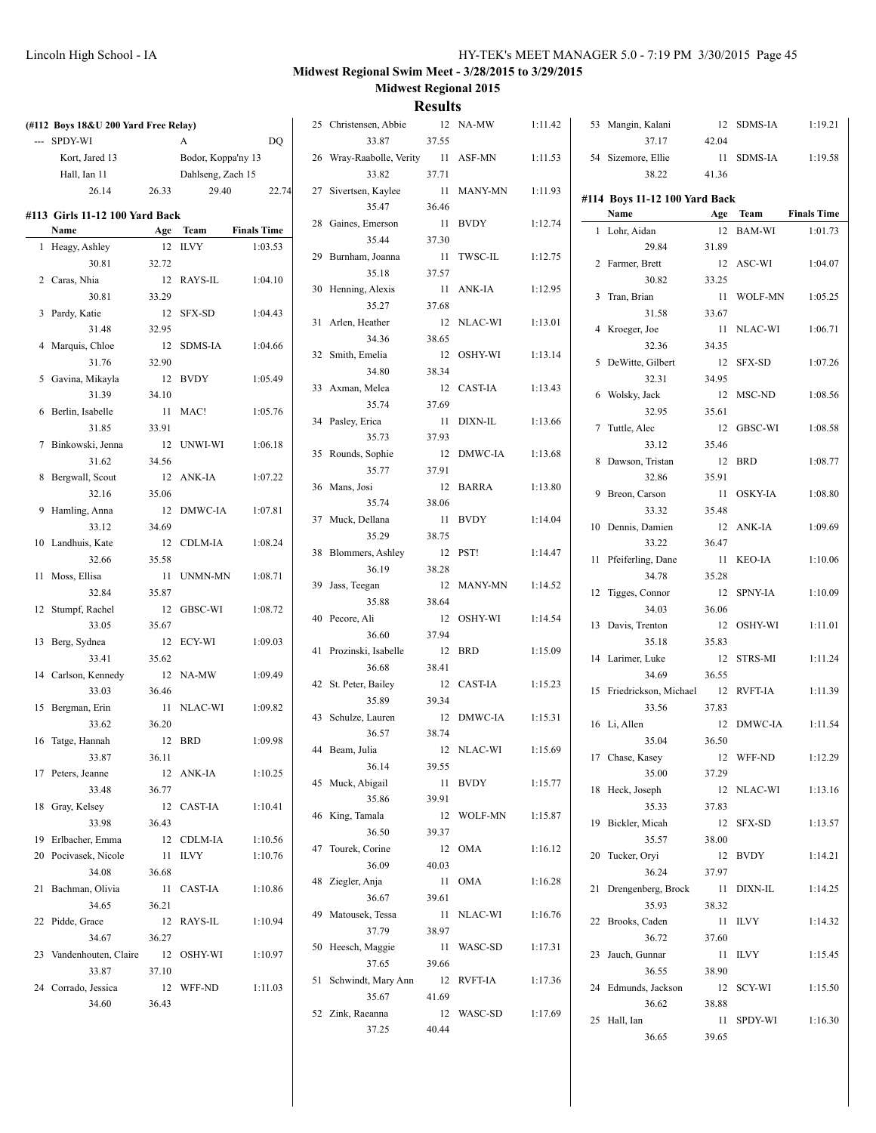| (#112 Boys 18&U 200 Yard Free Relay) |        |                    |                    | 25 Christensen, Abbie      |       | 12 NA-MW   | 1:11.42 | 53 Mangin, Kalani             |       | 12 SDMS-IA | 1:19.21            |
|--------------------------------------|--------|--------------------|--------------------|----------------------------|-------|------------|---------|-------------------------------|-------|------------|--------------------|
| --- SPDY-WI                          |        | A                  | DO                 | 33.87                      | 37.55 |            |         | 37.17                         | 42.04 |            |                    |
| Kort, Jared 13                       |        | Bodor, Koppa'ny 13 |                    | 26 Wray-Raabolle, Verity   |       | 11 ASF-MN  | 1:11.53 | 54 Sizemore, Ellie            |       | 11 SDMS-IA | 1:19.58            |
| Hall, Ian 11                         |        | Dahlseng, Zach 15  |                    | 33.82                      | 37.71 |            |         | 38.22                         | 41.36 |            |                    |
| 26.14                                | 26.33  | 29.40              | 22.74              | 27 Sivertsen, Kaylee       |       | 11 MANY-MN | 1:11.93 | #114 Boys 11-12 100 Yard Back |       |            |                    |
| #113 Girls 11-12 100 Yard Back       |        |                    |                    | 35.47                      | 36.46 |            |         | Name                          |       | Age Team   | <b>Finals Time</b> |
| Name                                 |        | Age Team           | <b>Finals Time</b> | 28 Gaines, Emerson         |       | 11 BVDY    | 1:12.74 | 1 Lohr, Aidan                 |       | 12 BAM-WI  | 1:01.73            |
| 1 Heagy, Ashley                      |        | 12 ILVY            | 1:03.53            | 35.44                      | 37.30 |            |         | 29.84                         | 31.89 |            |                    |
| 30.81                                | 32.72  |                    |                    | 29 Burnham, Joanna         |       | 11 TWSC-IL | 1:12.75 | 2 Farmer, Brett               |       | 12 ASC-WI  | 1:04.07            |
| 2 Caras, Nhia                        |        | 12 RAYS-IL         | 1:04.10            | 35.18                      | 37.57 |            |         | 30.82                         | 33.25 |            |                    |
| 30.81                                | 33.29  |                    |                    | 30 Henning, Alexis         |       | 11 ANK-IA  | 1:12.95 | 3 Tran, Brian                 |       | 11 WOLF-MN | 1:05.25            |
| 3 Pardy, Katie                       |        | 12 SFX-SD          | 1:04.43            | 35.27                      | 37.68 |            |         | 31.58                         | 33.67 |            |                    |
| 31.48                                | 32.95  |                    |                    | 31 Arlen, Heather          |       | 12 NLAC-WI | 1:13.01 | 4 Kroeger, Joe                |       | 11 NLAC-WI | 1:06.71            |
| 4 Marquis, Chloe                     |        | 12 SDMS-IA         | 1:04.66            | 34.36                      | 38.65 |            |         | 32.36                         | 34.35 |            |                    |
| 31.76                                | 32.90  |                    |                    | 32 Smith, Emelia           |       | 12 OSHY-WI | 1:13.14 | 5 DeWitte, Gilbert            |       | 12 SFX-SD  | 1:07.26            |
| 5 Gavina, Mikayla                    |        | 12 BVDY            | 1:05.49            | 34.80                      | 38.34 |            |         | 32.31                         | 34.95 |            |                    |
| 31.39                                | 34.10  |                    |                    | 33 Axman, Melea            |       | 12 CAST-IA | 1:13.43 |                               |       |            |                    |
|                                      |        |                    |                    | 35.74                      | 37.69 |            |         | 6 Wolsky, Jack                |       | 12 MSC-ND  | 1:08.56            |
| 6 Berlin, Isabelle                   |        | 11 MAC!            | 1:05.76            | 34 Pasley, Erica           |       | 11 DIXN-IL | 1:13.66 | 32.95                         | 35.61 |            |                    |
| 31.85                                | 33.91  |                    |                    | 35.73                      | 37.93 |            |         | 7 Tuttle, Alec                |       | 12 GBSC-WI | 1:08.58            |
| 7 Binkowski, Jenna                   |        | 12 UNWI-WI         | 1:06.18            | 35 Rounds, Sophie          |       | 12 DMWC-IA | 1:13.68 | 33.12                         | 35.46 |            |                    |
| 31.62                                | 34.56  |                    |                    | 35.77                      | 37.91 |            |         | 8 Dawson, Tristan             |       | 12 BRD     | 1:08.77            |
| 8 Bergwall, Scout                    |        | 12 ANK-IA          | 1:07.22            | 36 Mans, Josi              |       | 12 BARRA   | 1:13.80 | 32.86                         | 35.91 |            |                    |
| 32.16                                | 35.06  |                    |                    | 35.74                      | 38.06 |            |         | 9 Breon, Carson               |       | 11 OSKY-IA | 1:08.80            |
| 9 Hamling, Anna                      |        | 12 DMWC-IA         | 1:07.81            | 37 Muck, Dellana           |       | 11 BVDY    | 1:14.04 | 33.32                         | 35.48 |            |                    |
| 33.12                                | 34.69  |                    |                    | 35.29                      | 38.75 |            |         | 10 Dennis, Damien             |       | 12 ANK-IA  | 1:09.69            |
| 10 Landhuis, Kate                    |        | 12 CDLM-IA         | 1:08.24            | 38 Blommers, Ashley        |       | 12 PST!    | 1:14.47 | 33.22                         | 36.47 |            |                    |
| 32.66                                | 35.58  |                    |                    | 36.19                      | 38.28 |            |         | 11 Pfeiferling, Dane          |       | 11 KEO-IA  | 1:10.06            |
| 11 Moss, Ellisa                      |        | 11 UNMN-MN         | 1:08.71            | 39 Jass, Teegan            |       | 12 MANY-MN | 1:14.52 | 34.78                         | 35.28 |            |                    |
| 32.84                                | 35.87  |                    |                    | 35.88                      | 38.64 |            |         | 12 Tigges, Connor             |       | 12 SPNY-IA | 1:10.09            |
| 12 Stumpf, Rachel                    |        | 12 GBSC-WI         | 1:08.72            | 40 Pecore, Ali             |       | 12 OSHY-WI | 1:14.54 | 34.03                         | 36.06 |            |                    |
| 33.05                                | 35.67  |                    |                    | 36.60                      | 37.94 |            |         | 13 Davis, Trenton             |       | 12 OSHY-WI | 1:11.01            |
| 13 Berg, Sydnea                      |        | 12 ECY-WI          | 1:09.03            | 41 Prozinski, Isabelle     |       | 12 BRD     | 1:15.09 | 35.18                         | 35.83 |            |                    |
| 33.41                                | 35.62  |                    |                    | 36.68                      | 38.41 |            |         | 14 Larimer, Luke              |       | 12 STRS-MI | 1:11.24            |
| 14 Carlson, Kennedy                  |        | 12 NA-MW           | 1:09.49            | 42 St. Peter, Bailey       |       | 12 CAST-IA | 1:15.23 | 34.69                         | 36.55 |            |                    |
| 33.03                                | 36.46  |                    |                    | 35.89                      | 39.34 |            |         | 15 Friedrickson, Michael      |       | 12 RVFT-IA | 1:11.39            |
| 15 Bergman, Erin                     |        | 11 NLAC-WI         | 1:09.82            | 43 Schulze, Lauren         |       | 12 DMWC-IA | 1:15.31 | 33.56                         | 37.83 |            |                    |
| 33.62                                | 36.20  |                    |                    | 36.57                      | 38.74 |            |         | 16 Li, Allen                  |       | 12 DMWC-IA | 1:11.54            |
| 16 Tatge, Hannah                     | 12 BRD |                    | 1:09.98            | 44 Beam, Julia             |       | 12 NLAC-WI | 1:15.69 | 35.04                         | 36.50 |            |                    |
| 33.87                                | 36.11  |                    |                    | 36.14                      | 39.55 |            |         | 17 Chase, Kasey               |       | 12 WFF-ND  | 1:12.29            |
| 17 Peters, Jeanne                    |        | 12 ANK-IA          | 1:10.25            | 45 Muck, Abigail           |       | 11 BVDY    | 1:15.77 | 35.00                         | 37.29 |            |                    |
| 33.48                                | 36.77  |                    |                    | 35.86                      | 39.91 |            |         | 18 Heck, Joseph               |       | 12 NLAC-WI | 1:13.16            |
| 18 Gray, Kelsey                      |        | 12 CAST-IA         | 1:10.41            | 46 King, Tamala            |       | 12 WOLF-MN | 1:15.87 | 35.33                         | 37.83 |            |                    |
| 33.98                                | 36.43  |                    |                    | 36.50                      | 39.37 |            |         | 19 Bickler, Micah             |       | 12 SFX-SD  | 1:13.57            |
| 19 Erlbacher, Emma                   |        | 12 CDLM-IA         | 1:10.56            | 47 Tourek, Corine          |       | 12 OMA     | 1:16.12 | 35.57                         | 38.00 |            |                    |
| 20 Pocivasek, Nicole                 |        | 11 ILVY            | 1:10.76            | 36.09                      | 40.03 |            |         | 20 Tucker, Oryi               |       | 12 BVDY    | 1:14.21            |
| 34.08                                | 36.68  |                    |                    | 48 Ziegler, Anja           |       | 11 OMA     | 1:16.28 | 36.24                         | 37.97 |            |                    |
| 21 Bachman, Olivia                   |        | 11 CAST-IA         | 1:10.86            | 36.67                      | 39.61 |            |         | 21 Drengenberg, Brock         |       | 11 DIXN-IL | 1:14.25            |
| 34.65                                | 36.21  |                    |                    | 49 Matousek, Tessa         |       | 11 NLAC-WI | 1:16.76 | 35.93                         | 38.32 |            |                    |
| 22 Pidde, Grace                      |        | 12 RAYS-IL         | 1:10.94            | 37.79                      | 38.97 |            |         | 22 Brooks, Caden              |       | 11 ILVY    | 1:14.32            |
| 34.67                                | 36.27  |                    |                    |                            |       |            |         | 36.72                         | 37.60 |            |                    |
| 23 Vandenhouten, Claire              |        | 12 OSHY-WI         | 1:10.97            | 50 Heesch, Maggie<br>37.65 | 39.66 | 11 WASC-SD | 1:17.31 | 23 Jauch, Gunnar              |       | 11 ILVY    | 1:15.45            |
| 33.87                                | 37.10  |                    |                    | 51 Schwindt, Mary Ann      |       | 12 RVFT-IA | 1:17.36 | 36.55                         | 38.90 |            |                    |
| 24 Corrado, Jessica                  |        | 12 WFF-ND          | 1:11.03            | 35.67                      | 41.69 |            |         | 24 Edmunds, Jackson           |       | 12 SCY-WI  | 1:15.50            |
| 34.60                                | 36.43  |                    |                    | 52 Zink, Raeanna           |       | 12 WASC-SD | 1:17.69 | 36.62                         | 38.88 |            |                    |
|                                      |        |                    |                    | 37.25                      | 40.44 |            |         | 25 Hall, Ian                  |       | 11 SPDY-WI | 1:16.30            |
|                                      |        |                    |                    |                            |       |            |         | 36.65                         | 39.65 |            |                    |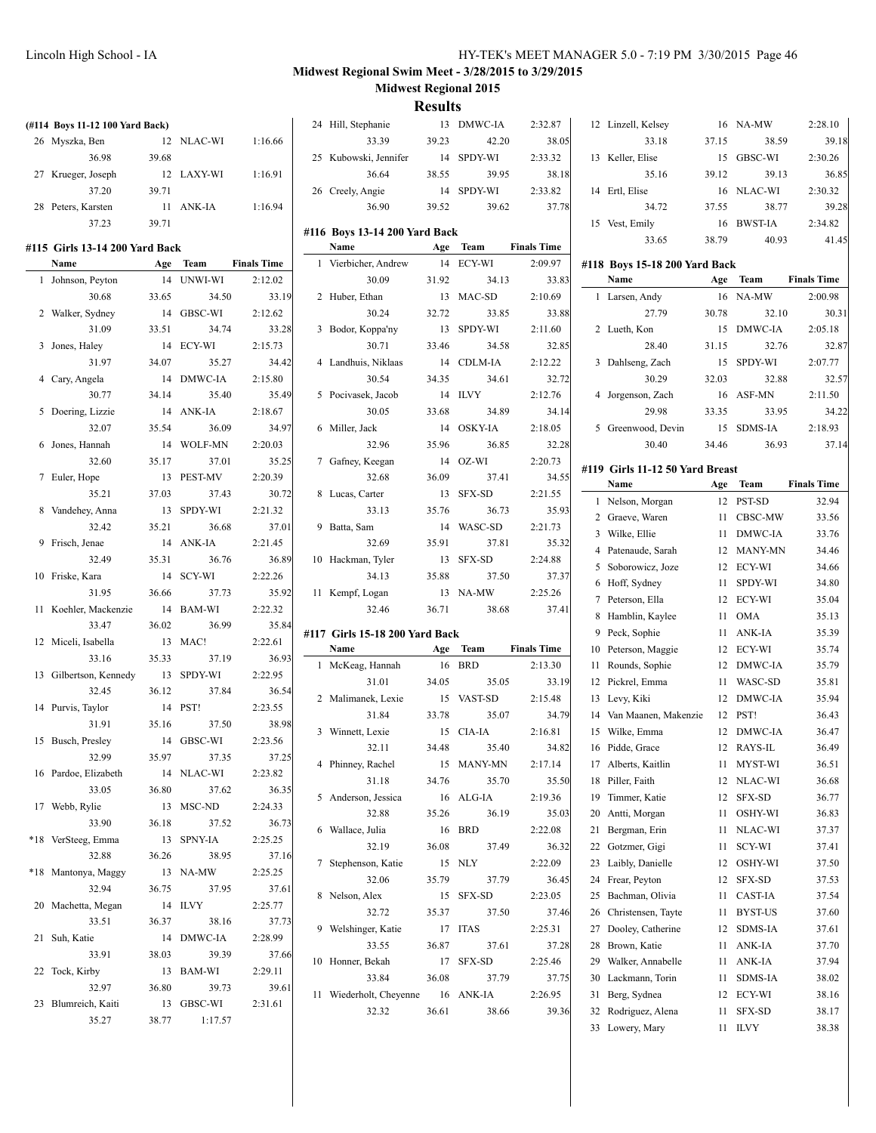|                                 |       |            |                    |                                       | mesures |            |                    |                                 |       |            |                    |
|---------------------------------|-------|------------|--------------------|---------------------------------------|---------|------------|--------------------|---------------------------------|-------|------------|--------------------|
| (#114 Boys 11-12 100 Yard Back) |       |            |                    | 24 Hill, Stephanie                    |         | 13 DMWC-IA | 2:32.87            | 12 Linzell, Kelsey              |       | 16 NA-MW   | 2:28.10            |
| 26 Myszka, Ben                  |       | 12 NLAC-WI | 1:16.66            | 33.39                                 | 39.23   | 42.20      | 38.05              | 33.18                           | 37.15 | 38.59      | 39.18              |
| 36.98                           | 39.68 |            |                    | 25 Kubowski, Jennifer                 |         | 14 SPDY-WI | 2:33.32            | 13 Keller, Elise                |       | 15 GBSC-WI | 2:30.26            |
| 27 Krueger, Joseph              |       | 12 LAXY-WI | 1:16.91            | 36.64                                 | 38.55   | 39.95      | 38.18              | 35.16                           | 39.12 | 39.13      | 36.85              |
| 37.20                           | 39.71 |            |                    | 26 Creely, Angie                      |         | 14 SPDY-WI | 2:33.82            | 14 Ertl, Elise                  |       | 16 NLAC-WI | 2:30.32            |
| 28 Peters, Karsten              |       | 11 ANK-IA  | 1:16.94            | 36.90                                 | 39.52   | 39.62      | 37.78              | 34.72                           | 37.55 | 38.77      | 39.28              |
| 37.23                           | 39.71 |            |                    |                                       |         |            |                    | 15 Vest, Emily                  |       | 16 BWST-IA | 2:34.82            |
| #115 Girls 13-14 200 Yard Back  |       |            |                    | #116 Boys 13-14 200 Yard Back<br>Name |         | Age Team   | <b>Finals Time</b> | 33.65                           | 38.79 | 40.93      | 41.45              |
| Name                            |       | Age Team   | <b>Finals Time</b> | 1 Vierbicher, Andrew                  |         | 14 ECY-WI  | 2:09.97            | #118 Boys 15-18 200 Yard Back   |       |            |                    |
| 1 Johnson, Peyton               |       | 14 UNWI-WI | 2:12.02            | 30.09                                 | 31.92   | 34.13      | 33.83              | Name                            |       | Age Team   | <b>Finals Time</b> |
| 30.68                           | 33.65 | 34.50      | 33.19              | 2 Huber, Ethan                        |         | 13 MAC-SD  | 2:10.69            | 1 Larsen, Andy                  |       | 16 NA-MW   | 2:00.98            |
| 2 Walker, Sydney                |       | 14 GBSC-WI | 2:12.62            | 30.24                                 | 32.72   | 33.85      | 33.88              | 27.79                           | 30.78 | 32.10      | 30.31              |
| 31.09                           | 33.51 | 34.74      | 33.28              | 3 Bodor, Koppa'ny                     |         | 13 SPDY-WI | 2:11.60            | 2 Lueth, Kon                    |       | 15 DMWC-IA | 2:05.18            |
| 3 Jones, Haley                  |       | 14 ECY-WI  | 2:15.73            | 30.71                                 | 33.46   | 34.58      | 32.85              | 28.40                           | 31.15 | 32.76      | 32.87              |
| 31.97                           | 34.07 | 35.27      | 34.42              | 4 Landhuis, Niklaas                   |         | 14 CDLM-IA | 2:12.22            | 3 Dahlseng, Zach                |       | 15 SPDY-WI | 2:07.77            |
| 4 Cary, Angela                  |       | 14 DMWC-IA | 2:15.80            | 30.54                                 | 34.35   | 34.61      | 32.72              | 30.29                           | 32.03 | 32.88      | 32.57              |
| 30.77                           | 34.14 | 35.40      | 35.49              | 5 Pocivasek, Jacob                    |         | 14 ILVY    | 2:12.76            | 4 Jorgenson, Zach               |       | 16 ASF-MN  | 2:11.50            |
| 5 Doering, Lizzie               |       | 14 ANK-IA  | 2:18.67            | 30.05                                 | 33.68   | 34.89      | 34.14              | 29.98                           | 33.35 | 33.95      | 34.22              |
| 32.07                           | 35.54 | 36.09      | 34.97              | 6 Miller, Jack                        |         | 14 OSKY-IA | 2:18.05            | 5 Greenwood, Devin              |       | 15 SDMS-IA | 2:18.93            |
| 6 Jones, Hannah                 |       | 14 WOLF-MN | 2:20.03            | 32.96                                 | 35.96   | 36.85      | 32.28              | 30.40                           | 34.46 | 36.93      | 37.14              |
| 32.60                           | 35.17 | 37.01      | 35.25              | 7 Gafney, Keegan                      |         | 14 OZ-WI   | 2:20.73            |                                 |       |            |                    |
| 7 Euler, Hope                   |       | 13 PEST-MV | 2:20.39            | 32.68                                 | 36.09   | 37.41      | 34.55              | #119 Girls 11-12 50 Yard Breast |       |            |                    |
| 35.21                           | 37.03 | 37.43      | 30.72              | 8 Lucas, Carter                       |         | 13 SFX-SD  | 2:21.55            | Name                            |       | Age Team   | <b>Finals Time</b> |
| 8 Vandehey, Anna                |       | 13 SPDY-WI | 2:21.32            | 33.13                                 | 35.76   | 36.73      | 35.93              | 1 Nelson, Morgan                |       | 12 PST-SD  | 32.94              |
| 32.42                           | 35.21 | 36.68      | 37.01              | 9 Batta, Sam                          |         | 14 WASC-SD | 2:21.73            | 2 Graeve, Waren                 |       | 11 CBSC-MW | 33.56              |
| 9 Frisch, Jenae                 |       | 14 ANK-IA  | 2:21.45            | 32.69                                 | 35.91   | 37.81      | 35.32              | 3 Wilke, Ellie                  |       | 11 DMWC-IA | 33.76              |
| 32.49                           | 35.31 | 36.76      | 36.89              | 10 Hackman, Tyler                     |         | 13 SFX-SD  | 2:24.88            | 4 Patenaude, Sarah              |       | 12 MANY-MN | 34.46              |
| 10 Friske, Kara                 |       | 14 SCY-WI  | 2:22.26            | 34.13                                 | 35.88   | 37.50      | 37.37              | 5 Soborowicz, Joze              |       | 12 ECY-WI  | 34.66              |
| 31.95                           | 36.66 | 37.73      | 35.92              | 11 Kempf, Logan                       |         | 13 NA-MW   | 2:25.26            | 6 Hoff, Sydney                  |       | 11 SPDY-WI | 34.80              |
| 11 Koehler, Mackenzie           |       | 14 BAM-WI  | 2:22.32            | 32.46                                 | 36.71   | 38.68      | 37.41              | 7 Peterson, Ella                |       | 12 ECY-WI  | 35.04              |
| 33.47                           | 36.02 | 36.99      | 35.84              |                                       |         |            |                    | 8 Hamblin, Kaylee               |       | 11 OMA     | 35.13              |
| 12 Miceli, Isabella             |       | 13 MAC!    | 2:22.61            | #117 Girls 15-18 200 Yard Back        |         |            |                    | 9 Peck, Sophie                  |       | 11 ANK-IA  | 35.39              |
| 33.16                           | 35.33 | 37.19      | 36.93              | Name                                  |         | Age Team   | <b>Finals Time</b> | 10 Peterson, Maggie             |       | 12 ECY-WI  | 35.74              |
| 13 Gilbertson, Kennedy          |       | 13 SPDY-WI | 2:22.95            | 1 McKeag, Hannah                      |         | 16 BRD     | 2:13.30            | 11 Rounds, Sophie               |       | 12 DMWC-IA | 35.79              |
| 32.45                           | 36.12 | 37.84      | 36.54              | 31.01                                 | 34.05   | 35.05      | 33.19              | 12 Pickrel, Emma                |       | 11 WASC-SD | 35.81              |
| 14 Purvis, Taylor               |       | 14 PST!    | 2:23.55            | 2 Malimanek, Lexie                    |         | 15 VAST-SD | 2:15.48            | 13 Levy, Kiki                   |       | 12 DMWC-IA | 35.94              |
| 31.91                           | 35.16 | 37.50      | 38.98              | 31.84                                 | 33.78   | 35.07      | 34.79              | 14 Van Maanen, Makenzie         |       | 12 PST!    | 36.43              |
| 15 Busch, Presley               |       | 14 GBSC-WI | 2:23.56            | 3 Winnett, Lexie                      |         | 15 CIA-IA  | 2:16.81            | 15 Wilke, Emma                  |       | 12 DMWC-IA | 36.47              |
| 32.99                           | 35.97 | 37.35      | 37.25              | 32.11                                 | 34.48   | 35.40      | 34.82              | 16 Pidde, Grace                 |       | 12 RAYS-IL | 36.49              |
| 16 Pardoe, Elizabeth            |       | 14 NLAC-WI | 2:23.82            | 4 Phinney, Rachel                     |         | 15 MANY-MN | 2:17.14            | 17 Alberts, Kaitlin             |       | 11 MYST-WI | 36.51              |
| 33.05                           | 36.80 | 37.62      | 36.35              | 31.18                                 | 34.76   | 35.70      | 35.50              | 18 Piller, Faith                |       | 12 NLAC-WI | 36.68              |
| 17 Webb, Rylie                  |       | 13 MSC-ND  | 2:24.33            | 5 Anderson, Jessica                   |         | 16 ALG-IA  | 2:19.36            | 19 Timmer, Katie                |       | 12 SFX-SD  | 36.77              |
| 33.90                           | 36.18 | 37.52      | 36.73              | 32.88                                 | 35.26   | 36.19      | 35.03              | 20 Antti, Morgan                |       | 11 OSHY-WI | 36.83              |
| *18 VerSteeg, Emma              |       | 13 SPNY-IA | 2:25.25            | 6 Wallace, Julia                      |         | 16 BRD     | 2:22.08            | 21 Bergman, Erin                |       | 11 NLAC-WI | 37.37              |
| 32.88                           | 36.26 | 38.95      | 37.16              | 32.19                                 | 36.08   | 37.49      | 36.32              | 22 Gotzmer, Gigi                | 11    | SCY-WI     | 37.41              |
|                                 |       | 13 NA-MW   |                    | 7 Stephenson, Katie                   |         | 15 NLY     | 2:22.09            | 23 Laibly, Danielle             | 12    | OSHY-WI    | 37.50              |
| *18 Mantonya, Maggy             |       |            | 2:25.25            | 32.06                                 | 35.79   | 37.79      | 36.45              | 24 Frear, Peyton                | 12    | SFX-SD     | 37.53              |
| 32.94                           | 36.75 | 37.95      | 37.61              | 8 Nelson, Alex                        |         | 15 SFX-SD  | 2:23.05            | 25 Bachman, Olivia              |       | 11 CAST-IA | 37.54              |
| 20 Machetta, Megan              |       | 14 ILVY    | 2:25.77            | 32.72                                 | 35.37   | 37.50      | 37.46              | 26 Christensen, Tayte           |       | 11 BYST-US | 37.60              |
| 33.51                           | 36.37 | 38.16      | 37.73              | 9 Welshinger, Katie                   |         | 17 ITAS    | 2:25.31            | 27 Dooley, Catherine            |       | 12 SDMS-IA | 37.61              |
| 21 Suh, Katie                   |       | 14 DMWC-IA | 2:28.99            | 33.55                                 | 36.87   | 37.61      | 37.28              | 28 Brown, Katie                 |       | 11 ANK-IA  | 37.70              |
| 33.91                           | 38.03 | 39.39      | 37.66              | 10 Honner, Bekah                      |         | 17 SFX-SD  | 2:25.46            | 29 Walker, Annabelle            |       | 11 ANK-IA  | 37.94              |
| 22 Tock, Kirby                  |       | 13 BAM-WI  | 2:29.11            | 33.84                                 | 36.08   | 37.79      | 37.75              | 30 Lackmann, Torin              |       | 11 SDMS-IA | 38.02              |
| 32.97                           | 36.80 | 39.73      | 39.61              | 11 Wiederholt, Cheyenne               |         | 16 ANK-IA  | 2:26.95            | 31 Berg, Sydnea                 |       | 12 ECY-WI  | 38.16              |
| 23 Blumreich, Kaiti             |       | 13 GBSC-WI | 2:31.61            | 32.32                                 | 36.61   | 38.66      | 39.36              | 32 Rodriguez, Alena             |       | 11 SFX-SD  | 38.17              |
| 35.27                           | 38.77 | 1:17.57    |                    |                                       |         |            |                    | 33 Lowery, Mary                 |       | 11 ILVY    | 38.38              |
|                                 |       |            |                    |                                       |         |            |                    |                                 |       |            |                    |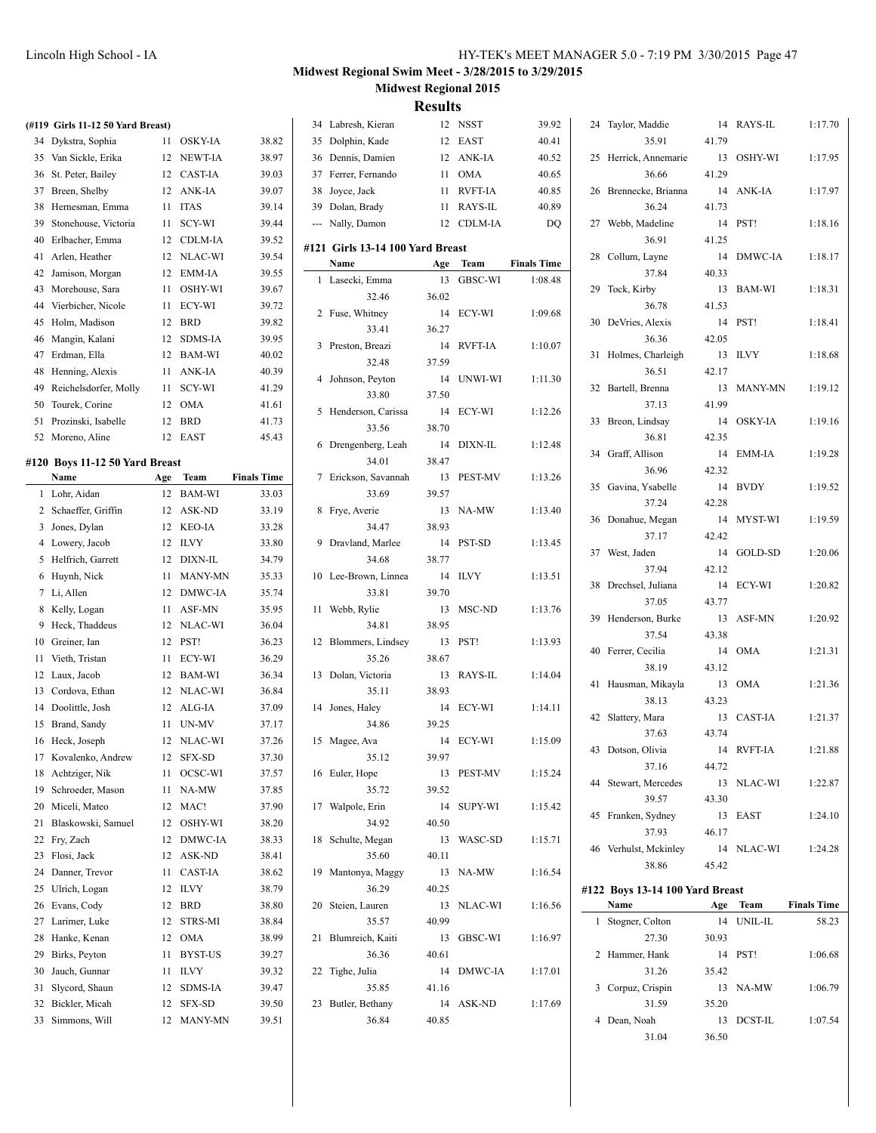#### **Midwest Regional Swim Meet - 3/28/2015 to 3/29/2015 Midwest Regional 2015**

|    | (#119 Girls 11-12 50 Yard Breast) |     |            |                    | 34 Labresh, Kieran               |       | 12 NSST    | 39.92              | 24 Taylor, Maddie               |       | 14 RAYS-IL | 1:17.70            |
|----|-----------------------------------|-----|------------|--------------------|----------------------------------|-------|------------|--------------------|---------------------------------|-------|------------|--------------------|
|    | 34 Dykstra, Sophia                |     | 11 OSKY-IA | 38.82              | 35 Dolphin, Kade                 |       | 12 EAST    | 40.41              | 35.91                           | 41.79 |            |                    |
|    | 35 Van Sickle, Erika              |     | 12 NEWT-IA | 38.97              | 36 Dennis, Damien                |       | 12 ANK-IA  | 40.52              | 25 Herrick, Annemarie           |       | 13 OSHY-WI | 1:17.95            |
|    | 36 St. Peter, Bailey              |     | 12 CAST-IA | 39.03              | 37 Ferrer, Fernando              |       | 11 OMA     | 40.65              | 36.66                           | 41.29 |            |                    |
|    | 37 Breen, Shelby                  |     | 12 ANK-IA  | 39.07              | 38 Joyce, Jack                   |       | 11 RVFT-IA | 40.85              | 26 Brennecke, Brianna           |       | 14 ANK-IA  | 1:17.97            |
|    | 38 Hernesman, Emma                |     | 11 ITAS    | 39.14              | 39 Dolan, Brady                  |       | 11 RAYS-IL | 40.89              | 36.24                           | 41.73 |            |                    |
|    | 39 Stonehouse, Victoria           |     | 11 SCY-WI  | 39.44              | --- Nally, Damon                 |       | 12 CDLM-IA | DQ                 | 27 Webb, Madeline               | 14    | PST!       | 1:18.16            |
|    | 40 Erlbacher, Emma                |     | 12 CDLM-IA | 39.52              |                                  |       |            |                    | 36.91                           | 41.25 |            |                    |
|    | 41 Arlen, Heather                 |     | 12 NLAC-WI | 39.54              | #121 Girls 13-14 100 Yard Breast |       |            |                    | 28 Collum, Layne                |       | 14 DMWC-IA | 1:18.17            |
| 42 | Jamison, Morgan                   |     | 12 EMM-IA  | 39.55              | Name                             | Age   | Team       | <b>Finals Time</b> | 37.84                           | 40.33 |            |                    |
|    | 43 Morehouse, Sara                |     | 11 OSHY-WI | 39.67              | 1 Lasecki, Emma                  |       | 13 GBSC-WI | 1:08.48            | 29 Tock, Kirby                  |       | 13 BAM-WI  | 1:18.31            |
| 44 | Vierbicher, Nicole                |     | 11 ECY-WI  | 39.72              | 32.46                            | 36.02 |            |                    | 36.78                           | 41.53 |            |                    |
|    | 45 Holm, Madison                  |     | 12 BRD     | 39.82              | 2 Fuse, Whitney                  |       | 14 ECY-WI  | 1:09.68            | 30 DeVries, Alexis              | 14    | PST!       | 1:18.41            |
|    | 46 Mangin, Kalani                 |     | 12 SDMS-IA | 39.95              | 33.41                            | 36.27 |            |                    | 36.36                           | 42.05 |            |                    |
|    | 47 Erdman, Ella                   |     | 12 BAM-WI  | 40.02              | 3 Preston, Breazi                |       | 14 RVFT-IA | 1:10.07            | 31 Holmes, Charleigh            |       | 13 ILVY    | 1:18.68            |
|    | 48 Henning, Alexis                |     | 11 ANK-IA  | 40.39              | 32.48                            | 37.59 |            |                    | 36.51                           | 42.17 |            |                    |
|    | 49 Reichelsdorfer, Molly          |     | 11 SCY-WI  | 41.29              | 4 Johnson, Peyton                |       | 14 UNWI-WI | 1:11.30            | 32 Bartell, Brenna              |       | 13 MANY-MN | 1:19.12            |
|    | 50 Tourek, Corine                 |     | 12 OMA     | 41.61              | 33.80                            | 37.50 |            |                    | 37.13                           | 41.99 |            |                    |
|    | 51 Prozinski, Isabelle            |     | 12 BRD     | 41.73              | 5 Henderson, Carissa             |       | 14 ECY-WI  | 1:12.26            | 33 Breon, Lindsay               |       | 14 OSKY-IA | 1:19.16            |
|    | 52 Moreno, Aline                  |     | 12 EAST    | 45.43              | 33.56                            | 38.70 |            |                    | 36.81                           | 42.35 |            |                    |
|    |                                   |     |            |                    | 6 Drengenberg, Leah              |       | 14 DIXN-IL | 1:12.48            | 34 Graff, Allison               |       | 14 EMM-IA  | 1:19.28            |
|    | #120 Boys 11-12 50 Yard Breast    |     |            |                    | 34.01                            | 38.47 |            |                    | 36.96                           | 42.32 |            |                    |
|    | Name                              | Age | Team       | <b>Finals Time</b> | 7 Erickson, Savannah             |       | 13 PEST-MV | 1:13.26            |                                 |       |            |                    |
|    | 1 Lohr, Aidan                     |     | 12 BAM-WI  | 33.03              | 33.69                            | 39.57 |            |                    | 35 Gavina, Ysabelle             |       | 14 BVDY    | 1:19.52            |
|    | 2 Schaeffer, Griffin              |     | 12 ASK-ND  | 33.19              | 8 Frye, Averie                   |       | 13 NA-MW   | 1:13.40            | 37.24                           | 42.28 |            |                    |
|    | 3 Jones, Dylan                    |     | 12 KEO-IA  | 33.28              | 34.47                            | 38.93 |            |                    | 36 Donahue, Megan               |       | 14 MYST-WI | 1:19.59            |
|    | 4 Lowery, Jacob                   |     | 12 ILVY    | 33.80              | 9 Dravland, Marlee               |       | 14 PST-SD  | 1:13.45            | 37.17                           | 42.42 |            |                    |
|    | 5 Helfrich, Garrett               |     | 12 DIXN-IL | 34.79              | 34.68                            | 38.77 |            |                    | 37 West, Jaden                  |       | 14 GOLD-SD | 1:20.06            |
|    | 6 Huynh, Nick                     |     | 11 MANY-MN | 35.33              | 10 Lee-Brown, Linnea             |       | 14 ILVY    | 1:13.51            | 37.94                           | 42.12 |            |                    |
|    | 7 Li, Allen                       |     | 12 DMWC-IA | 35.74              | 33.81                            | 39.70 |            |                    | 38 Drechsel, Juliana            |       | 14 ECY-WI  | 1:20.82            |
|    | 8 Kelly, Logan                    |     | 11 ASF-MN  | 35.95              | 11 Webb, Rylie                   |       | 13 MSC-ND  | 1:13.76            | 37.05                           | 43.77 |            |                    |
|    | 9 Heck, Thaddeus                  |     | 12 NLAC-WI | 36.04              | 34.81                            | 38.95 |            |                    | 39 Henderson, Burke             |       | 13 ASF-MN  | 1:20.92            |
|    | 10 Greiner, Ian                   |     | 12 PST!    | 36.23              | 12 Blommers, Lindsey             |       | 13 PST!    | 1:13.93            | 37.54                           | 43.38 |            |                    |
|    | 11 Vieth, Tristan                 |     | 11 ECY-WI  | 36.29              | 35.26                            | 38.67 |            |                    | 40 Ferrer, Cecilia              |       | 14 OMA     | 1:21.31            |
|    | 12 Laux, Jacob                    |     | 12 BAM-WI  | 36.34              | 13 Dolan, Victoria               |       | 13 RAYS-IL | 1:14.04            | 38.19                           | 43.12 |            |                    |
|    | 13 Cordova, Ethan                 |     | 12 NLAC-WI | 36.84              | 35.11                            | 38.93 |            |                    | 41 Hausman, Mikayla             |       | 13 OMA     | 1:21.36            |
|    | 14 Doolittle, Josh                |     | 12 ALG-IA  | 37.09              | 14 Jones, Haley                  |       | 14 ECY-WI  | 1:14.11            | 38.13                           | 43.23 |            |                    |
|    | 15 Brand, Sandy                   |     | 11 UN-MV   | 37.17              | 34.86                            | 39.25 |            |                    | 42 Slattery, Mara               |       | 13 CAST-IA | 1:21.37            |
|    | 16 Heck, Joseph                   |     | 12 NLAC-WI | 37.26              | 15 Magee, Ava                    |       | 14 ECY-WI  | 1:15.09            | 37.63                           | 43.74 |            |                    |
|    | 17 Kovalenko, Andrew              |     | 12 SFX-SD  | 37.30              | 35.12                            | 39.97 |            |                    | 43 Dotson, Olivia               |       | 14 RVFT-IA | 1:21.88            |
|    | 18 Achtziger, Nik                 |     | 11 OCSC-WI | 37.57              | 16 Euler, Hope                   |       | 13 PEST-MV | 1:15.24            | 37.16                           | 44.72 |            |                    |
|    | 19 Schroeder, Mason               |     | 11 NA-MW   | 37.85              | 35.72                            | 39.52 |            |                    | 44 Stewart, Mercedes            |       | 13 NLAC-WI | 1:22.87            |
|    | 20 Miceli, Mateo                  |     | 12 MAC!    | 37.90              | 17 Walpole, Erin                 |       | 14 SUPY-WI | 1:15.42            | 39.57                           | 43.30 |            |                    |
|    | 21 Blaskowski, Samuel             |     | 12 OSHY-WI | 38.20              | 34.92                            | 40.50 |            |                    | 45 Franken, Sydney              |       | 13 EAST    | 1:24.10            |
|    | 22 Fry, Zach                      |     | 12 DMWC-IA | 38.33              | 18 Schulte, Megan                |       | 13 WASC-SD | 1:15.71            | 37.93                           | 46.17 |            |                    |
|    | 23 Flosi, Jack                    |     | 12 ASK-ND  | 38.41              | 35.60                            | 40.11 |            |                    | 46 Verhulst, Mckinley           |       | 14 NLAC-WI | 1:24.28            |
|    | 24 Danner, Trevor                 |     | 11 CAST-IA | 38.62              | 19 Mantonya, Maggy               |       | 13 NA-MW   | 1:16.54            | 38.86                           | 45.42 |            |                    |
|    | 25 Ulrich, Logan                  |     | 12 ILVY    | 38.79              | 36.29                            | 40.25 |            |                    | #122 Boys 13-14 100 Yard Breast |       |            |                    |
|    | 26 Evans, Cody                    |     | 12 BRD     | 38.80              | 20 Steien, Lauren                |       | 13 NLAC-WI | 1:16.56            | Name                            | Age   | Team       | <b>Finals Time</b> |
|    | 27 Larimer, Luke                  |     | 12 STRS-MI | 38.84              | 35.57                            | 40.99 |            |                    | 1 Stogner, Colton               |       | 14 UNIL-IL | 58.23              |
|    | 28 Hanke, Kenan                   |     | 12 OMA     | 38.99              | 21 Blumreich, Kaiti              |       | 13 GBSC-WI | 1:16.97            | 27.30                           | 30.93 |            |                    |
|    | 29 Birks, Peyton                  |     | 11 BYST-US | 39.27              | 36.36                            | 40.61 |            |                    | 2 Hammer, Hank                  |       | 14 PST!    | 1:06.68            |
|    | 30 Jauch, Gunnar                  |     | 11 ILVY    | 39.32              | 22 Tighe, Julia                  |       | 14 DMWC-IA | 1:17.01            | 31.26                           | 35.42 |            |                    |
|    | 31 Slycord, Shaun                 |     | 12 SDMS-IA | 39.47              | 35.85                            | 41.16 |            |                    | 3 Corpuz, Crispin               |       | 13 NA-MW   | 1:06.79            |
|    | 32 Bickler, Micah                 |     | 12 SFX-SD  | 39.50              | 23 Butler, Bethany               |       | 14 ASK-ND  | 1:17.69            | 31.59                           | 35.20 |            |                    |
|    | 33 Simmons, Will                  |     | 12 MANY-MN | 39.51              | 36.84                            | 40.85 |            |                    | 4 Dean, Noah                    |       | 13 DCST-IL | 1:07.54            |
|    |                                   |     |            |                    |                                  |       |            |                    | 31.04                           | 36.50 |            |                    |
|    |                                   |     |            |                    |                                  |       |            |                    |                                 |       |            |                    |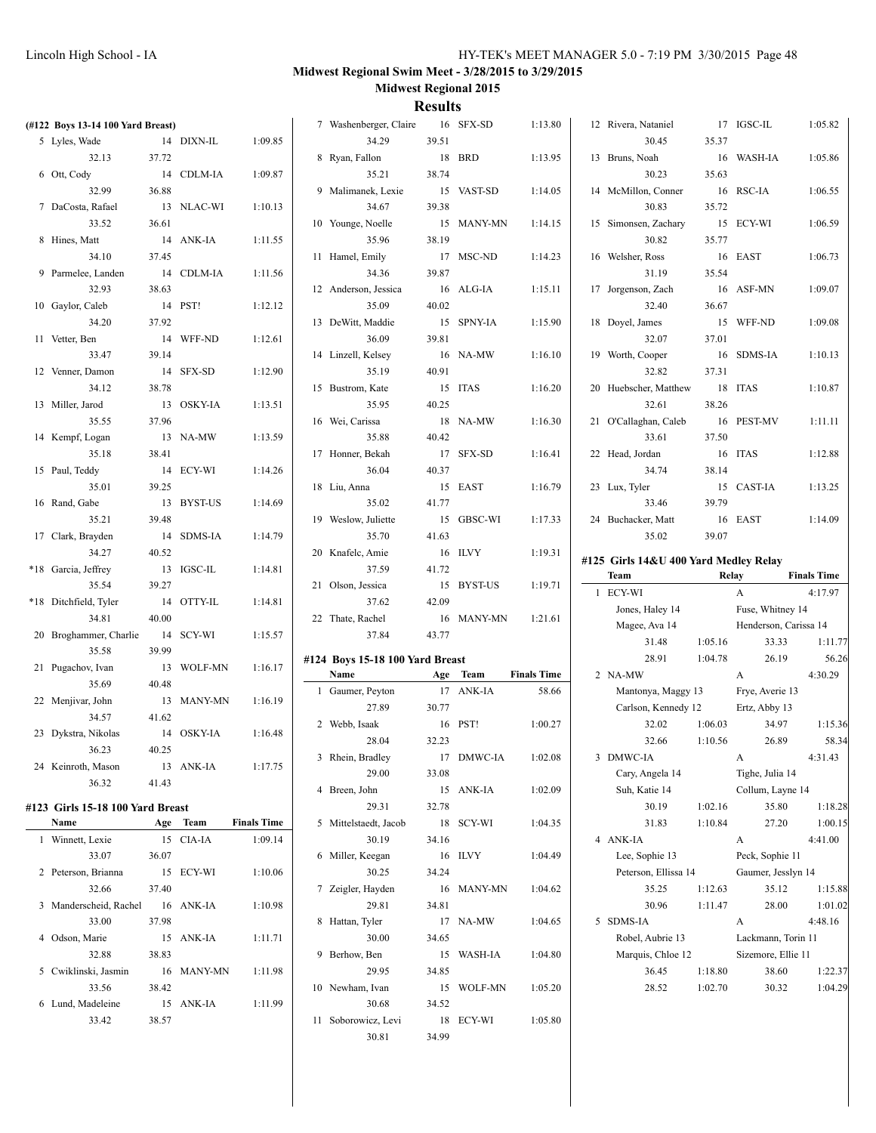| (#122 Boys 13-14 100 Yard Breast)        |       |            |                    | 7 Washenberger, Claire          |       | 16 SFX-SD  | 1:13.80            | 12 Rivera, Nataniel                   |         | 17 IGSC-IL                  | 1:05.82            |
|------------------------------------------|-------|------------|--------------------|---------------------------------|-------|------------|--------------------|---------------------------------------|---------|-----------------------------|--------------------|
| 5 Lyles, Wade                            |       | 14 DIXN-IL | 1:09.85            | 34.29                           | 39.51 |            |                    | 30.45                                 | 35.37   |                             |                    |
| 32.13                                    | 37.72 |            |                    | 8 Ryan, Fallon                  |       | 18 BRD     | 1:13.95            | 13 Bruns, Noah                        |         | 16 WASH-IA                  | 1:05.86            |
| 6 Ott, Cody                              |       | 14 CDLM-IA | 1:09.87            | 35.21                           | 38.74 |            |                    | 30.23                                 | 35.63   |                             |                    |
| 32.99                                    | 36.88 |            |                    | 9 Malimanek, Lexie              |       | 15 VAST-SD | 1:14.05            | 14 McMillon, Conner                   |         | 16 RSC-IA                   | 1:06.55            |
| 7 DaCosta, Rafael                        |       | 13 NLAC-WI | 1:10.13            | 34.67                           | 39.38 |            |                    | 30.83                                 | 35.72   |                             |                    |
| 33.52                                    | 36.61 |            |                    | 10 Younge, Noelle               |       | 15 MANY-MN | 1:14.15            | 15 Simonsen, Zachary                  |         | 15 ECY-WI                   | 1:06.59            |
| 8 Hines, Matt                            |       | 14 ANK-IA  | 1:11.55            | 35.96                           | 38.19 |            |                    | 30.82                                 | 35.77   |                             |                    |
| 34.10                                    | 37.45 |            |                    | 11 Hamel, Emily                 |       | 17 MSC-ND  | 1:14.23            | 16 Welsher, Ross                      |         | 16 EAST                     | 1:06.73            |
| 9 Parmelee, Landen                       |       | 14 CDLM-IA | 1:11.56            | 34.36                           | 39.87 |            |                    | 31.19                                 | 35.54   |                             |                    |
| 32.93                                    | 38.63 |            |                    | 12 Anderson, Jessica            |       | 16 ALG-IA  | 1:15.11            | 17 Jorgenson, Zach                    |         | 16 ASF-MN                   | 1:09.07            |
| 10 Gaylor, Caleb                         |       | 14 PST!    | 1:12.12            | 35.09                           | 40.02 |            |                    | 32.40                                 | 36.67   |                             |                    |
| 34.20                                    | 37.92 |            |                    | 13 DeWitt, Maddie               |       | 15 SPNY-IA | 1:15.90            | 18 Doyel, James                       |         | 15 WFF-ND                   | 1:09.08            |
| 11 Vetter, Ben                           |       | 14 WFF-ND  | 1:12.61            | 36.09                           | 39.81 |            |                    | 32.07                                 | 37.01   |                             |                    |
| 33.47                                    | 39.14 |            |                    | 14 Linzell, Kelsey              |       | 16 NA-MW   | 1:16.10            | 19 Worth, Cooper                      |         | 16 SDMS-IA                  | 1:10.13            |
| 12 Venner, Damon                         |       | 14 SFX-SD  | 1:12.90            | 35.19                           | 40.91 |            |                    | 32.82                                 | 37.31   |                             |                    |
| 34.12                                    | 38.78 |            |                    | 15 Bustrom, Kate                |       | 15 ITAS    | 1:16.20            | 20 Huebscher, Matthew                 |         | 18 ITAS                     | 1:10.87            |
| 13 Miller, Jarod                         |       | 13 OSKY-IA | 1:13.51            | 35.95                           | 40.25 |            |                    | 32.61                                 | 38.26   |                             |                    |
| 35.55                                    | 37.96 |            |                    | 16 Wei, Carissa                 |       | 18 NA-MW   | 1:16.30            | 21 O'Callaghan, Caleb                 |         | 16 PEST-MV                  | 1:11.11            |
| 14 Kempf, Logan                          |       | 13 NA-MW   | 1:13.59            | 35.88                           | 40.42 |            |                    | 33.61                                 | 37.50   |                             |                    |
| 35.18                                    | 38.41 |            |                    | 17 Honner, Bekah                |       | 17 SFX-SD  | 1:16.41            | 22 Head, Jordan                       |         | 16 ITAS                     | 1:12.88            |
| 15 Paul, Teddy                           |       | 14 ECY-WI  | 1:14.26            | 36.04                           | 40.37 |            |                    | 34.74                                 | 38.14   |                             |                    |
| 35.01                                    | 39.25 |            |                    | 18 Liu, Anna                    |       | 15 EAST    | 1:16.79            | 23 Lux, Tyler                         |         | 15 CAST-IA                  | 1:13.25            |
|                                          |       |            |                    | 35.02                           |       |            |                    | 33.46                                 | 39.79   |                             |                    |
| 16 Rand, Gabe<br>35.21                   |       | 13 BYST-US | 1:14.69            |                                 | 41.77 |            |                    | 24 Buchacker, Matt                    |         |                             |                    |
|                                          | 39.48 |            |                    | 19 Weslow, Juliette             |       | 15 GBSC-WI | 1:17.33            |                                       |         | 16 EAST                     | 1:14.09            |
| 17 Clark, Brayden                        |       | 14 SDMS-IA | 1:14.79            | 35.70                           | 41.63 |            |                    | 35.02                                 | 39.07   |                             |                    |
| 34.27                                    | 40.52 |            |                    | 20 Knafelc, Amie                |       | 16 ILVY    | 1:19.31            | #125 Girls 14&U 400 Yard Medley Relay |         |                             |                    |
| *18 Garcia, Jeffrey                      |       | 13 IGSC-IL | 1:14.81            | 37.59                           | 41.72 |            |                    | Team                                  | Relay   |                             | <b>Finals Time</b> |
| 35.54                                    | 39.27 |            |                    | 21 Olson, Jessica               |       | 15 BYST-US | 1:19.71            | 1 ECY-WI                              |         | $\mathbf{A}$                |                    |
|                                          |       |            |                    |                                 |       |            |                    |                                       |         |                             | 4:17.97            |
| *18 Ditchfield, Tyler                    |       | 14 OTTY-IL | 1:14.81            | 37.62                           | 42.09 |            |                    | Jones, Haley 14                       |         | Fuse, Whitney 14            |                    |
| 34.81                                    | 40.00 |            |                    | 22 Thate, Rachel                |       | 16 MANY-MN | 1:21.61            | Magee, Ava 14                         |         | Henderson, Carissa 14       |                    |
| 20 Broghammer, Charlie                   |       | 14 SCY-WI  | 1:15.57            | 37.84                           | 43.77 |            |                    | 31.48                                 | 1:05.16 | 33.33                       | 1:11.77            |
| 35.58                                    | 39.99 |            |                    | #124 Boys 15-18 100 Yard Breast |       |            |                    | 28.91                                 | 1:04.78 | 26.19                       | 56.26              |
| 21 Pugachov, Ivan                        |       | 13 WOLF-MN | 1:16.17            | Name                            |       | Age Team   | <b>Finals Time</b> | 2 NA-MW                               |         | A                           | 4:30.29            |
| 35.69                                    | 40.48 |            |                    | 1 Gaumer, Peyton                |       | 17 ANK-IA  | 58.66              | Mantonya, Maggy 13                    |         | Frye, Averie 13             |                    |
| 22 Menjivar, John                        |       | 13 MANY-MN | 1:16.19            | 27.89                           | 30.77 |            |                    | Carlson, Kennedy 12                   |         | Ertz, Abby 13               |                    |
| 34.57                                    | 41.62 |            |                    | 2 Webb, Isaak                   |       | 16 PST!    | 1:00.27            | 32.02                                 | 1:06.03 | 34.97                       | 1:15.36            |
| 23 Dykstra, Nikolas                      |       | 14 OSKY-IA | 1:16.48            | 28.04                           | 32.23 |            |                    | 32.66                                 | 1:10.56 | 26.89                       | 58.34              |
| 36.23                                    | 40.25 |            |                    | 3 Rhein, Bradley                |       |            | 1:02.08            | 3 DMWC-IA                             |         | <b>A</b>                    | 4:31.43            |
| 24 Keinroth, Mason                       |       | 13 ANK-IA  | 1:17.75            | 29.00                           | 33.08 | 17 DMWC-IA |                    | Cary, Angela 14                       |         | Tighe, Julia 14             |                    |
| 36.32                                    | 41.43 |            |                    | 4 Breen, John                   |       | 15 ANK-IA  | 1:02.09            | Suh, Katie 14                         |         | Collum, Layne 14            |                    |
|                                          |       |            |                    | 29.31                           | 32.78 |            |                    | 30.19                                 | 1:02.16 | 35.80                       | 1:18.28            |
| #123 Girls 15-18 100 Yard Breast<br>Name |       | Age Team   | <b>Finals Time</b> | 5 Mittelstaedt, Jacob           |       | 18 SCY-WI  | 1:04.35            | 31.83                                 | 1:10.84 | 27.20                       | 1:00.15            |
| 1 Winnett, Lexie                         |       | 15 CIA-IA  | 1:09.14            | 30.19                           | 34.16 |            |                    | 4 ANK-IA                              |         | A                           | 4:41.00            |
| 33.07                                    | 36.07 |            |                    | 6 Miller, Keegan                |       | 16 ILVY    | 1:04.49            | Lee, Sophie 13                        |         | Peck, Sophie 11             |                    |
|                                          |       |            |                    | 30.25                           | 34.24 |            |                    |                                       |         |                             |                    |
| 2 Peterson, Brianna<br>32.66             | 37.40 | 15 ECY-WI  | 1:10.06            |                                 |       |            | 1:04.62            | Peterson, Ellissa 14                  |         | Gaumer, Jesslyn 14<br>35.12 |                    |
|                                          |       |            |                    | 7 Zeigler, Hayden               |       | 16 MANY-MN |                    | 35.25                                 | 1:12.63 |                             | 1:15.88            |
| 3 Manderscheid, Rachel                   |       | 16 ANK-IA  | 1:10.98            | 29.81                           | 34.81 |            |                    | 30.96                                 | 1:11.47 | 28.00                       | 1:01.02            |
| 33.00                                    | 37.98 |            |                    | 8 Hattan, Tyler                 |       | 17 NA-MW   | 1:04.65            | 5 SDMS-IA<br>Robel, Aubrie 13         |         | $\mathbf{A}$                | 4:48.16            |
| 4 Odson, Marie                           |       | 15 ANK-IA  | 1:11.71            | 30.00                           | 34.65 |            |                    |                                       |         | Lackmann, Torin 11          |                    |
| 32.88                                    | 38.83 |            |                    | 9 Berhow, Ben                   |       | 15 WASH-IA | 1:04.80            | Marquis, Chloe 12                     |         | Sizemore, Ellie 11          |                    |
| 5 Cwiklinski, Jasmin                     |       | 16 MANY-MN | 1:11.98            | 29.95                           | 34.85 |            |                    | 36.45                                 | 1:18.80 | 38.60                       | 1:22.37            |
| 33.56                                    | 38.42 |            |                    | 10 Newham, Ivan                 |       | 15 WOLF-MN | 1:05.20            | 28.52                                 | 1:02.70 | 30.32                       | 1:04.29            |
| 6 Lund, Madeleine                        |       | 15 ANK-IA  | 1:11.99            | 30.68                           | 34.52 |            |                    |                                       |         |                             |                    |
| 33.42                                    | 38.57 |            |                    | 11 Soborowicz, Levi<br>30.81    | 34.99 | 18 ECY-WI  | 1:05.80            |                                       |         |                             |                    |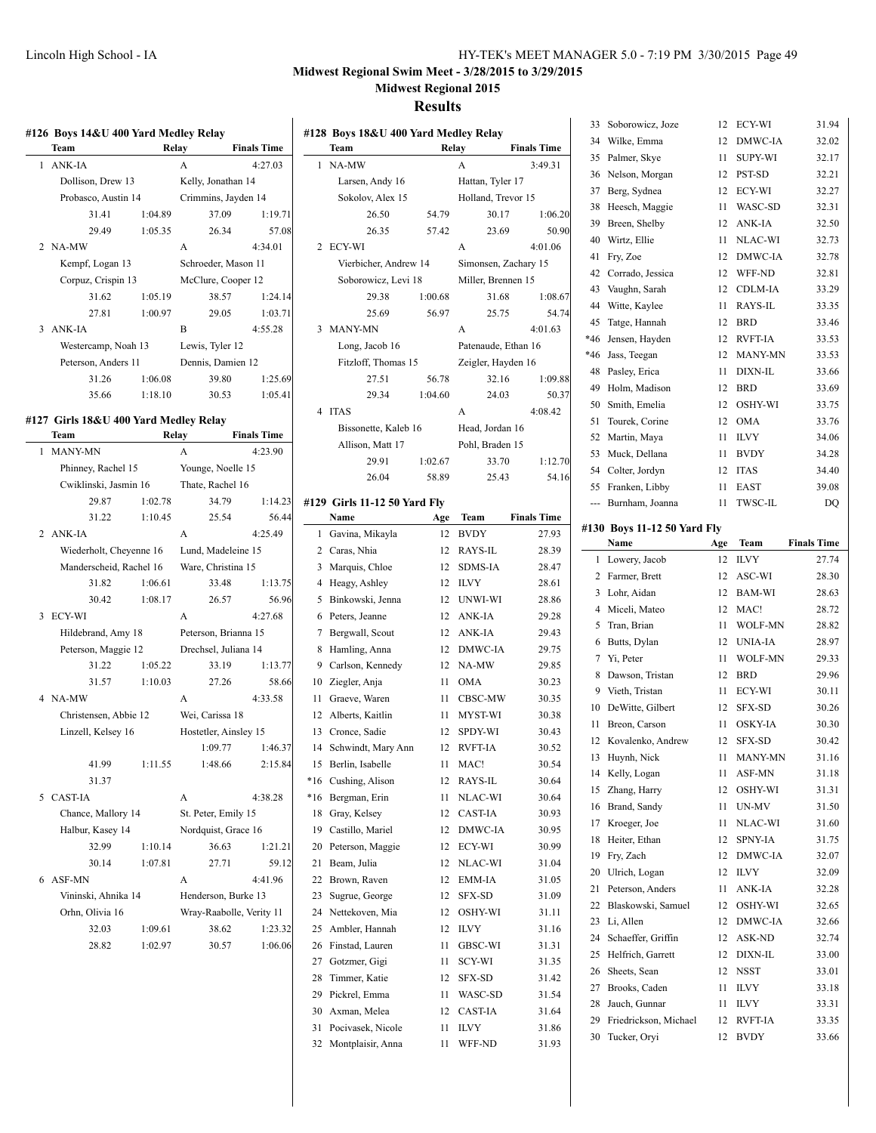# **Midwest Regional Swim Meet - 3/28/2015 to 3/29/2015**

**Midwest Regional 2015**

|   | #126 Boys 14&U 400 Yard Medley Relay<br>Team  |               | Relay |                          | <b>Finals Time</b> |
|---|-----------------------------------------------|---------------|-------|--------------------------|--------------------|
| 1 | ANK-IA                                        |               | A     |                          | 4:27.03            |
|   | Dollison, Drew 13                             |               |       | Kelly, Jonathan 14       |                    |
|   | Probasco, Austin 14                           |               |       | Crimmins, Jayden 14      |                    |
|   | 31.41                                         | 1:04.89       |       | 37.09                    | 1:19.71            |
|   | 29.49                                         | 1:05.35       |       | 26.34                    | 57.08              |
|   | 2 NA-MW                                       |               | A     |                          | 4:34.01            |
|   | Kempf, Logan 13                               |               |       | Schroeder, Mason 11      |                    |
|   | Corpuz, Crispin 13                            |               |       | McClure, Cooper 12       |                    |
|   | 31.62                                         | 1:05.19       |       | 38.57                    | 1:24.14            |
|   | 27.81                                         | 1:00.97       |       | 29.05                    | 1:03.71            |
| 3 | ANK-IA                                        |               | B     |                          | 4:55.28            |
|   | Westercamp, Noah 13                           |               |       | Lewis, Tyler 12          |                    |
|   | Peterson, Anders 11                           |               |       | Dennis, Damien 12        |                    |
|   | 31.26                                         | 1:06.08       |       | 39.80                    | 1:25.69            |
|   | 35.66                                         | 1:18.10       |       | 30.53                    | 1:05.41            |
|   |                                               |               |       |                          |                    |
|   | #127 Girls 18&U 400 Yard Medley Relay<br>Team |               |       | Relay                    | <b>Finals Time</b> |
| 1 | <b>MANY-MN</b>                                |               | A     |                          |                    |
|   | Phinney, Rachel 15                            |               |       | Younge, Noelle 15        | 4:23.90            |
|   | Cwiklinski, Jasmin 16                         |               |       | Thate, Rachel 16         |                    |
|   | 29.87                                         | 1:02.78       |       | 34.79                    | 1:14.23            |
|   | 31.22                                         | 1:10.45       |       | 25.54                    | 56.44              |
|   | 2 ANK-IA                                      |               | A     |                          | 4:25.49            |
|   | Wiederholt, Cheyenne 16                       |               |       | Lund, Madeleine 15       |                    |
|   | Manderscheid, Rachel 16                       |               |       | Ware, Christina 15       |                    |
|   | 31.82                                         | 1:06.61       |       | 33.48                    | 1:13.75            |
|   | 30.42                                         | 1:08.17       |       | 26.57                    | 56.96              |
| 3 | ECY-WI                                        |               | A     |                          | 4:27.68            |
|   | Hildebrand, Amy 18                            |               |       | Peterson, Brianna 15     |                    |
|   | Peterson, Maggie 12                           |               |       | Drechsel, Juliana 14     |                    |
|   | 31.22                                         | 1:05.22       |       | 33.19                    | 1:13.77            |
|   | 31.57                                         | 1:10.03       |       | 27.26                    | 58.66              |
|   | 4 NA-MW                                       |               | A     |                          | 4:33.58            |
|   | Christensen, Abbie 12                         |               |       | Wei, Carissa 18          |                    |
|   | Linzell, Kelsey 16                            |               |       | Hostetler, Ainsley 15    |                    |
|   |                                               |               |       | 1:09.77                  | 1:46.37            |
|   |                                               | 41.99 1:11.55 |       | 1:48.66                  | 2:15.84            |
|   | 31.37                                         |               |       |                          |                    |
|   | 5 CAST-IA                                     |               | A     |                          | 4:38.28            |
|   | Chance, Mallory 14                            |               |       | St. Peter, Emily 15      |                    |
|   | Halbur, Kasey 14                              |               |       | Nordquist, Grace 16      |                    |
|   | 32.99                                         | 1:10.14       |       | 36.63                    | 1:21.21            |
|   | 30.14                                         | 1:07.81       |       | 27.71                    | 59.12              |
| 6 | ASF-MN                                        |               | A     |                          | 4:41.96            |
|   | Vininski, Ahnika 14                           |               |       | Henderson, Burke 13      |                    |
|   | Orhn, Olivia 16                               |               |       | Wray-Raabolle, Verity 11 |                    |
|   | 32.03                                         | 1:09.61       |       | 38.62                    | 1:23.32            |
|   | 28.82                                         | 1:02.97       |       | 30.57                    | 1:06.06            |
|   |                                               |               |       |                          |                    |

|                | Team                         |         | Relay                | <b>Finals Time</b> |
|----------------|------------------------------|---------|----------------------|--------------------|
| 1              | NA-MW                        |         | A                    | 3:49.31            |
|                | Larsen, Andy 16              |         | Hattan, Tyler 17     |                    |
|                | Sokolov, Alex 15             |         | Holland, Trevor 15   |                    |
|                | 26.50                        | 54.79   | 30.17                | 1:06.20            |
|                | 26.35                        | 57.42   | 23.69                | 50.90              |
| 2              | ECY-WI                       |         | A                    | 4:01.06            |
|                | Vierbicher, Andrew 14        |         | Simonsen, Zachary 15 |                    |
|                | Soborowicz, Levi 18          |         | Miller, Brennen 15   |                    |
|                | 29.38                        | 1:00.68 | 31.68                | 1:08.67            |
|                | 25.69                        | 56.97   | 25.75                | 54.74              |
| 3              | <b>MANY-MN</b>               |         | A                    | 4:01.63            |
|                | Long, Jacob 16               |         | Patenaude, Ethan 16  |                    |
|                | Fitzloff, Thomas 15          |         | Zeigler, Hayden 16   |                    |
|                | 27.51                        | 56.78   | 32.16                | 1:09.88            |
|                | 29.34                        | 1:04.60 | 24.03                | 50.37              |
| $\overline{4}$ | <b>ITAS</b>                  |         | A                    | 4:08.42            |
|                | Bissonette, Kaleb 16         |         | Head, Jordan 16      |                    |
|                | Allison, Matt 17             |         | Pohl, Braden 15      |                    |
|                | 29.91                        | 1:02.67 | 33.70                | 1:12.70            |
|                | 26.04                        | 58.89   | 25.43                | 54.16              |
|                | #129 Girls 11-12 50 Yard Fly |         |                      |                    |
|                | Name                         | Age     | Team                 | <b>Finals Time</b> |
| 1              | Gavina, Mikayla              | 12      | <b>BVDY</b>          | 27.93              |
|                | 2 Caras, Nhia                | 12      | RAYS-IL              | 28.39              |
| 3              | Marquis, Chloe               | 12      | <b>SDMS-IA</b>       | 28.47              |
| $\overline{4}$ | Heagy, Ashley                | 12      | <b>ILVY</b>          | 28.61              |
| 5              | Binkowski, Jenna             | 12      | UNWI-WI              | 28.86              |
| 6              | Peters, Jeanne               | 12      | ANK-IA               | 29.28              |
| 7              | Bergwall, Scout              | 12      | ANK-IA               | 29.43              |
| 8              | Hamling, Anna                | 12      | DMWC-IA              | 29.75              |
| 9              | Carlson, Kennedy             | 12      | NA-MW                | 29.85              |
|                | 10 Ziegler, Anja             | 11      | <b>OMA</b>           | 30.23              |
| 11             | Graeve, Waren                | 11      | CBSC-MW              | 30.35              |
| 12             | Alberts, Kaitlin             | 11      | MYST-WI              | 30.38              |
| 13             | Cronce, Sadie                | 12      | SPDY-WI              | 30.43              |
|                | 14 Schwindt, Mary Ann        | 12      | RVFT-IA              | 30.52              |
| 15             | Berlin, Isabelle             | 11      | MAC!                 | 30.54              |
| *16            | Cushing, Alison              | 12      | RAYS-IL              | 30.64              |
| *16            | Bergman, Erin                | 11      | NLAC-WI              | 30.64              |
| 18             | Gray, Kelsey                 | 12      | <b>CAST-IA</b>       | 30.93              |
| 19             | Castillo, Mariel             | 12      | DMWC-IA              | 30.95              |
|                | Peterson, Maggie             | 12      | ECY-WI               |                    |
| 20             | Beam, Julia                  |         |                      | 30.99              |
| 21<br>22       |                              | 12      | NLAC-WI<br>EMM-IA    | 31.04              |
|                | Brown, Raven                 | 12      |                      | 31.05              |
| 23             | Sugrue, George               | 12      | SFX-SD               | 31.09              |
| 24             | Nettekoven, Mia              | 12      | OSHY-WI              | 31.11              |
| 25             | Ambler, Hannah               | 12      | ILVY                 | 31.16              |
| 26             | Finstad, Lauren              | 11      | GBSC-WI              | 31.31              |
| 27             | Gotzmer, Gigi                | 11      | SCY-WI               | 31.35              |
| 28             | Timmer, Katie                | 12      | SFX-SD               | 31.42              |
| 29             | Pickrel, Emma                | 11      | WASC-SD              | 31.54              |
| 30             | Axman, Melea                 | 12      | CAST-IA              | 31.64              |
| 31             | Pocivasek, Nicole            | 11      | ILVY                 | 31.86              |
| 32             | Montplaisir, Anna            | 11      | WFF-ND               | 31.93              |

| 33  | Soborowicz, Joze                    | 12       | ECY-WI            | 31.94              |
|-----|-------------------------------------|----------|-------------------|--------------------|
| 34  | Wilke, Emma                         | 12       | DMWC-IA           | 32.02              |
| 35  | Palmer, Skye                        | 11       | SUPY-WI           | 32.17              |
| 36  | Nelson, Morgan                      | 12       | PST-SD            | 32.21              |
| 37  | Berg, Sydnea                        | 12       | ECY-WI            | 32.27              |
| 38  | Heesch, Maggie                      | 11       | WASC-SD           | 32.31              |
| 39  | Breen, Shelby                       | 12       | ANK-IA            | 32.50              |
| 40  | Wirtz, Ellie                        | 11       | NLAC-WI           | 32.73              |
| 41  | Fry, Zoe                            | 12       | DMWC-IA           | 32.78              |
| 42  | Corrado, Jessica                    | 12       | WFF-ND            | 32.81              |
| 43  | Vaughn, Sarah                       | 12       | CDLM-IA           | 33.29              |
| 44  | Witte, Kaylee                       | 11       | RAYS-IL           | 33.35              |
| 45  | Tatge, Hannah                       | 12       | <b>BRD</b>        | 33.46              |
| *46 | Jensen, Hayden                      | 12       | <b>RVFT-IA</b>    | 33.53              |
| *46 | Jass, Teegan                        | 12       | <b>MANY-MN</b>    | 33.53              |
| 48  | Pasley, Erica                       | 11       | DIXN-IL           | 33.66              |
| 49  | Holm, Madison                       | 12       | BRD               | 33.69              |
| 50  | Smith, Emelia                       | 12       | OSHY-WI           | 33.75              |
| 51  | Tourek, Corine                      | 12       | OMA               | 33.76              |
| 52  | Martin, Maya                        | 11       | <b>ILVY</b>       | 34.06              |
| 53  | Muck, Dellana                       | 11       | <b>BVDY</b>       | 34.28              |
| 54  | Colter, Jordyn                      | 12       | <b>ITAS</b>       | 34.40              |
| 55  | Franken, Libby                      | 11       | EAST              | 39.08              |
| --- | Burnham, Joanna                     | 11       | <b>TWSC-IL</b>    | DQ                 |
|     |                                     |          |                   |                    |
|     | #130 Boys 11-12 50 Yard Fly<br>Name | Age      | Team              | <b>Finals Time</b> |
| 1   | Lowery, Jacob                       | 12       | ILVY              | 27.74              |
| 2   | Farmer, Brett                       | 12       | ASC-WI            | 28.30              |
| 3   | Lohr, Aidan                         | 12       | BAM-WI            | 28.63              |
| 4   | Miceli, Mateo                       | 12       | MAC!              | 28.72              |
| 5   | Tran, Brian                         | 11       | <b>WOLF-MN</b>    | 28.82              |
| 6   | Butts, Dylan                        | 12       | <b>UNIA-IA</b>    | 28.97              |
| 7   | Yi, Peter                           | 11       | <b>WOLF-MN</b>    | 29.33              |
| 8   | Dawson, Tristan                     | 12       | <b>BRD</b>        | 29.96              |
| 9   | Vieth, Tristan                      | 11       | ECY-WI            | 30.11              |
| 10  | DeWitte, Gilbert                    | 12       | SFX-SD            | 30.26              |
| 11  | Breon, Carson                       | 11       | <b>OSKY-IA</b>    | 30.30              |
| 12  | Kovalenko, Andrew                   | 12       | <b>SFX-SD</b>     | 30.42              |
| 13  | Huynh, Nick                         | 11       | MANY-MN           | 31.16              |
| 14  | Kelly, Logan                        | 11       | ASF-MN            | 31.18              |
| 15  | Zhang, Harry                        | 12       | OSHY-WI           | 31.31              |
| 16  | Brand, Sandy                        | 11       | UN-MV             | 31.50              |
| 17  | Kroeger, Joe                        | 11       | NLAC-WI           | 31.60              |
| 18  | Heiter, Ethan                       | 12       | SPNY-IA           | 31.75              |
| 19  | Fry, Zach                           | 12       | <b>DMWC-IA</b>    | 32.07              |
| 20  | Ulrich, Logan                       | 12       | <b>ILVY</b>       | 32.09              |
| 21  | Peterson, Anders                    | 11       | ANK-IA            | 32.28              |
| 22  |                                     |          |                   |                    |
| 23  |                                     |          |                   |                    |
| 24  | Blaskowski, Samuel                  | 12       | OSHY-WI           | 32.65              |
|     | Li, Allen<br>Schaeffer, Griffin     | 12<br>12 | DMWC-IA<br>ASK-ND | 32.66<br>32.74     |
| 25  | Helfrich, Garrett                   | 12       | DIXN-IL           |                    |
| 26  |                                     | 12       |                   | 33.00              |
| 27  | Sheets, Sean                        | 11       | NSST<br>ILVY      | 33.01<br>33.18     |
| 28  | Brooks, Caden<br>Jauch, Gunnar      | 11       | ILVY              | 33.31              |
| 29  | Friedrickson, Michael               | 12       | RVFT-IA           | 33.35              |
| 30  | Tucker, Oryi                        | 12       | BVDY              | 33.66              |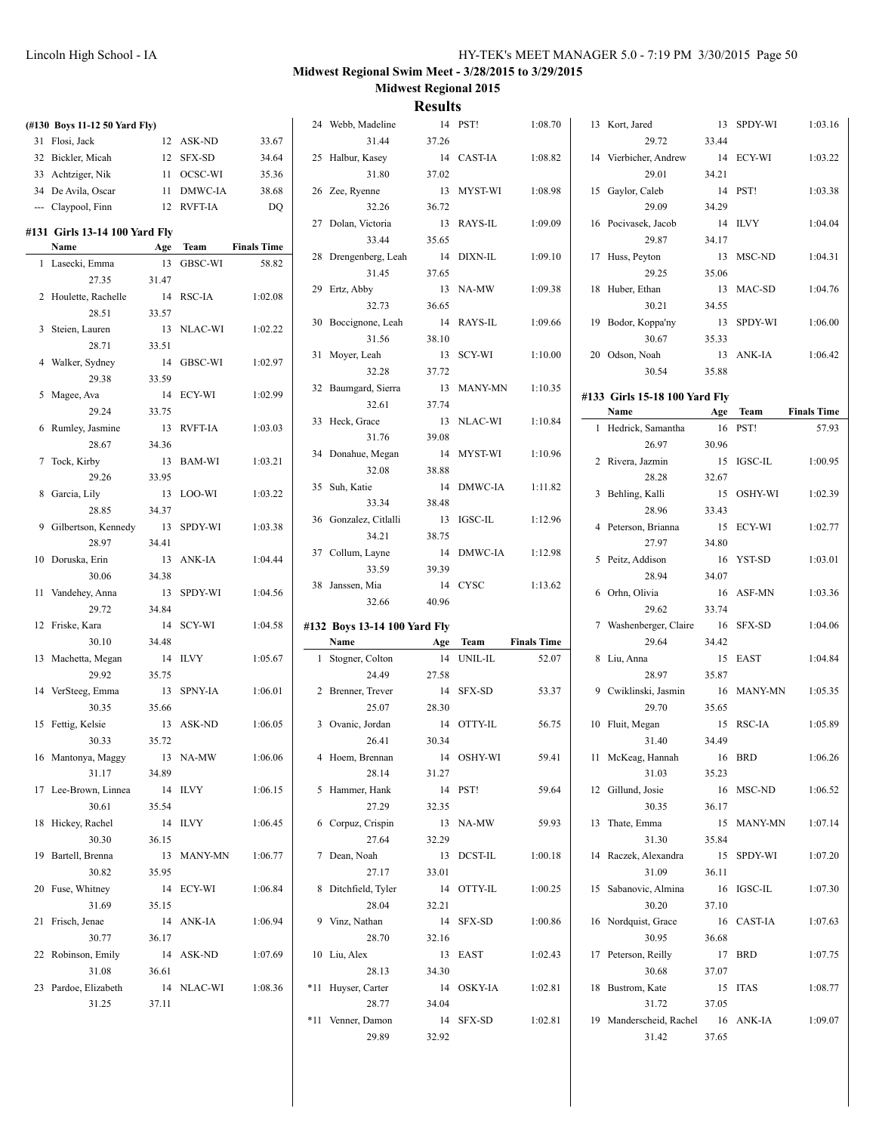| (#130 Boys 11-12 50 Yard Fly)  |       |            |                    | 24 Webb, Madeline            |       | 14 PST!    | 1:08.70            | 13 Kort, Jared                |       | 13 SPDY-WI | 1:03.16            |
|--------------------------------|-------|------------|--------------------|------------------------------|-------|------------|--------------------|-------------------------------|-------|------------|--------------------|
| 31 Flosi, Jack                 |       | 12 ASK-ND  | 33.67              | 31.44                        | 37.26 |            |                    | 29.72                         | 33.44 |            |                    |
| 32 Bickler, Micah              |       | 12 SFX-SD  | 34.64              | 25 Halbur, Kasey             |       | 14 CAST-IA | 1:08.82            | 14 Vierbicher, Andrew         |       | 14 ECY-WI  | 1:03.22            |
| 33 Achtziger, Nik              |       | 11 OCSC-WI | 35.36              | 31.80                        | 37.02 |            |                    | 29.01                         | 34.21 |            |                    |
| 34 De Avila, Oscar             |       | 11 DMWC-IA | 38.68              | 26 Zee, Ryenne               |       | 13 MYST-WI | 1:08.98            | 15 Gaylor, Caleb              |       | 14 PST!    | 1:03.38            |
| --- Claypool, Finn             |       | 12 RVFT-IA | DO                 | 32.26                        | 36.72 |            |                    | 29.09                         | 34.29 |            |                    |
| #131  Girls 13-14 100 Yard Fly |       |            |                    | 27 Dolan, Victoria           |       | 13 RAYS-IL | 1:09.09            | 16 Pocivasek, Jacob           |       | 14 ILVY    | 1:04.04            |
| Name                           |       | Age Team   | <b>Finals Time</b> | 33.44                        | 35.65 |            |                    | 29.87                         | 34.17 |            |                    |
| 1 Lasecki, Emma                |       | 13 GBSC-WI | 58.82              | 28 Drengenberg, Leah         |       | 14 DIXN-IL | 1:09.10            | 17 Huss, Peyton               |       | 13 MSC-ND  | 1:04.31            |
| 27.35                          | 31.47 |            |                    | 31.45                        | 37.65 |            |                    | 29.25                         | 35.06 |            |                    |
| 2 Houlette, Rachelle           |       | 14 RSC-IA  | 1:02.08            | 29 Ertz, Abby<br>32.73       |       | 13 NA-MW   | 1:09.38            | 18 Huber, Ethan               | 34.55 | 13 MAC-SD  | 1:04.76            |
| 28.51                          | 33.57 |            |                    | 30 Boccignone, Leah          | 36.65 | 14 RAYS-IL | 1:09.66            | 30.21                         |       | 13 SPDY-WI | 1:06.00            |
| 3 Steien, Lauren               |       | 13 NLAC-WI | 1:02.22            | 31.56                        | 38.10 |            |                    | 19 Bodor, Koppa'ny<br>30.67   | 35.33 |            |                    |
| 28.71                          | 33.51 |            |                    | 31 Moyer, Leah               |       | 13 SCY-WI  | 1:10.00            | 20 Odson, Noah                |       | 13 ANK-IA  | 1:06.42            |
| 4 Walker, Sydney               |       | 14 GBSC-WI | 1:02.97            | 32.28                        | 37.72 |            |                    | 30.54                         | 35.88 |            |                    |
| 29.38                          | 33.59 |            |                    | 32 Baumgard, Sierra          |       | 13 MANY-MN | 1:10.35            |                               |       |            |                    |
| 5 Magee, Ava                   |       | 14 ECY-WI  | 1:02.99            | 32.61                        | 37.74 |            |                    | #133 Girls 15-18 100 Yard Fly |       |            |                    |
| 29.24                          | 33.75 |            |                    | 33 Heck, Grace               |       | 13 NLAC-WI | 1:10.84            | Name                          | Age   | Team       | <b>Finals Time</b> |
| 6 Rumley, Jasmine              |       | 13 RVFT-IA | 1:03.03            | 31.76                        | 39.08 |            |                    | 1 Hedrick, Samantha           |       | 16 PST!    | 57.93              |
| 28.67                          | 34.36 |            |                    | 34 Donahue, Megan            |       | 14 MYST-WI | 1:10.96            | 26.97                         | 30.96 |            |                    |
| 7 Tock, Kirby                  |       | 13 BAM-WI  | 1:03.21            | 32.08                        | 38.88 |            |                    | 2 Rivera, Jazmin              |       | 15 IGSC-IL | 1:00.95            |
| 29.26                          | 33.95 |            |                    | 35 Suh, Katie                |       | 14 DMWC-IA | 1:11.82            | 28.28                         | 32.67 |            |                    |
| 8 Garcia, Lily                 |       | 13 LOO-WI  | 1:03.22            | 33.34                        | 38.48 |            |                    | 3 Behling, Kalli              |       | 15 OSHY-WI | 1:02.39            |
| 28.85                          | 34.37 |            |                    | 36 Gonzalez, Citlalli        |       | 13 IGSC-IL | 1:12.96            | 28.96                         | 33.43 |            |                    |
| 9 Gilbertson, Kennedy          |       | 13 SPDY-WI | 1:03.38            | 34.21                        | 38.75 |            |                    | 4 Peterson, Brianna           |       | 15 ECY-WI  | 1:02.77            |
| 28.97                          | 34.41 |            |                    | 37 Collum, Layne             |       | 14 DMWC-IA | 1:12.98            | 27.97                         | 34.80 |            |                    |
| 10 Doruska, Erin               |       | 13 ANK-IA  | 1:04.44            | 33.59                        | 39.39 |            |                    | 5 Peitz, Addison              |       | 16 YST-SD  | 1:03.01            |
| 30.06                          | 34.38 |            |                    | 38 Janssen, Mia              |       | 14 CYSC    | 1:13.62            | 28.94                         | 34.07 |            |                    |
| 11 Vandehey, Anna              |       | 13 SPDY-WI | 1:04.56            | 32.66                        | 40.96 |            |                    | 6 Orhn, Olivia                |       | 16 ASF-MN  | 1:03.36            |
| 29.72                          | 34.84 |            |                    |                              |       |            |                    | 29.62                         | 33.74 |            |                    |
| 12 Friske, Kara                |       | 14 SCY-WI  | 1:04.58            | #132 Boys 13-14 100 Yard Fly |       |            |                    | 7 Washenberger, Claire        |       | 16 SFX-SD  | 1:04.06            |
| 30.10                          | 34.48 |            |                    | Name                         |       | Age Team   | <b>Finals Time</b> | 29.64                         | 34.42 |            |                    |
| 13 Machetta, Megan<br>29.92    | 35.75 | 14 ILVY    | 1:05.67            | 1 Stogner, Colton<br>24.49   | 27.58 | 14 UNIL-IL | 52.07              | 8 Liu, Anna<br>28.97          | 35.87 | 15 EAST    | 1:04.84            |
| 14 VerSteeg, Emma              |       | 13 SPNY-IA | 1:06.01            | 2 Brenner, Trever            |       | 14 SFX-SD  | 53.37              | 9 Cwiklinski, Jasmin          |       | 16 MANY-MN | 1:05.35            |
| 30.35                          | 35.66 |            |                    | 25.07                        | 28.30 |            |                    | 29.70                         | 35.65 |            |                    |
| 15 Fettig, Kelsie              |       | 13 ASK-ND  | 1:06.05            | 3 Ovanic, Jordan             |       | 14 OTTY-IL | 56.75              | 10 Fluit, Megan               |       | 15 RSC-IA  | 1:05.89            |
| 30.33                          | 35.72 |            |                    | 26.41                        | 30.34 |            |                    | 31.40                         | 34.49 |            |                    |
| 16 Mantonya, Maggy             |       | 13 NA-MW   | 1:06.06            | 4 Hoem, Brennan              |       | 14 OSHY-WI | 59.41              | 11 McKeag, Hannah             |       | 16 BRD     | 1:06.26            |
| 31.17                          | 34.89 |            |                    | 28.14                        | 31.27 |            |                    | 31.03                         | 35.23 |            |                    |
| 17 Lee-Brown, Linnea           |       | 14 ILVY    | 1:06.15            | 5 Hammer, Hank               |       | 14 PST!    | 59.64              | 12 Gillund, Josie             |       | 16 MSC-ND  | 1:06.52            |
| 30.61                          | 35.54 |            |                    | 27.29                        | 32.35 |            |                    | 30.35                         | 36.17 |            |                    |
| 18 Hickey, Rachel              |       | 14 ILVY    | 1:06.45            | 6 Corpuz, Crispin            |       | 13 NA-MW   | 59.93              | 13 Thate, Emma                |       | 15 MANY-MN | 1:07.14            |
| 30.30                          | 36.15 |            |                    | 27.64                        | 32.29 |            |                    | 31.30                         | 35.84 |            |                    |
| 19 Bartell, Brenna             |       | 13 MANY-MN | 1:06.77            | 7 Dean, Noah                 |       | 13 DCST-IL | 1:00.18            | 14 Raczek, Alexandra          |       | 15 SPDY-WI | 1:07.20            |
| 30.82                          | 35.95 |            |                    | 27.17                        | 33.01 |            |                    | 31.09                         | 36.11 |            |                    |
| 20 Fuse, Whitney               |       | 14 ECY-WI  | 1:06.84            | 8 Ditchfield, Tyler          |       | 14 OTTY-IL | 1:00.25            | 15 Sabanovic, Almina          |       | 16 IGSC-IL | 1:07.30            |
| 31.69                          | 35.15 |            |                    | 28.04                        | 32.21 |            |                    | 30.20                         | 37.10 |            |                    |
| 21 Frisch, Jenae               |       | 14 ANK-IA  | 1:06.94            | 9 Vinz, Nathan               |       | 14 SFX-SD  | 1:00.86            | 16 Nordquist, Grace           |       | 16 CAST-IA | 1:07.63            |
| 30.77                          | 36.17 |            |                    | 28.70                        | 32.16 |            |                    | 30.95                         | 36.68 |            |                    |
| 22 Robinson, Emily             |       | 14 ASK-ND  | 1:07.69            | 10 Liu, Alex                 |       | 13 EAST    | 1:02.43            | 17 Peterson, Reilly           |       | 17 BRD     | 1:07.75            |
| 31.08                          | 36.61 |            |                    | 28.13                        | 34.30 |            |                    | 30.68                         | 37.07 |            |                    |
|                                |       |            |                    |                              |       |            |                    |                               |       |            |                    |
| 23 Pardoe, Elizabeth           |       | 14 NLAC-WI | 1:08.36            | *11 Huyser, Carter           |       | 14 OSKY-IA | 1:02.81            | 18 Bustrom, Kate              |       | 15 ITAS    | 1:08.77            |
| 31.25                          | 37.11 |            |                    | 28.77                        | 34.04 |            |                    | 31.72                         | 37.05 |            |                    |
|                                |       |            |                    | *11 Venner, Damon            |       | 14 SFX-SD  | 1:02.81            | 19 Manderscheid, Rachel       |       | 16 ANK-IA  | 1:09.07            |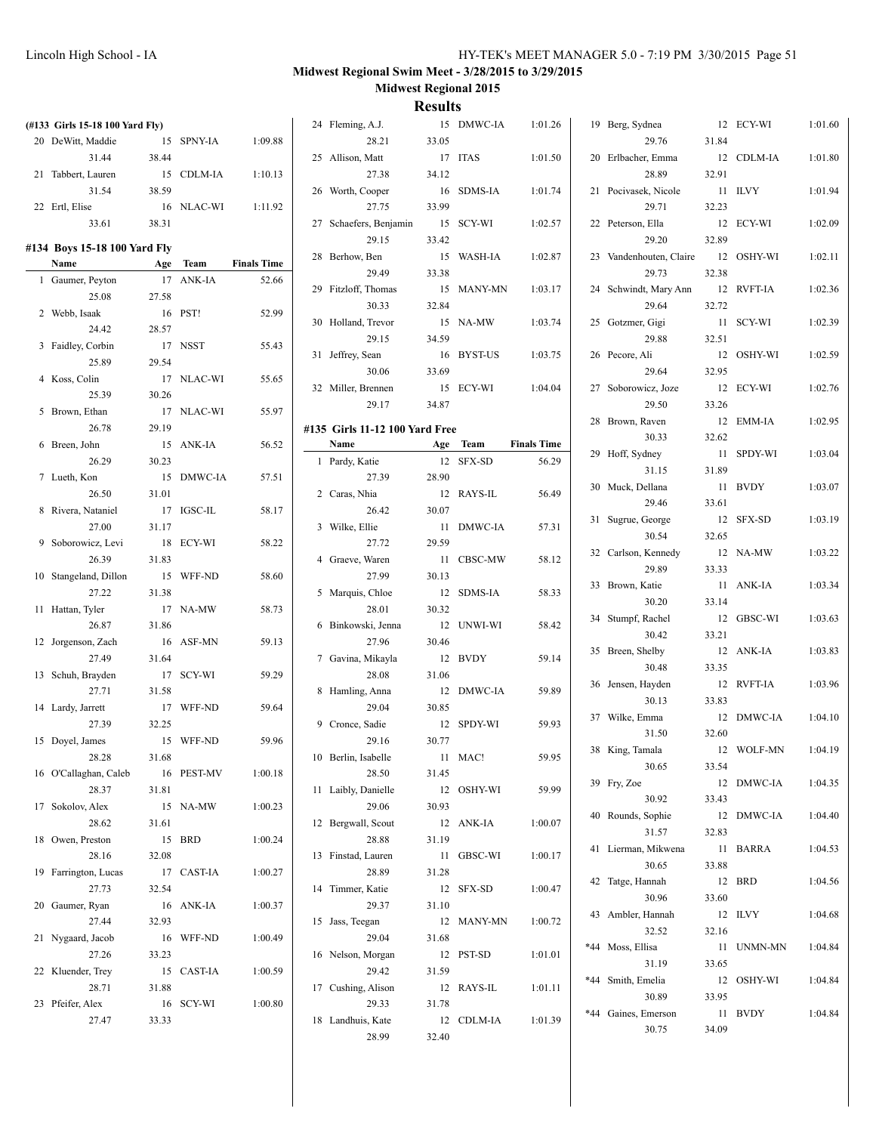| (#133 Girls 15-18 100 Yard Fly) |       |            |                    | 24 Fleming, A.J.               |       | 15 DMWC-IA | 1:01.26            | 19 Berg, Sydnea         |       | 12 ECY-WI  | 1:01.60 |
|---------------------------------|-------|------------|--------------------|--------------------------------|-------|------------|--------------------|-------------------------|-------|------------|---------|
| 20 DeWitt, Maddie               |       | 15 SPNY-IA | 1:09.88            | 28.21                          | 33.05 |            |                    | 29.76                   | 31.84 |            |         |
| 31.44                           | 38.44 |            |                    | 25 Allison, Matt               |       | 17 ITAS    | 1:01.50            | 20 Erlbacher, Emma      |       | 12 CDLM-IA | 1:01.80 |
| 21 Tabbert, Lauren              |       | 15 CDLM-IA | 1:10.13            | 27.38                          | 34.12 |            |                    | 28.89                   | 32.91 |            |         |
| 31.54                           | 38.59 |            |                    | 26 Worth, Cooper               |       | 16 SDMS-IA | 1:01.74            | 21 Pocivasek, Nicole    |       | 11 ILVY    | 1:01.94 |
| 22 Ertl, Elise                  |       | 16 NLAC-WI | 1:11.92            | 27.75                          | 33.99 |            |                    | 29.71                   | 32.23 |            |         |
| 33.61                           | 38.31 |            |                    | 27 Schaefers, Benjamin         |       | 15 SCY-WI  | 1:02.57            | 22 Peterson, Ella       |       | 12 ECY-WI  | 1:02.09 |
|                                 |       |            |                    | 29.15                          | 33.42 |            |                    | 29.20                   | 32.89 |            |         |
| #134 Boys 15-18 100 Yard Fly    |       |            |                    | 28 Berhow, Ben                 |       | 15 WASH-IA | 1:02.87            | 23 Vandenhouten, Claire |       | 12 OSHY-WI | 1:02.11 |
| Name                            |       | Age Team   | <b>Finals Time</b> | 29.49                          | 33.38 |            |                    | 29.73                   | 32.38 |            |         |
| 1 Gaumer, Peyton                |       | 17 ANK-IA  | 52.66              | 29 Fitzloff, Thomas            |       | 15 MANY-MN | 1:03.17            | 24 Schwindt, Mary Ann   |       | 12 RVFT-IA | 1:02.36 |
| 25.08                           | 27.58 |            |                    | 30.33                          | 32.84 |            |                    | 29.64                   | 32.72 |            |         |
| 2 Webb, Isaak                   |       | 16 PST!    | 52.99              | 30 Holland, Trevor             |       | 15 NA-MW   | 1:03.74            | 25 Gotzmer, Gigi        |       | 11 SCY-WI  | 1:02.39 |
| 24.42                           | 28.57 |            |                    | 29.15                          | 34.59 |            |                    | 29.88                   | 32.51 |            |         |
| 3 Faidley, Corbin               |       | 17 NSST    | 55.43              |                                |       |            | 1:03.75            | 26 Pecore, Ali          |       | 12 OSHY-WI |         |
| 25.89                           | 29.54 |            |                    | 31 Jeffrey, Sean               | 33.69 | 16 BYST-US |                    | 29.64                   |       |            | 1:02.59 |
| 4 Koss, Colin                   |       | 17 NLAC-WI | 55.65              | 30.06                          |       |            |                    |                         | 32.95 |            |         |
| 25.39                           | 30.26 |            |                    | 32 Miller, Brennen             |       | 15 ECY-WI  | 1:04.04            | 27 Soborowicz, Joze     |       | 12 ECY-WI  | 1:02.76 |
| 5 Brown, Ethan                  |       | 17 NLAC-WI | 55.97              | 29.17                          | 34.87 |            |                    | 29.50                   | 33.26 |            |         |
| 26.78                           | 29.19 |            |                    | #135 Girls 11-12 100 Yard Free |       |            |                    | 28 Brown, Raven         |       | 12 EMM-IA  | 1:02.95 |
| 6 Breen, John                   |       | 15 ANK-IA  | 56.52              | Name                           |       | Age Team   | <b>Finals Time</b> | 30.33                   | 32.62 |            |         |
| 26.29                           | 30.23 |            |                    | 1 Pardy, Katie                 |       | 12 SFX-SD  | 56.29              | 29 Hoff, Sydney         |       | 11 SPDY-WI | 1:03.04 |
| 7 Lueth, Kon                    |       | 15 DMWC-IA | 57.51              | 27.39                          | 28.90 |            |                    | 31.15                   | 31.89 |            |         |
| 26.50                           | 31.01 |            |                    | 2 Caras, Nhia                  |       | 12 RAYS-IL | 56.49              | 30 Muck, Dellana        |       | 11 BVDY    | 1:03.07 |
| 8 Rivera, Nataniel              |       | 17 IGSC-IL | 58.17              | 26.42                          | 30.07 |            |                    | 29.46                   | 33.61 |            |         |
| 27.00                           | 31.17 |            |                    | 3 Wilke, Ellie                 |       | 11 DMWC-IA | 57.31              | 31 Sugrue, George       |       | 12 SFX-SD  | 1:03.19 |
| 9 Soborowicz, Levi              |       | 18 ECY-WI  | 58.22              | 27.72                          | 29.59 |            |                    | 30.54                   | 32.65 |            |         |
| 26.39                           | 31.83 |            |                    | 4 Graeve, Waren                |       | 11 CBSC-MW | 58.12              | 32 Carlson, Kennedy     |       | 12 NA-MW   | 1:03.22 |
| 10 Stangeland, Dillon           |       | 15 WFF-ND  | 58.60              | 27.99                          | 30.13 |            |                    | 29.89                   | 33.33 |            |         |
| 27.22                           | 31.38 |            |                    | 5 Marquis, Chloe               |       | 12 SDMS-IA | 58.33              | 33 Brown, Katie         |       | 11 ANK-IA  | 1:03.34 |
| 11 Hattan, Tyler                |       | 17 NA-MW   | 58.73              | 28.01                          | 30.32 |            |                    | 30.20                   | 33.14 |            |         |
| 26.87                           | 31.86 |            |                    | 6 Binkowski, Jenna             |       | 12 UNWI-WI | 58.42              | 34 Stumpf, Rachel       |       | 12 GBSC-WI | 1:03.63 |
| 12 Jorgenson, Zach              |       | 16 ASF-MN  | 59.13              | 27.96                          | 30.46 |            |                    | 30.42                   | 33.21 |            |         |
| 27.49                           | 31.64 |            |                    | 7 Gavina, Mikayla              |       | 12 BVDY    | 59.14              | 35 Breen, Shelby        |       | 12 ANK-IA  | 1:03.83 |
| 13 Schuh, Brayden               |       | 17 SCY-WI  | 59.29              | 28.08                          | 31.06 |            |                    | 30.48                   | 33.35 |            |         |
| 27.71                           | 31.58 |            |                    | 8 Hamling, Anna                |       | 12 DMWC-IA | 59.89              | 36 Jensen, Hayden       |       | 12 RVFT-IA | 1:03.96 |
| 14 Lardy, Jarrett               |       | 17 WFF-ND  | 59.64              | 29.04                          | 30.85 |            |                    | 30.13                   | 33.83 |            |         |
| 27.39                           | 32.25 |            |                    | 9 Cronce, Sadie                |       | 12 SPDY-WI | 59.93              | 37 Wilke, Emma          |       | 12 DMWC-IA | 1:04.10 |
| 15 Doyel, James                 |       | 15 WFF-ND  | 59.96              | 29.16                          | 30.77 |            |                    | 31.50                   | 32.60 |            |         |
| 28.28                           | 31.68 |            |                    | 10 Berlin, Isabelle            |       | 11 MAC!    | 59.95              | 38 King, Tamala         |       | 12 WOLF-MN | 1:04.19 |
| 16 O'Callaghan, Caleb           |       | 16 PEST-MV | 1:00.18            | 28.50                          | 31.45 |            |                    | 30.65                   | 33.54 |            |         |
| 28.37                           | 31.81 |            |                    | 11 Laibly, Danielle            |       | 12 OSHY-WI | 59.99              | 39 Fry, Zoe             |       | 12 DMWC-IA | 1:04.35 |
| 17 Sokolov, Alex                |       | 15 NA-MW   | 1:00.23            | 29.06                          | 30.93 |            |                    | 30.92                   | 33.43 |            |         |
| 28.62                           | 31.61 |            |                    | 12 Bergwall, Scout             |       | 12 ANK-IA  | 1:00.07            | 40 Rounds, Sophie       |       | 12 DMWC-IA | 1:04.40 |
| 18 Owen, Preston                |       | 15 BRD     | 1:00.24            | 28.88                          | 31.19 |            |                    | 31.57                   | 32.83 |            |         |
| 28.16                           | 32.08 |            |                    |                                |       |            | 1:00.17            | 41 Lierman, Mikwena     |       | 11 BARRA   | 1:04.53 |
|                                 |       |            |                    | 13 Finstad, Lauren<br>28.89    |       | 11 GBSC-WI |                    | 30.65                   | 33.88 |            |         |
| 19 Farrington, Lucas            |       | 17 CAST-IA | 1:00.27            |                                | 31.28 |            |                    | 42 Tatge, Hannah        |       | 12 BRD     | 1:04.56 |
| 27.73                           | 32.54 |            |                    | 14 Timmer, Katie               |       | 12 SFX-SD  | 1:00.47            | 30.96                   | 33.60 |            |         |
| 20 Gaumer, Ryan                 |       | 16 ANK-IA  | 1:00.37            | 29.37                          | 31.10 |            |                    | 43 Ambler, Hannah       |       | 12 ILVY    | 1:04.68 |
| 27.44                           | 32.93 |            |                    | 15 Jass, Teegan                |       | 12 MANY-MN | 1:00.72            | 32.52                   | 32.16 |            |         |
| 21 Nygaard, Jacob               |       | 16 WFF-ND  | 1:00.49            | 29.04                          | 31.68 |            |                    | *44 Moss, Ellisa        |       | 11 UNMN-MN | 1:04.84 |
| 27.26                           | 33.23 |            |                    | 16 Nelson, Morgan              |       | 12 PST-SD  | 1:01.01            | 31.19                   | 33.65 |            |         |
| 22 Kluender, Trey               |       | 15 CAST-IA | 1:00.59            | 29.42                          | 31.59 |            |                    | *44 Smith, Emelia       |       | 12 OSHY-WI | 1:04.84 |
| 28.71                           | 31.88 |            |                    | 17 Cushing, Alison             |       | 12 RAYS-IL | 1:01.11            | 30.89                   | 33.95 |            |         |
| 23 Pfeifer, Alex                |       | 16 SCY-WI  | 1:00.80            | 29.33                          | 31.78 |            |                    | *44 Gaines, Emerson     |       | 11 BVDY    | 1:04.84 |
| 27.47                           | 33.33 |            |                    | 18 Landhuis, Kate              |       | 12 CDLM-IA | 1:01.39            | 30.75                   | 34.09 |            |         |
|                                 |       |            |                    | 28.99                          | 32.40 |            |                    |                         |       |            |         |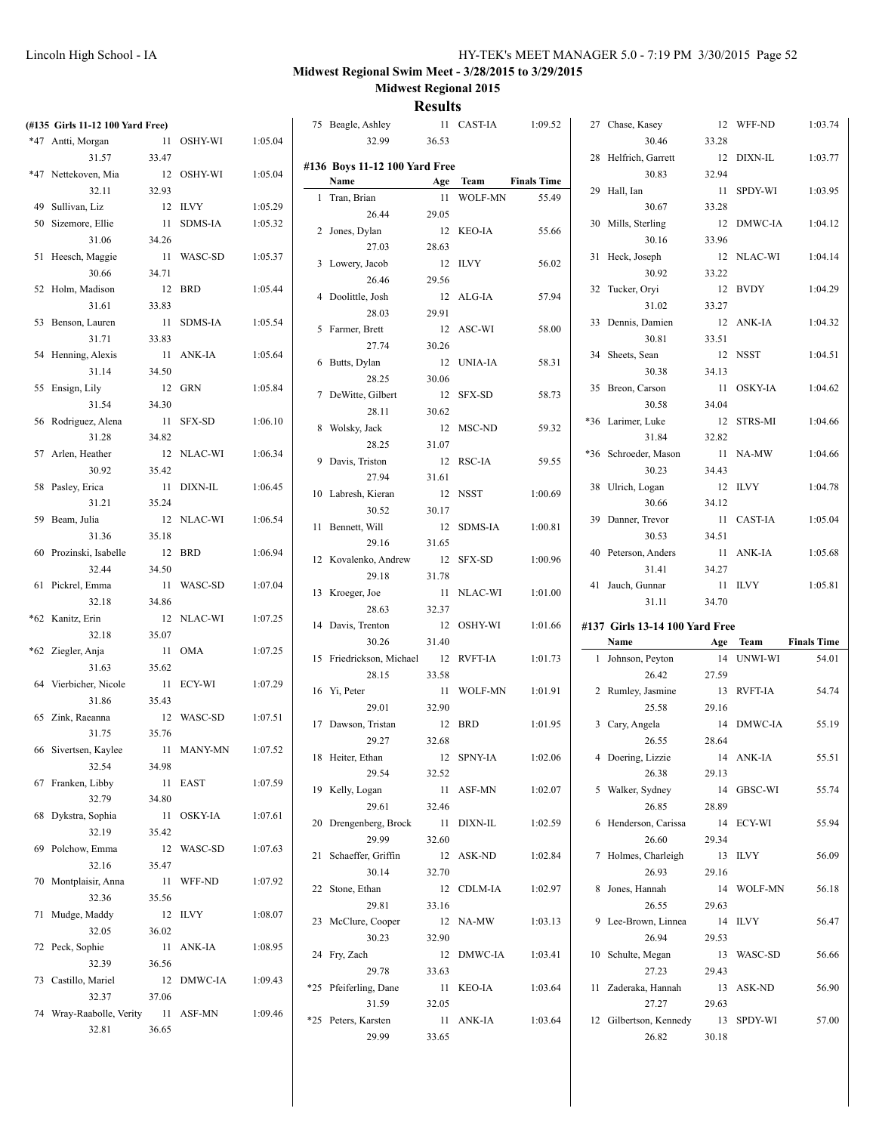# **Midwest Regional Swim Meet - 3/28/2015 to 3/29/2015**

**Midwest Regional 2015**

| (#135 Girls 11-12 100 Yard Free) |       |            |         | 75 Beagle, Ashley             |       | 11 CAST-IA | 1:09.52            | 27 Chase, Kasey                 |       | 12 WFF-ND  | 1:03.74            |
|----------------------------------|-------|------------|---------|-------------------------------|-------|------------|--------------------|---------------------------------|-------|------------|--------------------|
| *47 Antti, Morgan                |       | 11 OSHY-WI | 1:05.04 | 32.99                         | 36.53 |            |                    | 30.46                           | 33.28 |            |                    |
| 31.57                            | 33.47 |            |         |                               |       |            |                    | 28 Helfrich, Garrett            |       | 12 DIXN-IL | 1:03.77            |
| *47 Nettekoven, Mia              |       | 12 OSHY-WI | 1:05.04 | #136 Boys 11-12 100 Yard Free |       |            |                    | 30.83                           | 32.94 |            |                    |
| 32.11                            | 32.93 |            |         | Name                          |       | Age Team   | <b>Finals Time</b> | 29 Hall, Ian                    |       | 11 SPDY-WI | 1:03.95            |
| 49 Sullivan, Liz                 |       | 12 ILVY    | 1:05.29 | 1 Tran, Brian                 |       | 11 WOLF-MN | 55.49              | 30.67                           | 33.28 |            |                    |
| 50 Sizemore, Ellie               |       | 11 SDMS-IA | 1:05.32 | 26.44                         | 29.05 |            |                    | 30 Mills, Sterling              |       | 12 DMWC-IA | 1:04.12            |
| 31.06                            | 34.26 |            |         | 2 Jones, Dylan                |       | 12 KEO-IA  | 55.66              | 30.16                           | 33.96 |            |                    |
|                                  |       | 11 WASC-SD | 1:05.37 | 27.03                         | 28.63 |            |                    |                                 |       |            | 1:04.14            |
| 51 Heesch, Maggie                |       |            |         | 3 Lowery, Jacob               |       | 12 ILVY    | 56.02              | 31 Heck, Joseph                 |       | 12 NLAC-WI |                    |
| 30.66                            | 34.71 |            |         | 26.46                         | 29.56 |            |                    | 30.92                           | 33.22 |            |                    |
| 52 Holm, Madison                 |       | 12 BRD     | 1:05.44 | 4 Doolittle, Josh             |       | 12 ALG-IA  | 57.94              | 32 Tucker, Oryi                 |       | 12 BVDY    | 1:04.29            |
| 31.61                            | 33.83 |            |         | 28.03                         | 29.91 |            |                    | 31.02                           | 33.27 |            |                    |
| 53 Benson, Lauren                |       | 11 SDMS-IA | 1:05.54 | 5 Farmer, Brett               |       | 12 ASC-WI  | 58.00              | 33 Dennis, Damien               |       | 12 ANK-IA  | 1:04.32            |
| 31.71                            | 33.83 |            |         | 27.74                         | 30.26 |            |                    | 30.81                           | 33.51 |            |                    |
| 54 Henning, Alexis               |       | 11 ANK-IA  | 1:05.64 | 6 Butts, Dylan                |       | 12 UNIA-IA | 58.31              | 34 Sheets, Sean                 |       | 12 NSST    | 1:04.51            |
| 31.14                            | 34.50 |            |         | 28.25                         | 30.06 |            |                    | 30.38                           | 34.13 |            |                    |
| 55 Ensign, Lily                  |       | 12 GRN     | 1:05.84 | 7 DeWitte, Gilbert            |       | 12 SFX-SD  | 58.73              | 35 Breon, Carson                |       | 11 OSKY-IA | 1:04.62            |
| 31.54                            | 34.30 |            |         |                               |       |            |                    | 30.58                           | 34.04 |            |                    |
| 56 Rodriguez, Alena              |       | 11 SFX-SD  | 1:06.10 | 28.11                         | 30.62 |            |                    | *36 Larimer, Luke               |       | 12 STRS-MI | 1:04.66            |
| 31.28                            | 34.82 |            |         | 8 Wolsky, Jack                |       | 12 MSC-ND  | 59.32              | 31.84                           | 32.82 |            |                    |
| 57 Arlen, Heather                |       | 12 NLAC-WI | 1:06.34 | 28.25                         | 31.07 |            |                    | *36 Schroeder, Mason            |       | 11 NA-MW   | 1:04.66            |
| 30.92                            | 35.42 |            |         | 9 Davis, Triston              |       | 12 RSC-IA  | 59.55              | 30.23                           | 34.43 |            |                    |
| 58 Pasley, Erica                 |       |            |         | 27.94                         | 31.61 |            |                    |                                 |       |            |                    |
|                                  |       | 11 DIXN-IL | 1:06.45 | 10 Labresh, Kieran            |       | 12 NSST    | 1:00.69            | 38 Ulrich, Logan                |       | 12 ILVY    | 1:04.78            |
| 31.21                            | 35.24 |            |         | 30.52                         | 30.17 |            |                    | 30.66                           | 34.12 |            |                    |
| 59 Beam, Julia                   |       | 12 NLAC-WI | 1:06.54 | 11 Bennett, Will              |       | 12 SDMS-IA | 1:00.81            | 39 Danner, Trevor               |       | 11 CAST-IA | 1:05.04            |
| 31.36                            | 35.18 |            |         | 29.16                         | 31.65 |            |                    | 30.53                           | 34.51 |            |                    |
| 60 Prozinski, Isabelle           |       | 12 BRD     | 1:06.94 | 12 Kovalenko, Andrew          |       | 12 SFX-SD  | 1:00.96            | 40 Peterson, Anders             |       | 11 ANK-IA  | 1:05.68            |
| 32.44                            | 34.50 |            |         | 29.18                         | 31.78 |            |                    | 31.41                           | 34.27 |            |                    |
|                                  |       |            |         |                               |       |            |                    |                                 |       | 11 ILVY    |                    |
| 61 Pickrel, Emma                 |       | 11 WASC-SD | 1:07.04 |                               |       |            |                    | 41 Jauch, Gunnar                |       |            | 1:05.81            |
| 32.18                            | 34.86 |            |         | 13 Kroeger, Joe               |       | 11 NLAC-WI | 1:01.00            | 31.11                           | 34.70 |            |                    |
| *62 Kanitz, Erin                 |       | 12 NLAC-WI | 1:07.25 | 28.63                         | 32.37 |            |                    |                                 |       |            |                    |
| 32.18                            | 35.07 |            |         | 14 Davis, Trenton             |       | 12 OSHY-WI | 1:01.66            | #137 Girls 13-14 100 Yard Free  |       |            |                    |
|                                  |       |            |         | 30.26                         | 31.40 |            |                    | Name                            |       | Age Team   | <b>Finals Time</b> |
| *62 Ziegler, Anja                |       | 11 OMA     | 1:07.25 | 15 Friedrickson, Michael      |       | 12 RVFT-IA | 1:01.73            | 1 Johnson, Peyton               |       | 14 UNWI-WI | 54.01              |
| 31.63                            | 35.62 |            |         | 28.15                         | 33.58 |            |                    | 26.42                           | 27.59 |            |                    |
| 64 Vierbicher, Nicole            |       | 11 ECY-WI  | 1:07.29 | 16 Yi, Peter                  |       | 11 WOLF-MN | 1:01.91            | 2 Rumley, Jasmine               |       | 13 RVFT-IA | 54.74              |
| 31.86                            | 35.43 |            |         | 29.01                         | 32.90 |            |                    | 25.58                           | 29.16 |            |                    |
| 65 Zink, Raeanna                 |       | 12 WASC-SD | 1:07.51 | 17 Dawson, Tristan            |       | 12 BRD     | 1:01.95            | 3 Cary, Angela                  |       | 14 DMWC-IA | 55.19              |
| 31.75                            | 35.76 |            |         | 29.27                         | 32.68 |            |                    | 26.55                           | 28.64 |            |                    |
| 66 Sivertsen, Kaylee             |       | 11 MANY-MN | 1:07.52 | 18 Heiter, Ethan              |       | 12 SPNY-IA | 1:02.06            |                                 |       | 14 ANK-IA  | 55.51              |
| 32.54                            | 34.98 |            |         |                               |       |            |                    | 4 Doering, Lizzie               |       |            |                    |
| 67 Franken, Libby                |       | 11 EAST    | 1:07.59 | 29.54                         | 32.52 |            |                    | 26.38                           | 29.13 |            |                    |
| 32.79                            | 34.80 |            |         | 19 Kelly, Logan               |       | 11 ASF-MN  | 1:02.07            | 5 Walker, Sydney                |       | 14 GBSC-WI | 55.74              |
| 68 Dykstra, Sophia               |       | 11 OSKY-IA | 1:07.61 | 29.61                         | 32.46 |            |                    | 26.85                           | 28.89 |            |                    |
| 32.19                            | 35.42 |            |         | 20 Drengenberg, Brock         |       | 11 DIXN-IL | 1:02.59            | 6 Henderson, Carissa            |       | 14 ECY-WI  | 55.94              |
| 69 Polchow, Emma                 |       | 12 WASC-SD | 1:07.63 | 29.99                         | 32.60 |            |                    | 26.60                           | 29.34 |            |                    |
|                                  |       |            |         | 21 Schaeffer, Griffin         |       | 12 ASK-ND  | 1:02.84            | 7 Holmes, Charleigh             |       | 13 ILVY    | 56.09              |
| 32.16                            | 35.47 |            |         | 30.14                         | 32.70 |            |                    | 26.93                           | 29.16 |            |                    |
| 70 Montplaisir, Anna             |       | 11 WFF-ND  | 1:07.92 | 22 Stone, Ethan               |       | 12 CDLM-IA | 1:02.97            | 8 Jones, Hannah                 |       | 14 WOLF-MN | 56.18              |
| 32.36                            | 35.56 |            |         | 29.81                         | 33.16 |            |                    | 26.55                           | 29.63 |            |                    |
| 71 Mudge, Maddy                  |       | 12 ILVY    | 1:08.07 | 23 McClure, Cooper            |       | 12 NA-MW   | 1:03.13            | 9 Lee-Brown, Linnea             |       | 14 ILVY    | 56.47              |
| 32.05                            | 36.02 |            |         | 30.23                         | 32.90 |            |                    | 26.94                           | 29.53 |            |                    |
| 72 Peck, Sophie                  |       | 11 ANK-IA  | 1:08.95 | 24 Fry, Zach                  |       | 12 DMWC-IA | 1:03.41            | 10 Schulte, Megan               |       | 13 WASC-SD | 56.66              |
| 32.39                            | 36.56 |            |         | 29.78                         | 33.63 |            |                    | 27.23                           | 29.43 |            |                    |
| 73 Castillo, Mariel              |       | 12 DMWC-IA | 1:09.43 |                               |       |            |                    |                                 |       |            |                    |
| 32.37                            | 37.06 |            |         | *25 Pfeiferling, Dane         |       | 11 KEO-IA  | 1:03.64            | 11 Zaderaka, Hannah             |       | 13 ASK-ND  | 56.90              |
| 74 Wray-Raabolle, Verity         |       | 11 ASF-MN  | 1:09.46 | 31.59                         | 32.05 |            |                    | 27.27                           | 29.63 |            |                    |
| 32.81                            | 36.65 |            |         | *25 Peters, Karsten<br>29.99  | 33.65 | 11 ANK-IA  | 1:03.64            | 12 Gilbertson, Kennedy<br>26.82 | 30.18 | 13 SPDY-WI | 57.00              |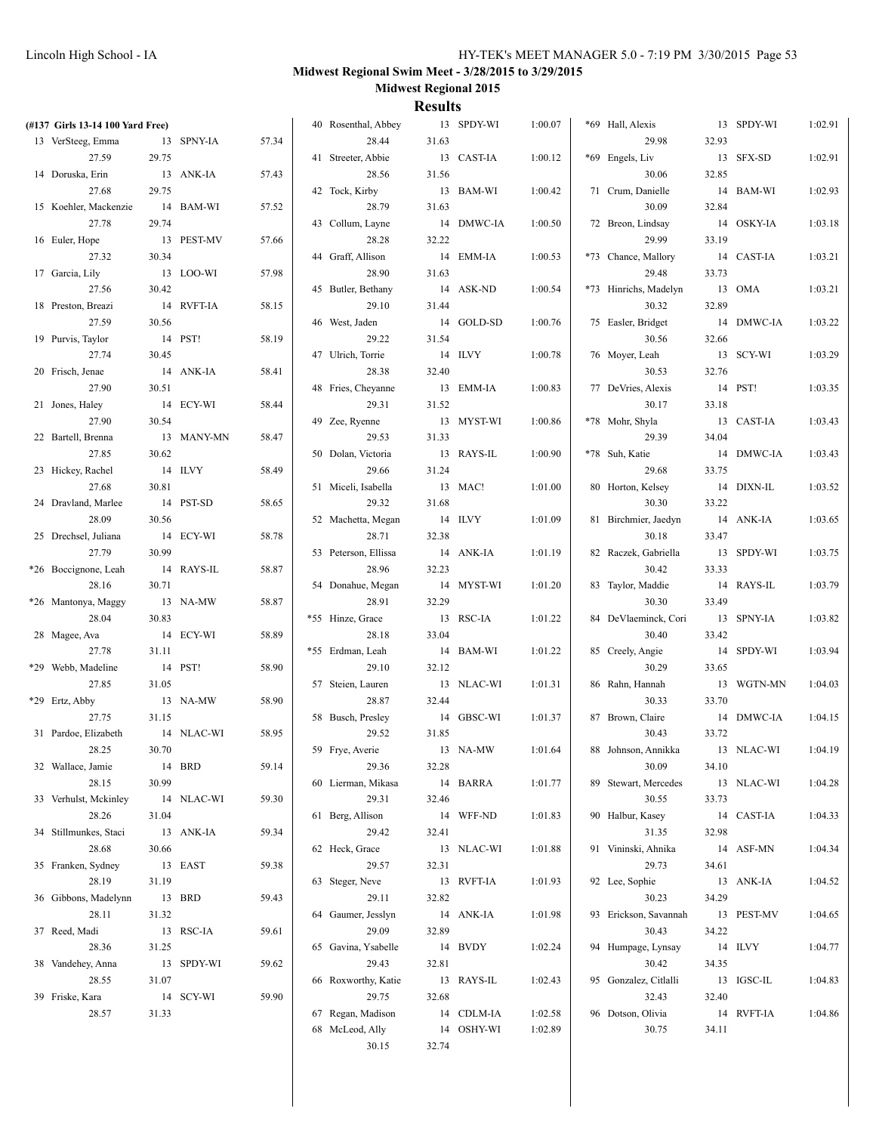| (#137 Girls 13-14 100 Yard Free) |         |            |       | 40 Rosenthal, Abbey  |       | 13 SPDY-WI | 1:00.07 | *69 Hall, Alexis      |       | 13 SPDY-WI | 1:02.91 |
|----------------------------------|---------|------------|-------|----------------------|-------|------------|---------|-----------------------|-------|------------|---------|
| 13 VerSteeg, Emma                |         | 13 SPNY-IA | 57.34 | 28.44                | 31.63 |            |         | 29.98                 | 32.93 |            |         |
| 27.59                            | 29.75   |            |       | 41 Streeter, Abbie   |       | 13 CAST-IA | 1:00.12 | *69 Engels, Liv       |       | 13 SFX-SD  | 1:02.91 |
| 14 Doruska, Erin                 |         | 13 ANK-IA  | 57.43 | 28.56                | 31.56 |            |         | 30.06                 | 32.85 |            |         |
| 27.68                            | 29.75   |            |       | 42 Tock, Kirby       |       | 13 BAM-WI  | 1:00.42 | 71 Crum, Danielle     |       | 14 BAM-WI  | 1:02.93 |
| 15 Koehler, Mackenzie            |         | 14 BAM-WI  | 57.52 | 28.79                | 31.63 |            |         | 30.09                 | 32.84 |            |         |
| 27.78                            | 29.74   |            |       | 43 Collum, Layne     |       | 14 DMWC-IA | 1:00.50 | 72 Breon, Lindsay     |       | 14 OSKY-IA | 1:03.18 |
| 16 Euler, Hope                   |         | 13 PEST-MV | 57.66 | 28.28                | 32.22 |            |         | 29.99                 | 33.19 |            |         |
| 27.32                            | 30.34   |            |       | 44 Graff, Allison    |       | 14 EMM-IA  | 1:00.53 | *73 Chance, Mallory   |       | 14 CAST-IA | 1:03.21 |
| 17 Garcia, Lily                  |         | 13 LOO-WI  | 57.98 | 28.90                | 31.63 |            |         | 29.48                 | 33.73 |            |         |
| 27.56                            | 30.42   |            |       | 45 Butler, Bethany   |       | 14 ASK-ND  | 1:00.54 | *73 Hinrichs, Madelyn |       | 13 OMA     | 1:03.21 |
| 18 Preston, Breazi               |         | 14 RVFT-IA | 58.15 | 29.10                | 31.44 |            |         | 30.32                 | 32.89 |            |         |
| 27.59                            | 30.56   |            |       | 46 West, Jaden       |       | 14 GOLD-SD | 1:00.76 | 75 Easler, Bridget    |       | 14 DMWC-IA |         |
|                                  |         |            |       |                      |       |            |         |                       |       |            | 1:03.22 |
| 19 Purvis, Taylor                |         | 14 PST!    | 58.19 | 29.22                | 31.54 |            |         | 30.56                 | 32.66 |            |         |
| 27.74                            | 30.45   |            |       | 47 Ulrich, Torrie    |       | 14 ILVY    | 1:00.78 | 76 Moyer, Leah        |       | 13 SCY-WI  | 1:03.29 |
| 20 Frisch, Jenae                 |         | 14 ANK-IA  | 58.41 | 28.38                | 32.40 |            |         | 30.53                 | 32.76 |            |         |
| 27.90                            | 30.51   |            |       | 48 Fries, Cheyanne   |       | 13 EMM-IA  | 1:00.83 | 77 DeVries, Alexis    |       | 14 PST!    | 1:03.35 |
| 21 Jones, Haley                  |         | 14 ECY-WI  | 58.44 | 29.31                | 31.52 |            |         | 30.17                 | 33.18 |            |         |
| 27.90                            | 30.54   |            |       | 49 Zee, Ryenne       |       | 13 MYST-WI | 1:00.86 | *78 Mohr, Shyla       |       | 13 CAST-IA | 1:03.43 |
| 22 Bartell, Brenna               |         | 13 MANY-MN | 58.47 | 29.53                | 31.33 |            |         | 29.39                 | 34.04 |            |         |
| 27.85                            | 30.62   |            |       | 50 Dolan, Victoria   |       | 13 RAYS-IL | 1:00.90 | *78 Suh, Katie        |       | 14 DMWC-IA | 1:03.43 |
| 23 Hickey, Rachel                |         | 14 ILVY    | 58.49 | 29.66                | 31.24 |            |         | 29.68                 | 33.75 |            |         |
| 27.68                            | 30.81   |            |       | 51 Miceli, Isabella  |       | 13 MAC!    | 1:01.00 | 80 Horton, Kelsey     |       | 14 DIXN-IL | 1:03.52 |
| 24 Dravland, Marlee              |         | 14 PST-SD  | 58.65 | 29.32                | 31.68 |            |         | 30.30                 | 33.22 |            |         |
| 28.09                            | 30.56   |            |       | 52 Machetta, Megan   |       | 14 ILVY    | 1:01.09 | 81 Birchmier, Jaedyn  |       | 14 ANK-IA  | 1:03.65 |
| 25 Drechsel, Juliana             |         | 14 ECY-WI  | 58.78 | 28.71                | 32.38 |            |         | 30.18                 | 33.47 |            |         |
| 27.79                            | 30.99   |            |       | 53 Peterson, Ellissa |       | 14 ANK-IA  | 1:01.19 | 82 Raczek, Gabriella  |       | 13 SPDY-WI | 1:03.75 |
| *26 Boccignone, Leah             |         | 14 RAYS-IL | 58.87 | 28.96                | 32.23 |            |         | 30.42                 | 33.33 |            |         |
| 28.16                            | 30.71   |            |       | 54 Donahue, Megan    |       | 14 MYST-WI | 1:01.20 | 83 Taylor, Maddie     |       | 14 RAYS-IL | 1:03.79 |
| *26 Mantonya, Maggy              |         | 13 NA-MW   | 58.87 | 28.91                | 32.29 |            |         | 30.30                 | 33.49 |            |         |
| 28.04                            | 30.83   |            |       | *55 Hinze, Grace     |       | 13 RSC-IA  | 1:01.22 | 84 DeVlaeminck, Cori  |       | 13 SPNY-IA | 1:03.82 |
| 28 Magee, Ava                    |         | 14 ECY-WI  | 58.89 | 28.18                | 33.04 |            |         | 30.40                 | 33.42 |            |         |
| 27.78                            | 31.11   |            |       | *55 Erdman, Leah     |       | 14 BAM-WI  | 1:01.22 | 85 Creely, Angie      |       | 14 SPDY-WI | 1:03.94 |
| *29 Webb, Madeline               | 14 PST! |            | 58.90 | 29.10                | 32.12 |            |         | 30.29                 | 33.65 |            |         |
| 27.85                            | 31.05   |            |       | 57 Steien, Lauren    |       | 13 NLAC-WI | 1:01.31 | 86 Rahn, Hannah       |       | 13 WGTN-MN | 1:04.03 |
| *29 Ertz, Abby                   |         | 13 NA-MW   | 58.90 | 28.87                | 32.44 |            |         | 30.33                 | 33.70 |            |         |
| 27.75                            | 31.15   |            |       | 58 Busch, Presley    |       | 14 GBSC-WI | 1:01.37 | 87 Brown, Claire      |       | 14 DMWC-IA | 1:04.15 |
| 31 Pardoe, Elizabeth             |         | 14 NLAC-WI | 58.95 | 29.52                | 31.85 |            |         | 30.43                 | 33.72 |            |         |
| 28.25                            | 30.70   |            |       | 59 Frye, Averie      |       | 13 NA-MW   | 1:01.64 | 88 Johnson, Annikka   |       | 13 NLAC-WI | 1:04.19 |
| 32 Wallace, Jamie                |         | 14 BRD     | 59.14 | 29.36                | 32.28 |            |         | 30.09                 | 34.10 |            |         |
| 28.15                            | 30.99   |            |       | 60 Lierman, Mikasa   |       | 14 BARRA   | 1:01.77 | 89 Stewart, Mercedes  |       | 13 NLAC-WI | 1:04.28 |
| 33 Verhulst, Mckinley            |         | 14 NLAC-WI | 59.30 | 29.31                | 32.46 |            |         | 30.55                 | 33.73 |            |         |
| 28.26                            | 31.04   |            |       | 61 Berg, Allison     |       | 14 WFF-ND  | 1:01.83 | 90 Halbur, Kasey      |       | 14 CAST-IA | 1:04.33 |
|                                  |         |            |       |                      |       |            |         |                       |       |            |         |
| 34 Stillmunkes, Staci            |         | 13 ANK-IA  | 59.34 | 29.42                | 32.41 |            |         | 31.35                 | 32.98 |            |         |
| 28.68                            | 30.66   |            |       | 62 Heck, Grace       |       | 13 NLAC-WI | 1:01.88 | 91 Vininski, Ahnika   |       | 14 ASF-MN  | 1:04.34 |
| 35 Franken, Sydney               |         | 13 EAST    | 59.38 | 29.57                | 32.31 |            |         | 29.73                 | 34.61 |            |         |
| 28.19                            | 31.19   |            |       | 63 Steger, Neve      |       | 13 RVFT-IA | 1:01.93 | 92 Lee, Sophie        |       | 13 ANK-IA  | 1:04.52 |
| 36 Gibbons, Madelynn             | 13 BRD  |            | 59.43 | 29.11                | 32.82 |            |         | 30.23                 | 34.29 |            |         |
| 28.11                            | 31.32   |            |       | 64 Gaumer, Jesslyn   |       | 14 ANK-IA  | 1:01.98 | 93 Erickson, Savannah |       | 13 PEST-MV | 1:04.65 |
| 37 Reed, Madi                    |         | 13 RSC-IA  | 59.61 | 29.09                | 32.89 |            |         | 30.43                 | 34.22 |            |         |
| 28.36                            | 31.25   |            |       | 65 Gavina, Ysabelle  |       | 14 BVDY    | 1:02.24 | 94 Humpage, Lynsay    |       | 14 ILVY    | 1:04.77 |
| 38 Vandehey, Anna                |         | 13 SPDY-WI | 59.62 | 29.43                | 32.81 |            |         | 30.42                 | 34.35 |            |         |
| 28.55                            | 31.07   |            |       | 66 Roxworthy, Katie  |       | 13 RAYS-IL | 1:02.43 | 95 Gonzalez, Citlalli |       | 13 IGSC-IL | 1:04.83 |
| 39 Friske, Kara                  |         | 14 SCY-WI  | 59.90 | 29.75                | 32.68 |            |         | 32.43                 | 32.40 |            |         |
| 28.57                            | 31.33   |            |       | 67 Regan, Madison    |       | 14 CDLM-IA | 1:02.58 | 96 Dotson, Olivia     |       | 14 RVFT-IA | 1:04.86 |
|                                  |         |            |       | 68 McLeod, Ally      |       | 14 OSHY-WI | 1:02.89 | 30.75                 | 34.11 |            |         |
|                                  |         |            |       | 30.15                | 32.74 |            |         |                       |       |            |         |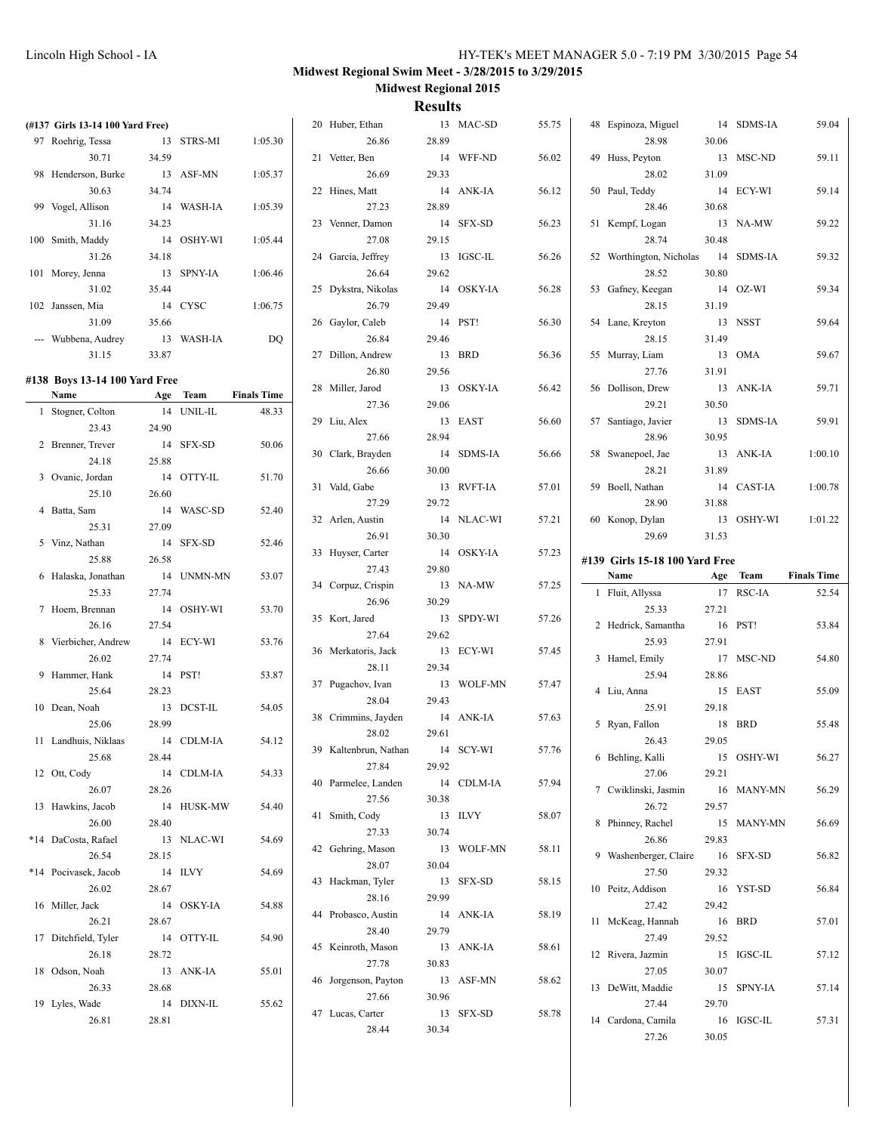| (#137 Girls 13-14 100 Yard Free) |       |            |                    | 20 Huber, Ethan           |         | 13 MAC-SD  | 55.75 | 48 Espinoza, Miguel            |       | 14 SDMS-IA | 59.04              |
|----------------------------------|-------|------------|--------------------|---------------------------|---------|------------|-------|--------------------------------|-------|------------|--------------------|
| 97 Roehrig, Tessa                |       | 13 STRS-MI | 1:05.30            | 26.86                     | 28.89   |            |       | 28.98                          | 30.06 |            |                    |
| 30.71                            | 34.59 |            |                    | 21 Vetter, Ben            |         | 14 WFF-ND  | 56.02 | 49 Huss, Peyton                |       | 13 MSC-ND  | 59.11              |
| 98 Henderson, Burke              |       | 13 ASF-MN  | 1:05.37            | 26.69                     | 29.33   |            |       | 28.02                          | 31.09 |            |                    |
| 30.63                            | 34.74 |            |                    | 22 Hines, Matt            |         | 14 ANK-IA  | 56.12 | 50 Paul, Teddy                 |       | 14 ECY-WI  | 59.14              |
| 99 Vogel, Allison                |       | 14 WASH-IA | 1:05.39            | 27.23                     | 28.89   |            |       | 28.46                          | 30.68 |            |                    |
| 31.16                            | 34.23 |            |                    | 23 Venner, Damon          |         | 14 SFX-SD  | 56.23 | 51 Kempf, Logan                |       | 13 NA-MW   | 59.22              |
| 100 Smith, Maddy                 |       | 14 OSHY-WI | 1:05.44            | 27.08                     | 29.15   |            |       | 28.74                          | 30.48 |            |                    |
| 31.26                            | 34.18 |            |                    | 24 Garcia, Jeffrey        |         | 13 IGSC-IL | 56.26 | 52 Worthington, Nicholas       |       | 14 SDMS-IA | 59.32              |
| 101 Morey, Jenna                 |       | 13 SPNY-IA | 1:06.46            | 26.64                     | 29.62   |            |       | 28.52                          | 30.80 |            |                    |
| 31.02                            | 35.44 |            |                    | 25 Dykstra, Nikolas       |         | 14 OSKY-IA | 56.28 | 53 Gafney, Keegan              |       | 14 OZ-WI   | 59.34              |
| 102 Janssen, Mia                 |       | 14 CYSC    | 1:06.75            | 26.79                     | 29.49   |            |       | 28.15                          | 31.19 |            |                    |
| 31.09                            | 35.66 |            |                    | 26 Gaylor, Caleb          |         | 14 PST!    | 56.30 | 54 Lane, Kreyton               |       | 13 NSST    | 59.64              |
| --- Wubbena, Audrey              |       | 13 WASH-IA | DQ                 | 26.84                     | 29.46   |            |       | 28.15                          | 31.49 |            |                    |
| 31.15                            | 33.87 |            |                    | 27 Dillon, Andrew         |         | 13 BRD     | 56.36 | 55 Murray, Liam                |       | 13 OMA     | 59.67              |
|                                  |       |            |                    | 26.80                     | 29.56   |            |       | 27.76                          | 31.91 |            |                    |
| #138 Boys 13-14 100 Yard Free    |       |            |                    | 28 Miller, Jarod          |         | 13 OSKY-IA | 56.42 | 56 Dollison, Drew              |       | 13 ANK-IA  | 59.71              |
| Name                             |       | Age Team   | <b>Finals Time</b> | 27.36                     | 29.06   |            |       | 29.21                          | 30.50 |            |                    |
| 1 Stogner, Colton                |       | 14 UNIL-IL | 48.33              | 29 Liu, Alex              |         | 13 EAST    | 56.60 | 57 Santiago, Javier            |       | 13 SDMS-IA | 59.91              |
| 23.43                            | 24.90 |            |                    | 27.66                     | 28.94   |            |       | 28.96                          | 30.95 |            |                    |
| 2 Brenner, Trever                |       | 14 SFX-SD  | 50.06              | 30 Clark, Brayden         |         | 14 SDMS-IA | 56.66 | 58 Swanepoel, Jae              |       | 13 ANK-IA  | 1:00.10            |
| 24.18                            | 25.88 |            |                    | 26.66                     | 30.00   |            |       | 28.21                          | 31.89 |            |                    |
| 3 Ovanic, Jordan                 |       | 14 OTTY-IL | 51.70              | 31 Vald, Gabe             |         | 13 RVFT-IA | 57.01 | 59 Boell, Nathan               |       | 14 CAST-IA | 1:00.78            |
| 25.10                            | 26.60 |            |                    | 27.29                     | 29.72   |            |       | 28.90                          | 31.88 |            |                    |
| 4 Batta, Sam                     |       | 14 WASC-SD | 52.40              | 32 Arlen, Austin          |         | 14 NLAC-WI | 57.21 | 60 Konop, Dylan                |       | 13 OSHY-WI | 1:01.22            |
| 25.31                            | 27.09 |            |                    | 26.91                     | 30.30   |            |       | 29.69                          | 31.53 |            |                    |
| 5 Vinz, Nathan                   |       | 14 SFX-SD  | 52.46              | 33 Huyser, Carter         |         | 14 OSKY-IA | 57.23 |                                |       |            |                    |
| 25.88                            | 26.58 |            |                    | 27.43                     | 29.80   |            |       | #139 Girls 15-18 100 Yard Free |       |            |                    |
|                                  |       |            |                    |                           |         |            |       |                                |       |            |                    |
| 6 Halaska, Jonathan              |       | 14 UNMN-MN | 53.07              |                           |         |            |       | Name                           |       | Age Team   | <b>Finals Time</b> |
| 25.33                            | 27.74 |            |                    | 34 Corpuz, Crispin        |         | 13 NA-MW   | 57.25 | 1 Fluit, Allyssa               |       | 17 RSC-IA  | 52.54              |
| 7 Hoem, Brennan                  |       | 14 OSHY-WI | 53.70              | 26.96                     | 30.29   |            |       | 25.33                          | 27.21 |            |                    |
| 26.16                            | 27.54 |            |                    | 35 Kort, Jared            |         | 13 SPDY-WI | 57.26 | 2 Hedrick, Samantha            |       | 16 PST!    | 53.84              |
| 8 Vierbicher, Andrew             |       | 14 ECY-WI  | 53.76              | 27.64                     | 29.62   |            |       | 25.93                          | 27.91 |            |                    |
| 26.02                            | 27.74 |            |                    | 36 Merkatoris, Jack       |         | 13 ECY-WI  | 57.45 | 3 Hamel, Emily                 |       | 17 MSC-ND  | 54.80              |
| 9 Hammer, Hank                   |       | 14 PST!    | 53.87              | 28.11                     | 29.34   |            |       | 25.94                          | 28.86 |            |                    |
| 25.64                            | 28.23 |            |                    | 37 Pugachov, Ivan         |         | 13 WOLF-MN | 57.47 | 4 Liu, Anna                    |       | 15 EAST    | 55.09              |
| 10 Dean, Noah                    |       | 13 DCST-IL | 54.05              | 28.04                     | 29.43   |            |       | 25.91                          | 29.18 |            |                    |
| 25.06                            | 28.99 |            |                    | 38 Crimmins, Jayden       |         | 14 ANK-IA  | 57.63 | 5 Ryan, Fallon                 |       | 18 BRD     | 55.48              |
| 11 Landhuis, Niklaas             |       | 14 CDLM-IA | 54.12              | 28.02                     | 29.61   |            |       | 26.43                          | 29.05 |            |                    |
| 25.68                            | 28.44 |            |                    | 39 Kaltenbrun, Nathan     |         | 14 SCY-WI  | 57.76 | 6 Behling, Kalli               |       | 15 OSHY-WI | 56.27              |
| 12 Ott, Cody                     |       | 14 CDLM-IA | 54.33              | 27.84                     | 29.92   |            |       | 27.06                          | 29.21 |            |                    |
| 26.07                            | 28.26 |            |                    | 40 Parmelee, Landen       |         | 14 CDLM-IA | 57.94 | 7 Cwiklinski, Jasmin           |       | 16 MANY-MN | 56.29              |
| 13 Hawkins, Jacob                |       | 14 HUSK-MW | 54.40              | 27.56                     | 30.38   |            |       | 26.72                          | 29.57 |            |                    |
| 26.00                            | 28.40 |            |                    | 41 Smith, Cody            | 13 ILVY |            | 58.07 | 8 Phinney, Rachel              |       | 15 MANY-MN | 56.69              |
| *14 DaCosta, Rafael              |       | 13 NLAC-WI | 54.69              | 27.33                     | 30.74   |            |       | 26.86                          | 29.83 |            |                    |
| 26.54                            | 28.15 |            |                    | 42 Gehring, Mason         |         | 13 WOLF-MN | 58.11 | 9 Washenberger, Claire         |       | 16 SFX-SD  | 56.82              |
| *14 Pocivasek, Jacob             |       | 14 ILVY    | 54.69              | 28.07                     | 30.04   |            |       | 27.50                          | 29.32 |            |                    |
| 26.02                            | 28.67 |            |                    | 43 Hackman, Tyler         |         | 13 SFX-SD  | 58.15 | 10 Peitz, Addison              |       | 16 YST-SD  | 56.84              |
| 16 Miller, Jack                  |       | 14 OSKY-IA | 54.88              | 28.16                     | 29.99   |            |       | 27.42                          | 29.42 |            |                    |
| 26.21                            | 28.67 |            |                    | 44 Probasco, Austin       |         | 14 ANK-IA  | 58.19 | 11 McKeag, Hannah              |       | 16 BRD     | 57.01              |
| 17 Ditchfield, Tyler             |       | 14 OTTY-IL | 54.90              | 28.40                     | 29.79   |            |       | 27.49                          | 29.52 |            |                    |
| 26.18                            | 28.72 |            |                    | 45 Keinroth, Mason        |         | 13 ANK-IA  | 58.61 | 12 Rivera, Jazmin              |       | 15 IGSC-IL | 57.12              |
| 18 Odson, Noah                   |       | 13 ANK-IA  | 55.01              | 27.78                     | 30.83   |            |       | 27.05                          | 30.07 |            |                    |
| 26.33                            | 28.68 |            |                    | 46 Jorgenson, Payton      |         | 13 ASF-MN  | 58.62 | 13 DeWitt, Maddie              |       | 15 SPNY-IA | 57.14              |
| 19 Lyles, Wade                   |       | 14 DIXN-IL | 55.62              | 27.66                     | 30.96   |            |       | 27.44                          | 29.70 |            |                    |
| 26.81                            | 28.81 |            |                    | 47 Lucas, Carter<br>28.44 | 30.34   | 13 SFX-SD  | 58.78 | 14 Cardona, Camila             |       | 16 IGSC-IL | 57.31              |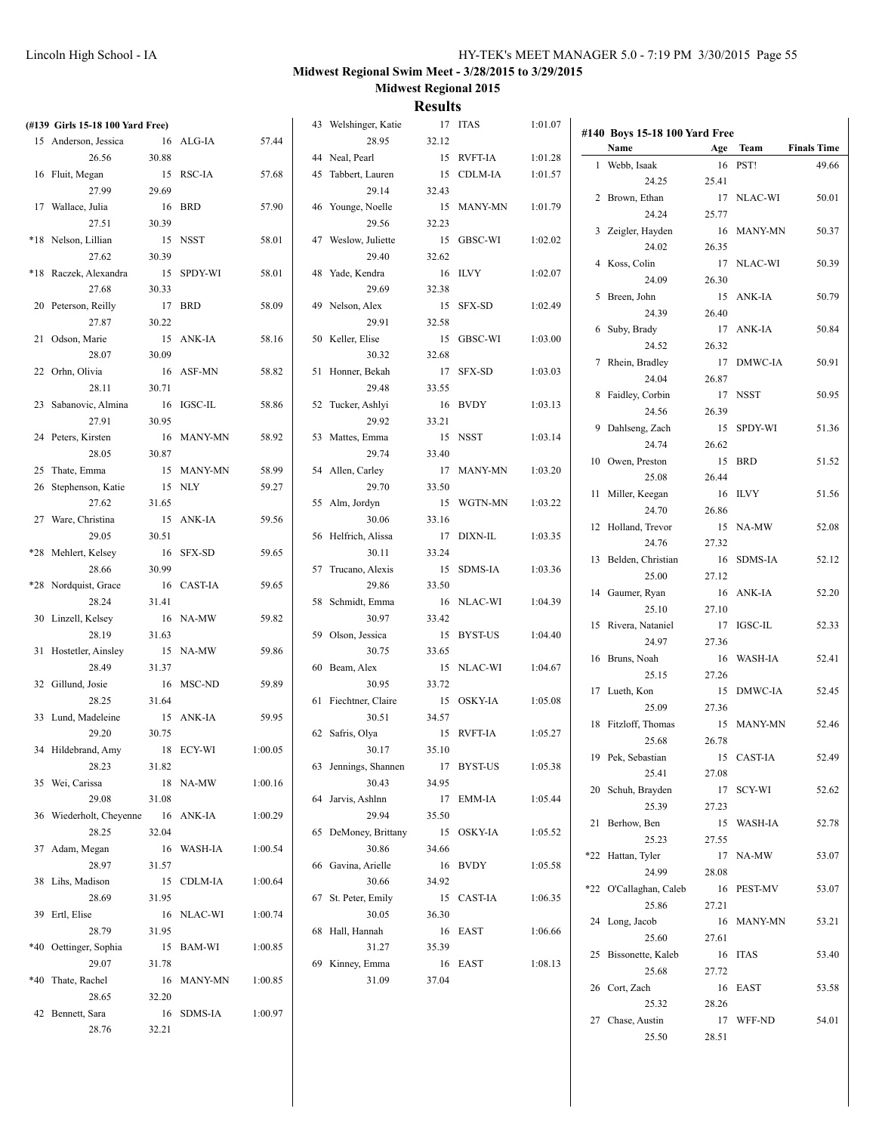| (#139 Girls 15-18 100 Yard Free)  |       |            |         | 43 Welshinger, Katie |         | 17 ITAS    | 1:01.07 | #140 Boys 15-18 100 Yard Free |       |            |                    |
|-----------------------------------|-------|------------|---------|----------------------|---------|------------|---------|-------------------------------|-------|------------|--------------------|
| 15 Anderson, Jessica              |       | 16 ALG-IA  | 57.44   | 28.95                | 32.12   |            |         | Name                          |       | Age Team   | <b>Finals Time</b> |
| 26.56                             | 30.88 |            |         | 44 Neal, Pearl       |         | 15 RVFT-IA | 1:01.28 | 1 Webb, Isaak                 |       | 16 PST!    | 49.66              |
| 16 Fluit, Megan                   |       | 15 RSC-IA  | 57.68   | 45 Tabbert, Lauren   |         | 15 CDLM-IA | 1:01.57 | 24.25                         | 25.41 |            |                    |
| 27.99                             | 29.69 |            |         | 29.14                | 32.43   |            |         | 2 Brown, Ethan                |       | 17 NLAC-WI | 50.01              |
| 17 Wallace, Julia                 |       | 16 BRD     | 57.90   | 46 Younge, Noelle    |         | 15 MANY-MN | 1:01.79 |                               |       |            |                    |
| 27.51                             | 30.39 |            |         | 29.56                | 32.23   |            |         | 24.24                         | 25.77 |            |                    |
| *18 Nelson, Lillian               |       | 15 NSST    | 58.01   | 47 Weslow, Juliette  |         | 15 GBSC-WI | 1:02.02 | 3 Zeigler, Hayden             |       | 16 MANY-MN | 50.37              |
| 27.62                             | 30.39 |            |         | 29.40                | 32.62   |            |         | 24.02                         | 26.35 |            |                    |
|                                   |       |            |         |                      |         |            |         | 4 Koss, Colin                 |       | 17 NLAC-WI | 50.39              |
| *18 Raczek, Alexandra             |       | 15 SPDY-WI | 58.01   | 48 Yade, Kendra      |         | 16 ILVY    | 1:02.07 | 24.09                         | 26.30 |            |                    |
| 27.68                             | 30.33 |            |         | 29.69                | 32.38   |            |         | 5 Breen, John                 |       | 15 ANK-IA  | 50.79              |
| 20 Peterson, Reilly               |       | 17 BRD     | 58.09   | 49 Nelson, Alex      |         | 15 SFX-SD  | 1:02.49 | 24.39                         | 26.40 |            |                    |
| 27.87                             | 30.22 |            |         | 29.91                | 32.58   |            |         | 6 Suby, Brady                 |       | 17 ANK-IA  | 50.84              |
| 21 Odson, Marie                   |       | 15 ANK-IA  | 58.16   | 50 Keller, Elise     |         | 15 GBSC-WI | 1:03.00 |                               |       |            |                    |
| 28.07                             | 30.09 |            |         | 30.32                | 32.68   |            |         | 24.52                         | 26.32 |            |                    |
| 22 Orhn, Olivia                   |       | 16 ASF-MN  | 58.82   | 51 Honner, Bekah     |         | 17 SFX-SD  | 1:03.03 | 7 Rhein, Bradley              |       | 17 DMWC-IA | 50.91              |
| 28.11                             | 30.71 |            |         | 29.48                | 33.55   |            |         | 24.04                         | 26.87 |            |                    |
|                                   |       |            |         |                      |         |            |         | 8 Faidley, Corbin             |       | 17 NSST    | 50.95              |
| 23 Sabanovic, Almina              |       | 16 IGSC-IL | 58.86   | 52 Tucker, Ashlyi    |         | 16 BVDY    | 1:03.13 | 24.56                         | 26.39 |            |                    |
| 27.91                             | 30.95 |            |         | 29.92                | 33.21   |            |         | 9 Dahlseng, Zach              |       | 15 SPDY-WI | 51.36              |
| 24 Peters, Kirsten                |       | 16 MANY-MN | 58.92   | 53 Mattes, Emma      |         | 15 NSST    | 1:03.14 | 24.74                         | 26.62 |            |                    |
| 28.05                             | 30.87 |            |         | 29.74                | 33.40   |            |         | 10 Owen, Preston              |       | 15 BRD     | 51.52              |
| 25 Thate, Emma                    |       | 15 MANY-MN | 58.99   | 54 Allen, Carley     |         | 17 MANY-MN | 1:03.20 |                               |       |            |                    |
| 26 Stephenson, Katie              |       | 15 NLY     | 59.27   | 29.70                | 33.50   |            |         | 25.08                         | 26.44 |            |                    |
| 27.62                             | 31.65 |            |         | 55 Alm, Jordyn       |         | 15 WGTN-MN | 1:03.22 | 11 Miller, Keegan             |       | 16 ILVY    | 51.56              |
| 27 Ware, Christina                |       | 15 ANK-IA  | 59.56   | 30.06                | 33.16   |            |         | 24.70                         | 26.86 |            |                    |
|                                   |       |            |         |                      |         |            |         | 12 Holland, Trevor            |       | 15 NA-MW   | 52.08              |
| 29.05                             | 30.51 |            |         | 56 Helfrich, Alissa  |         | 17 DIXN-IL | 1:03.35 | 24.76                         | 27.32 |            |                    |
| *28 Mehlert, Kelsey               |       | 16 SFX-SD  | 59.65   | 30.11                | 33.24   |            |         | 13 Belden, Christian          |       | 16 SDMS-IA | 52.12              |
| 28.66                             | 30.99 |            |         | 57 Trucano, Alexis   |         | 15 SDMS-IA | 1:03.36 | 25.00                         | 27.12 |            |                    |
| *28 Nordquist, Grace              |       | 16 CAST-IA | 59.65   | 29.86                | 33.50   |            |         | 14 Gaumer, Ryan               |       | 16 ANK-IA  | 52.20              |
| 28.24                             | 31.41 |            |         | 58 Schmidt, Emma     |         | 16 NLAC-WI | 1:04.39 | 25.10                         | 27.10 |            |                    |
| 30 Linzell, Kelsey                |       | 16 NA-MW   | 59.82   | 30.97                | 33.42   |            |         |                               |       |            |                    |
| 28.19                             | 31.63 |            |         | 59 Olson, Jessica    |         | 15 BYST-US | 1:04.40 | 15 Rivera, Nataniel           |       | 17 IGSC-IL | 52.33              |
| 31 Hostetler, Ainsley             |       | 15 NA-MW   | 59.86   | 30.75                | 33.65   |            |         | 24.97                         | 27.36 |            |                    |
| 28.49                             | 31.37 |            |         | 60 Beam, Alex        |         | 15 NLAC-WI | 1:04.67 | 16 Bruns, Noah                |       | 16 WASH-IA | 52.41              |
|                                   |       |            |         |                      |         |            |         | 25.15                         | 27.26 |            |                    |
| 32 Gillund, Josie                 |       | 16 MSC-ND  | 59.89   | 30.95                | 33.72   |            |         | 17 Lueth, Kon                 |       | 15 DMWC-IA | 52.45              |
| 28.25                             | 31.64 |            |         | 61 Fiechtner, Claire |         | 15 OSKY-IA | 1:05.08 | 25.09                         | 27.36 |            |                    |
| 33 Lund, Madeleine                |       | 15 ANK-IA  | 59.95   | 30.51                | 34.57   |            |         | 18 Fitzloff, Thomas           |       | 15 MANY-MN | 52.46              |
| 29.20                             | 30.75 |            |         | 62 Safris, Olya      |         | 15 RVFT-IA | 1:05.27 | 25.68                         | 26.78 |            |                    |
| 34 Hildebrand, Amy                |       | 18 ECY-WI  | 1:00.05 | 30.17                | 35.10   |            |         | 19 Pek, Sebastian             |       | 15 CAST-IA |                    |
| 28.23                             | 31.82 |            |         | 63 Jennings, Shannen |         | 17 BYST-US | 1:05.38 |                               |       |            | 52.49              |
| 35 Wei, Carissa                   |       | 18 NA-MW   | 1:00.16 | 30.43                | 34.95   |            |         | 25.41                         | 27.08 |            |                    |
| 29.08                             | 31.08 |            |         | 64 Jarvis, Ashlnn    |         | 17 EMM-IA  | 1:05.44 | 20 Schuh, Brayden             |       | 17 SCY-WI  | 52.62              |
| 36 Wiederholt, Cheyenne 16 ANK-IA |       |            | 1:00.29 | 29.94                | 35.50   |            |         | 25.39                         | 27.23 |            |                    |
| 28.25                             |       |            |         |                      |         |            |         | 21 Berhow, Ben                |       | 15 WASH-IA | 52.78              |
|                                   | 32.04 |            |         | 65 DeMoney, Brittany |         | 15 OSKY-IA | 1:05.52 | 25.23                         | 27.55 |            |                    |
| 37 Adam, Megan                    |       | 16 WASH-IA | 1:00.54 | 30.86                | 34.66   |            |         | *22 Hattan, Tyler             |       | 17 NA-MW   | 53.07              |
| 28.97                             | 31.57 |            |         | 66 Gavina, Arielle   |         | 16 BVDY    | 1:05.58 | 24.99                         | 28.08 |            |                    |
| 38 Lihs, Madison                  |       | 15 CDLM-IA | 1:00.64 | 30.66                | 34.92   |            |         | *22 O'Callaghan, Caleb        |       | 16 PEST-MV | 53.07              |
| 28.69                             | 31.95 |            |         | 67 St. Peter, Emily  |         | 15 CAST-IA | 1:06.35 | 25.86                         | 27.21 |            |                    |
| 39 Ertl, Elise                    |       | 16 NLAC-WI | 1:00.74 | 30.05                | 36.30   |            |         |                               |       |            |                    |
| 28.79                             | 31.95 |            |         | 68 Hall, Hannah      | 16 EAST |            | 1:06.66 | 24 Long, Jacob                |       | 16 MANY-MN | 53.21              |
| *40 Oettinger, Sophia             |       | 15 BAM-WI  | 1:00.85 | 31.27                | 35.39   |            |         | 25.60                         | 27.61 |            |                    |
| 29.07                             | 31.78 |            |         | 69 Kinney, Emma      | 16 EAST |            | 1:08.13 | 25 Bissonette, Kaleb          |       | 16 ITAS    | 53.40              |
| *40 Thate, Rachel                 |       |            |         |                      | 37.04   |            |         | 25.68                         | 27.72 |            |                    |
|                                   |       | 16 MANY-MN | 1:00.85 | 31.09                |         |            |         | 26 Cort, Zach                 |       | 16 EAST    | 53.58              |
| 28.65                             | 32.20 |            |         |                      |         |            |         | 25.32                         | 28.26 |            |                    |
| 42 Bennett, Sara                  |       | 16 SDMS-IA | 1:00.97 |                      |         |            |         | 27 Chase, Austin              |       | 17 WFF-ND  | 54.01              |
| 28.76                             | 32.21 |            |         |                      |         |            |         | 25.50                         | 28.51 |            |                    |
|                                   |       |            |         |                      |         |            |         |                               |       |            |                    |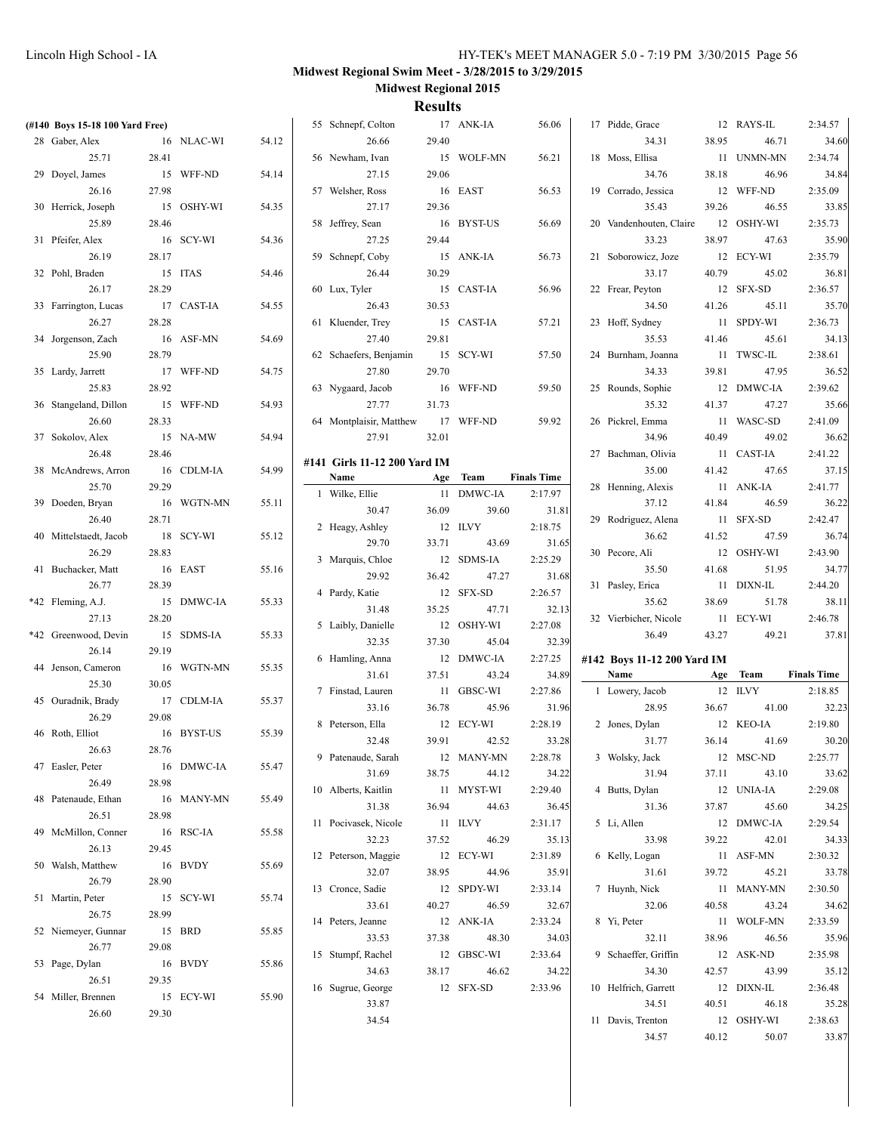| (#140 Boys 15-18 100 Yard Free) |        |            |       | 55 Schnepf, Colton           |       | 17 ANK-IA  | 56.06              | 17 Pidde, Grace             |       | 12 RAYS-IL          | 2:34.57            |
|---------------------------------|--------|------------|-------|------------------------------|-------|------------|--------------------|-----------------------------|-------|---------------------|--------------------|
| 28 Gaber, Alex                  |        | 16 NLAC-WI | 54.12 | 26.66                        | 29.40 |            |                    | 34.31                       | 38.95 | 46.71               | 34.60              |
| 25.71                           | 28.41  |            |       | 56 Newham, Ivan              |       | 15 WOLF-MN | 56.21              | 18 Moss, Ellisa             |       | 11 UNMN-MN          | 2:34.74            |
| 29 Doyel, James                 |        | 15 WFF-ND  | 54.14 | 27.15                        | 29.06 |            |                    | 34.76                       | 38.18 | 46.96               | 34.84              |
| 26.16                           | 27.98  |            |       | 57 Welsher, Ross             |       | 16 EAST    | 56.53              | 19 Corrado, Jessica         |       | 12 WFF-ND           | 2:35.09            |
| 30 Herrick, Joseph              |        | 15 OSHY-WI | 54.35 | 27.17                        | 29.36 |            |                    | 35.43                       | 39.26 | 46.55               | 33.85              |
| 25.89                           | 28.46  |            |       | 58 Jeffrey, Sean             |       | 16 BYST-US | 56.69              | 20 Vandenhouten, Claire     |       | 12 OSHY-WI          | 2:35.73            |
| 31 Pfeifer, Alex                |        | 16 SCY-WI  | 54.36 | 27.25                        | 29.44 |            |                    | 33.23                       | 38.97 | 47.63               | 35.90              |
| 26.19                           | 28.17  |            |       | 59 Schnepf, Coby             |       | 15 ANK-IA  | 56.73              | 21 Soborowicz, Joze         |       | 12 ECY-WI           | 2:35.79            |
|                                 |        | 15 ITAS    |       |                              | 30.29 |            |                    | 33.17                       | 40.79 | 45.02               |                    |
| 32 Pohl, Braden                 |        |            | 54.46 | 26.44                        |       |            |                    |                             |       |                     | 36.81              |
| 26.17                           | 28.29  |            |       | 60 Lux, Tyler                |       | 15 CAST-IA | 56.96              | 22 Frear, Peyton            |       | 12 SFX-SD           | 2:36.57            |
| 33 Farrington, Lucas            |        | 17 CAST-IA | 54.55 | 26.43                        | 30.53 |            |                    | 34.50                       | 41.26 | 45.11               | 35.70              |
| 26.27                           | 28.28  |            |       | 61 Kluender, Trey            |       | 15 CAST-IA | 57.21              | 23 Hoff, Sydney             |       | 11 SPDY-WI          | 2:36.73            |
| 34 Jorgenson, Zach              |        | 16 ASF-MN  | 54.69 | 27.40                        | 29.81 |            |                    | 35.53                       | 41.46 | 45.61               | 34.13              |
| 25.90                           | 28.79  |            |       | 62 Schaefers, Benjamin       |       | 15 SCY-WI  | 57.50              | 24 Burnham, Joanna          |       | 11 TWSC-IL          | 2:38.61            |
| 35 Lardy, Jarrett               |        | 17 WFF-ND  | 54.75 | 27.80                        | 29.70 |            |                    | 34.33                       | 39.81 | 47.95               | 36.52              |
| 25.83                           | 28.92  |            |       | 63 Nygaard, Jacob            |       | 16 WFF-ND  | 59.50              | 25 Rounds, Sophie           |       | 12 DMWC-IA          | 2:39.62            |
| 36 Stangeland, Dillon           |        | 15 WFF-ND  | 54.93 | 27.77                        | 31.73 |            |                    | 35.32                       | 41.37 | 47.27               | 35.66              |
| 26.60                           | 28.33  |            |       | 64 Montplaisir, Matthew      |       | 17 WFF-ND  | 59.92              | 26 Pickrel, Emma            |       | 11 WASC-SD          | 2:41.09            |
| 37 Sokolov, Alex                |        | 15 NA-MW   | 54.94 | 27.91                        | 32.01 |            |                    | 34.96                       | 40.49 | 49.02               | 36.62              |
| 26.48                           | 28.46  |            |       | #141 Girls 11-12 200 Yard IM |       |            |                    | 27 Bachman, Olivia          |       | 11 CAST-IA          | 2:41.22            |
| 38 McAndrews, Arron             |        | 16 CDLM-IA | 54.99 | Name                         |       | Age Team   | <b>Finals Time</b> | 35.00                       | 41.42 | 47.65               | 37.15              |
| 25.70                           | 29.29  |            |       | 1 Wilke, Ellie               |       | 11 DMWC-IA | 2:17.97            | 28 Henning, Alexis          |       | 11 ANK-IA           | 2:41.77            |
| 39 Doeden, Bryan                |        | 16 WGTN-MN | 55.11 | 30.47                        | 36.09 | 39.60      | 31.81              | 37.12                       | 41.84 | 46.59               | 36.22              |
| 26.40                           | 28.71  |            |       |                              |       |            |                    | 29 Rodriguez, Alena         |       | 11 SFX-SD           | 2:42.47            |
| 40 Mittelstaedt, Jacob          |        | 18 SCY-WI  | 55.12 | 2 Heagy, Ashley              |       | 12 ILVY    | 2:18.75            | 36.62                       | 41.52 | 47.59               | 36.74              |
| 26.29                           | 28.83  |            |       | 29.70                        | 33.71 | 43.69      | 31.65              | 30 Pecore, Ali              |       | 12 OSHY-WI          | 2:43.90            |
| 41 Buchacker, Matt              |        | 16 EAST    | 55.16 | 3 Marquis, Chloe             |       | 12 SDMS-IA | 2:25.29            | 35.50                       | 41.68 | 51.95               | 34.77              |
| 26.77                           | 28.39  |            |       | 29.92                        | 36.42 | 47.27      | 31.68              | 31 Pasley, Erica            |       | 11 DIXN-IL          | 2:44.20            |
|                                 |        |            |       |                              |       |            |                    |                             |       |                     |                    |
|                                 |        |            |       | 4 Pardy, Katie               |       | 12 SFX-SD  | 2:26.57            |                             |       |                     |                    |
| *42 Fleming, A.J.               |        | 15 DMWC-IA | 55.33 | 31.48                        | 35.25 | 47.71      | 32.13              | 35.62                       | 38.69 | 51.78               | 38.11              |
| 27.13                           | 28.20  |            |       | 5 Laibly, Danielle           |       | 12 OSHY-WI | 2:27.08            | 32 Vierbicher, Nicole       |       | 11 ECY-WI           | 2:46.78            |
| *42 Greenwood, Devin            |        | 15 SDMS-IA | 55.33 | 32.35                        | 37.30 | 45.04      | 32.39              | 36.49                       | 43.27 | 49.21               | 37.81              |
| 26.14                           | 29.19  |            |       | 6 Hamling, Anna              |       | 12 DMWC-IA | 2:27.25            | #142 Boys 11-12 200 Yard IM |       |                     |                    |
| 44 Jenson, Cameron              |        | 16 WGTN-MN | 55.35 | 31.61                        | 37.51 | 43.24      | 34.89              | Name                        |       | Age Team            | <b>Finals Time</b> |
| 25.30                           | 30.05  |            |       | 7 Finstad, Lauren            |       | 11 GBSC-WI | 2:27.86            | 1 Lowery, Jacob             |       | 12 ILVY             | 2:18.85            |
| 45 Ouradnik, Brady              |        | 17 CDLM-IA | 55.37 | 33.16                        | 36.78 | 45.96      | 31.96              | 28.95                       | 36.67 | 41.00               | 32.23              |
| 26.29                           | 29.08  |            |       | 8 Peterson, Ella             |       | 12 ECY-WI  | 2:28.19            | 2 Jones, Dylan              |       | 12 KEO-IA           | 2:19.80            |
| 46 Roth, Elliot                 |        | 16 BYST-US | 55.39 | 32.48                        | 39.91 | 42.52      | 33.28              | 31.77                       | 36.14 | 41.69               | 30.20              |
| 26.63                           | 28.76  |            |       | 9 Patenaude, Sarah           |       | 12 MANY-MN | 2:28.78            | 3 Wolsky, Jack              |       | 12 MSC-ND           | 2:25.77            |
| 47 Easler, Peter                |        | 16 DMWC-IA | 55.47 | 31.69                        | 38.75 | 44.12      | 34.22              | 31.94                       | 37.11 | 43.10               | 33.62              |
| 26.49                           | 28.98  |            |       | 10 Alberts, Kaitlin          |       | 11 MYST-WI | 2:29.40            | 4 Butts, Dylan              |       | 12 UNIA-IA          | 2:29.08            |
| 48 Patenaude, Ethan             |        | 16 MANY-MN | 55.49 | 31.38                        | 36.94 | 44.63      | 36.45              | 31.36                       | 37.87 | 45.60               | 34.25              |
| 26.51                           | 28.98  |            |       | 11 Pocivasek, Nicole         |       | 11 ILVY    | 2:31.17            | 5 Li, Allen                 |       | 12 DMWC-IA          | 2:29.54            |
| 49 McMillon, Conner             |        | 16 RSC-IA  | 55.58 | 32.23                        | 37.52 | 46.29      | 35.13              | 33.98                       | 39.22 | 42.01               |                    |
| 26.13                           | 29.45  |            |       |                              |       |            |                    |                             |       |                     | 34.33              |
| 50 Walsh, Matthew               |        | 16 BVDY    | 55.69 | 12 Peterson, Maggie          |       | 12 ECY-WI  | 2:31.89            | 6 Kelly, Logan              |       | 11 ASF-MN           | 2:30.32            |
| 26.79                           | 28.90  |            |       | 32.07                        | 38.95 | 44.96      | 35.91              | 31.61                       | 39.72 | 45.21               | 33.78              |
| 51 Martin, Peter                |        | 15 SCY-WI  | 55.74 | 13 Cronce, Sadie             |       | 12 SPDY-WI | 2:33.14            | 7 Huynh, Nick               |       | 11 MANY-MN          | 2:30.50            |
| 26.75                           | 28.99  |            |       | 33.61                        | 40.27 | 46.59      | 32.67              | 32.06                       | 40.58 | 43.24               | 34.62              |
| 52 Niemeyer, Gunnar             | 15 BRD |            | 55.85 | 14 Peters, Jeanne            |       | 12 ANK-IA  | 2:33.24            | 8 Yi, Peter                 |       | 11 WOLF-MN          | 2:33.59            |
| 26.77                           | 29.08  |            |       | 33.53                        | 37.38 | 48.30      | 34.03              | 32.11                       | 38.96 | 46.56               | 35.96              |
| 53 Page, Dylan                  |        | 16 BVDY    | 55.86 | 15 Stumpf, Rachel            |       | 12 GBSC-WI | 2:33.64            | 9 Schaeffer, Griffin        |       | 12 ASK-ND           | 2:35.98            |
| 26.51                           | 29.35  |            |       | 34.63                        | 38.17 | 46.62      | 34.22              | 34.30                       | 42.57 | 43.99               | 35.12              |
| 54 Miller, Brennen              |        | 15 ECY-WI  | 55.90 | 16 Sugrue, George            |       | 12 SFX-SD  | 2:33.96            | 10 Helfrich, Garrett        |       | 12 DIXN-IL          | 2:36.48            |
| 26.60                           | 29.30  |            |       | 33.87                        |       |            |                    | 34.51                       | 40.51 | 46.18               | 35.28              |
|                                 |        |            |       | 34.54                        |       |            |                    | 11 Davis, Trenton<br>34.57  | 40.12 | 12 OSHY-WI<br>50.07 | 2:38.63<br>33.87   |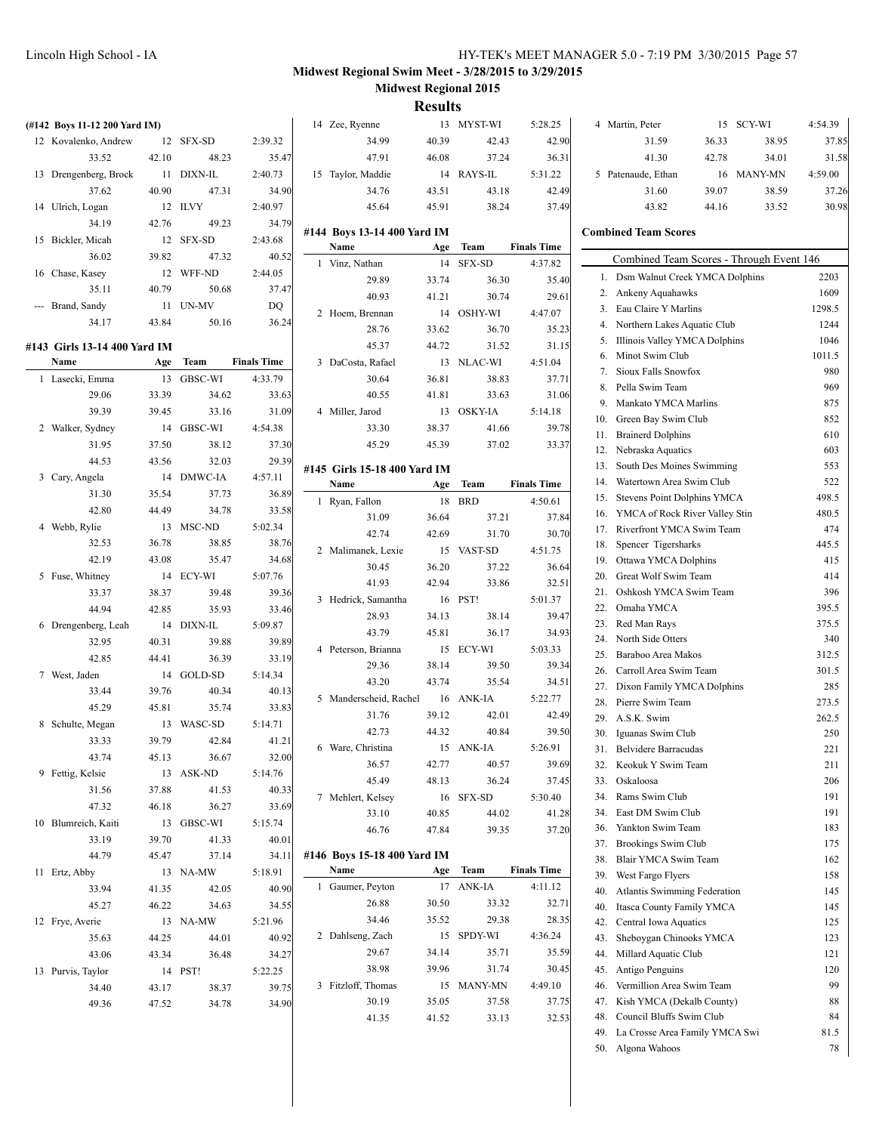| (#142 Boys 11-12 200 Yard IM) |       |            |                    | 14 Zee, Ryenne               |       | 13 MYST-WI | 5:28.25            |            | 4 Martin, Peter                          |       | 15 SCY-WI  | 4:54.39      |
|-------------------------------|-------|------------|--------------------|------------------------------|-------|------------|--------------------|------------|------------------------------------------|-------|------------|--------------|
| 12 Kovalenko, Andrew          |       | 12 SFX-SD  | 2:39.32            | 34.99                        | 40.39 | 42.43      | 42.90              |            | 31.59                                    | 36.33 | 38.95      | 37.85        |
| 33.52                         | 42.10 | 48.23      | 35.47              | 47.91                        | 46.08 | 37.24      | 36.31              |            | 41.30                                    | 42.78 | 34.01      | 31.58        |
| 13 Drengenberg, Brock         |       | 11 DIXN-IL | 2:40.73            | 15 Taylor, Maddie            |       | 14 RAYS-IL | 5:31.22            |            | 5 Patenaude, Ethan                       |       | 16 MANY-MN | 4:59.00      |
| 37.62                         | 40.90 | 47.31      | 34.90              | 34.76                        | 43.51 | 43.18      | 42.49              |            | 31.60                                    | 39.07 | 38.59      | 37.26        |
| 14 Ulrich, Logan              |       | 12 ILVY    | 2:40.97            | 45.64                        | 45.91 | 38.24      | 37.49              |            | 43.82                                    | 44.16 | 33.52      | 30.98        |
| 34.19                         | 42.76 | 49.23      | 34.79              | #144 Boys 13-14 400 Yard IM  |       |            |                    |            | <b>Combined Team Scores</b>              |       |            |              |
| 15 Bickler, Micah             |       | 12 SFX-SD  | 2:43.68            | Name                         | Age   | Team       | <b>Finals Time</b> |            |                                          |       |            |              |
| 36.02                         | 39.82 | 47.32      | 40.52              | 1 Vinz, Nathan               |       | 14 SFX-SD  | 4:37.82            |            | Combined Team Scores - Through Event 146 |       |            |              |
| 16 Chase, Kasey               |       | 12 WFF-ND  | 2:44.05            | 29.89                        | 33.74 | 36.30      | 35.40              |            | 1. Dsm Walnut Creek YMCA Dolphins        |       |            | 2203         |
| 35.11                         | 40.79 | 50.68      | 37.47              | 40.93                        | 41.21 | 30.74      | 29.61              |            | 2. Ankeny Aquahawks                      |       |            | 1609         |
| --- Brand, Sandy              |       | 11 UN-MV   | DQ                 | 2 Hoem, Brennan              |       | 14 OSHY-WI | 4:47.07            |            | 3. Eau Claire Y Marlins                  |       |            | 1298.5       |
| 34.17                         | 43.84 | 50.16      | 36.24              | 28.76                        | 33.62 | 36.70      | 35.23              |            | 4. Northern Lakes Aquatic Club           |       |            | 1244         |
| #143 Girls 13-14 400 Yard IM  |       |            |                    | 45.37                        | 44.72 | 31.52      | 31.15              |            | 5. Illinois Valley YMCA Dolphins         |       |            | 1046         |
| Name                          | Age   | Team       | <b>Finals Time</b> | 3 DaCosta, Rafael            |       | 13 NLAC-WI | 4:51.04            |            | 6. Minot Swim Club                       |       |            | 1011.5       |
| 1 Lasecki, Emma               |       | 13 GBSC-WI | 4:33.79            | 30.64                        | 36.81 | 38.83      | 37.71              |            | 7. Sioux Falls Snowfox                   |       |            | 980          |
| 29.06                         | 33.39 | 34.62      | 33.63              | 40.55                        | 41.81 | 33.63      | 31.06              |            | 8. Pella Swim Team                       |       |            | 969          |
| 39.39                         | 39.45 | 33.16      | 31.09              | 4 Miller, Jarod              |       | 13 OSKY-IA | 5:14.18            | 9.         | Mankato YMCA Marlins                     |       |            | 875          |
| 2 Walker, Sydney              |       | 14 GBSC-WI | 4:54.38            | 33.30                        | 38.37 | 41.66      | 39.78              | 10.        | Green Bay Swim Club                      |       |            | 852          |
| 31.95                         | 37.50 | 38.12      | 37.30              | 45.29                        | 45.39 | 37.02      | 33.37              | 11.        | <b>Brainerd Dolphins</b>                 |       |            | 610          |
| 44.53                         | 43.56 | 32.03      | 29.39              |                              |       |            |                    |            | 12. Nebraska Aquatics                    |       |            | 603          |
|                               |       | 14 DMWC-IA | 4:57.11            | #145 Girls 15-18 400 Yard IM |       |            |                    |            | 13. South Des Moines Swimming            |       |            | 553          |
| 3 Cary, Angela<br>31.30       |       | 37.73      |                    | Name                         | Age   | Team       | <b>Finals Time</b> | 14.        | Watertown Area Swim Club                 |       |            | 522          |
|                               | 35.54 |            | 36.89              | 1 Ryan, Fallon               |       | 18 BRD     | 4:50.61            |            | 15. Stevens Point Dolphins YMCA          |       |            | 498.5        |
| 42.80                         | 44.49 | 34.78      | 33.58              | 31.09                        | 36.64 | 37.21      | 37.84              |            | 16. YMCA of Rock River Valley Stin       |       |            | 480.5        |
| 4 Webb, Rylie                 |       | 13 MSC-ND  | 5:02.34            | 42.74                        | 42.69 | 31.70      | 30.70              | 17.        | Riverfront YMCA Swim Team                |       |            | 474          |
| 32.53                         | 36.78 | 38.85      | 38.76              | 2 Malimanek, Lexie           |       | 15 VAST-SD | 4:51.75            | 18.        | Spencer Tigersharks                      |       |            | 445.5        |
| 42.19                         | 43.08 | 35.47      | 34.68              | 30.45                        | 36.20 | 37.22      | 36.64              |            | 19. Ottawa YMCA Dolphins                 |       |            | 415          |
| 5 Fuse, Whitney               |       | 14 ECY-WI  | 5:07.76            | 41.93                        | 42.94 | 33.86      | 32.51              | 20.        | Great Wolf Swim Team                     |       |            | 414          |
| 33.37                         | 38.37 | 39.48      | 39.36              | 3 Hedrick, Samantha          |       | 16 PST!    | 5:01.37            | 21.        | Oshkosh YMCA Swim Team                   |       |            | 396          |
| 44.94                         | 42.85 | 35.93      | 33.46              | 28.93                        | 34.13 | 38.14      | 39.47              | 22.        | Omaha YMCA                               |       |            | 395.5        |
| 6 Drengenberg, Leah           |       | 14 DIXN-IL | 5:09.87            | 43.79                        | 45.81 | 36.17      | 34.93              | 23.        | Red Man Rays                             |       |            | 375.5        |
| 32.95                         | 40.31 | 39.88      | 39.89              | 4 Peterson, Brianna          |       | 15 ECY-WI  | 5:03.33            | 24.<br>25. | North Side Otters<br>Baraboo Area Makos  |       |            | 340<br>312.5 |
| 42.85                         | 44.41 | 36.39      | 33.19              | 29.36                        | 38.14 | 39.50      | 39.34              | 26.        | Carroll Area Swim Team                   |       |            | 301.5        |
| 7 West, Jaden                 |       | 14 GOLD-SD | 5:14.34            | 43.20                        | 43.74 | 35.54      | 34.51              | 27.        | Dixon Family YMCA Dolphins               |       |            | 285          |
| 33.44                         | 39.76 | 40.34      | 40.13              | 5 Manderscheid, Rachel       |       | 16 ANK-IA  | 5:22.77            | 28.        | Pierre Swim Team                         |       |            | 273.5        |
| 45.29                         | 45.81 | 35.74      | 33.83              | 31.76                        | 39.12 | 42.01      | 42.49              | 29.        | A.S.K. Swim                              |       |            | 262.5        |
| 8 Schulte, Megan              |       | 13 WASC-SD | 5:14.71            | 42.73                        | 44.32 | 40.84      | 39.50              | 30.        | Iguanas Swim Club                        |       |            | 250          |
| 33.33                         | 39.79 | 42.84      | 41.21              | 6 Ware, Christina            |       | 15 ANK-IA  | 5:26.91            | 31.        | Belvidere Barracudas                     |       |            | 221          |
| 43.74                         | 45.13 | 36.67      | 32.00              | 36.57                        | 42.77 | 40.57      | 39.69              |            | 32. Keokuk Y Swim Team                   |       |            | 211          |
| 9 Fettig, Kelsie              |       | 13 ASK-ND  | 5:14.76            | 45.49                        | 48.13 | 36.24      | 37.45              |            | 33. Oskaloosa                            |       |            | 206          |
| 31.56                         | 37.88 | 41.53      | 40.33              | 7 Mehlert, Kelsey            |       | 16 SFX-SD  | 5:30.40            | 34.        | Rams Swim Club                           |       |            | 191          |
| 47.32                         | 46.18 | 36.27      | 33.69              | 33.10                        | 40.85 | 44.02      | 41.28              |            | 34. East DM Swim Club                    |       |            | 191          |
| 10 Blumreich, Kaiti           |       | 13 GBSC-WI | 5:15.74            | 46.76                        | 47.84 | 39.35      | 37.20              |            | 36. Yankton Swim Team                    |       |            | 183          |
| 33.19                         | 39.70 | 41.33      | 40.01              |                              |       |            |                    |            | 37. Brookings Swim Club                  |       |            | 175          |
| 44.79                         | 45.47 | 37.14      | 34.11              | #146 Boys 15-18 400 Yard IM  |       |            |                    | 38.        | Blair YMCA Swim Team                     |       |            | 162          |
| 11 Ertz, Abby                 |       | 13 NA-MW   | 5:18.91            | Name                         | Age   | Team       | <b>Finals Time</b> | 39.        | West Fargo Flyers                        |       |            | 158          |
| 33.94                         | 41.35 | 42.05      | 40.90              | 1 Gaumer, Peyton             |       | 17 ANK-IA  | 4:11.12            | 40.        | Atlantis Swimming Federation             |       |            | 145          |
| 45.27                         | 46.22 | 34.63      | 34.55              | 26.88                        | 30.50 | 33.32      | 32.71              | 40.        | Itasca County Family YMCA                |       |            | 145          |
| 12 Frye, Averie               |       | 13 NA-MW   | 5:21.96            | 34.46                        | 35.52 | 29.38      | 28.35              | 42.        | Central Iowa Aquatics                    |       |            | 125          |
| 35.63                         | 44.25 | 44.01      | 40.92              | 2 Dahlseng, Zach             |       | 15 SPDY-WI | 4:36.24            |            | 43. Sheboygan Chinooks YMCA              |       |            | 123          |
| 43.06                         | 43.34 | 36.48      | 34.27              | 29.67                        | 34.14 | 35.71      | 35.59              |            | 44. Millard Aquatic Club                 |       |            | 121          |
| 13 Purvis, Taylor             |       | 14 PST!    | 5:22.25            | 38.98                        | 39.96 | 31.74      | 30.45              |            | 45. Antigo Penguins                      |       |            | 120          |
| 34.40                         | 43.17 | 38.37      | 39.75              | 3 Fitzloff, Thomas           |       | 15 MANY-MN | 4:49.10            | 46.        | Vermillion Area Swim Team                |       |            | 99           |
| 49.36                         | 47.52 | 34.78      | 34.90              | 30.19                        | 35.05 | 37.58      | 37.75              | 47.        | Kish YMCA (Dekalb County)                |       |            | 88           |
|                               |       |            |                    | 41.35                        | 41.52 | 33.13      | 32.53              | 48.        | Council Bluffs Swim Club                 |       |            | 84           |
|                               |       |            |                    |                              |       |            |                    |            | 49. La Crosse Area Family YMCA Swi       |       |            | 81.5         |
|                               |       |            |                    |                              |       |            |                    |            | 50. Algona Wahoos                        |       |            | 78           |